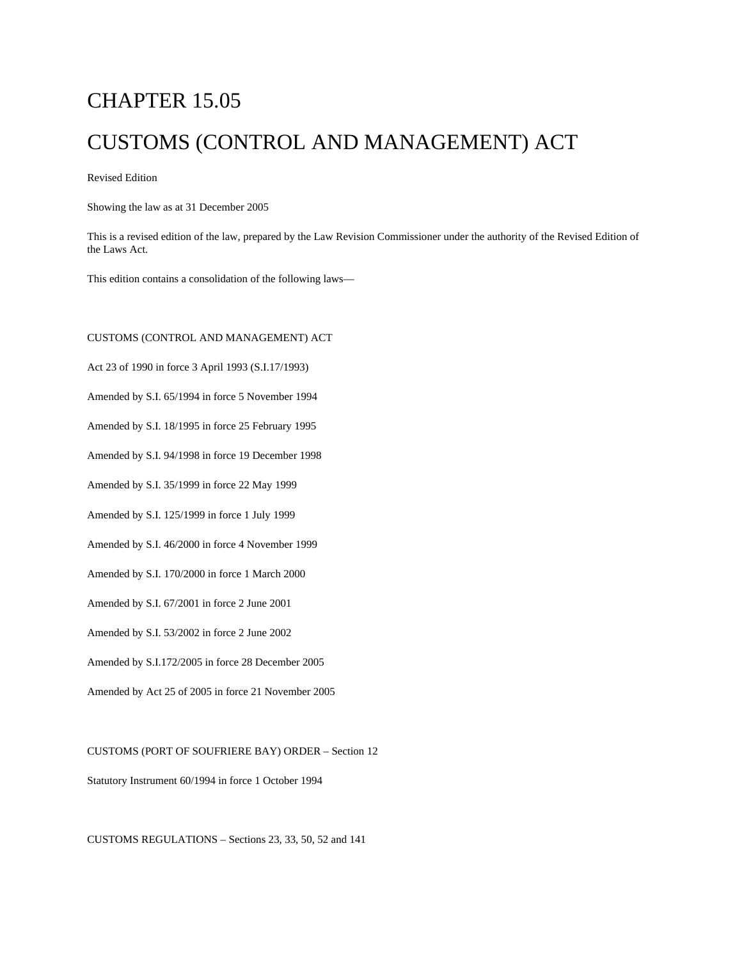# CHAPTER 15.05 CUSTOMS (CONTROL AND MANAGEMENT) ACT

Revised Edition

Showing the law as at 31 December 2005

This is a revised edition of the law, prepared by the Law Revision Commissioner under the authority of the Revised Edition of the Laws Act.

This edition contains a consolidation of the following laws—

#### CUSTOMS (CONTROL AND MANAGEMENT) ACT

Act 23 of 1990 in force 3 April 1993 (S.I.17/1993)

Amended by S.I. 65/1994 in force 5 November 1994

Amended by S.I. 18/1995 in force 25 February 1995

Amended by S.I. 94/1998 in force 19 December 1998

Amended by S.I. 35/1999 in force 22 May 1999

Amended by S.I. 125/1999 in force 1 July 1999

Amended by S.I. 46/2000 in force 4 November 1999

Amended by S.I. 170/2000 in force 1 March 2000

Amended by S.I. 67/2001 in force 2 June 2001

Amended by S.I. 53/2002 in force 2 June 2002

Amended by S.I.172/2005 in force 28 December 2005

Amended by Act 25 of 2005 in force 21 November 2005

#### CUSTOMS (PORT OF SOUFRIERE BAY) ORDER – Section 12

Statutory Instrument 60/1994 in force 1 October 1994

CUSTOMS REGULATIONS – Sections 23, 33, 50, 52 and 141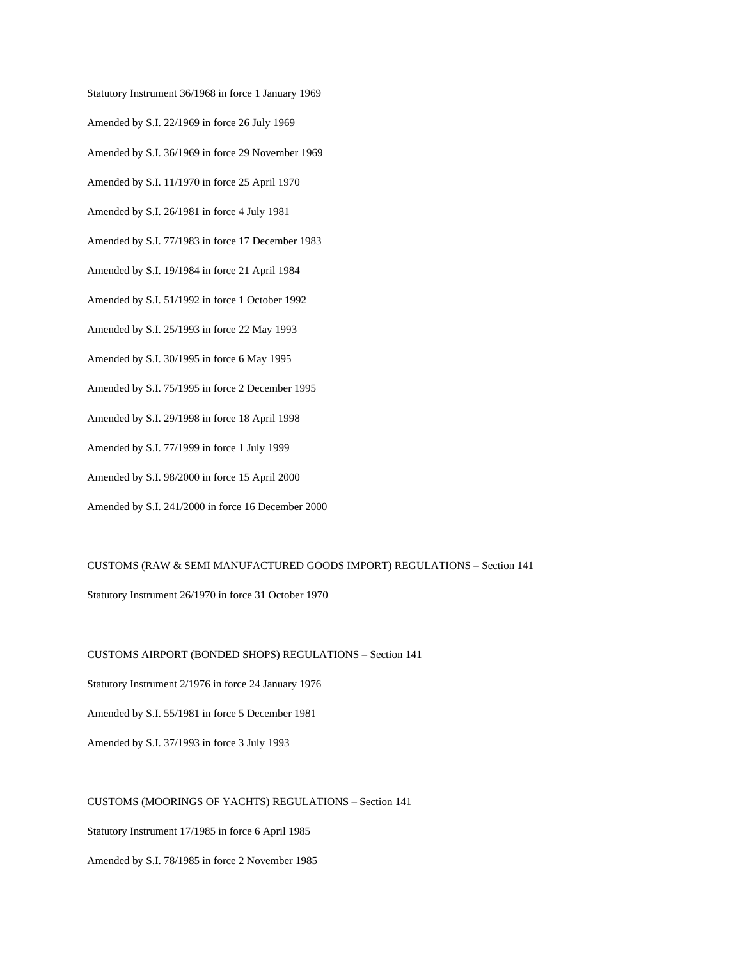Statutory Instrument 36/1968 in force 1 January 1969

- Amended by S.I. 22/1969 in force 26 July 1969
- Amended by S.I. 36/1969 in force 29 November 1969
- Amended by S.I. 11/1970 in force 25 April 1970
- Amended by S.I. 26/1981 in force 4 July 1981
- Amended by S.I. 77/1983 in force 17 December 1983
- Amended by S.I. 19/1984 in force 21 April 1984
- Amended by S.I. 51/1992 in force 1 October 1992
- Amended by S.I. 25/1993 in force 22 May 1993
- Amended by S.I. 30/1995 in force 6 May 1995
- Amended by S.I. 75/1995 in force 2 December 1995
- Amended by S.I. 29/1998 in force 18 April 1998
- Amended by S.I. 77/1999 in force 1 July 1999
- Amended by S.I. 98/2000 in force 15 April 2000
- Amended by S.I. 241/2000 in force 16 December 2000

#### CUSTOMS (RAW & SEMI MANUFACTURED GOODS IMPORT) REGULATIONS – Section 141

Statutory Instrument 26/1970 in force 31 October 1970

CUSTOMS AIRPORT (BONDED SHOPS) REGULATIONS – Section 141 Statutory Instrument 2/1976 in force 24 January 1976 Amended by S.I. 55/1981 in force 5 December 1981 Amended by S.I. 37/1993 in force 3 July 1993

#### CUSTOMS (MOORINGS OF YACHTS) REGULATIONS – Section 141

Statutory Instrument 17/1985 in force 6 April 1985

Amended by S.I. 78/1985 in force 2 November 1985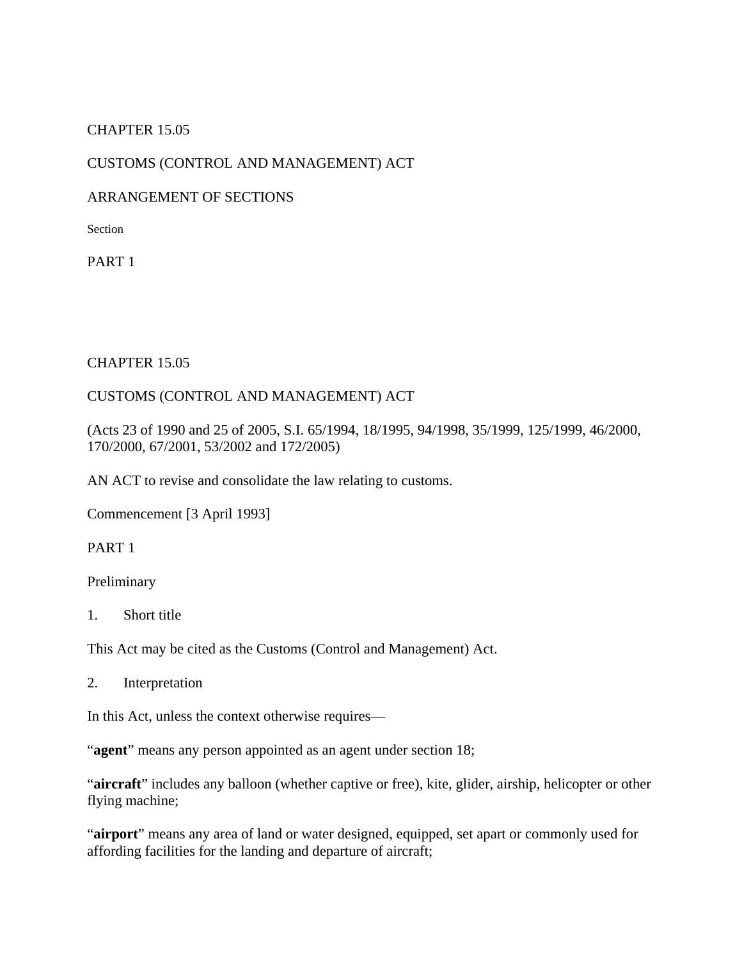## CHAPTER 15.05

## CUSTOMS (CONTROL AND MANAGEMENT) ACT

## ARRANGEMENT OF SECTIONS

**Section** 

PART 1

### CHAPTER 15.05

## CUSTOMS (CONTROL AND MANAGEMENT) ACT

(Acts 23 of 1990 and 25 of 2005, S.I. 65/1994, 18/1995, 94/1998, 35/1999, 125/1999, 46/2000, 170/2000, 67/2001, 53/2002 and 172/2005)

AN ACT to revise and consolidate the law relating to customs.

Commencement [3 April 1993]

PART 1

Preliminary

1. Short title

This Act may be cited as the Customs (Control and Management) Act.

2. Interpretation

In this Act, unless the context otherwise requires—

"**agent**" means any person appointed as an agent under section 18;

"**aircraft**" includes any balloon (whether captive or free), kite, glider, airship, helicopter or other flying machine;

"**airport**" means any area of land or water designed, equipped, set apart or commonly used for affording facilities for the landing and departure of aircraft;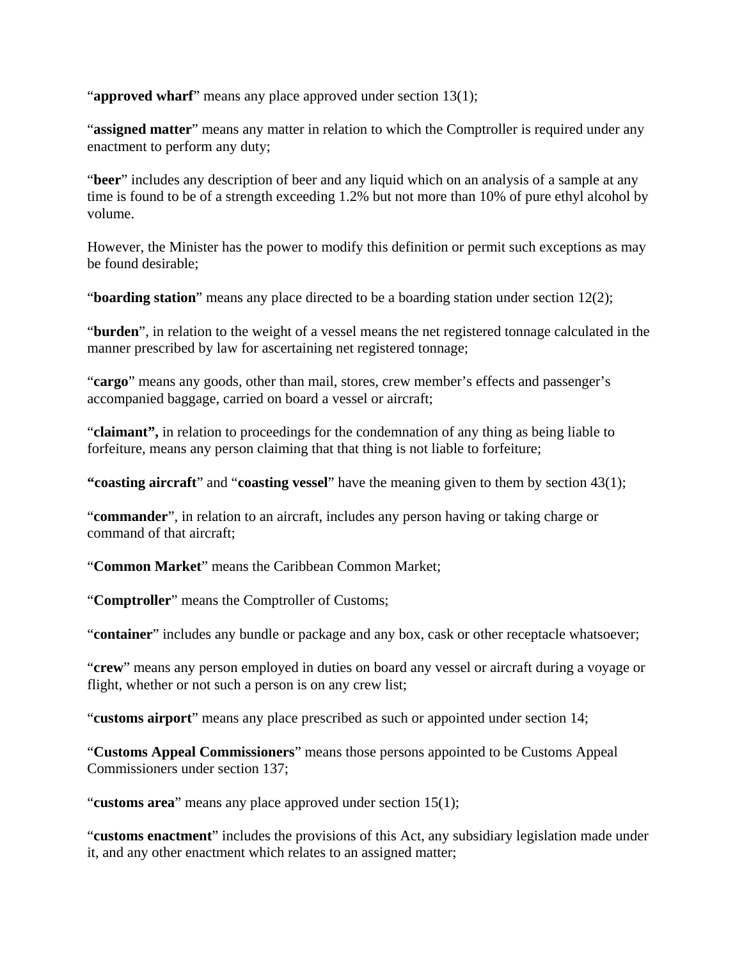"**approved wharf**" means any place approved under section 13(1);

"**assigned matter**" means any matter in relation to which the Comptroller is required under any enactment to perform any duty;

"**beer**" includes any description of beer and any liquid which on an analysis of a sample at any time is found to be of a strength exceeding 1.2% but not more than 10% of pure ethyl alcohol by volume.

However, the Minister has the power to modify this definition or permit such exceptions as may be found desirable;

"**boarding station**" means any place directed to be a boarding station under section 12(2);

"**burden**", in relation to the weight of a vessel means the net registered tonnage calculated in the manner prescribed by law for ascertaining net registered tonnage;

"**cargo**" means any goods, other than mail, stores, crew member's effects and passenger's accompanied baggage, carried on board a vessel or aircraft;

"**claimant"**, in relation to proceedings for the condemnation of any thing as being liable to forfeiture, means any person claiming that that thing is not liable to forfeiture;

**"coasting aircraft**" and "**coasting vessel**" have the meaning given to them by section 43(1);

"**commander**", in relation to an aircraft, includes any person having or taking charge or command of that aircraft;

"**Common Market**" means the Caribbean Common Market;

"**Comptroller**" means the Comptroller of Customs;

"**container**" includes any bundle or package and any box, cask or other receptacle whatsoever;

"**crew**" means any person employed in duties on board any vessel or aircraft during a voyage or flight, whether or not such a person is on any crew list;

"**customs airport**" means any place prescribed as such or appointed under section 14;

"**Customs Appeal Commissioners**" means those persons appointed to be Customs Appeal Commissioners under section 137;

"**customs area**" means any place approved under section 15(1);

"**customs enactment**" includes the provisions of this Act, any subsidiary legislation made under it, and any other enactment which relates to an assigned matter;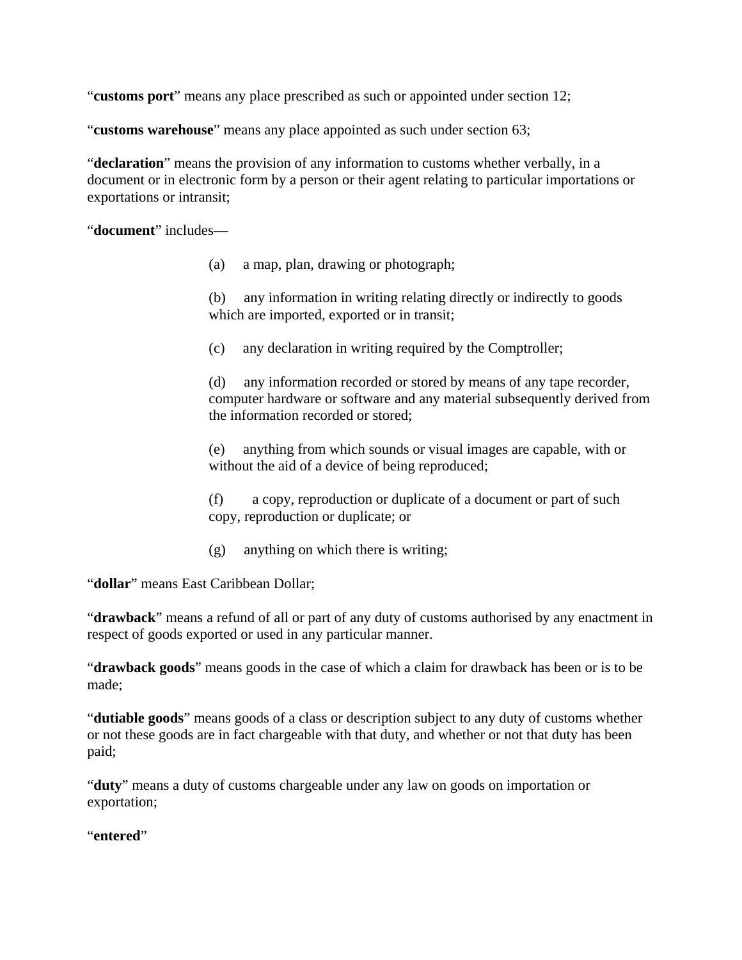"**customs port**" means any place prescribed as such or appointed under section 12;

"**customs warehouse**" means any place appointed as such under section 63;

"**declaration**" means the provision of any information to customs whether verbally, in a document or in electronic form by a person or their agent relating to particular importations or exportations or intransit;

"**document**" includes—

(a) a map, plan, drawing or photograph;

(b) any information in writing relating directly or indirectly to goods which are imported, exported or in transit;

(c) any declaration in writing required by the Comptroller;

(d) any information recorded or stored by means of any tape recorder, computer hardware or software and any material subsequently derived from the information recorded or stored;

(e) anything from which sounds or visual images are capable, with or without the aid of a device of being reproduced;

(f) a copy, reproduction or duplicate of a document or part of such copy, reproduction or duplicate; or

(g) anything on which there is writing;

"**dollar**" means East Caribbean Dollar;

"**drawback**" means a refund of all or part of any duty of customs authorised by any enactment in respect of goods exported or used in any particular manner.

"**drawback goods**" means goods in the case of which a claim for drawback has been or is to be made;

"**dutiable goods**" means goods of a class or description subject to any duty of customs whether or not these goods are in fact chargeable with that duty, and whether or not that duty has been paid;

"**duty**" means a duty of customs chargeable under any law on goods on importation or exportation;

"**entered**"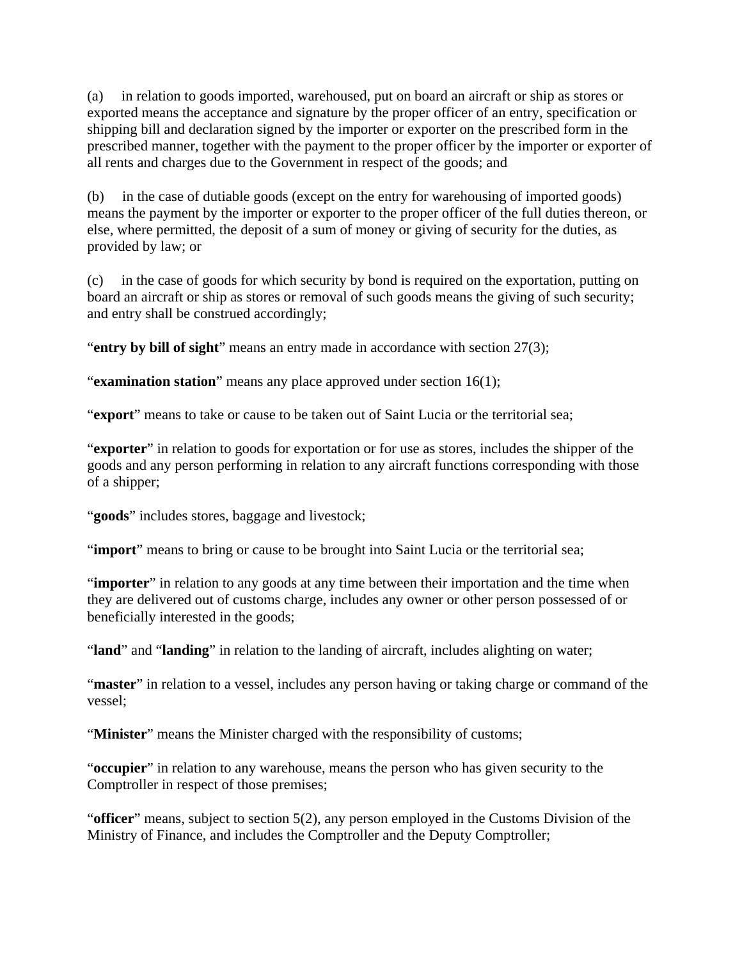(a) in relation to goods imported, warehoused, put on board an aircraft or ship as stores or exported means the acceptance and signature by the proper officer of an entry, specification or shipping bill and declaration signed by the importer or exporter on the prescribed form in the prescribed manner, together with the payment to the proper officer by the importer or exporter of all rents and charges due to the Government in respect of the goods; and

(b) in the case of dutiable goods (except on the entry for warehousing of imported goods) means the payment by the importer or exporter to the proper officer of the full duties thereon, or else, where permitted, the deposit of a sum of money or giving of security for the duties, as provided by law; or

(c) in the case of goods for which security by bond is required on the exportation, putting on board an aircraft or ship as stores or removal of such goods means the giving of such security; and entry shall be construed accordingly;

"**entry by bill of sight**" means an entry made in accordance with section 27(3);

"**examination station**" means any place approved under section 16(1);

"**export**" means to take or cause to be taken out of Saint Lucia or the territorial sea;

"**exporter**" in relation to goods for exportation or for use as stores, includes the shipper of the goods and any person performing in relation to any aircraft functions corresponding with those of a shipper;

"**goods**" includes stores, baggage and livestock;

"**import**" means to bring or cause to be brought into Saint Lucia or the territorial sea;

"**importer**" in relation to any goods at any time between their importation and the time when they are delivered out of customs charge, includes any owner or other person possessed of or beneficially interested in the goods;

"**land**" and "**landing**" in relation to the landing of aircraft, includes alighting on water;

"**master**" in relation to a vessel, includes any person having or taking charge or command of the vessel;

"**Minister**" means the Minister charged with the responsibility of customs;

"**occupier**" in relation to any warehouse, means the person who has given security to the Comptroller in respect of those premises;

"**officer**" means, subject to section 5(2), any person employed in the Customs Division of the Ministry of Finance, and includes the Comptroller and the Deputy Comptroller;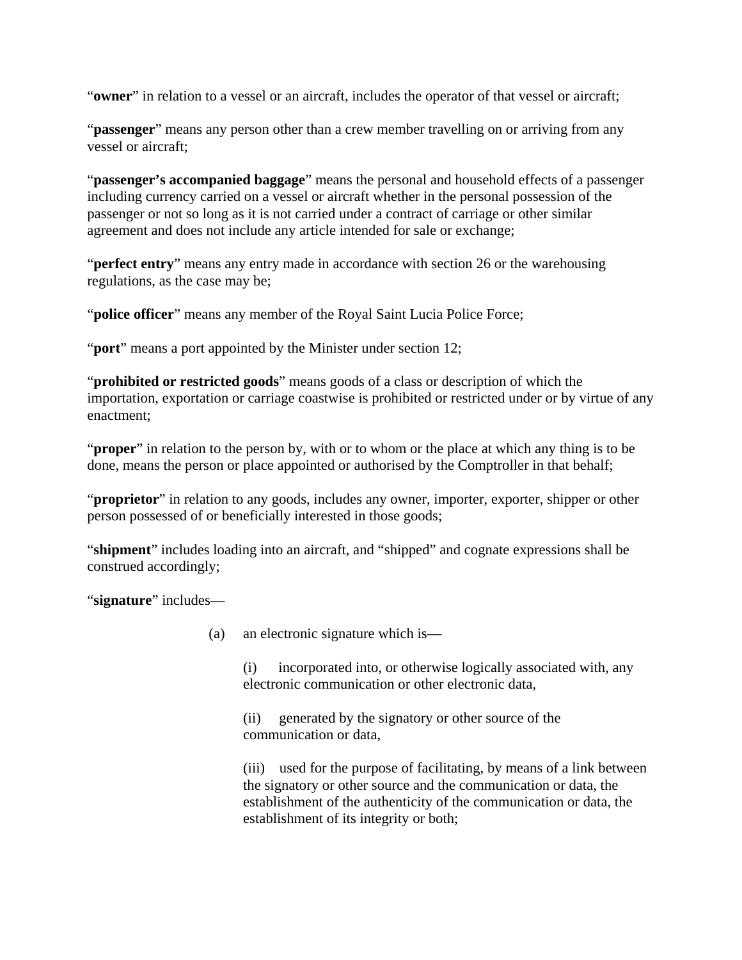"**owner**" in relation to a vessel or an aircraft, includes the operator of that vessel or aircraft;

"**passenger**" means any person other than a crew member travelling on or arriving from any vessel or aircraft;

"**passenger's accompanied baggage**" means the personal and household effects of a passenger including currency carried on a vessel or aircraft whether in the personal possession of the passenger or not so long as it is not carried under a contract of carriage or other similar agreement and does not include any article intended for sale or exchange;

"**perfect entry**" means any entry made in accordance with section 26 or the warehousing regulations, as the case may be;

"**police officer**" means any member of the Royal Saint Lucia Police Force;

"**port**" means a port appointed by the Minister under section 12;

"**prohibited or restricted goods**" means goods of a class or description of which the importation, exportation or carriage coastwise is prohibited or restricted under or by virtue of any enactment;

"**proper**" in relation to the person by, with or to whom or the place at which any thing is to be done, means the person or place appointed or authorised by the Comptroller in that behalf;

"**proprietor**" in relation to any goods, includes any owner, importer, exporter, shipper or other person possessed of or beneficially interested in those goods;

"**shipment**" includes loading into an aircraft, and "shipped" and cognate expressions shall be construed accordingly;

"**signature**" includes—

(a) an electronic signature which is—

(i) incorporated into, or otherwise logically associated with, any electronic communication or other electronic data,

(ii) generated by the signatory or other source of the communication or data,

(iii) used for the purpose of facilitating, by means of a link between the signatory or other source and the communication or data, the establishment of the authenticity of the communication or data, the establishment of its integrity or both;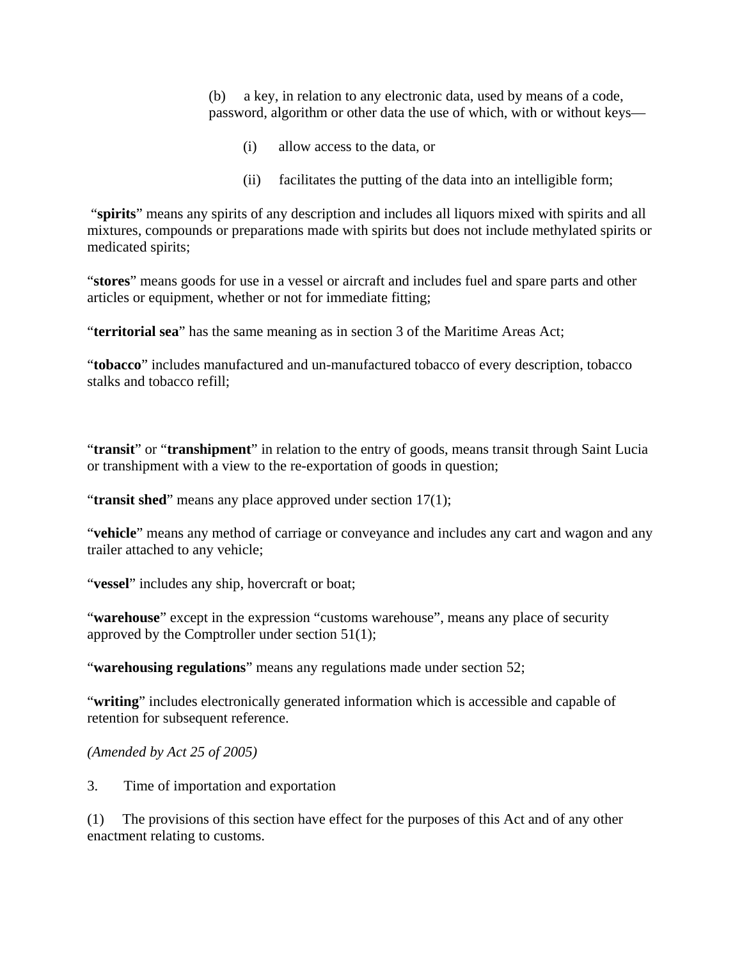(b) a key, in relation to any electronic data, used by means of a code, password, algorithm or other data the use of which, with or without keys—

- (i) allow access to the data, or
- (ii) facilitates the putting of the data into an intelligible form;

 "**spirits**" means any spirits of any description and includes all liquors mixed with spirits and all mixtures, compounds or preparations made with spirits but does not include methylated spirits or medicated spirits;

"**stores**" means goods for use in a vessel or aircraft and includes fuel and spare parts and other articles or equipment, whether or not for immediate fitting;

"**territorial sea**" has the same meaning as in section 3 of the Maritime Areas Act;

"**tobacco**" includes manufactured and un-manufactured tobacco of every description, tobacco stalks and tobacco refill;

"**transit**" or "**transhipment**" in relation to the entry of goods, means transit through Saint Lucia or transhipment with a view to the re-exportation of goods in question;

"transit shed" means any place approved under section 17(1);

"**vehicle**" means any method of carriage or conveyance and includes any cart and wagon and any trailer attached to any vehicle;

"**vessel**" includes any ship, hovercraft or boat;

"**warehouse**" except in the expression "customs warehouse", means any place of security approved by the Comptroller under section 51(1);

"**warehousing regulations**" means any regulations made under section 52;

"**writing**" includes electronically generated information which is accessible and capable of retention for subsequent reference.

*(Amended by Act 25 of 2005)*

3. Time of importation and exportation

(1) The provisions of this section have effect for the purposes of this Act and of any other enactment relating to customs.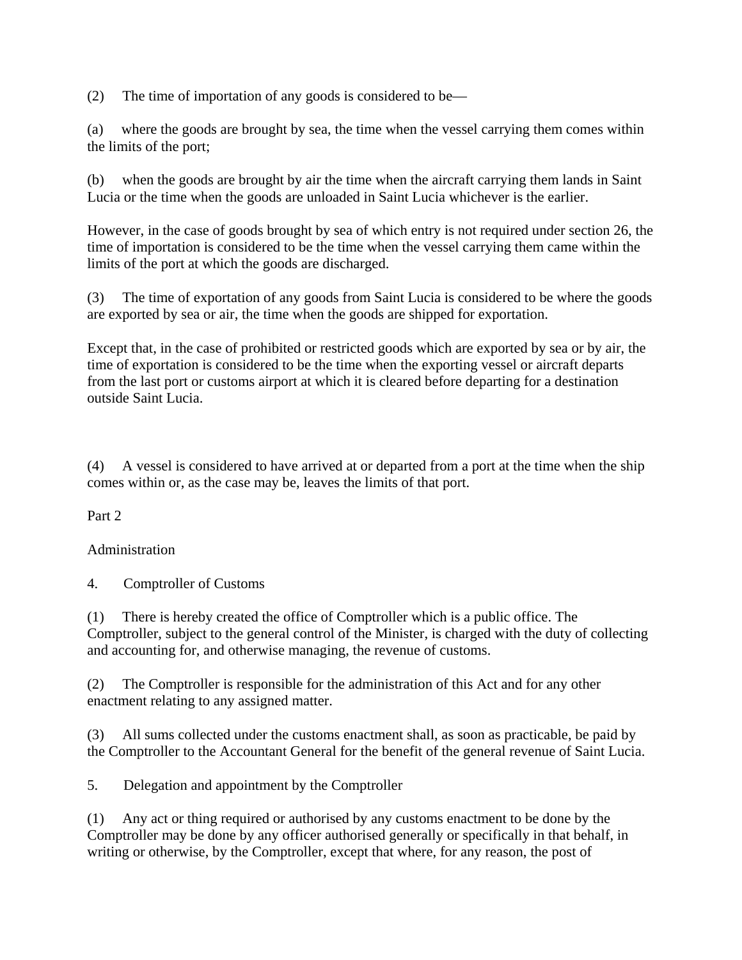(2) The time of importation of any goods is considered to be—

(a) where the goods are brought by sea, the time when the vessel carrying them comes within the limits of the port;

(b) when the goods are brought by air the time when the aircraft carrying them lands in Saint Lucia or the time when the goods are unloaded in Saint Lucia whichever is the earlier.

However, in the case of goods brought by sea of which entry is not required under section 26, the time of importation is considered to be the time when the vessel carrying them came within the limits of the port at which the goods are discharged.

(3) The time of exportation of any goods from Saint Lucia is considered to be where the goods are exported by sea or air, the time when the goods are shipped for exportation.

Except that, in the case of prohibited or restricted goods which are exported by sea or by air, the time of exportation is considered to be the time when the exporting vessel or aircraft departs from the last port or customs airport at which it is cleared before departing for a destination outside Saint Lucia.

(4) A vessel is considered to have arrived at or departed from a port at the time when the ship comes within or, as the case may be, leaves the limits of that port.

Part 2

Administration

4. Comptroller of Customs

(1) There is hereby created the office of Comptroller which is a public office. The Comptroller, subject to the general control of the Minister, is charged with the duty of collecting and accounting for, and otherwise managing, the revenue of customs.

(2) The Comptroller is responsible for the administration of this Act and for any other enactment relating to any assigned matter.

(3) All sums collected under the customs enactment shall, as soon as practicable, be paid by the Comptroller to the Accountant General for the benefit of the general revenue of Saint Lucia.

5. Delegation and appointment by the Comptroller

(1) Any act or thing required or authorised by any customs enactment to be done by the Comptroller may be done by any officer authorised generally or specifically in that behalf, in writing or otherwise, by the Comptroller, except that where, for any reason, the post of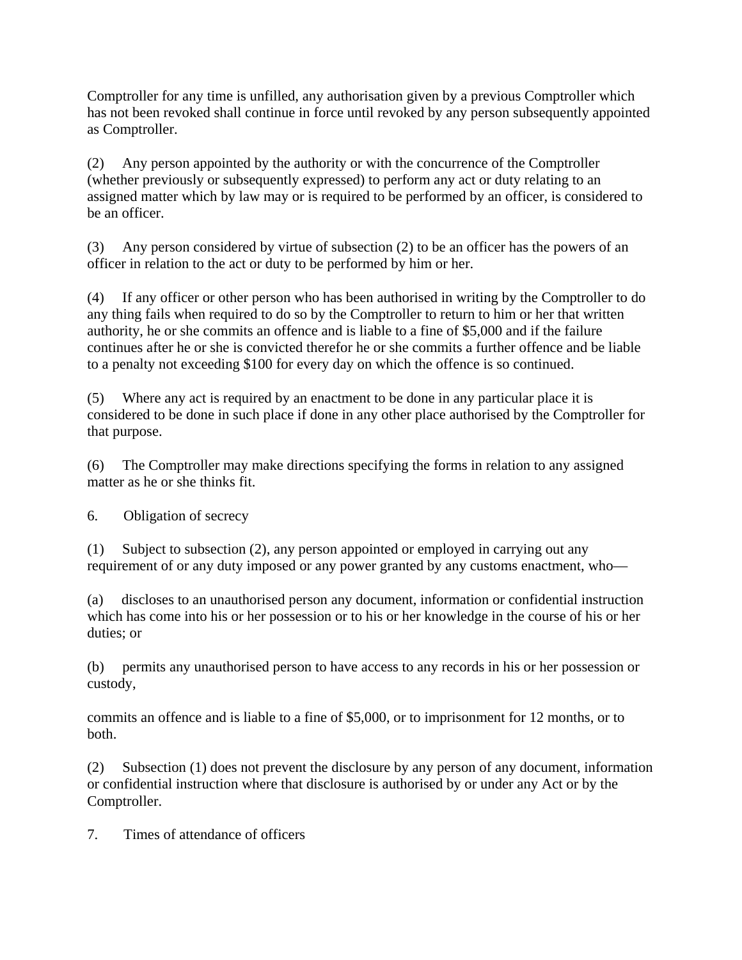Comptroller for any time is unfilled, any authorisation given by a previous Comptroller which has not been revoked shall continue in force until revoked by any person subsequently appointed as Comptroller.

(2) Any person appointed by the authority or with the concurrence of the Comptroller (whether previously or subsequently expressed) to perform any act or duty relating to an assigned matter which by law may or is required to be performed by an officer, is considered to be an officer.

(3) Any person considered by virtue of subsection (2) to be an officer has the powers of an officer in relation to the act or duty to be performed by him or her.

(4) If any officer or other person who has been authorised in writing by the Comptroller to do any thing fails when required to do so by the Comptroller to return to him or her that written authority, he or she commits an offence and is liable to a fine of \$5,000 and if the failure continues after he or she is convicted therefor he or she commits a further offence and be liable to a penalty not exceeding \$100 for every day on which the offence is so continued.

(5) Where any act is required by an enactment to be done in any particular place it is considered to be done in such place if done in any other place authorised by the Comptroller for that purpose.

(6) The Comptroller may make directions specifying the forms in relation to any assigned matter as he or she thinks fit.

6. Obligation of secrecy

(1) Subject to subsection (2), any person appointed or employed in carrying out any requirement of or any duty imposed or any power granted by any customs enactment, who—

(a) discloses to an unauthorised person any document, information or confidential instruction which has come into his or her possession or to his or her knowledge in the course of his or her duties; or

(b) permits any unauthorised person to have access to any records in his or her possession or custody,

commits an offence and is liable to a fine of \$5,000, or to imprisonment for 12 months, or to both.

(2) Subsection (1) does not prevent the disclosure by any person of any document, information or confidential instruction where that disclosure is authorised by or under any Act or by the Comptroller.

7. Times of attendance of officers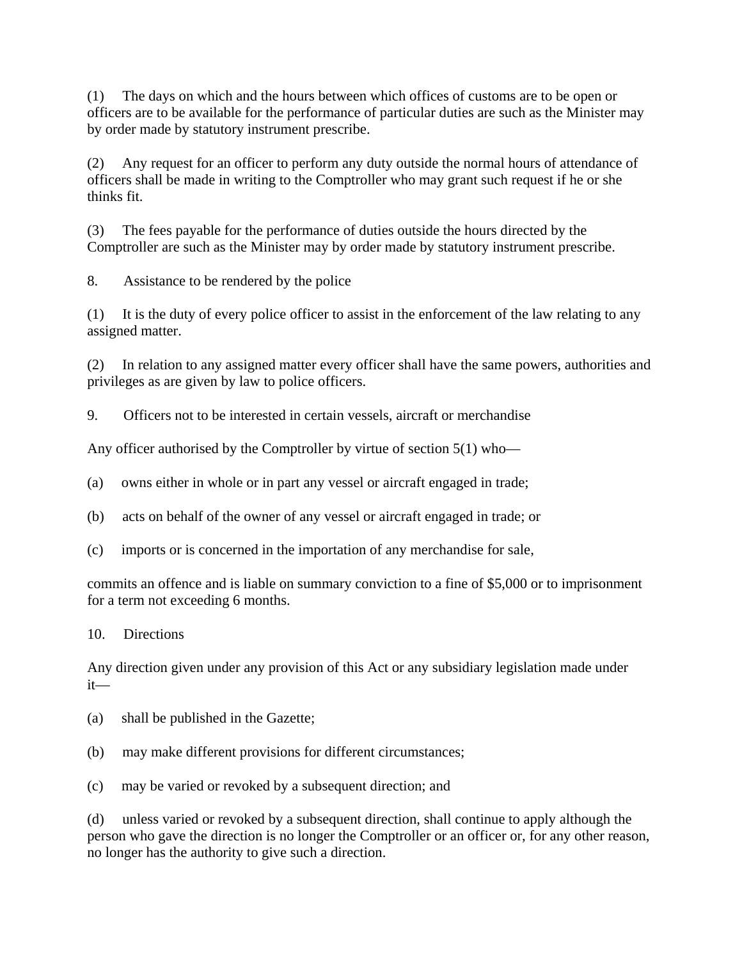(1) The days on which and the hours between which offices of customs are to be open or officers are to be available for the performance of particular duties are such as the Minister may by order made by statutory instrument prescribe.

(2) Any request for an officer to perform any duty outside the normal hours of attendance of officers shall be made in writing to the Comptroller who may grant such request if he or she thinks fit.

(3) The fees payable for the performance of duties outside the hours directed by the Comptroller are such as the Minister may by order made by statutory instrument prescribe.

8. Assistance to be rendered by the police

(1) It is the duty of every police officer to assist in the enforcement of the law relating to any assigned matter.

(2) In relation to any assigned matter every officer shall have the same powers, authorities and privileges as are given by law to police officers.

9. Officers not to be interested in certain vessels, aircraft or merchandise

Any officer authorised by the Comptroller by virtue of section 5(1) who—

(a) owns either in whole or in part any vessel or aircraft engaged in trade;

(b) acts on behalf of the owner of any vessel or aircraft engaged in trade; or

(c) imports or is concerned in the importation of any merchandise for sale,

commits an offence and is liable on summary conviction to a fine of \$5,000 or to imprisonment for a term not exceeding 6 months.

10. Directions

Any direction given under any provision of this Act or any subsidiary legislation made under it—

- (a) shall be published in the Gazette;
- (b) may make different provisions for different circumstances;
- (c) may be varied or revoked by a subsequent direction; and

(d) unless varied or revoked by a subsequent direction, shall continue to apply although the person who gave the direction is no longer the Comptroller or an officer or, for any other reason, no longer has the authority to give such a direction.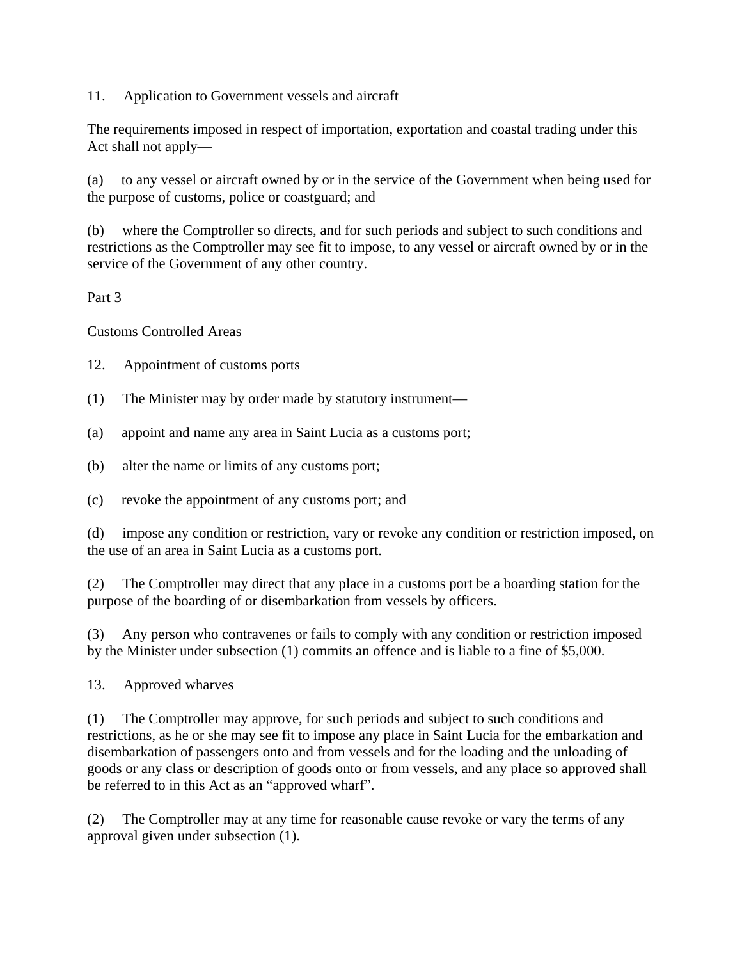11. Application to Government vessels and aircraft

The requirements imposed in respect of importation, exportation and coastal trading under this Act shall not apply—

(a) to any vessel or aircraft owned by or in the service of the Government when being used for the purpose of customs, police or coastguard; and

(b) where the Comptroller so directs, and for such periods and subject to such conditions and restrictions as the Comptroller may see fit to impose, to any vessel or aircraft owned by or in the service of the Government of any other country.

Part 3

Customs Controlled Areas

12. Appointment of customs ports

- (1) The Minister may by order made by statutory instrument—
- (a) appoint and name any area in Saint Lucia as a customs port;
- (b) alter the name or limits of any customs port;
- (c) revoke the appointment of any customs port; and

(d) impose any condition or restriction, vary or revoke any condition or restriction imposed, on the use of an area in Saint Lucia as a customs port.

(2) The Comptroller may direct that any place in a customs port be a boarding station for the purpose of the boarding of or disembarkation from vessels by officers.

(3) Any person who contravenes or fails to comply with any condition or restriction imposed by the Minister under subsection (1) commits an offence and is liable to a fine of \$5,000.

13. Approved wharves

(1) The Comptroller may approve, for such periods and subject to such conditions and restrictions, as he or she may see fit to impose any place in Saint Lucia for the embarkation and disembarkation of passengers onto and from vessels and for the loading and the unloading of goods or any class or description of goods onto or from vessels, and any place so approved shall be referred to in this Act as an "approved wharf".

(2) The Comptroller may at any time for reasonable cause revoke or vary the terms of any approval given under subsection (1).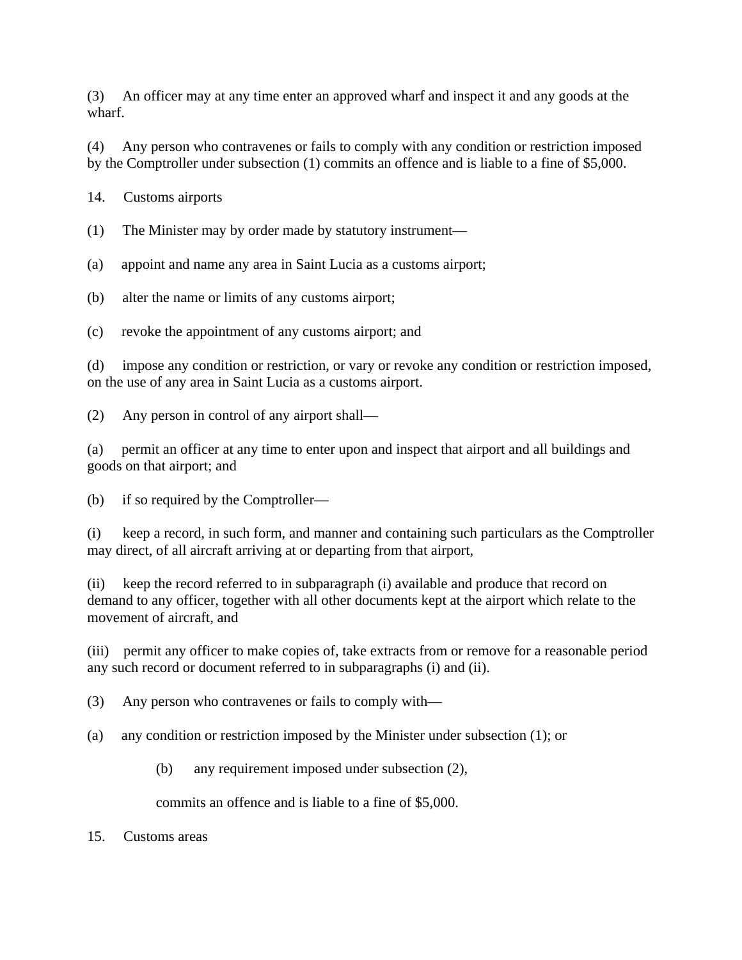(3) An officer may at any time enter an approved wharf and inspect it and any goods at the wharf.

(4) Any person who contravenes or fails to comply with any condition or restriction imposed by the Comptroller under subsection (1) commits an offence and is liable to a fine of \$5,000.

14. Customs airports

(1) The Minister may by order made by statutory instrument—

(a) appoint and name any area in Saint Lucia as a customs airport;

(b) alter the name or limits of any customs airport;

(c) revoke the appointment of any customs airport; and

(d) impose any condition or restriction, or vary or revoke any condition or restriction imposed, on the use of any area in Saint Lucia as a customs airport.

(2) Any person in control of any airport shall—

(a) permit an officer at any time to enter upon and inspect that airport and all buildings and goods on that airport; and

(b) if so required by the Comptroller—

(i) keep a record, in such form, and manner and containing such particulars as the Comptroller may direct, of all aircraft arriving at or departing from that airport,

(ii) keep the record referred to in subparagraph (i) available and produce that record on demand to any officer, together with all other documents kept at the airport which relate to the movement of aircraft, and

(iii) permit any officer to make copies of, take extracts from or remove for a reasonable period any such record or document referred to in subparagraphs (i) and (ii).

(3) Any person who contravenes or fails to comply with—

(a) any condition or restriction imposed by the Minister under subsection (1); or

(b) any requirement imposed under subsection (2),

commits an offence and is liable to a fine of \$5,000.

15. Customs areas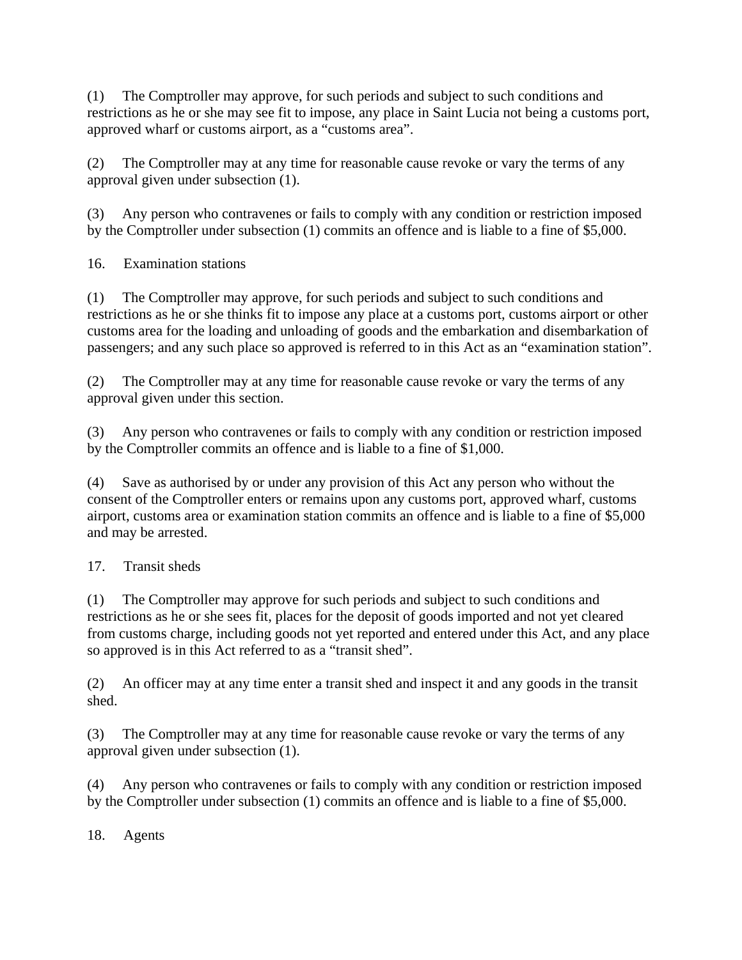(1) The Comptroller may approve, for such periods and subject to such conditions and restrictions as he or she may see fit to impose, any place in Saint Lucia not being a customs port, approved wharf or customs airport, as a "customs area".

(2) The Comptroller may at any time for reasonable cause revoke or vary the terms of any approval given under subsection (1).

(3) Any person who contravenes or fails to comply with any condition or restriction imposed by the Comptroller under subsection (1) commits an offence and is liable to a fine of \$5,000.

16. Examination stations

(1) The Comptroller may approve, for such periods and subject to such conditions and restrictions as he or she thinks fit to impose any place at a customs port, customs airport or other customs area for the loading and unloading of goods and the embarkation and disembarkation of passengers; and any such place so approved is referred to in this Act as an "examination station".

(2) The Comptroller may at any time for reasonable cause revoke or vary the terms of any approval given under this section.

(3) Any person who contravenes or fails to comply with any condition or restriction imposed by the Comptroller commits an offence and is liable to a fine of \$1,000.

(4) Save as authorised by or under any provision of this Act any person who without the consent of the Comptroller enters or remains upon any customs port, approved wharf, customs airport, customs area or examination station commits an offence and is liable to a fine of \$5,000 and may be arrested.

17. Transit sheds

(1) The Comptroller may approve for such periods and subject to such conditions and restrictions as he or she sees fit, places for the deposit of goods imported and not yet cleared from customs charge, including goods not yet reported and entered under this Act, and any place so approved is in this Act referred to as a "transit shed".

(2) An officer may at any time enter a transit shed and inspect it and any goods in the transit shed.

(3) The Comptroller may at any time for reasonable cause revoke or vary the terms of any approval given under subsection (1).

(4) Any person who contravenes or fails to comply with any condition or restriction imposed by the Comptroller under subsection (1) commits an offence and is liable to a fine of \$5,000.

18. Agents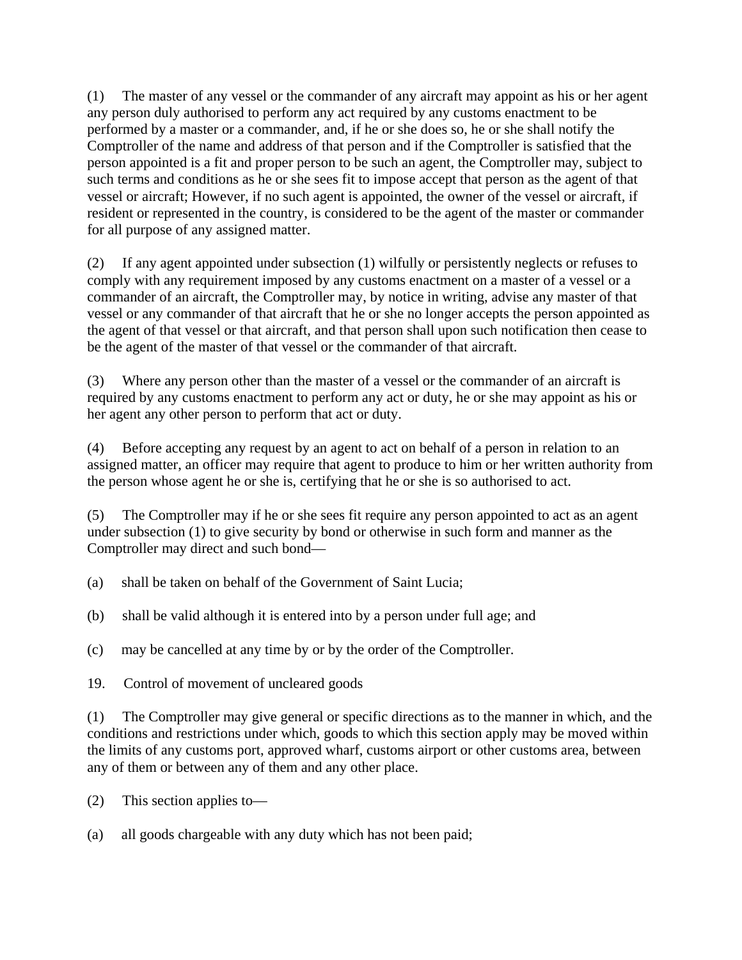(1) The master of any vessel or the commander of any aircraft may appoint as his or her agent any person duly authorised to perform any act required by any customs enactment to be performed by a master or a commander, and, if he or she does so, he or she shall notify the Comptroller of the name and address of that person and if the Comptroller is satisfied that the person appointed is a fit and proper person to be such an agent, the Comptroller may, subject to such terms and conditions as he or she sees fit to impose accept that person as the agent of that vessel or aircraft; However, if no such agent is appointed, the owner of the vessel or aircraft, if resident or represented in the country, is considered to be the agent of the master or commander for all purpose of any assigned matter.

(2) If any agent appointed under subsection (1) wilfully or persistently neglects or refuses to comply with any requirement imposed by any customs enactment on a master of a vessel or a commander of an aircraft, the Comptroller may, by notice in writing, advise any master of that vessel or any commander of that aircraft that he or she no longer accepts the person appointed as the agent of that vessel or that aircraft, and that person shall upon such notification then cease to be the agent of the master of that vessel or the commander of that aircraft.

(3) Where any person other than the master of a vessel or the commander of an aircraft is required by any customs enactment to perform any act or duty, he or she may appoint as his or her agent any other person to perform that act or duty.

(4) Before accepting any request by an agent to act on behalf of a person in relation to an assigned matter, an officer may require that agent to produce to him or her written authority from the person whose agent he or she is, certifying that he or she is so authorised to act.

(5) The Comptroller may if he or she sees fit require any person appointed to act as an agent under subsection (1) to give security by bond or otherwise in such form and manner as the Comptroller may direct and such bond—

- (a) shall be taken on behalf of the Government of Saint Lucia;
- (b) shall be valid although it is entered into by a person under full age; and
- (c) may be cancelled at any time by or by the order of the Comptroller.
- 19. Control of movement of uncleared goods

(1) The Comptroller may give general or specific directions as to the manner in which, and the conditions and restrictions under which, goods to which this section apply may be moved within the limits of any customs port, approved wharf, customs airport or other customs area, between any of them or between any of them and any other place.

- (2) This section applies to—
- (a) all goods chargeable with any duty which has not been paid;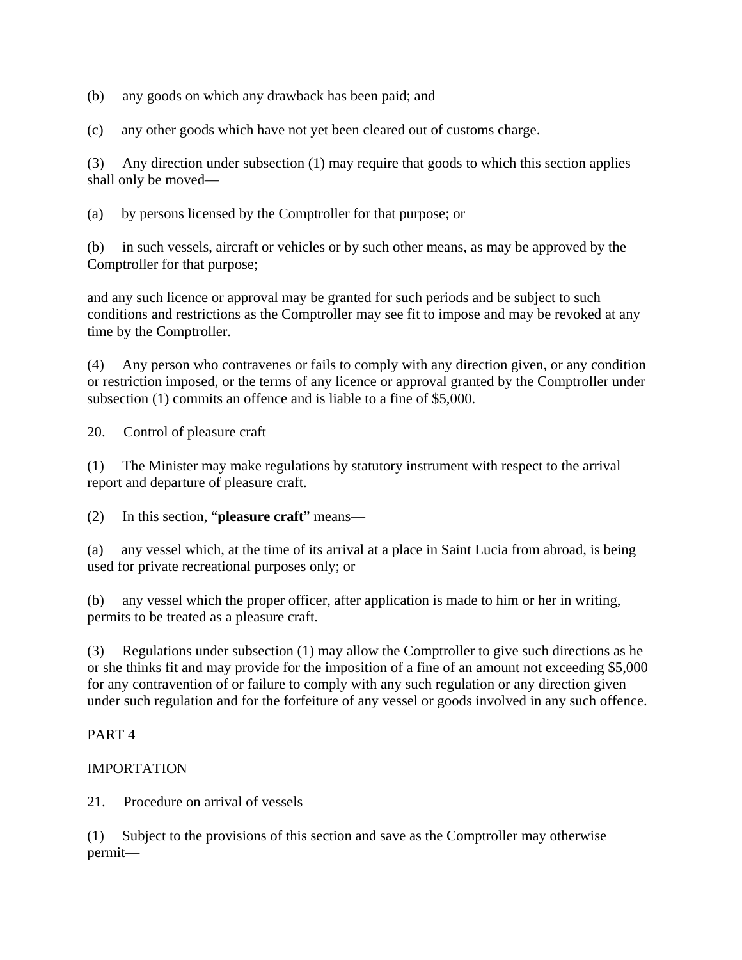(b) any goods on which any drawback has been paid; and

(c) any other goods which have not yet been cleared out of customs charge.

(3) Any direction under subsection (1) may require that goods to which this section applies shall only be moved—

(a) by persons licensed by the Comptroller for that purpose; or

(b) in such vessels, aircraft or vehicles or by such other means, as may be approved by the Comptroller for that purpose;

and any such licence or approval may be granted for such periods and be subject to such conditions and restrictions as the Comptroller may see fit to impose and may be revoked at any time by the Comptroller.

(4) Any person who contravenes or fails to comply with any direction given, or any condition or restriction imposed, or the terms of any licence or approval granted by the Comptroller under subsection (1) commits an offence and is liable to a fine of \$5,000.

20. Control of pleasure craft

(1) The Minister may make regulations by statutory instrument with respect to the arrival report and departure of pleasure craft.

(2) In this section, "**pleasure craft**" means—

(a) any vessel which, at the time of its arrival at a place in Saint Lucia from abroad, is being used for private recreational purposes only; or

(b) any vessel which the proper officer, after application is made to him or her in writing, permits to be treated as a pleasure craft.

(3) Regulations under subsection (1) may allow the Comptroller to give such directions as he or she thinks fit and may provide for the imposition of a fine of an amount not exceeding \$5,000 for any contravention of or failure to comply with any such regulation or any direction given under such regulation and for the forfeiture of any vessel or goods involved in any such offence.

# PART 4

# IMPORTATION

21. Procedure on arrival of vessels

(1) Subject to the provisions of this section and save as the Comptroller may otherwise permit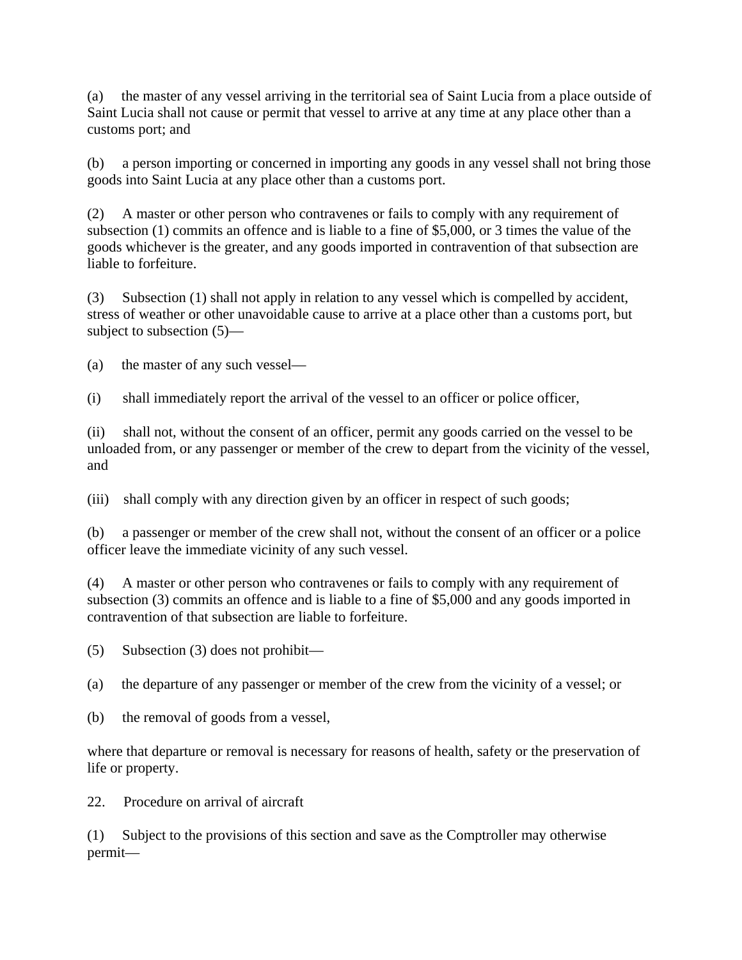(a) the master of any vessel arriving in the territorial sea of Saint Lucia from a place outside of Saint Lucia shall not cause or permit that vessel to arrive at any time at any place other than a customs port; and

(b) a person importing or concerned in importing any goods in any vessel shall not bring those goods into Saint Lucia at any place other than a customs port.

(2) A master or other person who contravenes or fails to comply with any requirement of subsection (1) commits an offence and is liable to a fine of \$5,000, or 3 times the value of the goods whichever is the greater, and any goods imported in contravention of that subsection are liable to forfeiture.

(3) Subsection (1) shall not apply in relation to any vessel which is compelled by accident, stress of weather or other unavoidable cause to arrive at a place other than a customs port, but subject to subsection (5)—

(a) the master of any such vessel—

(i) shall immediately report the arrival of the vessel to an officer or police officer,

(ii) shall not, without the consent of an officer, permit any goods carried on the vessel to be unloaded from, or any passenger or member of the crew to depart from the vicinity of the vessel, and

(iii) shall comply with any direction given by an officer in respect of such goods;

(b) a passenger or member of the crew shall not, without the consent of an officer or a police officer leave the immediate vicinity of any such vessel.

(4) A master or other person who contravenes or fails to comply with any requirement of subsection (3) commits an offence and is liable to a fine of \$5,000 and any goods imported in contravention of that subsection are liable to forfeiture.

(5) Subsection (3) does not prohibit—

(a) the departure of any passenger or member of the crew from the vicinity of a vessel; or

(b) the removal of goods from a vessel,

where that departure or removal is necessary for reasons of health, safety or the preservation of life or property.

22. Procedure on arrival of aircraft

(1) Subject to the provisions of this section and save as the Comptroller may otherwise permit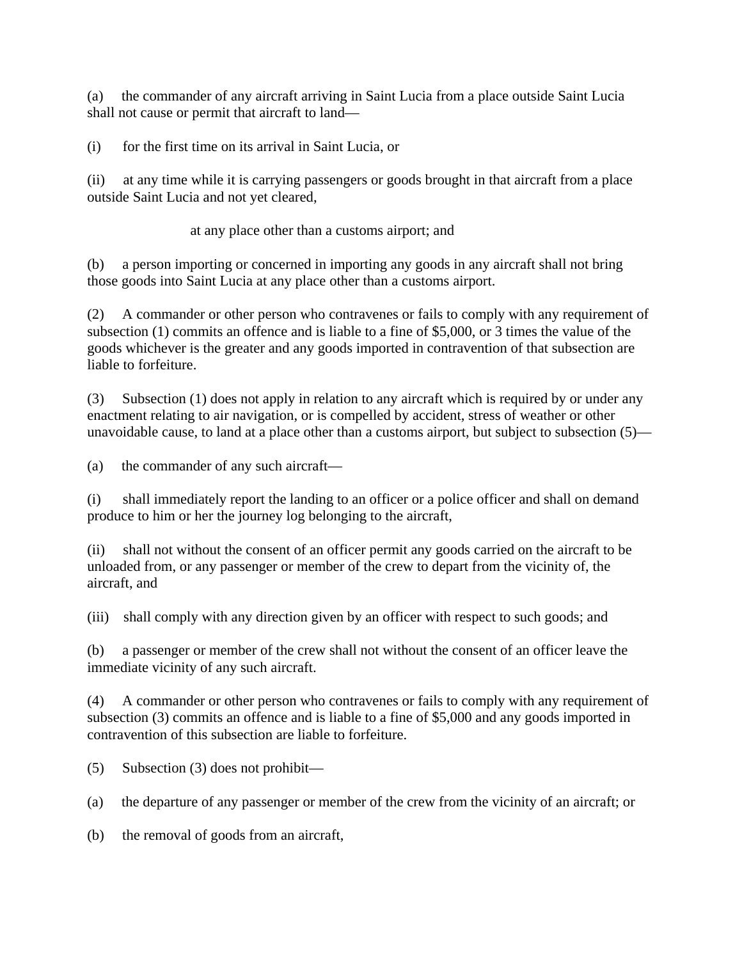(a) the commander of any aircraft arriving in Saint Lucia from a place outside Saint Lucia shall not cause or permit that aircraft to land—

(i) for the first time on its arrival in Saint Lucia, or

(ii) at any time while it is carrying passengers or goods brought in that aircraft from a place outside Saint Lucia and not yet cleared,

at any place other than a customs airport; and

(b) a person importing or concerned in importing any goods in any aircraft shall not bring those goods into Saint Lucia at any place other than a customs airport.

(2) A commander or other person who contravenes or fails to comply with any requirement of subsection (1) commits an offence and is liable to a fine of \$5,000, or 3 times the value of the goods whichever is the greater and any goods imported in contravention of that subsection are liable to forfeiture.

(3) Subsection (1) does not apply in relation to any aircraft which is required by or under any enactment relating to air navigation, or is compelled by accident, stress of weather or other unavoidable cause, to land at a place other than a customs airport, but subject to subsection (5)—

(a) the commander of any such aircraft—

(i) shall immediately report the landing to an officer or a police officer and shall on demand produce to him or her the journey log belonging to the aircraft,

(ii) shall not without the consent of an officer permit any goods carried on the aircraft to be unloaded from, or any passenger or member of the crew to depart from the vicinity of, the aircraft, and

(iii) shall comply with any direction given by an officer with respect to such goods; and

(b) a passenger or member of the crew shall not without the consent of an officer leave the immediate vicinity of any such aircraft.

(4) A commander or other person who contravenes or fails to comply with any requirement of subsection (3) commits an offence and is liable to a fine of \$5,000 and any goods imported in contravention of this subsection are liable to forfeiture.

(5) Subsection (3) does not prohibit—

(a) the departure of any passenger or member of the crew from the vicinity of an aircraft; or

(b) the removal of goods from an aircraft,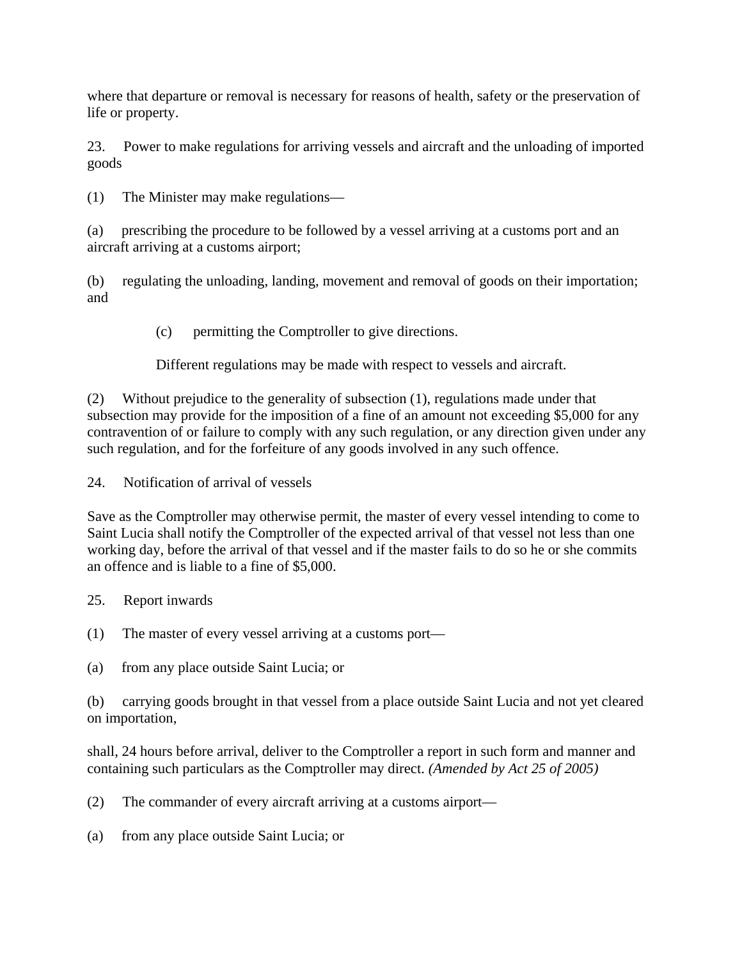where that departure or removal is necessary for reasons of health, safety or the preservation of life or property.

23. Power to make regulations for arriving vessels and aircraft and the unloading of imported goods

(1) The Minister may make regulations—

(a) prescribing the procedure to be followed by a vessel arriving at a customs port and an aircraft arriving at a customs airport;

(b) regulating the unloading, landing, movement and removal of goods on their importation; and

(c) permitting the Comptroller to give directions.

Different regulations may be made with respect to vessels and aircraft.

(2) Without prejudice to the generality of subsection (1), regulations made under that subsection may provide for the imposition of a fine of an amount not exceeding \$5,000 for any contravention of or failure to comply with any such regulation, or any direction given under any such regulation, and for the forfeiture of any goods involved in any such offence.

24. Notification of arrival of vessels

Save as the Comptroller may otherwise permit, the master of every vessel intending to come to Saint Lucia shall notify the Comptroller of the expected arrival of that vessel not less than one working day, before the arrival of that vessel and if the master fails to do so he or she commits an offence and is liable to a fine of \$5,000.

25. Report inwards

(1) The master of every vessel arriving at a customs port—

(a) from any place outside Saint Lucia; or

(b) carrying goods brought in that vessel from a place outside Saint Lucia and not yet cleared on importation,

shall, 24 hours before arrival, deliver to the Comptroller a report in such form and manner and containing such particulars as the Comptroller may direct. *(Amended by Act 25 of 2005)*

(2) The commander of every aircraft arriving at a customs airport—

(a) from any place outside Saint Lucia; or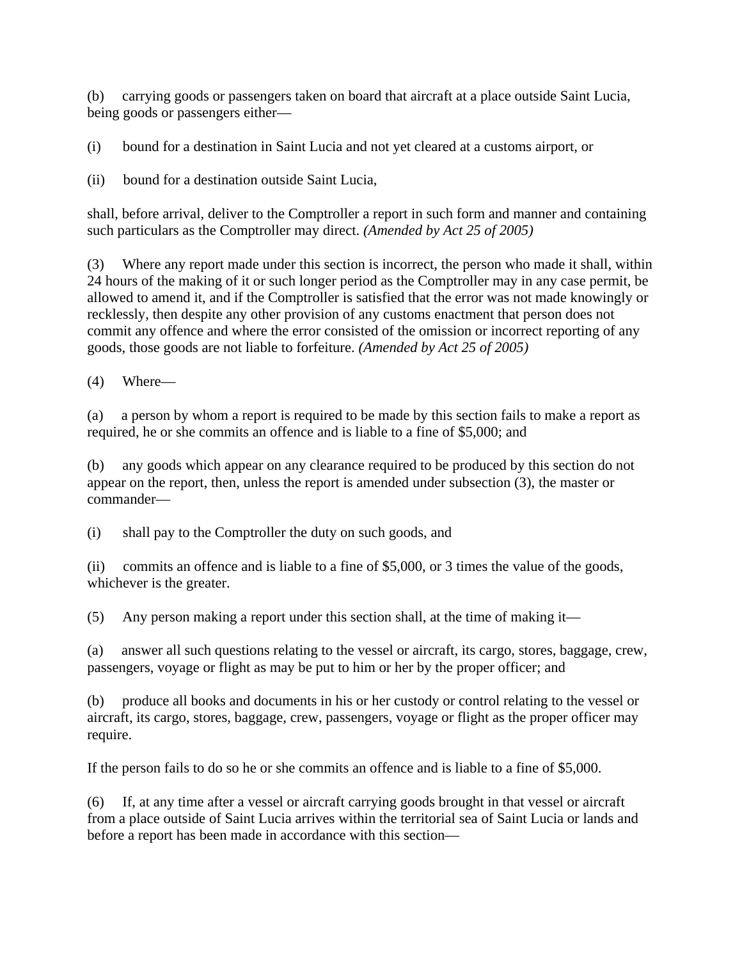(b) carrying goods or passengers taken on board that aircraft at a place outside Saint Lucia, being goods or passengers either—

(i) bound for a destination in Saint Lucia and not yet cleared at a customs airport, or

(ii) bound for a destination outside Saint Lucia,

shall, before arrival, deliver to the Comptroller a report in such form and manner and containing such particulars as the Comptroller may direct. *(Amended by Act 25 of 2005)*

(3) Where any report made under this section is incorrect, the person who made it shall, within 24 hours of the making of it or such longer period as the Comptroller may in any case permit, be allowed to amend it, and if the Comptroller is satisfied that the error was not made knowingly or recklessly, then despite any other provision of any customs enactment that person does not commit any offence and where the error consisted of the omission or incorrect reporting of any goods, those goods are not liable to forfeiture. *(Amended by Act 25 of 2005)*

(4) Where—

(a) a person by whom a report is required to be made by this section fails to make a report as required, he or she commits an offence and is liable to a fine of \$5,000; and

(b) any goods which appear on any clearance required to be produced by this section do not appear on the report, then, unless the report is amended under subsection (3), the master or commander—

(i) shall pay to the Comptroller the duty on such goods, and

(ii) commits an offence and is liable to a fine of \$5,000, or 3 times the value of the goods, whichever is the greater.

(5) Any person making a report under this section shall, at the time of making it—

(a) answer all such questions relating to the vessel or aircraft, its cargo, stores, baggage, crew, passengers, voyage or flight as may be put to him or her by the proper officer; and

(b) produce all books and documents in his or her custody or control relating to the vessel or aircraft, its cargo, stores, baggage, crew, passengers, voyage or flight as the proper officer may require.

If the person fails to do so he or she commits an offence and is liable to a fine of \$5,000.

(6) If, at any time after a vessel or aircraft carrying goods brought in that vessel or aircraft from a place outside of Saint Lucia arrives within the territorial sea of Saint Lucia or lands and before a report has been made in accordance with this section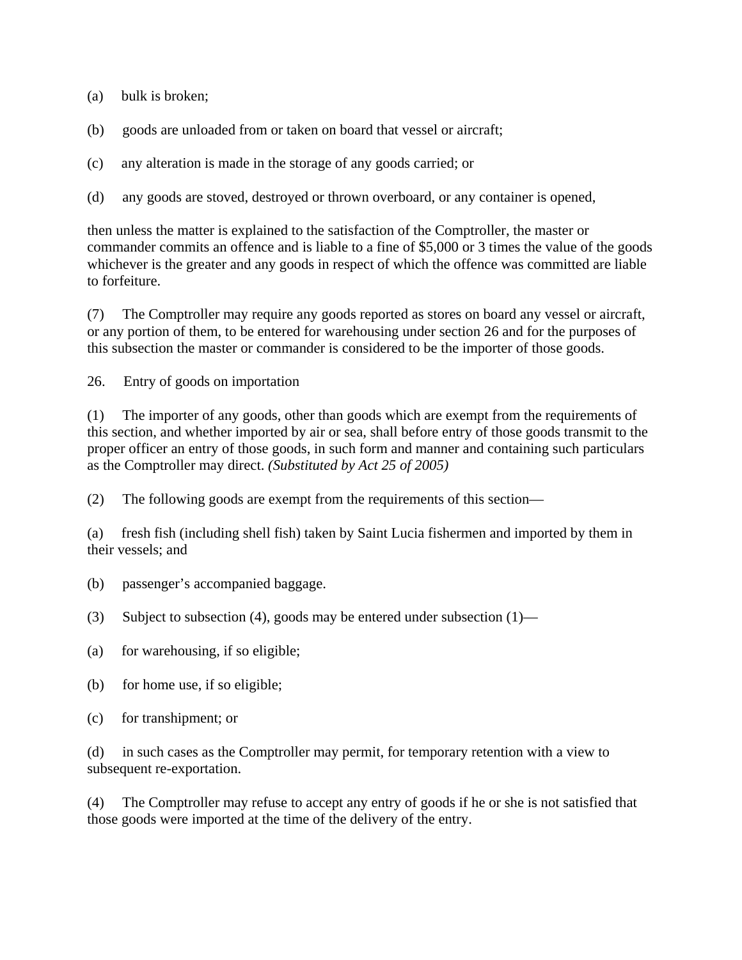(a) bulk is broken;

- (b) goods are unloaded from or taken on board that vessel or aircraft;
- (c) any alteration is made in the storage of any goods carried; or
- (d) any goods are stoved, destroyed or thrown overboard, or any container is opened,

then unless the matter is explained to the satisfaction of the Comptroller, the master or commander commits an offence and is liable to a fine of \$5,000 or 3 times the value of the goods whichever is the greater and any goods in respect of which the offence was committed are liable to forfeiture.

(7) The Comptroller may require any goods reported as stores on board any vessel or aircraft, or any portion of them, to be entered for warehousing under section 26 and for the purposes of this subsection the master or commander is considered to be the importer of those goods.

26. Entry of goods on importation

(1) The importer of any goods, other than goods which are exempt from the requirements of this section, and whether imported by air or sea, shall before entry of those goods transmit to the proper officer an entry of those goods, in such form and manner and containing such particulars as the Comptroller may direct. *(Substituted by Act 25 of 2005)*

(2) The following goods are exempt from the requirements of this section—

(a) fresh fish (including shell fish) taken by Saint Lucia fishermen and imported by them in their vessels; and

- (b) passenger's accompanied baggage.
- (3) Subject to subsection (4), goods may be entered under subsection (1)—
- (a) for warehousing, if so eligible;
- (b) for home use, if so eligible;
- (c) for transhipment; or

(d) in such cases as the Comptroller may permit, for temporary retention with a view to subsequent re-exportation.

(4) The Comptroller may refuse to accept any entry of goods if he or she is not satisfied that those goods were imported at the time of the delivery of the entry.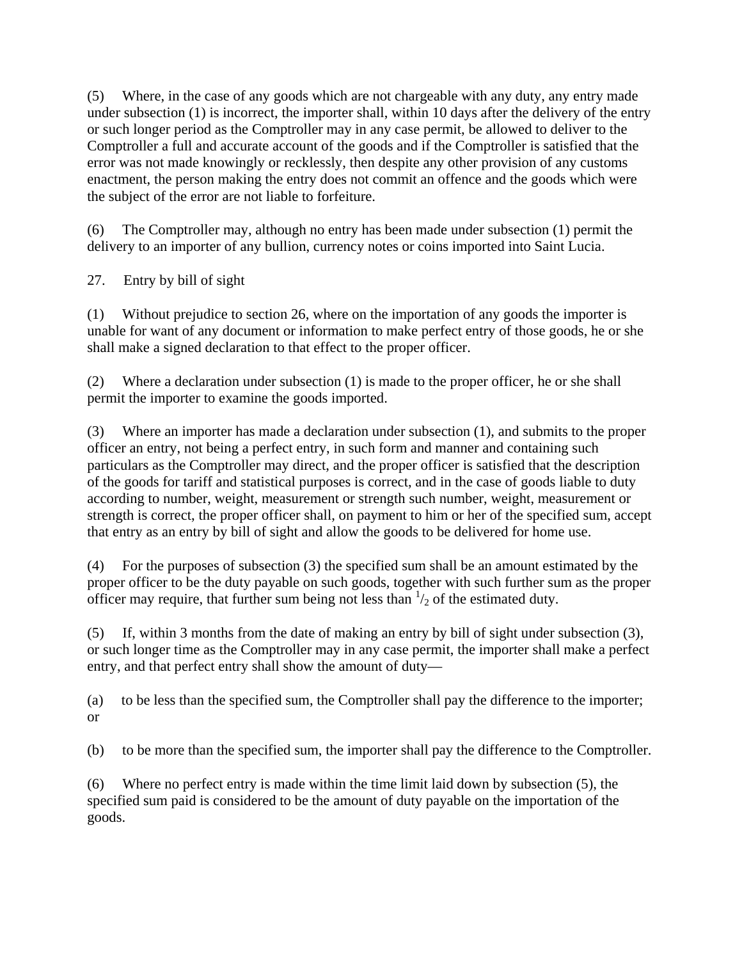(5) Where, in the case of any goods which are not chargeable with any duty, any entry made under subsection (1) is incorrect, the importer shall, within 10 days after the delivery of the entry or such longer period as the Comptroller may in any case permit, be allowed to deliver to the Comptroller a full and accurate account of the goods and if the Comptroller is satisfied that the error was not made knowingly or recklessly, then despite any other provision of any customs enactment, the person making the entry does not commit an offence and the goods which were the subject of the error are not liable to forfeiture.

(6) The Comptroller may, although no entry has been made under subsection (1) permit the delivery to an importer of any bullion, currency notes or coins imported into Saint Lucia.

27. Entry by bill of sight

(1) Without prejudice to section 26, where on the importation of any goods the importer is unable for want of any document or information to make perfect entry of those goods, he or she shall make a signed declaration to that effect to the proper officer.

(2) Where a declaration under subsection (1) is made to the proper officer, he or she shall permit the importer to examine the goods imported.

(3) Where an importer has made a declaration under subsection (1), and submits to the proper officer an entry, not being a perfect entry, in such form and manner and containing such particulars as the Comptroller may direct, and the proper officer is satisfied that the description of the goods for tariff and statistical purposes is correct, and in the case of goods liable to duty according to number, weight, measurement or strength such number, weight, measurement or strength is correct, the proper officer shall, on payment to him or her of the specified sum, accept that entry as an entry by bill of sight and allow the goods to be delivered for home use.

(4) For the purposes of subsection (3) the specified sum shall be an amount estimated by the proper officer to be the duty payable on such goods, together with such further sum as the proper officer may require, that further sum being not less than  $\frac{1}{2}$  of the estimated duty.

(5) If, within 3 months from the date of making an entry by bill of sight under subsection (3), or such longer time as the Comptroller may in any case permit, the importer shall make a perfect entry, and that perfect entry shall show the amount of duty—

(a) to be less than the specified sum, the Comptroller shall pay the difference to the importer; or

(b) to be more than the specified sum, the importer shall pay the difference to the Comptroller.

(6) Where no perfect entry is made within the time limit laid down by subsection (5), the specified sum paid is considered to be the amount of duty payable on the importation of the goods.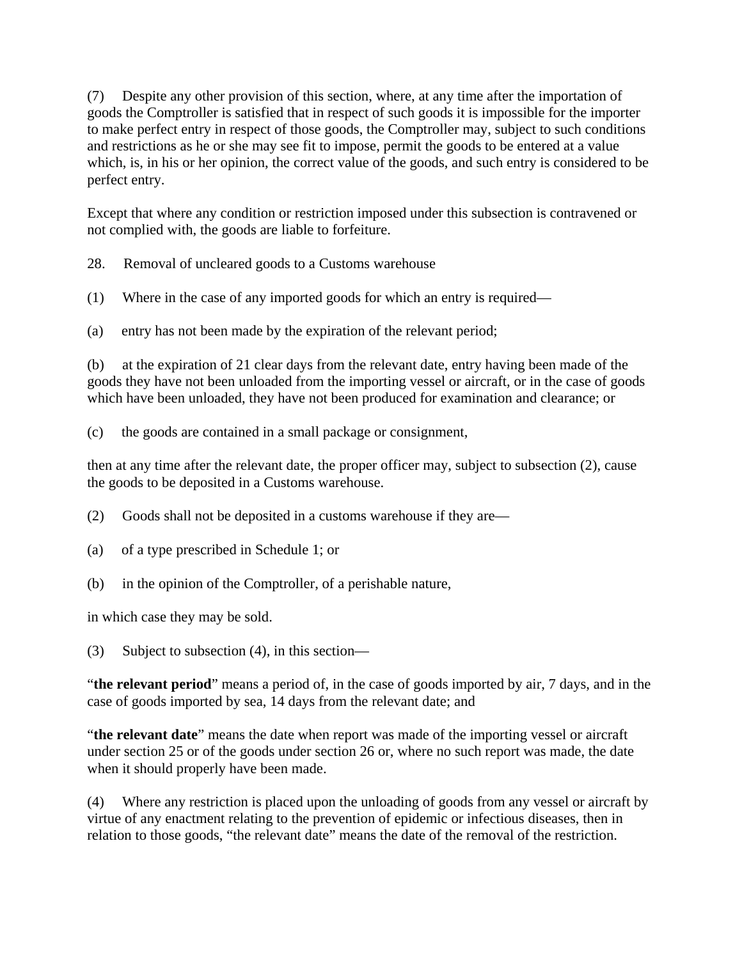(7) Despite any other provision of this section, where, at any time after the importation of goods the Comptroller is satisfied that in respect of such goods it is impossible for the importer to make perfect entry in respect of those goods, the Comptroller may, subject to such conditions and restrictions as he or she may see fit to impose, permit the goods to be entered at a value which, is, in his or her opinion, the correct value of the goods, and such entry is considered to be perfect entry.

Except that where any condition or restriction imposed under this subsection is contravened or not complied with, the goods are liable to forfeiture.

28. Removal of uncleared goods to a Customs warehouse

(1) Where in the case of any imported goods for which an entry is required—

(a) entry has not been made by the expiration of the relevant period;

(b) at the expiration of 21 clear days from the relevant date, entry having been made of the goods they have not been unloaded from the importing vessel or aircraft, or in the case of goods which have been unloaded, they have not been produced for examination and clearance; or

(c) the goods are contained in a small package or consignment,

then at any time after the relevant date, the proper officer may, subject to subsection (2), cause the goods to be deposited in a Customs warehouse.

(2) Goods shall not be deposited in a customs warehouse if they are—

- (a) of a type prescribed in Schedule 1; or
- (b) in the opinion of the Comptroller, of a perishable nature,

in which case they may be sold.

(3) Subject to subsection (4), in this section—

"**the relevant period**" means a period of, in the case of goods imported by air, 7 days, and in the case of goods imported by sea, 14 days from the relevant date; and

"**the relevant date**" means the date when report was made of the importing vessel or aircraft under section 25 or of the goods under section 26 or, where no such report was made, the date when it should properly have been made.

(4) Where any restriction is placed upon the unloading of goods from any vessel or aircraft by virtue of any enactment relating to the prevention of epidemic or infectious diseases, then in relation to those goods, "the relevant date" means the date of the removal of the restriction.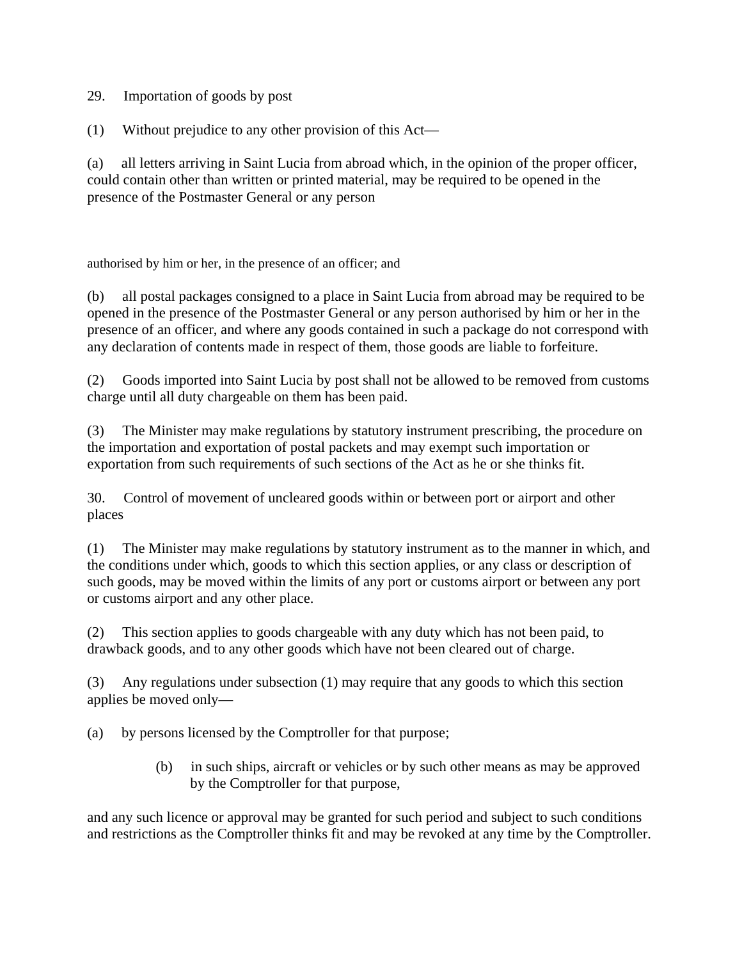29. Importation of goods by post

(1) Without prejudice to any other provision of this Act—

(a) all letters arriving in Saint Lucia from abroad which, in the opinion of the proper officer, could contain other than written or printed material, may be required to be opened in the presence of the Postmaster General or any person

authorised by him or her, in the presence of an officer; and

(b) all postal packages consigned to a place in Saint Lucia from abroad may be required to be opened in the presence of the Postmaster General or any person authorised by him or her in the presence of an officer, and where any goods contained in such a package do not correspond with any declaration of contents made in respect of them, those goods are liable to forfeiture.

(2) Goods imported into Saint Lucia by post shall not be allowed to be removed from customs charge until all duty chargeable on them has been paid.

(3) The Minister may make regulations by statutory instrument prescribing, the procedure on the importation and exportation of postal packets and may exempt such importation or exportation from such requirements of such sections of the Act as he or she thinks fit.

30. Control of movement of uncleared goods within or between port or airport and other places

(1) The Minister may make regulations by statutory instrument as to the manner in which, and the conditions under which, goods to which this section applies, or any class or description of such goods, may be moved within the limits of any port or customs airport or between any port or customs airport and any other place.

(2) This section applies to goods chargeable with any duty which has not been paid, to drawback goods, and to any other goods which have not been cleared out of charge.

(3) Any regulations under subsection (1) may require that any goods to which this section applies be moved only—

(a) by persons licensed by the Comptroller for that purpose;

 (b) in such ships, aircraft or vehicles or by such other means as may be approved by the Comptroller for that purpose,

and any such licence or approval may be granted for such period and subject to such conditions and restrictions as the Comptroller thinks fit and may be revoked at any time by the Comptroller.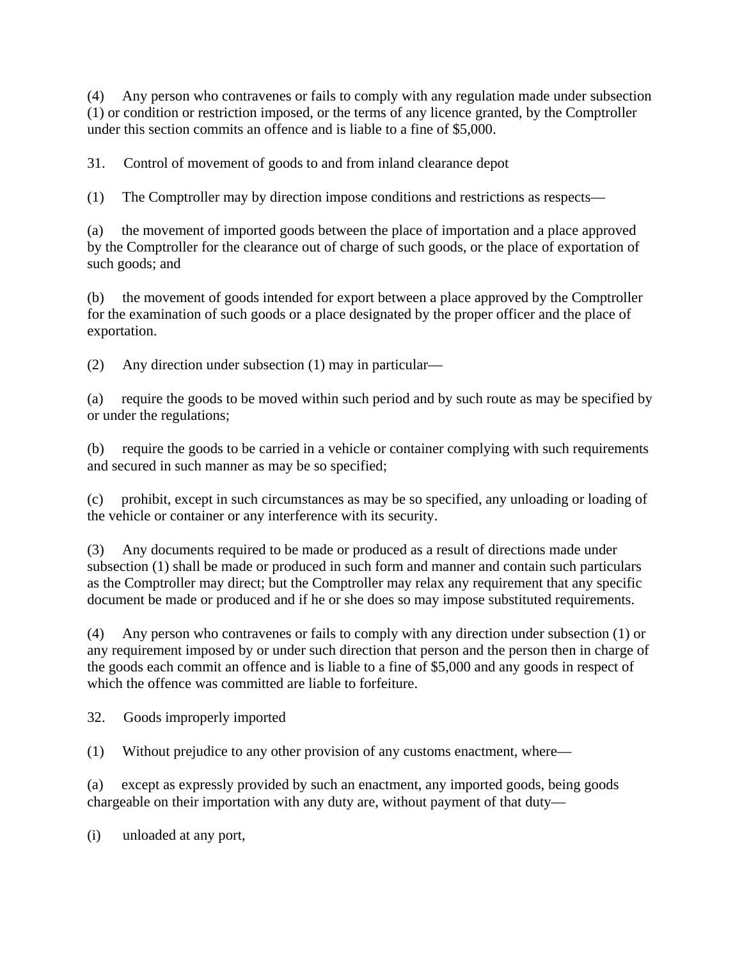(4) Any person who contravenes or fails to comply with any regulation made under subsection (1) or condition or restriction imposed, or the terms of any licence granted, by the Comptroller under this section commits an offence and is liable to a fine of \$5,000.

31. Control of movement of goods to and from inland clearance depot

(1) The Comptroller may by direction impose conditions and restrictions as respects—

(a) the movement of imported goods between the place of importation and a place approved by the Comptroller for the clearance out of charge of such goods, or the place of exportation of such goods; and

(b) the movement of goods intended for export between a place approved by the Comptroller for the examination of such goods or a place designated by the proper officer and the place of exportation.

(2) Any direction under subsection (1) may in particular—

(a) require the goods to be moved within such period and by such route as may be specified by or under the regulations;

(b) require the goods to be carried in a vehicle or container complying with such requirements and secured in such manner as may be so specified;

(c) prohibit, except in such circumstances as may be so specified, any unloading or loading of the vehicle or container or any interference with its security.

(3) Any documents required to be made or produced as a result of directions made under subsection (1) shall be made or produced in such form and manner and contain such particulars as the Comptroller may direct; but the Comptroller may relax any requirement that any specific document be made or produced and if he or she does so may impose substituted requirements.

(4) Any person who contravenes or fails to comply with any direction under subsection (1) or any requirement imposed by or under such direction that person and the person then in charge of the goods each commit an offence and is liable to a fine of \$5,000 and any goods in respect of which the offence was committed are liable to forfeiture.

32. Goods improperly imported

(1) Without prejudice to any other provision of any customs enactment, where—

(a) except as expressly provided by such an enactment, any imported goods, being goods chargeable on their importation with any duty are, without payment of that duty—

(i) unloaded at any port,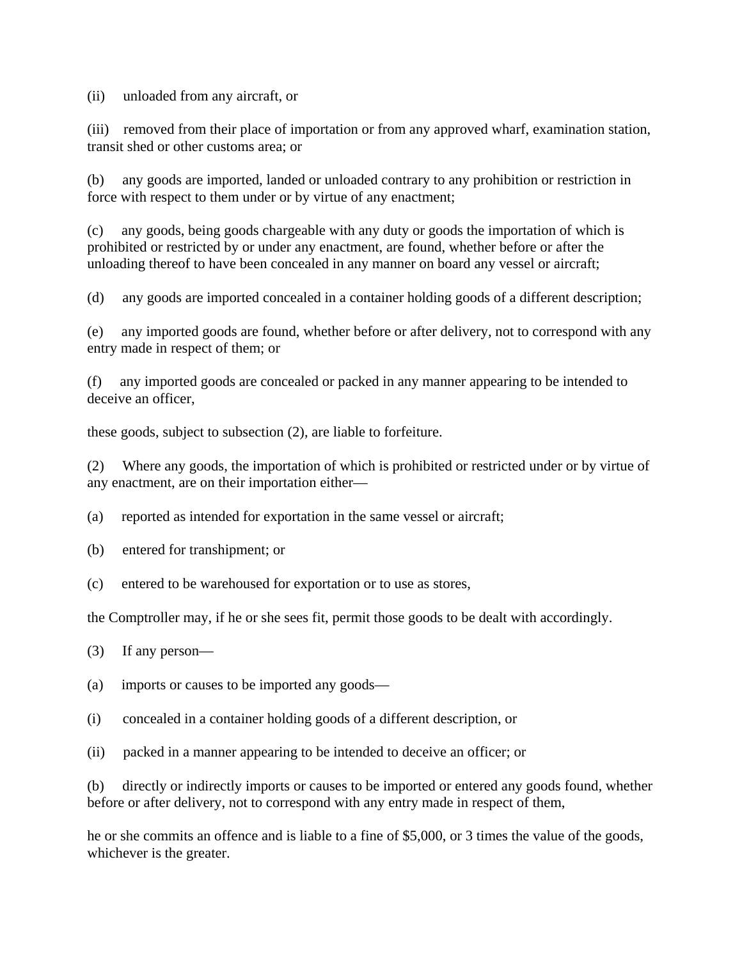(ii) unloaded from any aircraft, or

(iii) removed from their place of importation or from any approved wharf, examination station, transit shed or other customs area; or

(b) any goods are imported, landed or unloaded contrary to any prohibition or restriction in force with respect to them under or by virtue of any enactment;

(c) any goods, being goods chargeable with any duty or goods the importation of which is prohibited or restricted by or under any enactment, are found, whether before or after the unloading thereof to have been concealed in any manner on board any vessel or aircraft;

(d) any goods are imported concealed in a container holding goods of a different description;

(e) any imported goods are found, whether before or after delivery, not to correspond with any entry made in respect of them; or

(f) any imported goods are concealed or packed in any manner appearing to be intended to deceive an officer,

these goods, subject to subsection (2), are liable to forfeiture.

(2) Where any goods, the importation of which is prohibited or restricted under or by virtue of any enactment, are on their importation either—

(a) reported as intended for exportation in the same vessel or aircraft;

- (b) entered for transhipment; or
- (c) entered to be warehoused for exportation or to use as stores,

the Comptroller may, if he or she sees fit, permit those goods to be dealt with accordingly.

- (3) If any person—
- (a) imports or causes to be imported any goods—
- (i) concealed in a container holding goods of a different description, or
- (ii) packed in a manner appearing to be intended to deceive an officer; or

(b) directly or indirectly imports or causes to be imported or entered any goods found, whether before or after delivery, not to correspond with any entry made in respect of them,

he or she commits an offence and is liable to a fine of \$5,000, or 3 times the value of the goods, whichever is the greater.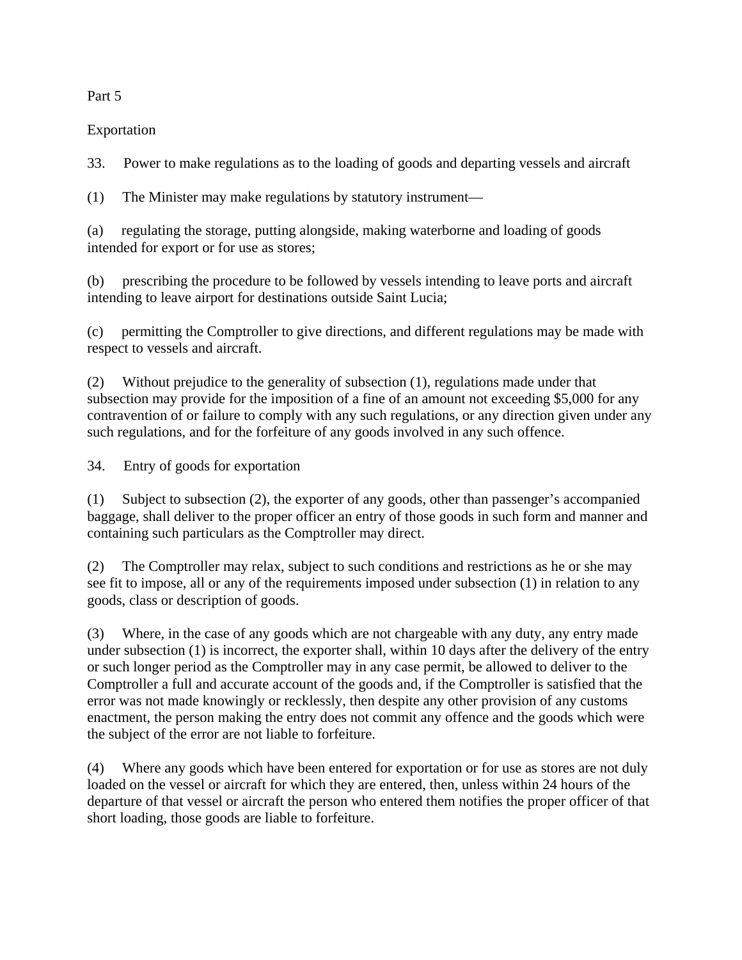# Part 5

# Exportation

33. Power to make regulations as to the loading of goods and departing vessels and aircraft

(1) The Minister may make regulations by statutory instrument—

(a) regulating the storage, putting alongside, making waterborne and loading of goods intended for export or for use as stores;

(b) prescribing the procedure to be followed by vessels intending to leave ports and aircraft intending to leave airport for destinations outside Saint Lucia;

(c) permitting the Comptroller to give directions, and different regulations may be made with respect to vessels and aircraft.

(2) Without prejudice to the generality of subsection (1), regulations made under that subsection may provide for the imposition of a fine of an amount not exceeding \$5,000 for any contravention of or failure to comply with any such regulations, or any direction given under any such regulations, and for the forfeiture of any goods involved in any such offence.

34. Entry of goods for exportation

(1) Subject to subsection (2), the exporter of any goods, other than passenger's accompanied baggage, shall deliver to the proper officer an entry of those goods in such form and manner and containing such particulars as the Comptroller may direct.

(2) The Comptroller may relax, subject to such conditions and restrictions as he or she may see fit to impose, all or any of the requirements imposed under subsection (1) in relation to any goods, class or description of goods.

(3) Where, in the case of any goods which are not chargeable with any duty, any entry made under subsection (1) is incorrect, the exporter shall, within 10 days after the delivery of the entry or such longer period as the Comptroller may in any case permit, be allowed to deliver to the Comptroller a full and accurate account of the goods and, if the Comptroller is satisfied that the error was not made knowingly or recklessly, then despite any other provision of any customs enactment, the person making the entry does not commit any offence and the goods which were the subject of the error are not liable to forfeiture.

(4) Where any goods which have been entered for exportation or for use as stores are not duly loaded on the vessel or aircraft for which they are entered, then, unless within 24 hours of the departure of that vessel or aircraft the person who entered them notifies the proper officer of that short loading, those goods are liable to forfeiture.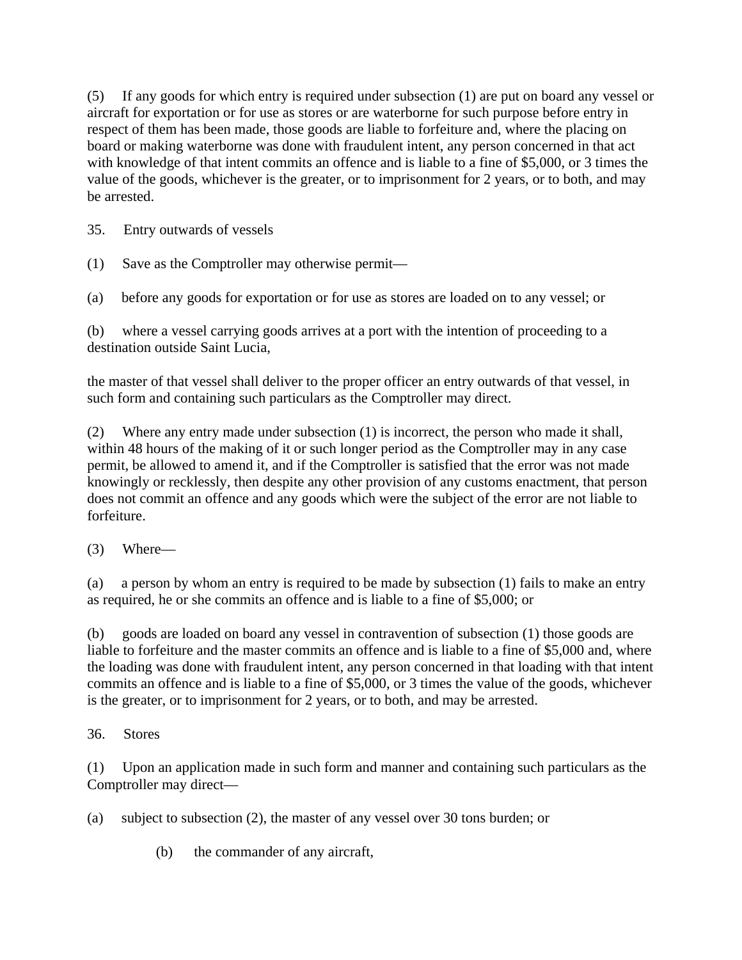(5) If any goods for which entry is required under subsection (1) are put on board any vessel or aircraft for exportation or for use as stores or are waterborne for such purpose before entry in respect of them has been made, those goods are liable to forfeiture and, where the placing on board or making waterborne was done with fraudulent intent, any person concerned in that act with knowledge of that intent commits an offence and is liable to a fine of \$5,000, or 3 times the value of the goods, whichever is the greater, or to imprisonment for 2 years, or to both, and may be arrested.

35. Entry outwards of vessels

(1) Save as the Comptroller may otherwise permit—

(a) before any goods for exportation or for use as stores are loaded on to any vessel; or

(b) where a vessel carrying goods arrives at a port with the intention of proceeding to a destination outside Saint Lucia,

the master of that vessel shall deliver to the proper officer an entry outwards of that vessel, in such form and containing such particulars as the Comptroller may direct.

(2) Where any entry made under subsection (1) is incorrect, the person who made it shall, within 48 hours of the making of it or such longer period as the Comptroller may in any case permit, be allowed to amend it, and if the Comptroller is satisfied that the error was not made knowingly or recklessly, then despite any other provision of any customs enactment, that person does not commit an offence and any goods which were the subject of the error are not liable to forfeiture.

(3) Where—

(a) a person by whom an entry is required to be made by subsection (1) fails to make an entry as required, he or she commits an offence and is liable to a fine of \$5,000; or

(b) goods are loaded on board any vessel in contravention of subsection (1) those goods are liable to forfeiture and the master commits an offence and is liable to a fine of \$5,000 and, where the loading was done with fraudulent intent, any person concerned in that loading with that intent commits an offence and is liable to a fine of \$5,000, or 3 times the value of the goods, whichever is the greater, or to imprisonment for 2 years, or to both, and may be arrested.

36. Stores

(1) Upon an application made in such form and manner and containing such particulars as the Comptroller may direct—

- (a) subject to subsection (2), the master of any vessel over 30 tons burden; or
	- (b) the commander of any aircraft,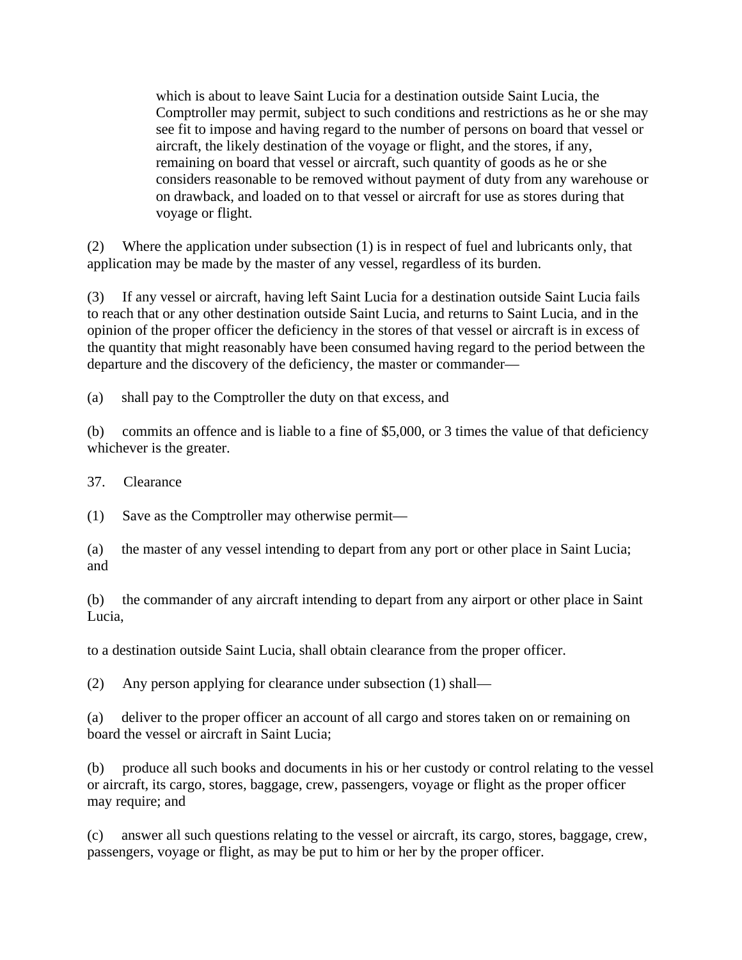which is about to leave Saint Lucia for a destination outside Saint Lucia, the Comptroller may permit, subject to such conditions and restrictions as he or she may see fit to impose and having regard to the number of persons on board that vessel or aircraft, the likely destination of the voyage or flight, and the stores, if any, remaining on board that vessel or aircraft, such quantity of goods as he or she considers reasonable to be removed without payment of duty from any warehouse or on drawback, and loaded on to that vessel or aircraft for use as stores during that voyage or flight.

(2) Where the application under subsection (1) is in respect of fuel and lubricants only, that application may be made by the master of any vessel, regardless of its burden.

(3) If any vessel or aircraft, having left Saint Lucia for a destination outside Saint Lucia fails to reach that or any other destination outside Saint Lucia, and returns to Saint Lucia, and in the opinion of the proper officer the deficiency in the stores of that vessel or aircraft is in excess of the quantity that might reasonably have been consumed having regard to the period between the departure and the discovery of the deficiency, the master or commander—

(a) shall pay to the Comptroller the duty on that excess, and

(b) commits an offence and is liable to a fine of \$5,000, or 3 times the value of that deficiency whichever is the greater.

37. Clearance

(1) Save as the Comptroller may otherwise permit—

(a) the master of any vessel intending to depart from any port or other place in Saint Lucia; and

(b) the commander of any aircraft intending to depart from any airport or other place in Saint Lucia,

to a destination outside Saint Lucia, shall obtain clearance from the proper officer.

(2) Any person applying for clearance under subsection (1) shall—

(a) deliver to the proper officer an account of all cargo and stores taken on or remaining on board the vessel or aircraft in Saint Lucia;

(b) produce all such books and documents in his or her custody or control relating to the vessel or aircraft, its cargo, stores, baggage, crew, passengers, voyage or flight as the proper officer may require; and

(c) answer all such questions relating to the vessel or aircraft, its cargo, stores, baggage, crew, passengers, voyage or flight, as may be put to him or her by the proper officer.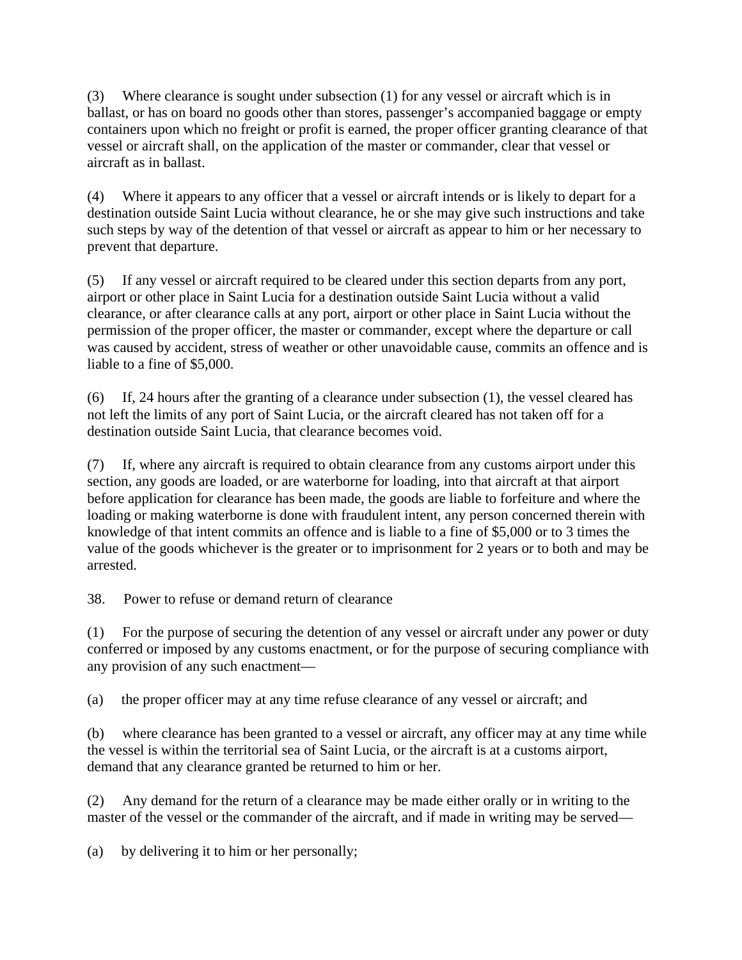(3) Where clearance is sought under subsection (1) for any vessel or aircraft which is in ballast, or has on board no goods other than stores, passenger's accompanied baggage or empty containers upon which no freight or profit is earned, the proper officer granting clearance of that vessel or aircraft shall, on the application of the master or commander, clear that vessel or aircraft as in ballast.

(4) Where it appears to any officer that a vessel or aircraft intends or is likely to depart for a destination outside Saint Lucia without clearance, he or she may give such instructions and take such steps by way of the detention of that vessel or aircraft as appear to him or her necessary to prevent that departure.

(5) If any vessel or aircraft required to be cleared under this section departs from any port, airport or other place in Saint Lucia for a destination outside Saint Lucia without a valid clearance, or after clearance calls at any port, airport or other place in Saint Lucia without the permission of the proper officer, the master or commander, except where the departure or call was caused by accident, stress of weather or other unavoidable cause, commits an offence and is liable to a fine of \$5,000.

(6) If, 24 hours after the granting of a clearance under subsection (1), the vessel cleared has not left the limits of any port of Saint Lucia, or the aircraft cleared has not taken off for a destination outside Saint Lucia, that clearance becomes void.

(7) If, where any aircraft is required to obtain clearance from any customs airport under this section, any goods are loaded, or are waterborne for loading, into that aircraft at that airport before application for clearance has been made, the goods are liable to forfeiture and where the loading or making waterborne is done with fraudulent intent, any person concerned therein with knowledge of that intent commits an offence and is liable to a fine of \$5,000 or to 3 times the value of the goods whichever is the greater or to imprisonment for 2 years or to both and may be arrested.

38. Power to refuse or demand return of clearance

(1) For the purpose of securing the detention of any vessel or aircraft under any power or duty conferred or imposed by any customs enactment, or for the purpose of securing compliance with any provision of any such enactment—

(a) the proper officer may at any time refuse clearance of any vessel or aircraft; and

(b) where clearance has been granted to a vessel or aircraft, any officer may at any time while the vessel is within the territorial sea of Saint Lucia, or the aircraft is at a customs airport, demand that any clearance granted be returned to him or her.

(2) Any demand for the return of a clearance may be made either orally or in writing to the master of the vessel or the commander of the aircraft, and if made in writing may be served—

(a) by delivering it to him or her personally;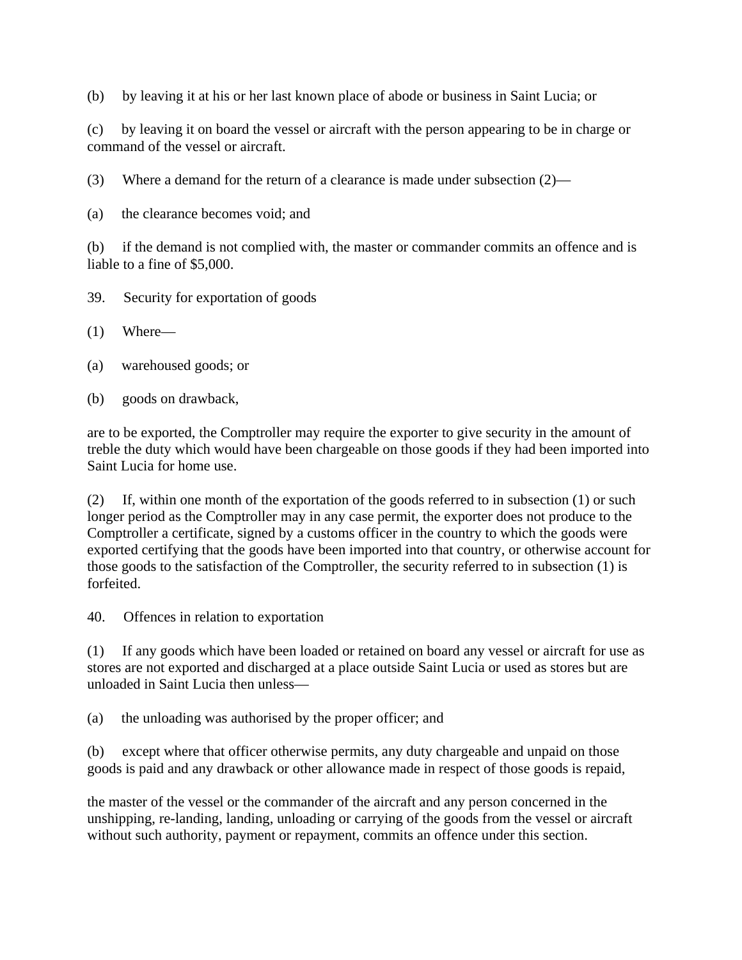(b) by leaving it at his or her last known place of abode or business in Saint Lucia; or

(c) by leaving it on board the vessel or aircraft with the person appearing to be in charge or command of the vessel or aircraft.

(3) Where a demand for the return of a clearance is made under subsection (2)—

(a) the clearance becomes void; and

(b) if the demand is not complied with, the master or commander commits an offence and is liable to a fine of \$5,000.

- 39. Security for exportation of goods
- (1) Where—
- (a) warehoused goods; or
- (b) goods on drawback,

are to be exported, the Comptroller may require the exporter to give security in the amount of treble the duty which would have been chargeable on those goods if they had been imported into Saint Lucia for home use.

(2) If, within one month of the exportation of the goods referred to in subsection (1) or such longer period as the Comptroller may in any case permit, the exporter does not produce to the Comptroller a certificate, signed by a customs officer in the country to which the goods were exported certifying that the goods have been imported into that country, or otherwise account for those goods to the satisfaction of the Comptroller, the security referred to in subsection (1) is forfeited.

40. Offences in relation to exportation

(1) If any goods which have been loaded or retained on board any vessel or aircraft for use as stores are not exported and discharged at a place outside Saint Lucia or used as stores but are unloaded in Saint Lucia then unless—

(a) the unloading was authorised by the proper officer; and

(b) except where that officer otherwise permits, any duty chargeable and unpaid on those goods is paid and any drawback or other allowance made in respect of those goods is repaid,

the master of the vessel or the commander of the aircraft and any person concerned in the unshipping, re-landing, landing, unloading or carrying of the goods from the vessel or aircraft without such authority, payment or repayment, commits an offence under this section.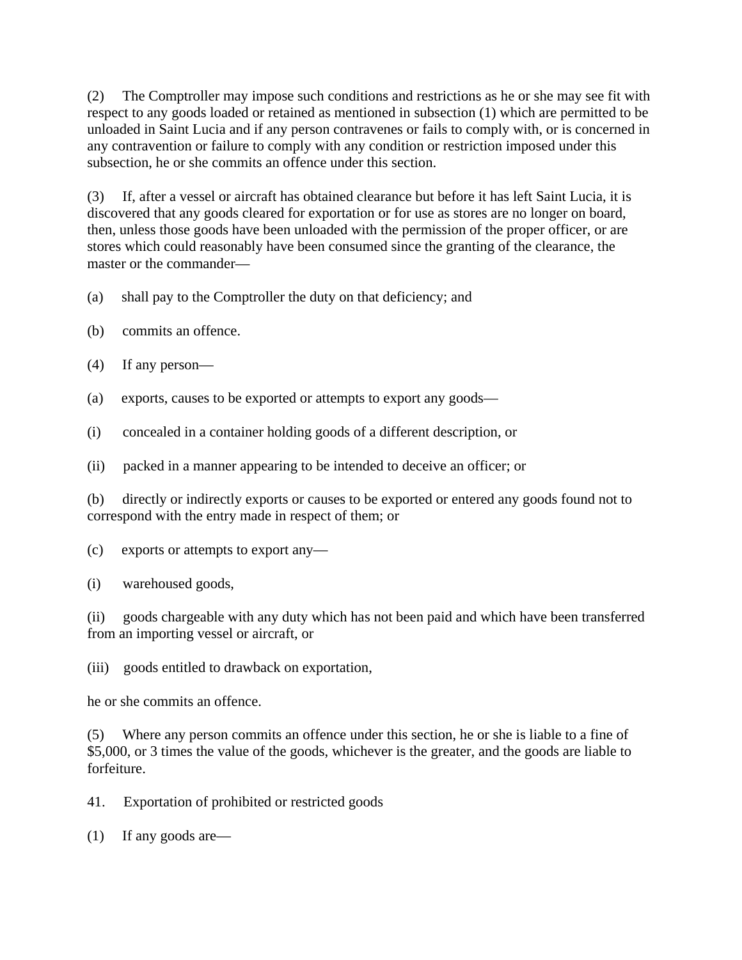(2) The Comptroller may impose such conditions and restrictions as he or she may see fit with respect to any goods loaded or retained as mentioned in subsection (1) which are permitted to be unloaded in Saint Lucia and if any person contravenes or fails to comply with, or is concerned in any contravention or failure to comply with any condition or restriction imposed under this subsection, he or she commits an offence under this section.

(3) If, after a vessel or aircraft has obtained clearance but before it has left Saint Lucia, it is discovered that any goods cleared for exportation or for use as stores are no longer on board, then, unless those goods have been unloaded with the permission of the proper officer, or are stores which could reasonably have been consumed since the granting of the clearance, the master or the commander—

- (a) shall pay to the Comptroller the duty on that deficiency; and
- (b) commits an offence.
- (4) If any person—
- (a) exports, causes to be exported or attempts to export any goods—
- (i) concealed in a container holding goods of a different description, or
- (ii) packed in a manner appearing to be intended to deceive an officer; or

(b) directly or indirectly exports or causes to be exported or entered any goods found not to correspond with the entry made in respect of them; or

(c) exports or attempts to export any—

(i) warehoused goods,

(ii) goods chargeable with any duty which has not been paid and which have been transferred from an importing vessel or aircraft, or

(iii) goods entitled to drawback on exportation,

he or she commits an offence.

(5) Where any person commits an offence under this section, he or she is liable to a fine of \$5,000, or 3 times the value of the goods, whichever is the greater, and the goods are liable to forfeiture.

41. Exportation of prohibited or restricted goods

(1) If any goods are—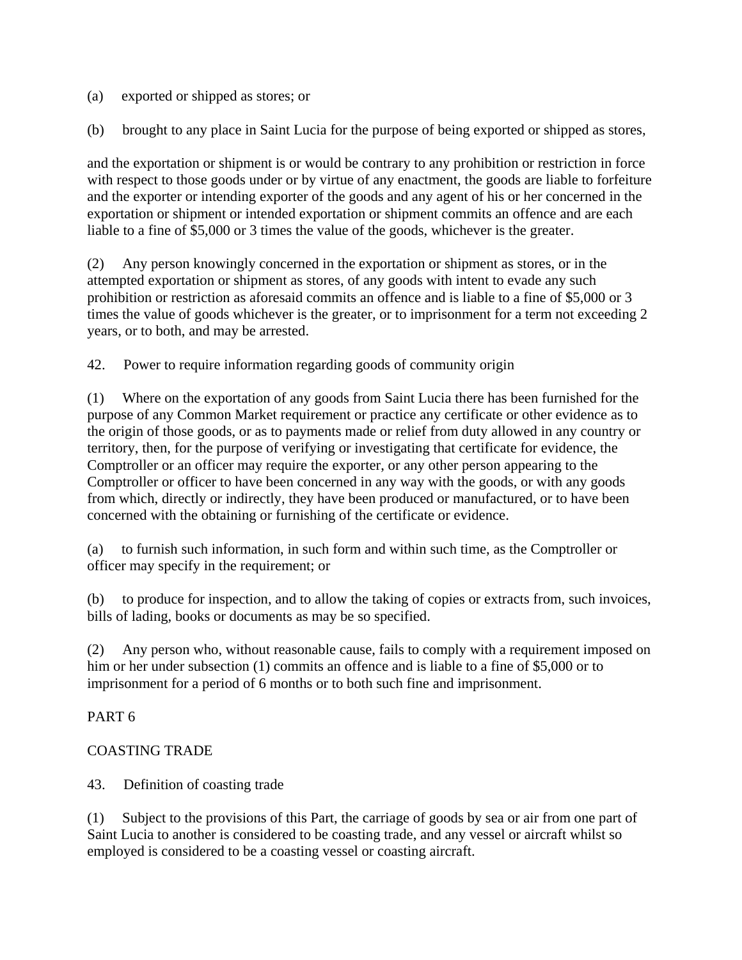(a) exported or shipped as stores; or

(b) brought to any place in Saint Lucia for the purpose of being exported or shipped as stores,

and the exportation or shipment is or would be contrary to any prohibition or restriction in force with respect to those goods under or by virtue of any enactment, the goods are liable to forfeiture and the exporter or intending exporter of the goods and any agent of his or her concerned in the exportation or shipment or intended exportation or shipment commits an offence and are each liable to a fine of \$5,000 or 3 times the value of the goods, whichever is the greater.

(2) Any person knowingly concerned in the exportation or shipment as stores, or in the attempted exportation or shipment as stores, of any goods with intent to evade any such prohibition or restriction as aforesaid commits an offence and is liable to a fine of \$5,000 or 3 times the value of goods whichever is the greater, or to imprisonment for a term not exceeding 2 years, or to both, and may be arrested.

42. Power to require information regarding goods of community origin

(1) Where on the exportation of any goods from Saint Lucia there has been furnished for the purpose of any Common Market requirement or practice any certificate or other evidence as to the origin of those goods, or as to payments made or relief from duty allowed in any country or territory, then, for the purpose of verifying or investigating that certificate for evidence, the Comptroller or an officer may require the exporter, or any other person appearing to the Comptroller or officer to have been concerned in any way with the goods, or with any goods from which, directly or indirectly, they have been produced or manufactured, or to have been concerned with the obtaining or furnishing of the certificate or evidence.

(a) to furnish such information, in such form and within such time, as the Comptroller or officer may specify in the requirement; or

(b) to produce for inspection, and to allow the taking of copies or extracts from, such invoices, bills of lading, books or documents as may be so specified.

(2) Any person who, without reasonable cause, fails to comply with a requirement imposed on him or her under subsection (1) commits an offence and is liable to a fine of \$5,000 or to imprisonment for a period of 6 months or to both such fine and imprisonment.

# PART 6

# COASTING TRADE

43. Definition of coasting trade

(1) Subject to the provisions of this Part, the carriage of goods by sea or air from one part of Saint Lucia to another is considered to be coasting trade, and any vessel or aircraft whilst so employed is considered to be a coasting vessel or coasting aircraft.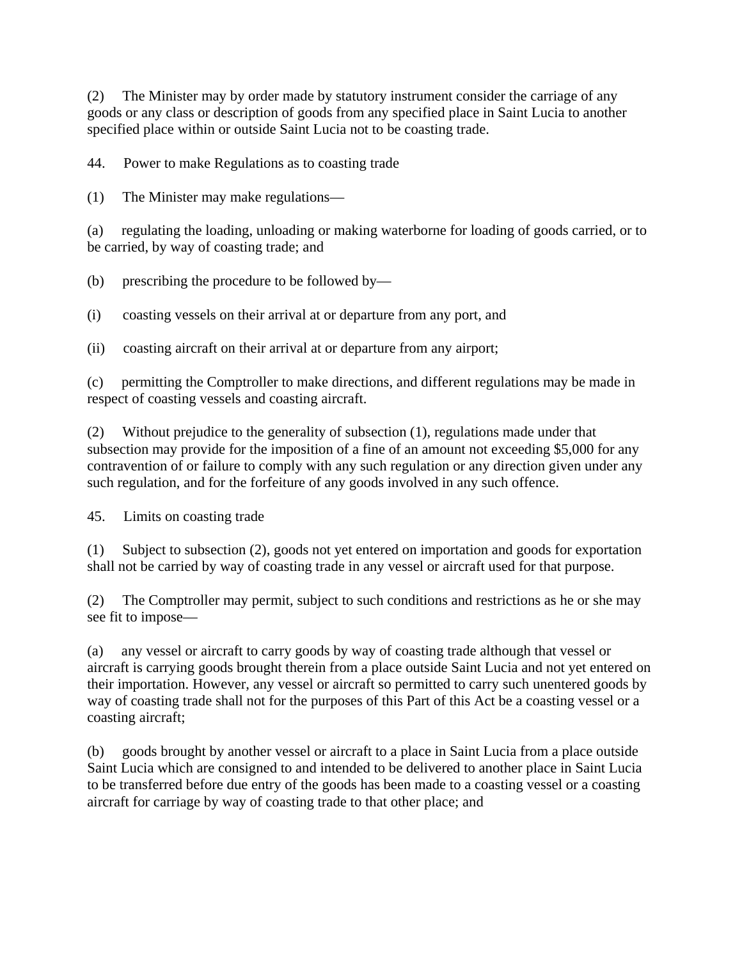(2) The Minister may by order made by statutory instrument consider the carriage of any goods or any class or description of goods from any specified place in Saint Lucia to another specified place within or outside Saint Lucia not to be coasting trade.

44. Power to make Regulations as to coasting trade

(1) The Minister may make regulations—

(a) regulating the loading, unloading or making waterborne for loading of goods carried, or to be carried, by way of coasting trade; and

(b) prescribing the procedure to be followed by—

(i) coasting vessels on their arrival at or departure from any port, and

(ii) coasting aircraft on their arrival at or departure from any airport;

(c) permitting the Comptroller to make directions, and different regulations may be made in respect of coasting vessels and coasting aircraft.

(2) Without prejudice to the generality of subsection (1), regulations made under that subsection may provide for the imposition of a fine of an amount not exceeding \$5,000 for any contravention of or failure to comply with any such regulation or any direction given under any such regulation, and for the forfeiture of any goods involved in any such offence.

45. Limits on coasting trade

(1) Subject to subsection (2), goods not yet entered on importation and goods for exportation shall not be carried by way of coasting trade in any vessel or aircraft used for that purpose.

(2) The Comptroller may permit, subject to such conditions and restrictions as he or she may see fit to impose—

(a) any vessel or aircraft to carry goods by way of coasting trade although that vessel or aircraft is carrying goods brought therein from a place outside Saint Lucia and not yet entered on their importation. However, any vessel or aircraft so permitted to carry such unentered goods by way of coasting trade shall not for the purposes of this Part of this Act be a coasting vessel or a coasting aircraft;

(b) goods brought by another vessel or aircraft to a place in Saint Lucia from a place outside Saint Lucia which are consigned to and intended to be delivered to another place in Saint Lucia to be transferred before due entry of the goods has been made to a coasting vessel or a coasting aircraft for carriage by way of coasting trade to that other place; and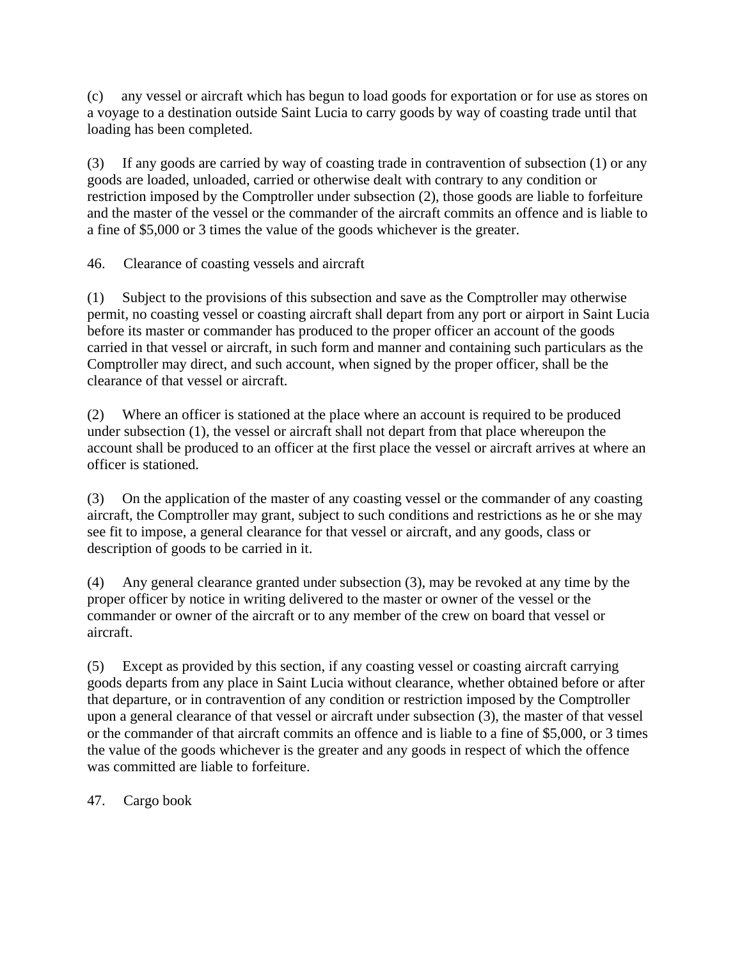(c) any vessel or aircraft which has begun to load goods for exportation or for use as stores on a voyage to a destination outside Saint Lucia to carry goods by way of coasting trade until that loading has been completed.

(3) If any goods are carried by way of coasting trade in contravention of subsection (1) or any goods are loaded, unloaded, carried or otherwise dealt with contrary to any condition or restriction imposed by the Comptroller under subsection (2), those goods are liable to forfeiture and the master of the vessel or the commander of the aircraft commits an offence and is liable to a fine of \$5,000 or 3 times the value of the goods whichever is the greater.

46. Clearance of coasting vessels and aircraft

(1) Subject to the provisions of this subsection and save as the Comptroller may otherwise permit, no coasting vessel or coasting aircraft shall depart from any port or airport in Saint Lucia before its master or commander has produced to the proper officer an account of the goods carried in that vessel or aircraft, in such form and manner and containing such particulars as the Comptroller may direct, and such account, when signed by the proper officer, shall be the clearance of that vessel or aircraft.

(2) Where an officer is stationed at the place where an account is required to be produced under subsection (1), the vessel or aircraft shall not depart from that place whereupon the account shall be produced to an officer at the first place the vessel or aircraft arrives at where an officer is stationed.

(3) On the application of the master of any coasting vessel or the commander of any coasting aircraft, the Comptroller may grant, subject to such conditions and restrictions as he or she may see fit to impose, a general clearance for that vessel or aircraft, and any goods, class or description of goods to be carried in it.

(4) Any general clearance granted under subsection (3), may be revoked at any time by the proper officer by notice in writing delivered to the master or owner of the vessel or the commander or owner of the aircraft or to any member of the crew on board that vessel or aircraft.

(5) Except as provided by this section, if any coasting vessel or coasting aircraft carrying goods departs from any place in Saint Lucia without clearance, whether obtained before or after that departure, or in contravention of any condition or restriction imposed by the Comptroller upon a general clearance of that vessel or aircraft under subsection (3), the master of that vessel or the commander of that aircraft commits an offence and is liable to a fine of \$5,000, or 3 times the value of the goods whichever is the greater and any goods in respect of which the offence was committed are liable to forfeiture.

47. Cargo book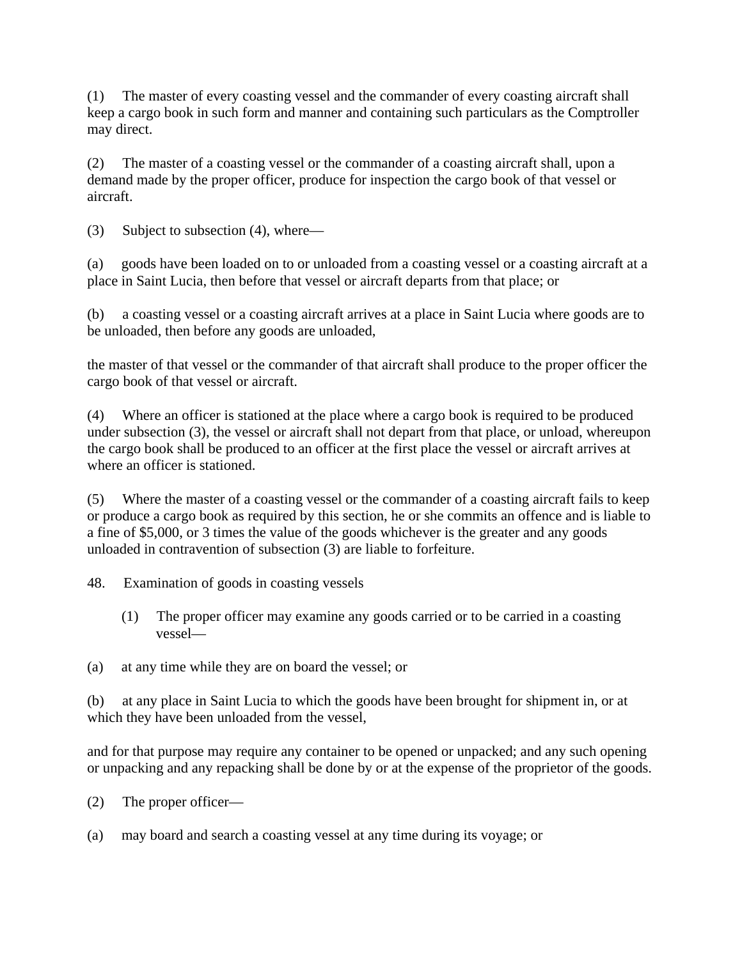(1) The master of every coasting vessel and the commander of every coasting aircraft shall keep a cargo book in such form and manner and containing such particulars as the Comptroller may direct.

(2) The master of a coasting vessel or the commander of a coasting aircraft shall, upon a demand made by the proper officer, produce for inspection the cargo book of that vessel or aircraft.

(3) Subject to subsection (4), where—

(a) goods have been loaded on to or unloaded from a coasting vessel or a coasting aircraft at a place in Saint Lucia, then before that vessel or aircraft departs from that place; or

(b) a coasting vessel or a coasting aircraft arrives at a place in Saint Lucia where goods are to be unloaded, then before any goods are unloaded,

the master of that vessel or the commander of that aircraft shall produce to the proper officer the cargo book of that vessel or aircraft.

(4) Where an officer is stationed at the place where a cargo book is required to be produced under subsection (3), the vessel or aircraft shall not depart from that place, or unload, whereupon the cargo book shall be produced to an officer at the first place the vessel or aircraft arrives at where an officer is stationed.

(5) Where the master of a coasting vessel or the commander of a coasting aircraft fails to keep or produce a cargo book as required by this section, he or she commits an offence and is liable to a fine of \$5,000, or 3 times the value of the goods whichever is the greater and any goods unloaded in contravention of subsection (3) are liable to forfeiture.

48. Examination of goods in coasting vessels

- (1) The proper officer may examine any goods carried or to be carried in a coasting vessel—
- (a) at any time while they are on board the vessel; or

(b) at any place in Saint Lucia to which the goods have been brought for shipment in, or at which they have been unloaded from the vessel,

and for that purpose may require any container to be opened or unpacked; and any such opening or unpacking and any repacking shall be done by or at the expense of the proprietor of the goods.

(2) The proper officer—

(a) may board and search a coasting vessel at any time during its voyage; or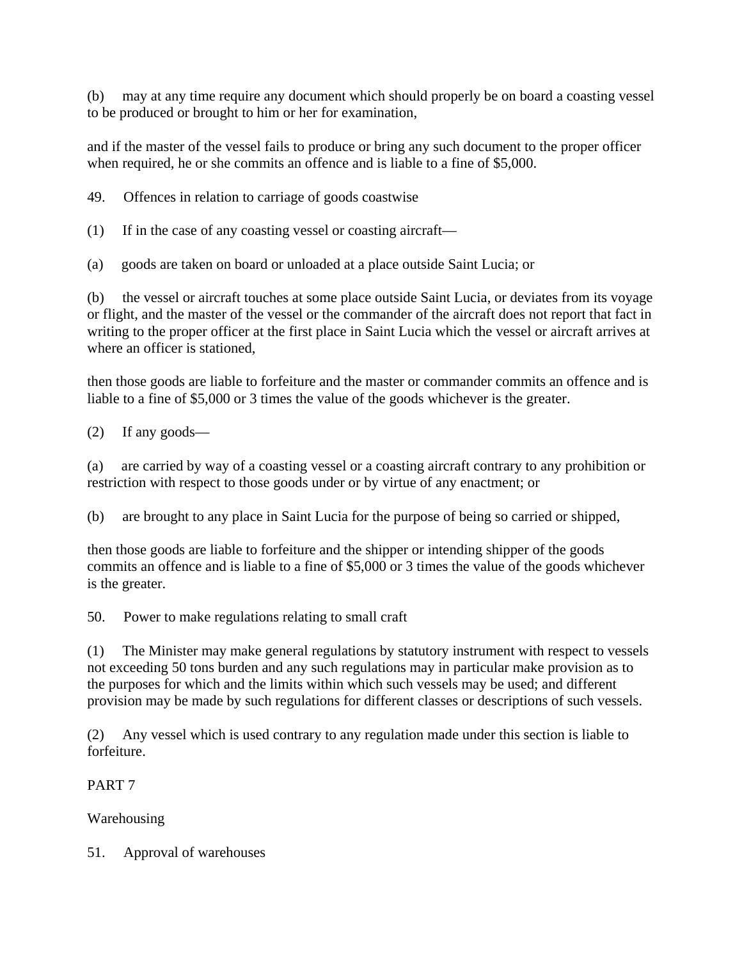(b) may at any time require any document which should properly be on board a coasting vessel to be produced or brought to him or her for examination,

and if the master of the vessel fails to produce or bring any such document to the proper officer when required, he or she commits an offence and is liable to a fine of \$5,000.

49. Offences in relation to carriage of goods coastwise

(1) If in the case of any coasting vessel or coasting aircraft—

(a) goods are taken on board or unloaded at a place outside Saint Lucia; or

(b) the vessel or aircraft touches at some place outside Saint Lucia, or deviates from its voyage or flight, and the master of the vessel or the commander of the aircraft does not report that fact in writing to the proper officer at the first place in Saint Lucia which the vessel or aircraft arrives at where an officer is stationed.

then those goods are liable to forfeiture and the master or commander commits an offence and is liable to a fine of \$5,000 or 3 times the value of the goods whichever is the greater.

(2) If any goods—

(a) are carried by way of a coasting vessel or a coasting aircraft contrary to any prohibition or restriction with respect to those goods under or by virtue of any enactment; or

(b) are brought to any place in Saint Lucia for the purpose of being so carried or shipped,

then those goods are liable to forfeiture and the shipper or intending shipper of the goods commits an offence and is liable to a fine of \$5,000 or 3 times the value of the goods whichever is the greater.

50. Power to make regulations relating to small craft

(1) The Minister may make general regulations by statutory instrument with respect to vessels not exceeding 50 tons burden and any such regulations may in particular make provision as to the purposes for which and the limits within which such vessels may be used; and different provision may be made by such regulations for different classes or descriptions of such vessels.

(2) Any vessel which is used contrary to any regulation made under this section is liable to forfeiture.

PART 7

Warehousing

51. Approval of warehouses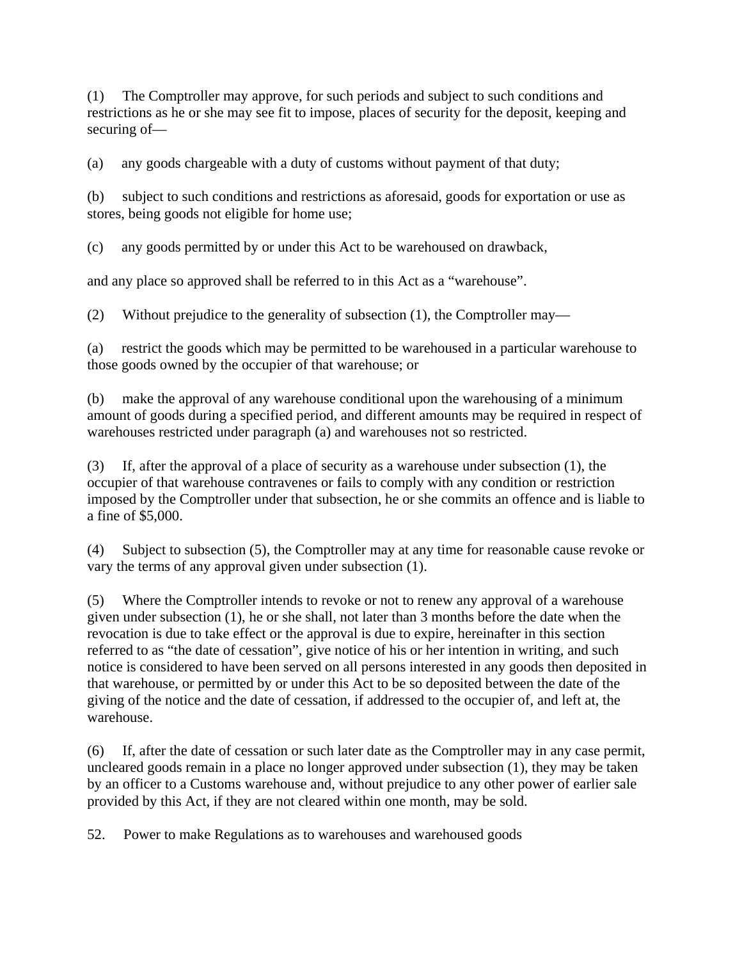(1) The Comptroller may approve, for such periods and subject to such conditions and restrictions as he or she may see fit to impose, places of security for the deposit, keeping and securing of—

(a) any goods chargeable with a duty of customs without payment of that duty;

(b) subject to such conditions and restrictions as aforesaid, goods for exportation or use as stores, being goods not eligible for home use;

(c) any goods permitted by or under this Act to be warehoused on drawback,

and any place so approved shall be referred to in this Act as a "warehouse".

(2) Without prejudice to the generality of subsection (1), the Comptroller may—

(a) restrict the goods which may be permitted to be warehoused in a particular warehouse to those goods owned by the occupier of that warehouse; or

(b) make the approval of any warehouse conditional upon the warehousing of a minimum amount of goods during a specified period, and different amounts may be required in respect of warehouses restricted under paragraph (a) and warehouses not so restricted.

(3) If, after the approval of a place of security as a warehouse under subsection (1), the occupier of that warehouse contravenes or fails to comply with any condition or restriction imposed by the Comptroller under that subsection, he or she commits an offence and is liable to a fine of \$5,000.

(4) Subject to subsection (5), the Comptroller may at any time for reasonable cause revoke or vary the terms of any approval given under subsection (1).

(5) Where the Comptroller intends to revoke or not to renew any approval of a warehouse given under subsection (1), he or she shall, not later than 3 months before the date when the revocation is due to take effect or the approval is due to expire, hereinafter in this section referred to as "the date of cessation", give notice of his or her intention in writing, and such notice is considered to have been served on all persons interested in any goods then deposited in that warehouse, or permitted by or under this Act to be so deposited between the date of the giving of the notice and the date of cessation, if addressed to the occupier of, and left at, the warehouse.

(6) If, after the date of cessation or such later date as the Comptroller may in any case permit, uncleared goods remain in a place no longer approved under subsection (1), they may be taken by an officer to a Customs warehouse and, without prejudice to any other power of earlier sale provided by this Act, if they are not cleared within one month, may be sold.

52. Power to make Regulations as to warehouses and warehoused goods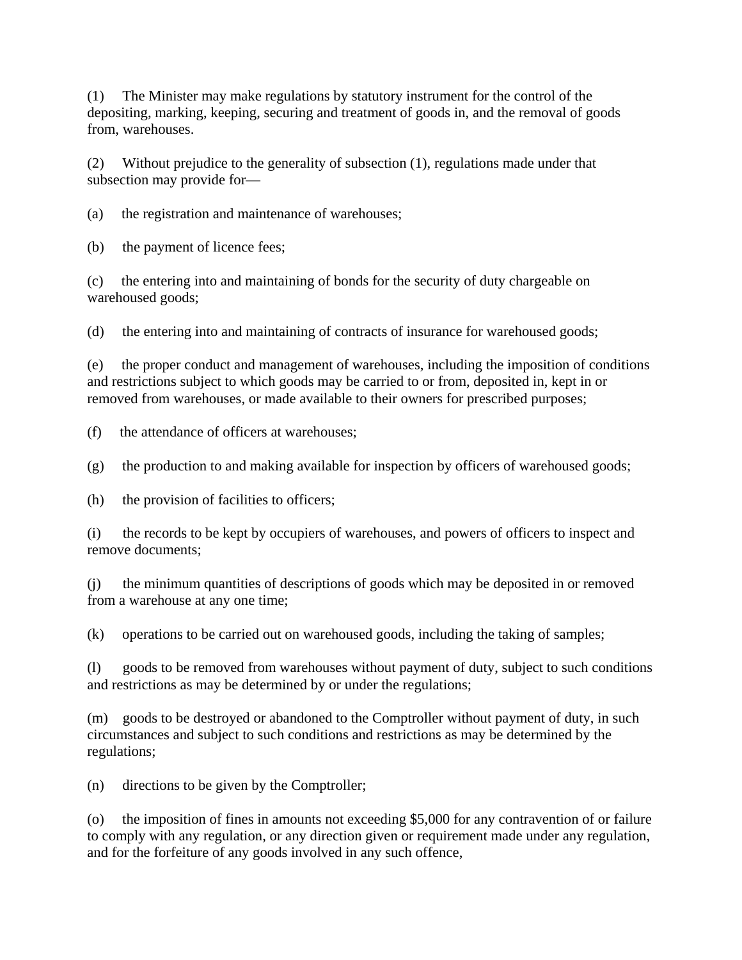(1) The Minister may make regulations by statutory instrument for the control of the depositing, marking, keeping, securing and treatment of goods in, and the removal of goods from, warehouses.

(2) Without prejudice to the generality of subsection (1), regulations made under that subsection may provide for—

(a) the registration and maintenance of warehouses;

(b) the payment of licence fees;

(c) the entering into and maintaining of bonds for the security of duty chargeable on warehoused goods;

(d) the entering into and maintaining of contracts of insurance for warehoused goods;

(e) the proper conduct and management of warehouses, including the imposition of conditions and restrictions subject to which goods may be carried to or from, deposited in, kept in or removed from warehouses, or made available to their owners for prescribed purposes;

(f) the attendance of officers at warehouses;

(g) the production to and making available for inspection by officers of warehoused goods;

(h) the provision of facilities to officers;

(i) the records to be kept by occupiers of warehouses, and powers of officers to inspect and remove documents;

(j) the minimum quantities of descriptions of goods which may be deposited in or removed from a warehouse at any one time;

(k) operations to be carried out on warehoused goods, including the taking of samples;

(l) goods to be removed from warehouses without payment of duty, subject to such conditions and restrictions as may be determined by or under the regulations;

(m) goods to be destroyed or abandoned to the Comptroller without payment of duty, in such circumstances and subject to such conditions and restrictions as may be determined by the regulations;

(n) directions to be given by the Comptroller;

(o) the imposition of fines in amounts not exceeding \$5,000 for any contravention of or failure to comply with any regulation, or any direction given or requirement made under any regulation, and for the forfeiture of any goods involved in any such offence,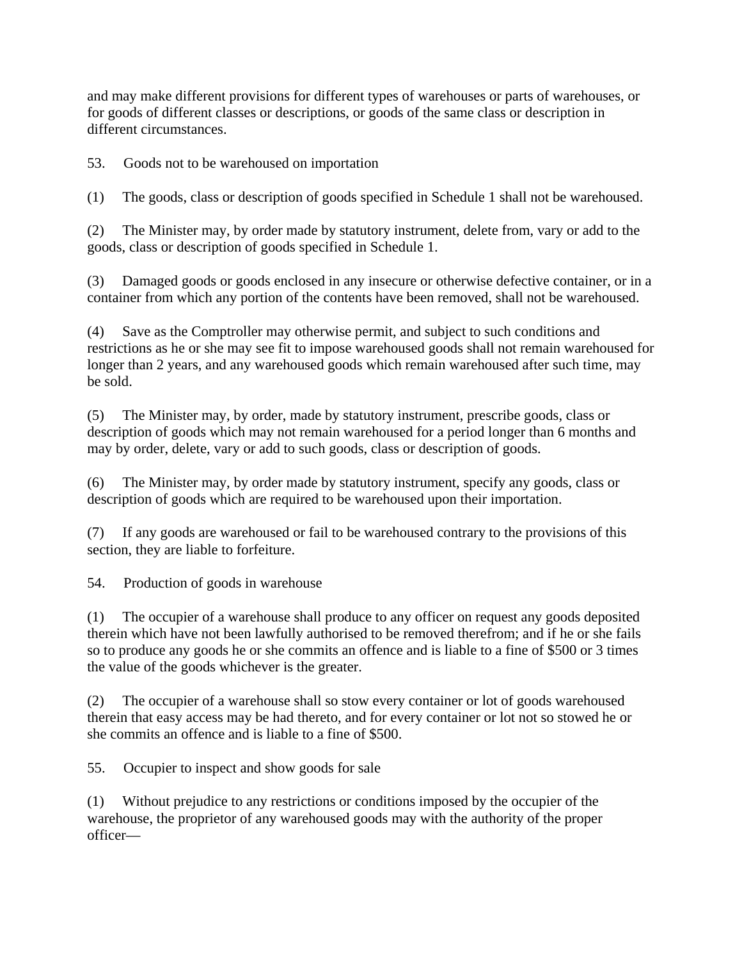and may make different provisions for different types of warehouses or parts of warehouses, or for goods of different classes or descriptions, or goods of the same class or description in different circumstances.

53. Goods not to be warehoused on importation

(1) The goods, class or description of goods specified in Schedule 1 shall not be warehoused.

(2) The Minister may, by order made by statutory instrument, delete from, vary or add to the goods, class or description of goods specified in Schedule 1.

(3) Damaged goods or goods enclosed in any insecure or otherwise defective container, or in a container from which any portion of the contents have been removed, shall not be warehoused.

(4) Save as the Comptroller may otherwise permit, and subject to such conditions and restrictions as he or she may see fit to impose warehoused goods shall not remain warehoused for longer than 2 years, and any warehoused goods which remain warehoused after such time, may be sold.

(5) The Minister may, by order, made by statutory instrument, prescribe goods, class or description of goods which may not remain warehoused for a period longer than 6 months and may by order, delete, vary or add to such goods, class or description of goods.

(6) The Minister may, by order made by statutory instrument, specify any goods, class or description of goods which are required to be warehoused upon their importation.

(7) If any goods are warehoused or fail to be warehoused contrary to the provisions of this section, they are liable to forfeiture.

54. Production of goods in warehouse

(1) The occupier of a warehouse shall produce to any officer on request any goods deposited therein which have not been lawfully authorised to be removed therefrom; and if he or she fails so to produce any goods he or she commits an offence and is liable to a fine of \$500 or 3 times the value of the goods whichever is the greater.

(2) The occupier of a warehouse shall so stow every container or lot of goods warehoused therein that easy access may be had thereto, and for every container or lot not so stowed he or she commits an offence and is liable to a fine of \$500.

55. Occupier to inspect and show goods for sale

(1) Without prejudice to any restrictions or conditions imposed by the occupier of the warehouse, the proprietor of any warehoused goods may with the authority of the proper officer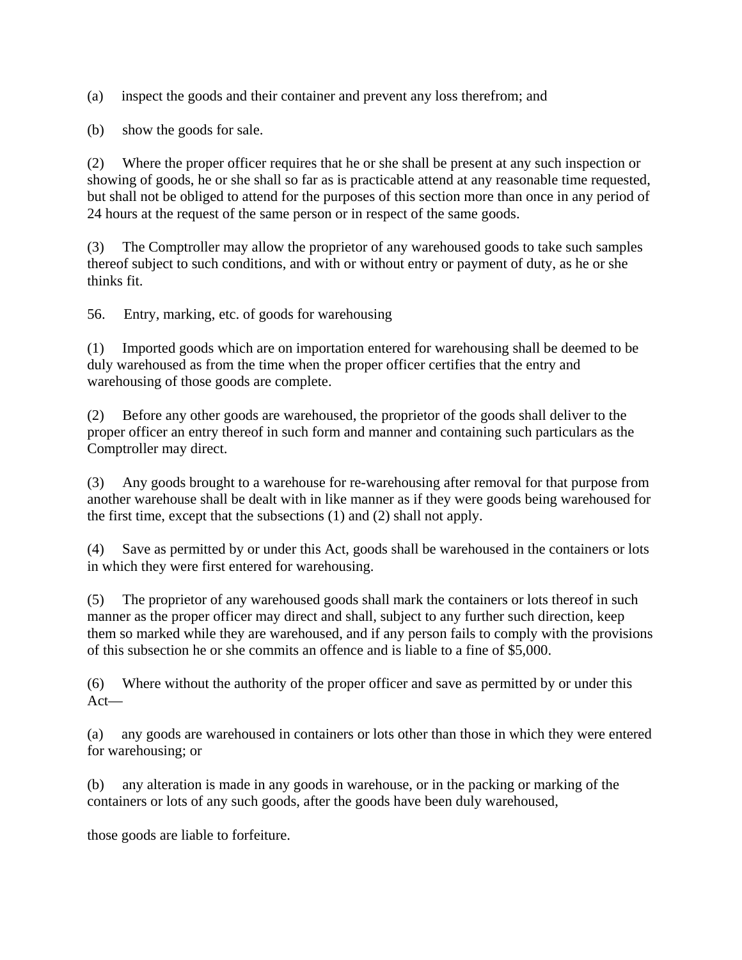(a) inspect the goods and their container and prevent any loss therefrom; and

(b) show the goods for sale.

(2) Where the proper officer requires that he or she shall be present at any such inspection or showing of goods, he or she shall so far as is practicable attend at any reasonable time requested, but shall not be obliged to attend for the purposes of this section more than once in any period of 24 hours at the request of the same person or in respect of the same goods.

(3) The Comptroller may allow the proprietor of any warehoused goods to take such samples thereof subject to such conditions, and with or without entry or payment of duty, as he or she thinks fit.

56. Entry, marking, etc. of goods for warehousing

(1) Imported goods which are on importation entered for warehousing shall be deemed to be duly warehoused as from the time when the proper officer certifies that the entry and warehousing of those goods are complete.

(2) Before any other goods are warehoused, the proprietor of the goods shall deliver to the proper officer an entry thereof in such form and manner and containing such particulars as the Comptroller may direct.

(3) Any goods brought to a warehouse for re-warehousing after removal for that purpose from another warehouse shall be dealt with in like manner as if they were goods being warehoused for the first time, except that the subsections (1) and (2) shall not apply.

(4) Save as permitted by or under this Act, goods shall be warehoused in the containers or lots in which they were first entered for warehousing.

(5) The proprietor of any warehoused goods shall mark the containers or lots thereof in such manner as the proper officer may direct and shall, subject to any further such direction, keep them so marked while they are warehoused, and if any person fails to comply with the provisions of this subsection he or she commits an offence and is liable to a fine of \$5,000.

(6) Where without the authority of the proper officer and save as permitted by or under this Act—

(a) any goods are warehoused in containers or lots other than those in which they were entered for warehousing; or

(b) any alteration is made in any goods in warehouse, or in the packing or marking of the containers or lots of any such goods, after the goods have been duly warehoused,

those goods are liable to forfeiture.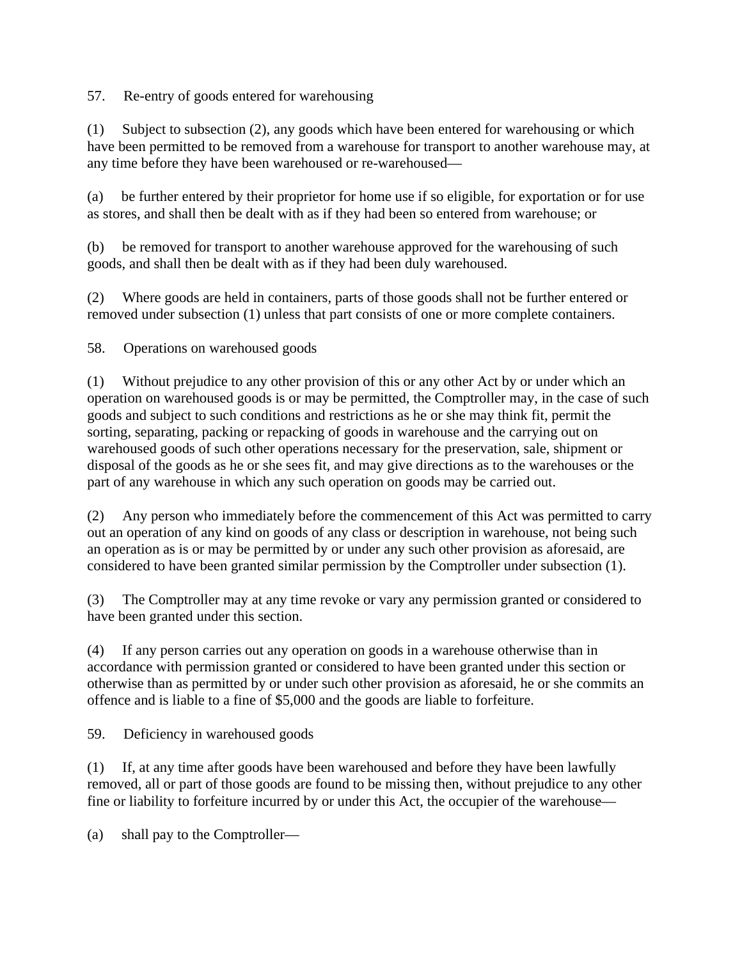57. Re-entry of goods entered for warehousing

(1) Subject to subsection (2), any goods which have been entered for warehousing or which have been permitted to be removed from a warehouse for transport to another warehouse may, at any time before they have been warehoused or re-warehoused—

(a) be further entered by their proprietor for home use if so eligible, for exportation or for use as stores, and shall then be dealt with as if they had been so entered from warehouse; or

(b) be removed for transport to another warehouse approved for the warehousing of such goods, and shall then be dealt with as if they had been duly warehoused.

(2) Where goods are held in containers, parts of those goods shall not be further entered or removed under subsection (1) unless that part consists of one or more complete containers.

58. Operations on warehoused goods

(1) Without prejudice to any other provision of this or any other Act by or under which an operation on warehoused goods is or may be permitted, the Comptroller may, in the case of such goods and subject to such conditions and restrictions as he or she may think fit, permit the sorting, separating, packing or repacking of goods in warehouse and the carrying out on warehoused goods of such other operations necessary for the preservation, sale, shipment or disposal of the goods as he or she sees fit, and may give directions as to the warehouses or the part of any warehouse in which any such operation on goods may be carried out.

(2) Any person who immediately before the commencement of this Act was permitted to carry out an operation of any kind on goods of any class or description in warehouse, not being such an operation as is or may be permitted by or under any such other provision as aforesaid, are considered to have been granted similar permission by the Comptroller under subsection (1).

(3) The Comptroller may at any time revoke or vary any permission granted or considered to have been granted under this section.

(4) If any person carries out any operation on goods in a warehouse otherwise than in accordance with permission granted or considered to have been granted under this section or otherwise than as permitted by or under such other provision as aforesaid, he or she commits an offence and is liable to a fine of \$5,000 and the goods are liable to forfeiture.

59. Deficiency in warehoused goods

(1) If, at any time after goods have been warehoused and before they have been lawfully removed, all or part of those goods are found to be missing then, without prejudice to any other fine or liability to forfeiture incurred by or under this Act, the occupier of the warehouse—

(a) shall pay to the Comptroller—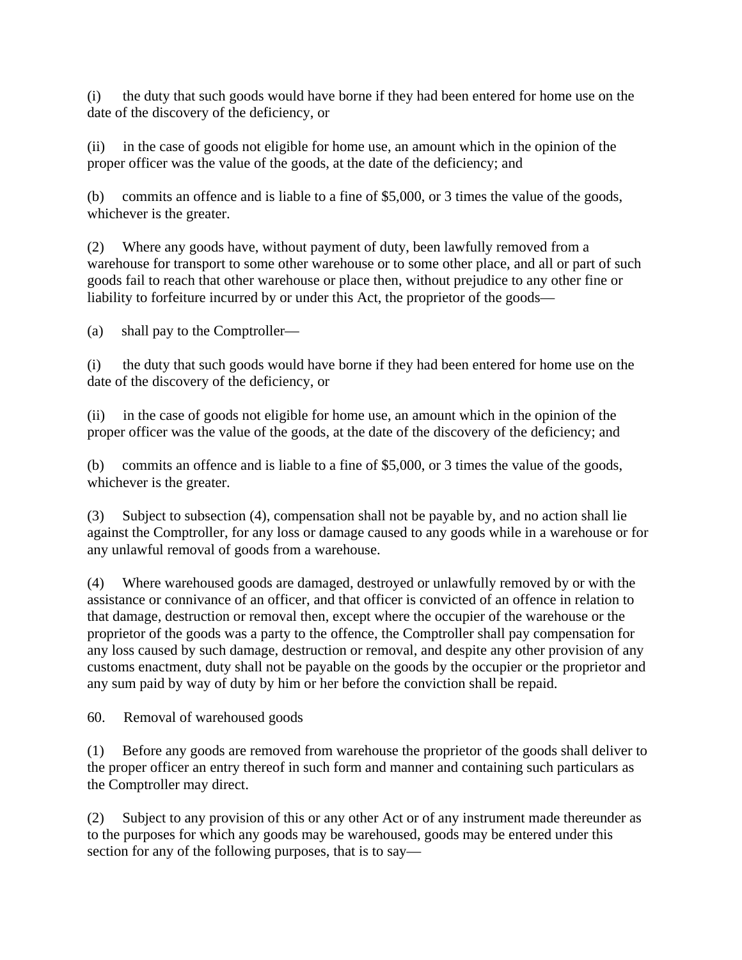(i) the duty that such goods would have borne if they had been entered for home use on the date of the discovery of the deficiency, or

(ii) in the case of goods not eligible for home use, an amount which in the opinion of the proper officer was the value of the goods, at the date of the deficiency; and

(b) commits an offence and is liable to a fine of \$5,000, or 3 times the value of the goods, whichever is the greater.

(2) Where any goods have, without payment of duty, been lawfully removed from a warehouse for transport to some other warehouse or to some other place, and all or part of such goods fail to reach that other warehouse or place then, without prejudice to any other fine or liability to forfeiture incurred by or under this Act, the proprietor of the goods—

(a) shall pay to the Comptroller—

(i) the duty that such goods would have borne if they had been entered for home use on the date of the discovery of the deficiency, or

(ii) in the case of goods not eligible for home use, an amount which in the opinion of the proper officer was the value of the goods, at the date of the discovery of the deficiency; and

(b) commits an offence and is liable to a fine of \$5,000, or 3 times the value of the goods, whichever is the greater.

(3) Subject to subsection (4), compensation shall not be payable by, and no action shall lie against the Comptroller, for any loss or damage caused to any goods while in a warehouse or for any unlawful removal of goods from a warehouse.

(4) Where warehoused goods are damaged, destroyed or unlawfully removed by or with the assistance or connivance of an officer, and that officer is convicted of an offence in relation to that damage, destruction or removal then, except where the occupier of the warehouse or the proprietor of the goods was a party to the offence, the Comptroller shall pay compensation for any loss caused by such damage, destruction or removal, and despite any other provision of any customs enactment, duty shall not be payable on the goods by the occupier or the proprietor and any sum paid by way of duty by him or her before the conviction shall be repaid.

60. Removal of warehoused goods

(1) Before any goods are removed from warehouse the proprietor of the goods shall deliver to the proper officer an entry thereof in such form and manner and containing such particulars as the Comptroller may direct.

(2) Subject to any provision of this or any other Act or of any instrument made thereunder as to the purposes for which any goods may be warehoused, goods may be entered under this section for any of the following purposes, that is to say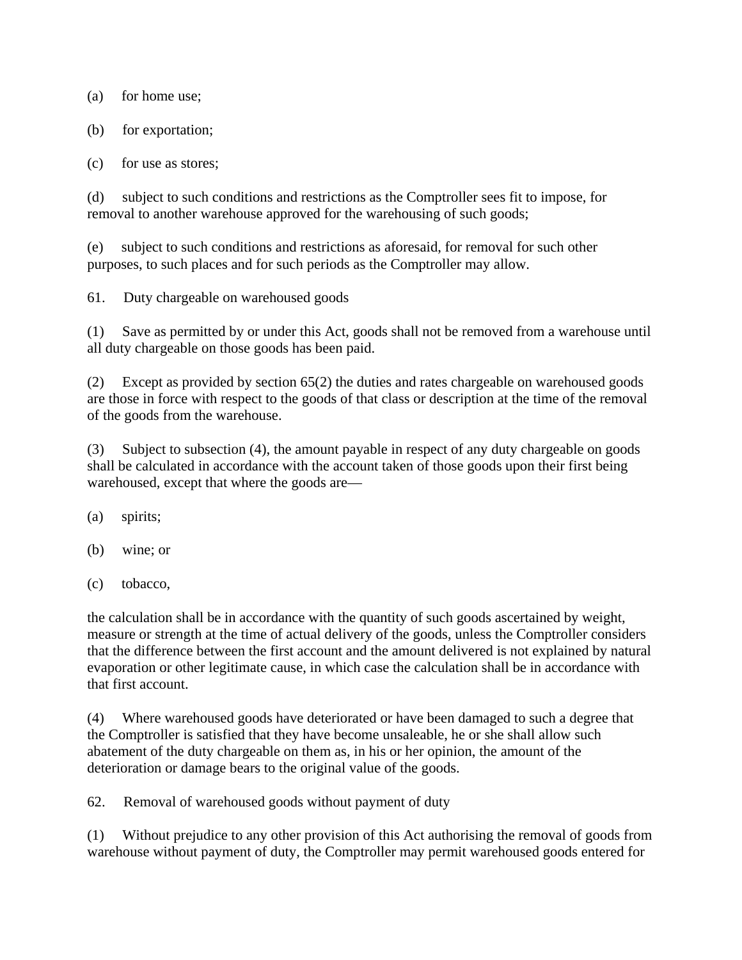(a) for home use;

- (b) for exportation;
- (c) for use as stores;

(d) subject to such conditions and restrictions as the Comptroller sees fit to impose, for removal to another warehouse approved for the warehousing of such goods;

(e) subject to such conditions and restrictions as aforesaid, for removal for such other purposes, to such places and for such periods as the Comptroller may allow.

61. Duty chargeable on warehoused goods

(1) Save as permitted by or under this Act, goods shall not be removed from a warehouse until all duty chargeable on those goods has been paid.

(2) Except as provided by section 65(2) the duties and rates chargeable on warehoused goods are those in force with respect to the goods of that class or description at the time of the removal of the goods from the warehouse.

(3) Subject to subsection (4), the amount payable in respect of any duty chargeable on goods shall be calculated in accordance with the account taken of those goods upon their first being warehoused, except that where the goods are—

(a) spirits;

- (b) wine; or
- (c) tobacco,

the calculation shall be in accordance with the quantity of such goods ascertained by weight, measure or strength at the time of actual delivery of the goods, unless the Comptroller considers that the difference between the first account and the amount delivered is not explained by natural evaporation or other legitimate cause, in which case the calculation shall be in accordance with that first account.

(4) Where warehoused goods have deteriorated or have been damaged to such a degree that the Comptroller is satisfied that they have become unsaleable, he or she shall allow such abatement of the duty chargeable on them as, in his or her opinion, the amount of the deterioration or damage bears to the original value of the goods.

62. Removal of warehoused goods without payment of duty

(1) Without prejudice to any other provision of this Act authorising the removal of goods from warehouse without payment of duty, the Comptroller may permit warehoused goods entered for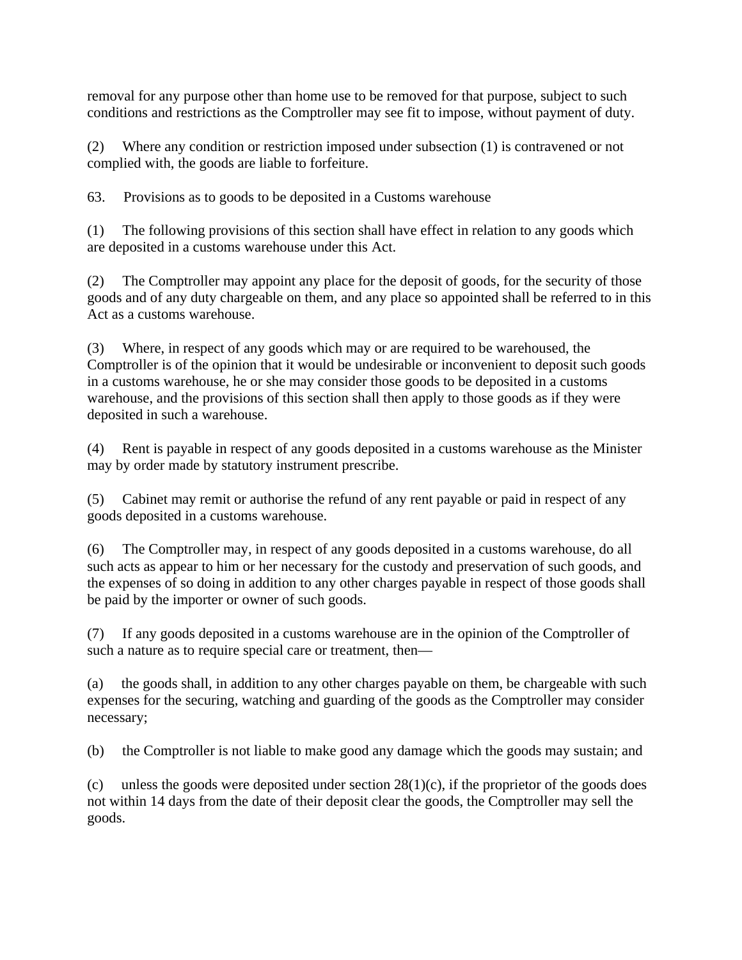removal for any purpose other than home use to be removed for that purpose, subject to such conditions and restrictions as the Comptroller may see fit to impose, without payment of duty.

(2) Where any condition or restriction imposed under subsection (1) is contravened or not complied with, the goods are liable to forfeiture.

63. Provisions as to goods to be deposited in a Customs warehouse

(1) The following provisions of this section shall have effect in relation to any goods which are deposited in a customs warehouse under this Act.

(2) The Comptroller may appoint any place for the deposit of goods, for the security of those goods and of any duty chargeable on them, and any place so appointed shall be referred to in this Act as a customs warehouse.

(3) Where, in respect of any goods which may or are required to be warehoused, the Comptroller is of the opinion that it would be undesirable or inconvenient to deposit such goods in a customs warehouse, he or she may consider those goods to be deposited in a customs warehouse, and the provisions of this section shall then apply to those goods as if they were deposited in such a warehouse.

(4) Rent is payable in respect of any goods deposited in a customs warehouse as the Minister may by order made by statutory instrument prescribe.

(5) Cabinet may remit or authorise the refund of any rent payable or paid in respect of any goods deposited in a customs warehouse.

(6) The Comptroller may, in respect of any goods deposited in a customs warehouse, do all such acts as appear to him or her necessary for the custody and preservation of such goods, and the expenses of so doing in addition to any other charges payable in respect of those goods shall be paid by the importer or owner of such goods.

(7) If any goods deposited in a customs warehouse are in the opinion of the Comptroller of such a nature as to require special care or treatment, then—

(a) the goods shall, in addition to any other charges payable on them, be chargeable with such expenses for the securing, watching and guarding of the goods as the Comptroller may consider necessary;

(b) the Comptroller is not liable to make good any damage which the goods may sustain; and

(c) unless the goods were deposited under section  $28(1)(c)$ , if the proprietor of the goods does not within 14 days from the date of their deposit clear the goods, the Comptroller may sell the goods.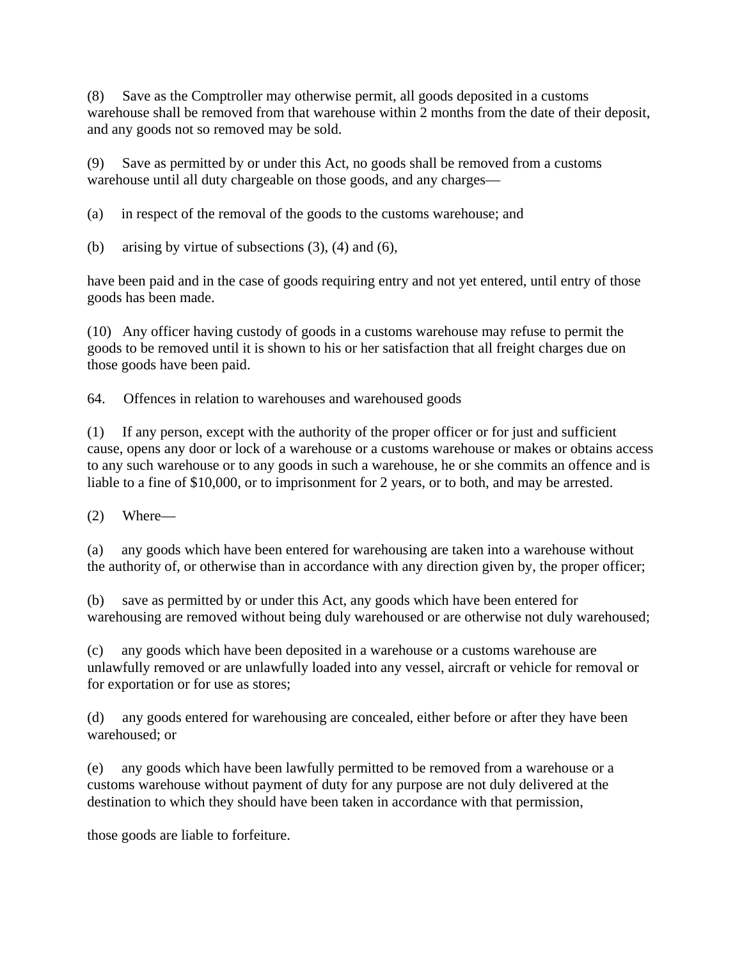(8) Save as the Comptroller may otherwise permit, all goods deposited in a customs warehouse shall be removed from that warehouse within 2 months from the date of their deposit, and any goods not so removed may be sold.

(9) Save as permitted by or under this Act, no goods shall be removed from a customs warehouse until all duty chargeable on those goods, and any charges—

(a) in respect of the removal of the goods to the customs warehouse; and

(b) arising by virtue of subsections  $(3)$ ,  $(4)$  and  $(6)$ ,

have been paid and in the case of goods requiring entry and not yet entered, until entry of those goods has been made.

(10) Any officer having custody of goods in a customs warehouse may refuse to permit the goods to be removed until it is shown to his or her satisfaction that all freight charges due on those goods have been paid.

64. Offences in relation to warehouses and warehoused goods

(1) If any person, except with the authority of the proper officer or for just and sufficient cause, opens any door or lock of a warehouse or a customs warehouse or makes or obtains access to any such warehouse or to any goods in such a warehouse, he or she commits an offence and is liable to a fine of \$10,000, or to imprisonment for 2 years, or to both, and may be arrested.

(2) Where—

(a) any goods which have been entered for warehousing are taken into a warehouse without the authority of, or otherwise than in accordance with any direction given by, the proper officer;

(b) save as permitted by or under this Act, any goods which have been entered for warehousing are removed without being duly warehoused or are otherwise not duly warehoused;

(c) any goods which have been deposited in a warehouse or a customs warehouse are unlawfully removed or are unlawfully loaded into any vessel, aircraft or vehicle for removal or for exportation or for use as stores;

(d) any goods entered for warehousing are concealed, either before or after they have been warehoused; or

(e) any goods which have been lawfully permitted to be removed from a warehouse or a customs warehouse without payment of duty for any purpose are not duly delivered at the destination to which they should have been taken in accordance with that permission,

those goods are liable to forfeiture.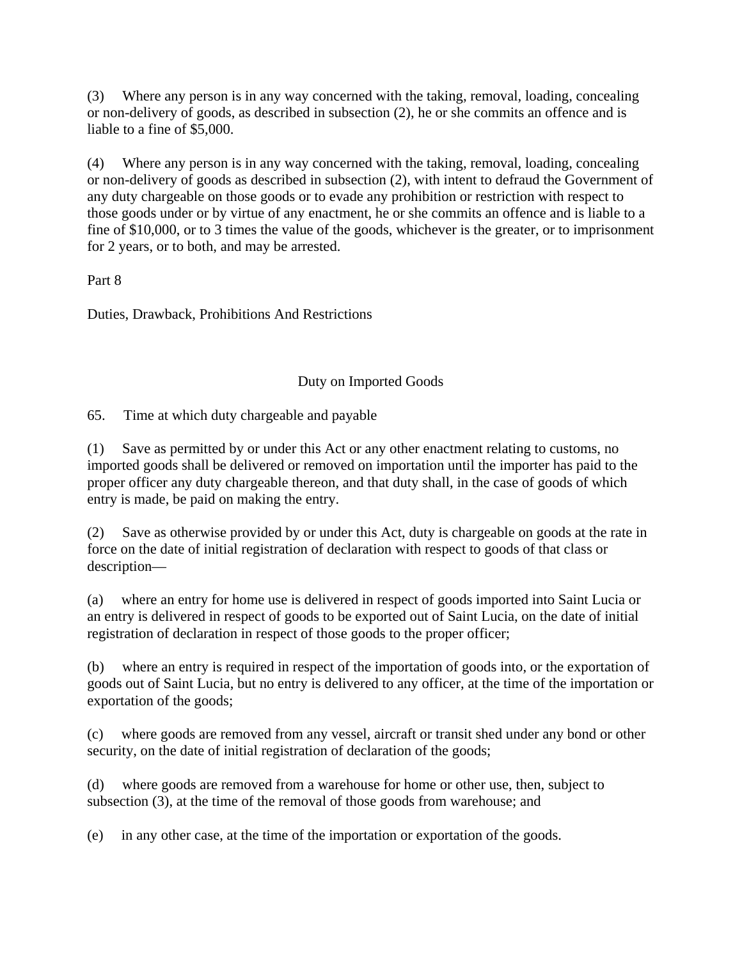(3) Where any person is in any way concerned with the taking, removal, loading, concealing or non-delivery of goods, as described in subsection (2), he or she commits an offence and is liable to a fine of \$5,000.

(4) Where any person is in any way concerned with the taking, removal, loading, concealing or non-delivery of goods as described in subsection (2), with intent to defraud the Government of any duty chargeable on those goods or to evade any prohibition or restriction with respect to those goods under or by virtue of any enactment, he or she commits an offence and is liable to a fine of \$10,000, or to 3 times the value of the goods, whichever is the greater, or to imprisonment for 2 years, or to both, and may be arrested.

Part 8

Duties, Drawback, Prohibitions And Restrictions

# Duty on Imported Goods

65. Time at which duty chargeable and payable

(1) Save as permitted by or under this Act or any other enactment relating to customs, no imported goods shall be delivered or removed on importation until the importer has paid to the proper officer any duty chargeable thereon, and that duty shall, in the case of goods of which entry is made, be paid on making the entry.

(2) Save as otherwise provided by or under this Act, duty is chargeable on goods at the rate in force on the date of initial registration of declaration with respect to goods of that class or description—

(a) where an entry for home use is delivered in respect of goods imported into Saint Lucia or an entry is delivered in respect of goods to be exported out of Saint Lucia, on the date of initial registration of declaration in respect of those goods to the proper officer;

(b) where an entry is required in respect of the importation of goods into, or the exportation of goods out of Saint Lucia, but no entry is delivered to any officer, at the time of the importation or exportation of the goods;

(c) where goods are removed from any vessel, aircraft or transit shed under any bond or other security, on the date of initial registration of declaration of the goods;

(d) where goods are removed from a warehouse for home or other use, then, subject to subsection (3), at the time of the removal of those goods from warehouse; and

(e) in any other case, at the time of the importation or exportation of the goods.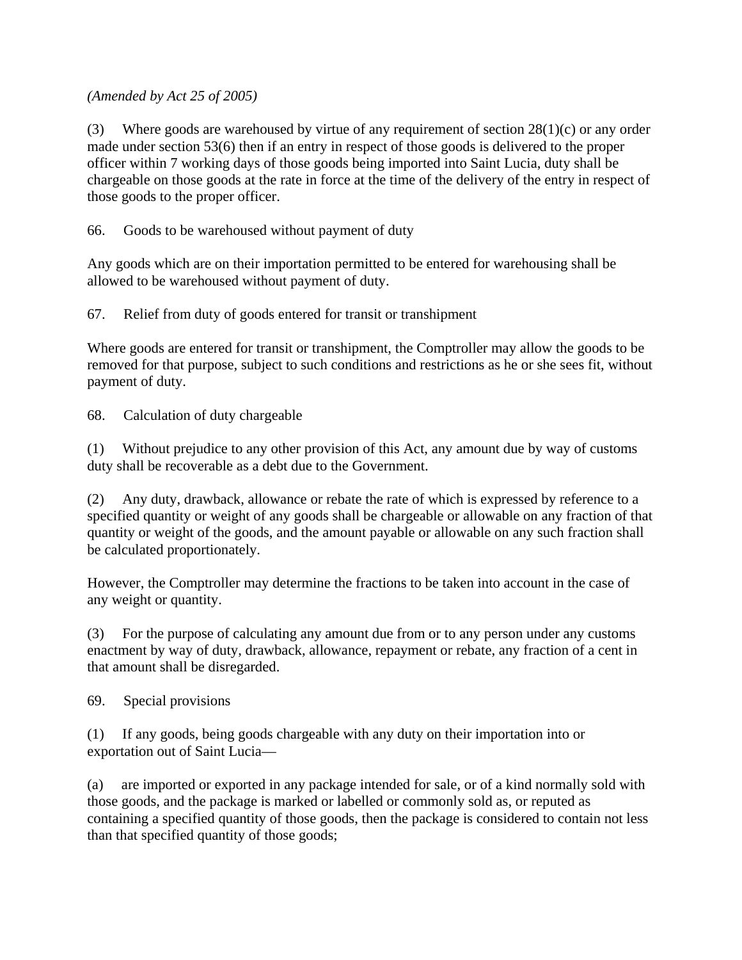*(Amended by Act 25 of 2005)*

(3) Where goods are warehoused by virtue of any requirement of section  $28(1)(c)$  or any order made under section 53(6) then if an entry in respect of those goods is delivered to the proper officer within 7 working days of those goods being imported into Saint Lucia, duty shall be chargeable on those goods at the rate in force at the time of the delivery of the entry in respect of those goods to the proper officer.

66. Goods to be warehoused without payment of duty

Any goods which are on their importation permitted to be entered for warehousing shall be allowed to be warehoused without payment of duty.

67. Relief from duty of goods entered for transit or transhipment

Where goods are entered for transit or transhipment, the Comptroller may allow the goods to be removed for that purpose, subject to such conditions and restrictions as he or she sees fit, without payment of duty.

68. Calculation of duty chargeable

(1) Without prejudice to any other provision of this Act, any amount due by way of customs duty shall be recoverable as a debt due to the Government.

(2) Any duty, drawback, allowance or rebate the rate of which is expressed by reference to a specified quantity or weight of any goods shall be chargeable or allowable on any fraction of that quantity or weight of the goods, and the amount payable or allowable on any such fraction shall be calculated proportionately.

However, the Comptroller may determine the fractions to be taken into account in the case of any weight or quantity.

(3) For the purpose of calculating any amount due from or to any person under any customs enactment by way of duty, drawback, allowance, repayment or rebate, any fraction of a cent in that amount shall be disregarded.

69. Special provisions

(1) If any goods, being goods chargeable with any duty on their importation into or exportation out of Saint Lucia—

(a) are imported or exported in any package intended for sale, or of a kind normally sold with those goods, and the package is marked or labelled or commonly sold as, or reputed as containing a specified quantity of those goods, then the package is considered to contain not less than that specified quantity of those goods;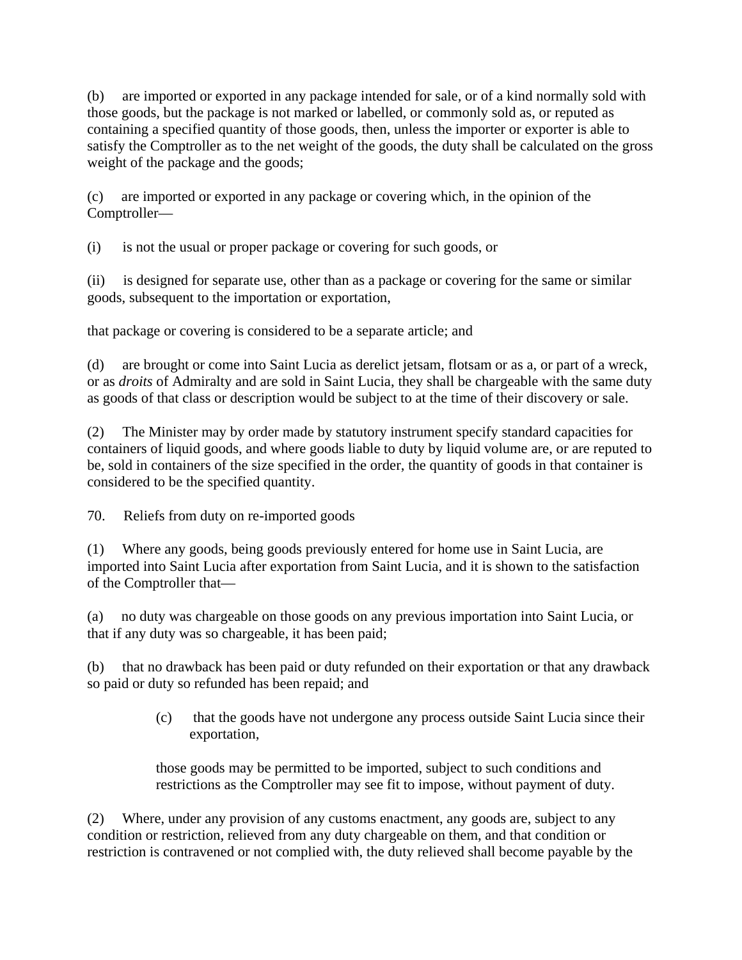(b) are imported or exported in any package intended for sale, or of a kind normally sold with those goods, but the package is not marked or labelled, or commonly sold as, or reputed as containing a specified quantity of those goods, then, unless the importer or exporter is able to satisfy the Comptroller as to the net weight of the goods, the duty shall be calculated on the gross weight of the package and the goods;

(c) are imported or exported in any package or covering which, in the opinion of the Comptroller—

(i) is not the usual or proper package or covering for such goods, or

(ii) is designed for separate use, other than as a package or covering for the same or similar goods, subsequent to the importation or exportation,

that package or covering is considered to be a separate article; and

(d) are brought or come into Saint Lucia as derelict jetsam, flotsam or as a, or part of a wreck, or as *droits* of Admiralty and are sold in Saint Lucia, they shall be chargeable with the same duty as goods of that class or description would be subject to at the time of their discovery or sale.

(2) The Minister may by order made by statutory instrument specify standard capacities for containers of liquid goods, and where goods liable to duty by liquid volume are, or are reputed to be, sold in containers of the size specified in the order, the quantity of goods in that container is considered to be the specified quantity.

70. Reliefs from duty on re-imported goods

(1) Where any goods, being goods previously entered for home use in Saint Lucia, are imported into Saint Lucia after exportation from Saint Lucia, and it is shown to the satisfaction of the Comptroller that—

(a) no duty was chargeable on those goods on any previous importation into Saint Lucia, or that if any duty was so chargeable, it has been paid;

(b) that no drawback has been paid or duty refunded on their exportation or that any drawback so paid or duty so refunded has been repaid; and

> (c) that the goods have not undergone any process outside Saint Lucia since their exportation,

those goods may be permitted to be imported, subject to such conditions and restrictions as the Comptroller may see fit to impose, without payment of duty.

(2) Where, under any provision of any customs enactment, any goods are, subject to any condition or restriction, relieved from any duty chargeable on them, and that condition or restriction is contravened or not complied with, the duty relieved shall become payable by the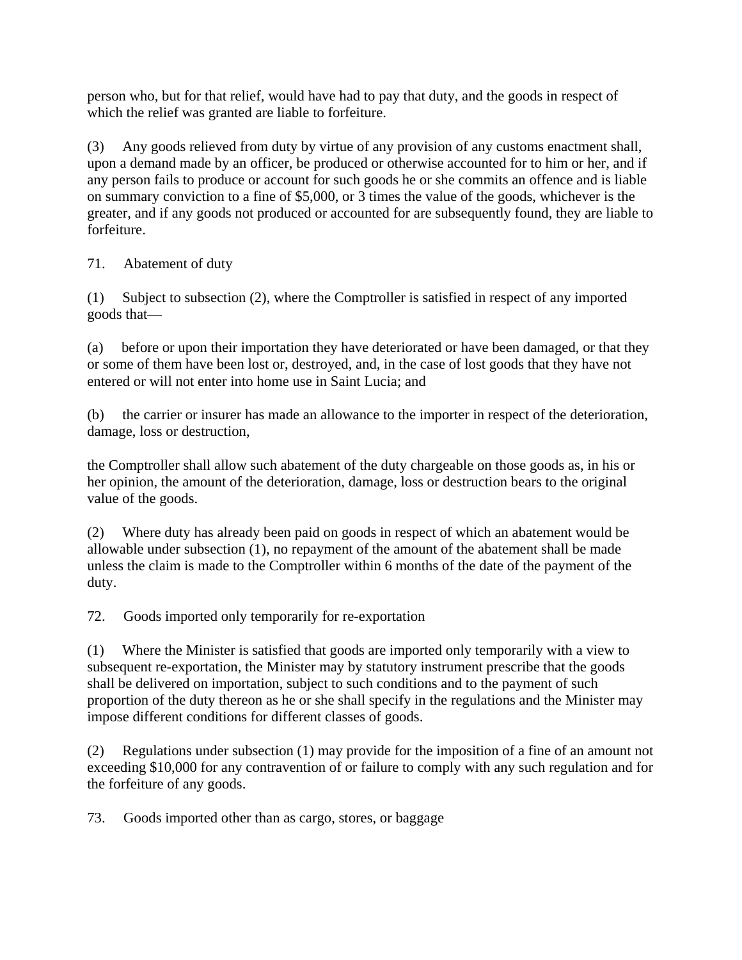person who, but for that relief, would have had to pay that duty, and the goods in respect of which the relief was granted are liable to forfeiture.

(3) Any goods relieved from duty by virtue of any provision of any customs enactment shall, upon a demand made by an officer, be produced or otherwise accounted for to him or her, and if any person fails to produce or account for such goods he or she commits an offence and is liable on summary conviction to a fine of \$5,000, or 3 times the value of the goods, whichever is the greater, and if any goods not produced or accounted for are subsequently found, they are liable to forfeiture.

71. Abatement of duty

(1) Subject to subsection (2), where the Comptroller is satisfied in respect of any imported goods that—

(a) before or upon their importation they have deteriorated or have been damaged, or that they or some of them have been lost or, destroyed, and, in the case of lost goods that they have not entered or will not enter into home use in Saint Lucia; and

(b) the carrier or insurer has made an allowance to the importer in respect of the deterioration, damage, loss or destruction,

the Comptroller shall allow such abatement of the duty chargeable on those goods as, in his or her opinion, the amount of the deterioration, damage, loss or destruction bears to the original value of the goods.

(2) Where duty has already been paid on goods in respect of which an abatement would be allowable under subsection (1), no repayment of the amount of the abatement shall be made unless the claim is made to the Comptroller within 6 months of the date of the payment of the duty.

72. Goods imported only temporarily for re-exportation

(1) Where the Minister is satisfied that goods are imported only temporarily with a view to subsequent re-exportation, the Minister may by statutory instrument prescribe that the goods shall be delivered on importation, subject to such conditions and to the payment of such proportion of the duty thereon as he or she shall specify in the regulations and the Minister may impose different conditions for different classes of goods.

(2) Regulations under subsection (1) may provide for the imposition of a fine of an amount not exceeding \$10,000 for any contravention of or failure to comply with any such regulation and for the forfeiture of any goods.

73. Goods imported other than as cargo, stores, or baggage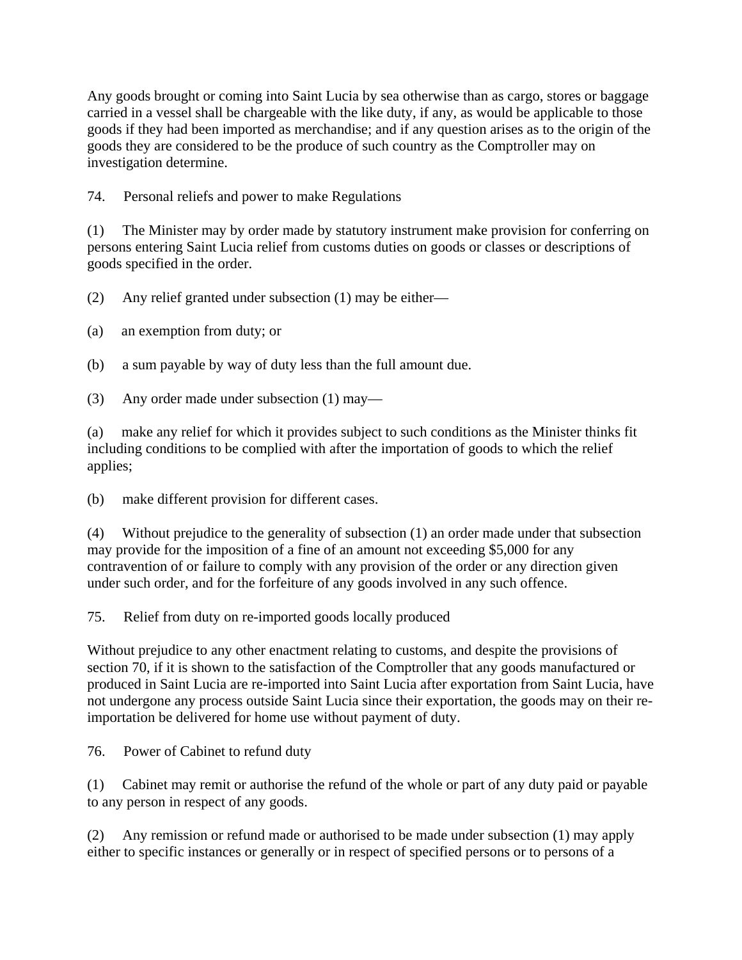Any goods brought or coming into Saint Lucia by sea otherwise than as cargo, stores or baggage carried in a vessel shall be chargeable with the like duty, if any, as would be applicable to those goods if they had been imported as merchandise; and if any question arises as to the origin of the goods they are considered to be the produce of such country as the Comptroller may on investigation determine.

74. Personal reliefs and power to make Regulations

(1) The Minister may by order made by statutory instrument make provision for conferring on persons entering Saint Lucia relief from customs duties on goods or classes or descriptions of goods specified in the order.

(2) Any relief granted under subsection (1) may be either—

(a) an exemption from duty; or

(b) a sum payable by way of duty less than the full amount due.

(3) Any order made under subsection (1) may—

(a) make any relief for which it provides subject to such conditions as the Minister thinks fit including conditions to be complied with after the importation of goods to which the relief applies;

(b) make different provision for different cases.

(4) Without prejudice to the generality of subsection (1) an order made under that subsection may provide for the imposition of a fine of an amount not exceeding \$5,000 for any contravention of or failure to comply with any provision of the order or any direction given under such order, and for the forfeiture of any goods involved in any such offence.

75. Relief from duty on re-imported goods locally produced

Without prejudice to any other enactment relating to customs, and despite the provisions of section 70, if it is shown to the satisfaction of the Comptroller that any goods manufactured or produced in Saint Lucia are re-imported into Saint Lucia after exportation from Saint Lucia, have not undergone any process outside Saint Lucia since their exportation, the goods may on their reimportation be delivered for home use without payment of duty.

76. Power of Cabinet to refund duty

(1) Cabinet may remit or authorise the refund of the whole or part of any duty paid or payable to any person in respect of any goods.

(2) Any remission or refund made or authorised to be made under subsection (1) may apply either to specific instances or generally or in respect of specified persons or to persons of a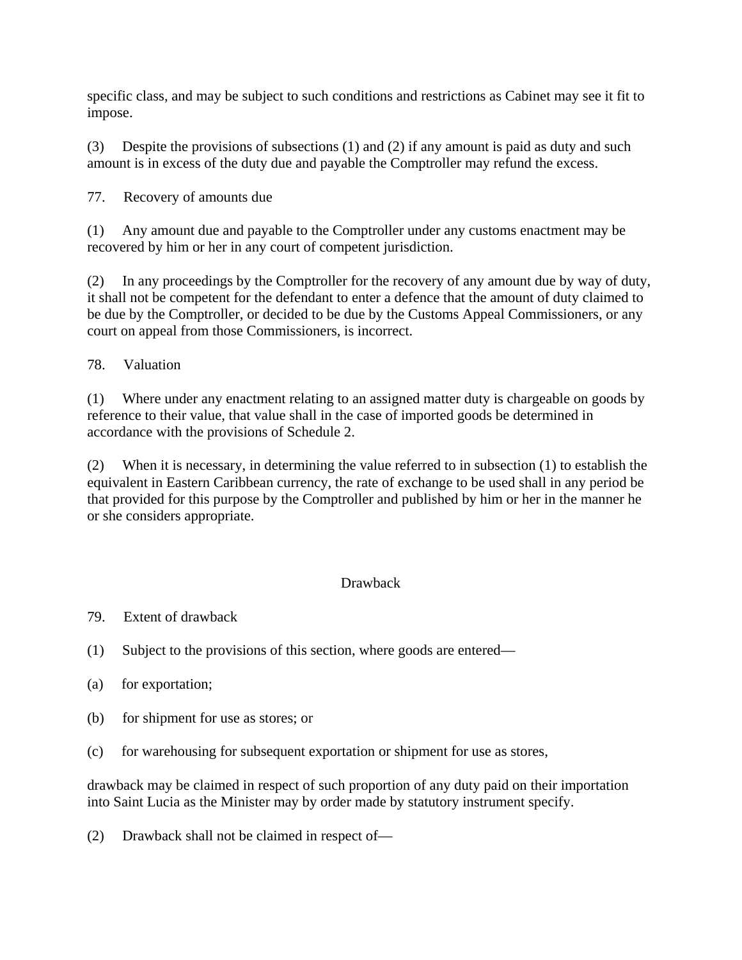specific class, and may be subject to such conditions and restrictions as Cabinet may see it fit to impose.

(3) Despite the provisions of subsections (1) and (2) if any amount is paid as duty and such amount is in excess of the duty due and payable the Comptroller may refund the excess.

77. Recovery of amounts due

(1) Any amount due and payable to the Comptroller under any customs enactment may be recovered by him or her in any court of competent jurisdiction.

(2) In any proceedings by the Comptroller for the recovery of any amount due by way of duty, it shall not be competent for the defendant to enter a defence that the amount of duty claimed to be due by the Comptroller, or decided to be due by the Customs Appeal Commissioners, or any court on appeal from those Commissioners, is incorrect.

78. Valuation

(1) Where under any enactment relating to an assigned matter duty is chargeable on goods by reference to their value, that value shall in the case of imported goods be determined in accordance with the provisions of Schedule 2.

(2) When it is necessary, in determining the value referred to in subsection (1) to establish the equivalent in Eastern Caribbean currency, the rate of exchange to be used shall in any period be that provided for this purpose by the Comptroller and published by him or her in the manner he or she considers appropriate.

## Drawback

- 79. Extent of drawback
- (1) Subject to the provisions of this section, where goods are entered—
- (a) for exportation;
- (b) for shipment for use as stores; or
- (c) for warehousing for subsequent exportation or shipment for use as stores,

drawback may be claimed in respect of such proportion of any duty paid on their importation into Saint Lucia as the Minister may by order made by statutory instrument specify.

(2) Drawback shall not be claimed in respect of—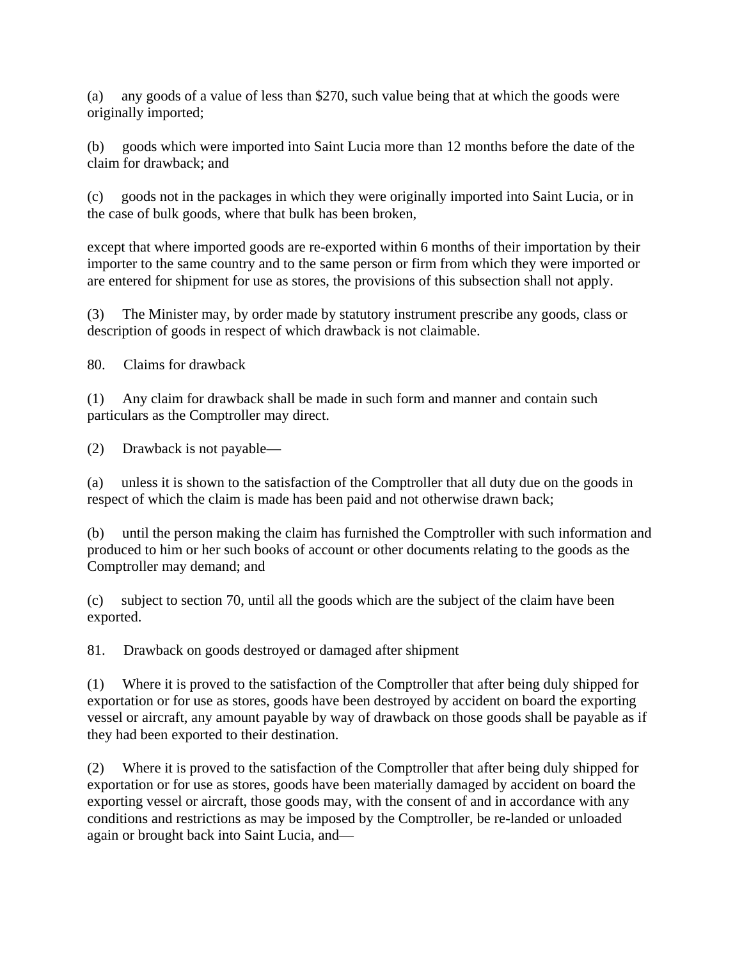(a) any goods of a value of less than \$270, such value being that at which the goods were originally imported;

(b) goods which were imported into Saint Lucia more than 12 months before the date of the claim for drawback; and

(c) goods not in the packages in which they were originally imported into Saint Lucia, or in the case of bulk goods, where that bulk has been broken,

except that where imported goods are re-exported within 6 months of their importation by their importer to the same country and to the same person or firm from which they were imported or are entered for shipment for use as stores, the provisions of this subsection shall not apply.

(3) The Minister may, by order made by statutory instrument prescribe any goods, class or description of goods in respect of which drawback is not claimable.

80. Claims for drawback

(1) Any claim for drawback shall be made in such form and manner and contain such particulars as the Comptroller may direct.

(2) Drawback is not payable—

(a) unless it is shown to the satisfaction of the Comptroller that all duty due on the goods in respect of which the claim is made has been paid and not otherwise drawn back;

(b) until the person making the claim has furnished the Comptroller with such information and produced to him or her such books of account or other documents relating to the goods as the Comptroller may demand; and

(c) subject to section 70, until all the goods which are the subject of the claim have been exported.

81. Drawback on goods destroyed or damaged after shipment

(1) Where it is proved to the satisfaction of the Comptroller that after being duly shipped for exportation or for use as stores, goods have been destroyed by accident on board the exporting vessel or aircraft, any amount payable by way of drawback on those goods shall be payable as if they had been exported to their destination.

(2) Where it is proved to the satisfaction of the Comptroller that after being duly shipped for exportation or for use as stores, goods have been materially damaged by accident on board the exporting vessel or aircraft, those goods may, with the consent of and in accordance with any conditions and restrictions as may be imposed by the Comptroller, be re-landed or unloaded again or brought back into Saint Lucia, and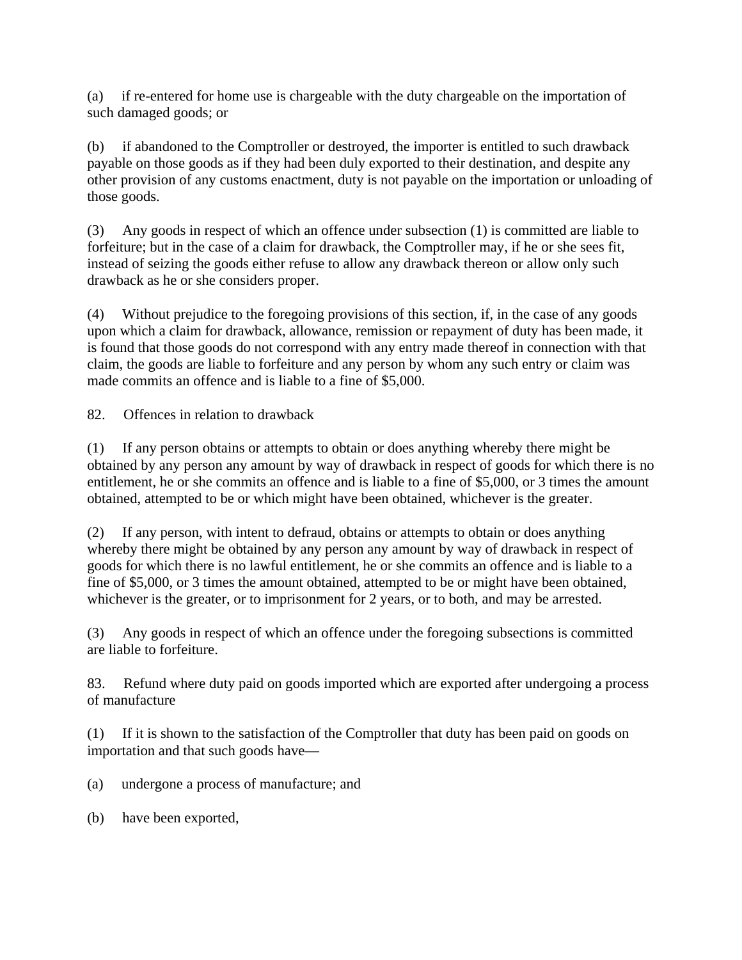(a) if re-entered for home use is chargeable with the duty chargeable on the importation of such damaged goods; or

(b) if abandoned to the Comptroller or destroyed, the importer is entitled to such drawback payable on those goods as if they had been duly exported to their destination, and despite any other provision of any customs enactment, duty is not payable on the importation or unloading of those goods.

(3) Any goods in respect of which an offence under subsection (1) is committed are liable to forfeiture; but in the case of a claim for drawback, the Comptroller may, if he or she sees fit, instead of seizing the goods either refuse to allow any drawback thereon or allow only such drawback as he or she considers proper.

(4) Without prejudice to the foregoing provisions of this section, if, in the case of any goods upon which a claim for drawback, allowance, remission or repayment of duty has been made, it is found that those goods do not correspond with any entry made thereof in connection with that claim, the goods are liable to forfeiture and any person by whom any such entry or claim was made commits an offence and is liable to a fine of \$5,000.

82. Offences in relation to drawback

(1) If any person obtains or attempts to obtain or does anything whereby there might be obtained by any person any amount by way of drawback in respect of goods for which there is no entitlement, he or she commits an offence and is liable to a fine of \$5,000, or 3 times the amount obtained, attempted to be or which might have been obtained, whichever is the greater.

(2) If any person, with intent to defraud, obtains or attempts to obtain or does anything whereby there might be obtained by any person any amount by way of drawback in respect of goods for which there is no lawful entitlement, he or she commits an offence and is liable to a fine of \$5,000, or 3 times the amount obtained, attempted to be or might have been obtained, whichever is the greater, or to imprisonment for 2 years, or to both, and may be arrested.

(3) Any goods in respect of which an offence under the foregoing subsections is committed are liable to forfeiture.

83. Refund where duty paid on goods imported which are exported after undergoing a process of manufacture

(1) If it is shown to the satisfaction of the Comptroller that duty has been paid on goods on importation and that such goods have—

- (a) undergone a process of manufacture; and
- (b) have been exported,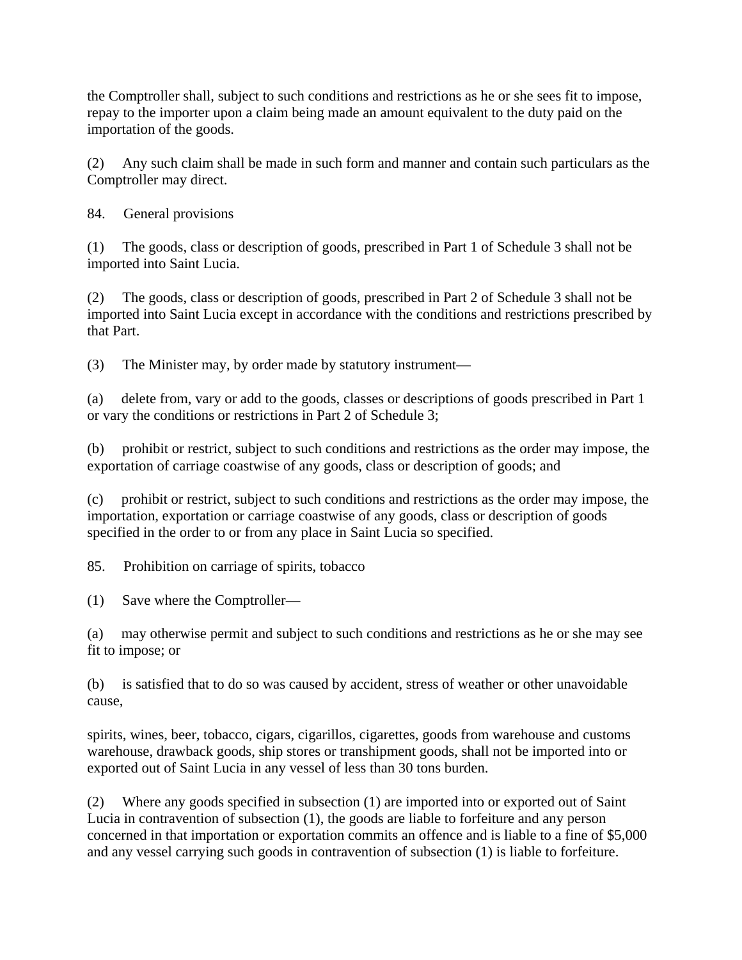the Comptroller shall, subject to such conditions and restrictions as he or she sees fit to impose, repay to the importer upon a claim being made an amount equivalent to the duty paid on the importation of the goods.

(2) Any such claim shall be made in such form and manner and contain such particulars as the Comptroller may direct.

84. General provisions

(1) The goods, class or description of goods, prescribed in Part 1 of Schedule 3 shall not be imported into Saint Lucia.

(2) The goods, class or description of goods, prescribed in Part 2 of Schedule 3 shall not be imported into Saint Lucia except in accordance with the conditions and restrictions prescribed by that Part.

(3) The Minister may, by order made by statutory instrument—

(a) delete from, vary or add to the goods, classes or descriptions of goods prescribed in Part 1 or vary the conditions or restrictions in Part 2 of Schedule 3;

(b) prohibit or restrict, subject to such conditions and restrictions as the order may impose, the exportation of carriage coastwise of any goods, class or description of goods; and

(c) prohibit or restrict, subject to such conditions and restrictions as the order may impose, the importation, exportation or carriage coastwise of any goods, class or description of goods specified in the order to or from any place in Saint Lucia so specified.

85. Prohibition on carriage of spirits, tobacco

(1) Save where the Comptroller—

(a) may otherwise permit and subject to such conditions and restrictions as he or she may see fit to impose; or

(b) is satisfied that to do so was caused by accident, stress of weather or other unavoidable cause,

spirits, wines, beer, tobacco, cigars, cigarillos, cigarettes, goods from warehouse and customs warehouse, drawback goods, ship stores or transhipment goods, shall not be imported into or exported out of Saint Lucia in any vessel of less than 30 tons burden.

(2) Where any goods specified in subsection (1) are imported into or exported out of Saint Lucia in contravention of subsection (1), the goods are liable to forfeiture and any person concerned in that importation or exportation commits an offence and is liable to a fine of \$5,000 and any vessel carrying such goods in contravention of subsection (1) is liable to forfeiture.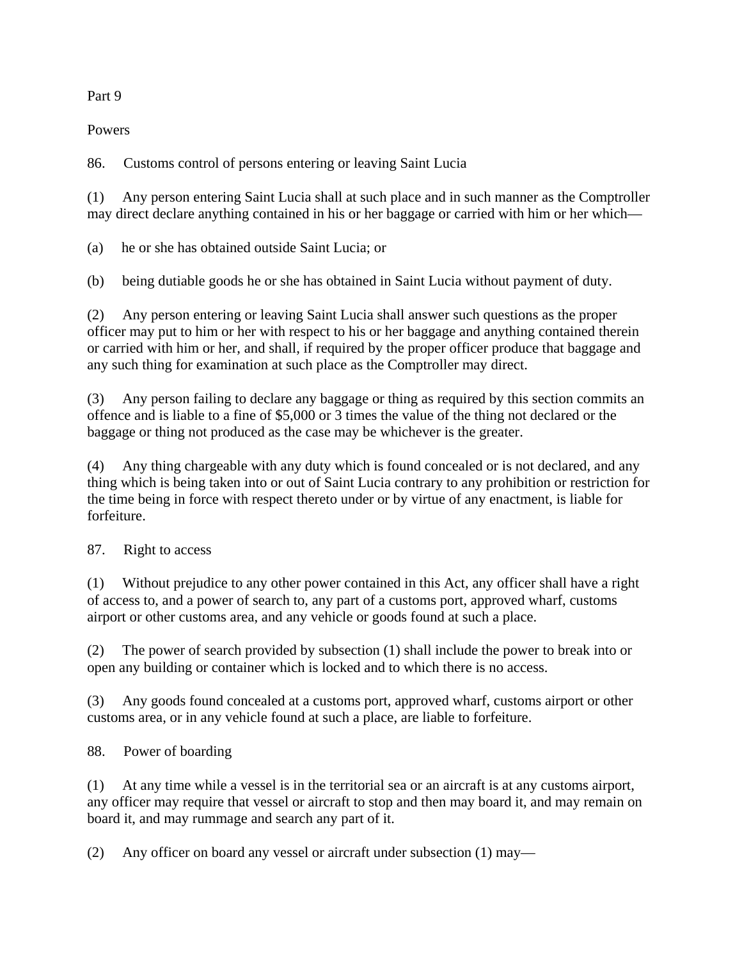### Part 9

Powers

86. Customs control of persons entering or leaving Saint Lucia

(1) Any person entering Saint Lucia shall at such place and in such manner as the Comptroller may direct declare anything contained in his or her baggage or carried with him or her which—

(a) he or she has obtained outside Saint Lucia; or

(b) being dutiable goods he or she has obtained in Saint Lucia without payment of duty.

(2) Any person entering or leaving Saint Lucia shall answer such questions as the proper officer may put to him or her with respect to his or her baggage and anything contained therein or carried with him or her, and shall, if required by the proper officer produce that baggage and any such thing for examination at such place as the Comptroller may direct.

(3) Any person failing to declare any baggage or thing as required by this section commits an offence and is liable to a fine of \$5,000 or 3 times the value of the thing not declared or the baggage or thing not produced as the case may be whichever is the greater.

(4) Any thing chargeable with any duty which is found concealed or is not declared, and any thing which is being taken into or out of Saint Lucia contrary to any prohibition or restriction for the time being in force with respect thereto under or by virtue of any enactment, is liable for forfeiture.

87. Right to access

(1) Without prejudice to any other power contained in this Act, any officer shall have a right of access to, and a power of search to, any part of a customs port, approved wharf, customs airport or other customs area, and any vehicle or goods found at such a place.

(2) The power of search provided by subsection (1) shall include the power to break into or open any building or container which is locked and to which there is no access.

(3) Any goods found concealed at a customs port, approved wharf, customs airport or other customs area, or in any vehicle found at such a place, are liable to forfeiture.

88. Power of boarding

(1) At any time while a vessel is in the territorial sea or an aircraft is at any customs airport, any officer may require that vessel or aircraft to stop and then may board it, and may remain on board it, and may rummage and search any part of it.

(2) Any officer on board any vessel or aircraft under subsection (1) may—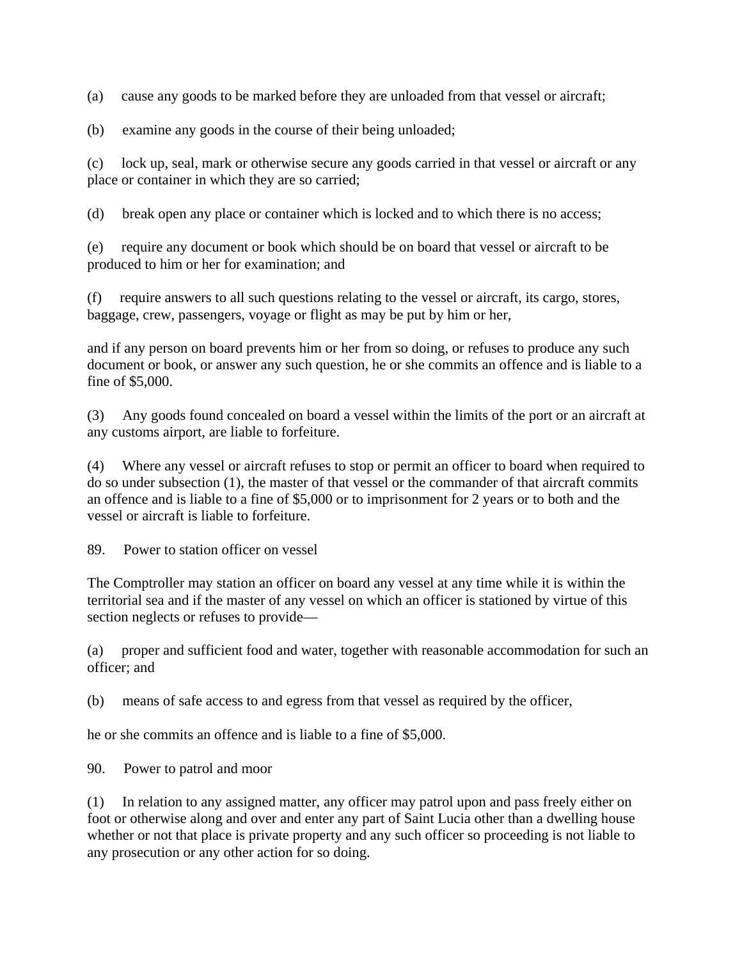(a) cause any goods to be marked before they are unloaded from that vessel or aircraft;

(b) examine any goods in the course of their being unloaded;

(c) lock up, seal, mark or otherwise secure any goods carried in that vessel or aircraft or any place or container in which they are so carried;

(d) break open any place or container which is locked and to which there is no access;

(e) require any document or book which should be on board that vessel or aircraft to be produced to him or her for examination; and

(f) require answers to all such questions relating to the vessel or aircraft, its cargo, stores, baggage, crew, passengers, voyage or flight as may be put by him or her,

and if any person on board prevents him or her from so doing, or refuses to produce any such document or book, or answer any such question, he or she commits an offence and is liable to a fine of \$5,000.

(3) Any goods found concealed on board a vessel within the limits of the port or an aircraft at any customs airport, are liable to forfeiture.

(4) Where any vessel or aircraft refuses to stop or permit an officer to board when required to do so under subsection (1), the master of that vessel or the commander of that aircraft commits an offence and is liable to a fine of \$5,000 or to imprisonment for 2 years or to both and the vessel or aircraft is liable to forfeiture.

89. Power to station officer on vessel

The Comptroller may station an officer on board any vessel at any time while it is within the territorial sea and if the master of any vessel on which an officer is stationed by virtue of this section neglects or refuses to provide—

(a) proper and sufficient food and water, together with reasonable accommodation for such an officer; and

(b) means of safe access to and egress from that vessel as required by the officer,

he or she commits an offence and is liable to a fine of \$5,000.

90. Power to patrol and moor

(1) In relation to any assigned matter, any officer may patrol upon and pass freely either on foot or otherwise along and over and enter any part of Saint Lucia other than a dwelling house whether or not that place is private property and any such officer so proceeding is not liable to any prosecution or any other action for so doing.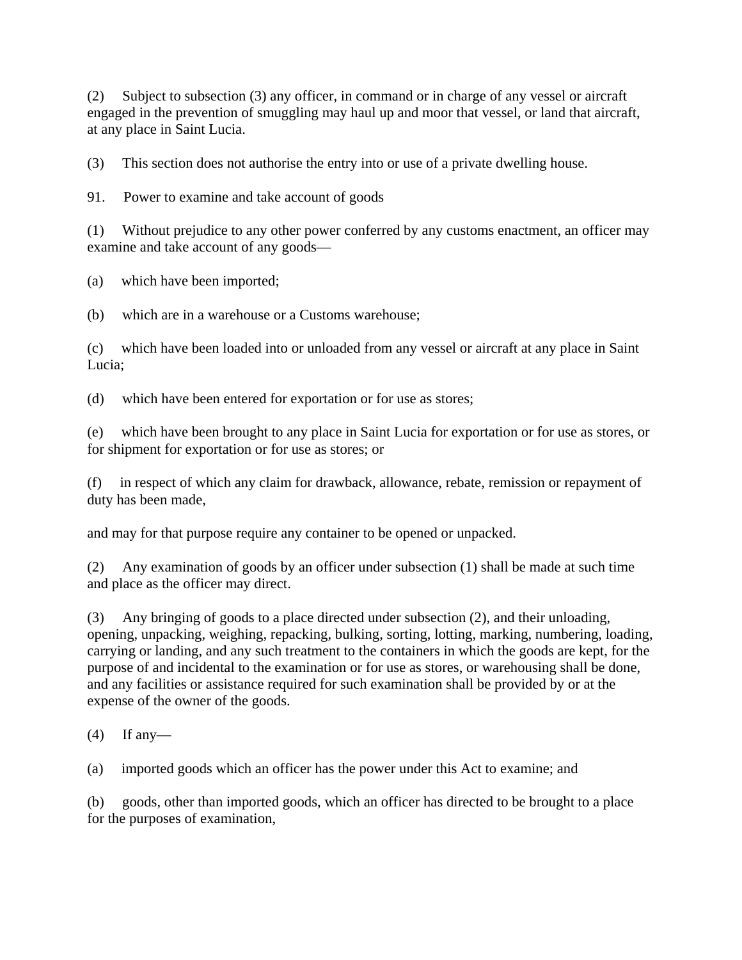(2) Subject to subsection (3) any officer, in command or in charge of any vessel or aircraft engaged in the prevention of smuggling may haul up and moor that vessel, or land that aircraft, at any place in Saint Lucia.

(3) This section does not authorise the entry into or use of a private dwelling house.

91. Power to examine and take account of goods

(1) Without prejudice to any other power conferred by any customs enactment, an officer may examine and take account of any goods—

(a) which have been imported;

(b) which are in a warehouse or a Customs warehouse;

(c) which have been loaded into or unloaded from any vessel or aircraft at any place in Saint Lucia;

(d) which have been entered for exportation or for use as stores;

(e) which have been brought to any place in Saint Lucia for exportation or for use as stores, or for shipment for exportation or for use as stores; or

(f) in respect of which any claim for drawback, allowance, rebate, remission or repayment of duty has been made,

and may for that purpose require any container to be opened or unpacked.

(2) Any examination of goods by an officer under subsection (1) shall be made at such time and place as the officer may direct.

(3) Any bringing of goods to a place directed under subsection (2), and their unloading, opening, unpacking, weighing, repacking, bulking, sorting, lotting, marking, numbering, loading, carrying or landing, and any such treatment to the containers in which the goods are kept, for the purpose of and incidental to the examination or for use as stores, or warehousing shall be done, and any facilities or assistance required for such examination shall be provided by or at the expense of the owner of the goods.

 $(4)$  If any-

(a) imported goods which an officer has the power under this Act to examine; and

(b) goods, other than imported goods, which an officer has directed to be brought to a place for the purposes of examination,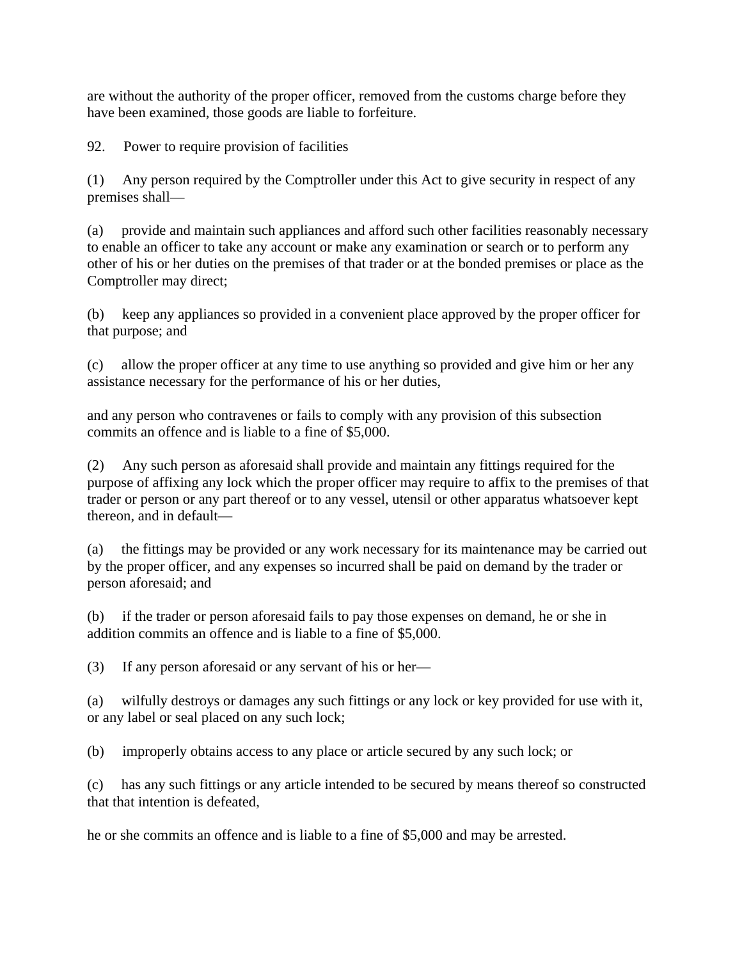are without the authority of the proper officer, removed from the customs charge before they have been examined, those goods are liable to forfeiture.

92. Power to require provision of facilities

(1) Any person required by the Comptroller under this Act to give security in respect of any premises shall—

(a) provide and maintain such appliances and afford such other facilities reasonably necessary to enable an officer to take any account or make any examination or search or to perform any other of his or her duties on the premises of that trader or at the bonded premises or place as the Comptroller may direct;

(b) keep any appliances so provided in a convenient place approved by the proper officer for that purpose; and

(c) allow the proper officer at any time to use anything so provided and give him or her any assistance necessary for the performance of his or her duties,

and any person who contravenes or fails to comply with any provision of this subsection commits an offence and is liable to a fine of \$5,000.

(2) Any such person as aforesaid shall provide and maintain any fittings required for the purpose of affixing any lock which the proper officer may require to affix to the premises of that trader or person or any part thereof or to any vessel, utensil or other apparatus whatsoever kept thereon, and in default—

(a) the fittings may be provided or any work necessary for its maintenance may be carried out by the proper officer, and any expenses so incurred shall be paid on demand by the trader or person aforesaid; and

(b) if the trader or person aforesaid fails to pay those expenses on demand, he or she in addition commits an offence and is liable to a fine of \$5,000.

(3) If any person aforesaid or any servant of his or her—

(a) wilfully destroys or damages any such fittings or any lock or key provided for use with it, or any label or seal placed on any such lock;

(b) improperly obtains access to any place or article secured by any such lock; or

(c) has any such fittings or any article intended to be secured by means thereof so constructed that that intention is defeated,

he or she commits an offence and is liable to a fine of \$5,000 and may be arrested.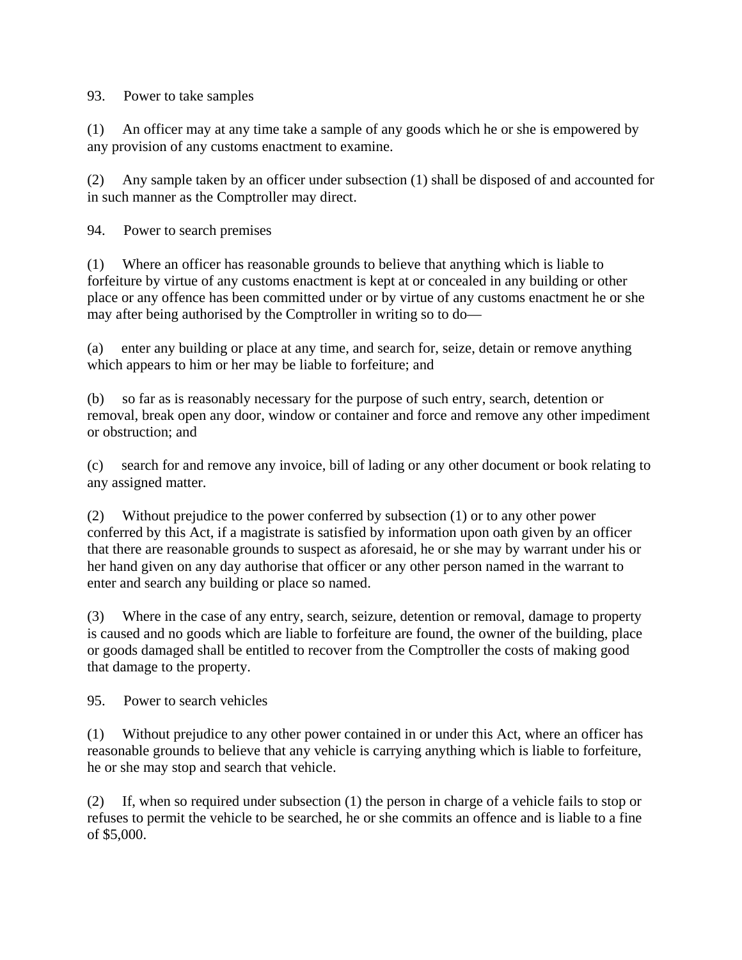### 93. Power to take samples

(1) An officer may at any time take a sample of any goods which he or she is empowered by any provision of any customs enactment to examine.

(2) Any sample taken by an officer under subsection (1) shall be disposed of and accounted for in such manner as the Comptroller may direct.

94. Power to search premises

(1) Where an officer has reasonable grounds to believe that anything which is liable to forfeiture by virtue of any customs enactment is kept at or concealed in any building or other place or any offence has been committed under or by virtue of any customs enactment he or she may after being authorised by the Comptroller in writing so to do—

(a) enter any building or place at any time, and search for, seize, detain or remove anything which appears to him or her may be liable to forfeiture; and

(b) so far as is reasonably necessary for the purpose of such entry, search, detention or removal, break open any door, window or container and force and remove any other impediment or obstruction; and

(c) search for and remove any invoice, bill of lading or any other document or book relating to any assigned matter.

(2) Without prejudice to the power conferred by subsection (1) or to any other power conferred by this Act, if a magistrate is satisfied by information upon oath given by an officer that there are reasonable grounds to suspect as aforesaid, he or she may by warrant under his or her hand given on any day authorise that officer or any other person named in the warrant to enter and search any building or place so named.

(3) Where in the case of any entry, search, seizure, detention or removal, damage to property is caused and no goods which are liable to forfeiture are found, the owner of the building, place or goods damaged shall be entitled to recover from the Comptroller the costs of making good that damage to the property.

95. Power to search vehicles

(1) Without prejudice to any other power contained in or under this Act, where an officer has reasonable grounds to believe that any vehicle is carrying anything which is liable to forfeiture, he or she may stop and search that vehicle.

(2) If, when so required under subsection (1) the person in charge of a vehicle fails to stop or refuses to permit the vehicle to be searched, he or she commits an offence and is liable to a fine of \$5,000.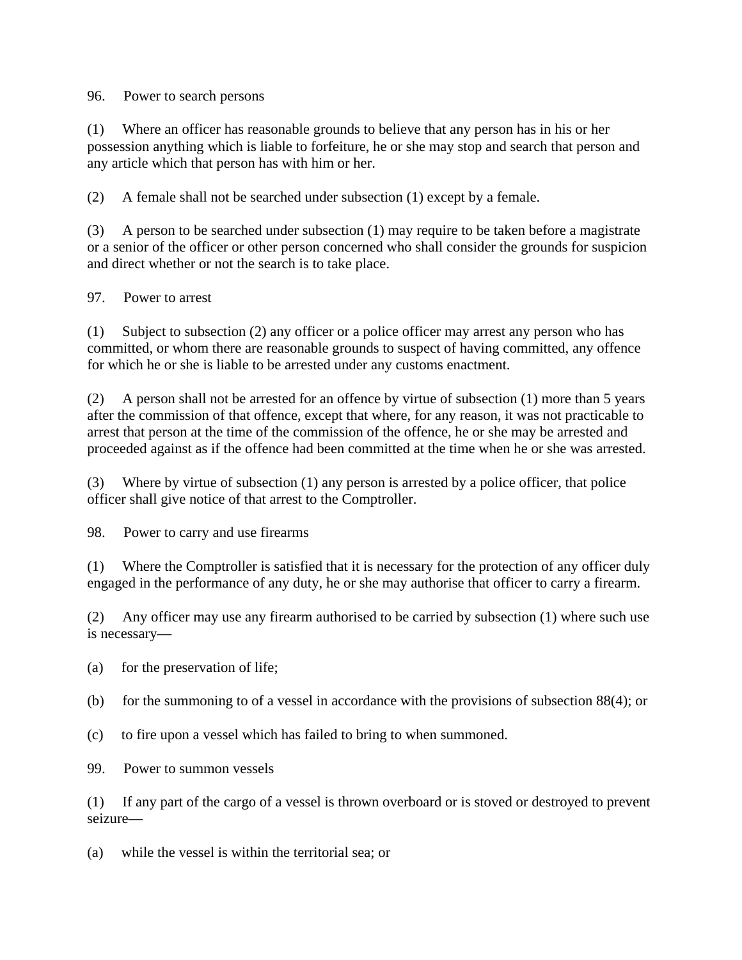#### 96. Power to search persons

(1) Where an officer has reasonable grounds to believe that any person has in his or her possession anything which is liable to forfeiture, he or she may stop and search that person and any article which that person has with him or her.

(2) A female shall not be searched under subsection (1) except by a female.

(3) A person to be searched under subsection (1) may require to be taken before a magistrate or a senior of the officer or other person concerned who shall consider the grounds for suspicion and direct whether or not the search is to take place.

## 97. Power to arrest

(1) Subject to subsection (2) any officer or a police officer may arrest any person who has committed, or whom there are reasonable grounds to suspect of having committed, any offence for which he or she is liable to be arrested under any customs enactment.

(2) A person shall not be arrested for an offence by virtue of subsection (1) more than 5 years after the commission of that offence, except that where, for any reason, it was not practicable to arrest that person at the time of the commission of the offence, he or she may be arrested and proceeded against as if the offence had been committed at the time when he or she was arrested.

(3) Where by virtue of subsection (1) any person is arrested by a police officer, that police officer shall give notice of that arrest to the Comptroller.

98. Power to carry and use firearms

(1) Where the Comptroller is satisfied that it is necessary for the protection of any officer duly engaged in the performance of any duty, he or she may authorise that officer to carry a firearm.

(2) Any officer may use any firearm authorised to be carried by subsection (1) where such use is necessary—

- (a) for the preservation of life;
- (b) for the summoning to of a vessel in accordance with the provisions of subsection 88(4); or
- (c) to fire upon a vessel which has failed to bring to when summoned.
- 99. Power to summon vessels

(1) If any part of the cargo of a vessel is thrown overboard or is stoved or destroyed to prevent seizure—

(a) while the vessel is within the territorial sea; or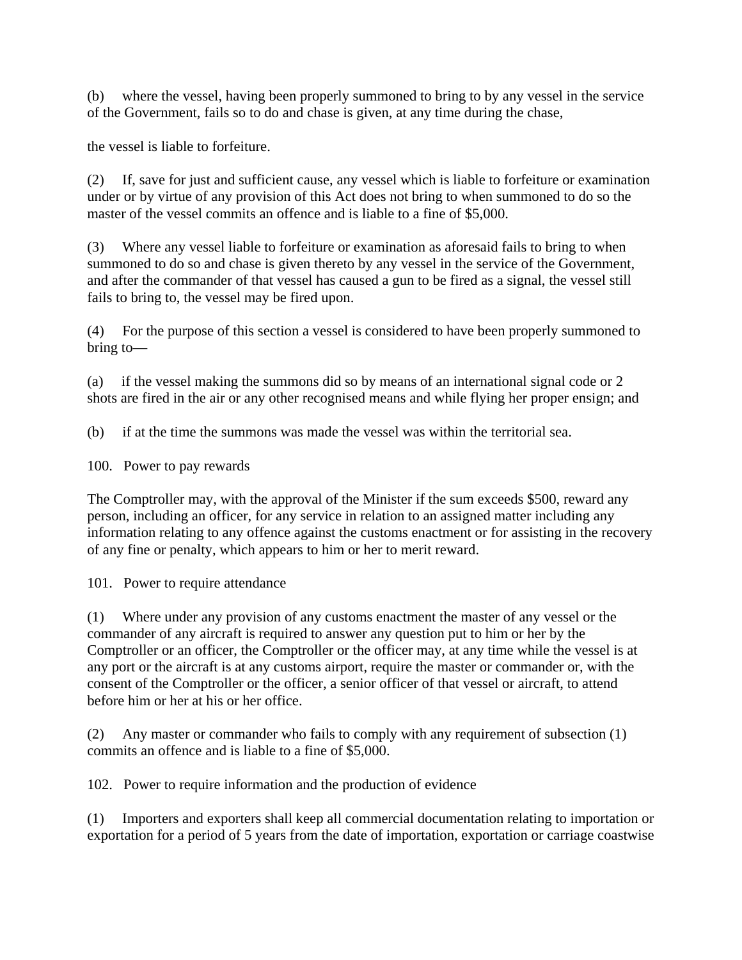(b) where the vessel, having been properly summoned to bring to by any vessel in the service of the Government, fails so to do and chase is given, at any time during the chase,

the vessel is liable to forfeiture.

(2) If, save for just and sufficient cause, any vessel which is liable to forfeiture or examination under or by virtue of any provision of this Act does not bring to when summoned to do so the master of the vessel commits an offence and is liable to a fine of \$5,000.

(3) Where any vessel liable to forfeiture or examination as aforesaid fails to bring to when summoned to do so and chase is given thereto by any vessel in the service of the Government, and after the commander of that vessel has caused a gun to be fired as a signal, the vessel still fails to bring to, the vessel may be fired upon.

(4) For the purpose of this section a vessel is considered to have been properly summoned to bring to—

(a) if the vessel making the summons did so by means of an international signal code or 2 shots are fired in the air or any other recognised means and while flying her proper ensign; and

(b) if at the time the summons was made the vessel was within the territorial sea.

100. Power to pay rewards

The Comptroller may, with the approval of the Minister if the sum exceeds \$500, reward any person, including an officer, for any service in relation to an assigned matter including any information relating to any offence against the customs enactment or for assisting in the recovery of any fine or penalty, which appears to him or her to merit reward.

101. Power to require attendance

(1) Where under any provision of any customs enactment the master of any vessel or the commander of any aircraft is required to answer any question put to him or her by the Comptroller or an officer, the Comptroller or the officer may, at any time while the vessel is at any port or the aircraft is at any customs airport, require the master or commander or, with the consent of the Comptroller or the officer, a senior officer of that vessel or aircraft, to attend before him or her at his or her office.

(2) Any master or commander who fails to comply with any requirement of subsection (1) commits an offence and is liable to a fine of \$5,000.

102. Power to require information and the production of evidence

(1) Importers and exporters shall keep all commercial documentation relating to importation or exportation for a period of 5 years from the date of importation, exportation or carriage coastwise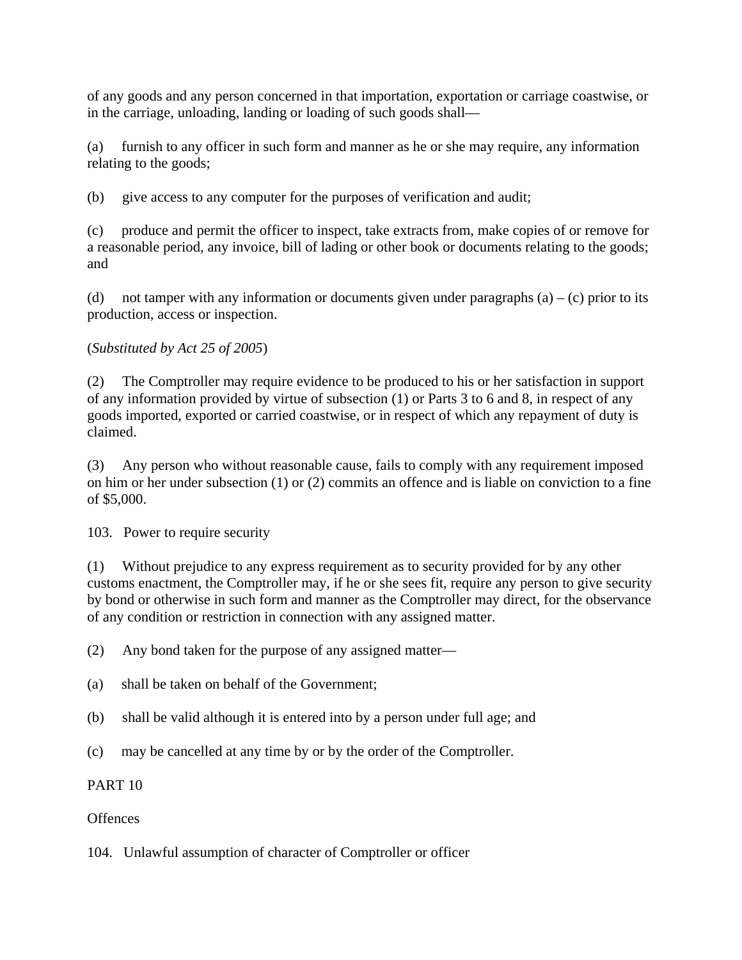of any goods and any person concerned in that importation, exportation or carriage coastwise, or in the carriage, unloading, landing or loading of such goods shall—

(a) furnish to any officer in such form and manner as he or she may require, any information relating to the goods;

(b) give access to any computer for the purposes of verification and audit;

(c) produce and permit the officer to inspect, take extracts from, make copies of or remove for a reasonable period, any invoice, bill of lading or other book or documents relating to the goods; and

(d) not tamper with any information or documents given under paragraphs  $(a) - (c)$  prior to its production, access or inspection.

## (*Substituted by Act 25 of 2005*)

(2) The Comptroller may require evidence to be produced to his or her satisfaction in support of any information provided by virtue of subsection (1) or Parts 3 to 6 and 8, in respect of any goods imported, exported or carried coastwise, or in respect of which any repayment of duty is claimed.

(3) Any person who without reasonable cause, fails to comply with any requirement imposed on him or her under subsection (1) or (2) commits an offence and is liable on conviction to a fine of \$5,000.

103. Power to require security

(1) Without prejudice to any express requirement as to security provided for by any other customs enactment, the Comptroller may, if he or she sees fit, require any person to give security by bond or otherwise in such form and manner as the Comptroller may direct, for the observance of any condition or restriction in connection with any assigned matter.

(2) Any bond taken for the purpose of any assigned matter—

- (a) shall be taken on behalf of the Government;
- (b) shall be valid although it is entered into by a person under full age; and
- (c) may be cancelled at any time by or by the order of the Comptroller.

## PART 10

## **Offences**

104. Unlawful assumption of character of Comptroller or officer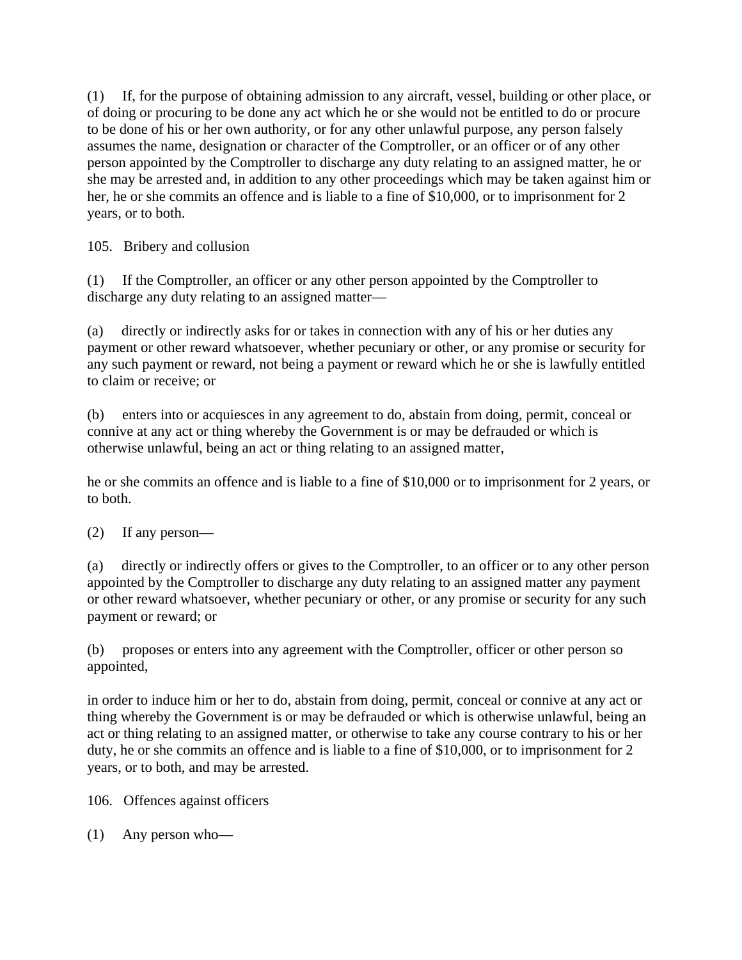(1) If, for the purpose of obtaining admission to any aircraft, vessel, building or other place, or of doing or procuring to be done any act which he or she would not be entitled to do or procure to be done of his or her own authority, or for any other unlawful purpose, any person falsely assumes the name, designation or character of the Comptroller, or an officer or of any other person appointed by the Comptroller to discharge any duty relating to an assigned matter, he or she may be arrested and, in addition to any other proceedings which may be taken against him or her, he or she commits an offence and is liable to a fine of \$10,000, or to imprisonment for 2 years, or to both.

105. Bribery and collusion

(1) If the Comptroller, an officer or any other person appointed by the Comptroller to discharge any duty relating to an assigned matter—

(a) directly or indirectly asks for or takes in connection with any of his or her duties any payment or other reward whatsoever, whether pecuniary or other, or any promise or security for any such payment or reward, not being a payment or reward which he or she is lawfully entitled to claim or receive; or

(b) enters into or acquiesces in any agreement to do, abstain from doing, permit, conceal or connive at any act or thing whereby the Government is or may be defrauded or which is otherwise unlawful, being an act or thing relating to an assigned matter,

he or she commits an offence and is liable to a fine of \$10,000 or to imprisonment for 2 years, or to both.

(2) If any person—

(a) directly or indirectly offers or gives to the Comptroller, to an officer or to any other person appointed by the Comptroller to discharge any duty relating to an assigned matter any payment or other reward whatsoever, whether pecuniary or other, or any promise or security for any such payment or reward; or

(b) proposes or enters into any agreement with the Comptroller, officer or other person so appointed,

in order to induce him or her to do, abstain from doing, permit, conceal or connive at any act or thing whereby the Government is or may be defrauded or which is otherwise unlawful, being an act or thing relating to an assigned matter, or otherwise to take any course contrary to his or her duty, he or she commits an offence and is liable to a fine of \$10,000, or to imprisonment for 2 years, or to both, and may be arrested.

106. Offences against officers

(1) Any person who—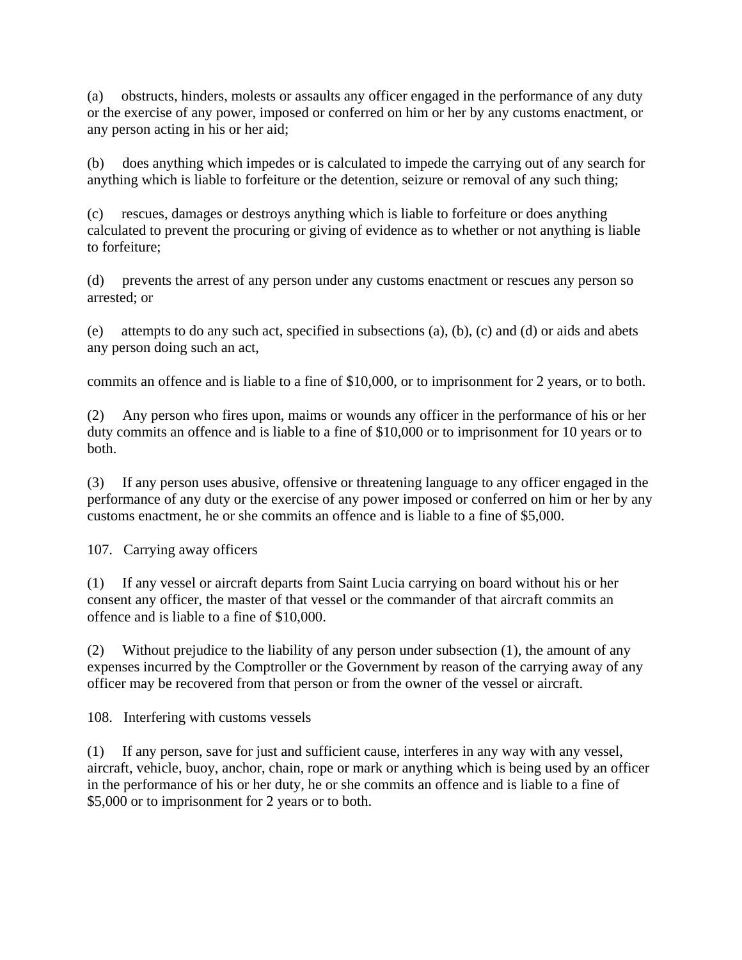(a) obstructs, hinders, molests or assaults any officer engaged in the performance of any duty or the exercise of any power, imposed or conferred on him or her by any customs enactment, or any person acting in his or her aid;

(b) does anything which impedes or is calculated to impede the carrying out of any search for anything which is liable to forfeiture or the detention, seizure or removal of any such thing;

(c) rescues, damages or destroys anything which is liable to forfeiture or does anything calculated to prevent the procuring or giving of evidence as to whether or not anything is liable to forfeiture;

(d) prevents the arrest of any person under any customs enactment or rescues any person so arrested; or

(e) attempts to do any such act, specified in subsections (a), (b), (c) and (d) or aids and abets any person doing such an act,

commits an offence and is liable to a fine of \$10,000, or to imprisonment for 2 years, or to both.

(2) Any person who fires upon, maims or wounds any officer in the performance of his or her duty commits an offence and is liable to a fine of \$10,000 or to imprisonment for 10 years or to both.

(3) If any person uses abusive, offensive or threatening language to any officer engaged in the performance of any duty or the exercise of any power imposed or conferred on him or her by any customs enactment, he or she commits an offence and is liable to a fine of \$5,000.

107. Carrying away officers

(1) If any vessel or aircraft departs from Saint Lucia carrying on board without his or her consent any officer, the master of that vessel or the commander of that aircraft commits an offence and is liable to a fine of \$10,000.

(2) Without prejudice to the liability of any person under subsection (1), the amount of any expenses incurred by the Comptroller or the Government by reason of the carrying away of any officer may be recovered from that person or from the owner of the vessel or aircraft.

108. Interfering with customs vessels

(1) If any person, save for just and sufficient cause, interferes in any way with any vessel, aircraft, vehicle, buoy, anchor, chain, rope or mark or anything which is being used by an officer in the performance of his or her duty, he or she commits an offence and is liable to a fine of \$5,000 or to imprisonment for 2 years or to both.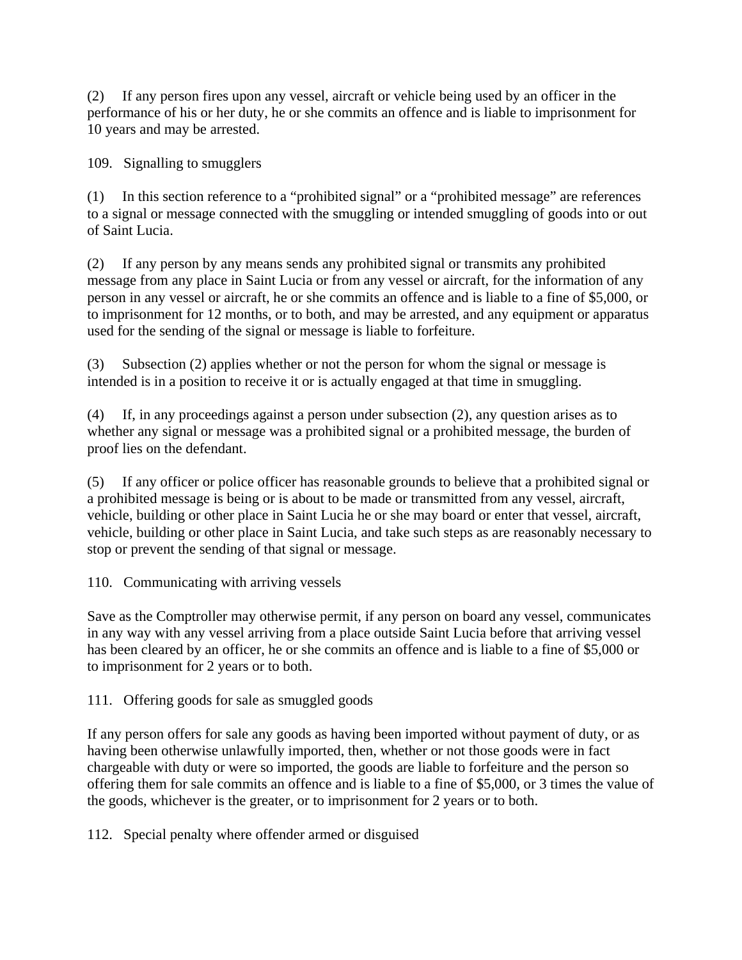(2) If any person fires upon any vessel, aircraft or vehicle being used by an officer in the performance of his or her duty, he or she commits an offence and is liable to imprisonment for 10 years and may be arrested.

109. Signalling to smugglers

(1) In this section reference to a "prohibited signal" or a "prohibited message" are references to a signal or message connected with the smuggling or intended smuggling of goods into or out of Saint Lucia.

(2) If any person by any means sends any prohibited signal or transmits any prohibited message from any place in Saint Lucia or from any vessel or aircraft, for the information of any person in any vessel or aircraft, he or she commits an offence and is liable to a fine of \$5,000, or to imprisonment for 12 months, or to both, and may be arrested, and any equipment or apparatus used for the sending of the signal or message is liable to forfeiture.

(3) Subsection (2) applies whether or not the person for whom the signal or message is intended is in a position to receive it or is actually engaged at that time in smuggling.

(4) If, in any proceedings against a person under subsection (2), any question arises as to whether any signal or message was a prohibited signal or a prohibited message, the burden of proof lies on the defendant.

(5) If any officer or police officer has reasonable grounds to believe that a prohibited signal or a prohibited message is being or is about to be made or transmitted from any vessel, aircraft, vehicle, building or other place in Saint Lucia he or she may board or enter that vessel, aircraft, vehicle, building or other place in Saint Lucia, and take such steps as are reasonably necessary to stop or prevent the sending of that signal or message.

110. Communicating with arriving vessels

Save as the Comptroller may otherwise permit, if any person on board any vessel, communicates in any way with any vessel arriving from a place outside Saint Lucia before that arriving vessel has been cleared by an officer, he or she commits an offence and is liable to a fine of \$5,000 or to imprisonment for 2 years or to both.

111. Offering goods for sale as smuggled goods

If any person offers for sale any goods as having been imported without payment of duty, or as having been otherwise unlawfully imported, then, whether or not those goods were in fact chargeable with duty or were so imported, the goods are liable to forfeiture and the person so offering them for sale commits an offence and is liable to a fine of \$5,000, or 3 times the value of the goods, whichever is the greater, or to imprisonment for 2 years or to both.

112. Special penalty where offender armed or disguised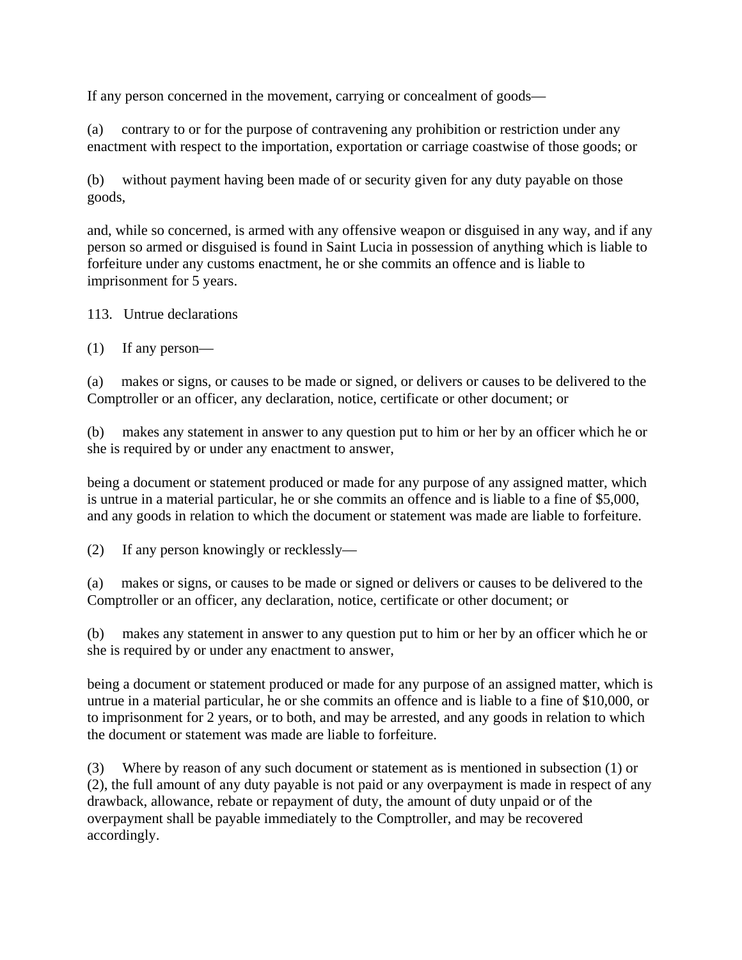If any person concerned in the movement, carrying or concealment of goods—

(a) contrary to or for the purpose of contravening any prohibition or restriction under any enactment with respect to the importation, exportation or carriage coastwise of those goods; or

(b) without payment having been made of or security given for any duty payable on those goods,

and, while so concerned, is armed with any offensive weapon or disguised in any way, and if any person so armed or disguised is found in Saint Lucia in possession of anything which is liable to forfeiture under any customs enactment, he or she commits an offence and is liable to imprisonment for 5 years.

113. Untrue declarations

(1) If any person—

(a) makes or signs, or causes to be made or signed, or delivers or causes to be delivered to the Comptroller or an officer, any declaration, notice, certificate or other document; or

(b) makes any statement in answer to any question put to him or her by an officer which he or she is required by or under any enactment to answer,

being a document or statement produced or made for any purpose of any assigned matter, which is untrue in a material particular, he or she commits an offence and is liable to a fine of \$5,000, and any goods in relation to which the document or statement was made are liable to forfeiture.

(2) If any person knowingly or recklessly—

(a) makes or signs, or causes to be made or signed or delivers or causes to be delivered to the Comptroller or an officer, any declaration, notice, certificate or other document; or

(b) makes any statement in answer to any question put to him or her by an officer which he or she is required by or under any enactment to answer,

being a document or statement produced or made for any purpose of an assigned matter, which is untrue in a material particular, he or she commits an offence and is liable to a fine of \$10,000, or to imprisonment for 2 years, or to both, and may be arrested, and any goods in relation to which the document or statement was made are liable to forfeiture.

(3) Where by reason of any such document or statement as is mentioned in subsection (1) or (2), the full amount of any duty payable is not paid or any overpayment is made in respect of any drawback, allowance, rebate or repayment of duty, the amount of duty unpaid or of the overpayment shall be payable immediately to the Comptroller, and may be recovered accordingly.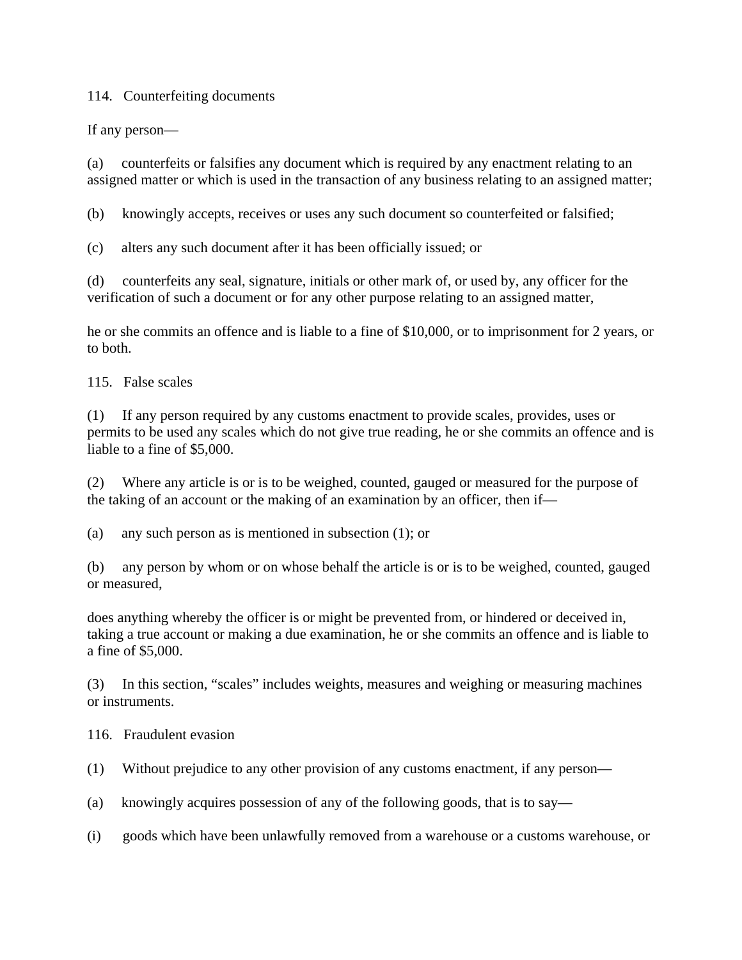### 114. Counterfeiting documents

If any person—

(a) counterfeits or falsifies any document which is required by any enactment relating to an assigned matter or which is used in the transaction of any business relating to an assigned matter;

(b) knowingly accepts, receives or uses any such document so counterfeited or falsified;

(c) alters any such document after it has been officially issued; or

(d) counterfeits any seal, signature, initials or other mark of, or used by, any officer for the verification of such a document or for any other purpose relating to an assigned matter,

he or she commits an offence and is liable to a fine of \$10,000, or to imprisonment for 2 years, or to both.

115. False scales

(1) If any person required by any customs enactment to provide scales, provides, uses or permits to be used any scales which do not give true reading, he or she commits an offence and is liable to a fine of \$5,000.

(2) Where any article is or is to be weighed, counted, gauged or measured for the purpose of the taking of an account or the making of an examination by an officer, then if—

(a) any such person as is mentioned in subsection (1); or

(b) any person by whom or on whose behalf the article is or is to be weighed, counted, gauged or measured,

does anything whereby the officer is or might be prevented from, or hindered or deceived in, taking a true account or making a due examination, he or she commits an offence and is liable to a fine of \$5,000.

(3) In this section, "scales" includes weights, measures and weighing or measuring machines or instruments.

116. Fraudulent evasion

(1) Without prejudice to any other provision of any customs enactment, if any person—

(a) knowingly acquires possession of any of the following goods, that is to say—

(i) goods which have been unlawfully removed from a warehouse or a customs warehouse, or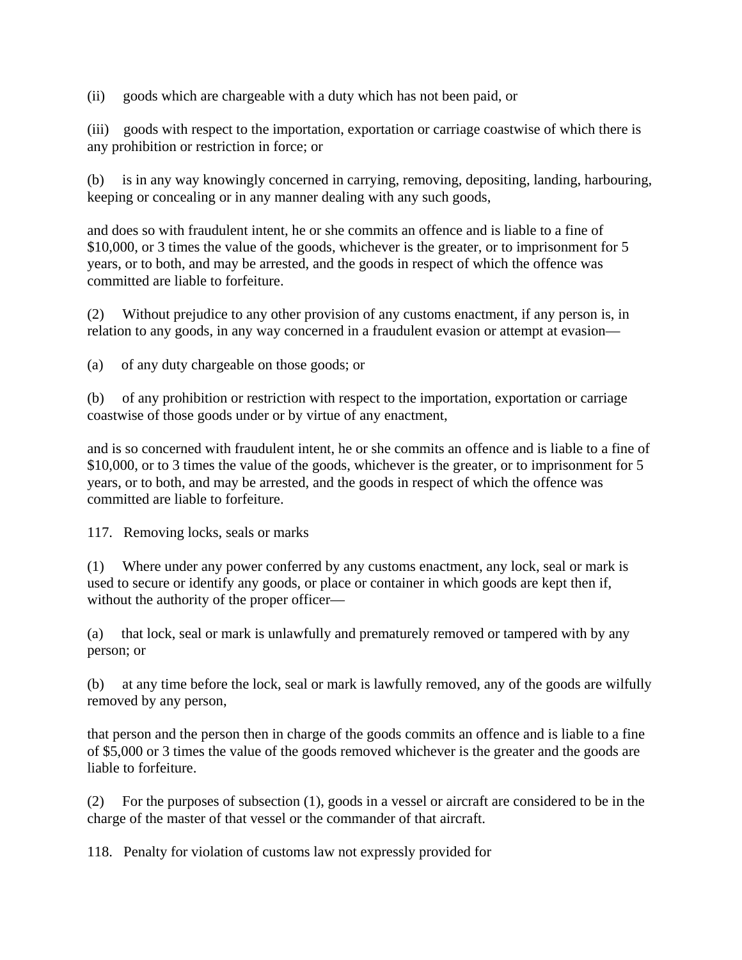(ii) goods which are chargeable with a duty which has not been paid, or

(iii) goods with respect to the importation, exportation or carriage coastwise of which there is any prohibition or restriction in force; or

(b) is in any way knowingly concerned in carrying, removing, depositing, landing, harbouring, keeping or concealing or in any manner dealing with any such goods,

and does so with fraudulent intent, he or she commits an offence and is liable to a fine of \$10,000, or 3 times the value of the goods, whichever is the greater, or to imprisonment for 5 years, or to both, and may be arrested, and the goods in respect of which the offence was committed are liable to forfeiture.

(2) Without prejudice to any other provision of any customs enactment, if any person is, in relation to any goods, in any way concerned in a fraudulent evasion or attempt at evasion—

(a) of any duty chargeable on those goods; or

(b) of any prohibition or restriction with respect to the importation, exportation or carriage coastwise of those goods under or by virtue of any enactment,

and is so concerned with fraudulent intent, he or she commits an offence and is liable to a fine of \$10,000, or to 3 times the value of the goods, whichever is the greater, or to imprisonment for 5 years, or to both, and may be arrested, and the goods in respect of which the offence was committed are liable to forfeiture.

117. Removing locks, seals or marks

(1) Where under any power conferred by any customs enactment, any lock, seal or mark is used to secure or identify any goods, or place or container in which goods are kept then if, without the authority of the proper officer—

(a) that lock, seal or mark is unlawfully and prematurely removed or tampered with by any person; or

(b) at any time before the lock, seal or mark is lawfully removed, any of the goods are wilfully removed by any person,

that person and the person then in charge of the goods commits an offence and is liable to a fine of \$5,000 or 3 times the value of the goods removed whichever is the greater and the goods are liable to forfeiture.

(2) For the purposes of subsection (1), goods in a vessel or aircraft are considered to be in the charge of the master of that vessel or the commander of that aircraft.

118. Penalty for violation of customs law not expressly provided for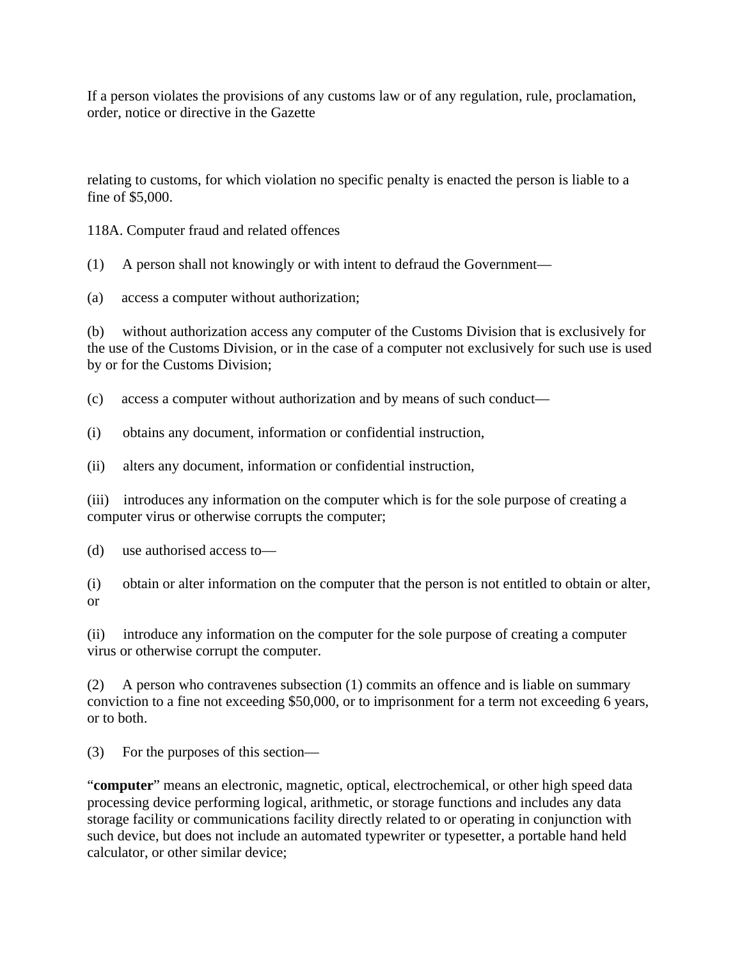If a person violates the provisions of any customs law or of any regulation, rule, proclamation, order, notice or directive in the Gazette

relating to customs, for which violation no specific penalty is enacted the person is liable to a fine of \$5,000.

118A. Computer fraud and related offences

(1) A person shall not knowingly or with intent to defraud the Government—

(a) access a computer without authorization;

(b) without authorization access any computer of the Customs Division that is exclusively for the use of the Customs Division, or in the case of a computer not exclusively for such use is used by or for the Customs Division;

(c) access a computer without authorization and by means of such conduct—

(i) obtains any document, information or confidential instruction,

(ii) alters any document, information or confidential instruction,

(iii) introduces any information on the computer which is for the sole purpose of creating a computer virus or otherwise corrupts the computer;

(d) use authorised access to—

(i) obtain or alter information on the computer that the person is not entitled to obtain or alter, or

(ii) introduce any information on the computer for the sole purpose of creating a computer virus or otherwise corrupt the computer.

(2) A person who contravenes subsection (1) commits an offence and is liable on summary conviction to a fine not exceeding \$50,000, or to imprisonment for a term not exceeding 6 years, or to both.

(3) For the purposes of this section—

"**computer**" means an electronic, magnetic, optical, electrochemical, or other high speed data processing device performing logical, arithmetic, or storage functions and includes any data storage facility or communications facility directly related to or operating in conjunction with such device, but does not include an automated typewriter or typesetter, a portable hand held calculator, or other similar device;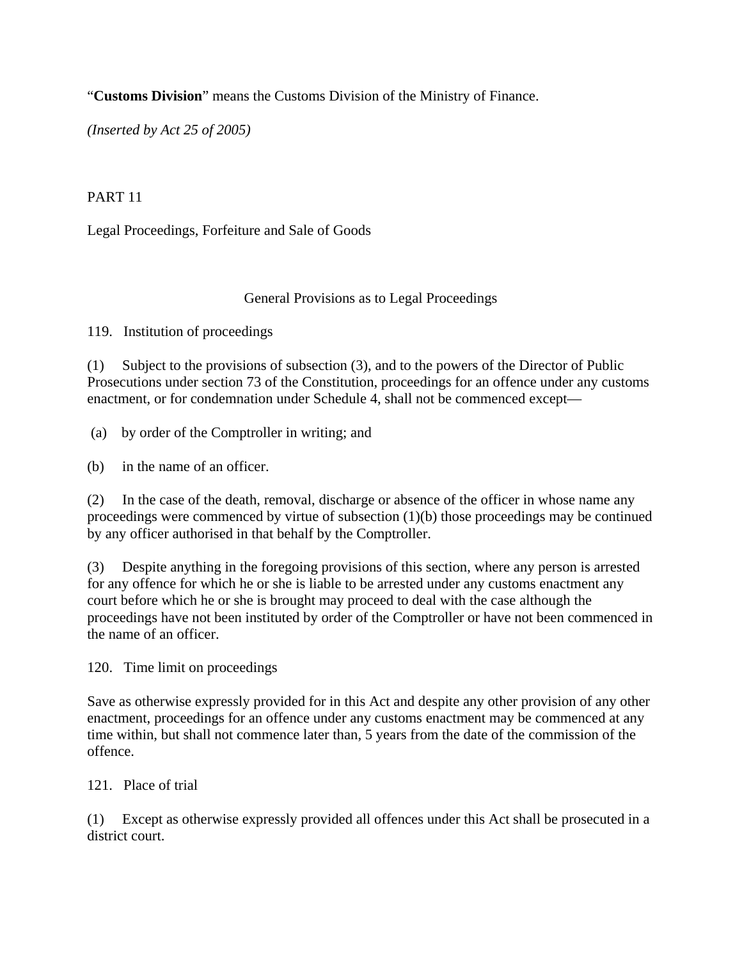"**Customs Division**" means the Customs Division of the Ministry of Finance.

*(Inserted by Act 25 of 2005)*

## PART 11

Legal Proceedings, Forfeiture and Sale of Goods

### General Provisions as to Legal Proceedings

119. Institution of proceedings

(1) Subject to the provisions of subsection (3), and to the powers of the Director of Public Prosecutions under section 73 of the Constitution, proceedings for an offence under any customs enactment, or for condemnation under Schedule 4, shall not be commenced except—

(a) by order of the Comptroller in writing; and

(b) in the name of an officer.

(2) In the case of the death, removal, discharge or absence of the officer in whose name any proceedings were commenced by virtue of subsection (1)(b) those proceedings may be continued by any officer authorised in that behalf by the Comptroller.

(3) Despite anything in the foregoing provisions of this section, where any person is arrested for any offence for which he or she is liable to be arrested under any customs enactment any court before which he or she is brought may proceed to deal with the case although the proceedings have not been instituted by order of the Comptroller or have not been commenced in the name of an officer.

120. Time limit on proceedings

Save as otherwise expressly provided for in this Act and despite any other provision of any other enactment, proceedings for an offence under any customs enactment may be commenced at any time within, but shall not commence later than, 5 years from the date of the commission of the offence.

121. Place of trial

(1) Except as otherwise expressly provided all offences under this Act shall be prosecuted in a district court.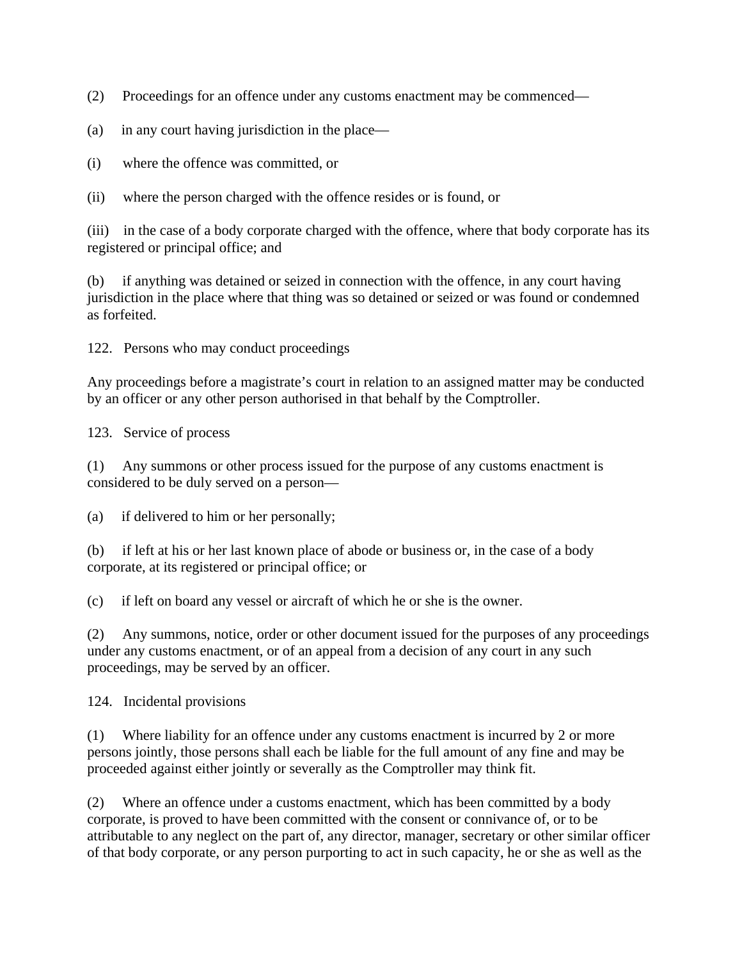(2) Proceedings for an offence under any customs enactment may be commenced—

- (a) in any court having jurisdiction in the place—
- (i) where the offence was committed, or

(ii) where the person charged with the offence resides or is found, or

(iii) in the case of a body corporate charged with the offence, where that body corporate has its registered or principal office; and

(b) if anything was detained or seized in connection with the offence, in any court having jurisdiction in the place where that thing was so detained or seized or was found or condemned as forfeited.

122. Persons who may conduct proceedings

Any proceedings before a magistrate's court in relation to an assigned matter may be conducted by an officer or any other person authorised in that behalf by the Comptroller.

123. Service of process

(1) Any summons or other process issued for the purpose of any customs enactment is considered to be duly served on a person—

(a) if delivered to him or her personally;

(b) if left at his or her last known place of abode or business or, in the case of a body corporate, at its registered or principal office; or

(c) if left on board any vessel or aircraft of which he or she is the owner.

(2) Any summons, notice, order or other document issued for the purposes of any proceedings under any customs enactment, or of an appeal from a decision of any court in any such proceedings, may be served by an officer.

124. Incidental provisions

(1) Where liability for an offence under any customs enactment is incurred by 2 or more persons jointly, those persons shall each be liable for the full amount of any fine and may be proceeded against either jointly or severally as the Comptroller may think fit.

(2) Where an offence under a customs enactment, which has been committed by a body corporate, is proved to have been committed with the consent or connivance of, or to be attributable to any neglect on the part of, any director, manager, secretary or other similar officer of that body corporate, or any person purporting to act in such capacity, he or she as well as the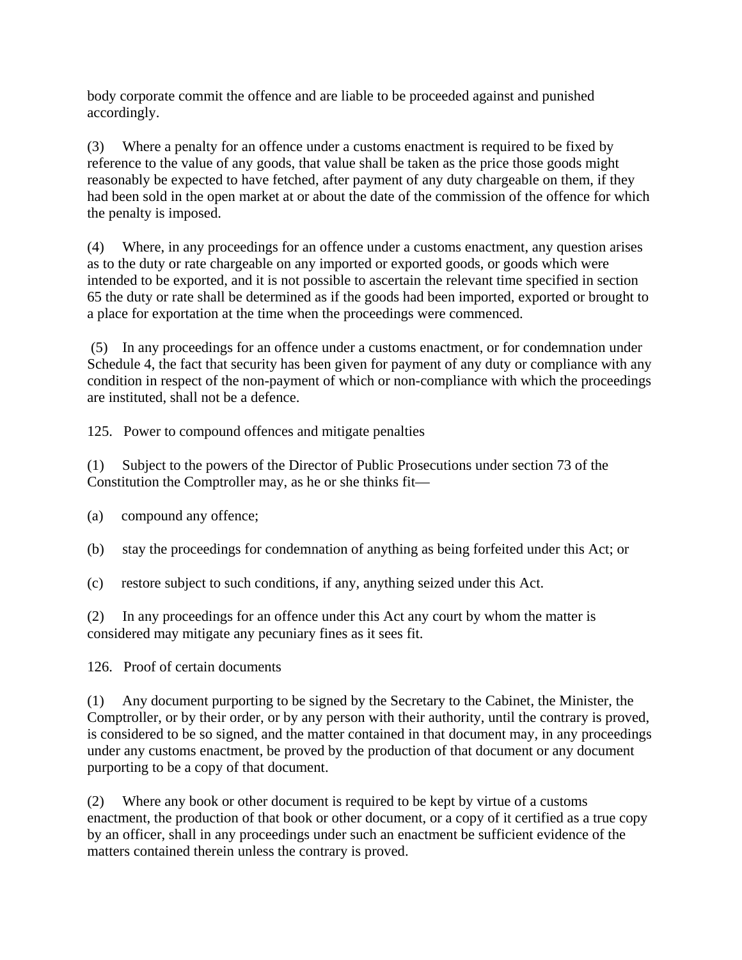body corporate commit the offence and are liable to be proceeded against and punished accordingly.

(3) Where a penalty for an offence under a customs enactment is required to be fixed by reference to the value of any goods, that value shall be taken as the price those goods might reasonably be expected to have fetched, after payment of any duty chargeable on them, if they had been sold in the open market at or about the date of the commission of the offence for which the penalty is imposed.

(4) Where, in any proceedings for an offence under a customs enactment, any question arises as to the duty or rate chargeable on any imported or exported goods, or goods which were intended to be exported, and it is not possible to ascertain the relevant time specified in section 65 the duty or rate shall be determined as if the goods had been imported, exported or brought to a place for exportation at the time when the proceedings were commenced.

 (5) In any proceedings for an offence under a customs enactment, or for condemnation under Schedule 4, the fact that security has been given for payment of any duty or compliance with any condition in respect of the non-payment of which or non-compliance with which the proceedings are instituted, shall not be a defence.

125. Power to compound offences and mitigate penalties

(1) Subject to the powers of the Director of Public Prosecutions under section 73 of the Constitution the Comptroller may, as he or she thinks fit—

(a) compound any offence;

(b) stay the proceedings for condemnation of anything as being forfeited under this Act; or

(c) restore subject to such conditions, if any, anything seized under this Act.

(2) In any proceedings for an offence under this Act any court by whom the matter is considered may mitigate any pecuniary fines as it sees fit.

126. Proof of certain documents

(1) Any document purporting to be signed by the Secretary to the Cabinet, the Minister, the Comptroller, or by their order, or by any person with their authority, until the contrary is proved, is considered to be so signed, and the matter contained in that document may, in any proceedings under any customs enactment, be proved by the production of that document or any document purporting to be a copy of that document.

(2) Where any book or other document is required to be kept by virtue of a customs enactment, the production of that book or other document, or a copy of it certified as a true copy by an officer, shall in any proceedings under such an enactment be sufficient evidence of the matters contained therein unless the contrary is proved.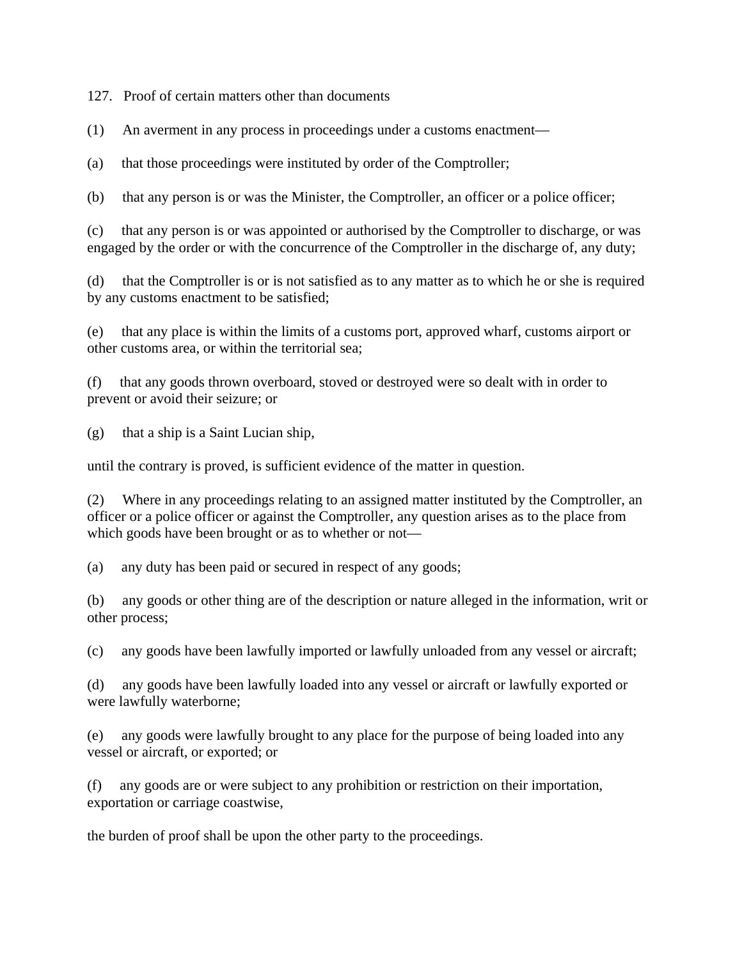127. Proof of certain matters other than documents

(1) An averment in any process in proceedings under a customs enactment—

(a) that those proceedings were instituted by order of the Comptroller;

(b) that any person is or was the Minister, the Comptroller, an officer or a police officer;

(c) that any person is or was appointed or authorised by the Comptroller to discharge, or was engaged by the order or with the concurrence of the Comptroller in the discharge of, any duty;

(d) that the Comptroller is or is not satisfied as to any matter as to which he or she is required by any customs enactment to be satisfied;

(e) that any place is within the limits of a customs port, approved wharf, customs airport or other customs area, or within the territorial sea;

(f) that any goods thrown overboard, stoved or destroyed were so dealt with in order to prevent or avoid their seizure; or

(g) that a ship is a Saint Lucian ship,

until the contrary is proved, is sufficient evidence of the matter in question.

(2) Where in any proceedings relating to an assigned matter instituted by the Comptroller, an officer or a police officer or against the Comptroller, any question arises as to the place from which goods have been brought or as to whether or not—

(a) any duty has been paid or secured in respect of any goods;

(b) any goods or other thing are of the description or nature alleged in the information, writ or other process;

(c) any goods have been lawfully imported or lawfully unloaded from any vessel or aircraft;

(d) any goods have been lawfully loaded into any vessel or aircraft or lawfully exported or were lawfully waterborne;

(e) any goods were lawfully brought to any place for the purpose of being loaded into any vessel or aircraft, or exported; or

(f) any goods are or were subject to any prohibition or restriction on their importation, exportation or carriage coastwise,

the burden of proof shall be upon the other party to the proceedings.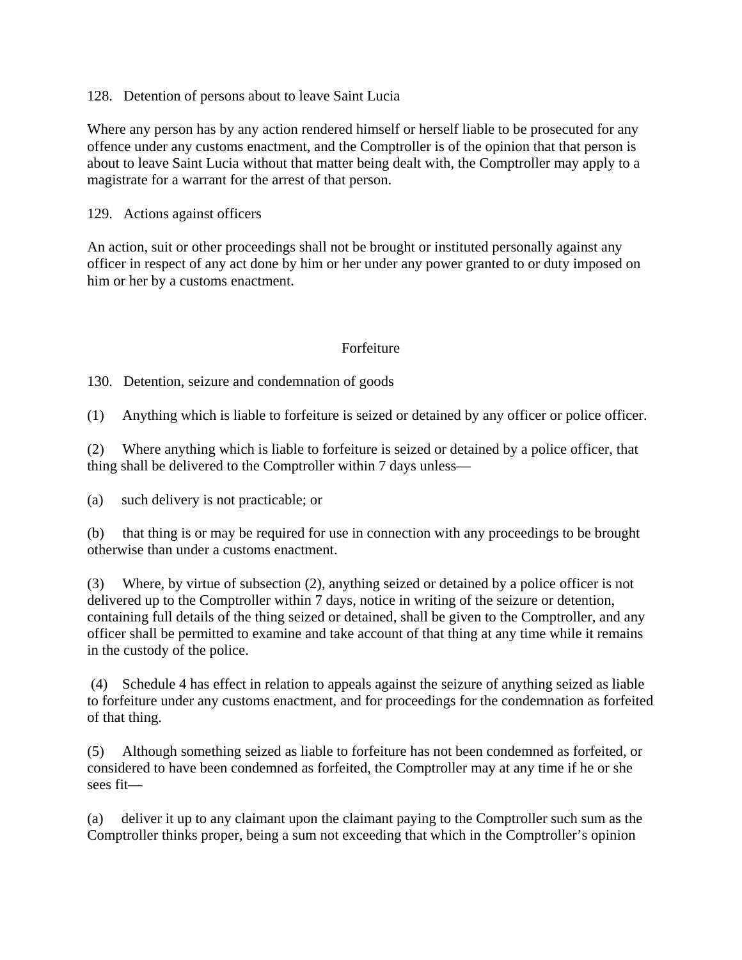### 128. Detention of persons about to leave Saint Lucia

Where any person has by any action rendered himself or herself liable to be prosecuted for any offence under any customs enactment, and the Comptroller is of the opinion that that person is about to leave Saint Lucia without that matter being dealt with, the Comptroller may apply to a magistrate for a warrant for the arrest of that person.

### 129. Actions against officers

An action, suit or other proceedings shall not be brought or instituted personally against any officer in respect of any act done by him or her under any power granted to or duty imposed on him or her by a customs enactment.

### Forfeiture

130. Detention, seizure and condemnation of goods

(1) Anything which is liable to forfeiture is seized or detained by any officer or police officer.

(2) Where anything which is liable to forfeiture is seized or detained by a police officer, that thing shall be delivered to the Comptroller within 7 days unless—

(a) such delivery is not practicable; or

(b) that thing is or may be required for use in connection with any proceedings to be brought otherwise than under a customs enactment.

(3) Where, by virtue of subsection (2), anything seized or detained by a police officer is not delivered up to the Comptroller within 7 days, notice in writing of the seizure or detention, containing full details of the thing seized or detained, shall be given to the Comptroller, and any officer shall be permitted to examine and take account of that thing at any time while it remains in the custody of the police.

 (4) Schedule 4 has effect in relation to appeals against the seizure of anything seized as liable to forfeiture under any customs enactment, and for proceedings for the condemnation as forfeited of that thing.

(5) Although something seized as liable to forfeiture has not been condemned as forfeited, or considered to have been condemned as forfeited, the Comptroller may at any time if he or she sees fit—

(a) deliver it up to any claimant upon the claimant paying to the Comptroller such sum as the Comptroller thinks proper, being a sum not exceeding that which in the Comptroller's opinion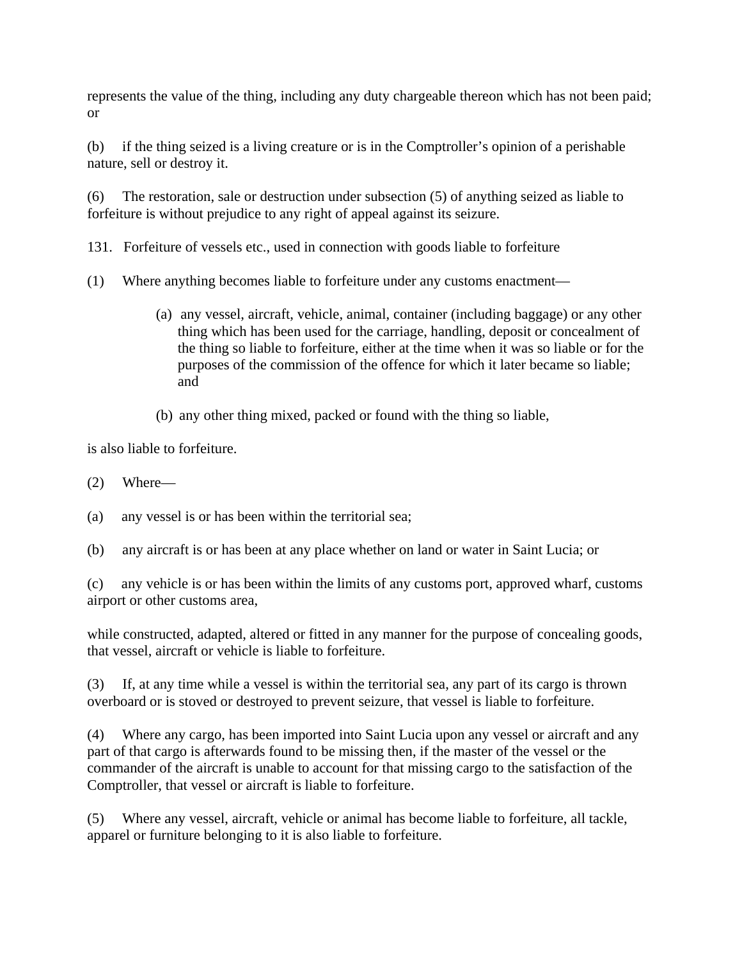represents the value of the thing, including any duty chargeable thereon which has not been paid; or

(b) if the thing seized is a living creature or is in the Comptroller's opinion of a perishable nature, sell or destroy it.

(6) The restoration, sale or destruction under subsection (5) of anything seized as liable to forfeiture is without prejudice to any right of appeal against its seizure.

131. Forfeiture of vessels etc., used in connection with goods liable to forfeiture

- (1) Where anything becomes liable to forfeiture under any customs enactment—
	- (a) any vessel, aircraft, vehicle, animal, container (including baggage) or any other thing which has been used for the carriage, handling, deposit or concealment of the thing so liable to forfeiture, either at the time when it was so liable or for the purposes of the commission of the offence for which it later became so liable; and
	- (b) any other thing mixed, packed or found with the thing so liable,

is also liable to forfeiture.

(2) Where—

(a) any vessel is or has been within the territorial sea;

(b) any aircraft is or has been at any place whether on land or water in Saint Lucia; or

(c) any vehicle is or has been within the limits of any customs port, approved wharf, customs airport or other customs area,

while constructed, adapted, altered or fitted in any manner for the purpose of concealing goods, that vessel, aircraft or vehicle is liable to forfeiture.

(3) If, at any time while a vessel is within the territorial sea, any part of its cargo is thrown overboard or is stoved or destroyed to prevent seizure, that vessel is liable to forfeiture.

(4) Where any cargo, has been imported into Saint Lucia upon any vessel or aircraft and any part of that cargo is afterwards found to be missing then, if the master of the vessel or the commander of the aircraft is unable to account for that missing cargo to the satisfaction of the Comptroller, that vessel or aircraft is liable to forfeiture.

(5) Where any vessel, aircraft, vehicle or animal has become liable to forfeiture, all tackle, apparel or furniture belonging to it is also liable to forfeiture.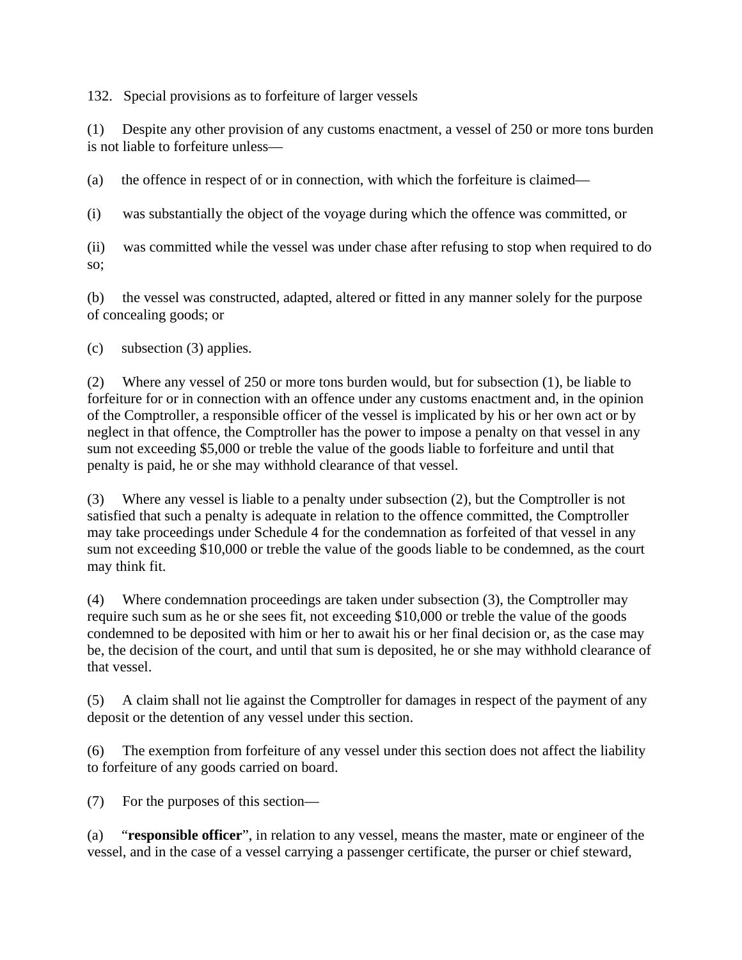132. Special provisions as to forfeiture of larger vessels

(1) Despite any other provision of any customs enactment, a vessel of 250 or more tons burden is not liable to forfeiture unless—

(a) the offence in respect of or in connection, with which the forfeiture is claimed—

(i) was substantially the object of the voyage during which the offence was committed, or

(ii) was committed while the vessel was under chase after refusing to stop when required to do so;

(b) the vessel was constructed, adapted, altered or fitted in any manner solely for the purpose of concealing goods; or

(c) subsection (3) applies.

(2) Where any vessel of 250 or more tons burden would, but for subsection (1), be liable to forfeiture for or in connection with an offence under any customs enactment and, in the opinion of the Comptroller, a responsible officer of the vessel is implicated by his or her own act or by neglect in that offence, the Comptroller has the power to impose a penalty on that vessel in any sum not exceeding \$5,000 or treble the value of the goods liable to forfeiture and until that penalty is paid, he or she may withhold clearance of that vessel.

(3) Where any vessel is liable to a penalty under subsection (2), but the Comptroller is not satisfied that such a penalty is adequate in relation to the offence committed, the Comptroller may take proceedings under Schedule 4 for the condemnation as forfeited of that vessel in any sum not exceeding \$10,000 or treble the value of the goods liable to be condemned, as the court may think fit.

(4) Where condemnation proceedings are taken under subsection (3), the Comptroller may require such sum as he or she sees fit, not exceeding \$10,000 or treble the value of the goods condemned to be deposited with him or her to await his or her final decision or, as the case may be, the decision of the court, and until that sum is deposited, he or she may withhold clearance of that vessel.

(5) A claim shall not lie against the Comptroller for damages in respect of the payment of any deposit or the detention of any vessel under this section.

(6) The exemption from forfeiture of any vessel under this section does not affect the liability to forfeiture of any goods carried on board.

(7) For the purposes of this section—

(a) "**responsible officer**", in relation to any vessel, means the master, mate or engineer of the vessel, and in the case of a vessel carrying a passenger certificate, the purser or chief steward,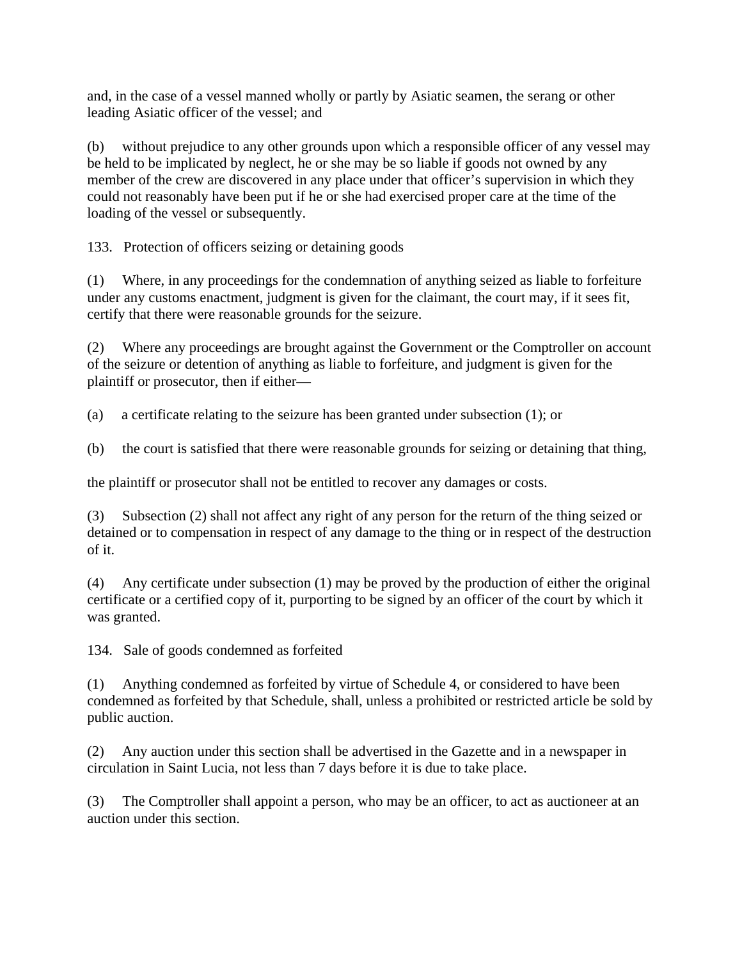and, in the case of a vessel manned wholly or partly by Asiatic seamen, the serang or other leading Asiatic officer of the vessel; and

(b) without prejudice to any other grounds upon which a responsible officer of any vessel may be held to be implicated by neglect, he or she may be so liable if goods not owned by any member of the crew are discovered in any place under that officer's supervision in which they could not reasonably have been put if he or she had exercised proper care at the time of the loading of the vessel or subsequently.

133. Protection of officers seizing or detaining goods

(1) Where, in any proceedings for the condemnation of anything seized as liable to forfeiture under any customs enactment, judgment is given for the claimant, the court may, if it sees fit, certify that there were reasonable grounds for the seizure.

(2) Where any proceedings are brought against the Government or the Comptroller on account of the seizure or detention of anything as liable to forfeiture, and judgment is given for the plaintiff or prosecutor, then if either—

(a) a certificate relating to the seizure has been granted under subsection (1); or

(b) the court is satisfied that there were reasonable grounds for seizing or detaining that thing,

the plaintiff or prosecutor shall not be entitled to recover any damages or costs.

(3) Subsection (2) shall not affect any right of any person for the return of the thing seized or detained or to compensation in respect of any damage to the thing or in respect of the destruction of it.

(4) Any certificate under subsection (1) may be proved by the production of either the original certificate or a certified copy of it, purporting to be signed by an officer of the court by which it was granted.

134. Sale of goods condemned as forfeited

(1) Anything condemned as forfeited by virtue of Schedule 4, or considered to have been condemned as forfeited by that Schedule, shall, unless a prohibited or restricted article be sold by public auction.

(2) Any auction under this section shall be advertised in the Gazette and in a newspaper in circulation in Saint Lucia, not less than 7 days before it is due to take place.

(3) The Comptroller shall appoint a person, who may be an officer, to act as auctioneer at an auction under this section.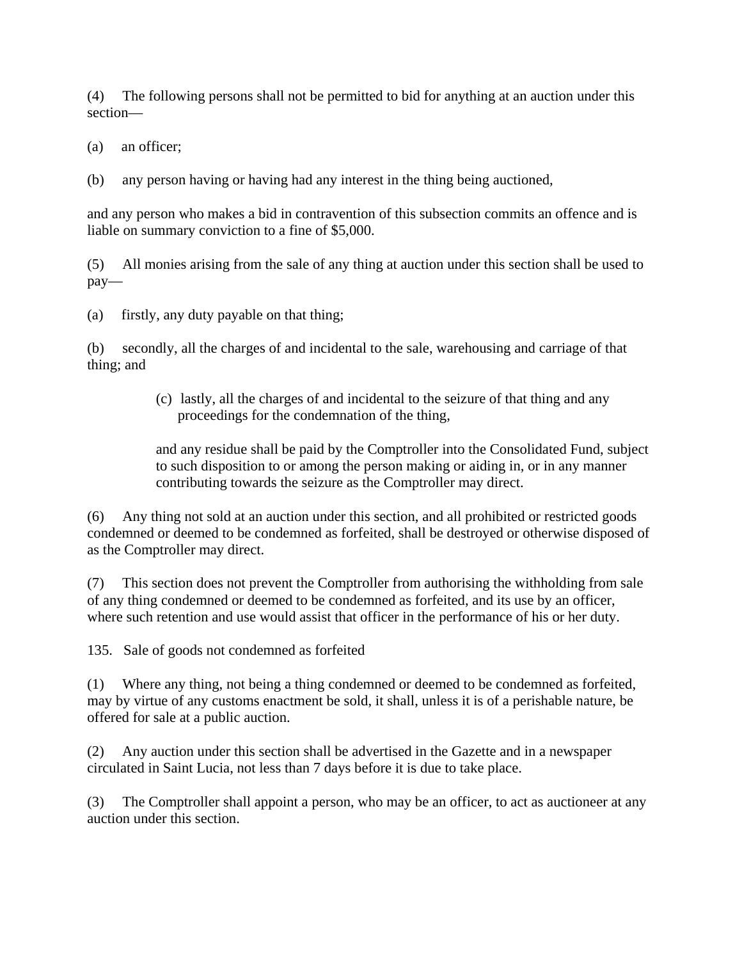(4) The following persons shall not be permitted to bid for anything at an auction under this section—

(a) an officer;

(b) any person having or having had any interest in the thing being auctioned,

and any person who makes a bid in contravention of this subsection commits an offence and is liable on summary conviction to a fine of \$5,000.

(5) All monies arising from the sale of any thing at auction under this section shall be used to pay—

(a) firstly, any duty payable on that thing;

(b) secondly, all the charges of and incidental to the sale, warehousing and carriage of that thing; and

> (c) lastly, all the charges of and incidental to the seizure of that thing and any proceedings for the condemnation of the thing,

and any residue shall be paid by the Comptroller into the Consolidated Fund, subject to such disposition to or among the person making or aiding in, or in any manner contributing towards the seizure as the Comptroller may direct.

(6) Any thing not sold at an auction under this section, and all prohibited or restricted goods condemned or deemed to be condemned as forfeited, shall be destroyed or otherwise disposed of as the Comptroller may direct.

(7) This section does not prevent the Comptroller from authorising the withholding from sale of any thing condemned or deemed to be condemned as forfeited, and its use by an officer, where such retention and use would assist that officer in the performance of his or her duty.

135. Sale of goods not condemned as forfeited

(1) Where any thing, not being a thing condemned or deemed to be condemned as forfeited, may by virtue of any customs enactment be sold, it shall, unless it is of a perishable nature, be offered for sale at a public auction.

(2) Any auction under this section shall be advertised in the Gazette and in a newspaper circulated in Saint Lucia, not less than 7 days before it is due to take place.

(3) The Comptroller shall appoint a person, who may be an officer, to act as auctioneer at any auction under this section.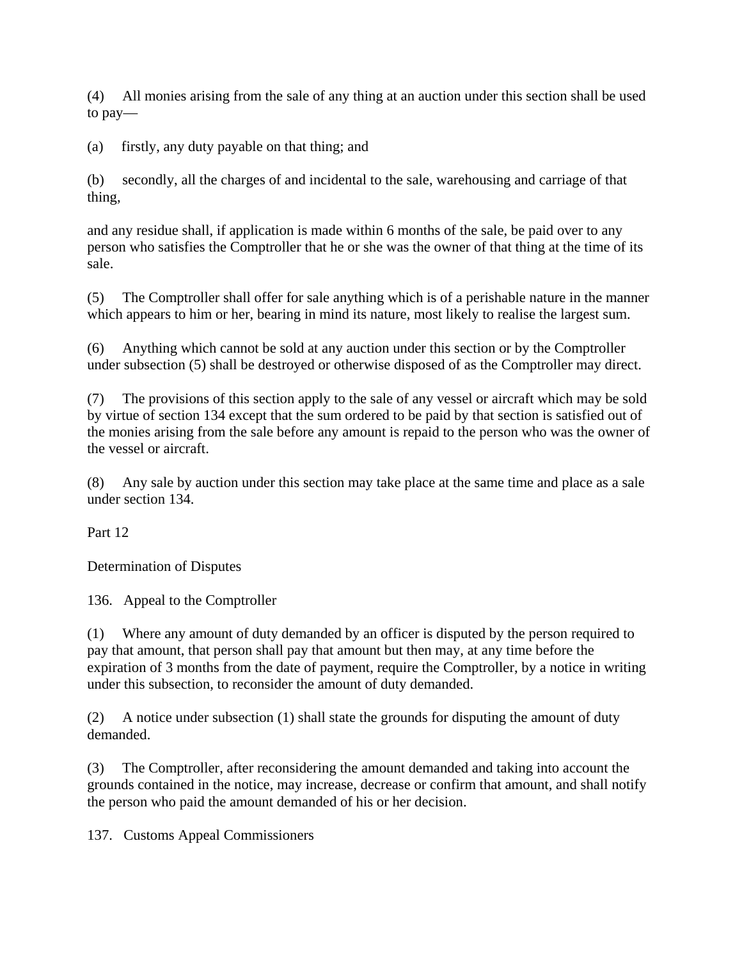(4) All monies arising from the sale of any thing at an auction under this section shall be used to pay—

(a) firstly, any duty payable on that thing; and

(b) secondly, all the charges of and incidental to the sale, warehousing and carriage of that thing,

and any residue shall, if application is made within 6 months of the sale, be paid over to any person who satisfies the Comptroller that he or she was the owner of that thing at the time of its sale.

(5) The Comptroller shall offer for sale anything which is of a perishable nature in the manner which appears to him or her, bearing in mind its nature, most likely to realise the largest sum.

(6) Anything which cannot be sold at any auction under this section or by the Comptroller under subsection (5) shall be destroyed or otherwise disposed of as the Comptroller may direct.

(7) The provisions of this section apply to the sale of any vessel or aircraft which may be sold by virtue of section 134 except that the sum ordered to be paid by that section is satisfied out of the monies arising from the sale before any amount is repaid to the person who was the owner of the vessel or aircraft.

(8) Any sale by auction under this section may take place at the same time and place as a sale under section 134.

Part 12

Determination of Disputes

136. Appeal to the Comptroller

(1) Where any amount of duty demanded by an officer is disputed by the person required to pay that amount, that person shall pay that amount but then may, at any time before the expiration of 3 months from the date of payment, require the Comptroller, by a notice in writing under this subsection, to reconsider the amount of duty demanded.

(2) A notice under subsection (1) shall state the grounds for disputing the amount of duty demanded.

(3) The Comptroller, after reconsidering the amount demanded and taking into account the grounds contained in the notice, may increase, decrease or confirm that amount, and shall notify the person who paid the amount demanded of his or her decision.

137. Customs Appeal Commissioners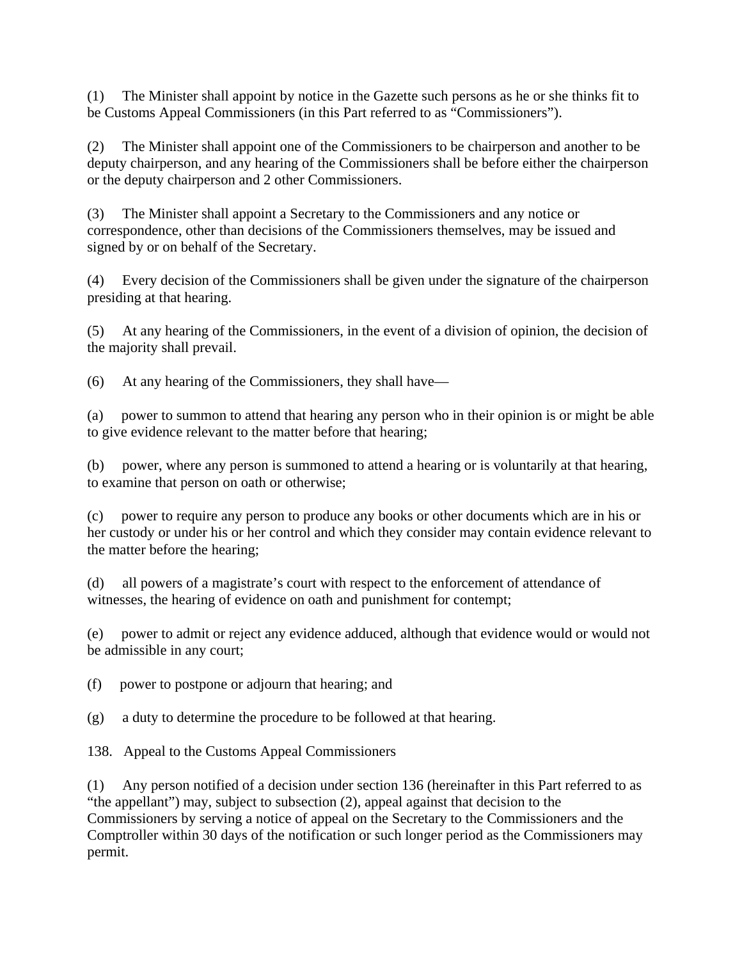(1) The Minister shall appoint by notice in the Gazette such persons as he or she thinks fit to be Customs Appeal Commissioners (in this Part referred to as "Commissioners").

(2) The Minister shall appoint one of the Commissioners to be chairperson and another to be deputy chairperson, and any hearing of the Commissioners shall be before either the chairperson or the deputy chairperson and 2 other Commissioners.

(3) The Minister shall appoint a Secretary to the Commissioners and any notice or correspondence, other than decisions of the Commissioners themselves, may be issued and signed by or on behalf of the Secretary.

(4) Every decision of the Commissioners shall be given under the signature of the chairperson presiding at that hearing.

(5) At any hearing of the Commissioners, in the event of a division of opinion, the decision of the majority shall prevail.

(6) At any hearing of the Commissioners, they shall have—

(a) power to summon to attend that hearing any person who in their opinion is or might be able to give evidence relevant to the matter before that hearing;

(b) power, where any person is summoned to attend a hearing or is voluntarily at that hearing, to examine that person on oath or otherwise;

(c) power to require any person to produce any books or other documents which are in his or her custody or under his or her control and which they consider may contain evidence relevant to the matter before the hearing;

(d) all powers of a magistrate's court with respect to the enforcement of attendance of witnesses, the hearing of evidence on oath and punishment for contempt;

(e) power to admit or reject any evidence adduced, although that evidence would or would not be admissible in any court;

(f) power to postpone or adjourn that hearing; and

(g) a duty to determine the procedure to be followed at that hearing.

138. Appeal to the Customs Appeal Commissioners

(1) Any person notified of a decision under section 136 (hereinafter in this Part referred to as "the appellant") may, subject to subsection (2), appeal against that decision to the Commissioners by serving a notice of appeal on the Secretary to the Commissioners and the Comptroller within 30 days of the notification or such longer period as the Commissioners may permit.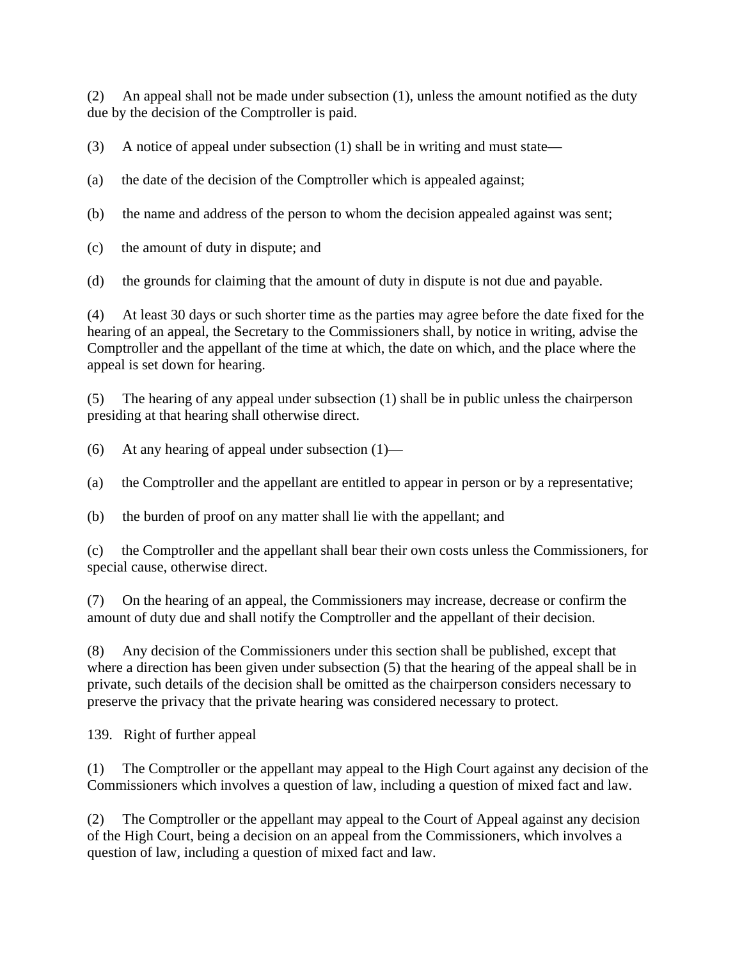(2) An appeal shall not be made under subsection (1), unless the amount notified as the duty due by the decision of the Comptroller is paid.

(3) A notice of appeal under subsection (1) shall be in writing and must state—

- (a) the date of the decision of the Comptroller which is appealed against;
- (b) the name and address of the person to whom the decision appealed against was sent;
- (c) the amount of duty in dispute; and
- (d) the grounds for claiming that the amount of duty in dispute is not due and payable.

(4) At least 30 days or such shorter time as the parties may agree before the date fixed for the hearing of an appeal, the Secretary to the Commissioners shall, by notice in writing, advise the Comptroller and the appellant of the time at which, the date on which, and the place where the appeal is set down for hearing.

(5) The hearing of any appeal under subsection (1) shall be in public unless the chairperson presiding at that hearing shall otherwise direct.

(6) At any hearing of appeal under subsection  $(1)$ —

(a) the Comptroller and the appellant are entitled to appear in person or by a representative;

(b) the burden of proof on any matter shall lie with the appellant; and

(c) the Comptroller and the appellant shall bear their own costs unless the Commissioners, for special cause, otherwise direct.

(7) On the hearing of an appeal, the Commissioners may increase, decrease or confirm the amount of duty due and shall notify the Comptroller and the appellant of their decision.

(8) Any decision of the Commissioners under this section shall be published, except that where a direction has been given under subsection (5) that the hearing of the appeal shall be in private, such details of the decision shall be omitted as the chairperson considers necessary to preserve the privacy that the private hearing was considered necessary to protect.

139. Right of further appeal

(1) The Comptroller or the appellant may appeal to the High Court against any decision of the Commissioners which involves a question of law, including a question of mixed fact and law.

(2) The Comptroller or the appellant may appeal to the Court of Appeal against any decision of the High Court, being a decision on an appeal from the Commissioners, which involves a question of law, including a question of mixed fact and law.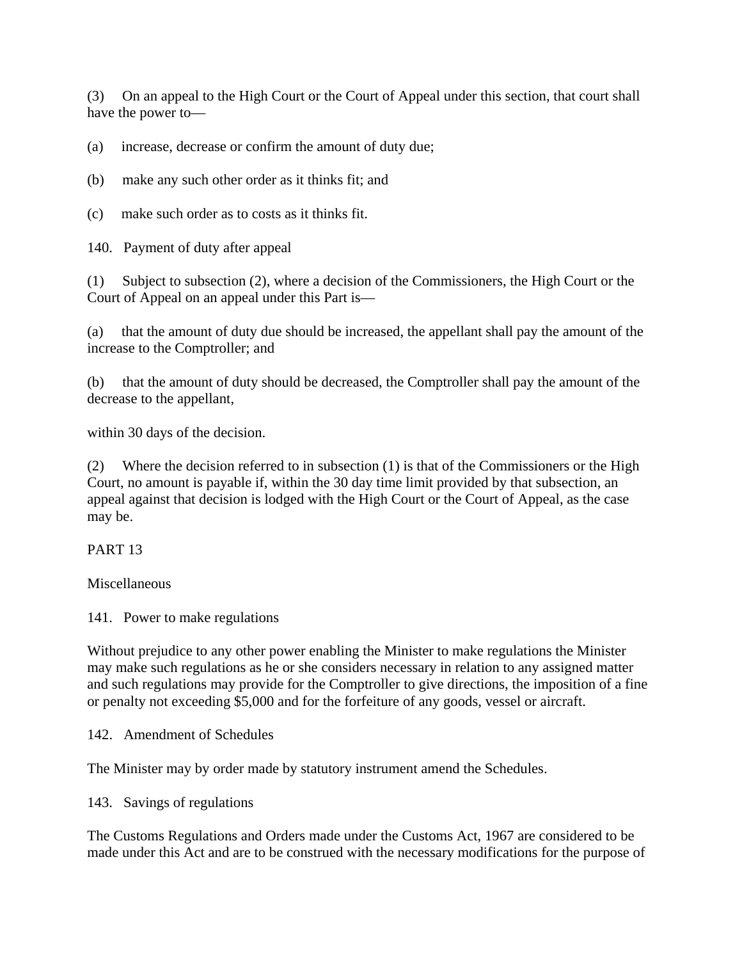(3) On an appeal to the High Court or the Court of Appeal under this section, that court shall have the power to—

(a) increase, decrease or confirm the amount of duty due;

(b) make any such other order as it thinks fit; and

(c) make such order as to costs as it thinks fit.

140. Payment of duty after appeal

(1) Subject to subsection (2), where a decision of the Commissioners, the High Court or the Court of Appeal on an appeal under this Part is—

(a) that the amount of duty due should be increased, the appellant shall pay the amount of the increase to the Comptroller; and

(b) that the amount of duty should be decreased, the Comptroller shall pay the amount of the decrease to the appellant,

within 30 days of the decision.

(2) Where the decision referred to in subsection (1) is that of the Commissioners or the High Court, no amount is payable if, within the 30 day time limit provided by that subsection, an appeal against that decision is lodged with the High Court or the Court of Appeal, as the case may be.

PART 13

**Miscellaneous** 

141. Power to make regulations

Without prejudice to any other power enabling the Minister to make regulations the Minister may make such regulations as he or she considers necessary in relation to any assigned matter and such regulations may provide for the Comptroller to give directions, the imposition of a fine or penalty not exceeding \$5,000 and for the forfeiture of any goods, vessel or aircraft.

142. Amendment of Schedules

The Minister may by order made by statutory instrument amend the Schedules.

143. Savings of regulations

The Customs Regulations and Orders made under the Customs Act, 1967 are considered to be made under this Act and are to be construed with the necessary modifications for the purpose of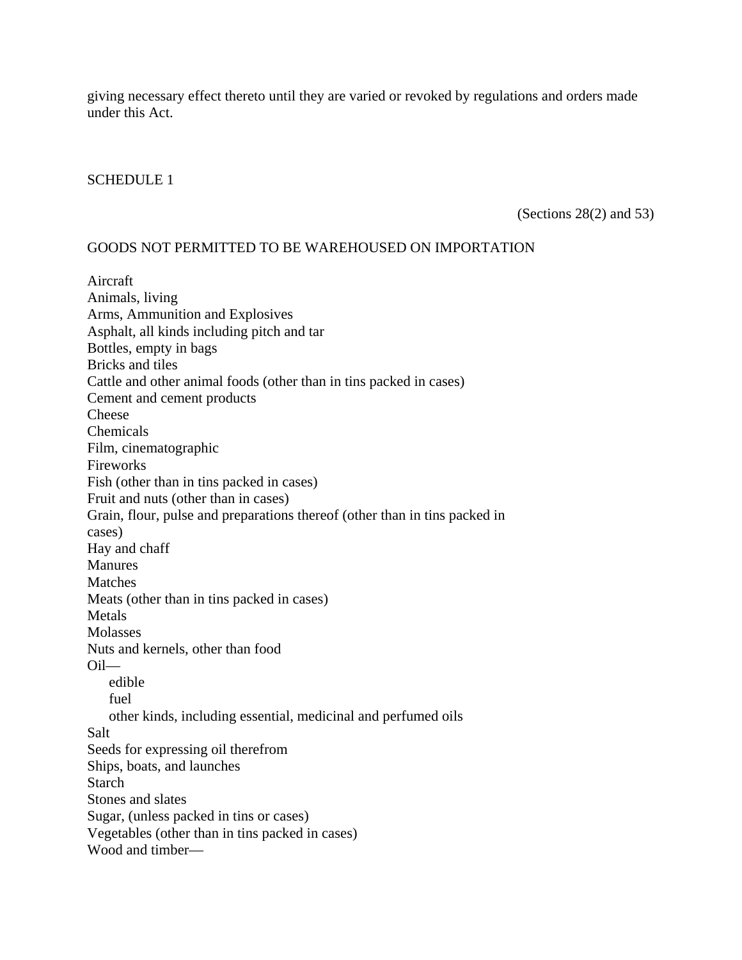giving necessary effect thereto until they are varied or revoked by regulations and orders made under this Act.

#### SCHEDULE 1

(Sections 28(2) and 53)

#### GOODS NOT PERMITTED TO BE WAREHOUSED ON IMPORTATION

Aircraft Animals, living Arms, Ammunition and Explosives Asphalt, all kinds including pitch and tar Bottles, empty in bags Bricks and tiles Cattle and other animal foods (other than in tins packed in cases) Cement and cement products Cheese Chemicals Film, cinematographic Fireworks Fish (other than in tins packed in cases) Fruit and nuts (other than in cases) Grain, flour, pulse and preparations thereof (other than in tins packed in cases) Hay and chaff **Manures** Matches Meats (other than in tins packed in cases) Metals Molasses Nuts and kernels, other than food Oil edible fuel other kinds, including essential, medicinal and perfumed oils Salt Seeds for expressing oil therefrom Ships, boats, and launches Starch Stones and slates Sugar, (unless packed in tins or cases) Vegetables (other than in tins packed in cases) Wood and timber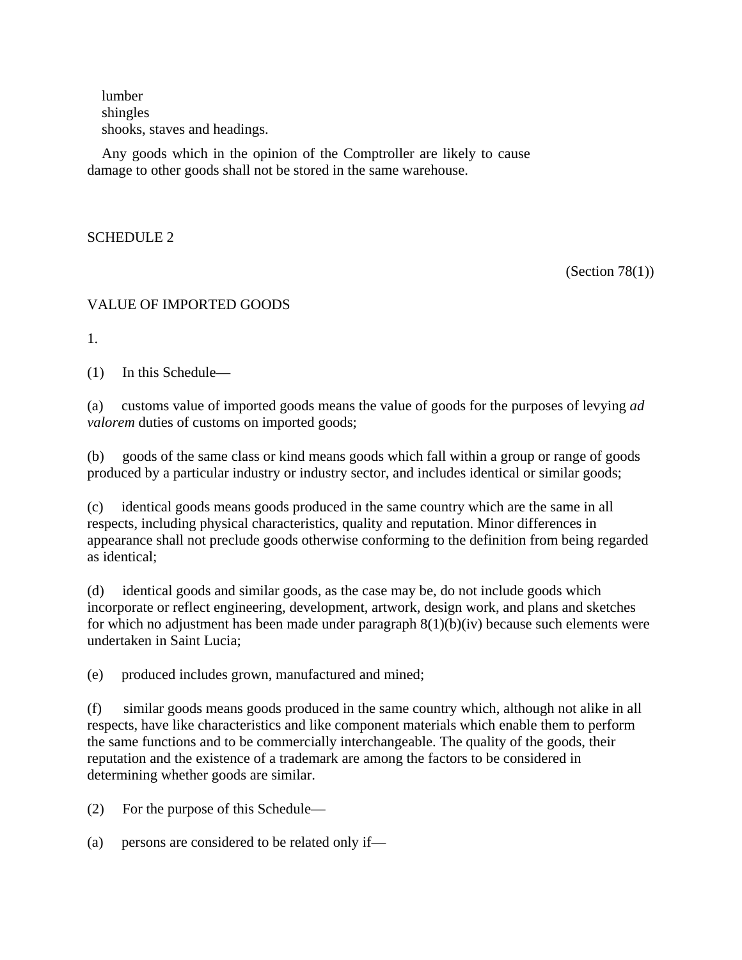lumber shingles shooks, staves and headings.

Any goods which in the opinion of the Comptroller are likely to cause damage to other goods shall not be stored in the same warehouse.

SCHEDULE 2

(Section  $78(1)$ )

### VALUE OF IMPORTED GOODS

1.

(1) In this Schedule—

(a) customs value of imported goods means the value of goods for the purposes of levying *ad valorem* duties of customs on imported goods;

(b) goods of the same class or kind means goods which fall within a group or range of goods produced by a particular industry or industry sector, and includes identical or similar goods;

(c) identical goods means goods produced in the same country which are the same in all respects, including physical characteristics, quality and reputation. Minor differences in appearance shall not preclude goods otherwise conforming to the definition from being regarded as identical;

(d) identical goods and similar goods, as the case may be, do not include goods which incorporate or reflect engineering, development, artwork, design work, and plans and sketches for which no adjustment has been made under paragraph  $8(1)(b)(iv)$  because such elements were undertaken in Saint Lucia;

(e) produced includes grown, manufactured and mined;

(f) similar goods means goods produced in the same country which, although not alike in all respects, have like characteristics and like component materials which enable them to perform the same functions and to be commercially interchangeable. The quality of the goods, their reputation and the existence of a trademark are among the factors to be considered in determining whether goods are similar.

(2) For the purpose of this Schedule—

(a) persons are considered to be related only if—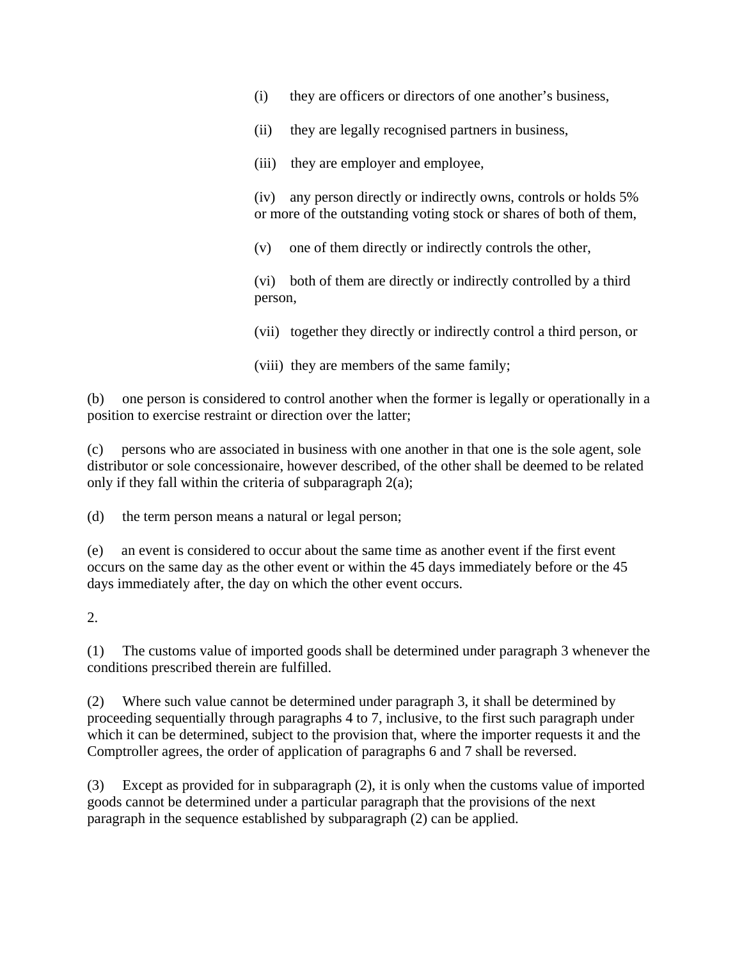- (i) they are officers or directors of one another's business,
- (ii) they are legally recognised partners in business,
- (iii) they are employer and employee,

(iv) any person directly or indirectly owns, controls or holds 5% or more of the outstanding voting stock or shares of both of them,

(v) one of them directly or indirectly controls the other,

(vi) both of them are directly or indirectly controlled by a third person,

(vii) together they directly or indirectly control a third person, or

(viii) they are members of the same family;

(b) one person is considered to control another when the former is legally or operationally in a position to exercise restraint or direction over the latter;

(c) persons who are associated in business with one another in that one is the sole agent, sole distributor or sole concessionaire, however described, of the other shall be deemed to be related only if they fall within the criteria of subparagraph 2(a);

(d) the term person means a natural or legal person;

(e) an event is considered to occur about the same time as another event if the first event occurs on the same day as the other event or within the 45 days immediately before or the 45 days immediately after, the day on which the other event occurs.

2.

(1) The customs value of imported goods shall be determined under paragraph 3 whenever the conditions prescribed therein are fulfilled.

(2) Where such value cannot be determined under paragraph 3, it shall be determined by proceeding sequentially through paragraphs 4 to 7, inclusive, to the first such paragraph under which it can be determined, subject to the provision that, where the importer requests it and the Comptroller agrees, the order of application of paragraphs 6 and 7 shall be reversed.

(3) Except as provided for in subparagraph (2), it is only when the customs value of imported goods cannot be determined under a particular paragraph that the provisions of the next paragraph in the sequence established by subparagraph (2) can be applied.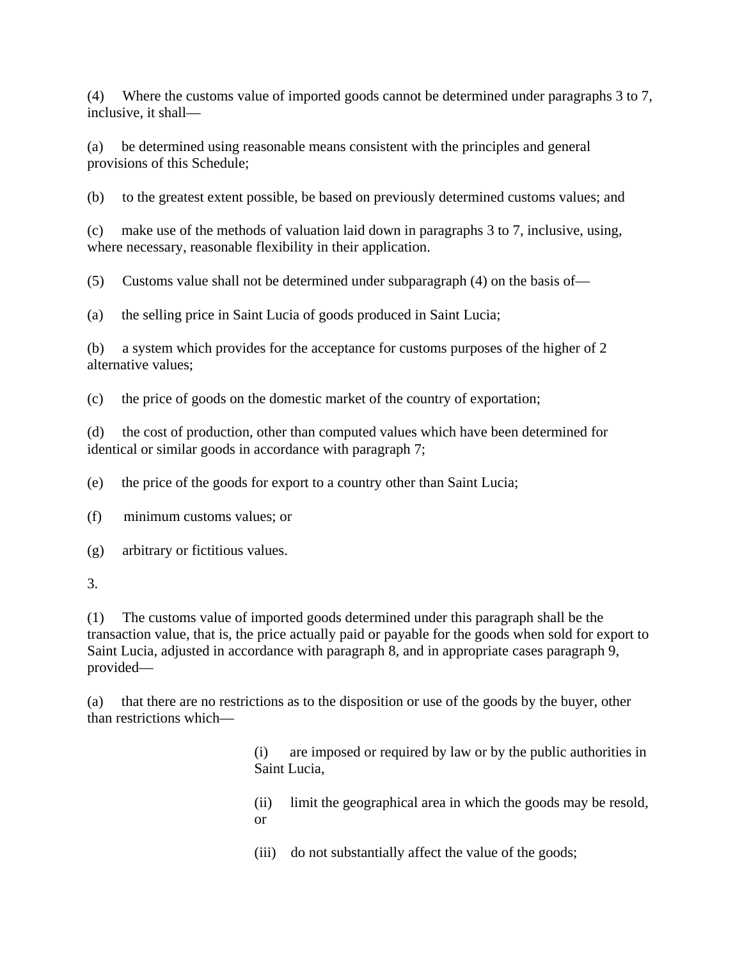(4) Where the customs value of imported goods cannot be determined under paragraphs 3 to 7, inclusive, it shall—

(a) be determined using reasonable means consistent with the principles and general provisions of this Schedule;

(b) to the greatest extent possible, be based on previously determined customs values; and

(c) make use of the methods of valuation laid down in paragraphs 3 to 7, inclusive, using, where necessary, reasonable flexibility in their application.

(5) Customs value shall not be determined under subparagraph (4) on the basis of—

(a) the selling price in Saint Lucia of goods produced in Saint Lucia;

(b) a system which provides for the acceptance for customs purposes of the higher of 2 alternative values;

(c) the price of goods on the domestic market of the country of exportation;

(d) the cost of production, other than computed values which have been determined for identical or similar goods in accordance with paragraph 7;

(e) the price of the goods for export to a country other than Saint Lucia;

(f) minimum customs values; or

(g) arbitrary or fictitious values.

3.

(1) The customs value of imported goods determined under this paragraph shall be the transaction value, that is, the price actually paid or payable for the goods when sold for export to Saint Lucia, adjusted in accordance with paragraph 8, and in appropriate cases paragraph 9, provided—

(a) that there are no restrictions as to the disposition or use of the goods by the buyer, other than restrictions which—

> (i) are imposed or required by law or by the public authorities in Saint Lucia,

> (ii) limit the geographical area in which the goods may be resold, or

(iii) do not substantially affect the value of the goods;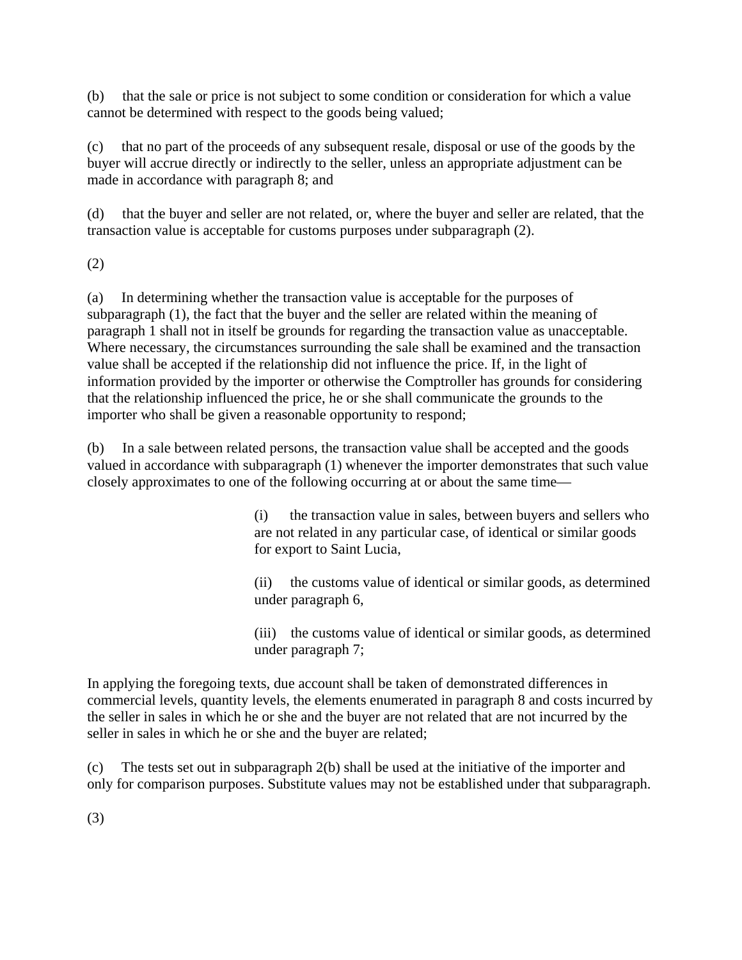(b) that the sale or price is not subject to some condition or consideration for which a value cannot be determined with respect to the goods being valued;

(c) that no part of the proceeds of any subsequent resale, disposal or use of the goods by the buyer will accrue directly or indirectly to the seller, unless an appropriate adjustment can be made in accordance with paragraph 8; and

(d) that the buyer and seller are not related, or, where the buyer and seller are related, that the transaction value is acceptable for customs purposes under subparagraph (2).

(2)

(a) In determining whether the transaction value is acceptable for the purposes of subparagraph (1), the fact that the buyer and the seller are related within the meaning of paragraph 1 shall not in itself be grounds for regarding the transaction value as unacceptable. Where necessary, the circumstances surrounding the sale shall be examined and the transaction value shall be accepted if the relationship did not influence the price. If, in the light of information provided by the importer or otherwise the Comptroller has grounds for considering that the relationship influenced the price, he or she shall communicate the grounds to the importer who shall be given a reasonable opportunity to respond;

(b) In a sale between related persons, the transaction value shall be accepted and the goods valued in accordance with subparagraph (1) whenever the importer demonstrates that such value closely approximates to one of the following occurring at or about the same time—

> (i) the transaction value in sales, between buyers and sellers who are not related in any particular case, of identical or similar goods for export to Saint Lucia,

> (ii) the customs value of identical or similar goods, as determined under paragraph 6,

> (iii) the customs value of identical or similar goods, as determined under paragraph 7;

In applying the foregoing texts, due account shall be taken of demonstrated differences in commercial levels, quantity levels, the elements enumerated in paragraph 8 and costs incurred by the seller in sales in which he or she and the buyer are not related that are not incurred by the seller in sales in which he or she and the buyer are related;

(c) The tests set out in subparagraph 2(b) shall be used at the initiative of the importer and only for comparison purposes. Substitute values may not be established under that subparagraph.

(3)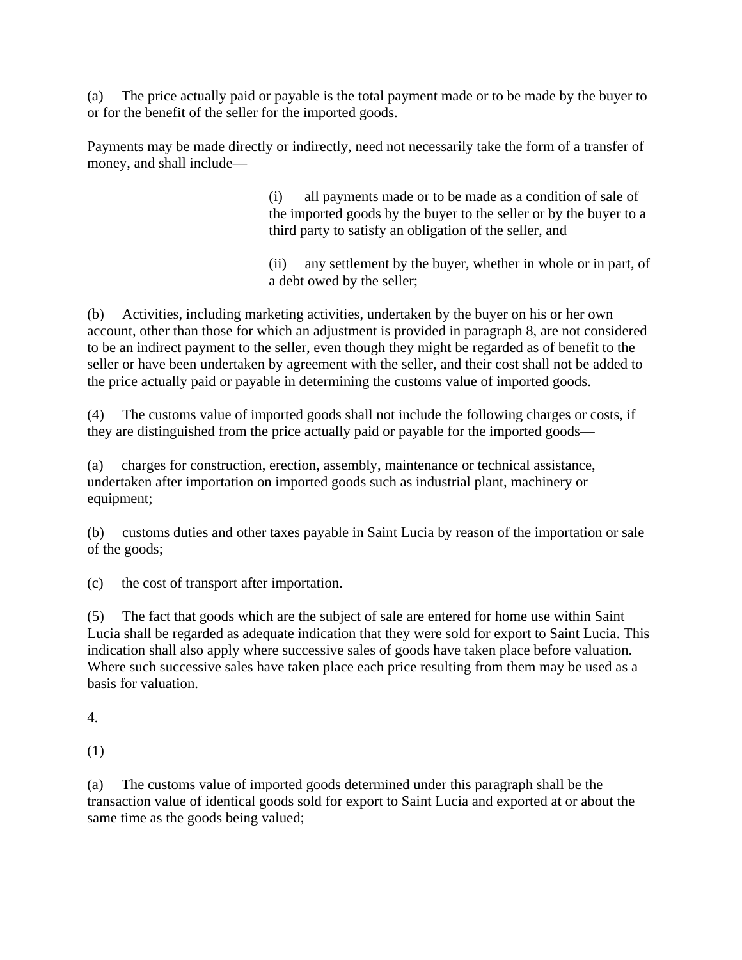(a) The price actually paid or payable is the total payment made or to be made by the buyer to or for the benefit of the seller for the imported goods.

Payments may be made directly or indirectly, need not necessarily take the form of a transfer of money, and shall include—

> (i) all payments made or to be made as a condition of sale of the imported goods by the buyer to the seller or by the buyer to a third party to satisfy an obligation of the seller, and

(ii) any settlement by the buyer, whether in whole or in part, of a debt owed by the seller;

(b) Activities, including marketing activities, undertaken by the buyer on his or her own account, other than those for which an adjustment is provided in paragraph 8, are not considered to be an indirect payment to the seller, even though they might be regarded as of benefit to the seller or have been undertaken by agreement with the seller, and their cost shall not be added to the price actually paid or payable in determining the customs value of imported goods.

(4) The customs value of imported goods shall not include the following charges or costs, if they are distinguished from the price actually paid or payable for the imported goods—

(a) charges for construction, erection, assembly, maintenance or technical assistance, undertaken after importation on imported goods such as industrial plant, machinery or equipment;

(b) customs duties and other taxes payable in Saint Lucia by reason of the importation or sale of the goods;

(c) the cost of transport after importation.

(5) The fact that goods which are the subject of sale are entered for home use within Saint Lucia shall be regarded as adequate indication that they were sold for export to Saint Lucia. This indication shall also apply where successive sales of goods have taken place before valuation. Where such successive sales have taken place each price resulting from them may be used as a basis for valuation.

4.

(1)

(a) The customs value of imported goods determined under this paragraph shall be the transaction value of identical goods sold for export to Saint Lucia and exported at or about the same time as the goods being valued;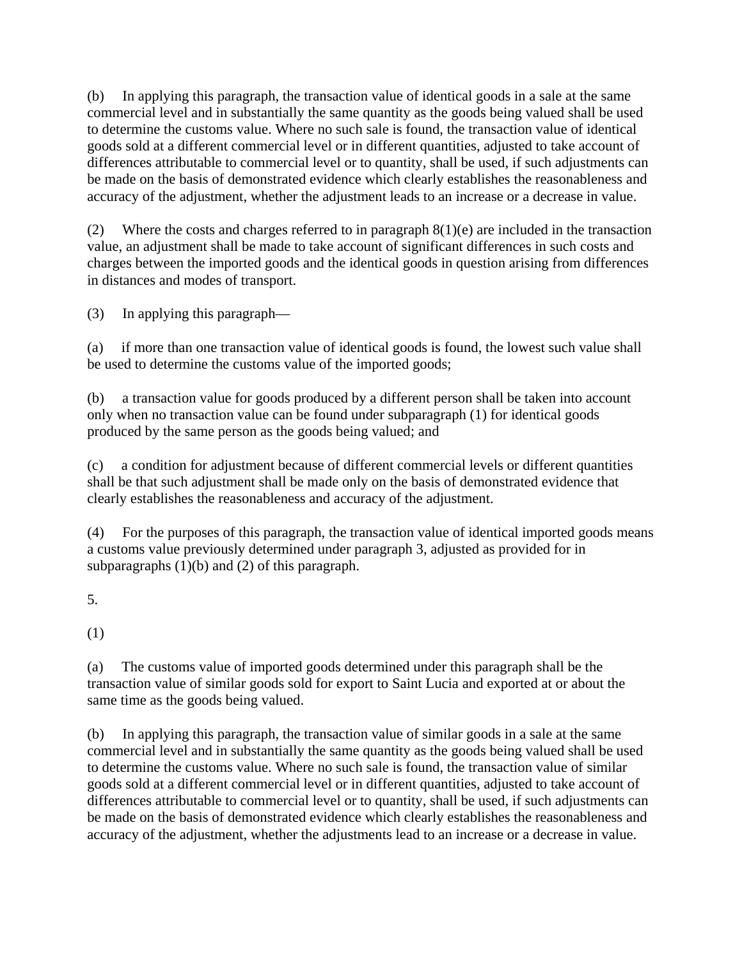(b) In applying this paragraph, the transaction value of identical goods in a sale at the same commercial level and in substantially the same quantity as the goods being valued shall be used to determine the customs value. Where no such sale is found, the transaction value of identical goods sold at a different commercial level or in different quantities, adjusted to take account of differences attributable to commercial level or to quantity, shall be used, if such adjustments can be made on the basis of demonstrated evidence which clearly establishes the reasonableness and accuracy of the adjustment, whether the adjustment leads to an increase or a decrease in value.

(2) Where the costs and charges referred to in paragraph  $8(1)(e)$  are included in the transaction value, an adjustment shall be made to take account of significant differences in such costs and charges between the imported goods and the identical goods in question arising from differences in distances and modes of transport.

(3) In applying this paragraph—

(a) if more than one transaction value of identical goods is found, the lowest such value shall be used to determine the customs value of the imported goods;

(b) a transaction value for goods produced by a different person shall be taken into account only when no transaction value can be found under subparagraph (1) for identical goods produced by the same person as the goods being valued; and

(c) a condition for adjustment because of different commercial levels or different quantities shall be that such adjustment shall be made only on the basis of demonstrated evidence that clearly establishes the reasonableness and accuracy of the adjustment.

(4) For the purposes of this paragraph, the transaction value of identical imported goods means a customs value previously determined under paragraph 3, adjusted as provided for in subparagraphs  $(1)(b)$  and  $(2)$  of this paragraph.

5.

(1)

(a) The customs value of imported goods determined under this paragraph shall be the transaction value of similar goods sold for export to Saint Lucia and exported at or about the same time as the goods being valued.

(b) In applying this paragraph, the transaction value of similar goods in a sale at the same commercial level and in substantially the same quantity as the goods being valued shall be used to determine the customs value. Where no such sale is found, the transaction value of similar goods sold at a different commercial level or in different quantities, adjusted to take account of differences attributable to commercial level or to quantity, shall be used, if such adjustments can be made on the basis of demonstrated evidence which clearly establishes the reasonableness and accuracy of the adjustment, whether the adjustments lead to an increase or a decrease in value.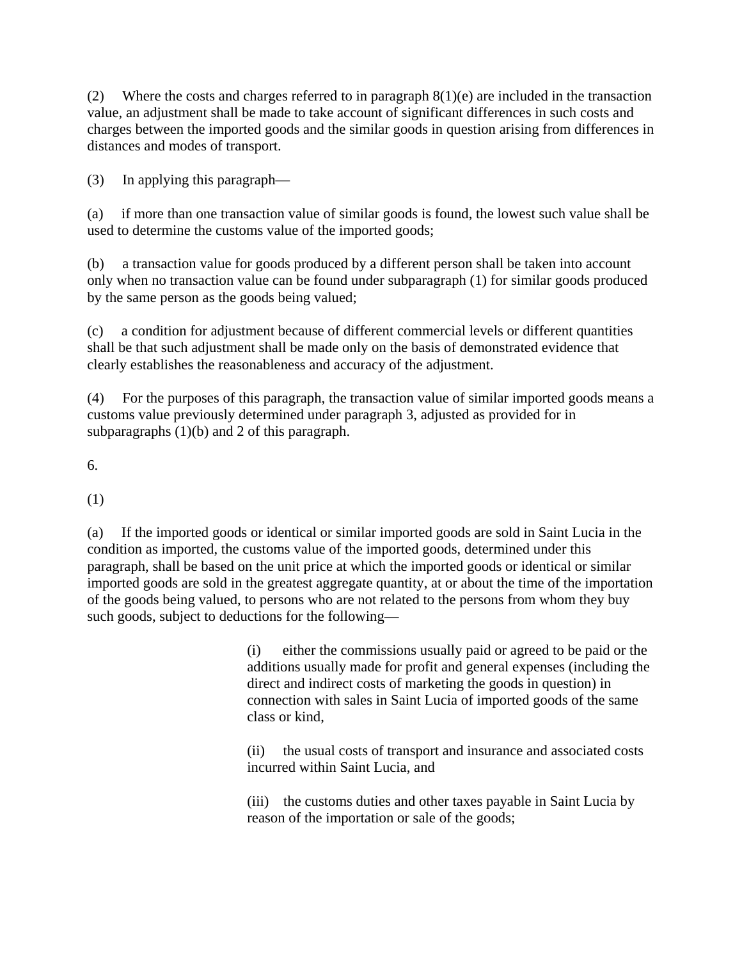(2) Where the costs and charges referred to in paragraph  $8(1)(e)$  are included in the transaction value, an adjustment shall be made to take account of significant differences in such costs and charges between the imported goods and the similar goods in question arising from differences in distances and modes of transport.

(3) In applying this paragraph—

(a) if more than one transaction value of similar goods is found, the lowest such value shall be used to determine the customs value of the imported goods;

(b) a transaction value for goods produced by a different person shall be taken into account only when no transaction value can be found under subparagraph (1) for similar goods produced by the same person as the goods being valued;

(c) a condition for adjustment because of different commercial levels or different quantities shall be that such adjustment shall be made only on the basis of demonstrated evidence that clearly establishes the reasonableness and accuracy of the adjustment.

(4) For the purposes of this paragraph, the transaction value of similar imported goods means a customs value previously determined under paragraph 3, adjusted as provided for in subparagraphs (1)(b) and 2 of this paragraph.

6.

(1)

(a) If the imported goods or identical or similar imported goods are sold in Saint Lucia in the condition as imported, the customs value of the imported goods, determined under this paragraph, shall be based on the unit price at which the imported goods or identical or similar imported goods are sold in the greatest aggregate quantity, at or about the time of the importation of the goods being valued, to persons who are not related to the persons from whom they buy such goods, subject to deductions for the following—

> (i) either the commissions usually paid or agreed to be paid or the additions usually made for profit and general expenses (including the direct and indirect costs of marketing the goods in question) in connection with sales in Saint Lucia of imported goods of the same class or kind,

(ii) the usual costs of transport and insurance and associated costs incurred within Saint Lucia, and

(iii) the customs duties and other taxes payable in Saint Lucia by reason of the importation or sale of the goods;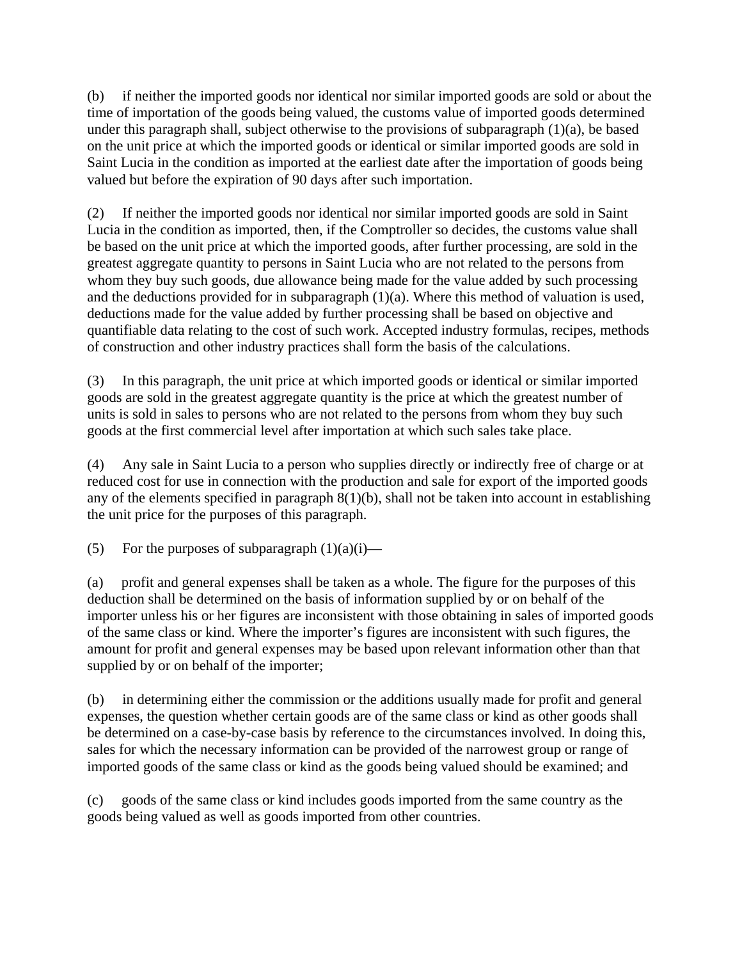(b) if neither the imported goods nor identical nor similar imported goods are sold or about the time of importation of the goods being valued, the customs value of imported goods determined under this paragraph shall, subject otherwise to the provisions of subparagraph (1)(a), be based on the unit price at which the imported goods or identical or similar imported goods are sold in Saint Lucia in the condition as imported at the earliest date after the importation of goods being valued but before the expiration of 90 days after such importation.

(2) If neither the imported goods nor identical nor similar imported goods are sold in Saint Lucia in the condition as imported, then, if the Comptroller so decides, the customs value shall be based on the unit price at which the imported goods, after further processing, are sold in the greatest aggregate quantity to persons in Saint Lucia who are not related to the persons from whom they buy such goods, due allowance being made for the value added by such processing and the deductions provided for in subparagraph (1)(a). Where this method of valuation is used, deductions made for the value added by further processing shall be based on objective and quantifiable data relating to the cost of such work. Accepted industry formulas, recipes, methods of construction and other industry practices shall form the basis of the calculations.

(3) In this paragraph, the unit price at which imported goods or identical or similar imported goods are sold in the greatest aggregate quantity is the price at which the greatest number of units is sold in sales to persons who are not related to the persons from whom they buy such goods at the first commercial level after importation at which such sales take place.

(4) Any sale in Saint Lucia to a person who supplies directly or indirectly free of charge or at reduced cost for use in connection with the production and sale for export of the imported goods any of the elements specified in paragraph 8(1)(b), shall not be taken into account in establishing the unit price for the purposes of this paragraph.

(5) For the purposes of subparagraph  $(1)(a)(i)$ —

(a) profit and general expenses shall be taken as a whole. The figure for the purposes of this deduction shall be determined on the basis of information supplied by or on behalf of the importer unless his or her figures are inconsistent with those obtaining in sales of imported goods of the same class or kind. Where the importer's figures are inconsistent with such figures, the amount for profit and general expenses may be based upon relevant information other than that supplied by or on behalf of the importer;

(b) in determining either the commission or the additions usually made for profit and general expenses, the question whether certain goods are of the same class or kind as other goods shall be determined on a case-by-case basis by reference to the circumstances involved. In doing this, sales for which the necessary information can be provided of the narrowest group or range of imported goods of the same class or kind as the goods being valued should be examined; and

(c) goods of the same class or kind includes goods imported from the same country as the goods being valued as well as goods imported from other countries.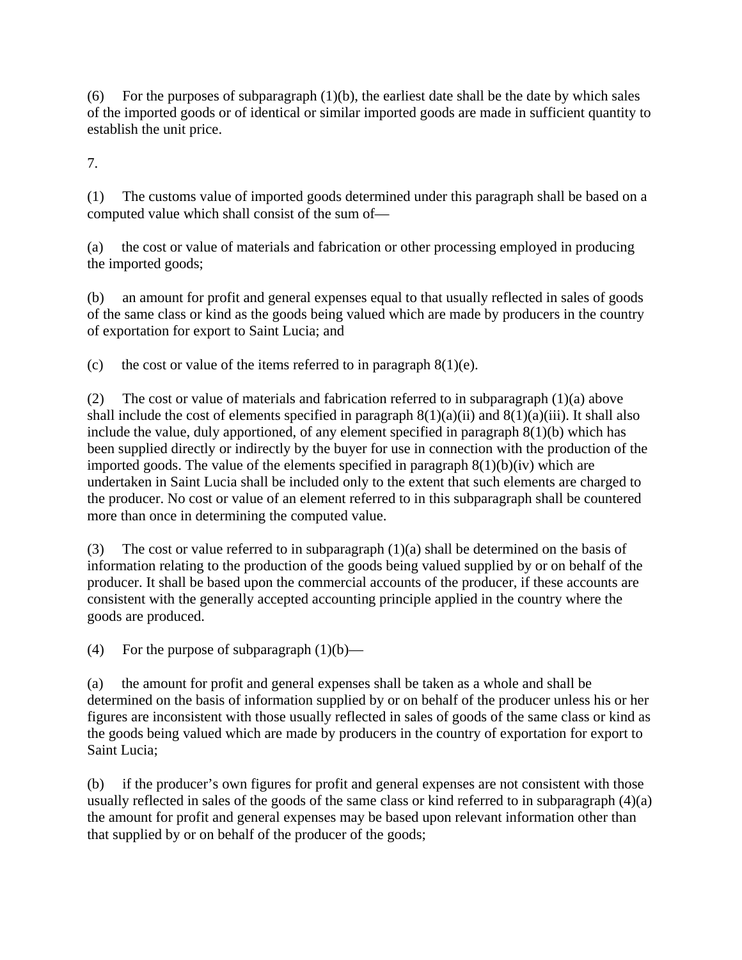(6) For the purposes of subparagraph  $(1)(b)$ , the earliest date shall be the date by which sales of the imported goods or of identical or similar imported goods are made in sufficient quantity to establish the unit price.

7.

(1) The customs value of imported goods determined under this paragraph shall be based on a computed value which shall consist of the sum of—

(a) the cost or value of materials and fabrication or other processing employed in producing the imported goods;

(b) an amount for profit and general expenses equal to that usually reflected in sales of goods of the same class or kind as the goods being valued which are made by producers in the country of exportation for export to Saint Lucia; and

(c) the cost or value of the items referred to in paragraph  $8(1)(e)$ .

(2) The cost or value of materials and fabrication referred to in subparagraph (1)(a) above shall include the cost of elements specified in paragraph  $8(1)(a)(ii)$  and  $8(1)(a)(iii)$ . It shall also include the value, duly apportioned, of any element specified in paragraph 8(1)(b) which has been supplied directly or indirectly by the buyer for use in connection with the production of the imported goods. The value of the elements specified in paragraph  $8(1)(b)(iv)$  which are undertaken in Saint Lucia shall be included only to the extent that such elements are charged to the producer. No cost or value of an element referred to in this subparagraph shall be countered more than once in determining the computed value.

(3) The cost or value referred to in subparagraph (1)(a) shall be determined on the basis of information relating to the production of the goods being valued supplied by or on behalf of the producer. It shall be based upon the commercial accounts of the producer, if these accounts are consistent with the generally accepted accounting principle applied in the country where the goods are produced.

(4) For the purpose of subparagraph  $(1)(b)$ —

(a) the amount for profit and general expenses shall be taken as a whole and shall be determined on the basis of information supplied by or on behalf of the producer unless his or her figures are inconsistent with those usually reflected in sales of goods of the same class or kind as the goods being valued which are made by producers in the country of exportation for export to Saint Lucia;

(b) if the producer's own figures for profit and general expenses are not consistent with those usually reflected in sales of the goods of the same class or kind referred to in subparagraph (4)(a) the amount for profit and general expenses may be based upon relevant information other than that supplied by or on behalf of the producer of the goods;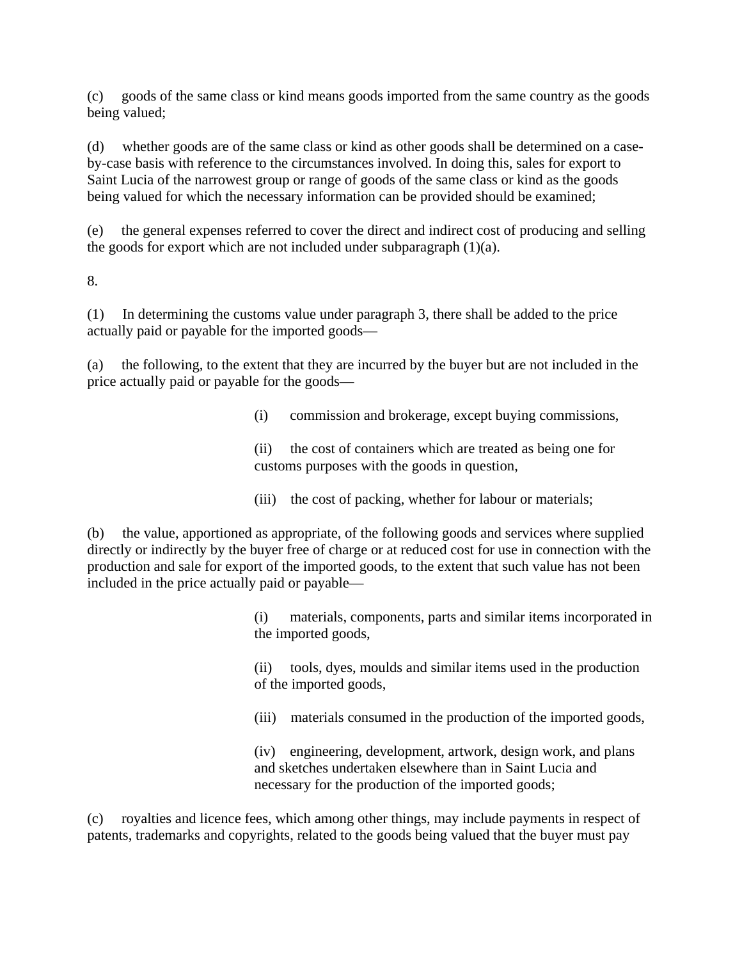(c) goods of the same class or kind means goods imported from the same country as the goods being valued;

(d) whether goods are of the same class or kind as other goods shall be determined on a caseby-case basis with reference to the circumstances involved. In doing this, sales for export to Saint Lucia of the narrowest group or range of goods of the same class or kind as the goods being valued for which the necessary information can be provided should be examined;

(e) the general expenses referred to cover the direct and indirect cost of producing and selling the goods for export which are not included under subparagraph  $(1)(a)$ .

8.

(1) In determining the customs value under paragraph 3, there shall be added to the price actually paid or payable for the imported goods—

(a) the following, to the extent that they are incurred by the buyer but are not included in the price actually paid or payable for the goods—

(i) commission and brokerage, except buying commissions,

(ii) the cost of containers which are treated as being one for customs purposes with the goods in question,

(iii) the cost of packing, whether for labour or materials;

(b) the value, apportioned as appropriate, of the following goods and services where supplied directly or indirectly by the buyer free of charge or at reduced cost for use in connection with the production and sale for export of the imported goods, to the extent that such value has not been included in the price actually paid or payable—

> (i) materials, components, parts and similar items incorporated in the imported goods,

(ii) tools, dyes, moulds and similar items used in the production of the imported goods,

(iii) materials consumed in the production of the imported goods,

(iv) engineering, development, artwork, design work, and plans and sketches undertaken elsewhere than in Saint Lucia and necessary for the production of the imported goods;

(c) royalties and licence fees, which among other things, may include payments in respect of patents, trademarks and copyrights, related to the goods being valued that the buyer must pay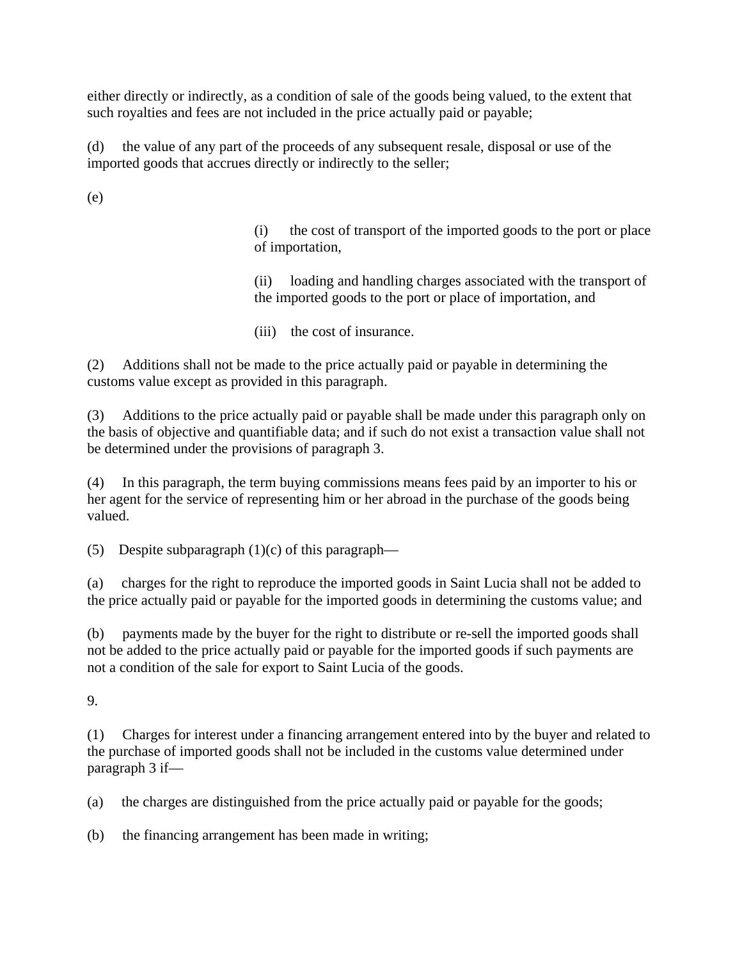either directly or indirectly, as a condition of sale of the goods being valued, to the extent that such royalties and fees are not included in the price actually paid or payable;

(d) the value of any part of the proceeds of any subsequent resale, disposal or use of the imported goods that accrues directly or indirectly to the seller;

(e)

(i) the cost of transport of the imported goods to the port or place of importation,

(ii) loading and handling charges associated with the transport of the imported goods to the port or place of importation, and

(iii) the cost of insurance.

(2) Additions shall not be made to the price actually paid or payable in determining the customs value except as provided in this paragraph.

(3) Additions to the price actually paid or payable shall be made under this paragraph only on the basis of objective and quantifiable data; and if such do not exist a transaction value shall not be determined under the provisions of paragraph 3.

(4) In this paragraph, the term buying commissions means fees paid by an importer to his or her agent for the service of representing him or her abroad in the purchase of the goods being valued.

(5) Despite subparagraph  $(1)(c)$  of this paragraph—

(a) charges for the right to reproduce the imported goods in Saint Lucia shall not be added to the price actually paid or payable for the imported goods in determining the customs value; and

(b) payments made by the buyer for the right to distribute or re-sell the imported goods shall not be added to the price actually paid or payable for the imported goods if such payments are not a condition of the sale for export to Saint Lucia of the goods.

9.

(1) Charges for interest under a financing arrangement entered into by the buyer and related to the purchase of imported goods shall not be included in the customs value determined under paragraph 3 if—

(a) the charges are distinguished from the price actually paid or payable for the goods;

(b) the financing arrangement has been made in writing;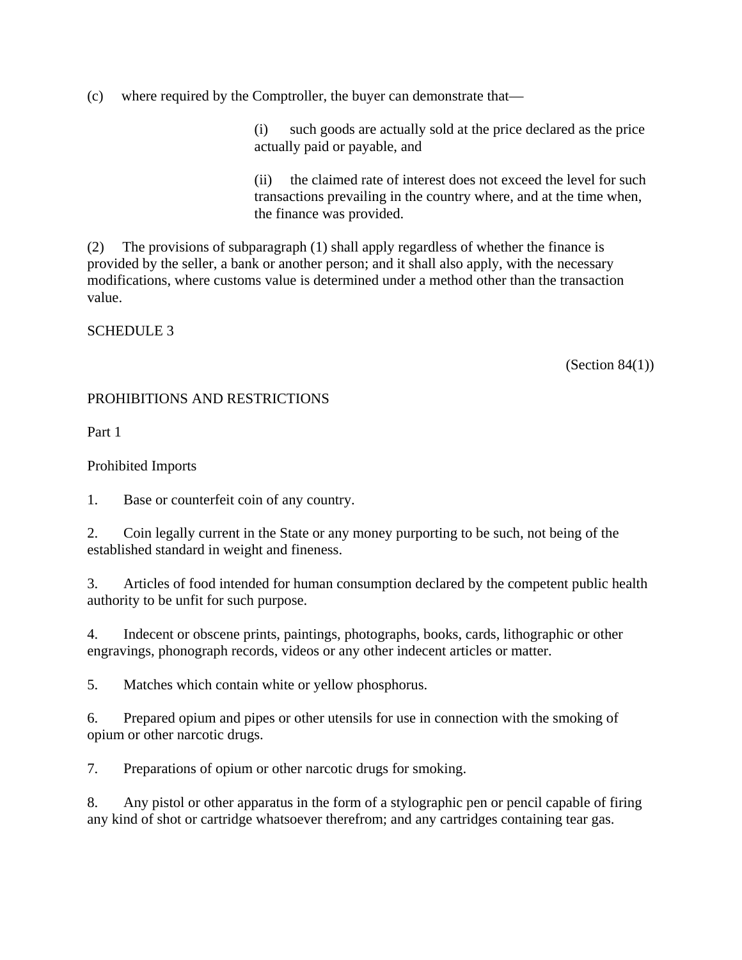(c) where required by the Comptroller, the buyer can demonstrate that—

(i) such goods are actually sold at the price declared as the price actually paid or payable, and

(ii) the claimed rate of interest does not exceed the level for such transactions prevailing in the country where, and at the time when, the finance was provided.

(2) The provisions of subparagraph (1) shall apply regardless of whether the finance is provided by the seller, a bank or another person; and it shall also apply, with the necessary modifications, where customs value is determined under a method other than the transaction value.

SCHEDULE 3

(Section  $84(1)$ )

### PROHIBITIONS AND RESTRICTIONS

Part 1

### Prohibited Imports

1. Base or counterfeit coin of any country.

2. Coin legally current in the State or any money purporting to be such, not being of the established standard in weight and fineness.

3. Articles of food intended for human consumption declared by the competent public health authority to be unfit for such purpose.

4. Indecent or obscene prints, paintings, photographs, books, cards, lithographic or other engravings, phonograph records, videos or any other indecent articles or matter.

5. Matches which contain white or yellow phosphorus.

6. Prepared opium and pipes or other utensils for use in connection with the smoking of opium or other narcotic drugs.

7. Preparations of opium or other narcotic drugs for smoking.

8. Any pistol or other apparatus in the form of a stylographic pen or pencil capable of firing any kind of shot or cartridge whatsoever therefrom; and any cartridges containing tear gas.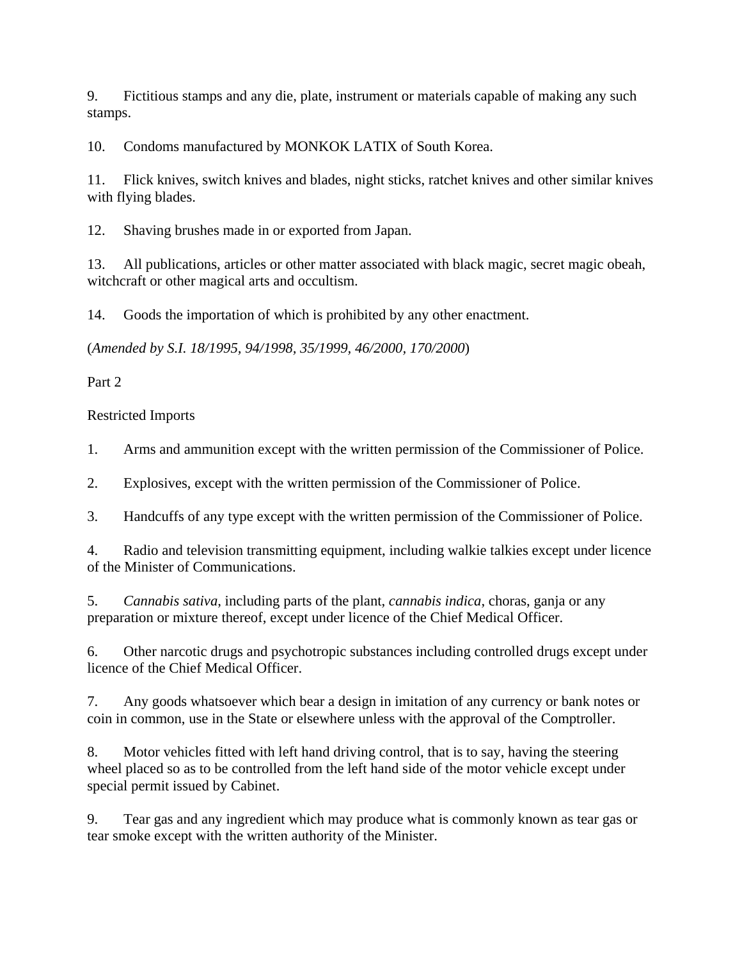9. Fictitious stamps and any die, plate, instrument or materials capable of making any such stamps.

10. Condoms manufactured by MONKOK LATIX of South Korea.

11. Flick knives, switch knives and blades, night sticks, ratchet knives and other similar knives with flying blades.

12. Shaving brushes made in or exported from Japan.

13. All publications, articles or other matter associated with black magic, secret magic obeah, witchcraft or other magical arts and occultism.

14. Goods the importation of which is prohibited by any other enactment.

(*Amended by S.I. 18/1995, 94/1998, 35/1999, 46/2000, 170/2000*)

Part 2

# Restricted Imports

1. Arms and ammunition except with the written permission of the Commissioner of Police.

2. Explosives, except with the written permission of the Commissioner of Police.

3. Handcuffs of any type except with the written permission of the Commissioner of Police.

4. Radio and television transmitting equipment, including walkie talkies except under licence of the Minister of Communications.

5. *Cannabis sativa*, including parts of the plant, *cannabis indica*, choras, ganja or any preparation or mixture thereof, except under licence of the Chief Medical Officer.

6. Other narcotic drugs and psychotropic substances including controlled drugs except under licence of the Chief Medical Officer.

7. Any goods whatsoever which bear a design in imitation of any currency or bank notes or coin in common, use in the State or elsewhere unless with the approval of the Comptroller.

8. Motor vehicles fitted with left hand driving control, that is to say, having the steering wheel placed so as to be controlled from the left hand side of the motor vehicle except under special permit issued by Cabinet.

9. Tear gas and any ingredient which may produce what is commonly known as tear gas or tear smoke except with the written authority of the Minister.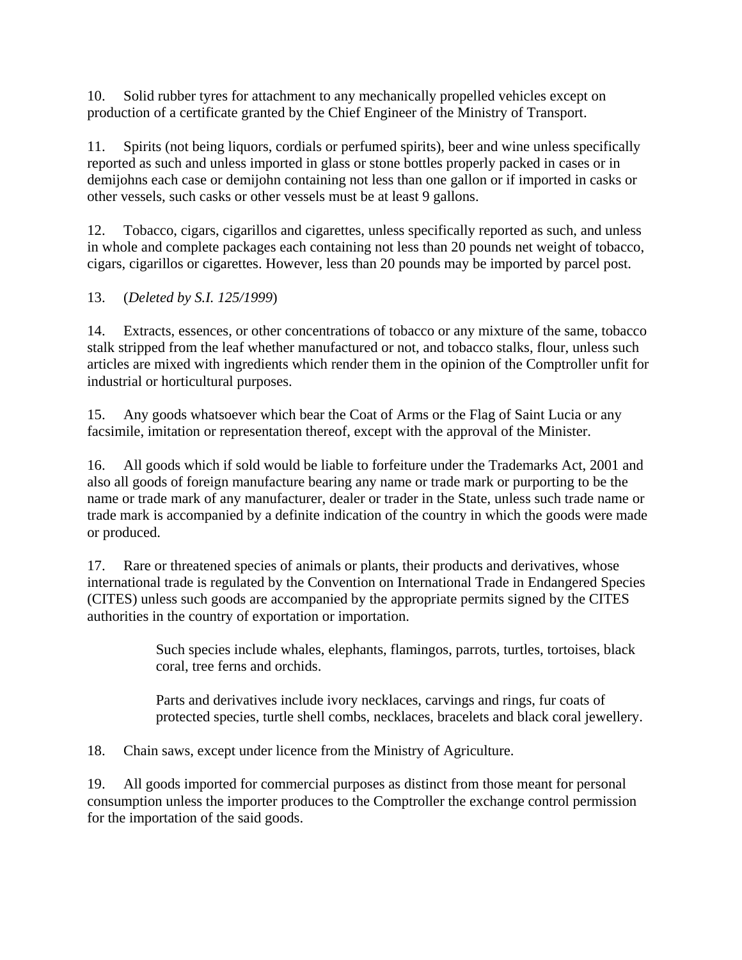10. Solid rubber tyres for attachment to any mechanically propelled vehicles except on production of a certificate granted by the Chief Engineer of the Ministry of Transport.

11. Spirits (not being liquors, cordials or perfumed spirits), beer and wine unless specifically reported as such and unless imported in glass or stone bottles properly packed in cases or in demijohns each case or demijohn containing not less than one gallon or if imported in casks or other vessels, such casks or other vessels must be at least 9 gallons.

12. Tobacco, cigars, cigarillos and cigarettes, unless specifically reported as such, and unless in whole and complete packages each containing not less than 20 pounds net weight of tobacco, cigars, cigarillos or cigarettes. However, less than 20 pounds may be imported by parcel post.

13. (*Deleted by S.I. 125/1999*)

14. Extracts, essences, or other concentrations of tobacco or any mixture of the same, tobacco stalk stripped from the leaf whether manufactured or not, and tobacco stalks, flour, unless such articles are mixed with ingredients which render them in the opinion of the Comptroller unfit for industrial or horticultural purposes.

15. Any goods whatsoever which bear the Coat of Arms or the Flag of Saint Lucia or any facsimile, imitation or representation thereof, except with the approval of the Minister.

16. All goods which if sold would be liable to forfeiture under the Trademarks Act, 2001 and also all goods of foreign manufacture bearing any name or trade mark or purporting to be the name or trade mark of any manufacturer, dealer or trader in the State, unless such trade name or trade mark is accompanied by a definite indication of the country in which the goods were made or produced.

17. Rare or threatened species of animals or plants, their products and derivatives, whose international trade is regulated by the Convention on International Trade in Endangered Species (CITES) unless such goods are accompanied by the appropriate permits signed by the CITES authorities in the country of exportation or importation.

> Such species include whales, elephants, flamingos, parrots, turtles, tortoises, black coral, tree ferns and orchids.

Parts and derivatives include ivory necklaces, carvings and rings, fur coats of protected species, turtle shell combs, necklaces, bracelets and black coral jewellery.

18. Chain saws, except under licence from the Ministry of Agriculture.

19. All goods imported for commercial purposes as distinct from those meant for personal consumption unless the importer produces to the Comptroller the exchange control permission for the importation of the said goods.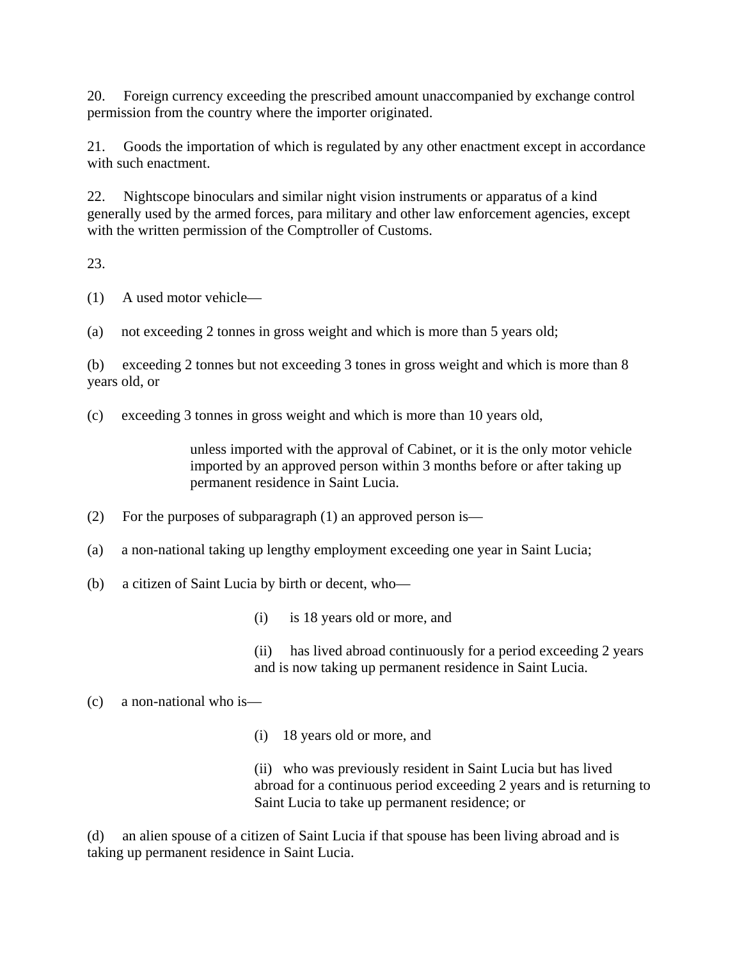20. Foreign currency exceeding the prescribed amount unaccompanied by exchange control permission from the country where the importer originated.

21. Goods the importation of which is regulated by any other enactment except in accordance with such enactment.

22. Nightscope binoculars and similar night vision instruments or apparatus of a kind generally used by the armed forces, para military and other law enforcement agencies, except with the written permission of the Comptroller of Customs.

23.

(1) A used motor vehicle—

(a) not exceeding 2 tonnes in gross weight and which is more than 5 years old;

(b) exceeding 2 tonnes but not exceeding 3 tones in gross weight and which is more than 8 years old, or

(c) exceeding 3 tonnes in gross weight and which is more than 10 years old,

unless imported with the approval of Cabinet, or it is the only motor vehicle imported by an approved person within 3 months before or after taking up permanent residence in Saint Lucia.

(2) For the purposes of subparagraph (1) an approved person is—

(a) a non-national taking up lengthy employment exceeding one year in Saint Lucia;

(b) a citizen of Saint Lucia by birth or decent, who—

(i) is 18 years old or more, and

(ii) has lived abroad continuously for a period exceeding 2 years and is now taking up permanent residence in Saint Lucia.

# (c) a non-national who is—

(i) 18 years old or more, and

(ii) who was previously resident in Saint Lucia but has lived abroad for a continuous period exceeding 2 years and is returning to Saint Lucia to take up permanent residence; or

(d) an alien spouse of a citizen of Saint Lucia if that spouse has been living abroad and is taking up permanent residence in Saint Lucia.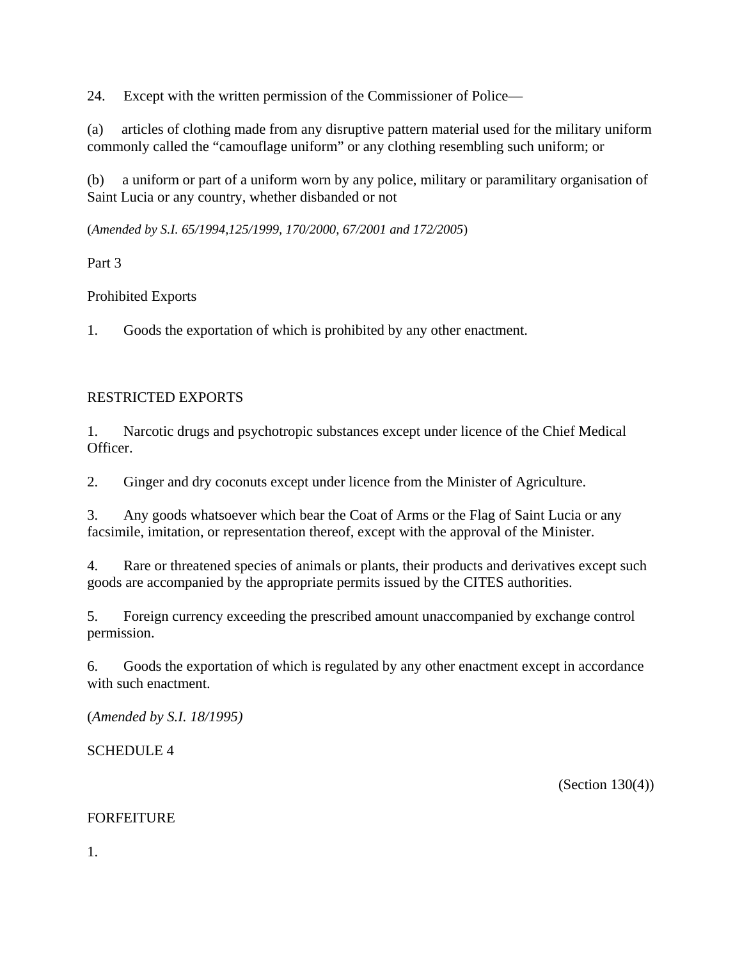24. Except with the written permission of the Commissioner of Police—

(a) articles of clothing made from any disruptive pattern material used for the military uniform commonly called the "camouflage uniform" or any clothing resembling such uniform; or

(b) a uniform or part of a uniform worn by any police, military or paramilitary organisation of Saint Lucia or any country, whether disbanded or not

(*Amended by S.I. 65/1994,125/1999, 170/2000, 67/2001 and 172/2005*)

Part 3

Prohibited Exports

1. Goods the exportation of which is prohibited by any other enactment.

# RESTRICTED EXPORTS

1. Narcotic drugs and psychotropic substances except under licence of the Chief Medical Officer.

2. Ginger and dry coconuts except under licence from the Minister of Agriculture.

3. Any goods whatsoever which bear the Coat of Arms or the Flag of Saint Lucia or any facsimile, imitation, or representation thereof, except with the approval of the Minister.

4. Rare or threatened species of animals or plants, their products and derivatives except such goods are accompanied by the appropriate permits issued by the CITES authorities.

5. Foreign currency exceeding the prescribed amount unaccompanied by exchange control permission.

6. Goods the exportation of which is regulated by any other enactment except in accordance with such enactment.

(*Amended by S.I. 18/1995)*

SCHEDULE 4

(Section 130(4))

#### FORFEITURE

1.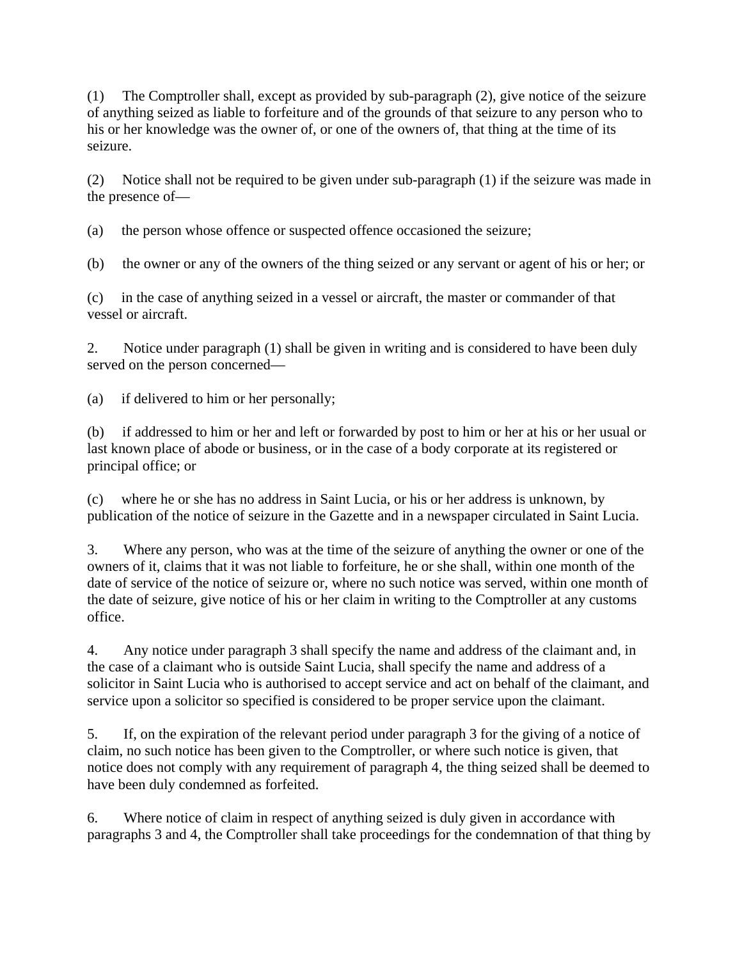(1) The Comptroller shall, except as provided by sub-paragraph (2), give notice of the seizure of anything seized as liable to forfeiture and of the grounds of that seizure to any person who to his or her knowledge was the owner of, or one of the owners of, that thing at the time of its seizure.

(2) Notice shall not be required to be given under sub-paragraph (1) if the seizure was made in the presence of—

(a) the person whose offence or suspected offence occasioned the seizure;

(b) the owner or any of the owners of the thing seized or any servant or agent of his or her; or

(c) in the case of anything seized in a vessel or aircraft, the master or commander of that vessel or aircraft.

2. Notice under paragraph (1) shall be given in writing and is considered to have been duly served on the person concerned—

(a) if delivered to him or her personally;

(b) if addressed to him or her and left or forwarded by post to him or her at his or her usual or last known place of abode or business, or in the case of a body corporate at its registered or principal office; or

(c) where he or she has no address in Saint Lucia, or his or her address is unknown, by publication of the notice of seizure in the Gazette and in a newspaper circulated in Saint Lucia.

3. Where any person, who was at the time of the seizure of anything the owner or one of the owners of it, claims that it was not liable to forfeiture, he or she shall, within one month of the date of service of the notice of seizure or, where no such notice was served, within one month of the date of seizure, give notice of his or her claim in writing to the Comptroller at any customs office.

4. Any notice under paragraph 3 shall specify the name and address of the claimant and, in the case of a claimant who is outside Saint Lucia, shall specify the name and address of a solicitor in Saint Lucia who is authorised to accept service and act on behalf of the claimant, and service upon a solicitor so specified is considered to be proper service upon the claimant.

5. If, on the expiration of the relevant period under paragraph 3 for the giving of a notice of claim, no such notice has been given to the Comptroller, or where such notice is given, that notice does not comply with any requirement of paragraph 4, the thing seized shall be deemed to have been duly condemned as forfeited.

6. Where notice of claim in respect of anything seized is duly given in accordance with paragraphs 3 and 4, the Comptroller shall take proceedings for the condemnation of that thing by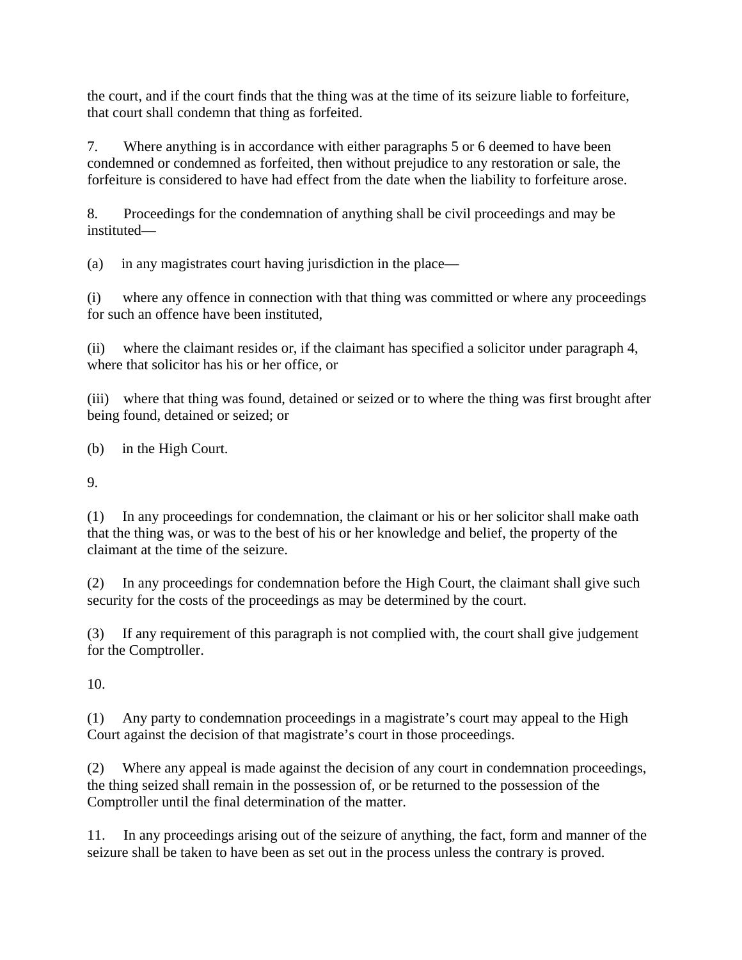the court, and if the court finds that the thing was at the time of its seizure liable to forfeiture, that court shall condemn that thing as forfeited.

7. Where anything is in accordance with either paragraphs 5 or 6 deemed to have been condemned or condemned as forfeited, then without prejudice to any restoration or sale, the forfeiture is considered to have had effect from the date when the liability to forfeiture arose.

8. Proceedings for the condemnation of anything shall be civil proceedings and may be instituted—

(a) in any magistrates court having jurisdiction in the place—

(i) where any offence in connection with that thing was committed or where any proceedings for such an offence have been instituted,

(ii) where the claimant resides or, if the claimant has specified a solicitor under paragraph 4, where that solicitor has his or her office, or

(iii) where that thing was found, detained or seized or to where the thing was first brought after being found, detained or seized; or

(b) in the High Court.

9.

(1) In any proceedings for condemnation, the claimant or his or her solicitor shall make oath that the thing was, or was to the best of his or her knowledge and belief, the property of the claimant at the time of the seizure.

(2) In any proceedings for condemnation before the High Court, the claimant shall give such security for the costs of the proceedings as may be determined by the court.

(3) If any requirement of this paragraph is not complied with, the court shall give judgement for the Comptroller.

10.

(1) Any party to condemnation proceedings in a magistrate's court may appeal to the High Court against the decision of that magistrate's court in those proceedings.

(2) Where any appeal is made against the decision of any court in condemnation proceedings, the thing seized shall remain in the possession of, or be returned to the possession of the Comptroller until the final determination of the matter.

11. In any proceedings arising out of the seizure of anything, the fact, form and manner of the seizure shall be taken to have been as set out in the process unless the contrary is proved.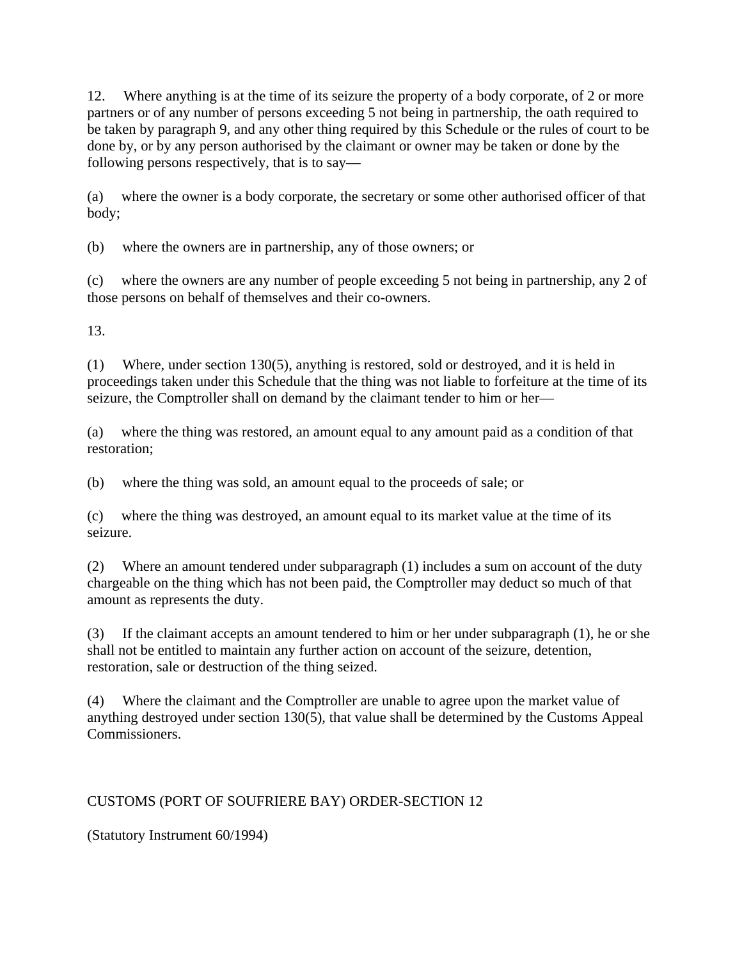12. Where anything is at the time of its seizure the property of a body corporate, of 2 or more partners or of any number of persons exceeding 5 not being in partnership, the oath required to be taken by paragraph 9, and any other thing required by this Schedule or the rules of court to be done by, or by any person authorised by the claimant or owner may be taken or done by the following persons respectively, that is to say—

(a) where the owner is a body corporate, the secretary or some other authorised officer of that body;

(b) where the owners are in partnership, any of those owners; or

(c) where the owners are any number of people exceeding 5 not being in partnership, any 2 of those persons on behalf of themselves and their co-owners.

13.

(1) Where, under section 130(5), anything is restored, sold or destroyed, and it is held in proceedings taken under this Schedule that the thing was not liable to forfeiture at the time of its seizure, the Comptroller shall on demand by the claimant tender to him or her—

(a) where the thing was restored, an amount equal to any amount paid as a condition of that restoration;

(b) where the thing was sold, an amount equal to the proceeds of sale; or

(c) where the thing was destroyed, an amount equal to its market value at the time of its seizure.

(2) Where an amount tendered under subparagraph (1) includes a sum on account of the duty chargeable on the thing which has not been paid, the Comptroller may deduct so much of that amount as represents the duty.

(3) If the claimant accepts an amount tendered to him or her under subparagraph (1), he or she shall not be entitled to maintain any further action on account of the seizure, detention, restoration, sale or destruction of the thing seized.

(4) Where the claimant and the Comptroller are unable to agree upon the market value of anything destroyed under section 130(5), that value shall be determined by the Customs Appeal Commissioners.

# CUSTOMS (PORT OF SOUFRIERE BAY) ORDER-SECTION 12

(Statutory Instrument 60/1994)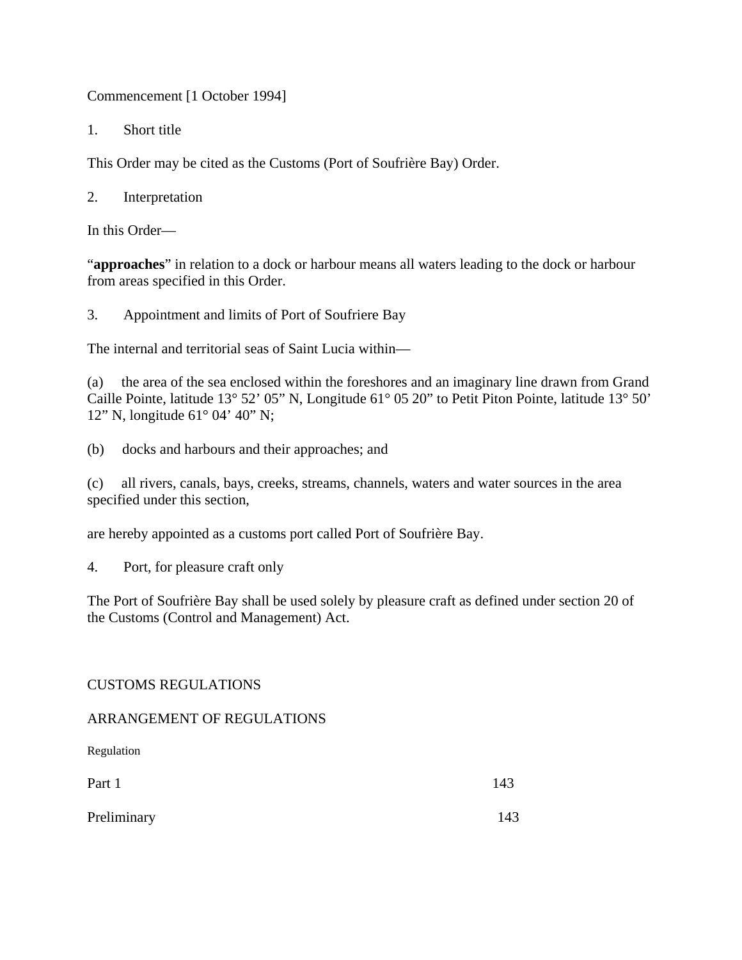Commencement [1 October 1994]

1. Short title

This Order may be cited as the Customs (Port of Soufrière Bay) Order.

2. Interpretation

In this Order—

"**approaches**" in relation to a dock or harbour means all waters leading to the dock or harbour from areas specified in this Order.

3. Appointment and limits of Port of Soufriere Bay

The internal and territorial seas of Saint Lucia within—

(a) the area of the sea enclosed within the foreshores and an imaginary line drawn from Grand Caille Pointe, latitude 13° 52' 05" N, Longitude 61° 05 20" to Petit Piton Pointe, latitude 13° 50' 12" N, longitude 61° 04' 40" N;

(b) docks and harbours and their approaches; and

(c) all rivers, canals, bays, creeks, streams, channels, waters and water sources in the area specified under this section,

are hereby appointed as a customs port called Port of Soufrière Bay.

4. Port, for pleasure craft only

The Port of Soufrière Bay shall be used solely by pleasure craft as defined under section 20 of the Customs (Control and Management) Act.

#### CUSTOMS REGULATIONS

ARRANGEMENT OF REGULATIONS

Regulation

| Part 1      | 143 |
|-------------|-----|
| Preliminary | 143 |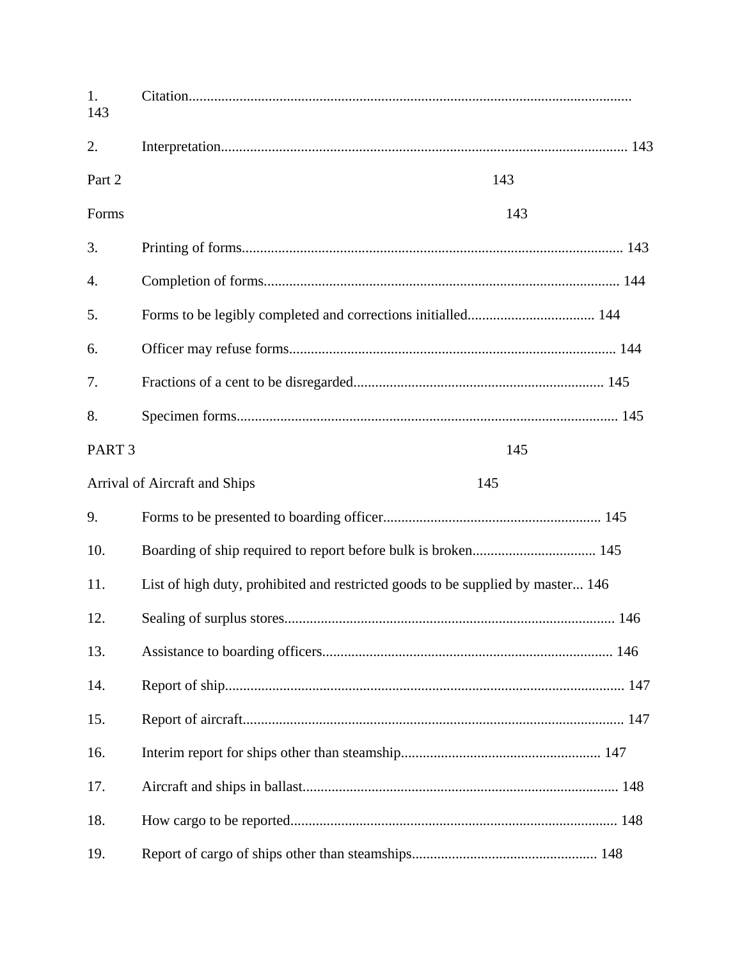| 1.<br>143         |                                                                                 |  |
|-------------------|---------------------------------------------------------------------------------|--|
| 2.                |                                                                                 |  |
| Part 2            | 143                                                                             |  |
| Forms             | 143                                                                             |  |
| 3.                |                                                                                 |  |
| 4.                |                                                                                 |  |
| 5.                |                                                                                 |  |
| 6.                |                                                                                 |  |
| 7.                |                                                                                 |  |
| 8.                |                                                                                 |  |
| PART <sub>3</sub> | 145                                                                             |  |
|                   | Arrival of Aircraft and Ships<br>145                                            |  |
| 9.                |                                                                                 |  |
| 10.               |                                                                                 |  |
| 11.               | List of high duty, prohibited and restricted goods to be supplied by master 146 |  |
| 12.               |                                                                                 |  |
| 13.               |                                                                                 |  |
| 14.               |                                                                                 |  |
| 15.               |                                                                                 |  |
| 16.               |                                                                                 |  |
| 17.               |                                                                                 |  |
| 18.               |                                                                                 |  |
| 19.               |                                                                                 |  |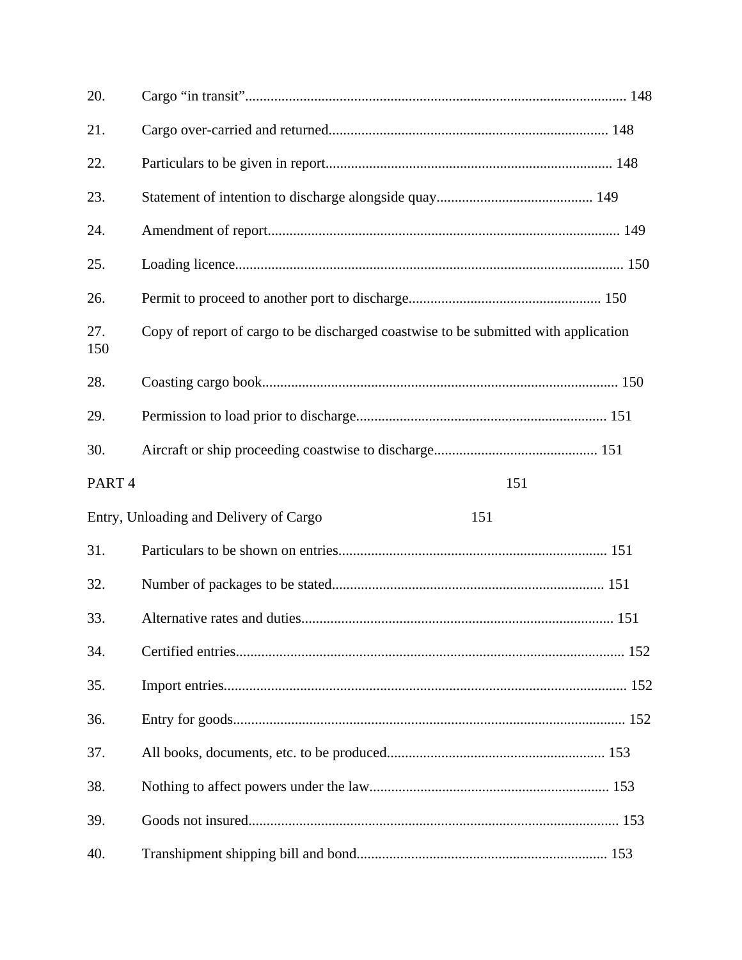| 20.               |                                                                                     |  |
|-------------------|-------------------------------------------------------------------------------------|--|
| 21.               |                                                                                     |  |
| 22.               |                                                                                     |  |
| 23.               |                                                                                     |  |
| 24.               |                                                                                     |  |
| 25.               |                                                                                     |  |
| 26.               |                                                                                     |  |
| 27.<br>150        | Copy of report of cargo to be discharged coastwise to be submitted with application |  |
| 28.               |                                                                                     |  |
| 29.               |                                                                                     |  |
| 30.               |                                                                                     |  |
| PART <sub>4</sub> | 151                                                                                 |  |
|                   | Entry, Unloading and Delivery of Cargo<br>151                                       |  |
| 31.               |                                                                                     |  |
| 32.               |                                                                                     |  |
| 33.               |                                                                                     |  |
| 34.               |                                                                                     |  |
| 35.               |                                                                                     |  |
| 36.               |                                                                                     |  |
| 37.               |                                                                                     |  |
| 38.               |                                                                                     |  |
| 39.               |                                                                                     |  |
| 40.               |                                                                                     |  |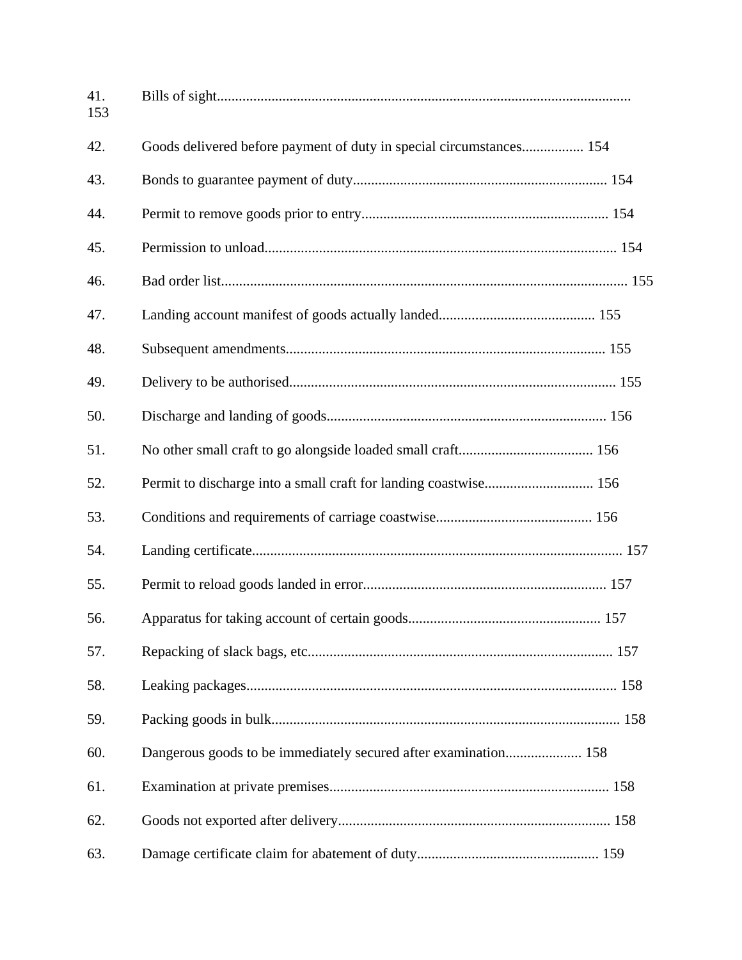| 41.<br>153 |                                                                     |  |
|------------|---------------------------------------------------------------------|--|
| 42.        | Goods delivered before payment of duty in special circumstances 154 |  |
| 43.        |                                                                     |  |
| 44.        |                                                                     |  |
| 45.        |                                                                     |  |
| 46.        |                                                                     |  |
| 47.        |                                                                     |  |
| 48.        |                                                                     |  |
| 49.        |                                                                     |  |
| 50.        |                                                                     |  |
| 51.        |                                                                     |  |
| 52.        | Permit to discharge into a small craft for landing coastwise 156    |  |
| 53.        |                                                                     |  |
| 54.        |                                                                     |  |
| 55.        |                                                                     |  |
| 56.        |                                                                     |  |
| 57.        |                                                                     |  |
| 58.        |                                                                     |  |
| 59.        |                                                                     |  |
| 60.        | Dangerous goods to be immediately secured after examination 158     |  |
| 61.        |                                                                     |  |
| 62.        |                                                                     |  |
| 63.        |                                                                     |  |
|            |                                                                     |  |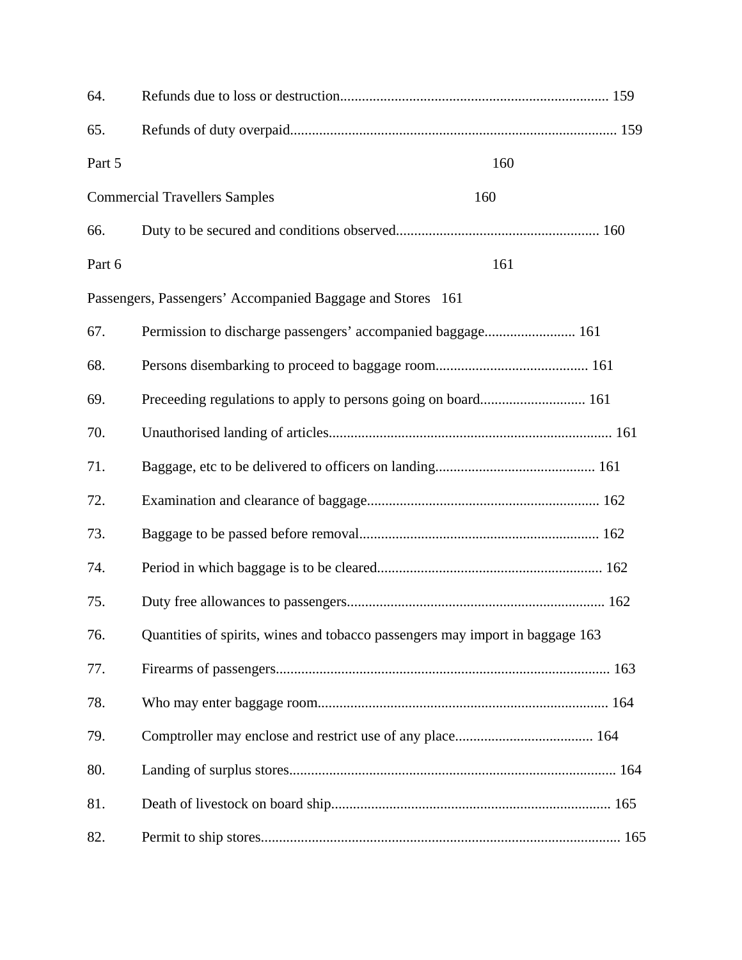| 64.    |                                                                               |  |
|--------|-------------------------------------------------------------------------------|--|
| 65.    |                                                                               |  |
| Part 5 | 160                                                                           |  |
|        | <b>Commercial Travellers Samples</b><br>160                                   |  |
| 66.    |                                                                               |  |
| Part 6 | 161                                                                           |  |
|        | Passengers, Passengers' Accompanied Baggage and Stores 161                    |  |
| 67.    | Permission to discharge passengers' accompanied baggage 161                   |  |
| 68.    |                                                                               |  |
| 69.    |                                                                               |  |
| 70.    |                                                                               |  |
| 71.    |                                                                               |  |
| 72.    |                                                                               |  |
| 73.    |                                                                               |  |
| 74.    |                                                                               |  |
| 75.    |                                                                               |  |
| 76.    | Quantities of spirits, wines and tobacco passengers may import in baggage 163 |  |
| 77.    |                                                                               |  |
| 78.    |                                                                               |  |
| 79.    |                                                                               |  |
| 80.    |                                                                               |  |
| 81.    |                                                                               |  |
| 82.    |                                                                               |  |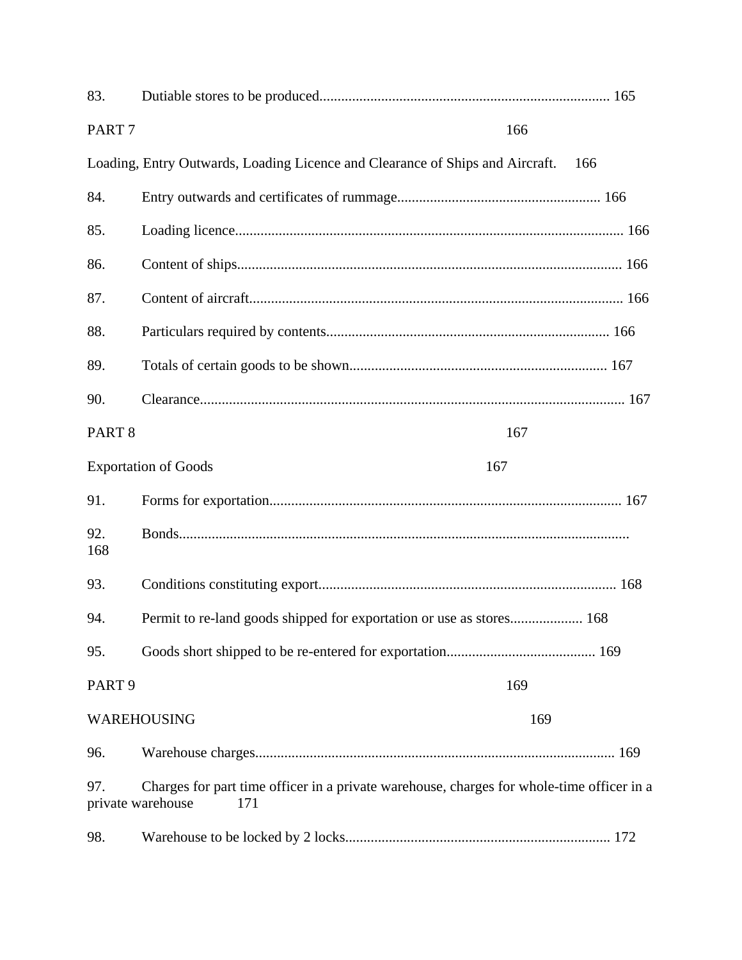| 83.                                                                                                                          |                                                                               |     |     |
|------------------------------------------------------------------------------------------------------------------------------|-------------------------------------------------------------------------------|-----|-----|
| PART <sub>7</sub>                                                                                                            |                                                                               | 166 |     |
|                                                                                                                              | Loading, Entry Outwards, Loading Licence and Clearance of Ships and Aircraft. |     | 166 |
| 84.                                                                                                                          |                                                                               |     |     |
| 85.                                                                                                                          |                                                                               |     |     |
| 86.                                                                                                                          |                                                                               |     |     |
| 87.                                                                                                                          |                                                                               |     |     |
| 88.                                                                                                                          |                                                                               |     |     |
| 89.                                                                                                                          |                                                                               |     |     |
| 90.                                                                                                                          |                                                                               |     |     |
| PART <sub>8</sub><br>167                                                                                                     |                                                                               |     |     |
|                                                                                                                              | <b>Exportation of Goods</b><br>167                                            |     |     |
| 91.                                                                                                                          |                                                                               |     |     |
| 92.<br>168                                                                                                                   |                                                                               |     |     |
| 93.                                                                                                                          |                                                                               |     |     |
| 94.                                                                                                                          | Permit to re-land goods shipped for exportation or use as stores 168          |     |     |
| 95.                                                                                                                          |                                                                               |     |     |
| PART <sub>9</sub><br>169                                                                                                     |                                                                               |     |     |
|                                                                                                                              | WAREHOUSING                                                                   | 169 |     |
| 96.                                                                                                                          |                                                                               |     |     |
| Charges for part time officer in a private warehouse, charges for whole-time officer in a<br>97.<br>private warehouse<br>171 |                                                                               |     |     |
| 98.                                                                                                                          |                                                                               |     |     |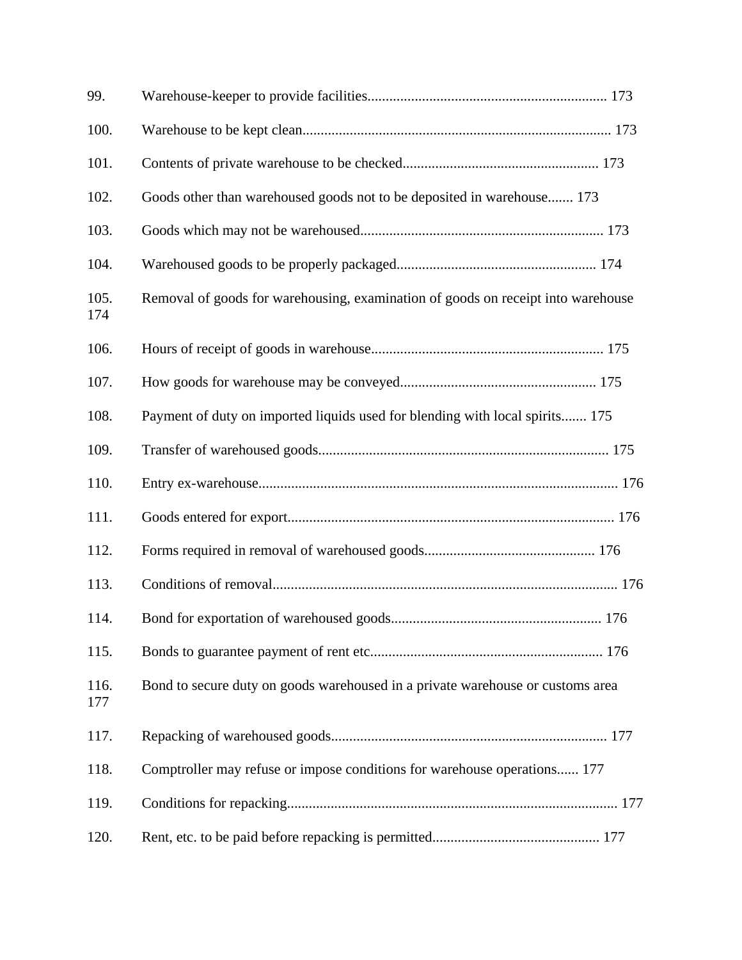| 99.         |                                                                                  |
|-------------|----------------------------------------------------------------------------------|
| 100.        |                                                                                  |
| 101.        |                                                                                  |
| 102.        | Goods other than warehoused goods not to be deposited in warehouse 173           |
| 103.        |                                                                                  |
| 104.        |                                                                                  |
| 105.<br>174 | Removal of goods for warehousing, examination of goods on receipt into warehouse |
| 106.        |                                                                                  |
| 107.        |                                                                                  |
| 108.        | Payment of duty on imported liquids used for blending with local spirits 175     |
| 109.        |                                                                                  |
| 110.        |                                                                                  |
| 111.        |                                                                                  |
| 112.        |                                                                                  |
| 113.        |                                                                                  |
| 114.        |                                                                                  |
| 115.        |                                                                                  |
| 116.<br>177 | Bond to secure duty on goods warehoused in a private warehouse or customs area   |
| 117.        |                                                                                  |
| 118.        | Comptroller may refuse or impose conditions for warehouse operations 177         |
| 119.        |                                                                                  |
| 120.        |                                                                                  |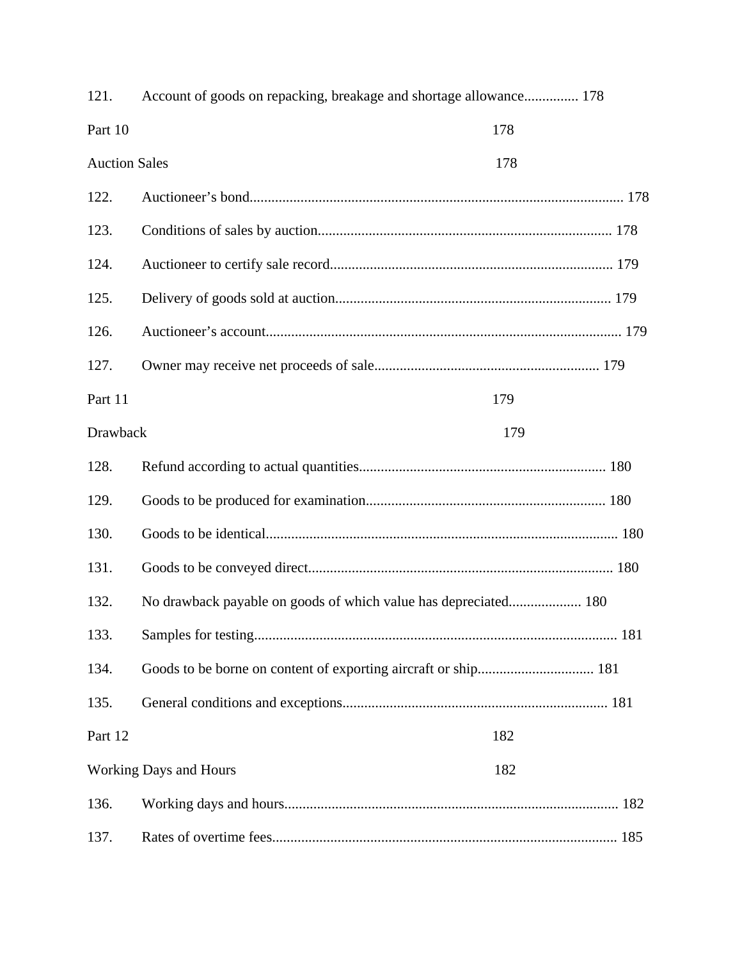| 121.                 | Account of goods on repacking, breakage and shortage allowance 178 |     |
|----------------------|--------------------------------------------------------------------|-----|
| Part 10              |                                                                    | 178 |
| <b>Auction Sales</b> |                                                                    | 178 |
| 122.                 |                                                                    |     |
| 123.                 |                                                                    |     |
| 124.                 |                                                                    |     |
| 125.                 |                                                                    |     |
| 126.                 |                                                                    |     |
| 127.                 |                                                                    |     |
| Part 11              |                                                                    | 179 |
| Drawback<br>179      |                                                                    |     |
| 128.                 |                                                                    |     |
| 129.                 |                                                                    |     |
| 130.                 |                                                                    |     |
| 131.                 |                                                                    |     |
| 132.                 | No drawback payable on goods of which value has depreciated 180    |     |
| 133.                 |                                                                    |     |
| 134.                 |                                                                    |     |
| 135.                 |                                                                    |     |
| Part 12              |                                                                    | 182 |
|                      | <b>Working Days and Hours</b>                                      | 182 |
| 136.                 |                                                                    |     |
| 137.                 |                                                                    |     |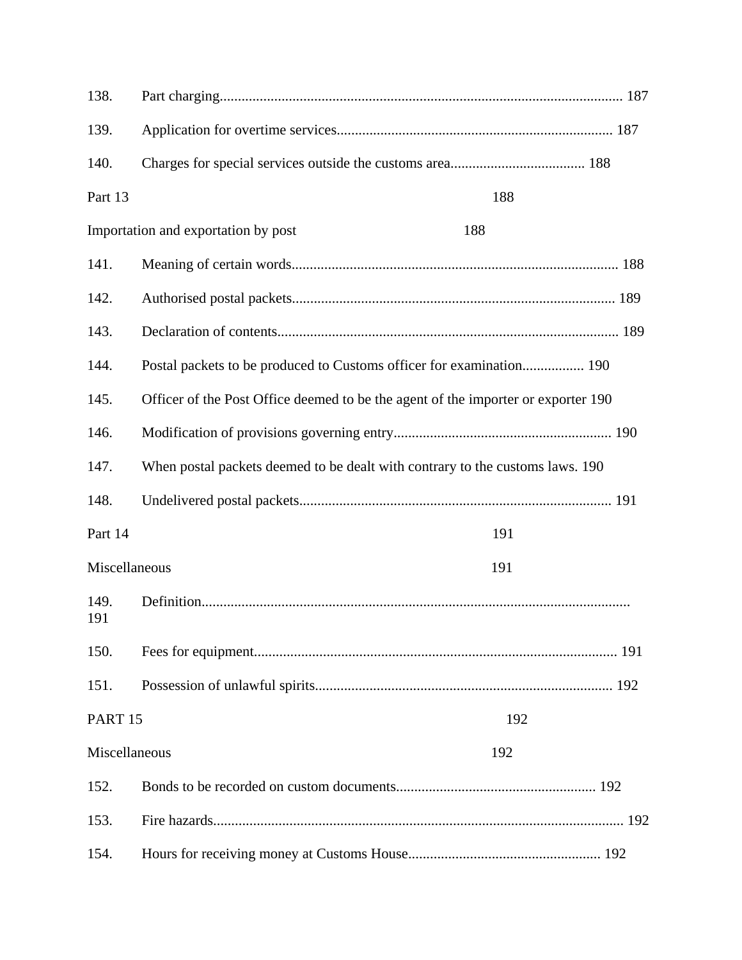| 138.                      |                                                                                   |
|---------------------------|-----------------------------------------------------------------------------------|
| 139.                      |                                                                                   |
| 140.                      |                                                                                   |
| Part 13                   | 188                                                                               |
|                           | Importation and exportation by post<br>188                                        |
| 141.                      |                                                                                   |
| 142.                      |                                                                                   |
| 143.                      |                                                                                   |
| 144.                      | Postal packets to be produced to Customs officer for examination 190              |
| 145.                      | Officer of the Post Office deemed to be the agent of the importer or exporter 190 |
| 146.                      |                                                                                   |
| 147.                      | When postal packets deemed to be dealt with contrary to the customs laws. 190     |
| 148.                      |                                                                                   |
| Part 14                   | 191                                                                               |
| Miscellaneous             | 191                                                                               |
| 149.<br>191               |                                                                                   |
| 150.                      |                                                                                   |
| 151.                      |                                                                                   |
| PART <sub>15</sub><br>192 |                                                                                   |
| Miscellaneous             | 192                                                                               |
| 152.                      |                                                                                   |
| 153.                      |                                                                                   |
| 154.                      |                                                                                   |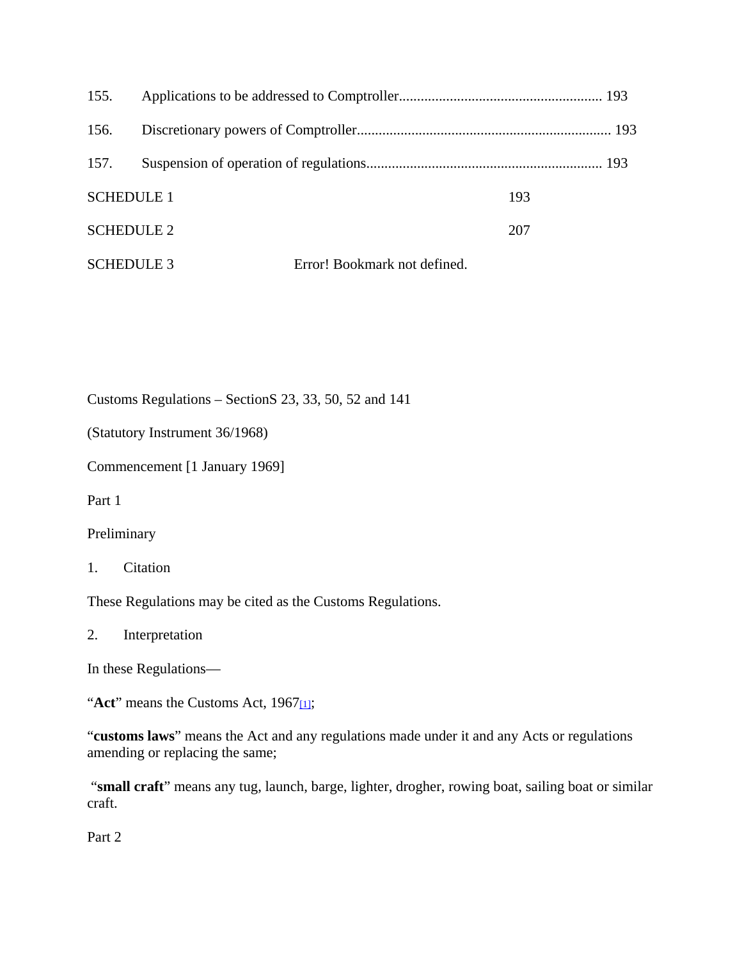| 155.              |                              |  |
|-------------------|------------------------------|--|
| 156.              |                              |  |
| 157.              |                              |  |
| <b>SCHEDULE 1</b> | 193                          |  |
| <b>SCHEDULE 2</b> | 207                          |  |
| <b>SCHEDULE 3</b> | Error! Bookmark not defined. |  |

Customs Regulations – SectionS 23, 33, 50, 52 and 141

(Statutory Instrument 36/1968)

Commencement [1 January 1969]

Part 1

Preliminary

1. Citation

These Regulations may be cited as the Customs Regulations.

2. Interpretation

In these Regulations—

"Act" means the Customs Act, 1967<sub>[1]</sub>;

"**customs laws**" means the Act and any regulations made under it and any Acts or regulations amending or replacing the same;

 "**small craft**" means any tug, launch, barge, lighter, drogher, rowing boat, sailing boat or similar craft.

Part 2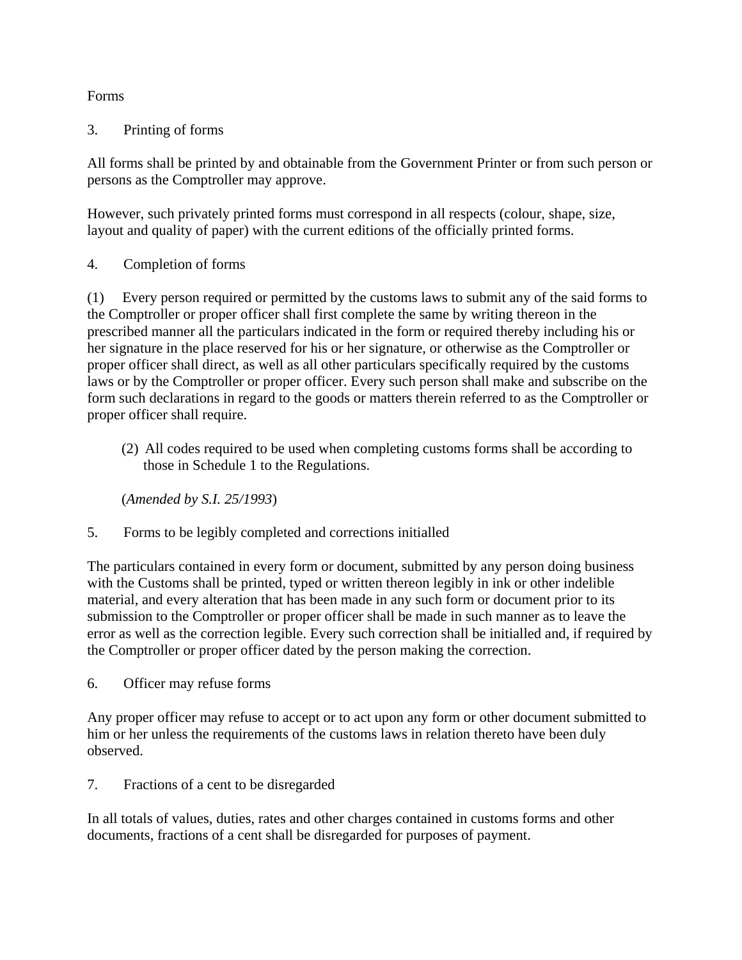## Forms

## 3. Printing of forms

All forms shall be printed by and obtainable from the Government Printer or from such person or persons as the Comptroller may approve.

However, such privately printed forms must correspond in all respects (colour, shape, size, layout and quality of paper) with the current editions of the officially printed forms.

4. Completion of forms

(1) Every person required or permitted by the customs laws to submit any of the said forms to the Comptroller or proper officer shall first complete the same by writing thereon in the prescribed manner all the particulars indicated in the form or required thereby including his or her signature in the place reserved for his or her signature, or otherwise as the Comptroller or proper officer shall direct, as well as all other particulars specifically required by the customs laws or by the Comptroller or proper officer. Every such person shall make and subscribe on the form such declarations in regard to the goods or matters therein referred to as the Comptroller or proper officer shall require.

(2) All codes required to be used when completing customs forms shall be according to those in Schedule 1 to the Regulations.

(*Amended by S.I. 25/1993*)

5. Forms to be legibly completed and corrections initialled

The particulars contained in every form or document, submitted by any person doing business with the Customs shall be printed, typed or written thereon legibly in ink or other indelible material, and every alteration that has been made in any such form or document prior to its submission to the Comptroller or proper officer shall be made in such manner as to leave the error as well as the correction legible. Every such correction shall be initialled and, if required by the Comptroller or proper officer dated by the person making the correction.

6. Officer may refuse forms

Any proper officer may refuse to accept or to act upon any form or other document submitted to him or her unless the requirements of the customs laws in relation thereto have been duly observed.

7. Fractions of a cent to be disregarded

In all totals of values, duties, rates and other charges contained in customs forms and other documents, fractions of a cent shall be disregarded for purposes of payment.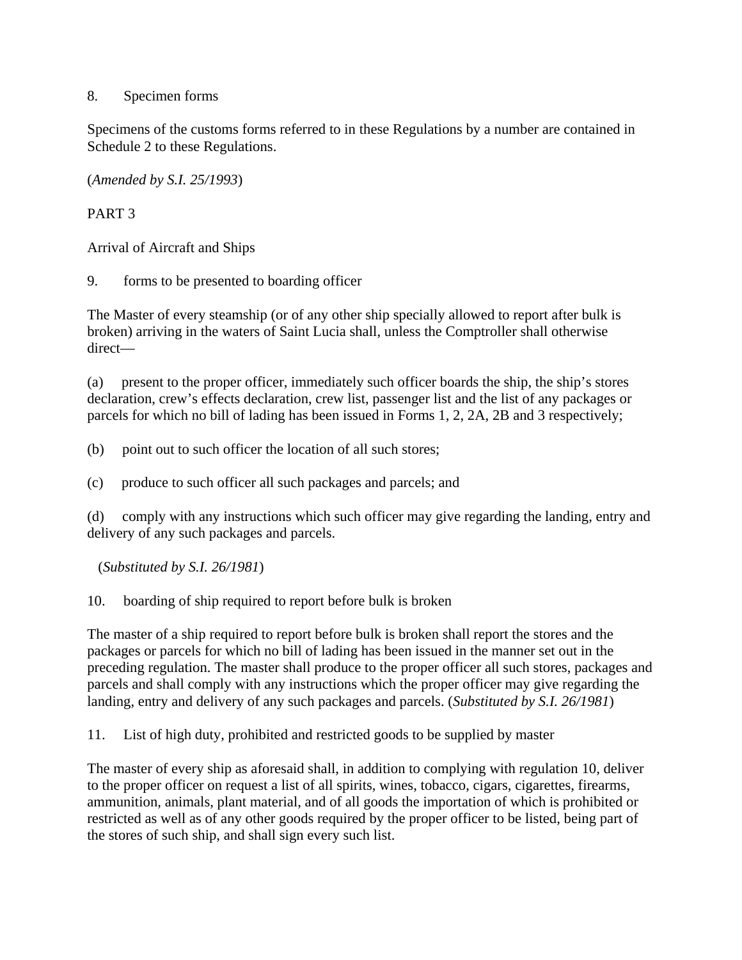#### 8. Specimen forms

Specimens of the customs forms referred to in these Regulations by a number are contained in Schedule 2 to these Regulations.

(*Amended by S.I. 25/1993*)

# PART 3

Arrival of Aircraft and Ships

9. forms to be presented to boarding officer

The Master of every steamship (or of any other ship specially allowed to report after bulk is broken) arriving in the waters of Saint Lucia shall, unless the Comptroller shall otherwise direct—

(a) present to the proper officer, immediately such officer boards the ship, the ship's stores declaration, crew's effects declaration, crew list, passenger list and the list of any packages or parcels for which no bill of lading has been issued in Forms 1, 2, 2A, 2B and 3 respectively;

(b) point out to such officer the location of all such stores;

(c) produce to such officer all such packages and parcels; and

(d) comply with any instructions which such officer may give regarding the landing, entry and delivery of any such packages and parcels.

(*Substituted by S.I. 26/1981*)

10. boarding of ship required to report before bulk is broken

The master of a ship required to report before bulk is broken shall report the stores and the packages or parcels for which no bill of lading has been issued in the manner set out in the preceding regulation. The master shall produce to the proper officer all such stores, packages and parcels and shall comply with any instructions which the proper officer may give regarding the landing, entry and delivery of any such packages and parcels. (*Substituted by S.I. 26/1981*)

11. List of high duty, prohibited and restricted goods to be supplied by master

The master of every ship as aforesaid shall, in addition to complying with regulation 10, deliver to the proper officer on request a list of all spirits, wines, tobacco, cigars, cigarettes, firearms, ammunition, animals, plant material, and of all goods the importation of which is prohibited or restricted as well as of any other goods required by the proper officer to be listed, being part of the stores of such ship, and shall sign every such list.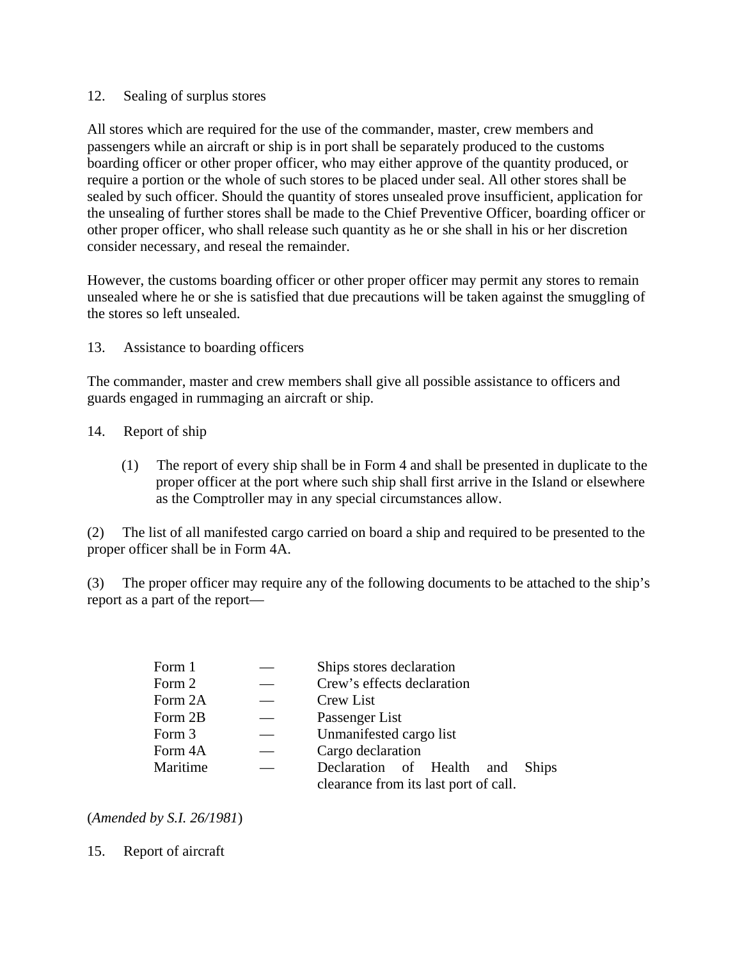#### 12. Sealing of surplus stores

All stores which are required for the use of the commander, master, crew members and passengers while an aircraft or ship is in port shall be separately produced to the customs boarding officer or other proper officer, who may either approve of the quantity produced, or require a portion or the whole of such stores to be placed under seal. All other stores shall be sealed by such officer. Should the quantity of stores unsealed prove insufficient, application for the unsealing of further stores shall be made to the Chief Preventive Officer, boarding officer or other proper officer, who shall release such quantity as he or she shall in his or her discretion consider necessary, and reseal the remainder.

However, the customs boarding officer or other proper officer may permit any stores to remain unsealed where he or she is satisfied that due precautions will be taken against the smuggling of the stores so left unsealed.

#### 13. Assistance to boarding officers

The commander, master and crew members shall give all possible assistance to officers and guards engaged in rummaging an aircraft or ship.

- 14. Report of ship
	- (1) The report of every ship shall be in Form 4 and shall be presented in duplicate to the proper officer at the port where such ship shall first arrive in the Island or elsewhere as the Comptroller may in any special circumstances allow.

(2) The list of all manifested cargo carried on board a ship and required to be presented to the proper officer shall be in Form 4A.

(3) The proper officer may require any of the following documents to be attached to the ship's report as a part of the report—

| Form 1   | Ships stores declaration                  |  |
|----------|-------------------------------------------|--|
| Form 2   | Crew's effects declaration                |  |
| Form 2A  | Crew List                                 |  |
| Form 2B  | Passenger List                            |  |
| Form 3   | Unmanifested cargo list                   |  |
| Form 4A  | Cargo declaration                         |  |
| Maritime | Declaration of Health and<br><b>Ships</b> |  |
|          | clearance from its last port of call.     |  |

(*Amended by S.I. 26/1981*)

15. Report of aircraft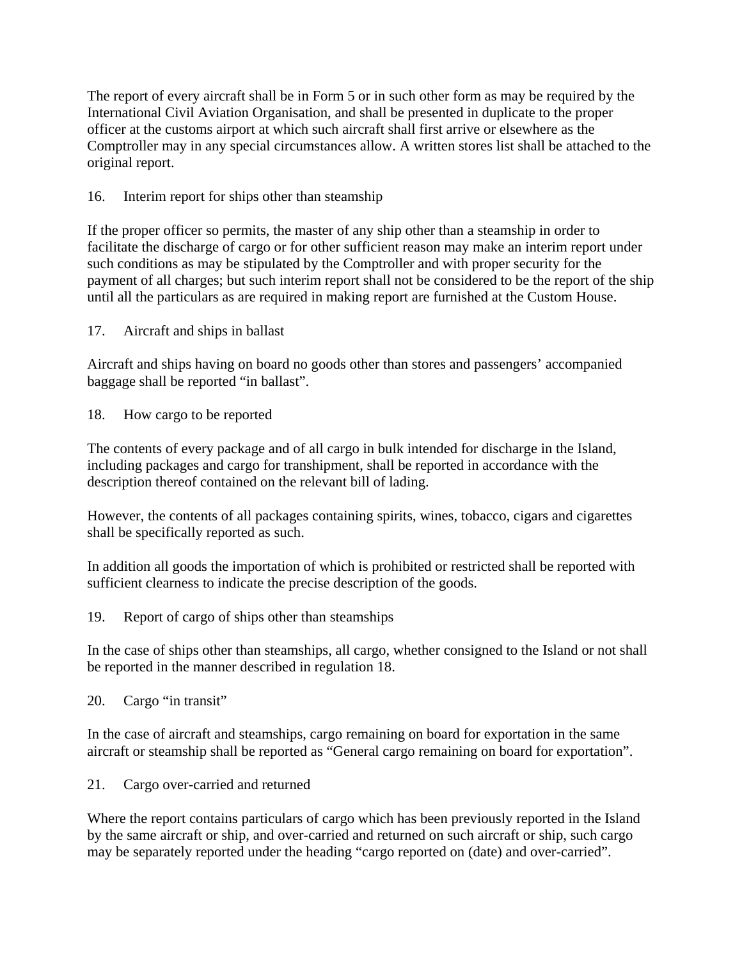The report of every aircraft shall be in Form 5 or in such other form as may be required by the International Civil Aviation Organisation, and shall be presented in duplicate to the proper officer at the customs airport at which such aircraft shall first arrive or elsewhere as the Comptroller may in any special circumstances allow. A written stores list shall be attached to the original report.

## 16. Interim report for ships other than steamship

If the proper officer so permits, the master of any ship other than a steamship in order to facilitate the discharge of cargo or for other sufficient reason may make an interim report under such conditions as may be stipulated by the Comptroller and with proper security for the payment of all charges; but such interim report shall not be considered to be the report of the ship until all the particulars as are required in making report are furnished at the Custom House.

## 17. Aircraft and ships in ballast

Aircraft and ships having on board no goods other than stores and passengers' accompanied baggage shall be reported "in ballast".

### 18. How cargo to be reported

The contents of every package and of all cargo in bulk intended for discharge in the Island, including packages and cargo for transhipment, shall be reported in accordance with the description thereof contained on the relevant bill of lading.

However, the contents of all packages containing spirits, wines, tobacco, cigars and cigarettes shall be specifically reported as such.

In addition all goods the importation of which is prohibited or restricted shall be reported with sufficient clearness to indicate the precise description of the goods.

19. Report of cargo of ships other than steamships

In the case of ships other than steamships, all cargo, whether consigned to the Island or not shall be reported in the manner described in regulation 18.

20. Cargo "in transit"

In the case of aircraft and steamships, cargo remaining on board for exportation in the same aircraft or steamship shall be reported as "General cargo remaining on board for exportation".

21. Cargo over-carried and returned

Where the report contains particulars of cargo which has been previously reported in the Island by the same aircraft or ship, and over-carried and returned on such aircraft or ship, such cargo may be separately reported under the heading "cargo reported on (date) and over-carried".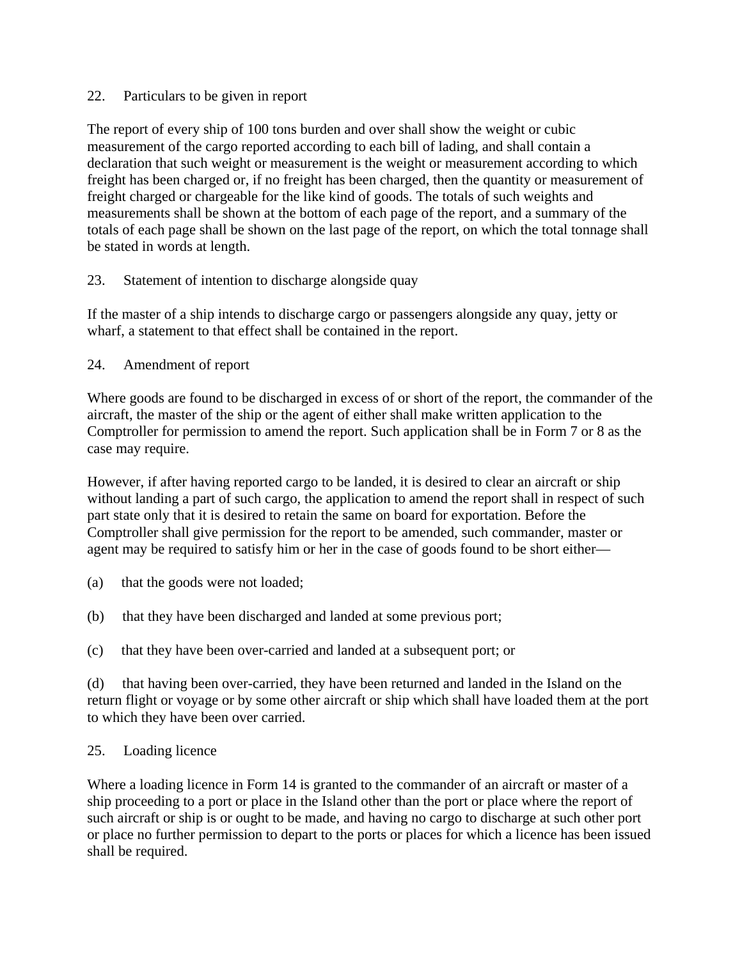#### 22. Particulars to be given in report

The report of every ship of 100 tons burden and over shall show the weight or cubic measurement of the cargo reported according to each bill of lading, and shall contain a declaration that such weight or measurement is the weight or measurement according to which freight has been charged or, if no freight has been charged, then the quantity or measurement of freight charged or chargeable for the like kind of goods. The totals of such weights and measurements shall be shown at the bottom of each page of the report, and a summary of the totals of each page shall be shown on the last page of the report, on which the total tonnage shall be stated in words at length.

### 23. Statement of intention to discharge alongside quay

If the master of a ship intends to discharge cargo or passengers alongside any quay, jetty or wharf, a statement to that effect shall be contained in the report.

24. Amendment of report

Where goods are found to be discharged in excess of or short of the report, the commander of the aircraft, the master of the ship or the agent of either shall make written application to the Comptroller for permission to amend the report. Such application shall be in Form 7 or 8 as the case may require.

However, if after having reported cargo to be landed, it is desired to clear an aircraft or ship without landing a part of such cargo, the application to amend the report shall in respect of such part state only that it is desired to retain the same on board for exportation. Before the Comptroller shall give permission for the report to be amended, such commander, master or agent may be required to satisfy him or her in the case of goods found to be short either—

- (a) that the goods were not loaded;
- (b) that they have been discharged and landed at some previous port;
- (c) that they have been over-carried and landed at a subsequent port; or

(d) that having been over-carried, they have been returned and landed in the Island on the return flight or voyage or by some other aircraft or ship which shall have loaded them at the port to which they have been over carried.

### 25. Loading licence

Where a loading licence in Form 14 is granted to the commander of an aircraft or master of a ship proceeding to a port or place in the Island other than the port or place where the report of such aircraft or ship is or ought to be made, and having no cargo to discharge at such other port or place no further permission to depart to the ports or places for which a licence has been issued shall be required.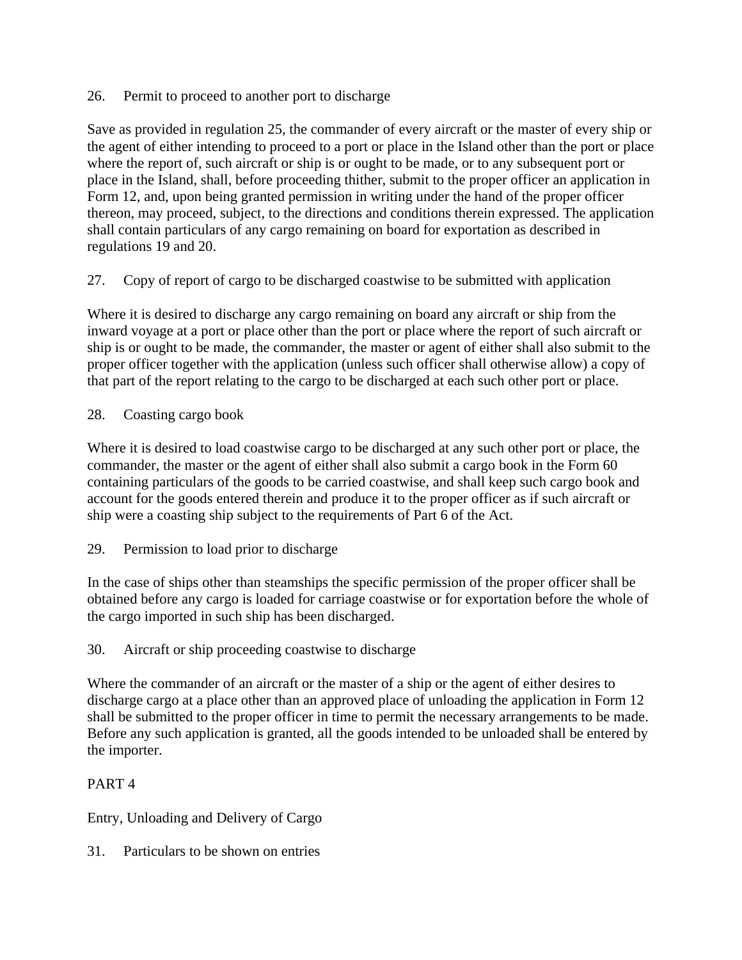26. Permit to proceed to another port to discharge

Save as provided in regulation 25, the commander of every aircraft or the master of every ship or the agent of either intending to proceed to a port or place in the Island other than the port or place where the report of, such aircraft or ship is or ought to be made, or to any subsequent port or place in the Island, shall, before proceeding thither, submit to the proper officer an application in Form 12, and, upon being granted permission in writing under the hand of the proper officer thereon, may proceed, subject, to the directions and conditions therein expressed. The application shall contain particulars of any cargo remaining on board for exportation as described in regulations 19 and 20.

27. Copy of report of cargo to be discharged coastwise to be submitted with application

Where it is desired to discharge any cargo remaining on board any aircraft or ship from the inward voyage at a port or place other than the port or place where the report of such aircraft or ship is or ought to be made, the commander, the master or agent of either shall also submit to the proper officer together with the application (unless such officer shall otherwise allow) a copy of that part of the report relating to the cargo to be discharged at each such other port or place.

28. Coasting cargo book

Where it is desired to load coastwise cargo to be discharged at any such other port or place, the commander, the master or the agent of either shall also submit a cargo book in the Form 60 containing particulars of the goods to be carried coastwise, and shall keep such cargo book and account for the goods entered therein and produce it to the proper officer as if such aircraft or ship were a coasting ship subject to the requirements of Part 6 of the Act.

29. Permission to load prior to discharge

In the case of ships other than steamships the specific permission of the proper officer shall be obtained before any cargo is loaded for carriage coastwise or for exportation before the whole of the cargo imported in such ship has been discharged.

### 30. Aircraft or ship proceeding coastwise to discharge

Where the commander of an aircraft or the master of a ship or the agent of either desires to discharge cargo at a place other than an approved place of unloading the application in Form 12 shall be submitted to the proper officer in time to permit the necessary arrangements to be made. Before any such application is granted, all the goods intended to be unloaded shall be entered by the importer.

### PART 4

Entry, Unloading and Delivery of Cargo

31. Particulars to be shown on entries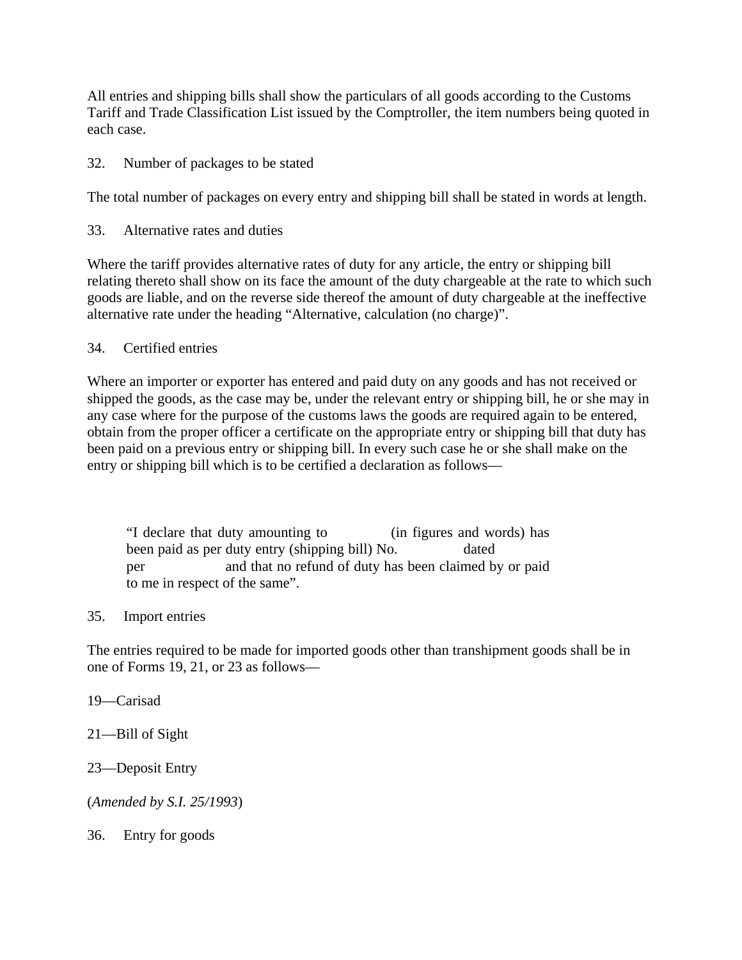All entries and shipping bills shall show the particulars of all goods according to the Customs Tariff and Trade Classification List issued by the Comptroller, the item numbers being quoted in each case.

32. Number of packages to be stated

The total number of packages on every entry and shipping bill shall be stated in words at length.

33. Alternative rates and duties

Where the tariff provides alternative rates of duty for any article, the entry or shipping bill relating thereto shall show on its face the amount of the duty chargeable at the rate to which such goods are liable, and on the reverse side thereof the amount of duty chargeable at the ineffective alternative rate under the heading "Alternative, calculation (no charge)".

#### 34. Certified entries

Where an importer or exporter has entered and paid duty on any goods and has not received or shipped the goods, as the case may be, under the relevant entry or shipping bill, he or she may in any case where for the purpose of the customs laws the goods are required again to be entered, obtain from the proper officer a certificate on the appropriate entry or shipping bill that duty has been paid on a previous entry or shipping bill. In every such case he or she shall make on the entry or shipping bill which is to be certified a declaration as follows—

"I declare that duty amounting to (in figures and words) has been paid as per duty entry (shipping bill) No. dated per and that no refund of duty has been claimed by or paid to me in respect of the same".

### 35. Import entries

The entries required to be made for imported goods other than transhipment goods shall be in one of Forms 19, 21, or 23 as follows—

- 19—Carisad
- 21—Bill of Sight
- 23—Deposit Entry

(*Amended by S.I. 25/1993*)

36. Entry for goods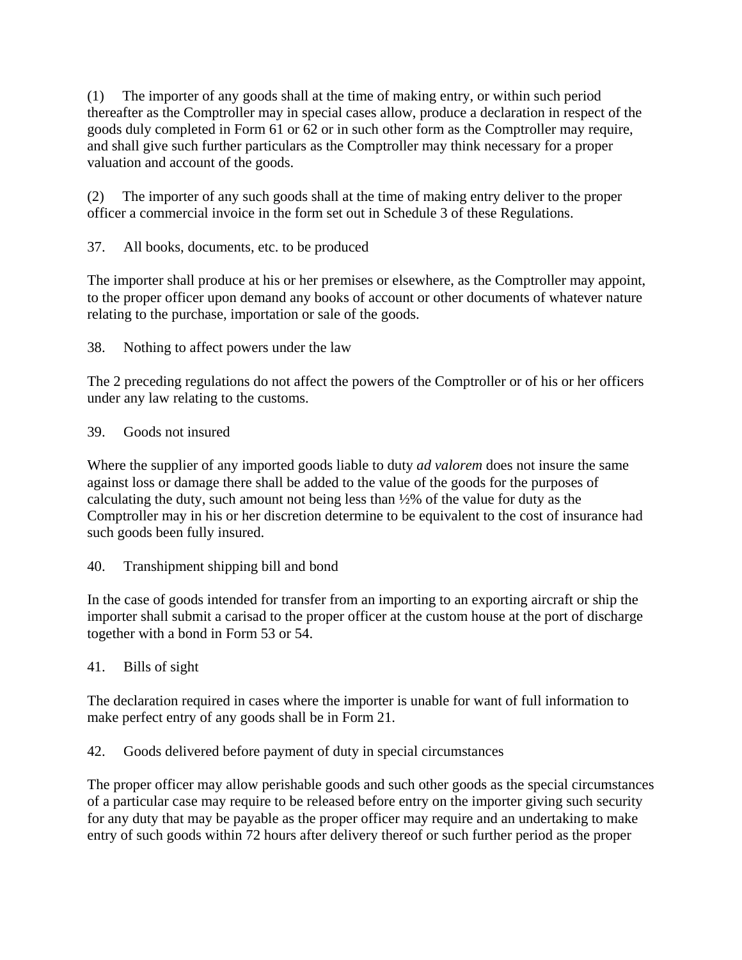(1) The importer of any goods shall at the time of making entry, or within such period thereafter as the Comptroller may in special cases allow, produce a declaration in respect of the goods duly completed in Form 61 or 62 or in such other form as the Comptroller may require, and shall give such further particulars as the Comptroller may think necessary for a proper valuation and account of the goods.

(2) The importer of any such goods shall at the time of making entry deliver to the proper officer a commercial invoice in the form set out in Schedule 3 of these Regulations.

37. All books, documents, etc. to be produced

The importer shall produce at his or her premises or elsewhere, as the Comptroller may appoint, to the proper officer upon demand any books of account or other documents of whatever nature relating to the purchase, importation or sale of the goods.

38. Nothing to affect powers under the law

The 2 preceding regulations do not affect the powers of the Comptroller or of his or her officers under any law relating to the customs.

## 39. Goods not insured

Where the supplier of any imported goods liable to duty *ad valorem* does not insure the same against loss or damage there shall be added to the value of the goods for the purposes of calculating the duty, such amount not being less than ½% of the value for duty as the Comptroller may in his or her discretion determine to be equivalent to the cost of insurance had such goods been fully insured.

# 40. Transhipment shipping bill and bond

In the case of goods intended for transfer from an importing to an exporting aircraft or ship the importer shall submit a carisad to the proper officer at the custom house at the port of discharge together with a bond in Form 53 or 54.

# 41. Bills of sight

The declaration required in cases where the importer is unable for want of full information to make perfect entry of any goods shall be in Form 21.

42. Goods delivered before payment of duty in special circumstances

The proper officer may allow perishable goods and such other goods as the special circumstances of a particular case may require to be released before entry on the importer giving such security for any duty that may be payable as the proper officer may require and an undertaking to make entry of such goods within 72 hours after delivery thereof or such further period as the proper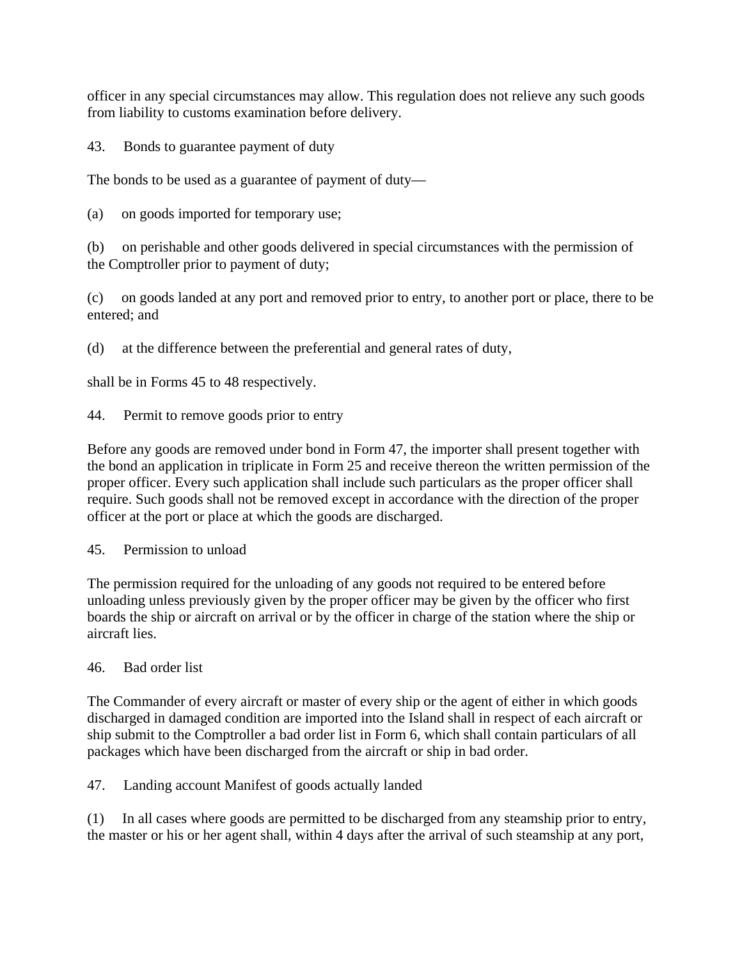officer in any special circumstances may allow. This regulation does not relieve any such goods from liability to customs examination before delivery.

43. Bonds to guarantee payment of duty

The bonds to be used as a guarantee of payment of duty—

(a) on goods imported for temporary use;

(b) on perishable and other goods delivered in special circumstances with the permission of the Comptroller prior to payment of duty;

(c) on goods landed at any port and removed prior to entry, to another port or place, there to be entered; and

(d) at the difference between the preferential and general rates of duty,

shall be in Forms 45 to 48 respectively.

44. Permit to remove goods prior to entry

Before any goods are removed under bond in Form 47, the importer shall present together with the bond an application in triplicate in Form 25 and receive thereon the written permission of the proper officer. Every such application shall include such particulars as the proper officer shall require. Such goods shall not be removed except in accordance with the direction of the proper officer at the port or place at which the goods are discharged.

45. Permission to unload

The permission required for the unloading of any goods not required to be entered before unloading unless previously given by the proper officer may be given by the officer who first boards the ship or aircraft on arrival or by the officer in charge of the station where the ship or aircraft lies.

46. Bad order list

The Commander of every aircraft or master of every ship or the agent of either in which goods discharged in damaged condition are imported into the Island shall in respect of each aircraft or ship submit to the Comptroller a bad order list in Form 6, which shall contain particulars of all packages which have been discharged from the aircraft or ship in bad order.

47. Landing account Manifest of goods actually landed

(1) In all cases where goods are permitted to be discharged from any steamship prior to entry, the master or his or her agent shall, within 4 days after the arrival of such steamship at any port,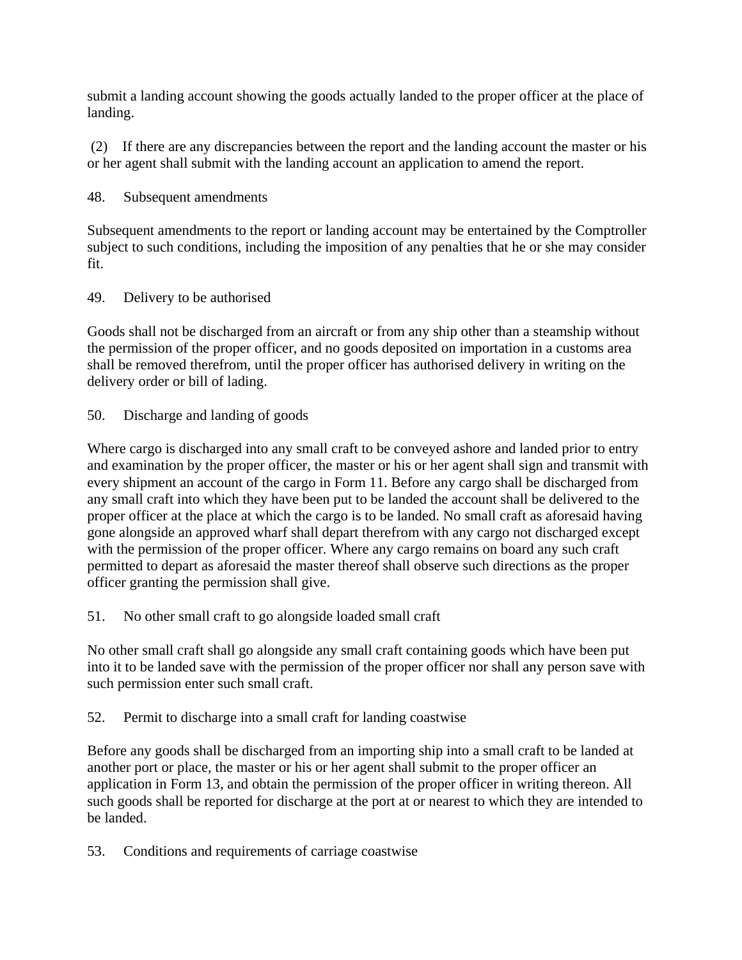submit a landing account showing the goods actually landed to the proper officer at the place of landing.

 (2) If there are any discrepancies between the report and the landing account the master or his or her agent shall submit with the landing account an application to amend the report.

48. Subsequent amendments

Subsequent amendments to the report or landing account may be entertained by the Comptroller subject to such conditions, including the imposition of any penalties that he or she may consider fit.

49. Delivery to be authorised

Goods shall not be discharged from an aircraft or from any ship other than a steamship without the permission of the proper officer, and no goods deposited on importation in a customs area shall be removed therefrom, until the proper officer has authorised delivery in writing on the delivery order or bill of lading.

50. Discharge and landing of goods

Where cargo is discharged into any small craft to be conveyed ashore and landed prior to entry and examination by the proper officer, the master or his or her agent shall sign and transmit with every shipment an account of the cargo in Form 11. Before any cargo shall be discharged from any small craft into which they have been put to be landed the account shall be delivered to the proper officer at the place at which the cargo is to be landed. No small craft as aforesaid having gone alongside an approved wharf shall depart therefrom with any cargo not discharged except with the permission of the proper officer. Where any cargo remains on board any such craft permitted to depart as aforesaid the master thereof shall observe such directions as the proper officer granting the permission shall give.

51. No other small craft to go alongside loaded small craft

No other small craft shall go alongside any small craft containing goods which have been put into it to be landed save with the permission of the proper officer nor shall any person save with such permission enter such small craft.

52. Permit to discharge into a small craft for landing coastwise

Before any goods shall be discharged from an importing ship into a small craft to be landed at another port or place, the master or his or her agent shall submit to the proper officer an application in Form 13, and obtain the permission of the proper officer in writing thereon. All such goods shall be reported for discharge at the port at or nearest to which they are intended to be landed.

53. Conditions and requirements of carriage coastwise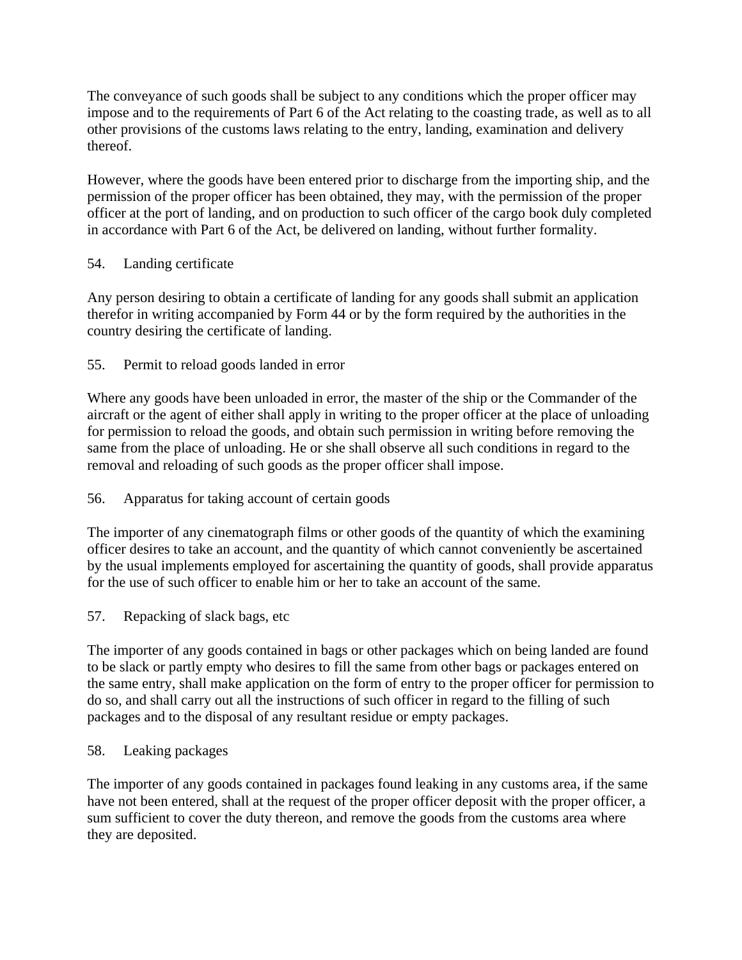The conveyance of such goods shall be subject to any conditions which the proper officer may impose and to the requirements of Part 6 of the Act relating to the coasting trade, as well as to all other provisions of the customs laws relating to the entry, landing, examination and delivery thereof.

However, where the goods have been entered prior to discharge from the importing ship, and the permission of the proper officer has been obtained, they may, with the permission of the proper officer at the port of landing, and on production to such officer of the cargo book duly completed in accordance with Part 6 of the Act, be delivered on landing, without further formality.

### 54. Landing certificate

Any person desiring to obtain a certificate of landing for any goods shall submit an application therefor in writing accompanied by Form 44 or by the form required by the authorities in the country desiring the certificate of landing.

## 55. Permit to reload goods landed in error

Where any goods have been unloaded in error, the master of the ship or the Commander of the aircraft or the agent of either shall apply in writing to the proper officer at the place of unloading for permission to reload the goods, and obtain such permission in writing before removing the same from the place of unloading. He or she shall observe all such conditions in regard to the removal and reloading of such goods as the proper officer shall impose.

# 56. Apparatus for taking account of certain goods

The importer of any cinematograph films or other goods of the quantity of which the examining officer desires to take an account, and the quantity of which cannot conveniently be ascertained by the usual implements employed for ascertaining the quantity of goods, shall provide apparatus for the use of such officer to enable him or her to take an account of the same.

### 57. Repacking of slack bags, etc

The importer of any goods contained in bags or other packages which on being landed are found to be slack or partly empty who desires to fill the same from other bags or packages entered on the same entry, shall make application on the form of entry to the proper officer for permission to do so, and shall carry out all the instructions of such officer in regard to the filling of such packages and to the disposal of any resultant residue or empty packages.

### 58. Leaking packages

The importer of any goods contained in packages found leaking in any customs area, if the same have not been entered, shall at the request of the proper officer deposit with the proper officer, a sum sufficient to cover the duty thereon, and remove the goods from the customs area where they are deposited.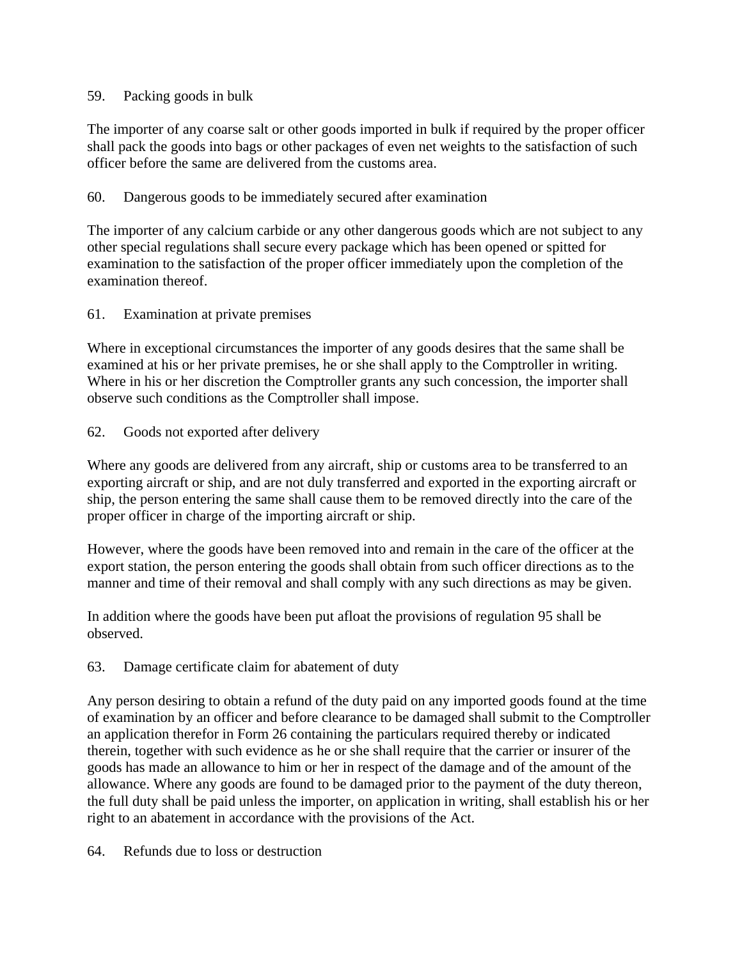#### 59. Packing goods in bulk

The importer of any coarse salt or other goods imported in bulk if required by the proper officer shall pack the goods into bags or other packages of even net weights to the satisfaction of such officer before the same are delivered from the customs area.

#### 60. Dangerous goods to be immediately secured after examination

The importer of any calcium carbide or any other dangerous goods which are not subject to any other special regulations shall secure every package which has been opened or spitted for examination to the satisfaction of the proper officer immediately upon the completion of the examination thereof.

#### 61. Examination at private premises

Where in exceptional circumstances the importer of any goods desires that the same shall be examined at his or her private premises, he or she shall apply to the Comptroller in writing. Where in his or her discretion the Comptroller grants any such concession, the importer shall observe such conditions as the Comptroller shall impose.

#### 62. Goods not exported after delivery

Where any goods are delivered from any aircraft, ship or customs area to be transferred to an exporting aircraft or ship, and are not duly transferred and exported in the exporting aircraft or ship, the person entering the same shall cause them to be removed directly into the care of the proper officer in charge of the importing aircraft or ship.

However, where the goods have been removed into and remain in the care of the officer at the export station, the person entering the goods shall obtain from such officer directions as to the manner and time of their removal and shall comply with any such directions as may be given.

In addition where the goods have been put afloat the provisions of regulation 95 shall be observed.

### 63. Damage certificate claim for abatement of duty

Any person desiring to obtain a refund of the duty paid on any imported goods found at the time of examination by an officer and before clearance to be damaged shall submit to the Comptroller an application therefor in Form 26 containing the particulars required thereby or indicated therein, together with such evidence as he or she shall require that the carrier or insurer of the goods has made an allowance to him or her in respect of the damage and of the amount of the allowance. Where any goods are found to be damaged prior to the payment of the duty thereon, the full duty shall be paid unless the importer, on application in writing, shall establish his or her right to an abatement in accordance with the provisions of the Act.

#### 64. Refunds due to loss or destruction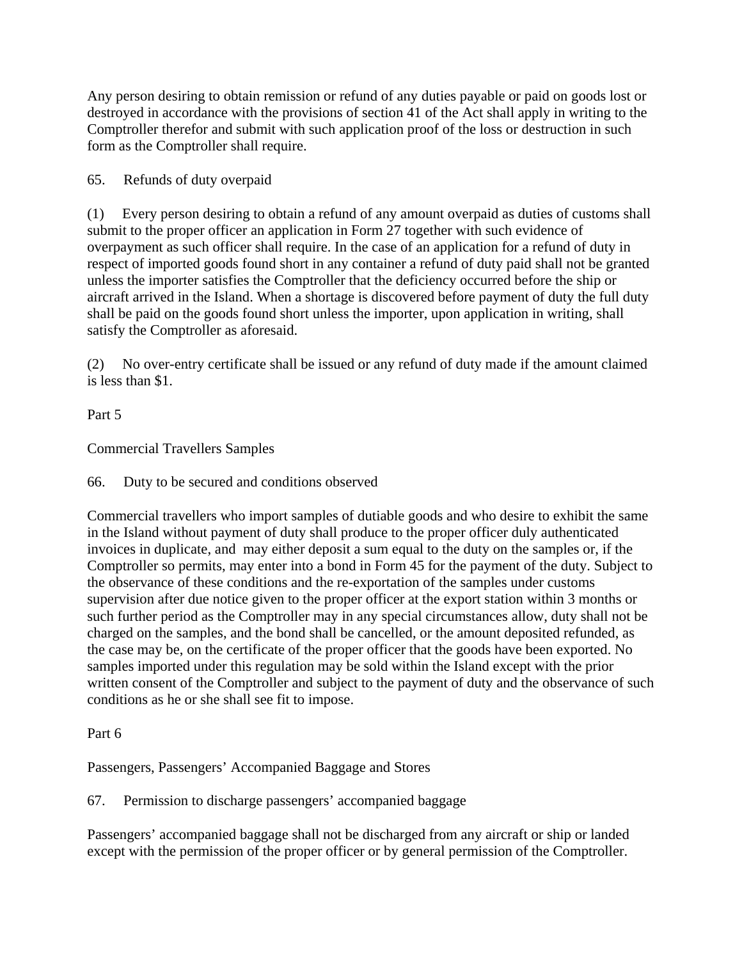Any person desiring to obtain remission or refund of any duties payable or paid on goods lost or destroyed in accordance with the provisions of section 41 of the Act shall apply in writing to the Comptroller therefor and submit with such application proof of the loss or destruction in such form as the Comptroller shall require.

65. Refunds of duty overpaid

(1) Every person desiring to obtain a refund of any amount overpaid as duties of customs shall submit to the proper officer an application in Form 27 together with such evidence of overpayment as such officer shall require. In the case of an application for a refund of duty in respect of imported goods found short in any container a refund of duty paid shall not be granted unless the importer satisfies the Comptroller that the deficiency occurred before the ship or aircraft arrived in the Island. When a shortage is discovered before payment of duty the full duty shall be paid on the goods found short unless the importer, upon application in writing, shall satisfy the Comptroller as aforesaid.

(2) No over-entry certificate shall be issued or any refund of duty made if the amount claimed is less than \$1.

Part 5

Commercial Travellers Samples

66. Duty to be secured and conditions observed

Commercial travellers who import samples of dutiable goods and who desire to exhibit the same in the Island without payment of duty shall produce to the proper officer duly authenticated invoices in duplicate, and may either deposit a sum equal to the duty on the samples or, if the Comptroller so permits, may enter into a bond in Form 45 for the payment of the duty. Subject to the observance of these conditions and the re-exportation of the samples under customs supervision after due notice given to the proper officer at the export station within 3 months or such further period as the Comptroller may in any special circumstances allow, duty shall not be charged on the samples, and the bond shall be cancelled, or the amount deposited refunded, as the case may be, on the certificate of the proper officer that the goods have been exported. No samples imported under this regulation may be sold within the Island except with the prior written consent of the Comptroller and subject to the payment of duty and the observance of such conditions as he or she shall see fit to impose.

Part 6

Passengers, Passengers' Accompanied Baggage and Stores

67. Permission to discharge passengers' accompanied baggage

Passengers' accompanied baggage shall not be discharged from any aircraft or ship or landed except with the permission of the proper officer or by general permission of the Comptroller.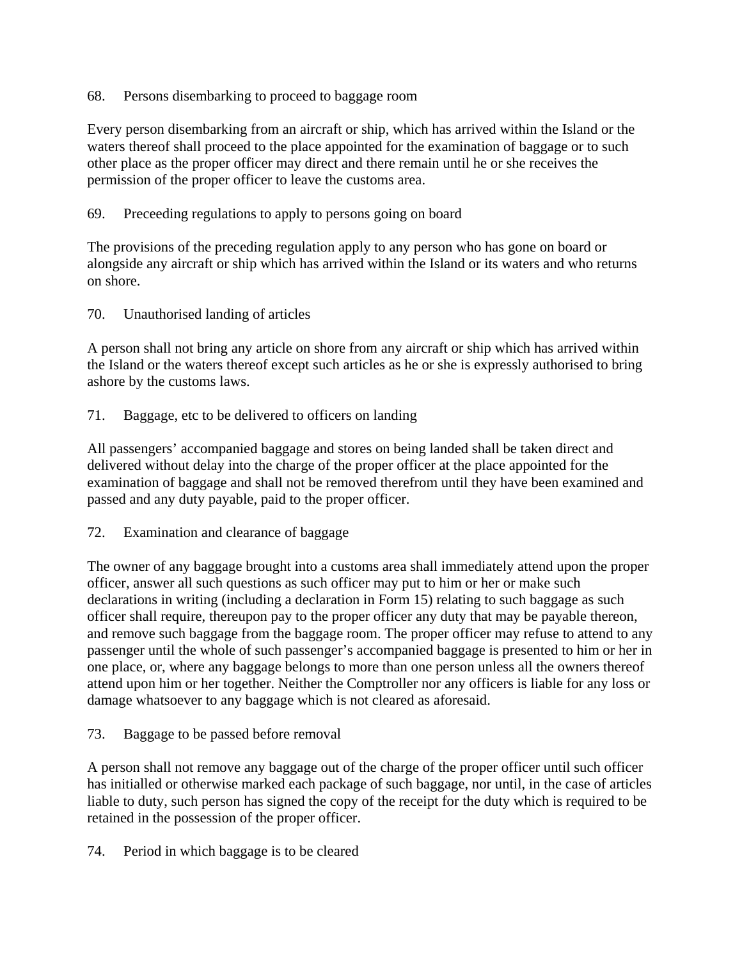68. Persons disembarking to proceed to baggage room

Every person disembarking from an aircraft or ship, which has arrived within the Island or the waters thereof shall proceed to the place appointed for the examination of baggage or to such other place as the proper officer may direct and there remain until he or she receives the permission of the proper officer to leave the customs area.

#### 69. Preceeding regulations to apply to persons going on board

The provisions of the preceding regulation apply to any person who has gone on board or alongside any aircraft or ship which has arrived within the Island or its waters and who returns on shore.

#### 70. Unauthorised landing of articles

A person shall not bring any article on shore from any aircraft or ship which has arrived within the Island or the waters thereof except such articles as he or she is expressly authorised to bring ashore by the customs laws.

71. Baggage, etc to be delivered to officers on landing

All passengers' accompanied baggage and stores on being landed shall be taken direct and delivered without delay into the charge of the proper officer at the place appointed for the examination of baggage and shall not be removed therefrom until they have been examined and passed and any duty payable, paid to the proper officer.

72. Examination and clearance of baggage

The owner of any baggage brought into a customs area shall immediately attend upon the proper officer, answer all such questions as such officer may put to him or her or make such declarations in writing (including a declaration in Form 15) relating to such baggage as such officer shall require, thereupon pay to the proper officer any duty that may be payable thereon, and remove such baggage from the baggage room. The proper officer may refuse to attend to any passenger until the whole of such passenger's accompanied baggage is presented to him or her in one place, or, where any baggage belongs to more than one person unless all the owners thereof attend upon him or her together. Neither the Comptroller nor any officers is liable for any loss or damage whatsoever to any baggage which is not cleared as aforesaid.

### 73. Baggage to be passed before removal

A person shall not remove any baggage out of the charge of the proper officer until such officer has initialled or otherwise marked each package of such baggage, nor until, in the case of articles liable to duty, such person has signed the copy of the receipt for the duty which is required to be retained in the possession of the proper officer.

74. Period in which baggage is to be cleared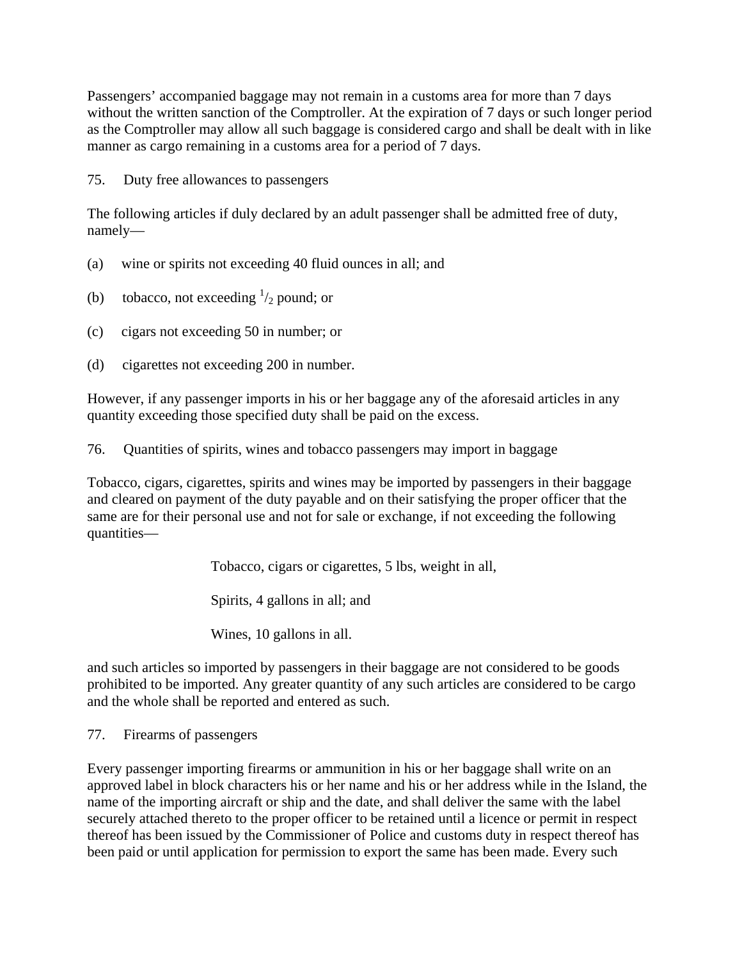Passengers' accompanied baggage may not remain in a customs area for more than 7 days without the written sanction of the Comptroller. At the expiration of 7 days or such longer period as the Comptroller may allow all such baggage is considered cargo and shall be dealt with in like manner as cargo remaining in a customs area for a period of 7 days.

75. Duty free allowances to passengers

The following articles if duly declared by an adult passenger shall be admitted free of duty, namely—

- (a) wine or spirits not exceeding 40 fluid ounces in all; and
- (b) tobacco, not exceeding  $\frac{1}{2}$  pound; or
- (c) cigars not exceeding 50 in number; or
- (d) cigarettes not exceeding 200 in number.

However, if any passenger imports in his or her baggage any of the aforesaid articles in any quantity exceeding those specified duty shall be paid on the excess.

76. Quantities of spirits, wines and tobacco passengers may import in baggage

Tobacco, cigars, cigarettes, spirits and wines may be imported by passengers in their baggage and cleared on payment of the duty payable and on their satisfying the proper officer that the same are for their personal use and not for sale or exchange, if not exceeding the following quantities—

Tobacco, cigars or cigarettes, 5 lbs, weight in all,

Spirits, 4 gallons in all; and

Wines, 10 gallons in all.

and such articles so imported by passengers in their baggage are not considered to be goods prohibited to be imported. Any greater quantity of any such articles are considered to be cargo and the whole shall be reported and entered as such.

77. Firearms of passengers

Every passenger importing firearms or ammunition in his or her baggage shall write on an approved label in block characters his or her name and his or her address while in the Island, the name of the importing aircraft or ship and the date, and shall deliver the same with the label securely attached thereto to the proper officer to be retained until a licence or permit in respect thereof has been issued by the Commissioner of Police and customs duty in respect thereof has been paid or until application for permission to export the same has been made. Every such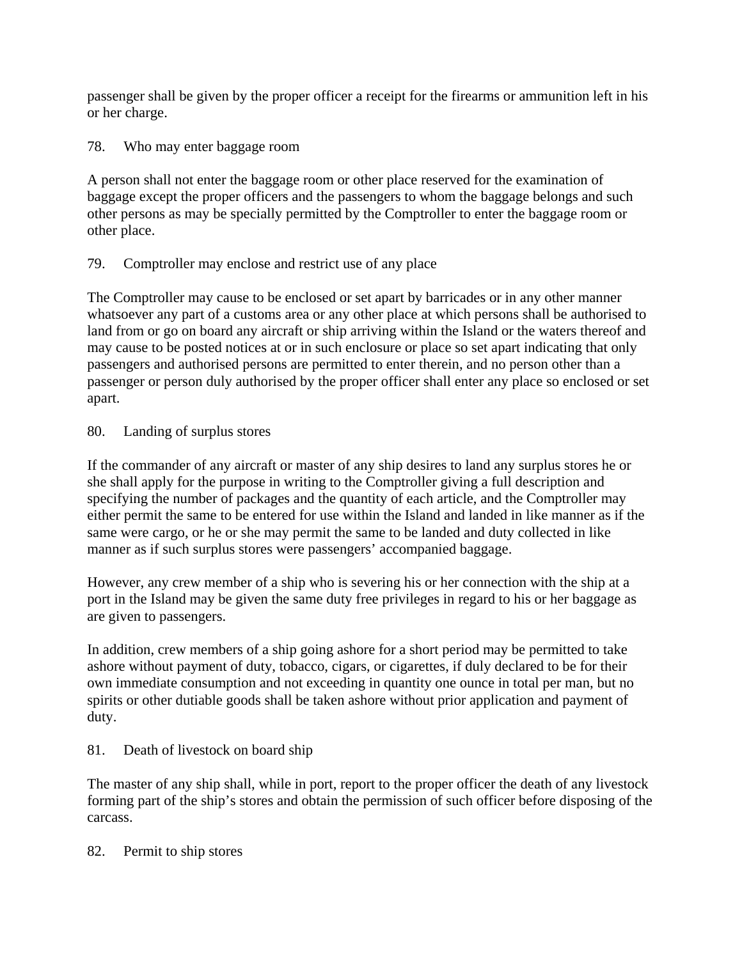passenger shall be given by the proper officer a receipt for the firearms or ammunition left in his or her charge.

78. Who may enter baggage room

A person shall not enter the baggage room or other place reserved for the examination of baggage except the proper officers and the passengers to whom the baggage belongs and such other persons as may be specially permitted by the Comptroller to enter the baggage room or other place.

# 79. Comptroller may enclose and restrict use of any place

The Comptroller may cause to be enclosed or set apart by barricades or in any other manner whatsoever any part of a customs area or any other place at which persons shall be authorised to land from or go on board any aircraft or ship arriving within the Island or the waters thereof and may cause to be posted notices at or in such enclosure or place so set apart indicating that only passengers and authorised persons are permitted to enter therein, and no person other than a passenger or person duly authorised by the proper officer shall enter any place so enclosed or set apart.

### 80. Landing of surplus stores

If the commander of any aircraft or master of any ship desires to land any surplus stores he or she shall apply for the purpose in writing to the Comptroller giving a full description and specifying the number of packages and the quantity of each article, and the Comptroller may either permit the same to be entered for use within the Island and landed in like manner as if the same were cargo, or he or she may permit the same to be landed and duty collected in like manner as if such surplus stores were passengers' accompanied baggage.

However, any crew member of a ship who is severing his or her connection with the ship at a port in the Island may be given the same duty free privileges in regard to his or her baggage as are given to passengers.

In addition, crew members of a ship going ashore for a short period may be permitted to take ashore without payment of duty, tobacco, cigars, or cigarettes, if duly declared to be for their own immediate consumption and not exceeding in quantity one ounce in total per man, but no spirits or other dutiable goods shall be taken ashore without prior application and payment of duty.

### 81. Death of livestock on board ship

The master of any ship shall, while in port, report to the proper officer the death of any livestock forming part of the ship's stores and obtain the permission of such officer before disposing of the carcass.

### 82. Permit to ship stores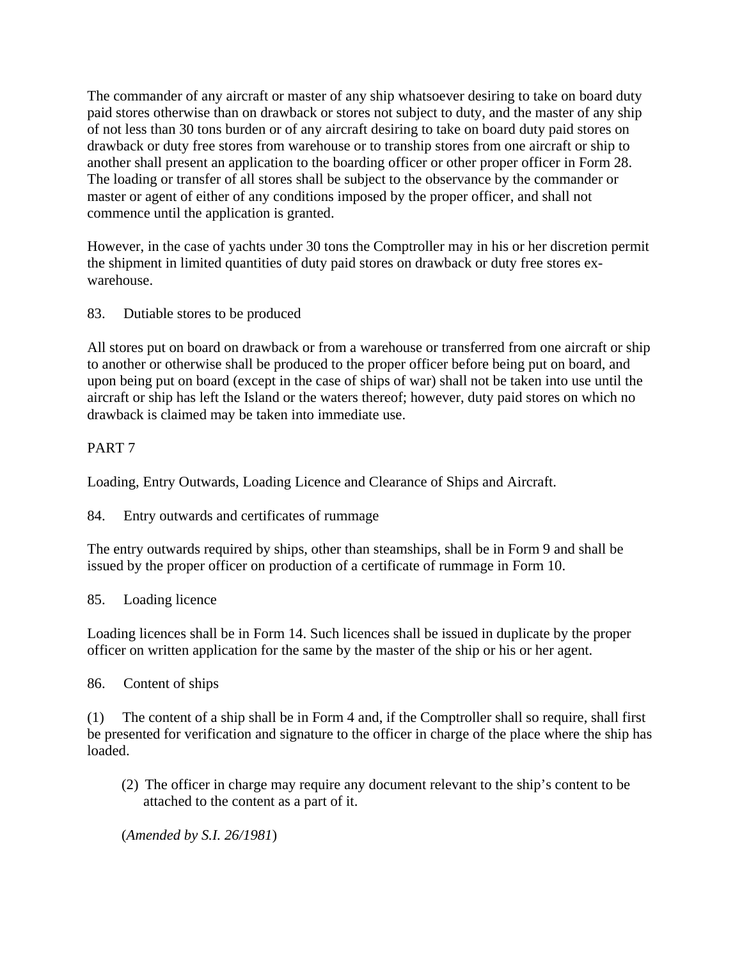The commander of any aircraft or master of any ship whatsoever desiring to take on board duty paid stores otherwise than on drawback or stores not subject to duty, and the master of any ship of not less than 30 tons burden or of any aircraft desiring to take on board duty paid stores on drawback or duty free stores from warehouse or to tranship stores from one aircraft or ship to another shall present an application to the boarding officer or other proper officer in Form 28. The loading or transfer of all stores shall be subject to the observance by the commander or master or agent of either of any conditions imposed by the proper officer, and shall not commence until the application is granted.

However, in the case of yachts under 30 tons the Comptroller may in his or her discretion permit the shipment in limited quantities of duty paid stores on drawback or duty free stores exwarehouse.

83. Dutiable stores to be produced

All stores put on board on drawback or from a warehouse or transferred from one aircraft or ship to another or otherwise shall be produced to the proper officer before being put on board, and upon being put on board (except in the case of ships of war) shall not be taken into use until the aircraft or ship has left the Island or the waters thereof; however, duty paid stores on which no drawback is claimed may be taken into immediate use.

## PART 7

Loading, Entry Outwards, Loading Licence and Clearance of Ships and Aircraft.

84. Entry outwards and certificates of rummage

The entry outwards required by ships, other than steamships, shall be in Form 9 and shall be issued by the proper officer on production of a certificate of rummage in Form 10.

85. Loading licence

Loading licences shall be in Form 14. Such licences shall be issued in duplicate by the proper officer on written application for the same by the master of the ship or his or her agent.

86. Content of ships

(1) The content of a ship shall be in Form 4 and, if the Comptroller shall so require, shall first be presented for verification and signature to the officer in charge of the place where the ship has loaded.

(2) The officer in charge may require any document relevant to the ship's content to be attached to the content as a part of it.

(*Amended by S.I. 26/1981*)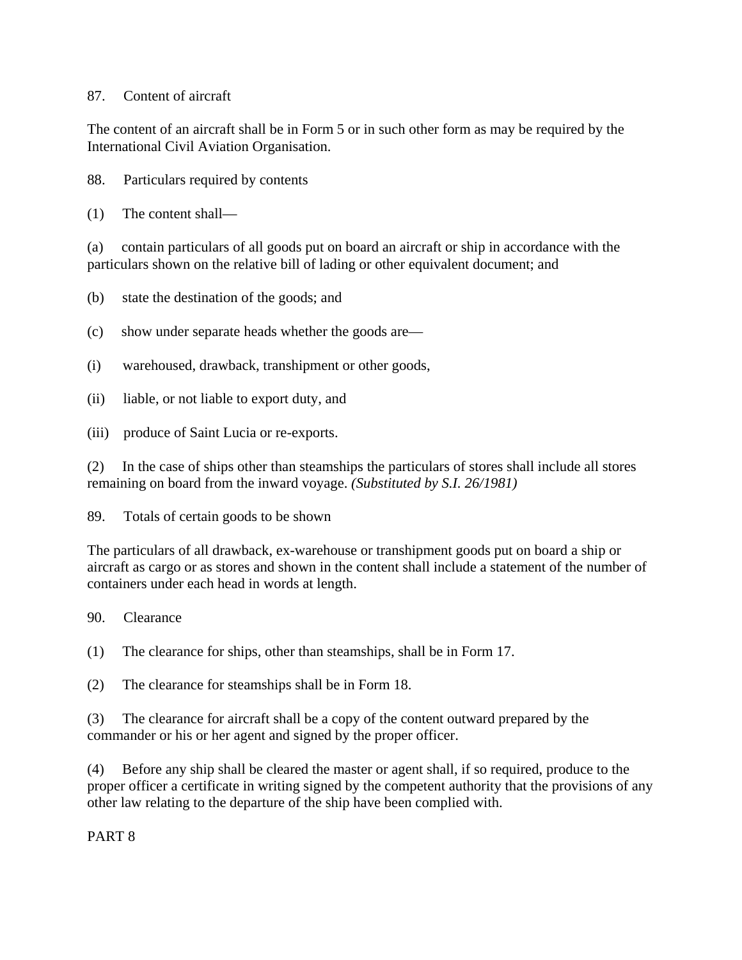#### 87. Content of aircraft

The content of an aircraft shall be in Form 5 or in such other form as may be required by the International Civil Aviation Organisation.

88. Particulars required by contents

(1) The content shall—

(a) contain particulars of all goods put on board an aircraft or ship in accordance with the particulars shown on the relative bill of lading or other equivalent document; and

- (b) state the destination of the goods; and
- (c) show under separate heads whether the goods are—
- (i) warehoused, drawback, transhipment or other goods,
- (ii) liable, or not liable to export duty, and
- (iii) produce of Saint Lucia or re-exports.

(2) In the case of ships other than steamships the particulars of stores shall include all stores remaining on board from the inward voyage. *(Substituted by S.I. 26/1981)*

89. Totals of certain goods to be shown

The particulars of all drawback, ex-warehouse or transhipment goods put on board a ship or aircraft as cargo or as stores and shown in the content shall include a statement of the number of containers under each head in words at length.

90. Clearance

(1) The clearance for ships, other than steamships, shall be in Form 17.

(2) The clearance for steamships shall be in Form 18.

(3) The clearance for aircraft shall be a copy of the content outward prepared by the commander or his or her agent and signed by the proper officer.

(4) Before any ship shall be cleared the master or agent shall, if so required, produce to the proper officer a certificate in writing signed by the competent authority that the provisions of any other law relating to the departure of the ship have been complied with.

PART 8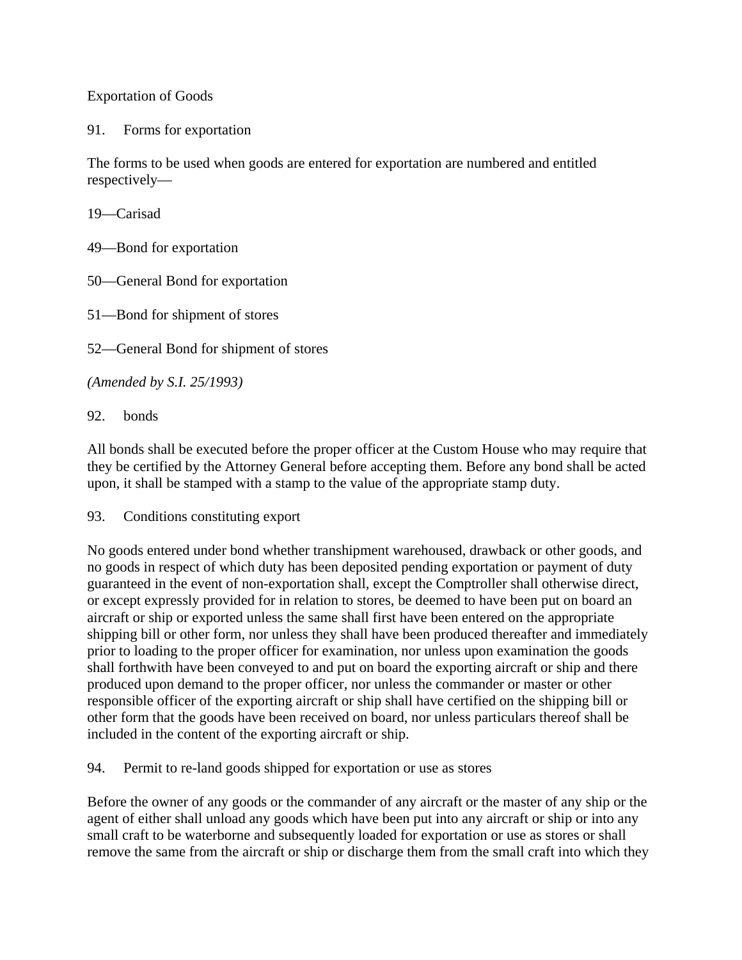Exportation of Goods

91. Forms for exportation

The forms to be used when goods are entered for exportation are numbered and entitled respectively—

19—Carisad

49—Bond for exportation

50—General Bond for exportation

51—Bond for shipment of stores

52—General Bond for shipment of stores

*(Amended by S.I. 25/1993)*

92. bonds

All bonds shall be executed before the proper officer at the Custom House who may require that they be certified by the Attorney General before accepting them. Before any bond shall be acted upon, it shall be stamped with a stamp to the value of the appropriate stamp duty.

93. Conditions constituting export

No goods entered under bond whether transhipment warehoused, drawback or other goods, and no goods in respect of which duty has been deposited pending exportation or payment of duty guaranteed in the event of non-exportation shall, except the Comptroller shall otherwise direct, or except expressly provided for in relation to stores, be deemed to have been put on board an aircraft or ship or exported unless the same shall first have been entered on the appropriate shipping bill or other form, nor unless they shall have been produced thereafter and immediately prior to loading to the proper officer for examination, nor unless upon examination the goods shall forthwith have been conveyed to and put on board the exporting aircraft or ship and there produced upon demand to the proper officer, nor unless the commander or master or other responsible officer of the exporting aircraft or ship shall have certified on the shipping bill or other form that the goods have been received on board, nor unless particulars thereof shall be included in the content of the exporting aircraft or ship.

94. Permit to re-land goods shipped for exportation or use as stores

Before the owner of any goods or the commander of any aircraft or the master of any ship or the agent of either shall unload any goods which have been put into any aircraft or ship or into any small craft to be waterborne and subsequently loaded for exportation or use as stores or shall remove the same from the aircraft or ship or discharge them from the small craft into which they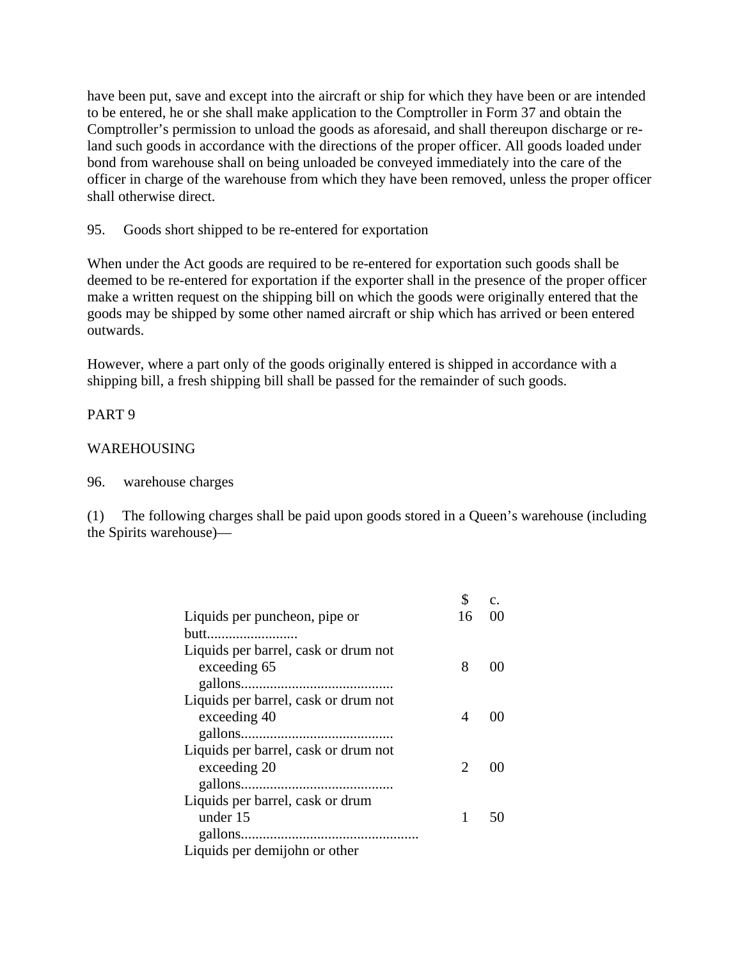have been put, save and except into the aircraft or ship for which they have been or are intended to be entered, he or she shall make application to the Comptroller in Form 37 and obtain the Comptroller's permission to unload the goods as aforesaid, and shall thereupon discharge or reland such goods in accordance with the directions of the proper officer. All goods loaded under bond from warehouse shall on being unloaded be conveyed immediately into the care of the officer in charge of the warehouse from which they have been removed, unless the proper officer shall otherwise direct.

#### 95. Goods short shipped to be re-entered for exportation

When under the Act goods are required to be re-entered for exportation such goods shall be deemed to be re-entered for exportation if the exporter shall in the presence of the proper officer make a written request on the shipping bill on which the goods were originally entered that the goods may be shipped by some other named aircraft or ship which has arrived or been entered outwards.

However, where a part only of the goods originally entered is shipped in accordance with a shipping bill, a fresh shipping bill shall be passed for the remainder of such goods.

#### PART 9

#### WAREHOUSING

#### 96. warehouse charges

(1) The following charges shall be paid upon goods stored in a Queen's warehouse (including the Spirits warehouse)—

|                                      | \$                          | c. |
|--------------------------------------|-----------------------------|----|
| Liquids per puncheon, pipe or        | 16                          |    |
| butt                                 |                             |    |
| Liquids per barrel, cask or drum not |                             |    |
| exceeding 65                         | 8                           |    |
|                                      |                             |    |
| Liquids per barrel, cask or drum not |                             |    |
| exceeding 40                         | 4                           |    |
|                                      |                             |    |
| Liquids per barrel, cask or drum not |                             |    |
| exceeding 20                         | $\mathcal{D}_{\mathcal{A}}$ |    |
|                                      |                             |    |
| Liquids per barrel, cask or drum     |                             |    |
| under 15                             | 1                           |    |
|                                      |                             |    |
| Liquids per demijohn or other        |                             |    |
|                                      |                             |    |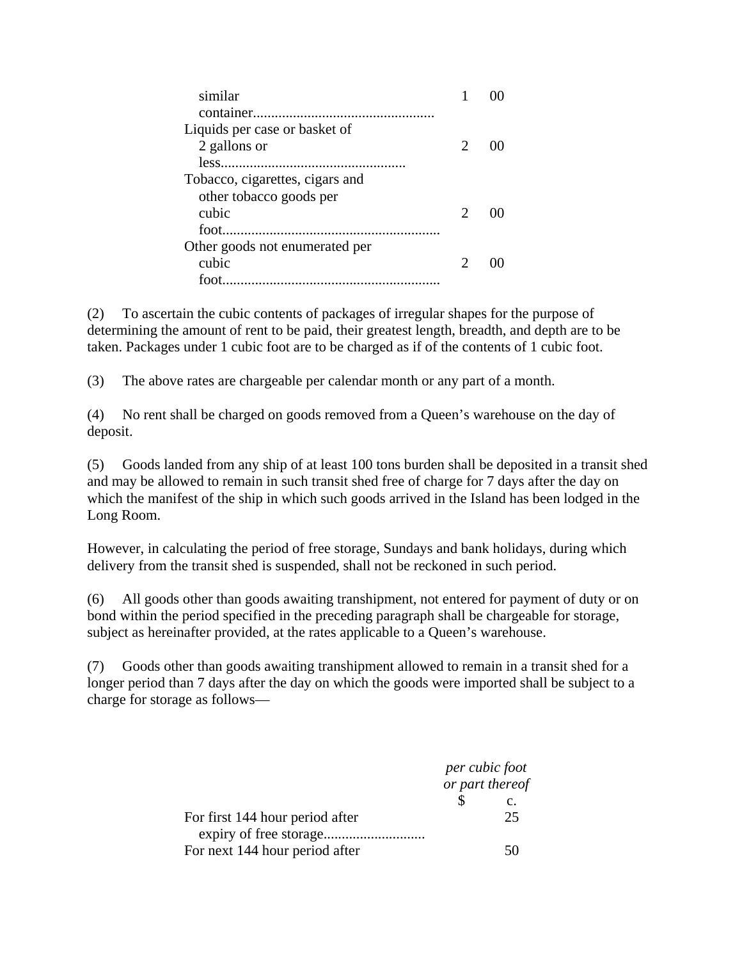| similar                         |  |
|---------------------------------|--|
|                                 |  |
| Liquids per case or basket of   |  |
| 2 gallons or                    |  |
|                                 |  |
| Tobacco, cigarettes, cigars and |  |
| other tobacco goods per         |  |
| cubic                           |  |
| $\mathsf{foot}$                 |  |
| Other goods not enumerated per  |  |
| cubic                           |  |
| foot.                           |  |

(2) To ascertain the cubic contents of packages of irregular shapes for the purpose of determining the amount of rent to be paid, their greatest length, breadth, and depth are to be taken. Packages under 1 cubic foot are to be charged as if of the contents of 1 cubic foot.

(3) The above rates are chargeable per calendar month or any part of a month.

(4) No rent shall be charged on goods removed from a Queen's warehouse on the day of deposit.

(5) Goods landed from any ship of at least 100 tons burden shall be deposited in a transit shed and may be allowed to remain in such transit shed free of charge for 7 days after the day on which the manifest of the ship in which such goods arrived in the Island has been lodged in the Long Room.

However, in calculating the period of free storage, Sundays and bank holidays, during which delivery from the transit shed is suspended, shall not be reckoned in such period.

(6) All goods other than goods awaiting transhipment, not entered for payment of duty or on bond within the period specified in the preceding paragraph shall be chargeable for storage, subject as hereinafter provided, at the rates applicable to a Queen's warehouse.

(7) Goods other than goods awaiting transhipment allowed to remain in a transit shed for a longer period than 7 days after the day on which the goods were imported shall be subject to a charge for storage as follows—

|                                 | per cubic foot<br>or part thereof |  |
|---------------------------------|-----------------------------------|--|
|                                 | $\mathbf{c}$ .                    |  |
| For first 144 hour period after | 25                                |  |
| For next 144 hour period after  |                                   |  |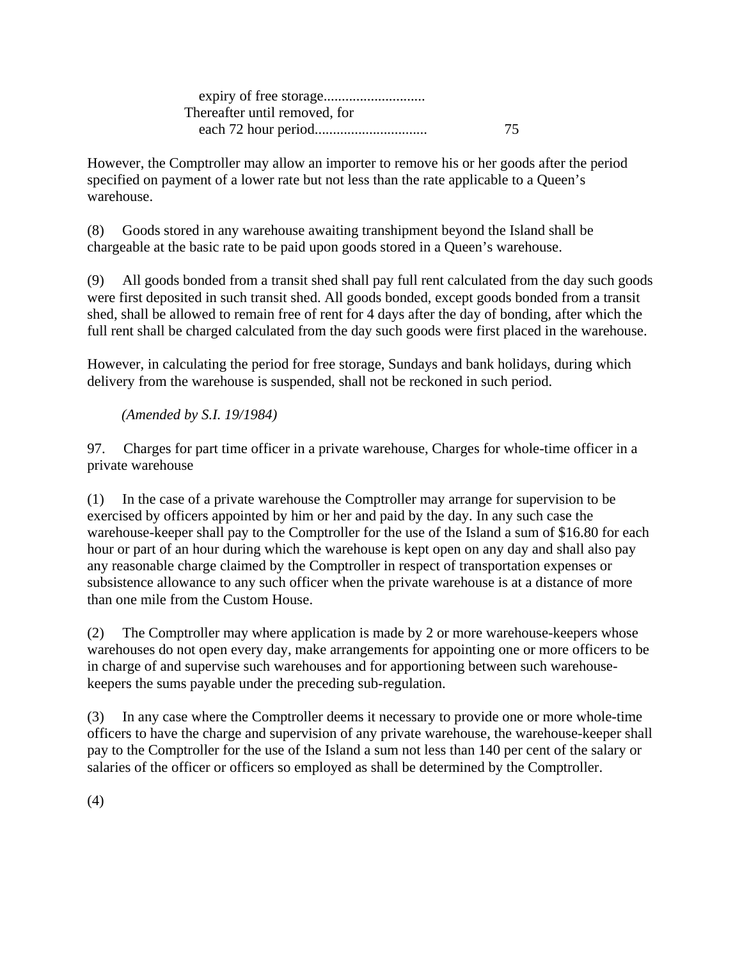expiry of free storage............................ Thereafter until removed, for each 72 hour period............................... 75

However, the Comptroller may allow an importer to remove his or her goods after the period specified on payment of a lower rate but not less than the rate applicable to a Queen's warehouse.

(8) Goods stored in any warehouse awaiting transhipment beyond the Island shall be chargeable at the basic rate to be paid upon goods stored in a Queen's warehouse.

(9) All goods bonded from a transit shed shall pay full rent calculated from the day such goods were first deposited in such transit shed. All goods bonded, except goods bonded from a transit shed, shall be allowed to remain free of rent for 4 days after the day of bonding, after which the full rent shall be charged calculated from the day such goods were first placed in the warehouse.

However, in calculating the period for free storage, Sundays and bank holidays, during which delivery from the warehouse is suspended, shall not be reckoned in such period.

*(Amended by S.I. 19/1984)*

97. Charges for part time officer in a private warehouse, Charges for whole-time officer in a private warehouse

(1) In the case of a private warehouse the Comptroller may arrange for supervision to be exercised by officers appointed by him or her and paid by the day. In any such case the warehouse-keeper shall pay to the Comptroller for the use of the Island a sum of \$16.80 for each hour or part of an hour during which the warehouse is kept open on any day and shall also pay any reasonable charge claimed by the Comptroller in respect of transportation expenses or subsistence allowance to any such officer when the private warehouse is at a distance of more than one mile from the Custom House.

(2) The Comptroller may where application is made by 2 or more warehouse-keepers whose warehouses do not open every day, make arrangements for appointing one or more officers to be in charge of and supervise such warehouses and for apportioning between such warehousekeepers the sums payable under the preceding sub-regulation.

(3) In any case where the Comptroller deems it necessary to provide one or more whole-time officers to have the charge and supervision of any private warehouse, the warehouse-keeper shall pay to the Comptroller for the use of the Island a sum not less than 140 per cent of the salary or salaries of the officer or officers so employed as shall be determined by the Comptroller.

(4)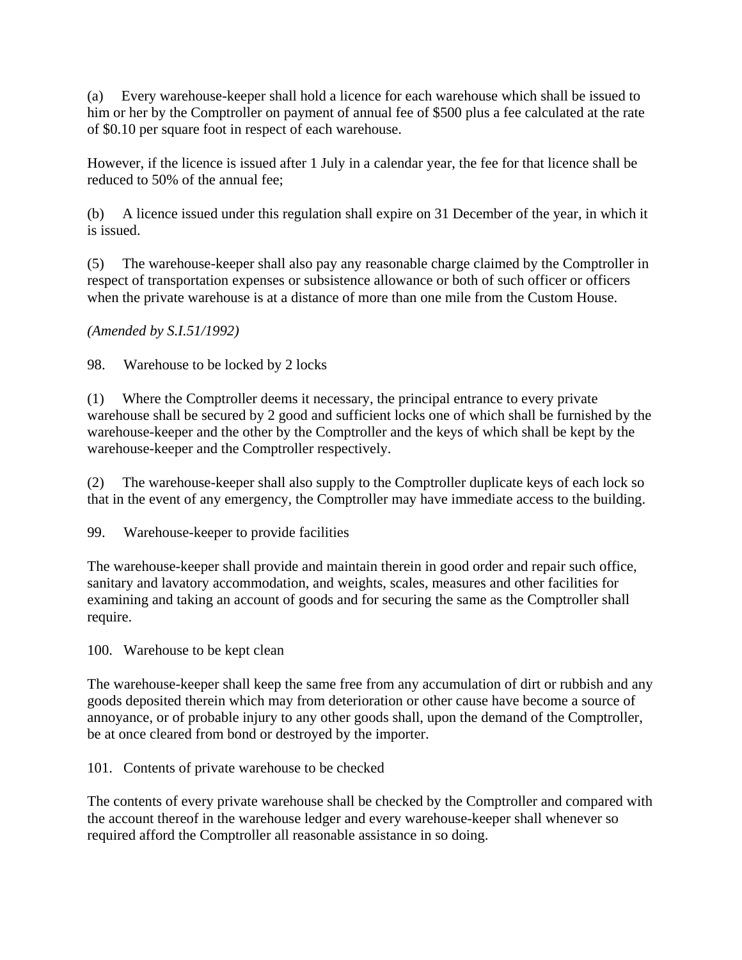(a) Every warehouse-keeper shall hold a licence for each warehouse which shall be issued to him or her by the Comptroller on payment of annual fee of \$500 plus a fee calculated at the rate of \$0.10 per square foot in respect of each warehouse.

However, if the licence is issued after 1 July in a calendar year, the fee for that licence shall be reduced to 50% of the annual fee;

(b) A licence issued under this regulation shall expire on 31 December of the year, in which it is issued.

(5) The warehouse-keeper shall also pay any reasonable charge claimed by the Comptroller in respect of transportation expenses or subsistence allowance or both of such officer or officers when the private warehouse is at a distance of more than one mile from the Custom House.

*(Amended by S.I.51/1992)*

98. Warehouse to be locked by 2 locks

(1) Where the Comptroller deems it necessary, the principal entrance to every private warehouse shall be secured by 2 good and sufficient locks one of which shall be furnished by the warehouse-keeper and the other by the Comptroller and the keys of which shall be kept by the warehouse-keeper and the Comptroller respectively.

(2) The warehouse-keeper shall also supply to the Comptroller duplicate keys of each lock so that in the event of any emergency, the Comptroller may have immediate access to the building.

99. Warehouse-keeper to provide facilities

The warehouse-keeper shall provide and maintain therein in good order and repair such office, sanitary and lavatory accommodation, and weights, scales, measures and other facilities for examining and taking an account of goods and for securing the same as the Comptroller shall require.

100. Warehouse to be kept clean

The warehouse-keeper shall keep the same free from any accumulation of dirt or rubbish and any goods deposited therein which may from deterioration or other cause have become a source of annoyance, or of probable injury to any other goods shall, upon the demand of the Comptroller, be at once cleared from bond or destroyed by the importer.

101. Contents of private warehouse to be checked

The contents of every private warehouse shall be checked by the Comptroller and compared with the account thereof in the warehouse ledger and every warehouse-keeper shall whenever so required afford the Comptroller all reasonable assistance in so doing.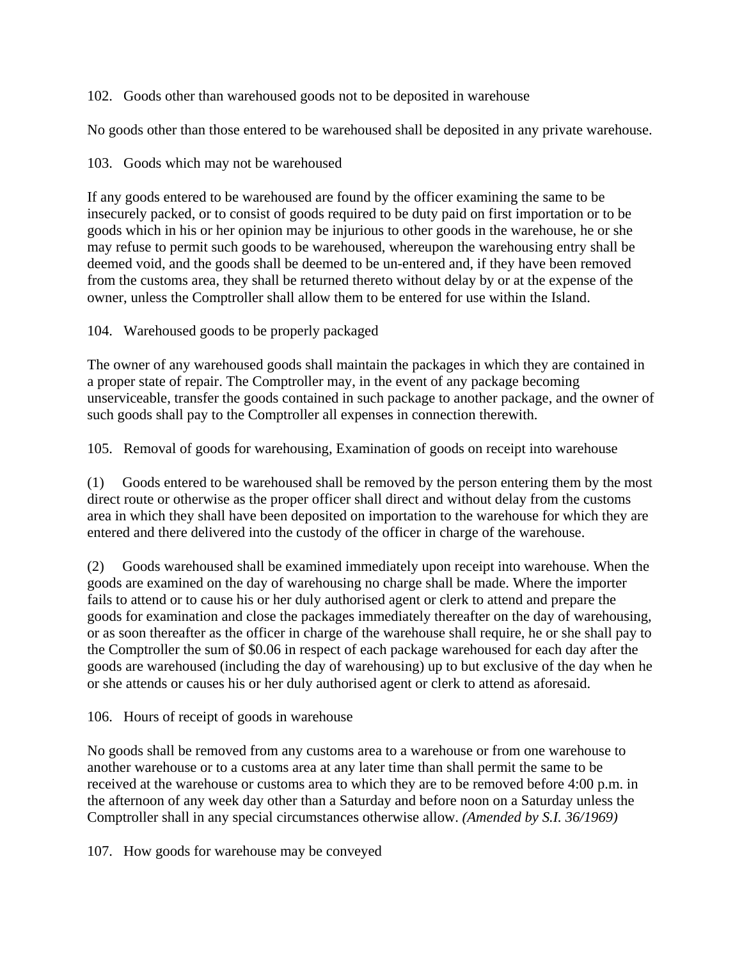102. Goods other than warehoused goods not to be deposited in warehouse

No goods other than those entered to be warehoused shall be deposited in any private warehouse.

# 103. Goods which may not be warehoused

If any goods entered to be warehoused are found by the officer examining the same to be insecurely packed, or to consist of goods required to be duty paid on first importation or to be goods which in his or her opinion may be injurious to other goods in the warehouse, he or she may refuse to permit such goods to be warehoused, whereupon the warehousing entry shall be deemed void, and the goods shall be deemed to be un-entered and, if they have been removed from the customs area, they shall be returned thereto without delay by or at the expense of the owner, unless the Comptroller shall allow them to be entered for use within the Island.

# 104. Warehoused goods to be properly packaged

The owner of any warehoused goods shall maintain the packages in which they are contained in a proper state of repair. The Comptroller may, in the event of any package becoming unserviceable, transfer the goods contained in such package to another package, and the owner of such goods shall pay to the Comptroller all expenses in connection therewith.

105. Removal of goods for warehousing, Examination of goods on receipt into warehouse

(1) Goods entered to be warehoused shall be removed by the person entering them by the most direct route or otherwise as the proper officer shall direct and without delay from the customs area in which they shall have been deposited on importation to the warehouse for which they are entered and there delivered into the custody of the officer in charge of the warehouse.

(2) Goods warehoused shall be examined immediately upon receipt into warehouse. When the goods are examined on the day of warehousing no charge shall be made. Where the importer fails to attend or to cause his or her duly authorised agent or clerk to attend and prepare the goods for examination and close the packages immediately thereafter on the day of warehousing, or as soon thereafter as the officer in charge of the warehouse shall require, he or she shall pay to the Comptroller the sum of \$0.06 in respect of each package warehoused for each day after the goods are warehoused (including the day of warehousing) up to but exclusive of the day when he or she attends or causes his or her duly authorised agent or clerk to attend as aforesaid.

106. Hours of receipt of goods in warehouse

No goods shall be removed from any customs area to a warehouse or from one warehouse to another warehouse or to a customs area at any later time than shall permit the same to be received at the warehouse or customs area to which they are to be removed before 4:00 p.m. in the afternoon of any week day other than a Saturday and before noon on a Saturday unless the Comptroller shall in any special circumstances otherwise allow. *(Amended by S.I. 36/1969)*

107. How goods for warehouse may be conveyed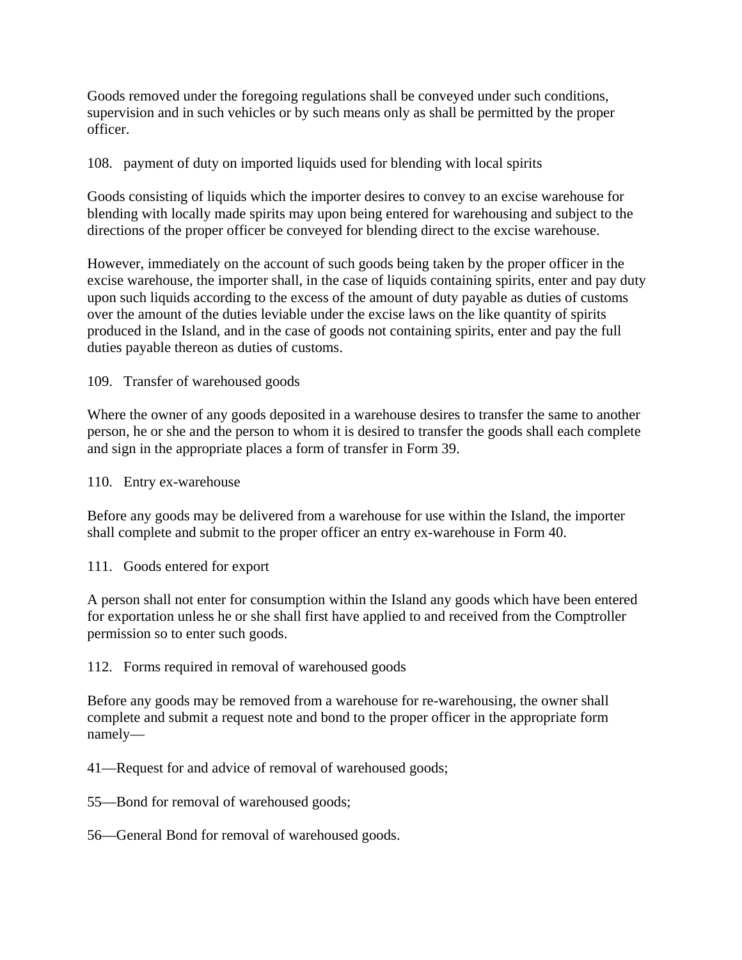Goods removed under the foregoing regulations shall be conveyed under such conditions, supervision and in such vehicles or by such means only as shall be permitted by the proper officer.

108. payment of duty on imported liquids used for blending with local spirits

Goods consisting of liquids which the importer desires to convey to an excise warehouse for blending with locally made spirits may upon being entered for warehousing and subject to the directions of the proper officer be conveyed for blending direct to the excise warehouse.

However, immediately on the account of such goods being taken by the proper officer in the excise warehouse, the importer shall, in the case of liquids containing spirits, enter and pay duty upon such liquids according to the excess of the amount of duty payable as duties of customs over the amount of the duties leviable under the excise laws on the like quantity of spirits produced in the Island, and in the case of goods not containing spirits, enter and pay the full duties payable thereon as duties of customs.

109. Transfer of warehoused goods

Where the owner of any goods deposited in a warehouse desires to transfer the same to another person, he or she and the person to whom it is desired to transfer the goods shall each complete and sign in the appropriate places a form of transfer in Form 39.

110. Entry ex-warehouse

Before any goods may be delivered from a warehouse for use within the Island, the importer shall complete and submit to the proper officer an entry ex-warehouse in Form 40.

111. Goods entered for export

A person shall not enter for consumption within the Island any goods which have been entered for exportation unless he or she shall first have applied to and received from the Comptroller permission so to enter such goods.

112. Forms required in removal of warehoused goods

Before any goods may be removed from a warehouse for re-warehousing, the owner shall complete and submit a request note and bond to the proper officer in the appropriate form namely—

41—Request for and advice of removal of warehoused goods;

55—Bond for removal of warehoused goods;

56—General Bond for removal of warehoused goods.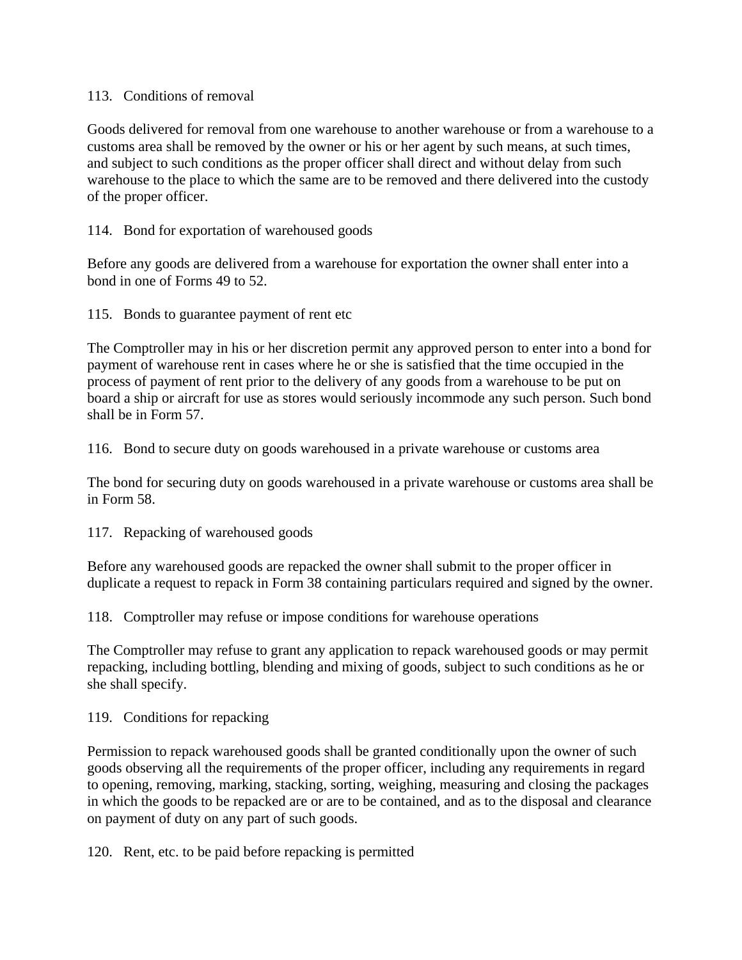#### 113. Conditions of removal

Goods delivered for removal from one warehouse to another warehouse or from a warehouse to a customs area shall be removed by the owner or his or her agent by such means, at such times, and subject to such conditions as the proper officer shall direct and without delay from such warehouse to the place to which the same are to be removed and there delivered into the custody of the proper officer.

#### 114. Bond for exportation of warehoused goods

Before any goods are delivered from a warehouse for exportation the owner shall enter into a bond in one of Forms 49 to 52.

115. Bonds to guarantee payment of rent etc

The Comptroller may in his or her discretion permit any approved person to enter into a bond for payment of warehouse rent in cases where he or she is satisfied that the time occupied in the process of payment of rent prior to the delivery of any goods from a warehouse to be put on board a ship or aircraft for use as stores would seriously incommode any such person. Such bond shall be in Form 57.

116. Bond to secure duty on goods warehoused in a private warehouse or customs area

The bond for securing duty on goods warehoused in a private warehouse or customs area shall be in Form 58.

117. Repacking of warehoused goods

Before any warehoused goods are repacked the owner shall submit to the proper officer in duplicate a request to repack in Form 38 containing particulars required and signed by the owner.

118. Comptroller may refuse or impose conditions for warehouse operations

The Comptroller may refuse to grant any application to repack warehoused goods or may permit repacking, including bottling, blending and mixing of goods, subject to such conditions as he or she shall specify.

119. Conditions for repacking

Permission to repack warehoused goods shall be granted conditionally upon the owner of such goods observing all the requirements of the proper officer, including any requirements in regard to opening, removing, marking, stacking, sorting, weighing, measuring and closing the packages in which the goods to be repacked are or are to be contained, and as to the disposal and clearance on payment of duty on any part of such goods.

120. Rent, etc. to be paid before repacking is permitted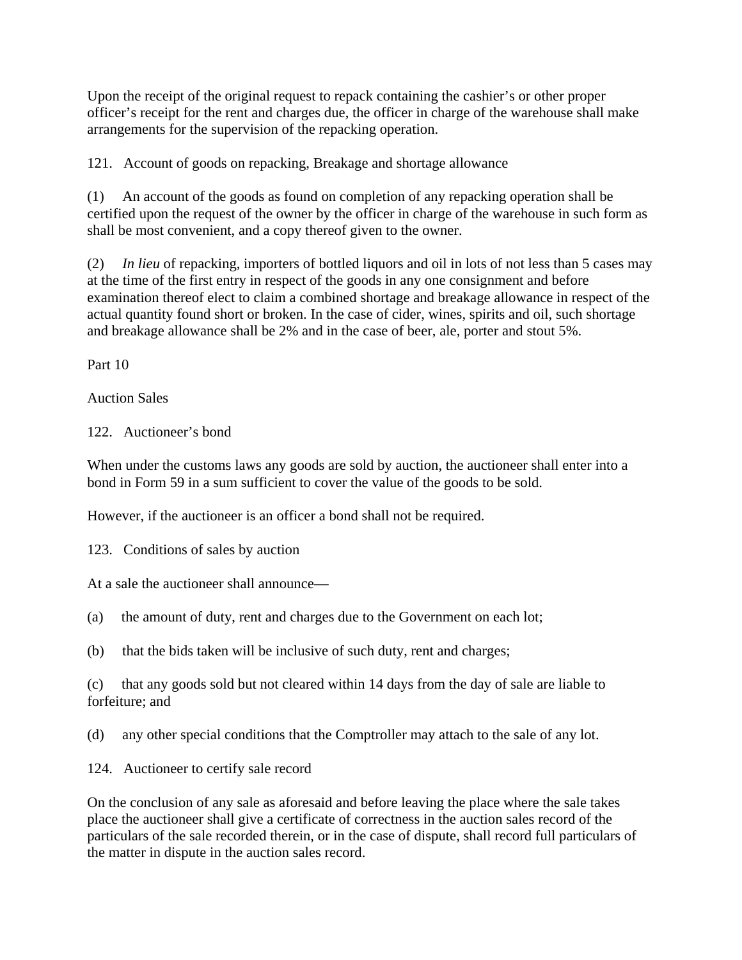Upon the receipt of the original request to repack containing the cashier's or other proper officer's receipt for the rent and charges due, the officer in charge of the warehouse shall make arrangements for the supervision of the repacking operation.

121. Account of goods on repacking, Breakage and shortage allowance

(1) An account of the goods as found on completion of any repacking operation shall be certified upon the request of the owner by the officer in charge of the warehouse in such form as shall be most convenient, and a copy thereof given to the owner.

(2) *In lieu* of repacking, importers of bottled liquors and oil in lots of not less than 5 cases may at the time of the first entry in respect of the goods in any one consignment and before examination thereof elect to claim a combined shortage and breakage allowance in respect of the actual quantity found short or broken. In the case of cider, wines, spirits and oil, such shortage and breakage allowance shall be 2% and in the case of beer, ale, porter and stout 5%.

Part 10

Auction Sales

122. Auctioneer's bond

When under the customs laws any goods are sold by auction, the auctioneer shall enter into a bond in Form 59 in a sum sufficient to cover the value of the goods to be sold.

However, if the auctioneer is an officer a bond shall not be required.

123. Conditions of sales by auction

At a sale the auctioneer shall announce—

- (a) the amount of duty, rent and charges due to the Government on each lot;
- (b) that the bids taken will be inclusive of such duty, rent and charges;

(c) that any goods sold but not cleared within 14 days from the day of sale are liable to forfeiture; and

(d) any other special conditions that the Comptroller may attach to the sale of any lot.

124. Auctioneer to certify sale record

On the conclusion of any sale as aforesaid and before leaving the place where the sale takes place the auctioneer shall give a certificate of correctness in the auction sales record of the particulars of the sale recorded therein, or in the case of dispute, shall record full particulars of the matter in dispute in the auction sales record.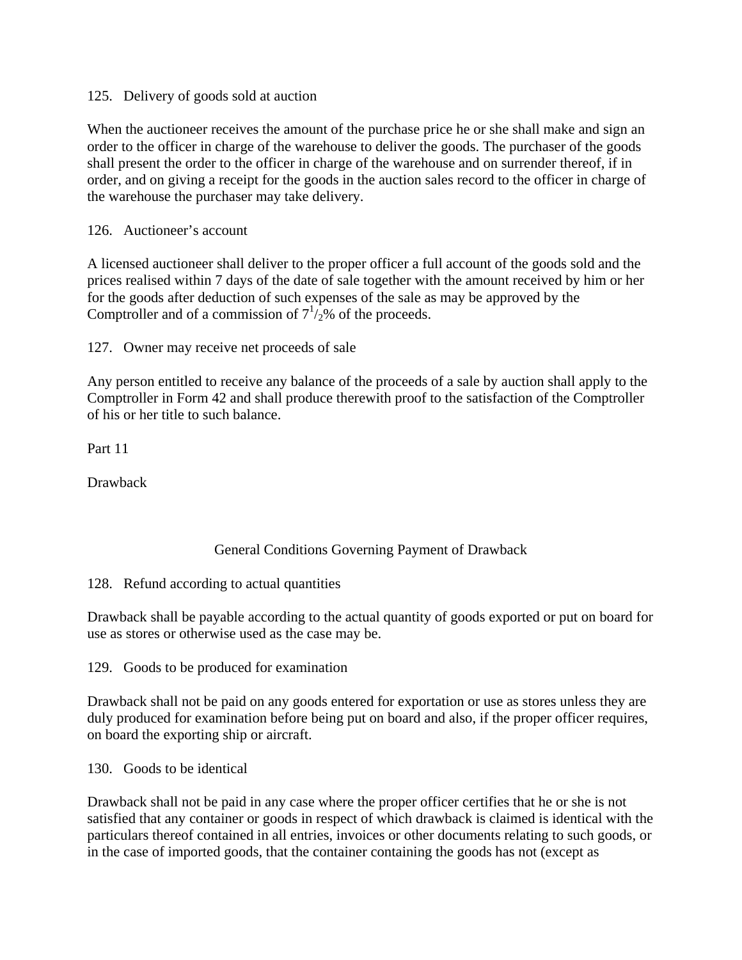125. Delivery of goods sold at auction

When the auctioneer receives the amount of the purchase price he or she shall make and sign an order to the officer in charge of the warehouse to deliver the goods. The purchaser of the goods shall present the order to the officer in charge of the warehouse and on surrender thereof, if in order, and on giving a receipt for the goods in the auction sales record to the officer in charge of the warehouse the purchaser may take delivery.

126. Auctioneer's account

A licensed auctioneer shall deliver to the proper officer a full account of the goods sold and the prices realised within 7 days of the date of sale together with the amount received by him or her for the goods after deduction of such expenses of the sale as may be approved by the Comptroller and of a commission of  $7^{1}/_{2}\%$  of the proceeds.

127. Owner may receive net proceeds of sale

Any person entitled to receive any balance of the proceeds of a sale by auction shall apply to the Comptroller in Form 42 and shall produce therewith proof to the satisfaction of the Comptroller of his or her title to such balance.

Part 11

Drawback

### General Conditions Governing Payment of Drawback

128. Refund according to actual quantities

Drawback shall be payable according to the actual quantity of goods exported or put on board for use as stores or otherwise used as the case may be.

129. Goods to be produced for examination

Drawback shall not be paid on any goods entered for exportation or use as stores unless they are duly produced for examination before being put on board and also, if the proper officer requires, on board the exporting ship or aircraft.

130. Goods to be identical

Drawback shall not be paid in any case where the proper officer certifies that he or she is not satisfied that any container or goods in respect of which drawback is claimed is identical with the particulars thereof contained in all entries, invoices or other documents relating to such goods, or in the case of imported goods, that the container containing the goods has not (except as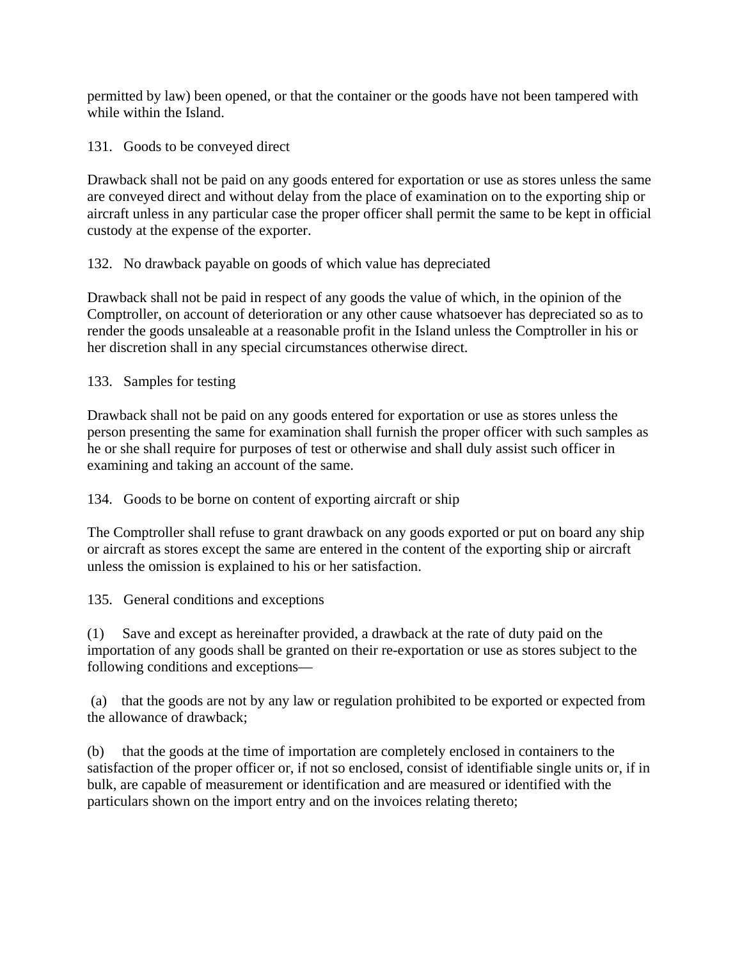permitted by law) been opened, or that the container or the goods have not been tampered with while within the Island.

131. Goods to be conveyed direct

Drawback shall not be paid on any goods entered for exportation or use as stores unless the same are conveyed direct and without delay from the place of examination on to the exporting ship or aircraft unless in any particular case the proper officer shall permit the same to be kept in official custody at the expense of the exporter.

132. No drawback payable on goods of which value has depreciated

Drawback shall not be paid in respect of any goods the value of which, in the opinion of the Comptroller, on account of deterioration or any other cause whatsoever has depreciated so as to render the goods unsaleable at a reasonable profit in the Island unless the Comptroller in his or her discretion shall in any special circumstances otherwise direct.

133. Samples for testing

Drawback shall not be paid on any goods entered for exportation or use as stores unless the person presenting the same for examination shall furnish the proper officer with such samples as he or she shall require for purposes of test or otherwise and shall duly assist such officer in examining and taking an account of the same.

134. Goods to be borne on content of exporting aircraft or ship

The Comptroller shall refuse to grant drawback on any goods exported or put on board any ship or aircraft as stores except the same are entered in the content of the exporting ship or aircraft unless the omission is explained to his or her satisfaction.

135. General conditions and exceptions

(1) Save and except as hereinafter provided, a drawback at the rate of duty paid on the importation of any goods shall be granted on their re-exportation or use as stores subject to the following conditions and exceptions—

 (a) that the goods are not by any law or regulation prohibited to be exported or expected from the allowance of drawback;

(b) that the goods at the time of importation are completely enclosed in containers to the satisfaction of the proper officer or, if not so enclosed, consist of identifiable single units or, if in bulk, are capable of measurement or identification and are measured or identified with the particulars shown on the import entry and on the invoices relating thereto;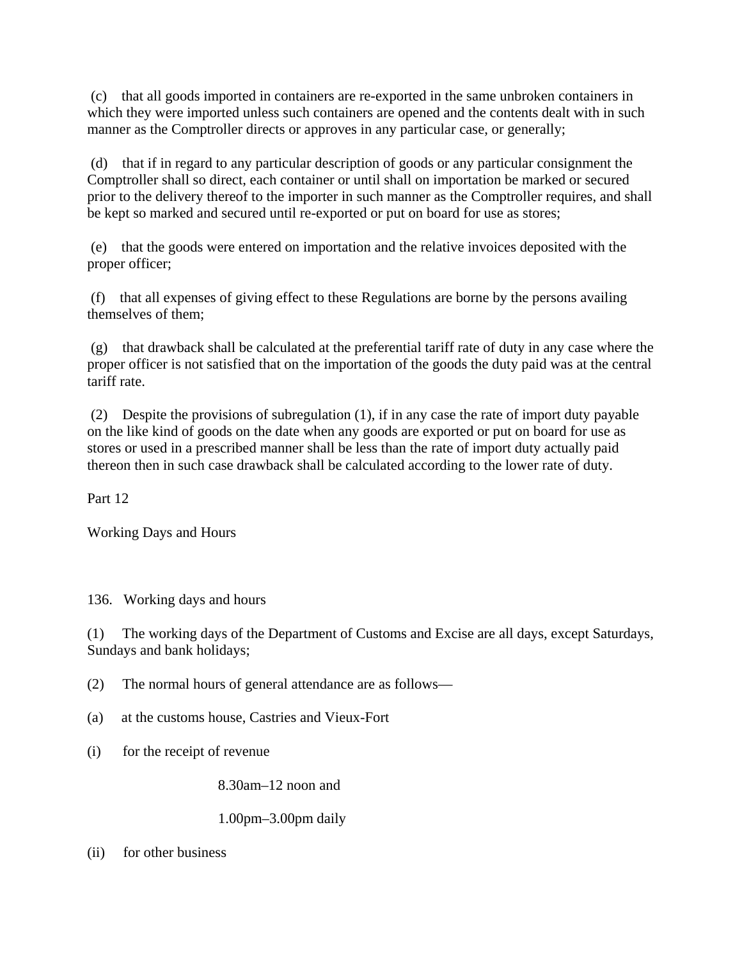(c) that all goods imported in containers are re-exported in the same unbroken containers in which they were imported unless such containers are opened and the contents dealt with in such manner as the Comptroller directs or approves in any particular case, or generally;

 (d) that if in regard to any particular description of goods or any particular consignment the Comptroller shall so direct, each container or until shall on importation be marked or secured prior to the delivery thereof to the importer in such manner as the Comptroller requires, and shall be kept so marked and secured until re-exported or put on board for use as stores;

 (e) that the goods were entered on importation and the relative invoices deposited with the proper officer;

 (f) that all expenses of giving effect to these Regulations are borne by the persons availing themselves of them;

 (g) that drawback shall be calculated at the preferential tariff rate of duty in any case where the proper officer is not satisfied that on the importation of the goods the duty paid was at the central tariff rate.

 (2) Despite the provisions of subregulation (1), if in any case the rate of import duty payable on the like kind of goods on the date when any goods are exported or put on board for use as stores or used in a prescribed manner shall be less than the rate of import duty actually paid thereon then in such case drawback shall be calculated according to the lower rate of duty.

Part 12

Working Days and Hours

136. Working days and hours

(1) The working days of the Department of Customs and Excise are all days, except Saturdays, Sundays and bank holidays;

(2) The normal hours of general attendance are as follows—

(a) at the customs house, Castries and Vieux-Fort

(i) for the receipt of revenue

8.30am–12 noon and

### 1.00pm–3.00pm daily

(ii) for other business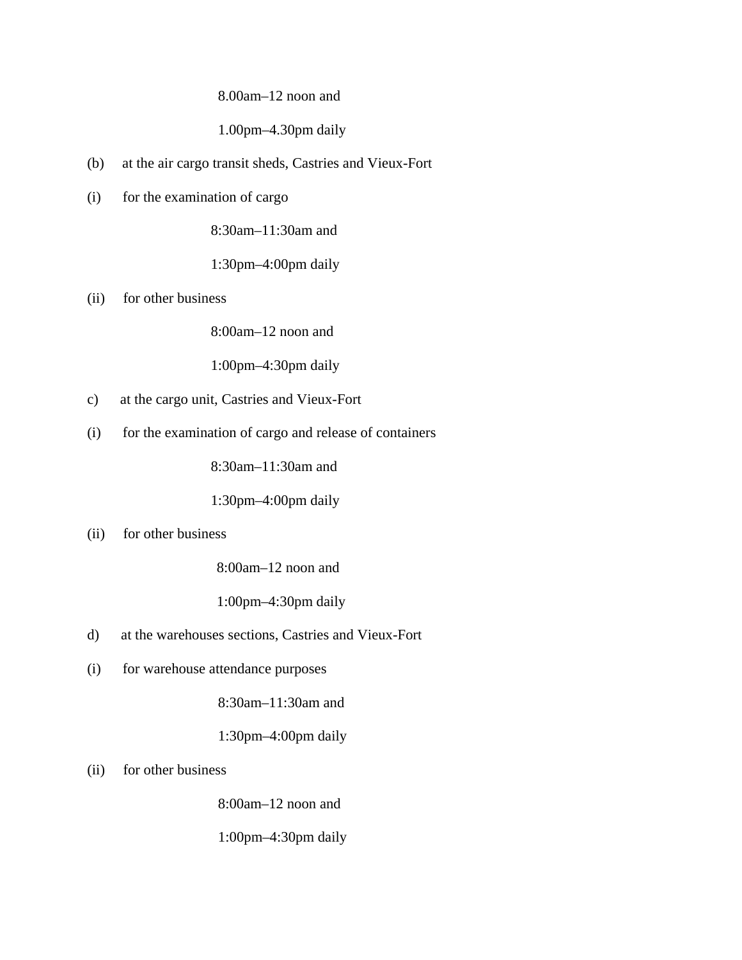#### 8.00am–12 noon and

#### 1.00pm–4.30pm daily

- (b) at the air cargo transit sheds, Castries and Vieux-Fort
- (i) for the examination of cargo

8:30am–11:30am and

1:30pm–4:00pm daily

(ii) for other business

8:00am–12 noon and

1:00pm–4:30pm daily

- c) at the cargo unit, Castries and Vieux-Fort
- (i) for the examination of cargo and release of containers

8:30am–11:30am and

1:30pm–4:00pm daily

#### (ii) for other business

8:00am–12 noon and

1:00pm–4:30pm daily

- d) at the warehouses sections, Castries and Vieux-Fort
- (i) for warehouse attendance purposes

8:30am–11:30am and

1:30pm–4:00pm daily

(ii) for other business

8:00am–12 noon and

1:00pm–4:30pm daily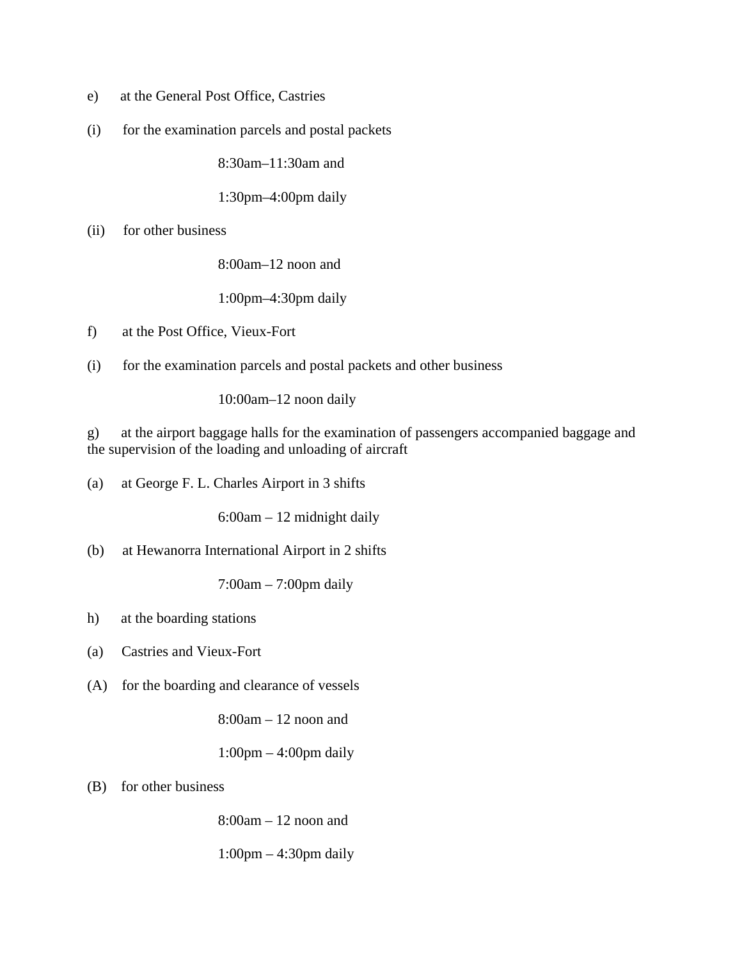- e) at the General Post Office, Castries
- (i) for the examination parcels and postal packets

8:30am–11:30am and

1:30pm–4:00pm daily

(ii) for other business

8:00am–12 noon and

1:00pm–4:30pm daily

- f) at the Post Office, Vieux-Fort
- (i) for the examination parcels and postal packets and other business

10:00am–12 noon daily

g) at the airport baggage halls for the examination of passengers accompanied baggage and the supervision of the loading and unloading of aircraft

(a) at George F. L. Charles Airport in 3 shifts

6:00am – 12 midnight daily

(b) at Hewanorra International Airport in 2 shifts

7:00am – 7:00pm daily

- h) at the boarding stations
- (a) Castries and Vieux-Fort
- (A) for the boarding and clearance of vessels

8:00am – 12 noon and

1:00pm – 4:00pm daily

(B) for other business

8:00am – 12 noon and

1:00pm – 4:30pm daily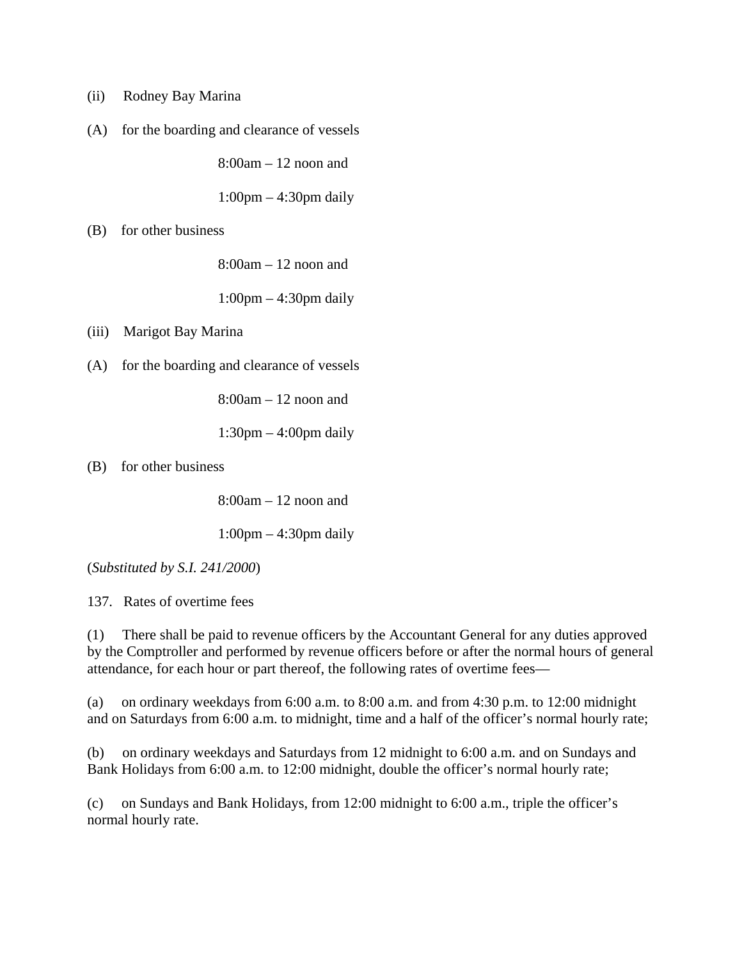- (ii) Rodney Bay Marina
- (A) for the boarding and clearance of vessels

8:00am – 12 noon and

1:00pm – 4:30pm daily

(B) for other business

8:00am – 12 noon and

1:00pm – 4:30pm daily

(iii) Marigot Bay Marina

(A) for the boarding and clearance of vessels

8:00am – 12 noon and

1:30pm – 4:00pm daily

(B) for other business

8:00am – 12 noon and

1:00pm – 4:30pm daily

(*Substituted by S.I. 241/2000*)

137. Rates of overtime fees

(1) There shall be paid to revenue officers by the Accountant General for any duties approved by the Comptroller and performed by revenue officers before or after the normal hours of general attendance, for each hour or part thereof, the following rates of overtime fees—

(a) on ordinary weekdays from 6:00 a.m. to 8:00 a.m. and from 4:30 p.m. to 12:00 midnight and on Saturdays from 6:00 a.m. to midnight, time and a half of the officer's normal hourly rate;

(b) on ordinary weekdays and Saturdays from 12 midnight to 6:00 a.m. and on Sundays and Bank Holidays from 6:00 a.m. to 12:00 midnight, double the officer's normal hourly rate;

(c) on Sundays and Bank Holidays, from 12:00 midnight to 6:00 a.m., triple the officer's normal hourly rate.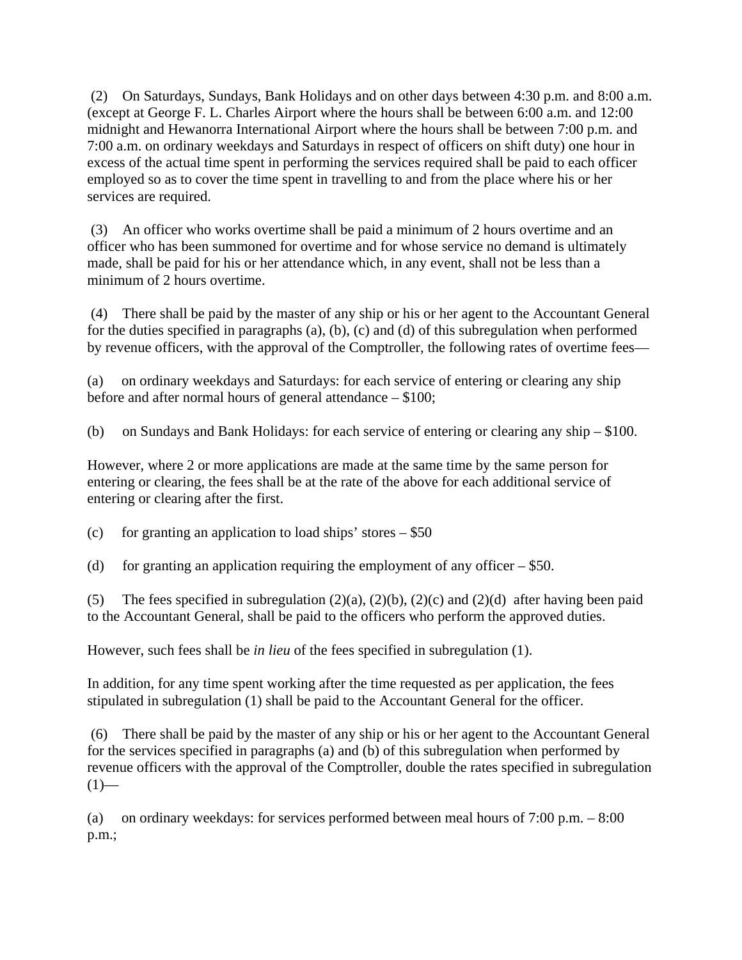(2) On Saturdays, Sundays, Bank Holidays and on other days between 4:30 p.m. and 8:00 a.m. (except at George F. L. Charles Airport where the hours shall be between 6:00 a.m. and 12:00 midnight and Hewanorra International Airport where the hours shall be between 7:00 p.m. and 7:00 a.m. on ordinary weekdays and Saturdays in respect of officers on shift duty) one hour in excess of the actual time spent in performing the services required shall be paid to each officer employed so as to cover the time spent in travelling to and from the place where his or her services are required.

 (3) An officer who works overtime shall be paid a minimum of 2 hours overtime and an officer who has been summoned for overtime and for whose service no demand is ultimately made, shall be paid for his or her attendance which, in any event, shall not be less than a minimum of 2 hours overtime.

 (4) There shall be paid by the master of any ship or his or her agent to the Accountant General for the duties specified in paragraphs (a), (b), (c) and (d) of this subregulation when performed by revenue officers, with the approval of the Comptroller, the following rates of overtime fees—

(a) on ordinary weekdays and Saturdays: for each service of entering or clearing any ship before and after normal hours of general attendance – \$100;

(b) on Sundays and Bank Holidays: for each service of entering or clearing any ship – \$100.

However, where 2 or more applications are made at the same time by the same person for entering or clearing, the fees shall be at the rate of the above for each additional service of entering or clearing after the first.

(c) for granting an application to load ships' stores  $-$  \$50

(d) for granting an application requiring the employment of any officer  $-$  \$50.

(5) The fees specified in subregulation  $(2)(a)$ ,  $(2)(b)$ ,  $(2)(c)$  and  $(2)(d)$  after having been paid to the Accountant General, shall be paid to the officers who perform the approved duties.

However, such fees shall be *in lieu* of the fees specified in subregulation (1).

In addition, for any time spent working after the time requested as per application, the fees stipulated in subregulation (1) shall be paid to the Accountant General for the officer.

 (6) There shall be paid by the master of any ship or his or her agent to the Accountant General for the services specified in paragraphs (a) and (b) of this subregulation when performed by revenue officers with the approval of the Comptroller, double the rates specified in subregulation  $(1)$ —

(a) on ordinary weekdays: for services performed between meal hours of 7:00 p.m. – 8:00 p.m.;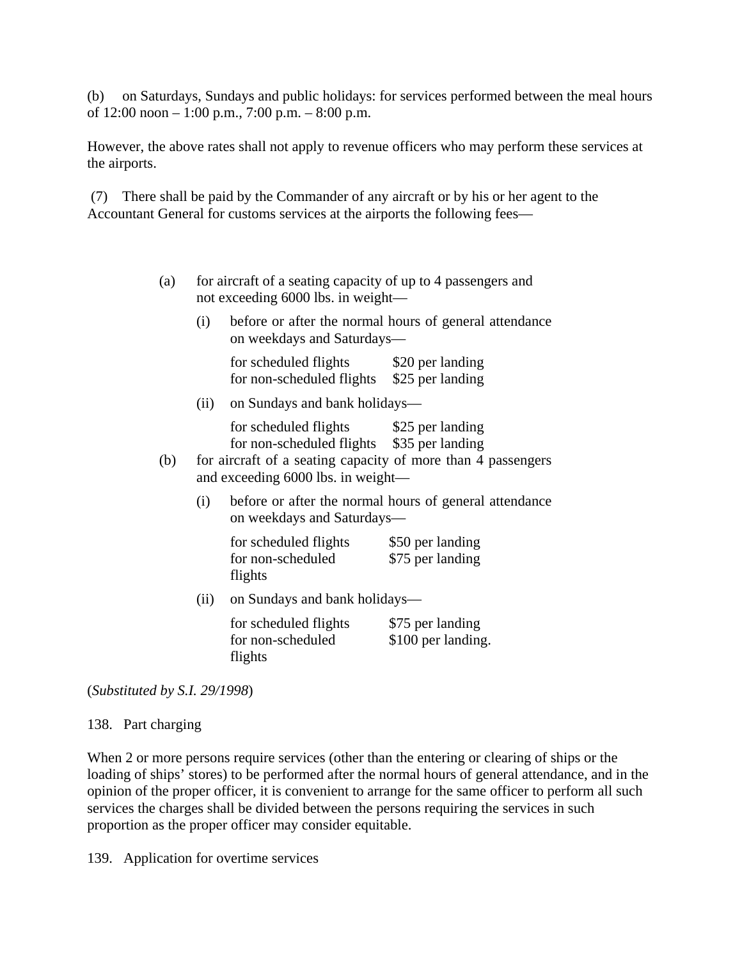(b) on Saturdays, Sundays and public holidays: for services performed between the meal hours of 12:00 noon – 1:00 p.m., 7:00 p.m. – 8:00 p.m.

However, the above rates shall not apply to revenue officers who may perform these services at the airports.

 (7) There shall be paid by the Commander of any aircraft or by his or her agent to the Accountant General for customs services at the airports the following fees—

| (a) |      | for aircraft of a seating capacity of up to 4 passengers and<br>not exceeding 6000 lbs. in weight- |                                                        |  |  |  |
|-----|------|----------------------------------------------------------------------------------------------------|--------------------------------------------------------|--|--|--|
|     | (i)  | before or after the normal hours of general attendance<br>on weekdays and Saturdays—               |                                                        |  |  |  |
|     |      | for scheduled flights \$20 per landing<br>for non-scheduled flights \$25 per landing               |                                                        |  |  |  |
|     | (ii) | on Sundays and bank holidays—                                                                      |                                                        |  |  |  |
|     |      | for scheduled flights \$25 per landing<br>for non-scheduled flights \$35 per landing               |                                                        |  |  |  |
| (b) |      | for aircraft of a seating capacity of more than 4 passengers<br>and exceeding 6000 lbs. in weight- |                                                        |  |  |  |
|     | (i)  | on weekdays and Saturdays—                                                                         | before or after the normal hours of general attendance |  |  |  |
|     |      | for scheduled flights<br>for non-scheduled<br>flights                                              | \$50 per landing<br>\$75 per landing                   |  |  |  |
|     |      | (ii) on Sundays and bank holidays—                                                                 |                                                        |  |  |  |
|     |      | for scheduled flights<br>for non-scheduled                                                         | \$75 per landing<br>\$100 per landing.                 |  |  |  |

(*Substituted by S.I. 29/1998*)

flights

138. Part charging

When 2 or more persons require services (other than the entering or clearing of ships or the loading of ships' stores) to be performed after the normal hours of general attendance, and in the opinion of the proper officer, it is convenient to arrange for the same officer to perform all such services the charges shall be divided between the persons requiring the services in such proportion as the proper officer may consider equitable.

139. Application for overtime services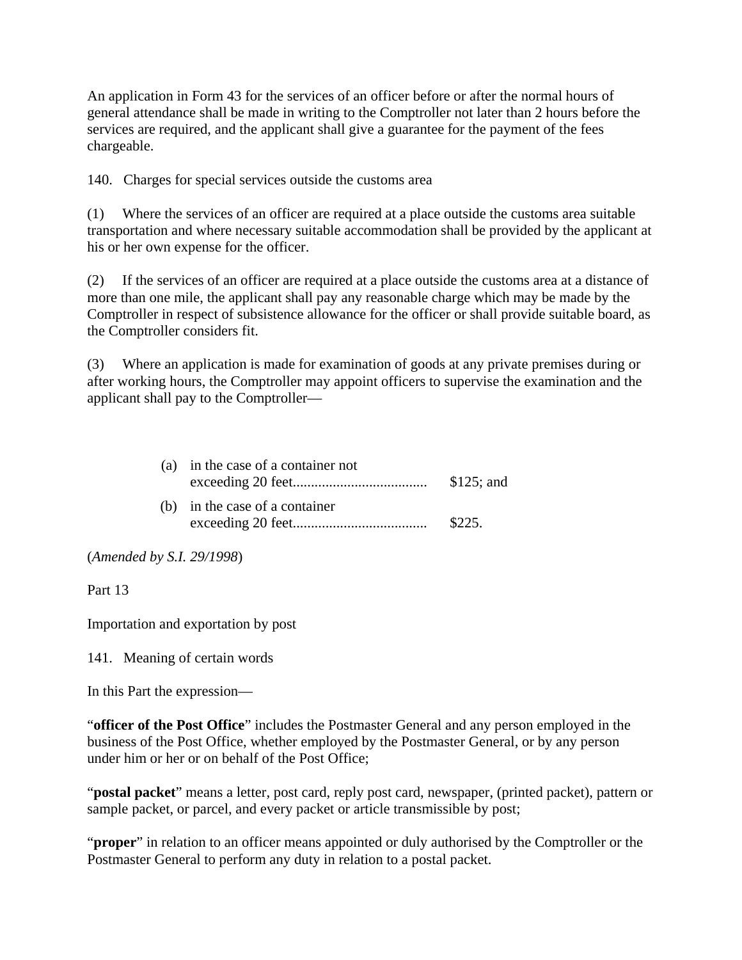An application in Form 43 for the services of an officer before or after the normal hours of general attendance shall be made in writing to the Comptroller not later than 2 hours before the services are required, and the applicant shall give a guarantee for the payment of the fees chargeable.

140. Charges for special services outside the customs area

(1) Where the services of an officer are required at a place outside the customs area suitable transportation and where necessary suitable accommodation shall be provided by the applicant at his or her own expense for the officer.

(2) If the services of an officer are required at a place outside the customs area at a distance of more than one mile, the applicant shall pay any reasonable charge which may be made by the Comptroller in respect of subsistence allowance for the officer or shall provide suitable board, as the Comptroller considers fit.

(3) Where an application is made for examination of goods at any private premises during or after working hours, the Comptroller may appoint officers to supervise the examination and the applicant shall pay to the Comptroller—

| (a) in the case of a container not | $$125$ ; and |
|------------------------------------|--------------|
| (b) in the case of a container     | \$225.       |

(*Amended by S.I. 29/1998*)

Part 13

Importation and exportation by post

141. Meaning of certain words

In this Part the expression—

"**officer of the Post Office**" includes the Postmaster General and any person employed in the business of the Post Office, whether employed by the Postmaster General, or by any person under him or her or on behalf of the Post Office;

"**postal packet**" means a letter, post card, reply post card, newspaper, (printed packet), pattern or sample packet, or parcel, and every packet or article transmissible by post;

"**proper**" in relation to an officer means appointed or duly authorised by the Comptroller or the Postmaster General to perform any duty in relation to a postal packet.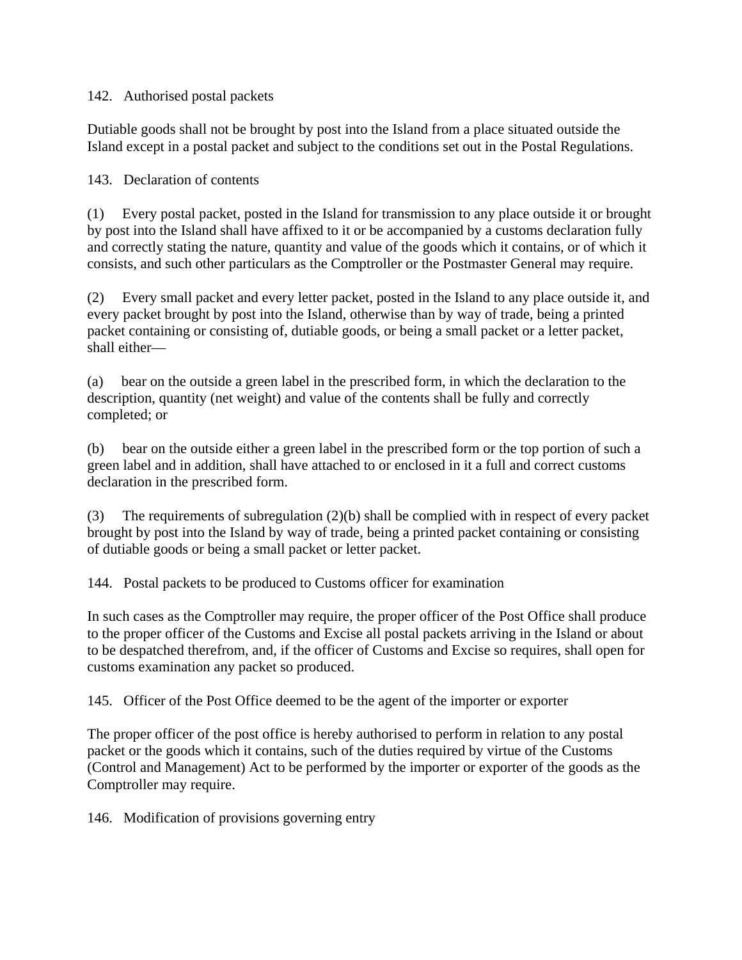#### 142. Authorised postal packets

Dutiable goods shall not be brought by post into the Island from a place situated outside the Island except in a postal packet and subject to the conditions set out in the Postal Regulations.

#### 143. Declaration of contents

(1) Every postal packet, posted in the Island for transmission to any place outside it or brought by post into the Island shall have affixed to it or be accompanied by a customs declaration fully and correctly stating the nature, quantity and value of the goods which it contains, or of which it consists, and such other particulars as the Comptroller or the Postmaster General may require.

(2) Every small packet and every letter packet, posted in the Island to any place outside it, and every packet brought by post into the Island, otherwise than by way of trade, being a printed packet containing or consisting of, dutiable goods, or being a small packet or a letter packet, shall either—

(a) bear on the outside a green label in the prescribed form, in which the declaration to the description, quantity (net weight) and value of the contents shall be fully and correctly completed; or

(b) bear on the outside either a green label in the prescribed form or the top portion of such a green label and in addition, shall have attached to or enclosed in it a full and correct customs declaration in the prescribed form.

(3) The requirements of subregulation (2)(b) shall be complied with in respect of every packet brought by post into the Island by way of trade, being a printed packet containing or consisting of dutiable goods or being a small packet or letter packet.

144. Postal packets to be produced to Customs officer for examination

In such cases as the Comptroller may require, the proper officer of the Post Office shall produce to the proper officer of the Customs and Excise all postal packets arriving in the Island or about to be despatched therefrom, and, if the officer of Customs and Excise so requires, shall open for customs examination any packet so produced.

145. Officer of the Post Office deemed to be the agent of the importer or exporter

The proper officer of the post office is hereby authorised to perform in relation to any postal packet or the goods which it contains, such of the duties required by virtue of the Customs (Control and Management) Act to be performed by the importer or exporter of the goods as the Comptroller may require.

146. Modification of provisions governing entry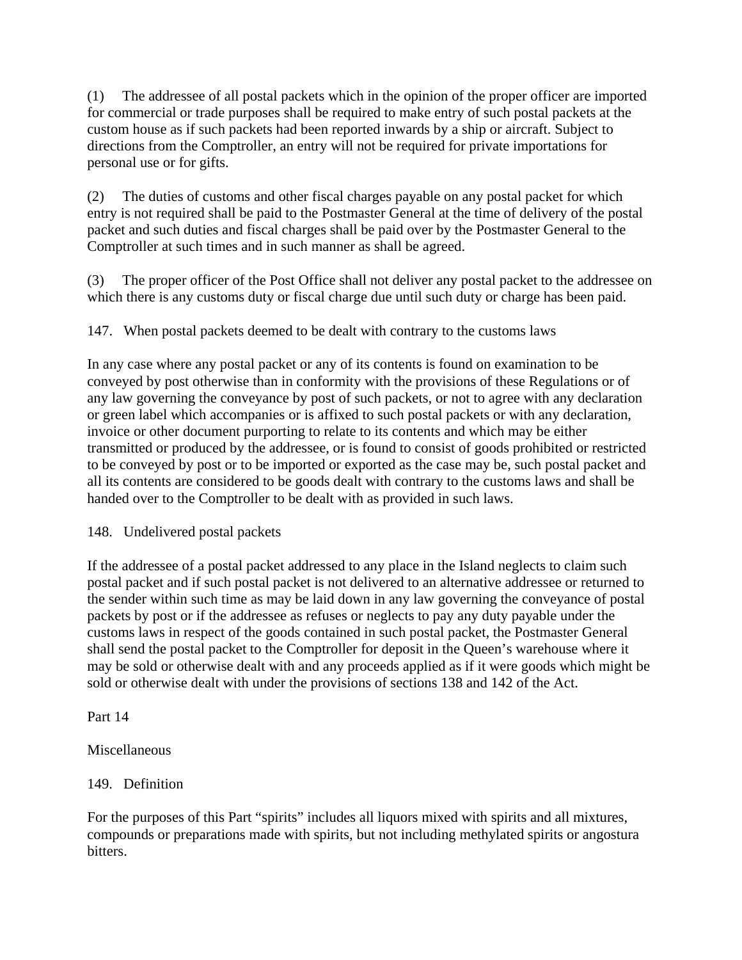(1) The addressee of all postal packets which in the opinion of the proper officer are imported for commercial or trade purposes shall be required to make entry of such postal packets at the custom house as if such packets had been reported inwards by a ship or aircraft. Subject to directions from the Comptroller, an entry will not be required for private importations for personal use or for gifts.

(2) The duties of customs and other fiscal charges payable on any postal packet for which entry is not required shall be paid to the Postmaster General at the time of delivery of the postal packet and such duties and fiscal charges shall be paid over by the Postmaster General to the Comptroller at such times and in such manner as shall be agreed.

(3) The proper officer of the Post Office shall not deliver any postal packet to the addressee on which there is any customs duty or fiscal charge due until such duty or charge has been paid.

147. When postal packets deemed to be dealt with contrary to the customs laws

In any case where any postal packet or any of its contents is found on examination to be conveyed by post otherwise than in conformity with the provisions of these Regulations or of any law governing the conveyance by post of such packets, or not to agree with any declaration or green label which accompanies or is affixed to such postal packets or with any declaration, invoice or other document purporting to relate to its contents and which may be either transmitted or produced by the addressee, or is found to consist of goods prohibited or restricted to be conveyed by post or to be imported or exported as the case may be, such postal packet and all its contents are considered to be goods dealt with contrary to the customs laws and shall be handed over to the Comptroller to be dealt with as provided in such laws.

148. Undelivered postal packets

If the addressee of a postal packet addressed to any place in the Island neglects to claim such postal packet and if such postal packet is not delivered to an alternative addressee or returned to the sender within such time as may be laid down in any law governing the conveyance of postal packets by post or if the addressee as refuses or neglects to pay any duty payable under the customs laws in respect of the goods contained in such postal packet, the Postmaster General shall send the postal packet to the Comptroller for deposit in the Queen's warehouse where it may be sold or otherwise dealt with and any proceeds applied as if it were goods which might be sold or otherwise dealt with under the provisions of sections 138 and 142 of the Act.

Part 14

Miscellaneous

# 149. Definition

For the purposes of this Part "spirits" includes all liquors mixed with spirits and all mixtures, compounds or preparations made with spirits, but not including methylated spirits or angostura bitters.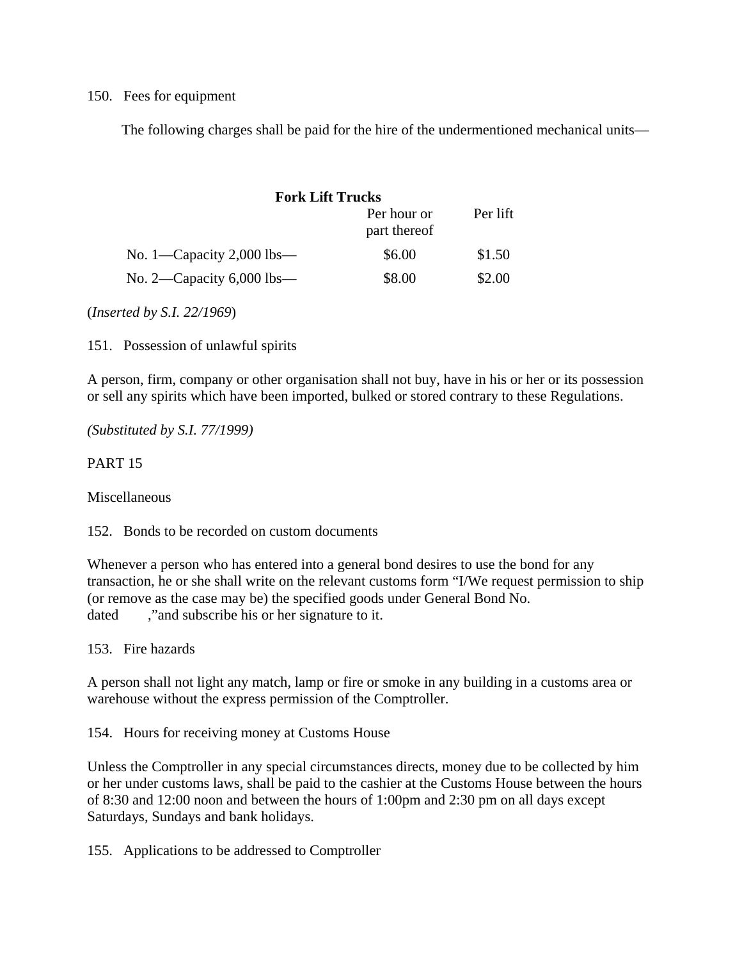#### 150. Fees for equipment

The following charges shall be paid for the hire of the undermentioned mechanical units—

| <b>Fork Lift Trucks</b>     |                             |          |
|-----------------------------|-----------------------------|----------|
|                             | Per hour or<br>part thereof | Per lift |
| No. 1—Capacity 2,000 lbs—   | \$6.00                      | \$1.50   |
| No. 2—Capacity $6,000$ lbs— | \$8.00                      | \$2.00   |

(*Inserted by S.I. 22/1969*)

151. Possession of unlawful spirits

A person, firm, company or other organisation shall not buy, have in his or her or its possession or sell any spirits which have been imported, bulked or stored contrary to these Regulations.

*(Substituted by S.I. 77/1999)*

#### PART 15

Miscellaneous

152. Bonds to be recorded on custom documents

Whenever a person who has entered into a general bond desires to use the bond for any transaction, he or she shall write on the relevant customs form "I/We request permission to ship (or remove as the case may be) the specified goods under General Bond No. dated ,"and subscribe his or her signature to it.

153. Fire hazards

A person shall not light any match, lamp or fire or smoke in any building in a customs area or warehouse without the express permission of the Comptroller.

154. Hours for receiving money at Customs House

Unless the Comptroller in any special circumstances directs, money due to be collected by him or her under customs laws, shall be paid to the cashier at the Customs House between the hours of 8:30 and 12:00 noon and between the hours of 1:00pm and 2:30 pm on all days except Saturdays, Sundays and bank holidays.

155. Applications to be addressed to Comptroller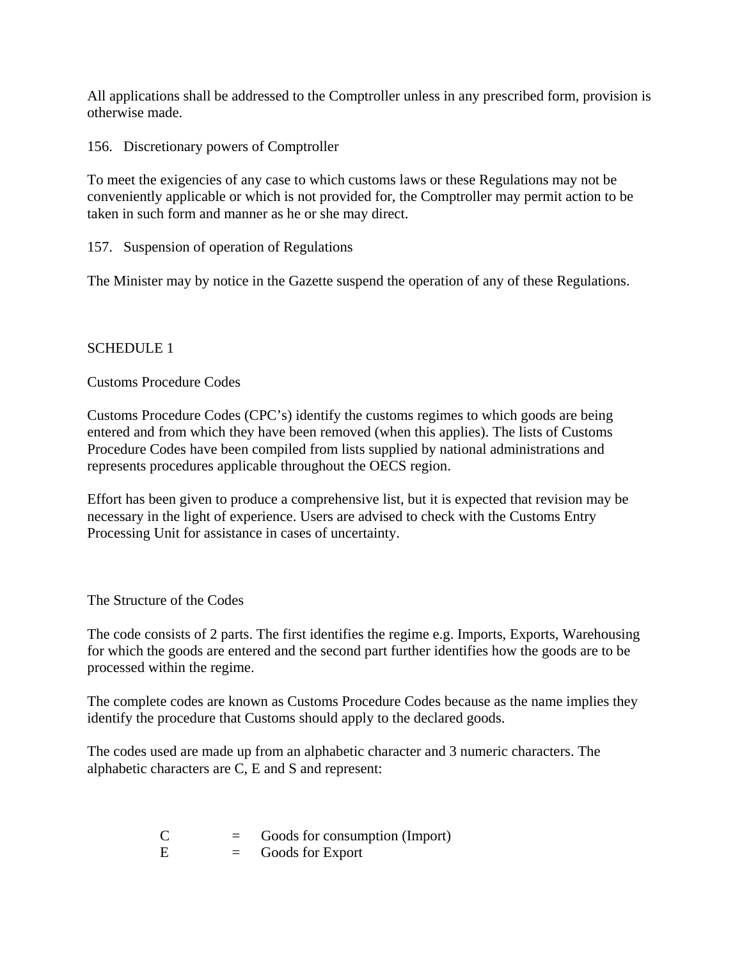All applications shall be addressed to the Comptroller unless in any prescribed form, provision is otherwise made.

156. Discretionary powers of Comptroller

To meet the exigencies of any case to which customs laws or these Regulations may not be conveniently applicable or which is not provided for, the Comptroller may permit action to be taken in such form and manner as he or she may direct.

157. Suspension of operation of Regulations

The Minister may by notice in the Gazette suspend the operation of any of these Regulations.

#### SCHEDULE 1

Customs Procedure Codes

Customs Procedure Codes (CPC's) identify the customs regimes to which goods are being entered and from which they have been removed (when this applies). The lists of Customs Procedure Codes have been compiled from lists supplied by national administrations and represents procedures applicable throughout the OECS region.

Effort has been given to produce a comprehensive list, but it is expected that revision may be necessary in the light of experience. Users are advised to check with the Customs Entry Processing Unit for assistance in cases of uncertainty.

The Structure of the Codes

The code consists of 2 parts. The first identifies the regime e.g. Imports, Exports, Warehousing for which the goods are entered and the second part further identifies how the goods are to be processed within the regime.

The complete codes are known as Customs Procedure Codes because as the name implies they identify the procedure that Customs should apply to the declared goods.

The codes used are made up from an alphabetic character and 3 numeric characters. The alphabetic characters are C, E and S and represent:

| $\mathcal{C}$ | =        | Goods for consumption (Import) |
|---------------|----------|--------------------------------|
| E             | $\equiv$ | Goods for Export               |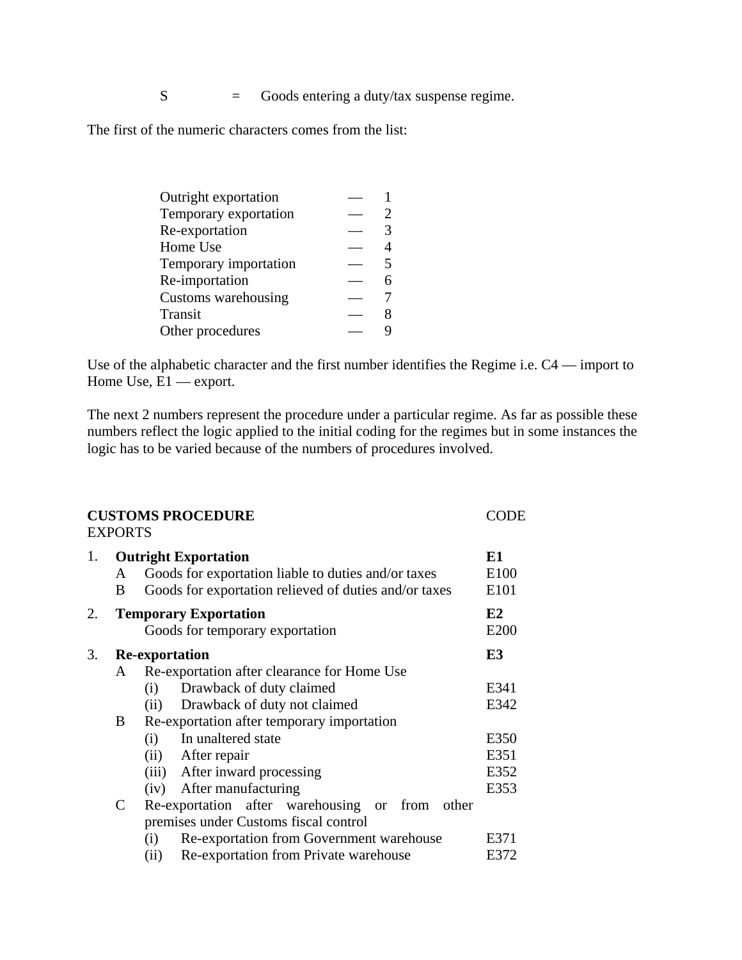S = Goods entering a duty/tax suspense regime.

The first of the numeric characters comes from the list:

| Outright exportation  |                          |
|-----------------------|--------------------------|
| Temporary exportation |                          |
| Re-exportation        | 3                        |
| Home Use              |                          |
| Temporary importation | $\overline{\phantom{1}}$ |
| Re-importation        |                          |
| Customs warehousing   |                          |
| Transit               |                          |
| Other procedures      |                          |

Use of the alphabetic character and the first number identifies the Regime i.e. C4 — import to Home Use,  $E1$  — export.

The next 2 numbers represent the procedure under a particular regime. As far as possible these numbers reflect the logic applied to the initial coding for the regimes but in some instances the logic has to be varied because of the numbers of procedures involved.

|    | <b>EXPORTS</b>         | <b>CUSTOMS PROCEDURE</b>                                                                                                                                                                                                                                                                                                                                                                                                                                                                       | CODE                                                         |
|----|------------------------|------------------------------------------------------------------------------------------------------------------------------------------------------------------------------------------------------------------------------------------------------------------------------------------------------------------------------------------------------------------------------------------------------------------------------------------------------------------------------------------------|--------------------------------------------------------------|
| 1. | A<br>B                 | <b>Outright Exportation</b><br>Goods for exportation liable to duties and/or taxes<br>Goods for exportation relieved of duties and/or taxes                                                                                                                                                                                                                                                                                                                                                    | E1<br>E100<br>E101                                           |
| 2. |                        | <b>Temporary Exportation</b><br>Goods for temporary exportation                                                                                                                                                                                                                                                                                                                                                                                                                                | E2<br>E200                                                   |
| 3. |                        | <b>Re-exportation</b>                                                                                                                                                                                                                                                                                                                                                                                                                                                                          | E3                                                           |
|    | A<br>B<br>$\mathsf{C}$ | Re-exportation after clearance for Home Use<br>Drawback of duty claimed<br>(i)<br>Drawback of duty not claimed<br>(ii)<br>Re-exportation after temporary importation<br>In unaltered state<br>(i)<br>After repair<br>(ii)<br>After inward processing<br>(iii)<br>After manufacturing<br>(iv)<br>Re-exportation after warehousing or<br>from other<br>premises under Customs fiscal control<br>Re-exportation from Government warehouse<br>(i)<br>Re-exportation from Private warehouse<br>(ii) | E341<br>E342<br>E350<br>E351<br>E352<br>E353<br>E371<br>E372 |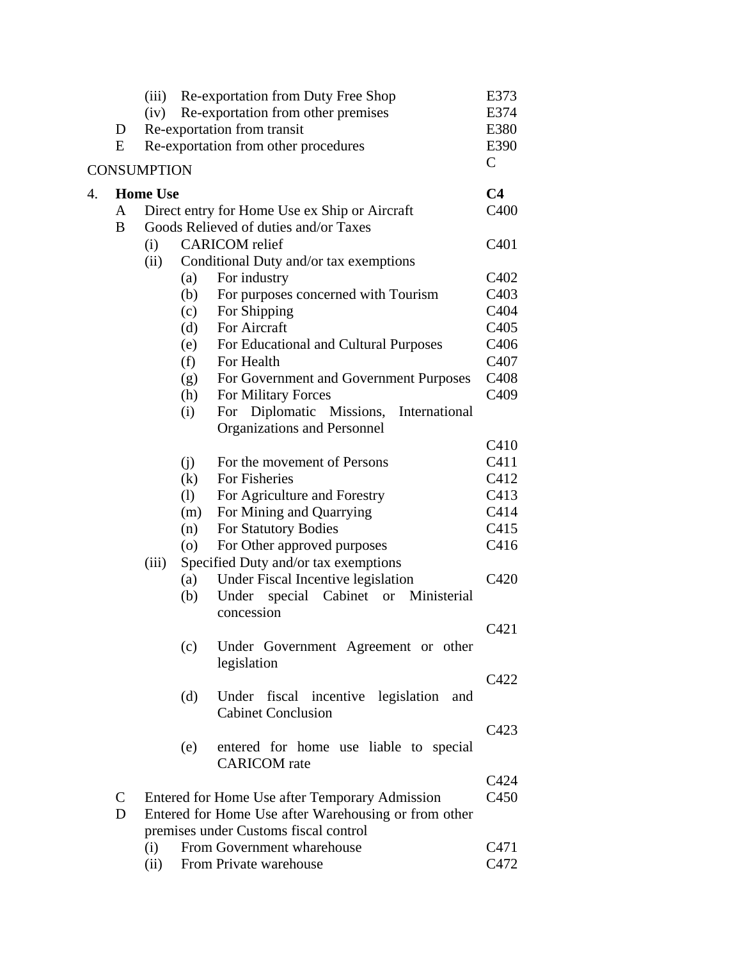|                    |              | (iii)           | Re-exportation from Duty Free Shop                           | E373                          |
|--------------------|--------------|-----------------|--------------------------------------------------------------|-------------------------------|
|                    |              | (iv)            | Re-exportation from other premises                           | E374                          |
|                    | D            |                 | Re-exportation from transit                                  | E380                          |
|                    | E            |                 | Re-exportation from other procedures                         | E390                          |
| <b>CONSUMPTION</b> |              |                 | $\mathsf{C}$                                                 |                               |
| $\overline{4}$ .   |              | <b>Home Use</b> |                                                              | C <sub>4</sub>                |
|                    | A            |                 | Direct entry for Home Use ex Ship or Aircraft                | C400                          |
|                    | B            |                 | Goods Relieved of duties and/or Taxes                        |                               |
|                    |              | (i)             | <b>CARICOM</b> relief                                        | C <sub>401</sub>              |
|                    |              | (ii)            | Conditional Duty and/or tax exemptions                       |                               |
|                    |              |                 | For industry<br>(a)                                          | C <sub>4</sub> 0 <sub>2</sub> |
|                    |              |                 | For purposes concerned with Tourism<br>(b)                   | C <sub>403</sub>              |
|                    |              |                 | For Shipping<br>(c)                                          | C404                          |
|                    |              |                 | For Aircraft<br>(d)                                          | C <sub>405</sub>              |
|                    |              |                 | For Educational and Cultural Purposes<br>(e)                 | C <sub>406</sub>              |
|                    |              |                 | (f)<br>For Health                                            | C407                          |
|                    |              |                 | (g)<br>For Government and Government Purposes                | C <sub>408</sub>              |
|                    |              |                 | For Military Forces<br>(h)                                   | C <sub>409</sub>              |
|                    |              |                 | For Diplomatic Missions, International<br>(i)                |                               |
|                    |              |                 | Organizations and Personnel                                  |                               |
|                    |              |                 |                                                              | C410                          |
|                    |              |                 | For the movement of Persons<br>(j)                           | C411                          |
|                    |              |                 | For Fisheries<br>(k)                                         | C412                          |
|                    |              |                 | (1)<br>For Agriculture and Forestry                          | C413                          |
|                    |              |                 | For Mining and Quarrying<br>(m)                              | C414                          |
|                    |              |                 | For Statutory Bodies<br>(n)                                  | C415                          |
|                    |              |                 | For Other approved purposes<br>$\circ$                       | C416                          |
|                    |              | (iii)           | Specified Duty and/or tax exemptions                         |                               |
|                    |              |                 | Under Fiscal Incentive legislation<br>(a)                    | C420                          |
|                    |              |                 | Under<br>special Cabinet or Ministerial<br>(b)<br>concession |                               |
|                    |              |                 |                                                              | C421                          |
|                    |              |                 | Under Government Agreement or other<br>(c)                   |                               |
|                    |              |                 | legislation                                                  |                               |
|                    |              |                 |                                                              | C422                          |
|                    |              |                 | Under fiscal incentive legislation<br>(d)<br>and             |                               |
|                    |              |                 | <b>Cabinet Conclusion</b>                                    |                               |
|                    |              |                 |                                                              | C423                          |
|                    |              |                 | entered for home use liable to special<br>(e)                |                               |
|                    |              |                 | <b>CARICOM</b> rate                                          |                               |
|                    |              |                 |                                                              | C424                          |
|                    | $\mathsf{C}$ |                 | Entered for Home Use after Temporary Admission               | C <sub>450</sub>              |
|                    | D            |                 | Entered for Home Use after Warehousing or from other         |                               |
|                    |              |                 | premises under Customs fiscal control                        |                               |
|                    |              | (i)             | From Government wharehouse                                   | C471                          |
|                    |              | (ii)            | From Private warehouse                                       | C472                          |
|                    |              |                 |                                                              |                               |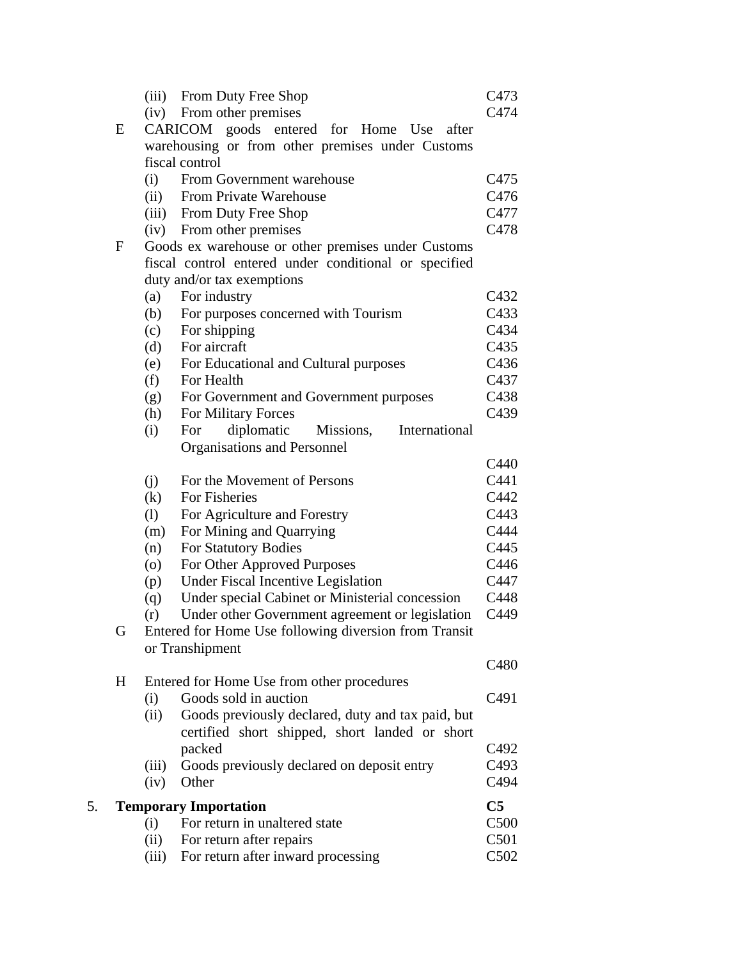|    |              | (ii)<br>(iii) | For return after repairs<br>For return after inward processing                                      | C <sub>501</sub><br>C502         |
|----|--------------|---------------|-----------------------------------------------------------------------------------------------------|----------------------------------|
|    |              | (i)           | For return in unaltered state                                                                       | C <sub>500</sub>                 |
| 5. |              |               | <b>Temporary Importation</b>                                                                        | C <sub>5</sub>                   |
|    |              | (iii)<br>(iv) | packed<br>Goods previously declared on deposit entry<br>Other                                       | C492<br>C <sub>493</sub><br>C494 |
|    |              | (ii)          | Goods previously declared, duty and tax paid, but<br>certified short shipped, short landed or short |                                  |
|    | H            | (i)           | Entered for Home Use from other procedures<br>Goods sold in auction                                 | C <sub>491</sub>                 |
|    |              |               | or Transhipment                                                                                     | C480                             |
|    | G            |               | Entered for Home Use following diversion from Transit                                               |                                  |
|    |              | (r)           | Under other Government agreement or legislation                                                     | C449                             |
|    |              | (q)           | Under special Cabinet or Ministerial concession                                                     | C448                             |
|    |              | (p)           | Under Fiscal Incentive Legislation                                                                  | C447                             |
|    |              | (0)           | For Other Approved Purposes                                                                         | C446                             |
|    |              | (n)           | <b>For Statutory Bodies</b>                                                                         | C445                             |
|    |              | (m)           | For Mining and Quarrying                                                                            | C444                             |
|    |              | (1)           | For Agriculture and Forestry                                                                        | C443                             |
|    |              | (k)           | For Fisheries                                                                                       | C442                             |
|    |              | (i)           | For the Movement of Persons                                                                         | C441                             |
|    |              |               | Organisations and Personnel                                                                         | C440                             |
|    |              | (i)           | diplomatic<br>Missions,<br>For<br>International                                                     |                                  |
|    |              | (h)           | For Military Forces                                                                                 | C <sub>439</sub>                 |
|    |              | (g)           | For Government and Government purposes                                                              | C438                             |
|    |              | (f)           | For Health                                                                                          | C437                             |
|    |              | (e)           | For Educational and Cultural purposes                                                               | C436                             |
|    |              | (d)           | For aircraft                                                                                        | C435                             |
|    |              | (c)           | For shipping                                                                                        | C <sub>4</sub> 34                |
|    |              | (b)           | For purposes concerned with Tourism                                                                 | C433                             |
|    |              | (a)           | For industry                                                                                        | C432                             |
|    |              |               | duty and/or tax exemptions                                                                          |                                  |
|    |              |               | fiscal control entered under conditional or specified                                               |                                  |
|    | $\mathbf{F}$ |               | Goods ex warehouse or other premises under Customs                                                  |                                  |
|    |              | (iv)          | From other premises                                                                                 | C478                             |
|    |              | (iii)         | From Duty Free Shop                                                                                 | C477                             |
|    |              | (ii)          | From Private Warehouse                                                                              | C476                             |
|    |              | (i)           | From Government warehouse                                                                           | C475                             |
|    |              |               | fiscal control                                                                                      |                                  |
|    |              |               | warehousing or from other premises under Customs                                                    |                                  |
|    | E            | (iv)          | From other premises<br>CARICOM goods entered for Home Use after                                     |                                  |
|    |              |               |                                                                                                     | C474                             |
|    |              | (iii)         | From Duty Free Shop                                                                                 | C473                             |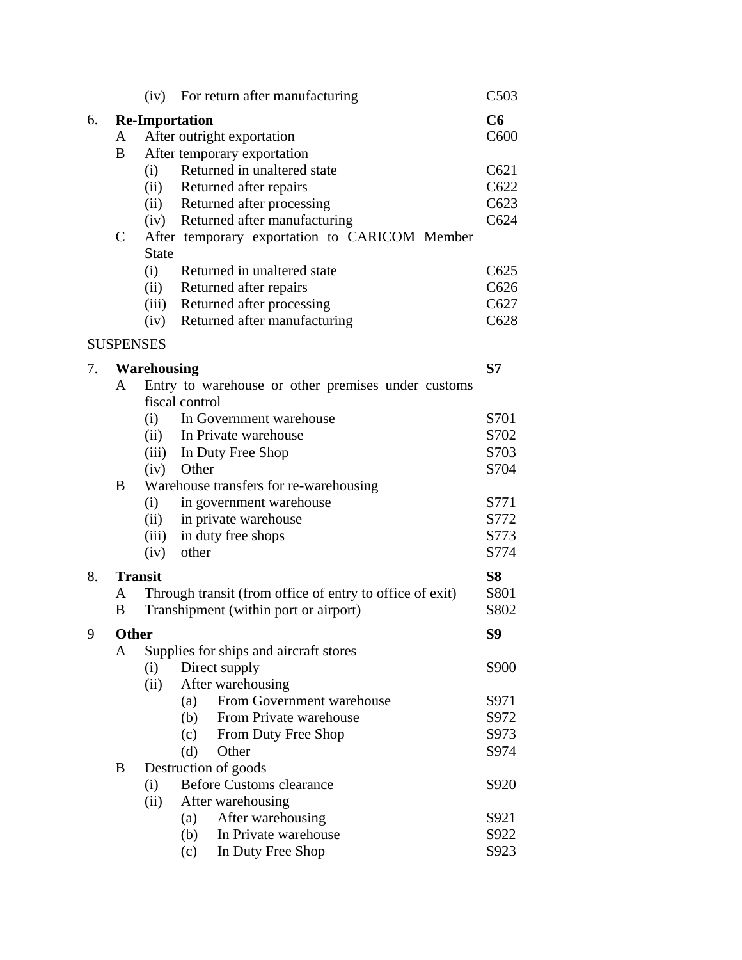|    |                          |                                              | (iv) For return after manufacturing                                                                                                                                 | C503                         |
|----|--------------------------|----------------------------------------------|---------------------------------------------------------------------------------------------------------------------------------------------------------------------|------------------------------|
| 6. | A                        |                                              | <b>Re-Importation</b><br>After outright exportation                                                                                                                 | C6<br>C <sub>600</sub>       |
|    | B                        | (i)<br>(ii)<br>(ii)<br>(iv)                  | After temporary exportation<br>Returned in unaltered state<br>Returned after repairs<br>Returned after processing<br>Returned after manufacturing                   | C621<br>C622<br>C623<br>C624 |
|    | $\mathcal{C}$            | <b>State</b><br>(i)<br>(ii)<br>(iii)<br>(iv) | After temporary exportation to CARICOM Member<br>Returned in unaltered state<br>Returned after repairs<br>Returned after processing<br>Returned after manufacturing | C625<br>C626<br>C627<br>C628 |
|    | <b>SUSPENSES</b>         |                                              |                                                                                                                                                                     |                              |
| 7. | A                        | Warehousing                                  | Entry to warehouse or other premises under customs<br>fiscal control                                                                                                | S <sub>7</sub>               |
|    |                          | (i)<br>(ii)<br>(iii)<br>(iv)                 | In Government warehouse<br>In Private warehouse<br>In Duty Free Shop<br>Other                                                                                       | S701<br>S702<br>S703<br>S704 |
|    | B                        | (i)<br>(ii)<br>(iii)<br>(iv)                 | Warehouse transfers for re-warehousing<br>in government warehouse<br>in private warehouse<br>in duty free shops<br>other                                            | S771<br>S772<br>S773<br>S774 |
| 8. | <b>Transit</b><br>A<br>B |                                              | Through transit (from office of entry to office of exit)<br>Transhipment (within port or airport)                                                                   | <b>S8</b><br>S801<br>S802    |
| 9  | <b>Other</b>             |                                              |                                                                                                                                                                     | S9                           |
|    | A                        | (i)<br>(ii)                                  | Supplies for ships and aircraft stores<br>Direct supply<br>After warehousing                                                                                        | S900                         |
|    |                          |                                              | From Government warehouse<br>(a)<br>(b)<br>From Private warehouse<br>(c)<br>From Duty Free Shop<br>(d)<br>Other                                                     | S971<br>S972<br>S973<br>S974 |
|    | B                        | (i)<br>(ii)                                  | Destruction of goods<br><b>Before Customs clearance</b><br>After warehousing                                                                                        | S920                         |
|    |                          |                                              | After warehousing<br>(a)<br>In Private warehouse<br>(b)<br>In Duty Free Shop<br>(c)                                                                                 | S921<br>S922<br>S923         |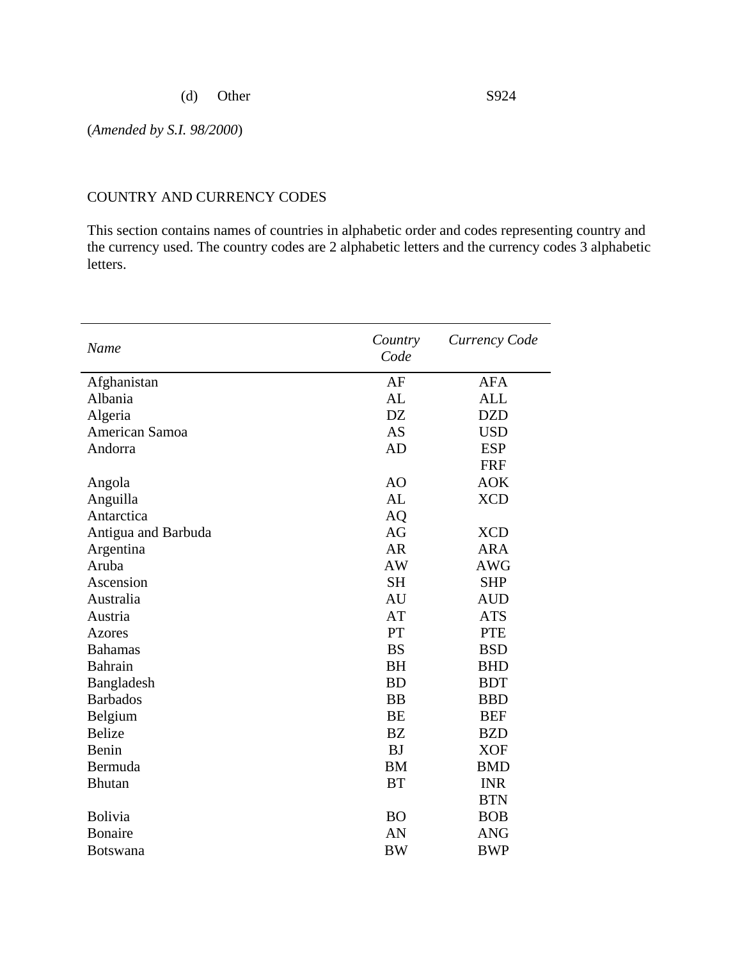(d) Other S924

(*Amended by S.I. 98/2000*)

#### COUNTRY AND CURRENCY CODES

This section contains names of countries in alphabetic order and codes representing country and the currency used. The country codes are 2 alphabetic letters and the currency codes 3 alphabetic letters.

| Name                | Country<br>Code | Currency Code |
|---------------------|-----------------|---------------|
| Afghanistan         | AF              | <b>AFA</b>    |
| Albania             | AL              | <b>ALL</b>    |
| Algeria             | <b>DZ</b>       | <b>DZD</b>    |
| American Samoa      | <b>AS</b>       | <b>USD</b>    |
| Andorra             | AD              | <b>ESP</b>    |
|                     |                 | <b>FRF</b>    |
| Angola              | AO              | <b>AOK</b>    |
| Anguilla            | AL              | <b>XCD</b>    |
| Antarctica          | <b>AQ</b>       |               |
| Antigua and Barbuda | AG              | <b>XCD</b>    |
| Argentina           | <b>AR</b>       | <b>ARA</b>    |
| Aruba               | <b>AW</b>       | <b>AWG</b>    |
| Ascension           | <b>SH</b>       | <b>SHP</b>    |
| Australia           | AU              | <b>AUD</b>    |
| Austria             | AT              | <b>ATS</b>    |
| <b>Azores</b>       | PT              | <b>PTE</b>    |
| <b>Bahamas</b>      | <b>BS</b>       | <b>BSD</b>    |
| <b>Bahrain</b>      | <b>BH</b>       | <b>BHD</b>    |
| Bangladesh          | <b>BD</b>       | <b>BDT</b>    |
| <b>Barbados</b>     | <b>BB</b>       | <b>BBD</b>    |
| Belgium             | <b>BE</b>       | <b>BEF</b>    |
| <b>Belize</b>       | <b>BZ</b>       | <b>BZD</b>    |
| Benin               | <b>BJ</b>       | <b>XOF</b>    |
| Bermuda             | <b>BM</b>       | <b>BMD</b>    |
| <b>Bhutan</b>       | <b>BT</b>       | <b>INR</b>    |
|                     |                 | <b>BTN</b>    |
| Bolivia             | <b>BO</b>       | <b>BOB</b>    |
| <b>Bonaire</b>      | AN              | <b>ANG</b>    |
| <b>Botswana</b>     | <b>BW</b>       | <b>BWP</b>    |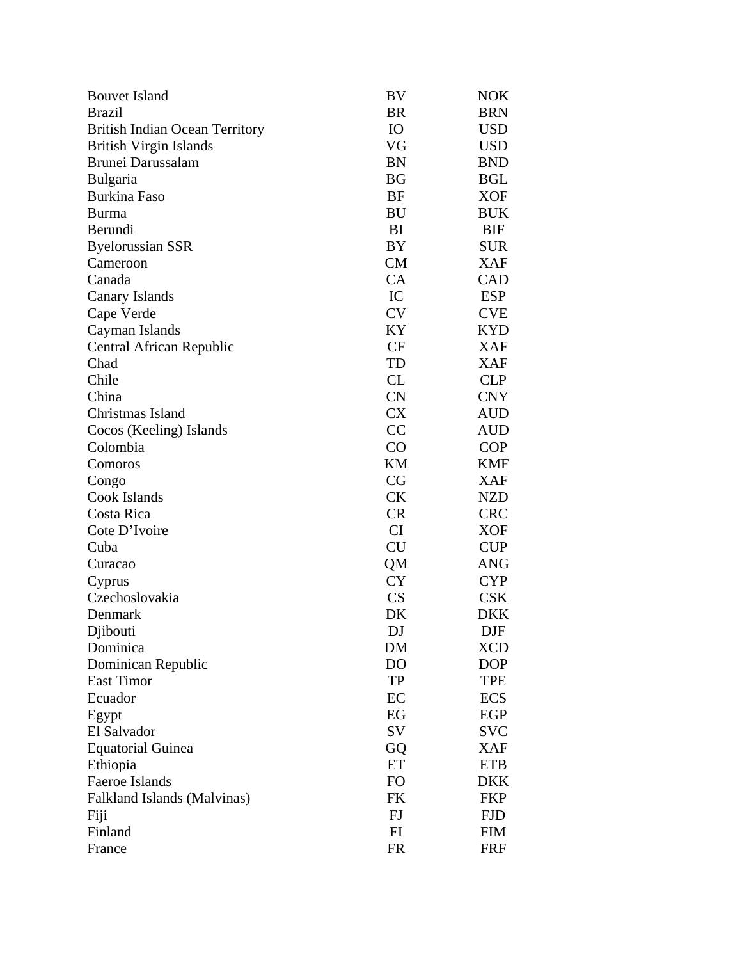| <b>Bouvet Island</b>                  | BV        | NOK        |
|---------------------------------------|-----------|------------|
| <b>Brazil</b>                         | <b>BR</b> | <b>BRN</b> |
| <b>British Indian Ocean Territory</b> | IO        | USD        |
| <b>British Virgin Islands</b>         | VG        | <b>USD</b> |
| Brunei Darussalam                     | <b>BN</b> | <b>BND</b> |
| <b>Bulgaria</b>                       | BG        | <b>BGL</b> |
| <b>Burkina Faso</b>                   | BF        | <b>XOF</b> |
| <b>Burma</b>                          | BU        | <b>BUK</b> |
| Berundi                               | BI        | BIF        |
| <b>Byelorussian SSR</b>               | BY        | <b>SUR</b> |
| Cameroon                              | <b>CM</b> | XAF        |
| Canada                                | CA        | CAD        |
| Canary Islands                        | IC        | <b>ESP</b> |
| Cape Verde                            | <b>CV</b> | <b>CVE</b> |
| Cayman Islands                        | KY        | <b>KYD</b> |
| Central African Republic              | <b>CF</b> | XAF        |
| Chad                                  | TD        | <b>XAF</b> |
| Chile                                 | CL        | <b>CLP</b> |
| China                                 | CN        | <b>CNY</b> |
| Christmas Island                      | <b>CX</b> | AUD        |
| Cocos (Keeling) Islands               | CC        | AUD        |
| Colombia                              | CO        | <b>COP</b> |
| Comoros                               | KM        | <b>KMF</b> |
| Congo                                 | CG        | <b>XAF</b> |
| Cook Islands                          | <b>CK</b> | <b>NZD</b> |
| Costa Rica                            | <b>CR</b> | <b>CRC</b> |
| Cote D'Ivoire                         | <b>CI</b> | XOF        |
| Cuba                                  | <b>CU</b> | <b>CUP</b> |
| Curacao                               | QM        | ANG        |
| Cyprus                                | <b>CY</b> | <b>CYP</b> |
| Czechoslovakia                        | CS        | <b>CSK</b> |
| Denmark                               | DK        | DKK        |
| Djibouti                              | DJ        | <b>DJF</b> |
| Dominica                              | DM        | <b>XCD</b> |
| Dominican Republic                    | DO        | <b>DOP</b> |
| <b>East Timor</b>                     | TP        | TPE        |
| Ecuador                               | EC        | <b>ECS</b> |
| Egypt                                 | EG        | EGP        |
| El Salvador                           | SV        | <b>SVC</b> |
| <b>Equatorial Guinea</b>              | GQ        | <b>XAF</b> |
| Ethiopia                              | ET        | <b>ETB</b> |
| Faeroe Islands                        | <b>FO</b> | <b>DKK</b> |
| Falkland Islands (Malvinas)           | FK        | <b>FKP</b> |
| Fiji                                  | FJ        | <b>FJD</b> |
| Finland                               | FI        | <b>FIM</b> |
| France                                | <b>FR</b> | FRF        |
|                                       |           |            |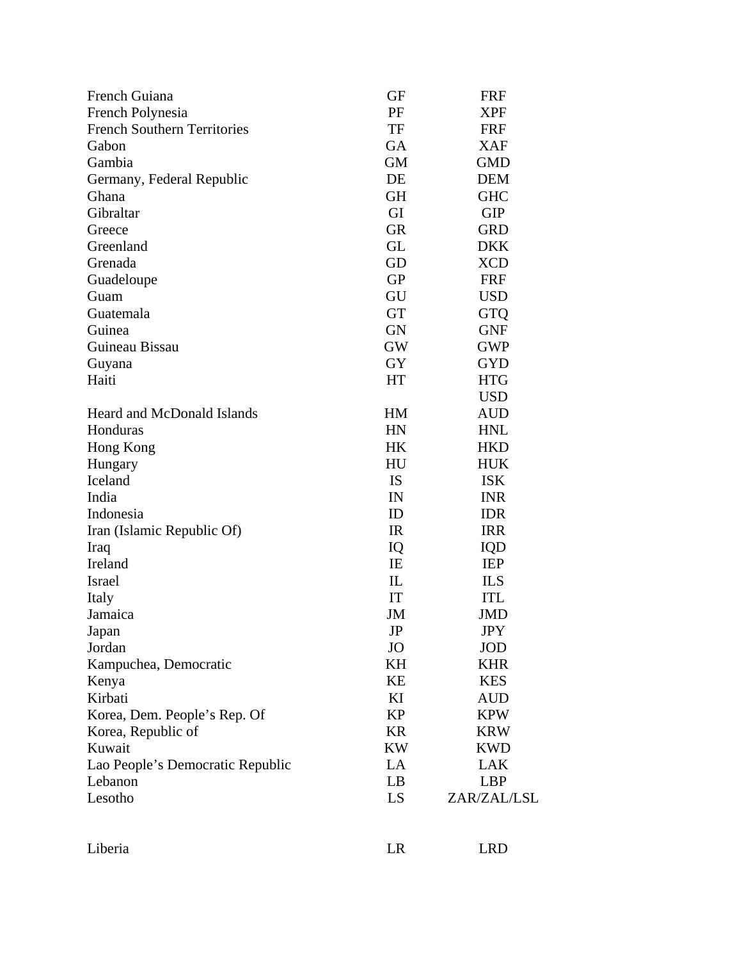| French Guiana                                          | GF        |                          |
|--------------------------------------------------------|-----------|--------------------------|
|                                                        | PF        | <b>FRF</b><br><b>XPF</b> |
| French Polynesia<br><b>French Southern Territories</b> | TF        | <b>FRF</b>               |
| Gabon                                                  | GA        | <b>XAF</b>               |
| Gambia                                                 | GM        | <b>GMD</b>               |
|                                                        | DE        | <b>DEM</b>               |
| Germany, Federal Republic                              |           |                          |
| Ghana                                                  | <b>GH</b> | <b>GHC</b>               |
| Gibraltar                                              | GI        | <b>GIP</b>               |
| Greece                                                 | <b>GR</b> | GRD                      |
| Greenland                                              | GL        | <b>DKK</b>               |
| Grenada                                                | GD        | <b>XCD</b>               |
| Guadeloupe                                             | <b>GP</b> | <b>FRF</b>               |
| Guam                                                   | GU        | <b>USD</b>               |
| Guatemala                                              | <b>GT</b> | <b>GTQ</b>               |
| Guinea                                                 | <b>GN</b> | <b>GNF</b>               |
| Guineau Bissau                                         | GW        | <b>GWP</b>               |
| Guyana                                                 | GY        | <b>GYD</b>               |
| Haiti                                                  | HT        | <b>HTG</b>               |
|                                                        |           | <b>USD</b>               |
| <b>Heard and McDonald Islands</b>                      | <b>HM</b> | <b>AUD</b>               |
| Honduras                                               | HN        | <b>HNL</b>               |
| Hong Kong                                              | HK        | <b>HKD</b>               |
| Hungary                                                | HU        | <b>HUK</b>               |
| Iceland                                                | <b>IS</b> | <b>ISK</b>               |
| India                                                  | IN        | <b>INR</b>               |
| Indonesia                                              | ID        | <b>IDR</b>               |
| Iran (Islamic Republic Of)                             | IR        | <b>IRR</b>               |
| Iraq                                                   | IQ        | IQD                      |
| Ireland                                                | IE        | <b>IEP</b>               |
| Israel                                                 | IL        | <b>ILS</b>               |
| Italy                                                  | IT        | <b>ITL</b>               |
| Jamaica                                                | JM        | JMD                      |
| Japan                                                  | $\rm{JP}$ | <b>JPY</b>               |
| Jordan                                                 | <b>JO</b> | <b>JOD</b>               |
| Kampuchea, Democratic                                  | KH        | <b>KHR</b>               |
| Kenya                                                  | KE        | <b>KES</b>               |
| Kirbati                                                | KI        | <b>AUD</b>               |
| Korea, Dem. People's Rep. Of                           | <b>KP</b> | <b>KPW</b>               |
| Korea, Republic of                                     | <b>KR</b> | <b>KRW</b>               |
| Kuwait                                                 | <b>KW</b> | <b>KWD</b>               |
| Lao People's Democratic Republic                       | $\rm LA$  | LAK                      |
| Lebanon                                                | LB        | <b>LBP</b>               |
| Lesotho                                                | LS        | ZAR/ZAL/LSL              |
|                                                        |           |                          |
| Liberia                                                | LR        | <b>LRD</b>               |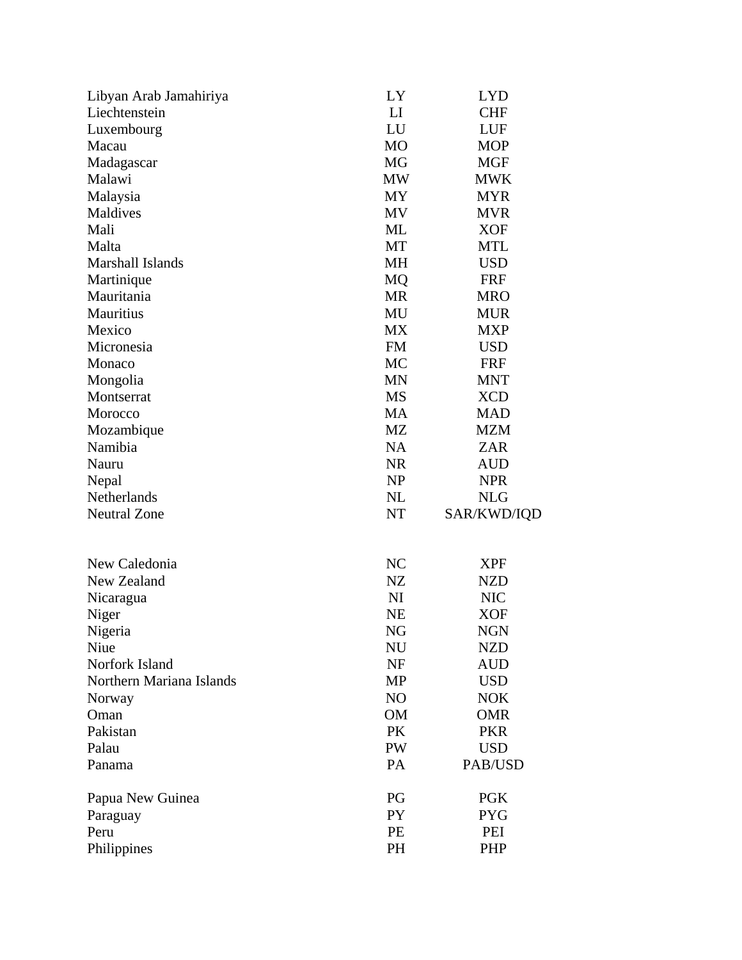| Libyan Arab Jamahiriya   | LY              | <b>LYD</b>               |
|--------------------------|-----------------|--------------------------|
| Liechtenstein            | LI              | <b>CHF</b>               |
| Luxembourg               | LU              | LUF                      |
| Macau                    | M <sub>O</sub>  | <b>MOP</b>               |
| Madagascar               | MG              | <b>MGF</b>               |
| Malawi                   | MW              | <b>MWK</b>               |
| Malaysia                 | MY              | <b>MYR</b>               |
| Maldives                 | <b>MV</b>       | <b>MVR</b>               |
| Mali                     | ML              | <b>XOF</b>               |
| Malta                    | MT              | <b>MTL</b>               |
| Marshall Islands         | MH              | <b>USD</b>               |
| Martinique               | MQ              | <b>FRF</b>               |
| Mauritania               | <b>MR</b>       | <b>MRO</b>               |
| Mauritius                | MU              | <b>MUR</b>               |
| Mexico                   | MX              | <b>MXP</b>               |
| Micronesia               | <b>FM</b>       | <b>USD</b>               |
| Monaco                   | MC              | <b>FRF</b>               |
| Mongolia                 | <b>MN</b>       | <b>MNT</b>               |
| Montserrat               | MS              | <b>XCD</b>               |
| Morocco                  | MA              | <b>MAD</b>               |
| Mozambique               | MZ              | <b>MZM</b>               |
| Namibia                  | <b>NA</b>       | <b>ZAR</b>               |
| Nauru                    | <b>NR</b>       | AUD                      |
| Nepal                    | NP              | <b>NPR</b>               |
| Netherlands              | NL              | <b>NLG</b>               |
| <b>Neutral Zone</b>      | NT              | SAR/KWD/IQD              |
| New Caledonia            | NC              |                          |
| New Zealand              | NZ              | <b>XPF</b>               |
|                          | NI              | <b>NZD</b>               |
| Nicaragua                | <b>NE</b>       | <b>NIC</b><br><b>XOF</b> |
| Niger                    |                 |                          |
| Nigeria<br>Niue          | NG<br>NU        | <b>NGN</b><br><b>NZD</b> |
| Norfork Island           | NF              | <b>AUD</b>               |
| Northern Mariana Islands | MP              | <b>USD</b>               |
| Norway                   | NO              | <b>NOK</b>               |
| Oman                     | OM              | <b>OMR</b>               |
| Pakistan                 | PK              | <b>PKR</b>               |
| Palau                    | PW              | <b>USD</b>               |
| Panama                   | PA              | PAB/USD                  |
|                          |                 |                          |
| Papua New Guinea         | PG              | <b>PGK</b>               |
| Paraguay                 | PY              | <b>PYG</b>               |
|                          |                 |                          |
| Peru<br>Philippines      | PE<br><b>PH</b> | PEI<br><b>PHP</b>        |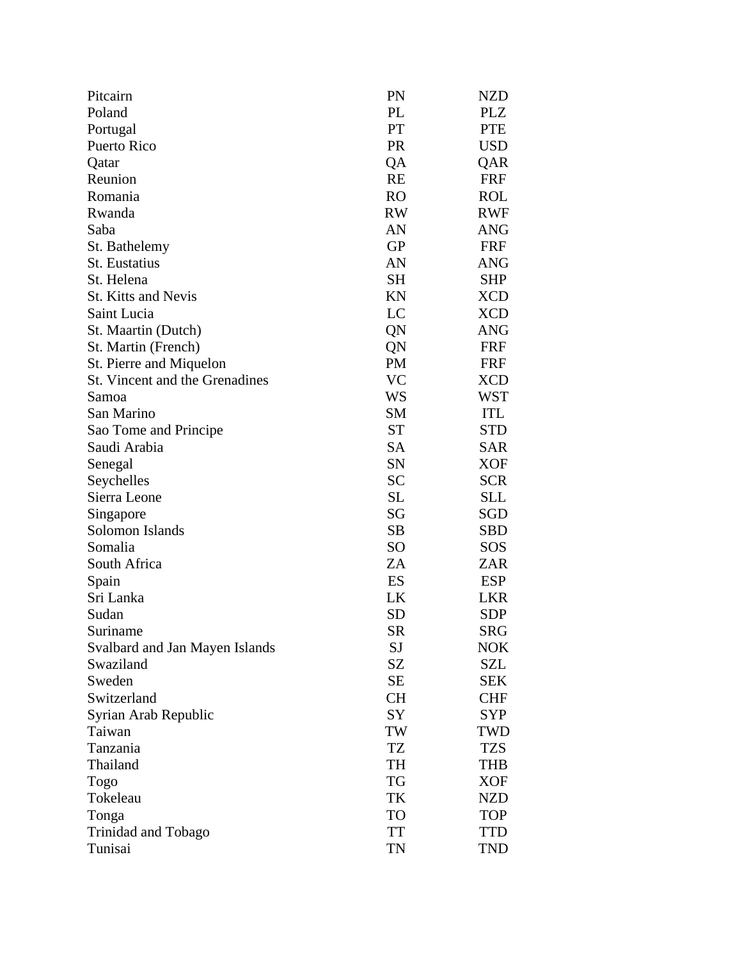| Pitcairn                       | PN              | <b>NZD</b> |
|--------------------------------|-----------------|------------|
| Poland                         | PL              | <b>PLZ</b> |
| Portugal                       | PT              | <b>PTE</b> |
| Puerto Rico                    | <b>PR</b>       | <b>USD</b> |
| Qatar                          | QA              | QAR        |
| Reunion                        | <b>RE</b>       | <b>FRF</b> |
| Romania                        | <b>RO</b>       | <b>ROL</b> |
| Rwanda                         | <b>RW</b>       | <b>RWF</b> |
| Saba                           | AN              | <b>ANG</b> |
| St. Bathelemy                  | <b>GP</b>       | <b>FRF</b> |
| <b>St.</b> Eustatius           | AN              | <b>ANG</b> |
| St. Helena                     | <b>SH</b>       | <b>SHP</b> |
| <b>St. Kitts and Nevis</b>     | KN              | <b>XCD</b> |
| Saint Lucia                    | LC              | <b>XCD</b> |
| St. Maartin (Dutch)            | QN              | ANG        |
| St. Martin (French)            | QN              | <b>FRF</b> |
| St. Pierre and Miquelon        | <b>PM</b>       | <b>FRF</b> |
| St. Vincent and the Grenadines | <b>VC</b>       | <b>XCD</b> |
| Samoa                          | WS              | WST        |
| San Marino                     | <b>SM</b>       | <b>ITL</b> |
| Sao Tome and Principe          | <b>ST</b>       | <b>STD</b> |
| Saudi Arabia                   | <b>SA</b>       | <b>SAR</b> |
| Senegal                        | SN              | XOF        |
| Seychelles                     | <b>SC</b>       | <b>SCR</b> |
| Sierra Leone                   | <b>SL</b>       | SLL        |
| Singapore                      | SG              | SGD        |
| Solomon Islands                | <b>SB</b>       | <b>SBD</b> |
| Somalia                        | SO <sub>1</sub> | SOS        |
| South Africa                   | ZA              | ZAR        |
| Spain                          | ES              | <b>ESP</b> |
| Sri Lanka                      | LK              | <b>LKR</b> |
| Sudan                          | SD              | SDP        |
| Suriname                       | <b>SR</b>       | <b>SRG</b> |
| Svalbard and Jan Mayen Islands | SJ              | <b>NOK</b> |
| Swaziland                      | SZ              | SZL        |
| Sweden                         | <b>SE</b>       | <b>SEK</b> |
| Switzerland                    | <b>CH</b>       | <b>CHF</b> |
| Syrian Arab Republic           | SY              | <b>SYP</b> |
| Taiwan                         | TW              | TWD        |
| Tanzania                       | TZ              | <b>TZS</b> |
| Thailand                       | TH              | <b>THB</b> |
| Togo                           | TG              | <b>XOF</b> |
| Tokeleau                       | TK              | <b>NZD</b> |
| Tonga                          | TO              | <b>TOP</b> |
| Trinidad and Tobago            | <b>TT</b>       | <b>TTD</b> |
| Tunisai                        | TN              | <b>TND</b> |
|                                |                 |            |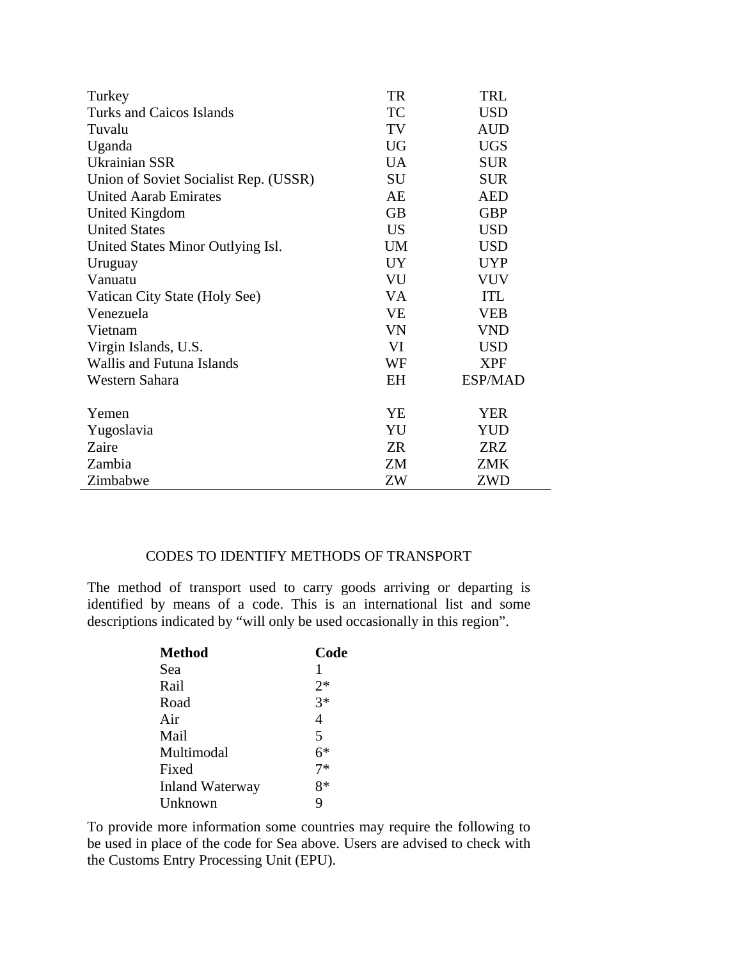| Turkey                                | TR        | TRL        |
|---------------------------------------|-----------|------------|
| Turks and Caicos Islands              | <b>TC</b> | <b>USD</b> |
| Tuvalu                                | TV        | <b>AUD</b> |
| Uganda                                | <b>UG</b> | <b>UGS</b> |
| <b>Ukrainian SSR</b>                  | <b>UA</b> | <b>SUR</b> |
| Union of Soviet Socialist Rep. (USSR) | SU        | <b>SUR</b> |
| <b>United Aarab Emirates</b>          | AE        | AED        |
| United Kingdom                        | <b>GB</b> | <b>GBP</b> |
| <b>United States</b>                  | <b>US</b> | <b>USD</b> |
| United States Minor Outlying Isl.     | <b>UM</b> | <b>USD</b> |
| Uruguay                               | <b>UY</b> | <b>UYP</b> |
| Vanuatu                               | VU        | <b>VUV</b> |
| Vatican City State (Holy See)         | <b>VA</b> | <b>ITL</b> |
| Venezuela                             | <b>VE</b> | <b>VEB</b> |
| Vietnam                               | <b>VN</b> | <b>VND</b> |
| Virgin Islands, U.S.                  | VI        | <b>USD</b> |
| <b>Wallis and Futuna Islands</b>      | WF        | <b>XPF</b> |
| Western Sahara                        | EH        | ESP/MAD    |
| Yemen                                 | YE        | YER        |
| Yugoslavia                            | YU        | <b>YUD</b> |
| Zaire                                 | ZR        | <b>ZRZ</b> |
| Zambia                                | ZM        | <b>ZMK</b> |
| Zimbabwe                              | ZW        | ZWD        |

#### CODES TO IDENTIFY METHODS OF TRANSPORT

The method of transport used to carry goods arriving or departing is identified by means of a code. This is an international list and some descriptions indicated by "will only be used occasionally in this region".

| <b>Method</b>          | Code |
|------------------------|------|
| Sea                    | 1    |
| Rail                   | $2*$ |
| Road                   | $3*$ |
| Air                    | 4    |
| Mail                   | 5    |
| Multimodal             | 6*   |
| Fixed                  | $7*$ |
| <b>Inland Waterway</b> | $8*$ |
| Unknown                | 9    |

To provide more information some countries may require the following to be used in place of the code for Sea above. Users are advised to check with the Customs Entry Processing Unit (EPU).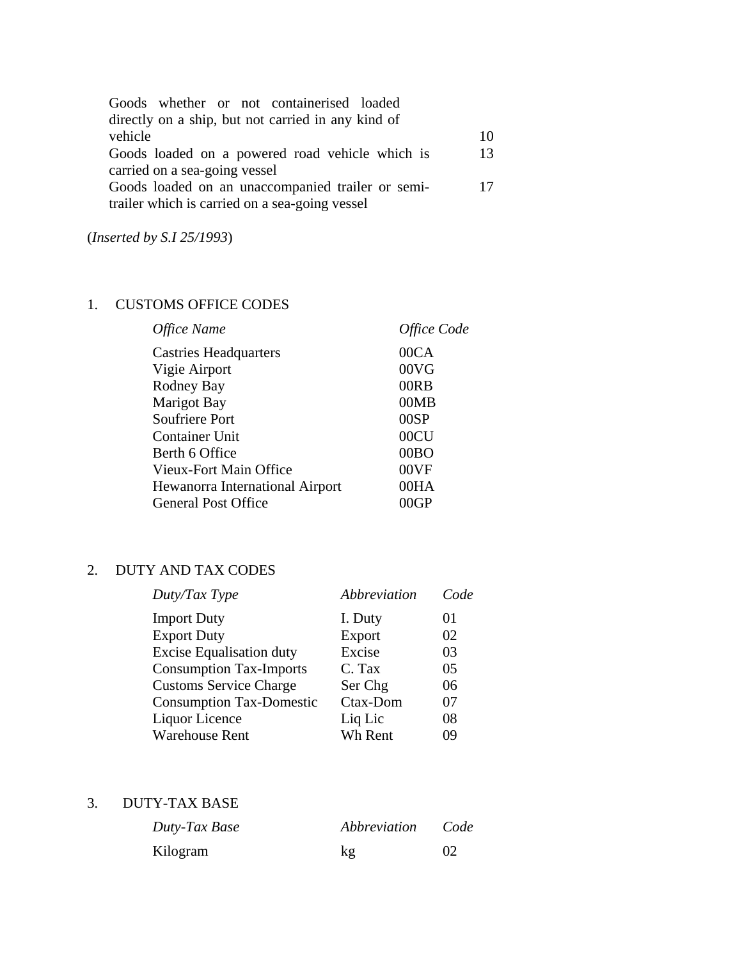| Goods whether or not containerised loaded          |    |
|----------------------------------------------------|----|
| directly on a ship, but not carried in any kind of |    |
| vehicle                                            | 10 |
| Goods loaded on a powered road vehicle which is    | 13 |
| carried on a sea-going vessel                      |    |
| Goods loaded on an unaccompanied trailer or semi-  | 17 |
| trailer which is carried on a sea-going vessel     |    |

(*Inserted by S.I 25/1993*)

## 1. CUSTOMS OFFICE CODES

| Office Name                     | Office Code |
|---------------------------------|-------------|
| <b>Castries Headquarters</b>    | 00CA        |
| Vigie Airport                   | 00VG        |
| Rodney Bay                      | 00RB        |
| <b>Marigot Bay</b>              | 00MB        |
| <b>Soufriere Port</b>           | 00SP        |
| Container Unit                  | 00CU        |
| Berth 6 Office                  | 00BO        |
| Vieux-Fort Main Office          | 00VF        |
| Hewanorra International Airport | 00HA        |
| <b>General Post Office</b>      | <b>MGP</b>  |

## 2. DUTY AND TAX CODES

| Duty/Tax Type                   | Abbreviation | Code |
|---------------------------------|--------------|------|
| <b>Import Duty</b>              | I. Duty      | 01   |
| <b>Export Duty</b>              | Export       | 02   |
| <b>Excise Equalisation duty</b> | Excise       | 03   |
| <b>Consumption Tax-Imports</b>  | C. Tax       | 05   |
| <b>Customs Service Charge</b>   | Ser Chg      | 06   |
| <b>Consumption Tax-Domestic</b> | Ctax-Dom     | 07   |
| Liquor Licence                  | Liq Lic      | 08   |
| <b>Warehouse Rent</b>           | Wh Rent      | 09   |

### 3. DUTY-TAX BASE

| Duty-Tax Base | Abbreviation | Code |
|---------------|--------------|------|
| Kilogram      | kg           | 02   |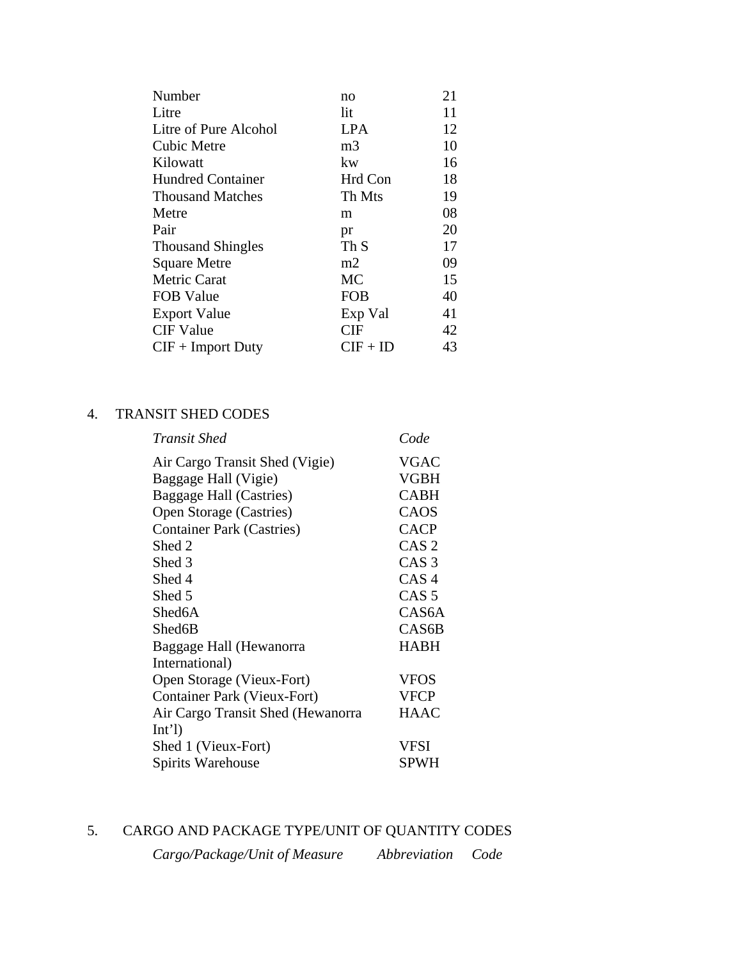| Number                   | no              | 21 |
|--------------------------|-----------------|----|
| Litre                    | lit             | 11 |
| Litre of Pure Alcohol    | <b>LPA</b>      | 12 |
| <b>Cubic Metre</b>       | m <sub>3</sub>  | 10 |
| Kilowatt                 | kw              | 16 |
| <b>Hundred Container</b> | Hrd Con         | 18 |
| <b>Thousand Matches</b>  | Th Mts          | 19 |
| Metre                    | m               | 08 |
| Pair                     | pr              | 20 |
| <b>Thousand Shingles</b> | Th <sub>S</sub> | 17 |
| <b>Square Metre</b>      | m2              | 09 |
| <b>Metric Carat</b>      | <b>MC</b>       | 15 |
| <b>FOB Value</b>         | <b>FOB</b>      | 40 |
| <b>Export Value</b>      | Exp Val         | 41 |
| <b>CIF</b> Value         | CIF             | 42 |
| $CIF + Import$ Duty      | $CIF + ID$      | 43 |

### 4. TRANSIT SHED CODES

| Transit Shed                       | Code               |
|------------------------------------|--------------------|
| Air Cargo Transit Shed (Vigie)     | <b>VGAC</b>        |
| Baggage Hall (Vigie)               | <b>VGBH</b>        |
| <b>Baggage Hall (Castries)</b>     | <b>CABH</b>        |
| Open Storage (Castries)            | CAOS               |
| <b>Container Park (Castries)</b>   | <b>CACP</b>        |
| Shed 2                             | CAS <sub>2</sub>   |
| Shed 3                             | CAS <sub>3</sub>   |
| Shed 4                             | CAS <sub>4</sub>   |
| Shed 5                             | CAS <sub>5</sub>   |
| Shed6A                             | CAS <sub>6</sub> A |
| Shed6B                             | CAS <sub>6</sub> B |
| Baggage Hall (Hewanorra            | <b>HABH</b>        |
| International)                     |                    |
| Open Storage (Vieux-Fort)          | <b>VFOS</b>        |
| <b>Container Park (Vieux-Fort)</b> | <b>VFCP</b>        |
| Air Cargo Transit Shed (Hewanorra  | <b>HAAC</b>        |
| Int'                               |                    |
| Shed 1 (Vieux-Fort)                | <b>VFSI</b>        |
| Spirits Warehouse                  | SPWH               |

# 5. CARGO AND PACKAGE TYPE/UNIT OF QUANTITY CODES

*Cargo/Package/Unit of Measure Abbreviation Code*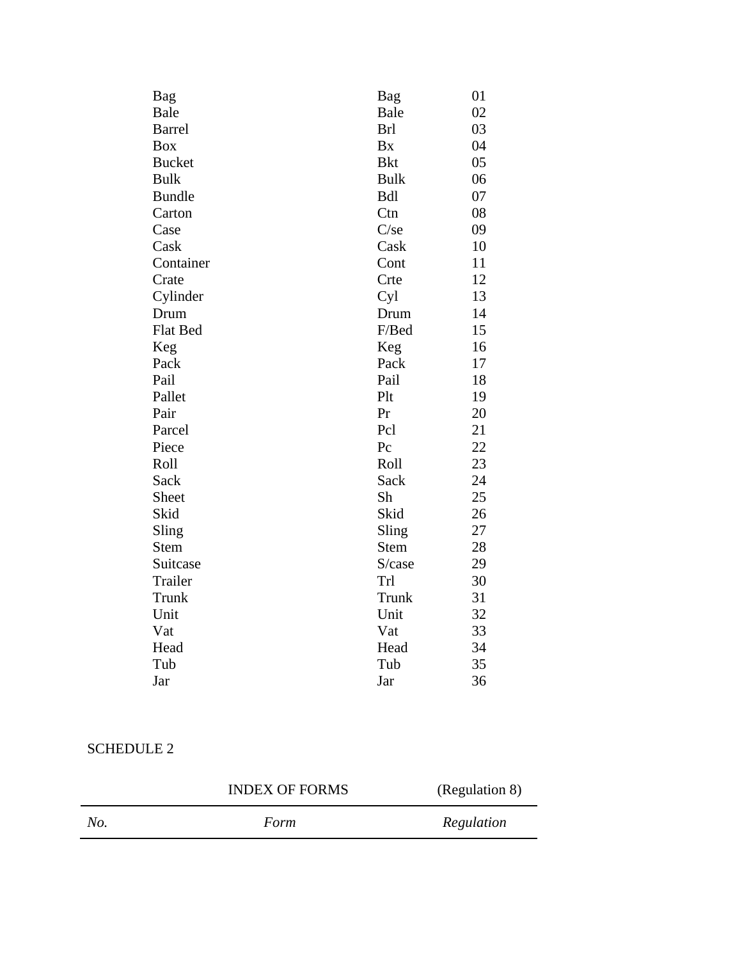| Bag           | Bag         | 01 |
|---------------|-------------|----|
| Bale          | Bale        | 02 |
| <b>Barrel</b> | <b>Brl</b>  | 03 |
| <b>Box</b>    | <b>Bx</b>   | 04 |
| <b>Bucket</b> | <b>Bkt</b>  | 05 |
| <b>Bulk</b>   | <b>Bulk</b> | 06 |
| <b>Bundle</b> | <b>Bdl</b>  | 07 |
| Carton        | Ctn         | 08 |
| Case          | $C$ /se     | 09 |
| Cask          | Cask        | 10 |
| Container     | Cont        | 11 |
| Crate         | Crte        | 12 |
| Cylinder      | Cyl         | 13 |
| Drum          | Drum        | 14 |
| Flat Bed      | F/Bed       | 15 |
| Keg           | Keg         | 16 |
| Pack          | Pack        | 17 |
| Pail          | Pail        | 18 |
| Pallet        | Plt         | 19 |
| Pair          | Pr          | 20 |
| Parcel        | Pcl         | 21 |
| Piece         | Pc          | 22 |
| Roll          | Roll        | 23 |
| Sack          | Sack        | 24 |
| Sheet         | Sh          | 25 |
| Skid          | Skid        | 26 |
| Sling         | Sling       | 27 |
| <b>Stem</b>   | <b>Stem</b> | 28 |
| Suitcase      | S/case      | 29 |
| Trailer       | Trl         | 30 |
| Trunk         | Trunk       | 31 |
| Unit          | Unit        | 32 |
| Vat           | Vat         | 33 |
| Head          | Head        | 34 |
| Tub           | Tub         | 35 |
| Jar           | Jar         | 36 |

### SCHEDULE 2

| <b>INDEX OF FORMS</b> |      | (Regulation 8) |
|-----------------------|------|----------------|
| No.                   | Form | Regulation     |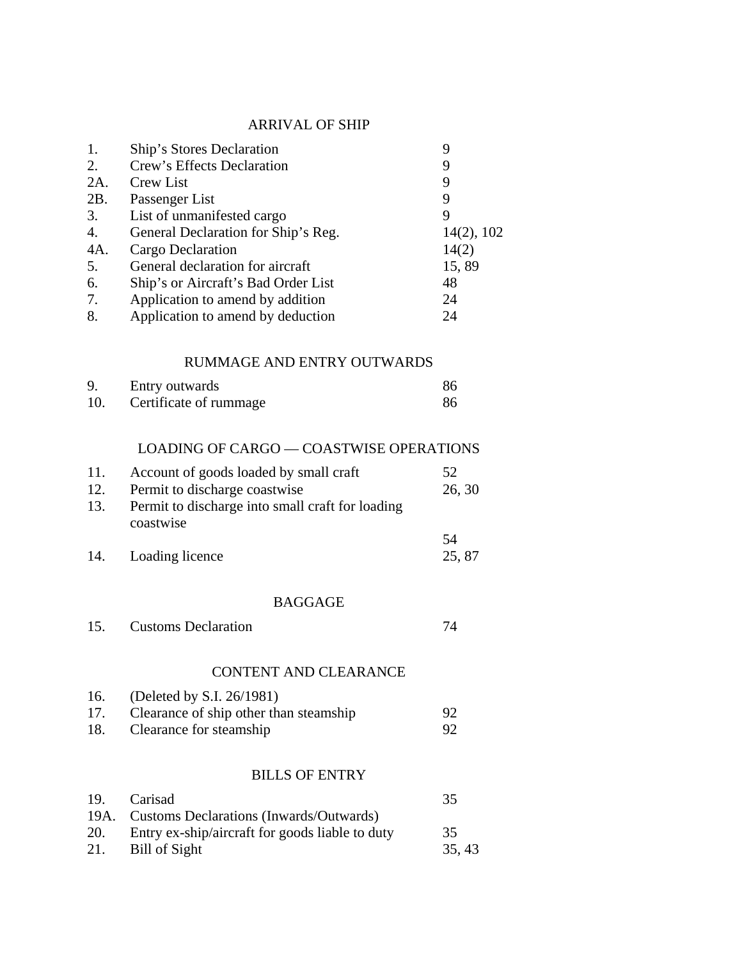## ARRIVAL OF SHIP

| 1.<br>2.<br>$2A$ .<br>2B. | Ship's Stores Declaration<br>Crew's Effects Declaration<br><b>Crew List</b><br>Passenger List | 9<br>9<br>9<br>9 |
|---------------------------|-----------------------------------------------------------------------------------------------|------------------|
| 3.                        | List of unmanifested cargo                                                                    | 9                |
| 4.<br>4A.                 | General Declaration for Ship's Reg.                                                           | 14(2), 102       |
| 5.                        | Cargo Declaration<br>General declaration for aircraft                                         | 14(2)<br>15,89   |
| 6.                        | Ship's or Aircraft's Bad Order List                                                           | 48               |
| 7.                        | Application to amend by addition                                                              | 24               |
| 8.                        | Application to amend by deduction                                                             | 24               |
|                           | RUMMAGE AND ENTRY OUTWARDS                                                                    |                  |
| 9.                        | Entry outwards                                                                                | 86               |
| 10.                       | Certificate of rummage                                                                        | 86               |
|                           | <b>LOADING OF CARGO — COASTWISE OPERATIONS</b>                                                |                  |
| 11.                       | Account of goods loaded by small craft                                                        | 52               |
| 12.                       | Permit to discharge coastwise                                                                 | 26, 30           |
| 13.                       | Permit to discharge into small craft for loading<br>coastwise                                 |                  |
|                           |                                                                                               | 54               |
| 14.                       | Loading licence                                                                               | 25, 87           |
|                           | <b>BAGGAGE</b>                                                                                |                  |
| 15.                       | <b>Customs Declaration</b>                                                                    | 74               |
|                           | <b>CONTENT AND CLEARANCE</b>                                                                  |                  |
| 16.                       | (Deleted by S.I. 26/1981)                                                                     |                  |
| 17.                       | Clearance of ship other than steamship                                                        | 92               |

## 18. Clearance for steamship 92

## BILLS OF ENTRY

| 19. | Carisad                                             | 35     |
|-----|-----------------------------------------------------|--------|
|     | 19A. Customs Declarations (Inwards/Outwards)        |        |
|     | 20. Entry ex-ship/aircraft for goods liable to duty | 35     |
|     | 21. Bill of Sight                                   | 35, 43 |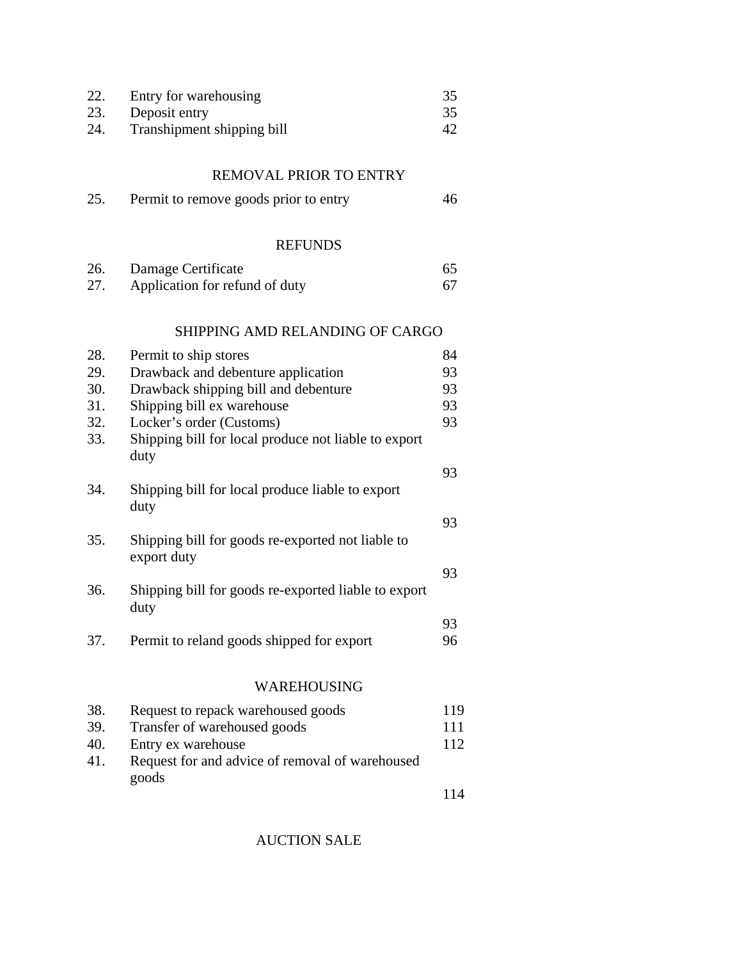| 22. | Entry for warehousing      | 35 |
|-----|----------------------------|----|
| 23. | Deposit entry              |    |
| 24. | Transhipment shipping bill | 42 |

### REMOVAL PRIOR TO ENTRY

| 25. | Permit to remove goods prior to entry | 46 |
|-----|---------------------------------------|----|
|-----|---------------------------------------|----|

#### REFUNDS

| 26. | Damage Certificate             | 65  |
|-----|--------------------------------|-----|
| 27. | Application for refund of duty | 67. |

### SHIPPING AMD RELANDING OF CARGO

| 28. | Permit to ship stores                                            | 84  |
|-----|------------------------------------------------------------------|-----|
| 29. | Drawback and debenture application                               | 93  |
| 30. | Drawback shipping bill and debenture                             | 93  |
| 31. | Shipping bill ex warehouse                                       | 93  |
| 32. | Locker's order (Customs)                                         | 93  |
| 33. | Shipping bill for local produce not liable to export<br>duty     |     |
| 34. | Shipping bill for local produce liable to export<br>duty         | 93  |
| 35. | Shipping bill for goods re-exported not liable to<br>export duty | 93  |
| 36. | Shipping bill for goods re-exported liable to export<br>duty     | 93  |
|     |                                                                  | 93  |
| 37. | Permit to reland goods shipped for export                        | 96  |
|     | WAREHOUSING                                                      |     |
| 38. | Request to repack warehoused goods                               | 119 |
| 39  | Transfer of warehoused goods                                     | 111 |

| 39. | Transfer of warehoused goods                    | 111 |
|-----|-------------------------------------------------|-----|
| 40. | Entry ex warehouse                              | 112 |
| 41. | Request for and advice of removal of warehoused |     |
|     | goods                                           |     |
|     |                                                 |     |

### AUCTION SALE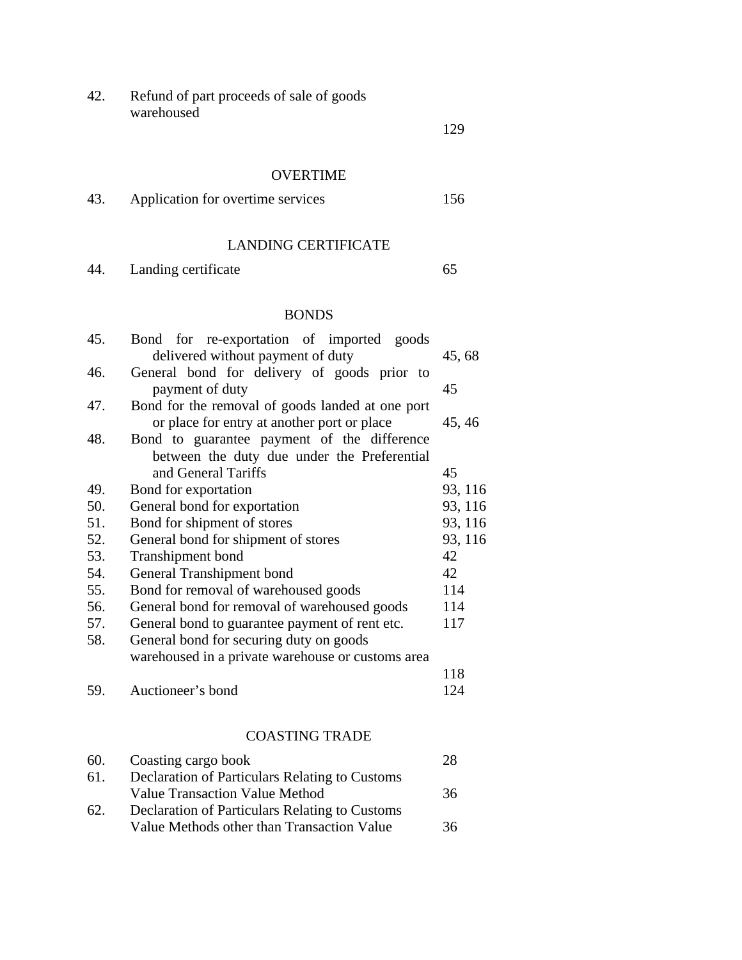42. Refund of part proceeds of sale of goods warehoused

129

#### OVERTIME

| 43. | Application for overtime services | 156 |
|-----|-----------------------------------|-----|
|-----|-----------------------------------|-----|

### LANDING CERTIFICATE

44. Landing certificate 65

### BONDS

| 45. | Bond for re-exportation of imported goods         |         |
|-----|---------------------------------------------------|---------|
|     | delivered without payment of duty                 | 45, 68  |
| 46. | General bond for delivery of goods prior to       |         |
|     | payment of duty                                   | 45      |
| 47. | Bond for the removal of goods landed at one port  |         |
|     | or place for entry at another port or place       | 45, 46  |
| 48. | Bond to guarantee payment of the difference       |         |
|     | between the duty due under the Preferential       |         |
|     | and General Tariffs                               | 45      |
| 49. | Bond for exportation                              | 93, 116 |
| 50. | General bond for exportation                      | 93, 116 |
| 51. | Bond for shipment of stores                       | 93, 116 |
| 52. | General bond for shipment of stores               | 93, 116 |
| 53. | <b>Transhipment</b> bond                          | 42      |
| 54. | General Transhipment bond                         | 42      |
| 55. | Bond for removal of warehoused goods              | 114     |
| 56. | General bond for removal of warehoused goods      | 114     |
| 57. | General bond to guarantee payment of rent etc.    | 117     |
| 58. | General bond for securing duty on goods           |         |
|     | warehoused in a private warehouse or customs area |         |
|     |                                                   | 118     |
| 59. | Auctioneer's bond                                 | 124     |
|     |                                                   |         |
|     |                                                   |         |

# COASTING TRADE

| 60. | Coasting cargo book                                   | 28 |
|-----|-------------------------------------------------------|----|
| 61. | <b>Declaration of Particulars Relating to Customs</b> |    |
|     | <b>Value Transaction Value Method</b>                 | 36 |
| 62. | <b>Declaration of Particulars Relating to Customs</b> |    |
|     | Value Methods other than Transaction Value            | 36 |
|     |                                                       |    |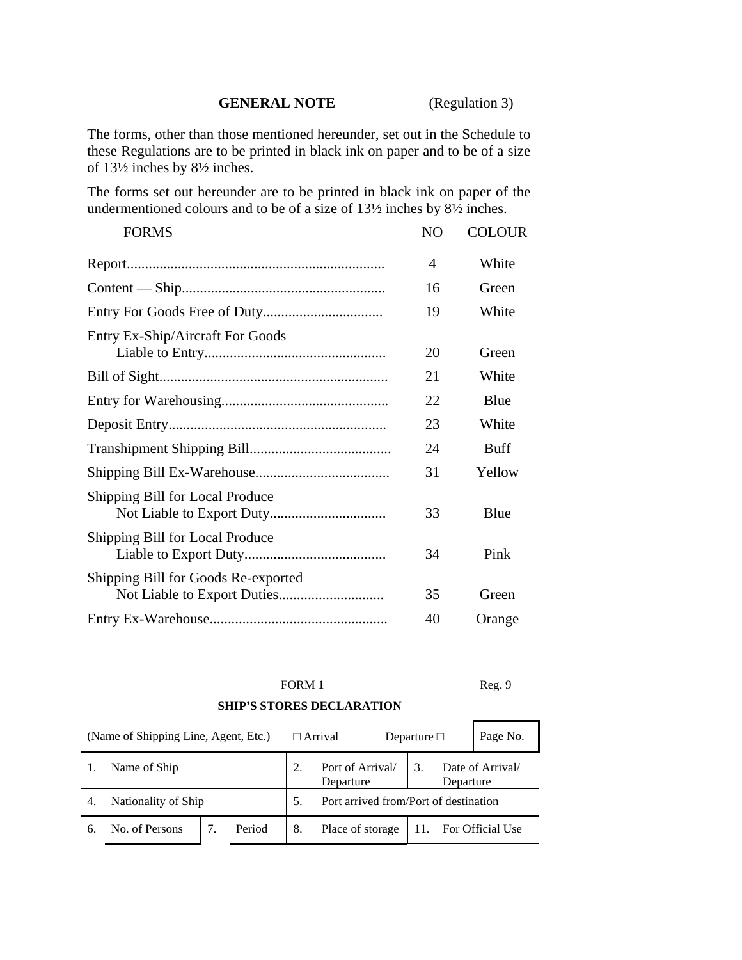#### **GENERAL NOTE** (Regulation 3)

The forms, other than those mentioned hereunder, set out in the Schedule to these Regulations are to be printed in black ink on paper and to be of a size of 13½ inches by 8½ inches.

The forms set out hereunder are to be printed in black ink on paper of the undermentioned colours and to be of a size of 13½ inches by 8½ inches.

| <b>FORMS</b>                        | NO | <b>COLOUR</b> |
|-------------------------------------|----|---------------|
|                                     | 4  | White         |
|                                     | 16 | Green         |
|                                     | 19 | White         |
| Entry Ex-Ship/Aircraft For Goods    | 20 | Green         |
|                                     | 21 | White         |
|                                     | 22 | Blue          |
|                                     | 23 | White         |
|                                     | 24 | <b>Buff</b>   |
|                                     | 31 | Yellow        |
| Shipping Bill for Local Produce     | 33 | Blue          |
| Shipping Bill for Local Produce     | 34 | Pink          |
| Shipping Bill for Goods Re-exported | 35 | Green         |
|                                     | 40 | Orange        |

FORM 1 Reg. 9

#### **SHIP'S STORES DECLARATION**

| (Name of Shipping Line, Agent, Etc.) |                     |  | $\Box$ Arrival |                               | Departure $\Box$                      | Page No.             |  |
|--------------------------------------|---------------------|--|----------------|-------------------------------|---------------------------------------|----------------------|--|
| Name of Ship                         |                     |  |                | Port of Arrival/<br>Departure | Date of Arrival/<br>Departure         |                      |  |
| -4.                                  | Nationality of Ship |  |                | .5.                           | Port arrived from/Port of destination |                      |  |
| 6.                                   | No. of Persons      |  | Period         | 8.                            | Place of storage                      | 11. For Official Use |  |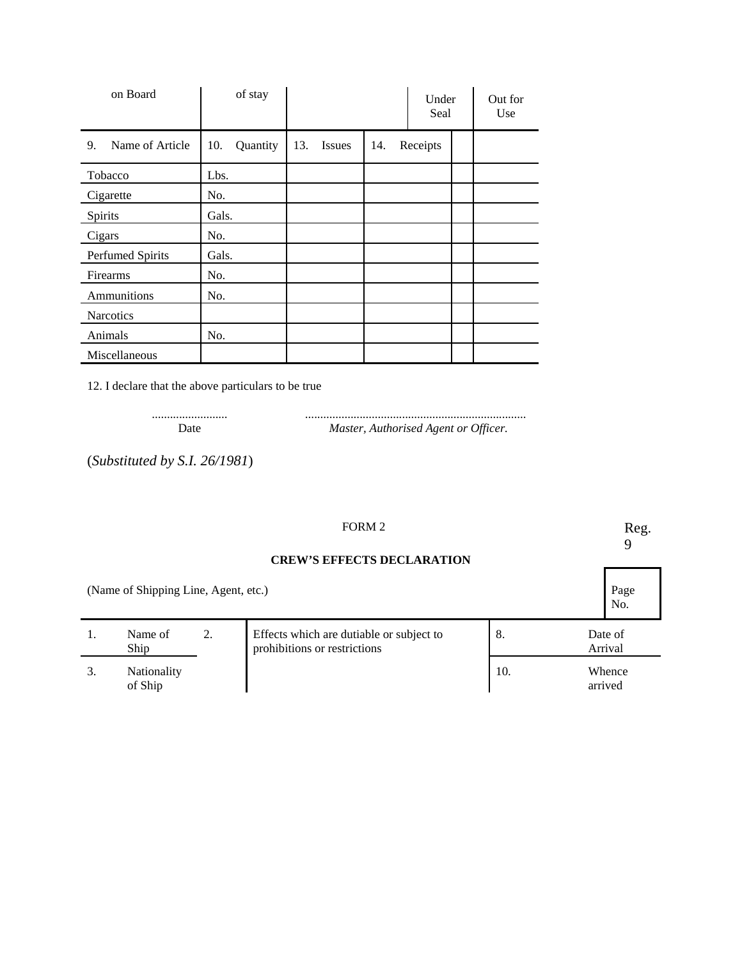| on Board              | of stay         |                             | Under<br>Seal | Out for<br>Use |
|-----------------------|-----------------|-----------------------------|---------------|----------------|
| Name of Article<br>9. | 10.<br>Quantity | 13.<br><b>Issues</b><br>14. | Receipts      |                |
| Tobacco               | Lbs.            |                             |               |                |
| Cigarette             | No.             |                             |               |                |
| Spirits               | Gals.           |                             |               |                |
| Cigars                | No.             |                             |               |                |
| Perfumed Spirits      | Gals.           |                             |               |                |
| Firearms              | No.             |                             |               |                |
| Ammunitions           | No.             |                             |               |                |
| Narcotics             |                 |                             |               |                |
| Animals               | No.             |                             |               |                |
| Miscellaneous         |                 |                             |               |                |

12. I declare that the above particulars to be true

......................... ......................................................................... Date *Master, Authorised Agent or Officer.*

(*Substituted by S.I. 26/1981*)

## FORM 2 Reg.

9

No.

#### **CREW'S EFFECTS DECLARATION**

(Name of Shipping Line, Agent, etc.) Page

| Name of<br>Ship               | Effects which are dutiable or subject to<br>prohibitions or restrictions | 8.  | Date of<br>Arrival |
|-------------------------------|--------------------------------------------------------------------------|-----|--------------------|
| <b>Nationality</b><br>of Ship |                                                                          | 10. | Whence<br>arrived  |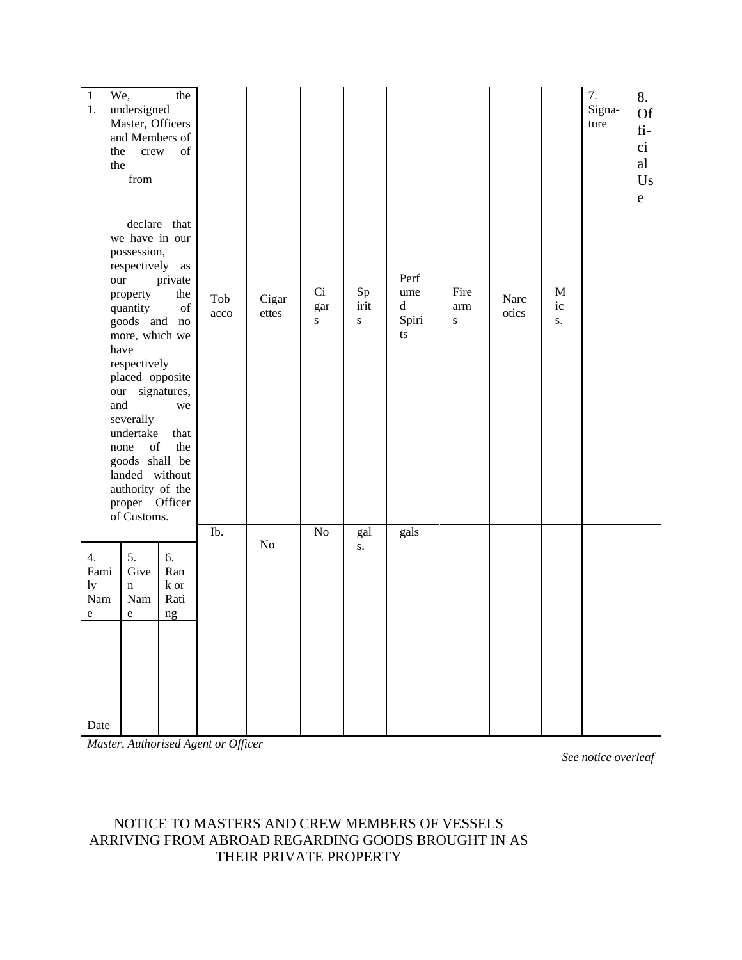| $\,1$<br>1.                          | We,<br>undersigned<br>Master, Officers<br>and Members of<br>the<br>crew<br>the<br>from                                                                                                                                                                                                                                                                                                                                           | the<br>of<br>declare that                                                                                                                 |             |                |                        |                    |                                                                             |                  |               |                        | 7.<br>Signa-<br>ture | 8.<br><b>Of</b><br>$fi-$<br>ci<br>al<br>Us<br>${\rm e}$ |
|--------------------------------------|----------------------------------------------------------------------------------------------------------------------------------------------------------------------------------------------------------------------------------------------------------------------------------------------------------------------------------------------------------------------------------------------------------------------------------|-------------------------------------------------------------------------------------------------------------------------------------------|-------------|----------------|------------------------|--------------------|-----------------------------------------------------------------------------|------------------|---------------|------------------------|----------------------|---------------------------------------------------------|
|                                      | we have in our<br>possession,<br>respectively as<br>$_{\rm our}$<br>property<br>quantity<br>goods and no<br>more, which we<br>have<br>respectively<br>placed opposite<br>our signatures,<br>and<br>severally<br>undertake<br>$% \left( \left( \mathcal{A},\mathcal{A}\right) \right) =\left( \mathcal{A},\mathcal{A}\right)$ of<br>none<br>goods shall be<br>landed without<br>authority of the<br>proper Officer<br>of Customs. | private<br>the<br>$% \left( \left( \mathcal{A},\mathcal{A}\right) \right) =\left( \mathcal{A},\mathcal{A}\right)$ of<br>we<br>that<br>the | Tob<br>acco | Cigar<br>ettes | Ci<br>gar<br>${\bf S}$ | Sp<br>irit<br>S    | Perf<br>ume<br>$\mathrm{d}% \left\  \mathbf{G}\right\  ^{2}$<br>Spiri<br>ts | Fire<br>arm<br>S | Narc<br>otics | M<br>ic<br>${\bf S}$ . |                      |                                                         |
|                                      |                                                                                                                                                                                                                                                                                                                                                                                                                                  |                                                                                                                                           | Ib.         | $\rm No$       | $\rm No$               | gal<br>${\bf S}$ . | gals                                                                        |                  |               |                        |                      |                                                         |
| 4.<br>Fami<br>ly<br>Nam<br>${\bf e}$ | 5.<br>Give<br>$\mathbf n$<br>Nam<br>${\bf e}$                                                                                                                                                                                                                                                                                                                                                                                    | 6.<br>Ran<br>${\bf k}$ or<br>Rati<br>ng                                                                                                   |             |                |                        |                    |                                                                             |                  |               |                        |                      |                                                         |
| Date                                 |                                                                                                                                                                                                                                                                                                                                                                                                                                  |                                                                                                                                           |             |                |                        |                    |                                                                             |                  |               |                        |                      |                                                         |

*Master, Authorised Agent or Officer*

*See notice overleaf*

### NOTICE TO MASTERS AND CREW MEMBERS OF VESSELS ARRIVING FROM ABROAD REGARDING GOODS BROUGHT IN AS THEIR PRIVATE PROPERTY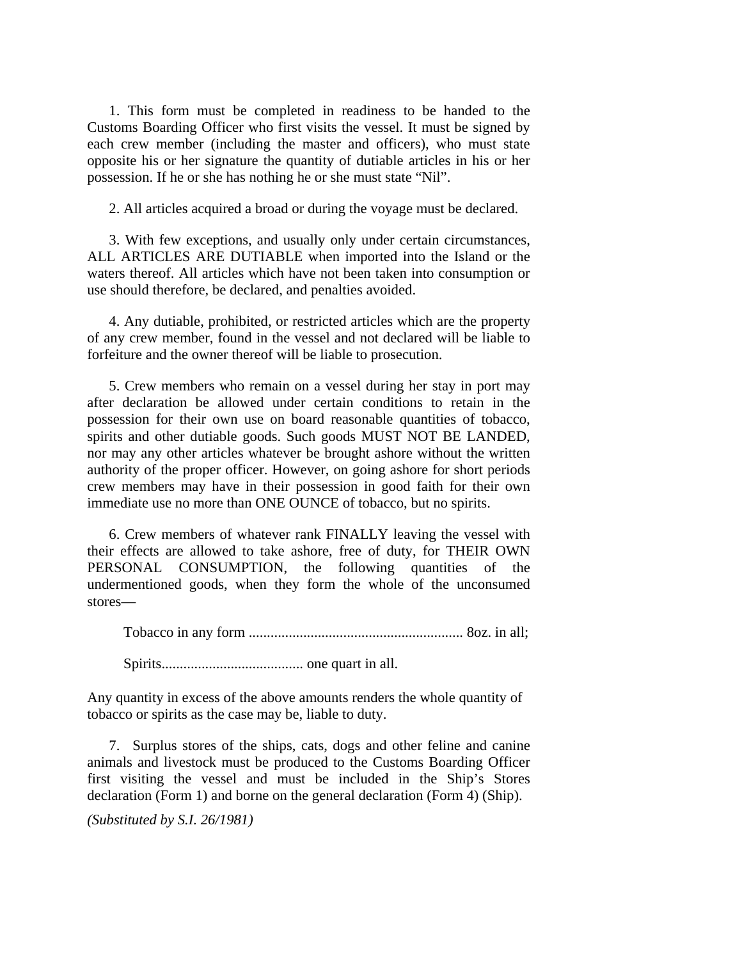1. This form must be completed in readiness to be handed to the Customs Boarding Officer who first visits the vessel. It must be signed by each crew member (including the master and officers), who must state opposite his or her signature the quantity of dutiable articles in his or her possession. If he or she has nothing he or she must state "Nil".

2. All articles acquired a broad or during the voyage must be declared.

3. With few exceptions, and usually only under certain circumstances, ALL ARTICLES ARE DUTIABLE when imported into the Island or the waters thereof. All articles which have not been taken into consumption or use should therefore, be declared, and penalties avoided.

4. Any dutiable, prohibited, or restricted articles which are the property of any crew member, found in the vessel and not declared will be liable to forfeiture and the owner thereof will be liable to prosecution.

5. Crew members who remain on a vessel during her stay in port may after declaration be allowed under certain conditions to retain in the possession for their own use on board reasonable quantities of tobacco, spirits and other dutiable goods. Such goods MUST NOT BE LANDED, nor may any other articles whatever be brought ashore without the written authority of the proper officer. However, on going ashore for short periods crew members may have in their possession in good faith for their own immediate use no more than ONE OUNCE of tobacco, but no spirits.

6. Crew members of whatever rank FINALLY leaving the vessel with their effects are allowed to take ashore, free of duty, for THEIR OWN PERSONAL CONSUMPTION, the following quantities of the undermentioned goods, when they form the whole of the unconsumed stores—

Tobacco in any form ........................................................... 8oz. in all;

Spirits....................................... one quart in all.

Any quantity in excess of the above amounts renders the whole quantity of tobacco or spirits as the case may be, liable to duty.

7. Surplus stores of the ships, cats, dogs and other feline and canine animals and livestock must be produced to the Customs Boarding Officer first visiting the vessel and must be included in the Ship's Stores declaration (Form 1) and borne on the general declaration (Form 4) (Ship).

*(Substituted by S.I. 26/1981)*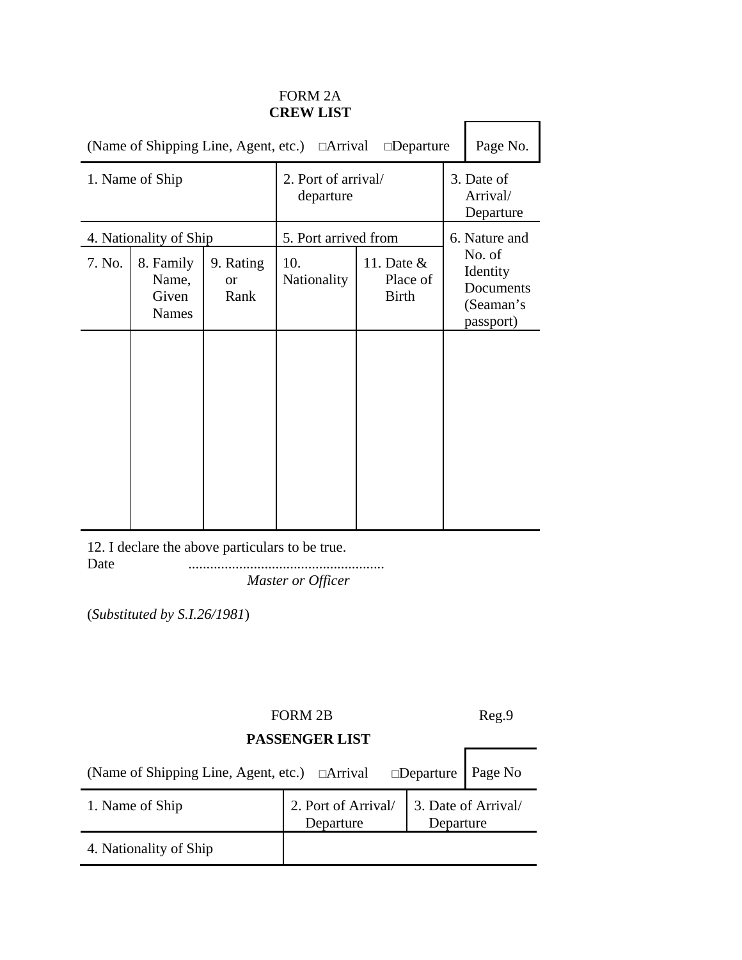### FORM 2A **CREW LIST**

|                 | Page No.<br>(Name of Shipping Line, Agent, etc.) □ Arrival □ Departure |                                    |                                  |                                          |  |                                                           |  |
|-----------------|------------------------------------------------------------------------|------------------------------------|----------------------------------|------------------------------------------|--|-----------------------------------------------------------|--|
| 1. Name of Ship |                                                                        |                                    | 2. Port of arrival/<br>departure |                                          |  | 3. Date of<br>Arrival/<br>Departure                       |  |
|                 | 4. Nationality of Ship                                                 |                                    | 5. Port arrived from             |                                          |  | 6. Nature and                                             |  |
| 7. No.          | 8. Family<br>Name,<br>Given<br><b>Names</b>                            | 9. Rating<br><sub>or</sub><br>Rank | 10.<br><b>Nationality</b>        | 11. Date $&$<br>Place of<br><b>Birth</b> |  | No. of<br>Identity<br>Documents<br>(Seaman's<br>passport) |  |

12. I declare the above particulars to be true.<br>Date  $\ldots$ Date ......................................................

*Master or Officer*

(*Substituted by S.I.26/1981*)

# FORM 2B Reg.9

 $\mathsf{r}$ 

Ē,

### **PASSENGER LIST**

| (Name of Shipping Line, Agent, etc.) □Arrival □Departure   Page No |                                  |           |                     |
|--------------------------------------------------------------------|----------------------------------|-----------|---------------------|
| 1. Name of Ship                                                    | 2. Port of Arrival/<br>Departure | Departure | 3. Date of Arrival/ |
| 4. Nationality of Ship                                             |                                  |           |                     |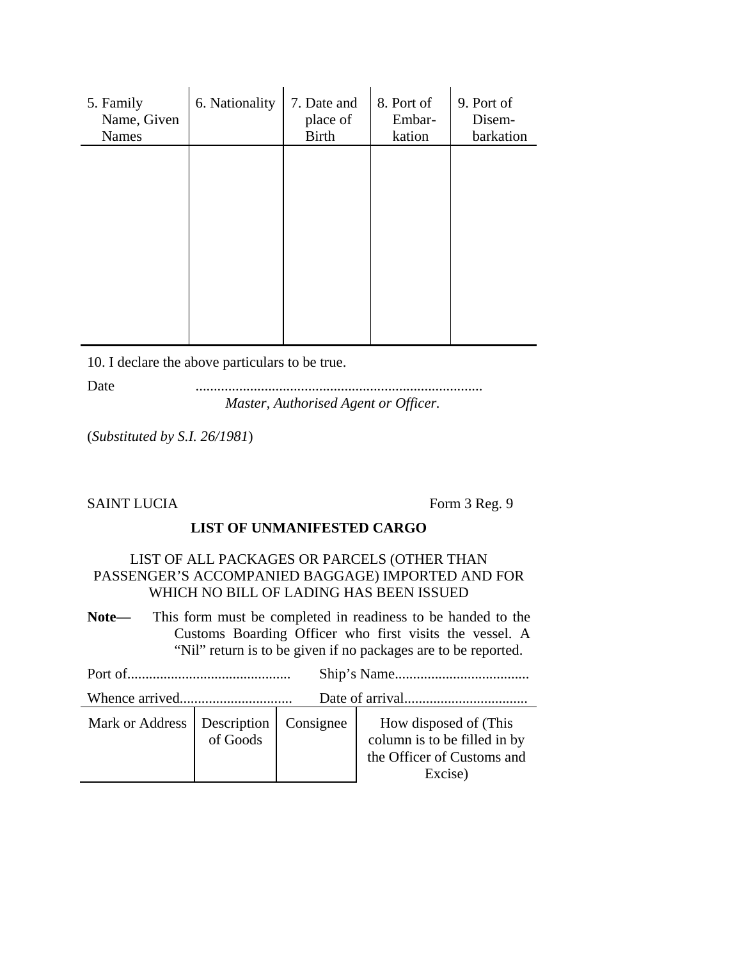| 5. Family<br>Name, Given<br><b>Names</b> | 6. Nationality | 7. Date and<br>place of<br><b>Birth</b> | 8. Port of<br>Embar-<br>kation | 9. Port of<br>Disem-<br>barkation |
|------------------------------------------|----------------|-----------------------------------------|--------------------------------|-----------------------------------|
|                                          |                |                                         |                                |                                   |
|                                          |                |                                         |                                |                                   |
|                                          |                |                                         |                                |                                   |
|                                          |                |                                         |                                |                                   |

10. I declare the above particulars to be true.

Date ............................................................................... *Master, Authorised Agent or Officer.*

(*Substituted by S.I. 26/1981*)

SAINT LUCIA Form 3 Reg. 9

### **LIST OF UNMANIFESTED CARGO**

#### LIST OF ALL PACKAGES OR PARCELS (OTHER THAN PASSENGER'S ACCOMPANIED BAGGAGE) IMPORTED AND FOR WHICH NO BILL OF LADING HAS BEEN ISSUED

**Note—** This form must be completed in readiness to be handed to the Customs Boarding Officer who first visits the vessel. A "Nil" return is to be given if no packages are to be reported.

| Mark or Address   Description   Consignee |  |  | How disposed of (This<br>column is to be filled in by<br>the Officer of Customs and<br>Excise) |  |  |
|-------------------------------------------|--|--|------------------------------------------------------------------------------------------------|--|--|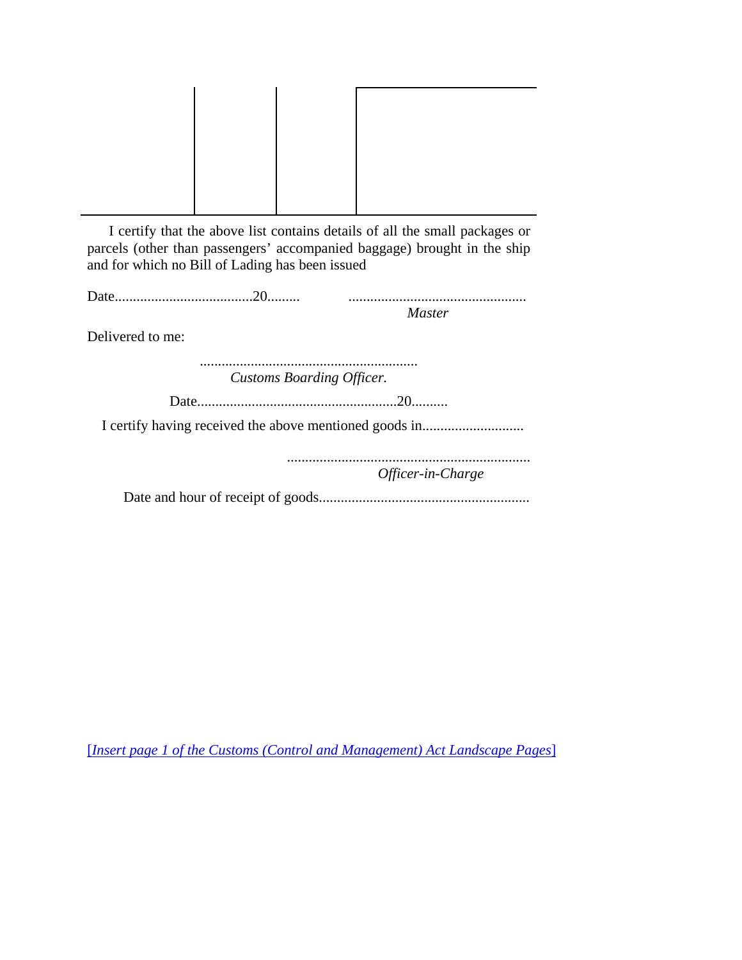| I certify that the above list contains details of all the small packages or |  |  |  |  |  |
|-----------------------------------------------------------------------------|--|--|--|--|--|

parcels (other than passengers' accompanied baggage) brought in the ship and for which no Bill of Lading has been issued

Delivered to me:

............................................................ *Customs Boarding Officer.*

Date.......................................................20..........

I certify having received the above mentioned goods in............................

................................................................... *Officer-in-Charge*

Date and hour of receipt of goods..........................................................

[*Insert page 1 of the Customs (Control and Management) Act Landscape Pages*]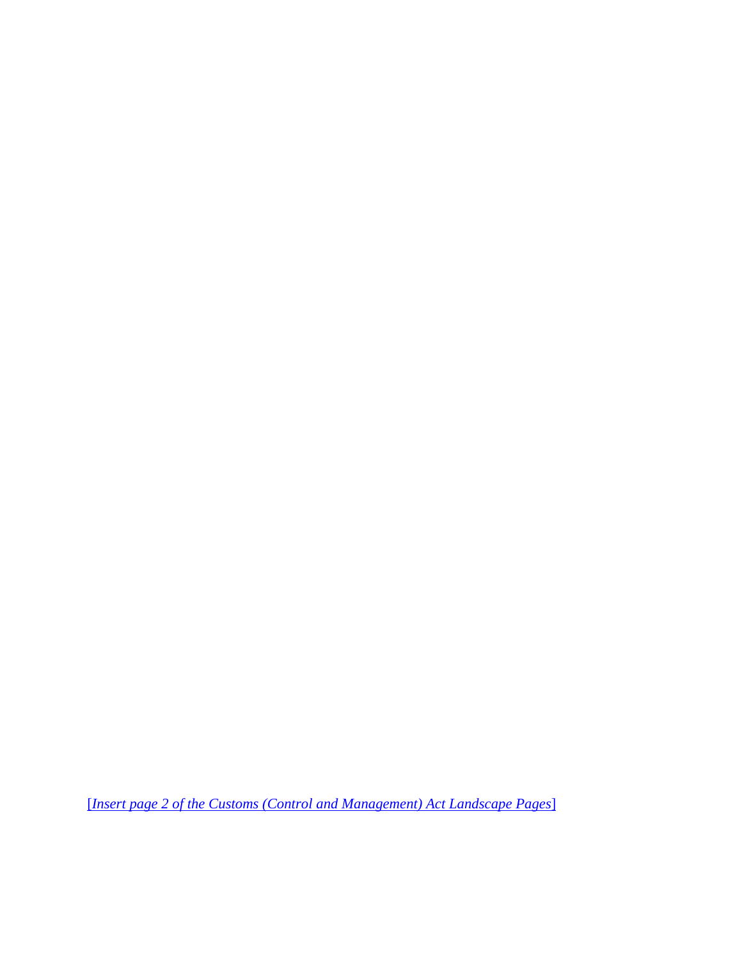[*Insert page 2 of the Customs (Control and Management) Act Landscape Pages*]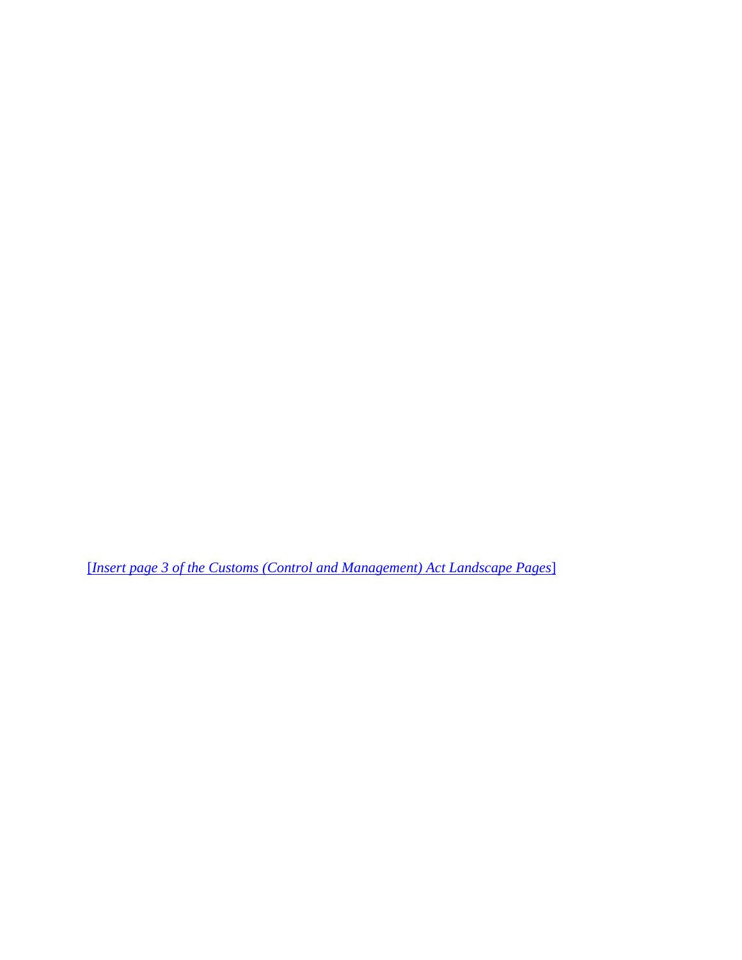[*Insert page 3 of the Customs (Control and Management) Act Landscape Pages*]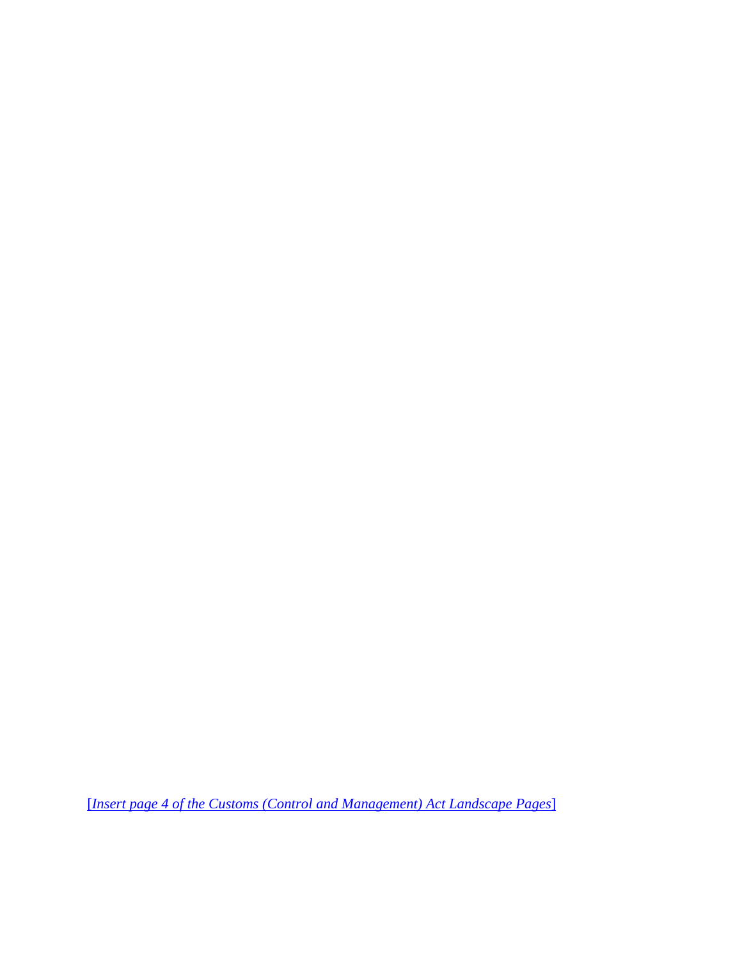[*Insert page 4 of the Customs (Control and Management) Act Landscape Pages*]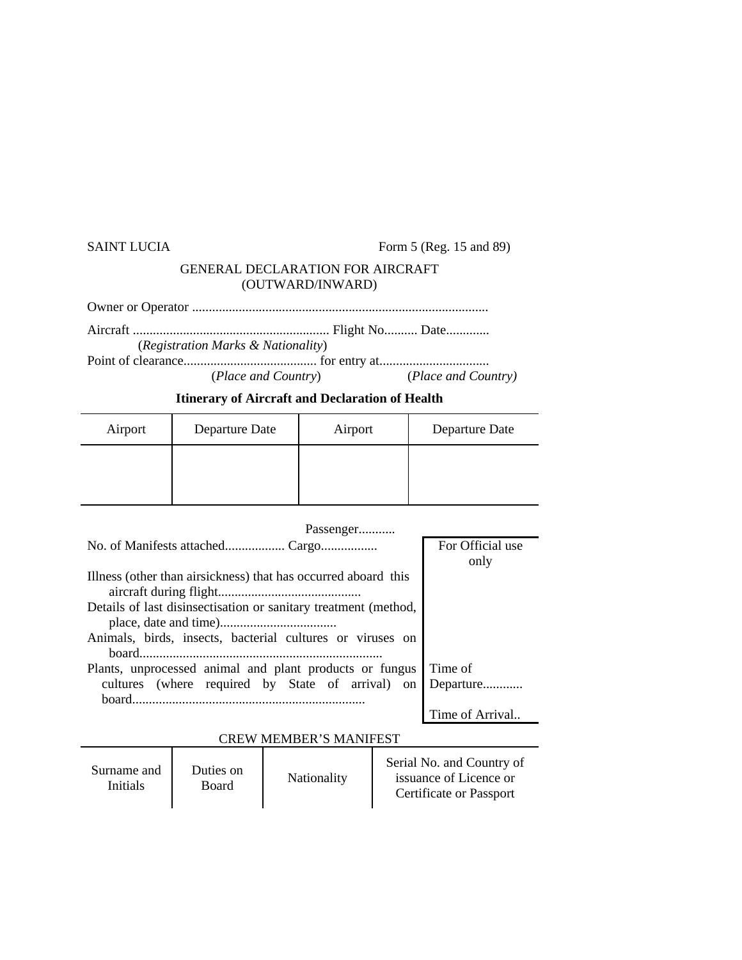### SAINT LUCIA Form 5 (Reg. 15 and 89)

### GENERAL DECLARATION FOR AIRCRAFT (OUTWARD/INWARD)

Owner or Operator .........................................................................................

Aircraft ........................................................... Flight No.......... Date............. (*Registration Marks & Nationality*) Point of clearance........................................ for entry at.................................

(*Place and Country*) (*Place and Country)*

### **Itinerary of Aircraft and Declaration of Health**

| Airport | Departure Date | Airport | Departure Date |
|---------|----------------|---------|----------------|
|         |                |         |                |
|         |                |         |                |

| Passenger                       |                               |                                                                 |  |                                                                                |  |  |
|---------------------------------|-------------------------------|-----------------------------------------------------------------|--|--------------------------------------------------------------------------------|--|--|
| No. of Manifests attached Cargo | For Official use              |                                                                 |  |                                                                                |  |  |
|                                 |                               | only                                                            |  |                                                                                |  |  |
|                                 |                               | Illness (other than airsickness) that has occurred aboard this  |  |                                                                                |  |  |
|                                 |                               |                                                                 |  |                                                                                |  |  |
|                                 |                               | Details of last disinsectisation or sanitary treatment (method, |  |                                                                                |  |  |
|                                 |                               |                                                                 |  |                                                                                |  |  |
|                                 |                               | Animals, birds, insects, bacterial cultures or viruses on       |  |                                                                                |  |  |
|                                 |                               |                                                                 |  |                                                                                |  |  |
|                                 |                               | Plants, unprocessed animal and plant products or fungus         |  | Time of                                                                        |  |  |
|                                 |                               | cultures (where required by State of arrival) on                |  | Departure                                                                      |  |  |
|                                 |                               |                                                                 |  |                                                                                |  |  |
|                                 |                               |                                                                 |  | Time of Arrival                                                                |  |  |
|                                 | <b>CREW MEMBER'S MANIFEST</b> |                                                                 |  |                                                                                |  |  |
|                                 |                               |                                                                 |  |                                                                                |  |  |
| Surname and                     | Duties on                     | Nationality                                                     |  | Serial No. and Country of<br>issuance of Licence or<br>Certificate or Passport |  |  |
| Initials                        | Board                         |                                                                 |  |                                                                                |  |  |
|                                 |                               |                                                                 |  |                                                                                |  |  |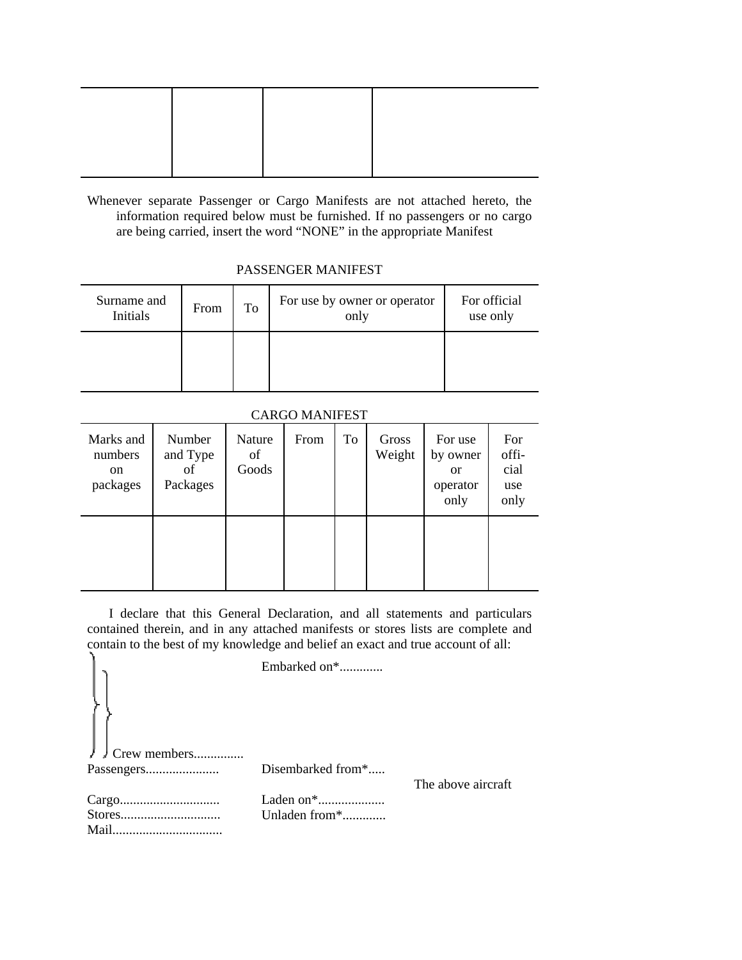Whenever separate Passenger or Cargo Manifests are not attached hereto, the information required below must be furnished. If no passengers or no cargo are being carried, insert the word "NONE" in the appropriate Manifest

### PASSENGER MANIFEST

| Surname and<br>Initials | From | To | For use by owner or operator<br>only | For official<br>use only |
|-------------------------|------|----|--------------------------------------|--------------------------|
|                         |      |    |                                      |                          |

# CARGO MANIFEST

| Marks and<br>numbers<br>on<br>packages | Number<br>and Type<br>of<br>Packages | Nature<br>of<br>Goods | From | To | Gross<br>Weight | For use<br>by owner<br><b>or</b><br>operator<br>only | For<br>offi-<br>cial<br>use<br>only |
|----------------------------------------|--------------------------------------|-----------------------|------|----|-----------------|------------------------------------------------------|-------------------------------------|
|                                        |                                      |                       |      |    |                 |                                                      |                                     |

I declare that this General Declaration, and all statements and particulars contained therein, and in any attached manifests or stores lists are complete and contain to the best of my knowledge and belief an exact and true account of all:

|                     | Embarked on*      |                    |
|---------------------|-------------------|--------------------|
|                     |                   |                    |
| $\int$ Crew members |                   |                    |
|                     | Disembarked from* |                    |
|                     |                   | The above aircraft |
|                     | Laden on*         |                    |
|                     | Unladen from*     |                    |
|                     |                   |                    |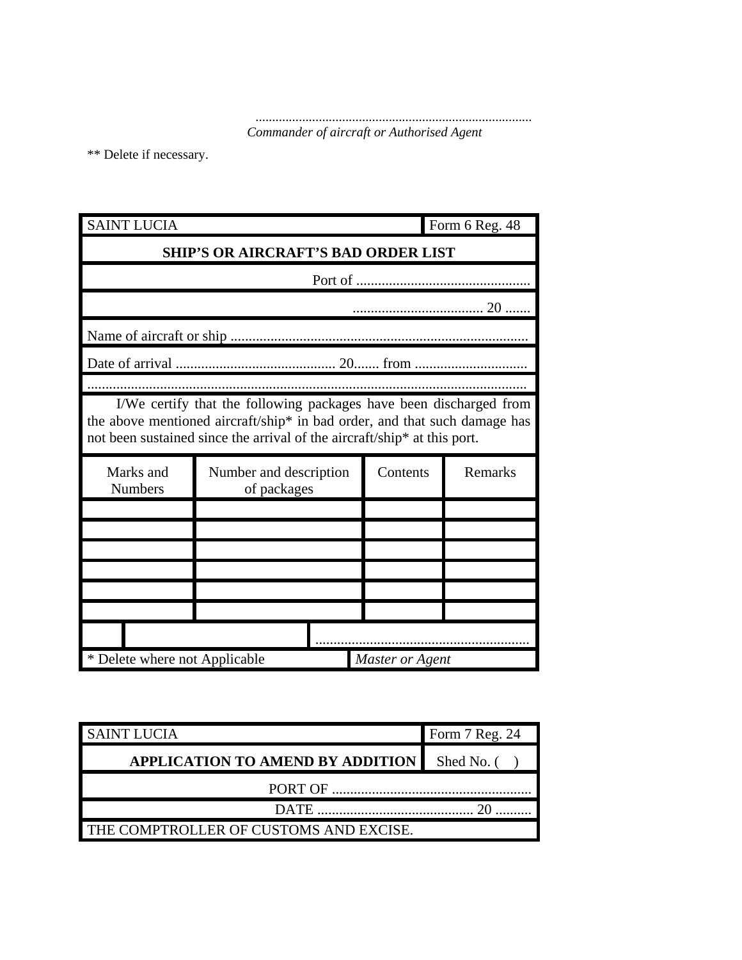................................................................................... *Commander of aircraft or Authorised Agent*

\*\* Delete if necessary.

| <b>SAINT LUCIA</b>            |                                                                                                                                                                                                                                                       |                 | Form 6 Reg. 48 |
|-------------------------------|-------------------------------------------------------------------------------------------------------------------------------------------------------------------------------------------------------------------------------------------------------|-----------------|----------------|
|                               | <b>SHIP'S OR AIRCRAFT'S BAD ORDER LIST</b>                                                                                                                                                                                                            |                 |                |
|                               |                                                                                                                                                                                                                                                       |                 |                |
|                               |                                                                                                                                                                                                                                                       |                 |                |
|                               |                                                                                                                                                                                                                                                       |                 |                |
|                               |                                                                                                                                                                                                                                                       |                 |                |
|                               |                                                                                                                                                                                                                                                       |                 |                |
| Marks and                     | I/We certify that the following packages have been discharged from<br>the above mentioned aircraft/ship* in bad order, and that such damage has<br>not been sustained since the arrival of the aircraft/ship* at this port.<br>Number and description | Contents        | Remarks        |
| <b>Numbers</b>                | of packages                                                                                                                                                                                                                                           |                 |                |
|                               |                                                                                                                                                                                                                                                       |                 |                |
|                               |                                                                                                                                                                                                                                                       |                 |                |
|                               |                                                                                                                                                                                                                                                       |                 |                |
|                               |                                                                                                                                                                                                                                                       |                 |                |
|                               |                                                                                                                                                                                                                                                       |                 |                |
| * Delete where not Applicable |                                                                                                                                                                                                                                                       | Master or Agent |                |

| <b>SAINT LUCIA</b>                     | Form 7 Reg. 24 |
|----------------------------------------|----------------|
| APPLICATION TO AMEND BY ADDITION       | Shed No. (     |
| PORT OF                                |                |
| DATE <b>DATE</b>                       |                |
| THE COMPTROLLER OF CUSTOMS AND EXCISE. |                |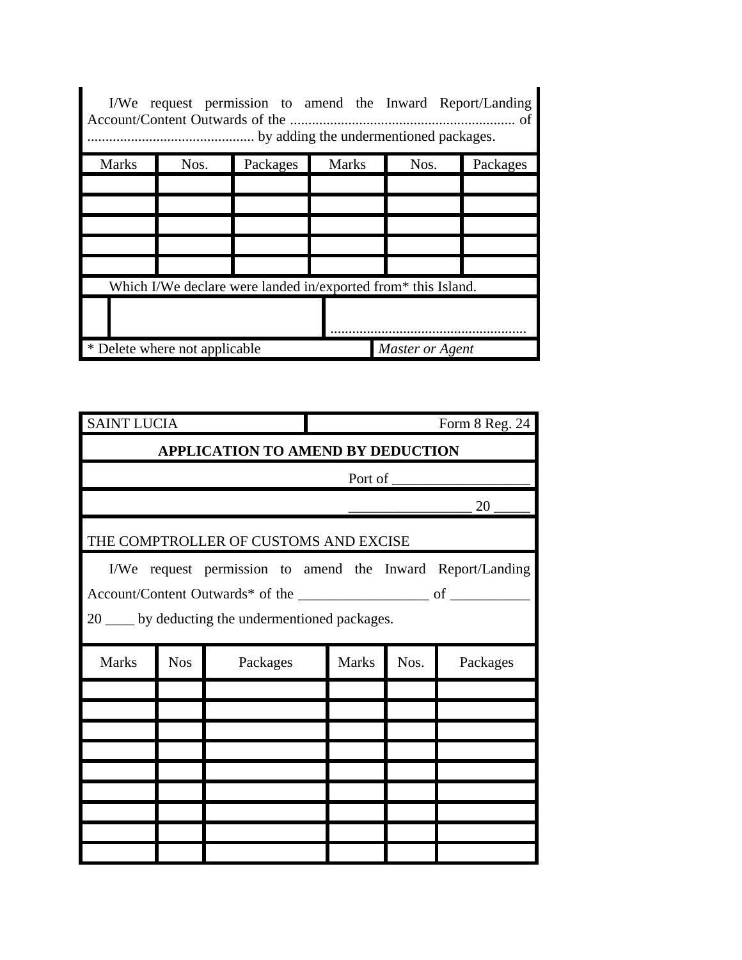| I/We request permission to amend the Inward Report/Landing<br>… of<br>by adding the undermentioned packages. |                               |                                                               |              |                 |          |  |
|--------------------------------------------------------------------------------------------------------------|-------------------------------|---------------------------------------------------------------|--------------|-----------------|----------|--|
| <b>Marks</b>                                                                                                 | Nos.                          | Packages                                                      | <b>Marks</b> | Nos.            | Packages |  |
|                                                                                                              |                               |                                                               |              |                 |          |  |
|                                                                                                              |                               |                                                               |              |                 |          |  |
|                                                                                                              |                               |                                                               |              |                 |          |  |
|                                                                                                              |                               |                                                               |              |                 |          |  |
|                                                                                                              |                               |                                                               |              |                 |          |  |
|                                                                                                              |                               | Which I/We declare were landed in/exported from* this Island. |              |                 |          |  |
|                                                                                                              |                               |                                                               |              |                 |          |  |
|                                                                                                              | * Delete where not applicable |                                                               |              | Master or Agent |          |  |

| <b>SAINT LUCIA</b>                                                                                              |            |                                       |              |      | Form 8 Reg. 24 |  |  |  |
|-----------------------------------------------------------------------------------------------------------------|------------|---------------------------------------|--------------|------|----------------|--|--|--|
| APPLICATION TO AMEND BY DEDUCTION                                                                               |            |                                       |              |      |                |  |  |  |
| Port of                                                                                                         |            |                                       |              |      |                |  |  |  |
|                                                                                                                 |            |                                       |              |      | 20             |  |  |  |
|                                                                                                                 |            | THE COMPTROLLER OF CUSTOMS AND EXCISE |              |      |                |  |  |  |
| I/We request permission to amend the Inward Report/Landing<br>20 ____ by deducting the undermentioned packages. |            |                                       |              |      |                |  |  |  |
| <b>Marks</b>                                                                                                    | <b>Nos</b> | Packages                              | <b>Marks</b> | Nos. | Packages       |  |  |  |
|                                                                                                                 |            |                                       |              |      |                |  |  |  |
|                                                                                                                 |            |                                       |              |      |                |  |  |  |
|                                                                                                                 |            |                                       |              |      |                |  |  |  |
|                                                                                                                 |            |                                       |              |      |                |  |  |  |
|                                                                                                                 |            |                                       |              |      |                |  |  |  |
|                                                                                                                 |            |                                       |              |      |                |  |  |  |
|                                                                                                                 |            |                                       |              |      |                |  |  |  |
|                                                                                                                 |            |                                       |              |      |                |  |  |  |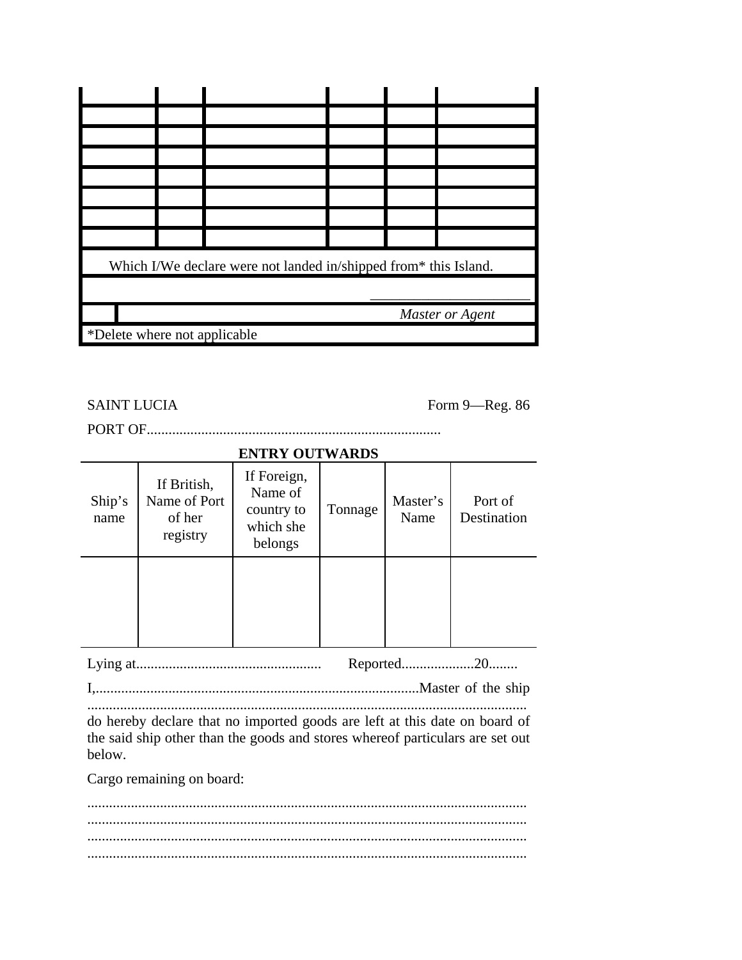|                              | Which I/We declare were not landed in/shipped from* this Island. |  |  |  |                 |  |
|------------------------------|------------------------------------------------------------------|--|--|--|-----------------|--|
|                              |                                                                  |  |  |  |                 |  |
|                              |                                                                  |  |  |  | Master or Agent |  |
| *Delete where not applicable |                                                                  |  |  |  |                 |  |

SAINT LUCIA Form 9—Reg. 86

PORT OF.................................................................................

# **ENTRY OUTWARDS**

| Ship's<br>name | If British,<br>Name of Port<br>of her<br>registry | If Foreign,<br>Name of<br>country to<br>which she<br>belongs | Tonnage | Master's<br>Name | Port of<br>Destination |
|----------------|---------------------------------------------------|--------------------------------------------------------------|---------|------------------|------------------------|
|                |                                                   |                                                              |         |                  |                        |

Lying at................................................... Reported....................20........ I,.........................................................................................Master of the ship .........................................................................................................................

do hereby declare that no imported goods are left at this date on board of the said ship other than the goods and stores whereof particulars are set out below.

Cargo remaining on board:

......................................................................................................................... ......................................................................................................................... ......................................................................................................................... .........................................................................................................................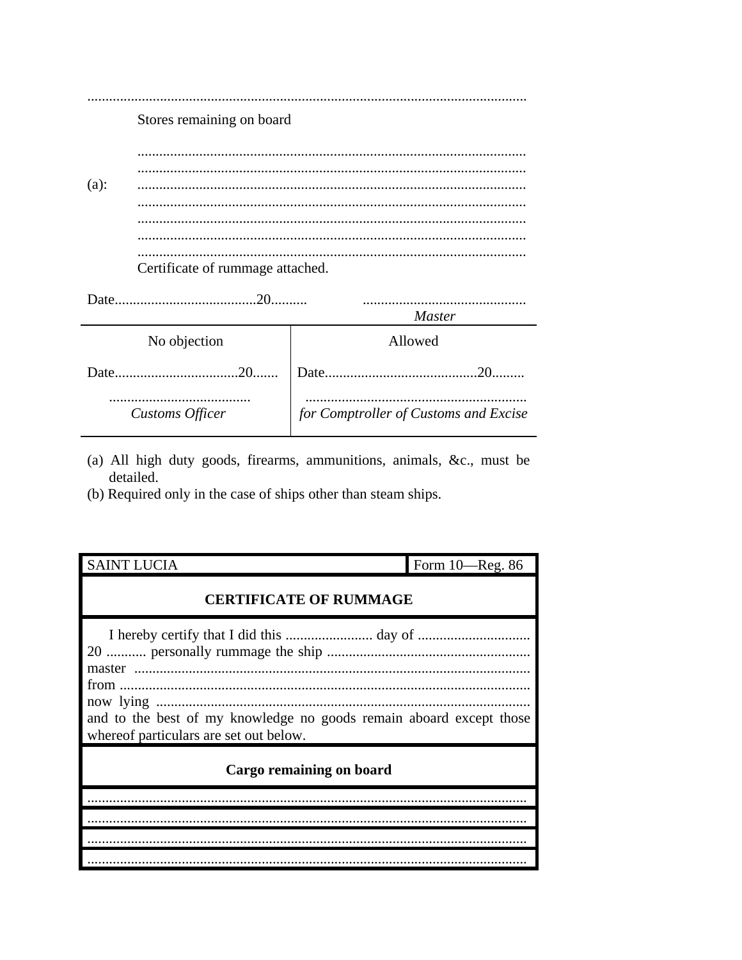|         | Stores remaining on board        |                                       |
|---------|----------------------------------|---------------------------------------|
|         |                                  |                                       |
|         |                                  |                                       |
| $(a)$ : |                                  |                                       |
|         |                                  |                                       |
|         |                                  |                                       |
|         |                                  |                                       |
|         |                                  |                                       |
|         | Certificate of rummage attached. |                                       |
|         |                                  |                                       |
|         |                                  |                                       |
|         |                                  | <b>Master</b>                         |
|         | No objection                     | Allowed                               |
|         | $.20$                            |                                       |
|         | Customs Officer                  | for Comptroller of Customs and Excise |

- (a) All high duty goods, firearms, ammunitions, animals, &c., must be detailed.
- (b) Required only in the case of ships other than steam ships.

| <b>SAINT LUCIA</b>                                                                                            | Form 10—Reg. 86 |
|---------------------------------------------------------------------------------------------------------------|-----------------|
| <b>CERTIFICATE OF RUMMAGE</b>                                                                                 |                 |
| and to the best of my knowledge no goods remain aboard except those<br>whereof particulars are set out below. |                 |
| Cargo remaining on board                                                                                      |                 |
|                                                                                                               |                 |
|                                                                                                               |                 |
|                                                                                                               |                 |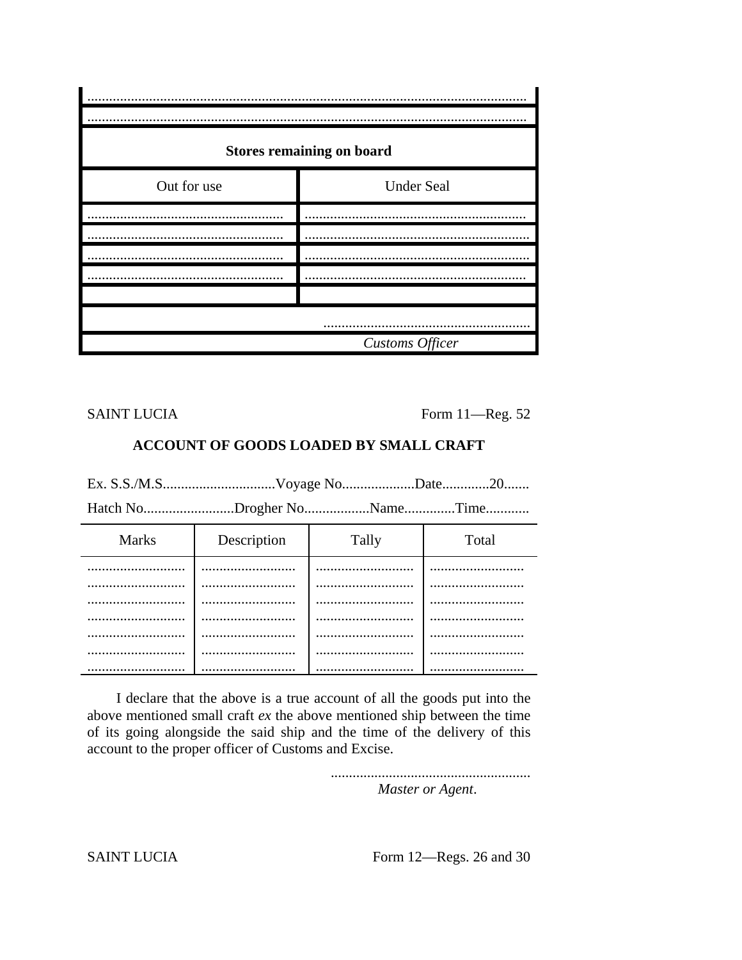|             | <b>Stores remaining on board</b> |
|-------------|----------------------------------|
| Out for use | <b>Under Seal</b>                |
|             |                                  |
|             |                                  |
|             |                                  |
|             |                                  |
|             |                                  |
|             |                                  |
|             | Customs Officer                  |

**SAINT LUCIA** 

Form 11-Reg. 52

### **ACCOUNT OF GOODS LOADED BY SMALL CRAFT**

Hatch No.......................Drogher No.................Name.............Time............

| <b>Marks</b> | Description | Tally | Total |
|--------------|-------------|-------|-------|
| .            |             |       |       |
|              |             |       |       |
|              |             |       |       |
|              |             |       |       |
|              |             |       |       |
|              |             |       |       |
|              |             |       |       |

I declare that the above is a true account of all the goods put into the above mentioned small craft  $ex$  the above mentioned ship between the time of its going alongside the said ship and the time of the delivery of this account to the proper officer of Customs and Excise.

Master or Agent.

**SAINT LUCIA** 

Form 12-Regs. 26 and 30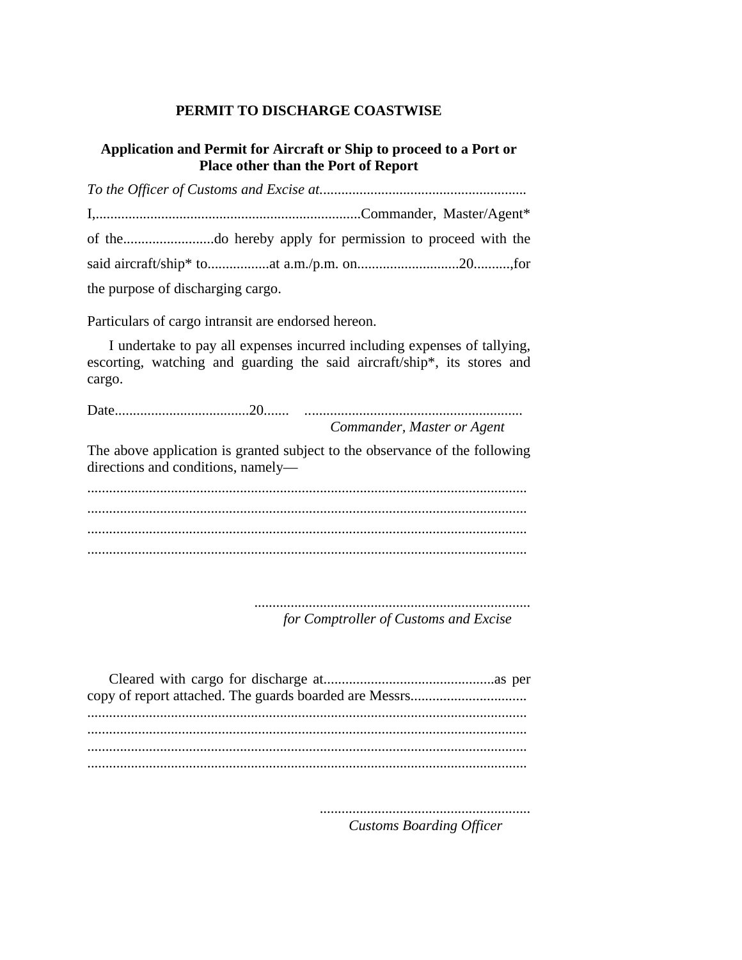# **PERMIT TO DISCHARGE COASTWISE**

## **Application and Permit for Aircraft or Ship to proceed to a Port or Place other than the Port of Report**

| the purpose of discharging cargo. |  |  |
|-----------------------------------|--|--|

Particulars of cargo intransit are endorsed hereon.

I undertake to pay all expenses incurred including expenses of tallying, escorting, watching and guarding the said aircraft/ship\*, its stores and cargo.

Date.....................................20....... *..*.......................................................... *Commander, Master or Agent*

The above application is granted subject to the observance of the following directions and conditions, namely—

......................................................................................................................... ......................................................................................................................... ......................................................................................................................... .........................................................................................................................

> ............................................................................ *for Comptroller of Customs and Excise*

.......................................................... *Customs Boarding Officer*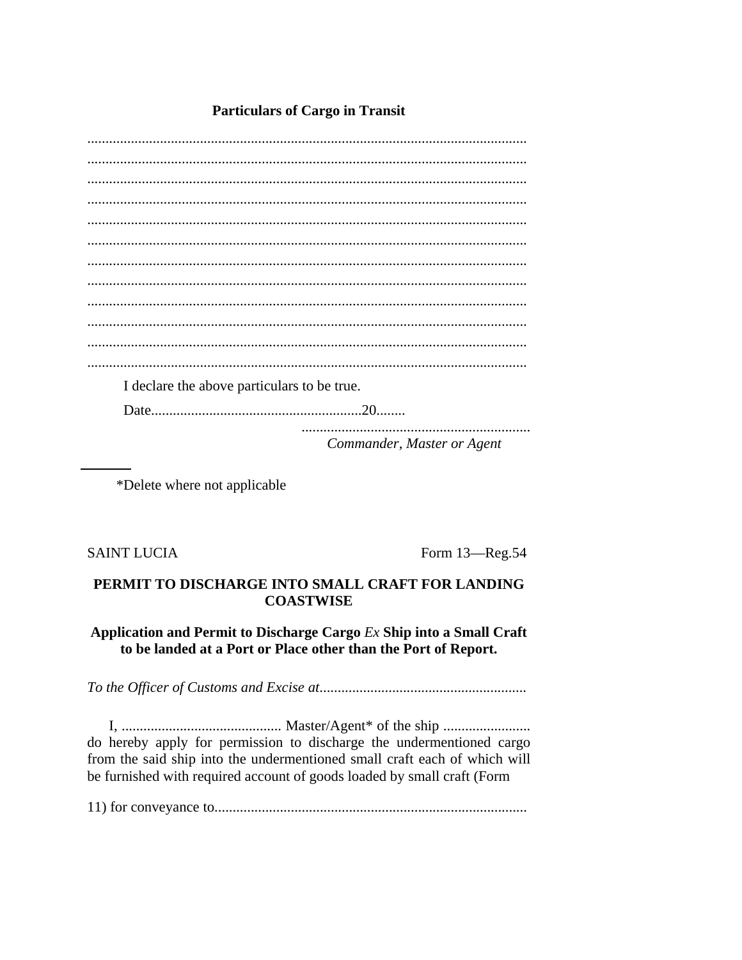# **Particulars of Cargo in Transit**

I declare the above particulars to be true. Commander, Master or Agent

\*Delete where not applicable

**SAINT LUCIA** 

Form 13-Reg.54

### PERMIT TO DISCHARGE INTO SMALL CRAFT FOR LANDING **COASTWISE**

# Application and Permit to Discharge Cargo Ex Ship into a Small Craft to be landed at a Port or Place other than the Port of Report.

do hereby apply for permission to discharge the undermentioned cargo from the said ship into the undermentioned small craft each of which will be furnished with required account of goods loaded by small craft (Form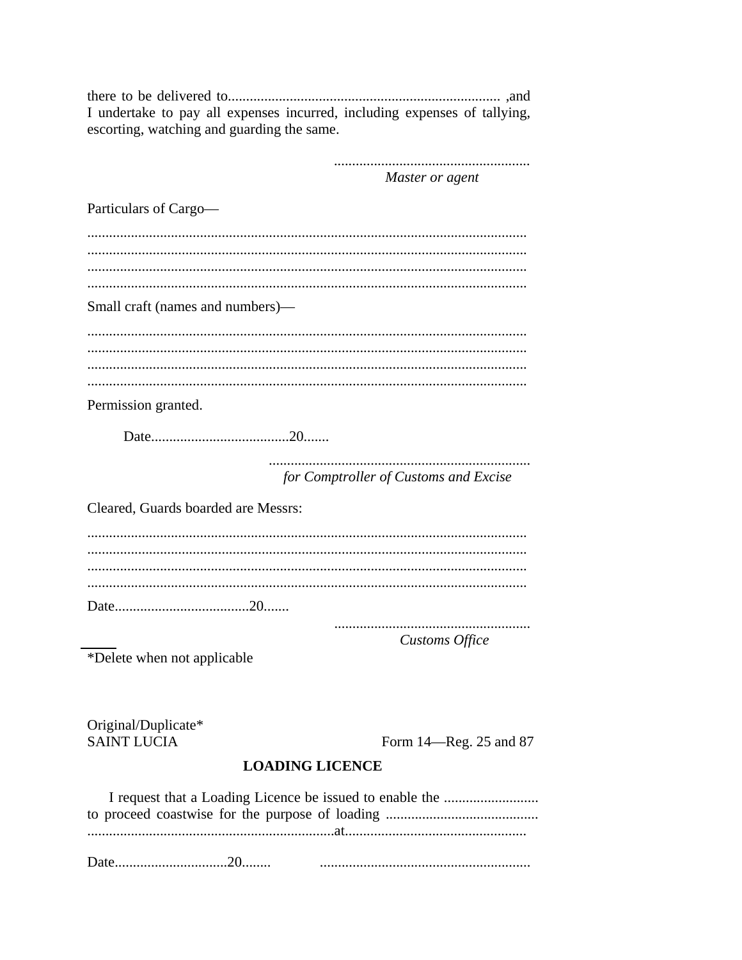I undertake to pay all expenses incurred, including expenses of tallying, escorting, watching and guarding the same.

> Master or agent

Particulars of Cargo-Small craft (names and numbers)— Permission granted. for Comptroller of Customs and Excise Cleared. Guards boarded are Messrs: **Customs Office** \*Delete when not applicable Original/Duplicate\* **SAINT LUCIA** Form 14—Reg. 25 and 87 **LOADING LICENCE**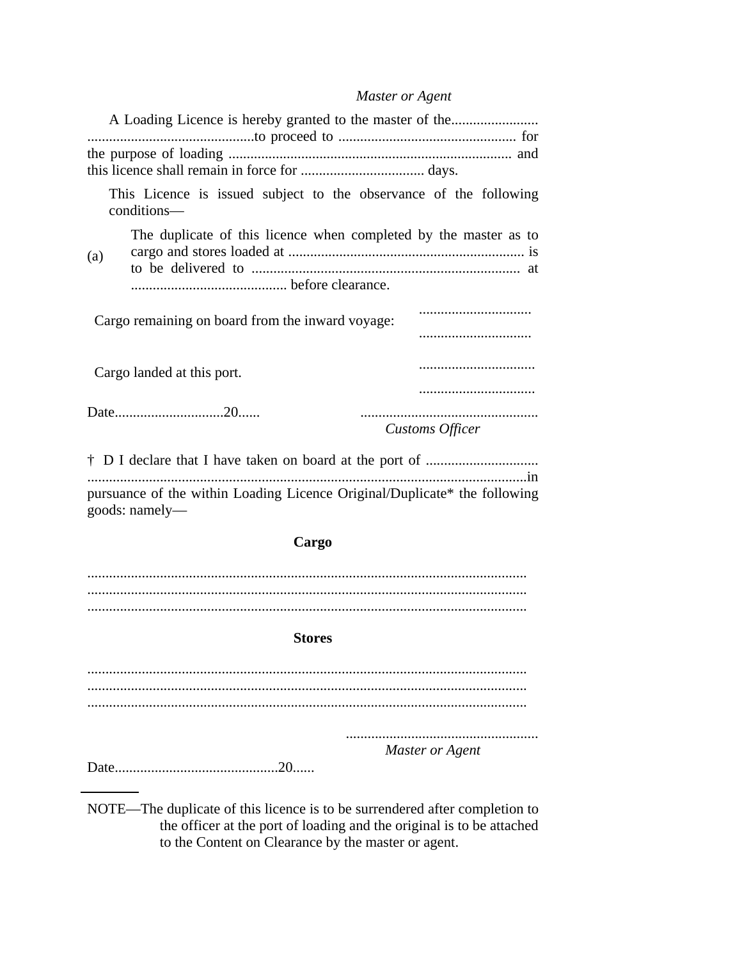# Master or Agent

| A Loading Licence is hereby granted to the master of the                                    |                 |
|---------------------------------------------------------------------------------------------|-----------------|
|                                                                                             |                 |
| This Licence is issued subject to the observance of the following<br>conditions—            |                 |
| The duplicate of this licence when completed by the master as to<br>(a)                     |                 |
| Cargo remaining on board from the inward voyage:                                            |                 |
|                                                                                             |                 |
| Cargo landed at this port.                                                                  |                 |
|                                                                                             |                 |
|                                                                                             | Customs Officer |
|                                                                                             |                 |
| pursuance of the within Loading Licence Original/Duplicate* the following<br>goods: namely- |                 |
| Cargo                                                                                       |                 |
|                                                                                             |                 |
|                                                                                             |                 |
| <b>Stores</b>                                                                               |                 |
|                                                                                             |                 |
|                                                                                             |                 |
|                                                                                             |                 |

Master or Agent

NOTE—The duplicate of this licence is to be surrendered after completion to the officer at the port of loading and the original is to be attached to the Content on Clearance by the master or agent.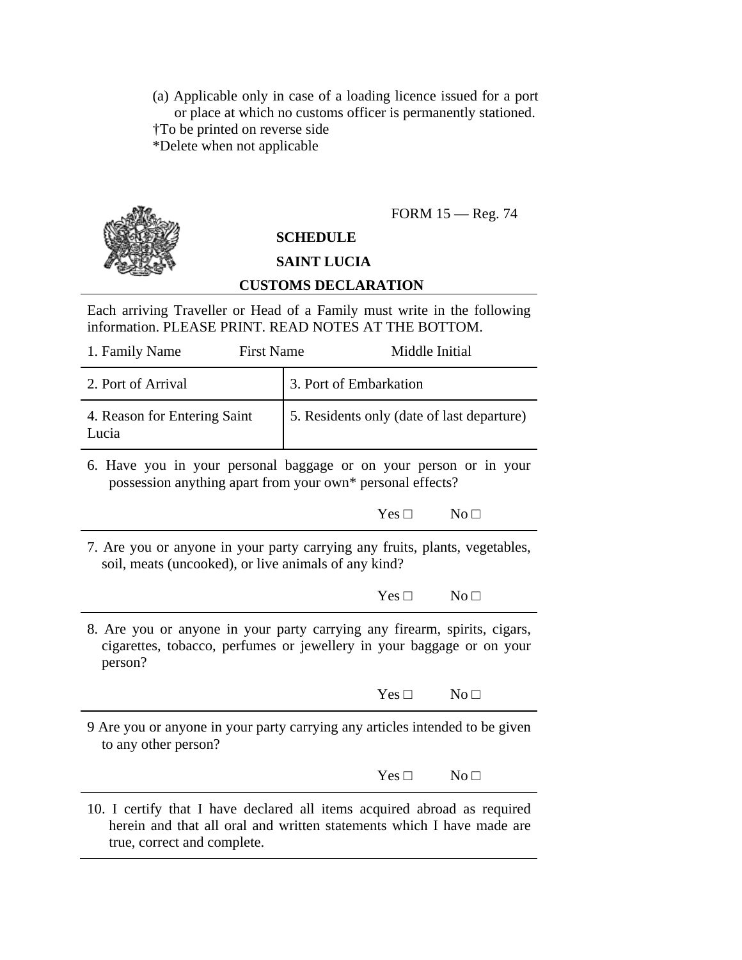(a) Applicable only in case of a loading licence issued for a port or place at which no customs officer is permanently stationed. †To be printed on reverse side \*Delete when not applicable

# FORM 15 — Reg. 74

# **SCHEDULE**

# **SAINT LUCIA**

## **CUSTOMS DECLARATION**

Each arriving Traveller or Head of a Family must write in the following information. PLEASE PRINT. READ NOTES AT THE BOTTOM.

| 1. Family Name                                                                                                                                                                   | <b>First Name</b> |                        | Middle Initial |                                            |
|----------------------------------------------------------------------------------------------------------------------------------------------------------------------------------|-------------------|------------------------|----------------|--------------------------------------------|
| 2. Port of Arrival                                                                                                                                                               |                   | 3. Port of Embarkation |                |                                            |
| 4. Reason for Entering Saint<br>Lucia                                                                                                                                            |                   |                        |                | 5. Residents only (date of last departure) |
| 6. Have you in your personal baggage or on your person or in your<br>possession anything apart from your own* personal effects?                                                  |                   |                        |                |                                            |
|                                                                                                                                                                                  |                   |                        | $Yes \Box$     | No <sub>1</sub>                            |
| 7. Are you or anyone in your party carrying any fruits, plants, vegetables,<br>soil, meats (uncooked), or live animals of any kind?                                              |                   |                        |                |                                            |
|                                                                                                                                                                                  |                   |                        | $Yes \Box$     | No <sub>1</sub>                            |
| 8. Are you or anyone in your party carrying any firearm, spirits, cigars,<br>cigarettes, tobacco, perfumes or jewellery in your baggage or on your<br>person?                    |                   |                        |                |                                            |
|                                                                                                                                                                                  |                   |                        | $Yes \Box$     | No <sub>1</sub>                            |
| 9 Are you or anyone in your party carrying any articles intended to be given<br>to any other person?                                                                             |                   |                        |                |                                            |
|                                                                                                                                                                                  |                   |                        | $Yes \Box$     | No <sub>1</sub>                            |
| 10. I certify that I have declared all items acquired abroad as required<br>herein and that all oral and written statements which I have made are<br>true, correct and complete. |                   |                        |                |                                            |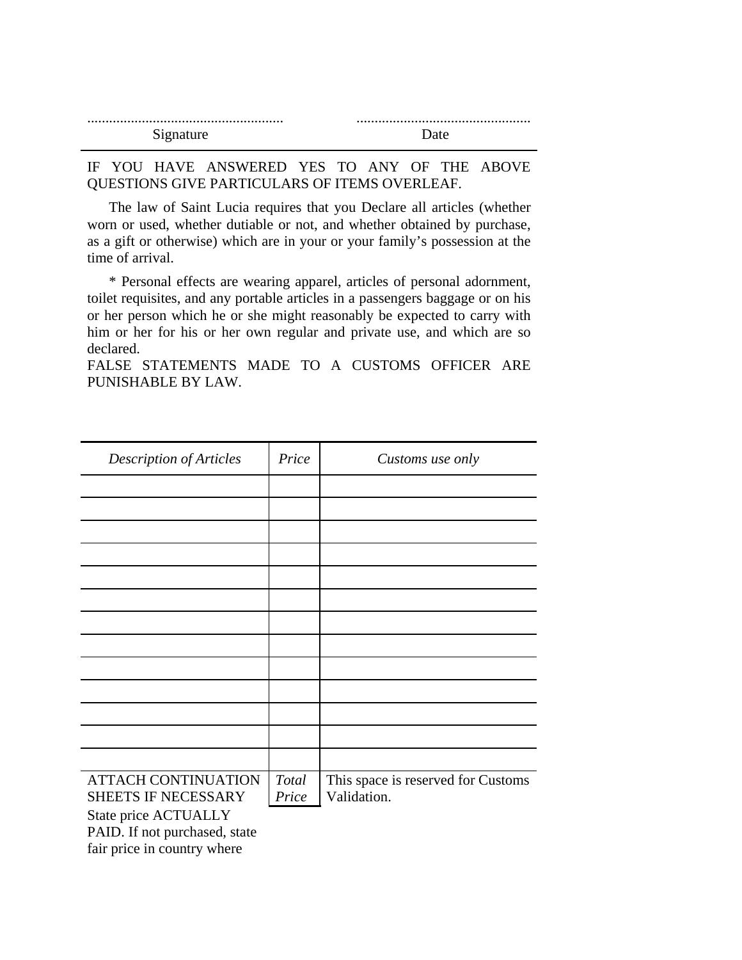| Signature<br>້ |  |
|----------------|--|

## IF YOU HAVE ANSWERED YES TO ANY OF THE ABOVE QUESTIONS GIVE PARTICULARS OF ITEMS OVERLEAF.

The law of Saint Lucia requires that you Declare all articles (whether worn or used, whether dutiable or not, and whether obtained by purchase, as a gift or otherwise) which are in your or your family's possession at the time of arrival.

\* Personal effects are wearing apparel, articles of personal adornment, toilet requisites, and any portable articles in a passengers baggage or on his or her person which he or she might reasonably be expected to carry with him or her for his or her own regular and private use, and which are so declared.

FALSE STATEMENTS MADE TO A CUSTOMS OFFICER ARE PUNISHABLE BY LAW.

| <b>Description of Articles</b>                                                       | Price          | Customs use only                                  |
|--------------------------------------------------------------------------------------|----------------|---------------------------------------------------|
|                                                                                      |                |                                                   |
|                                                                                      |                |                                                   |
|                                                                                      |                |                                                   |
|                                                                                      |                |                                                   |
|                                                                                      |                |                                                   |
|                                                                                      |                |                                                   |
|                                                                                      |                |                                                   |
|                                                                                      |                |                                                   |
|                                                                                      |                |                                                   |
|                                                                                      |                |                                                   |
|                                                                                      |                |                                                   |
|                                                                                      |                |                                                   |
|                                                                                      |                |                                                   |
| <b>ATTACH CONTINUATION</b><br>SHEETS IF NECESSARY                                    | Total<br>Price | This space is reserved for Customs<br>Validation. |
| State price ACTUALLY<br>PAID. If not purchased, state<br>fair price in country where |                |                                                   |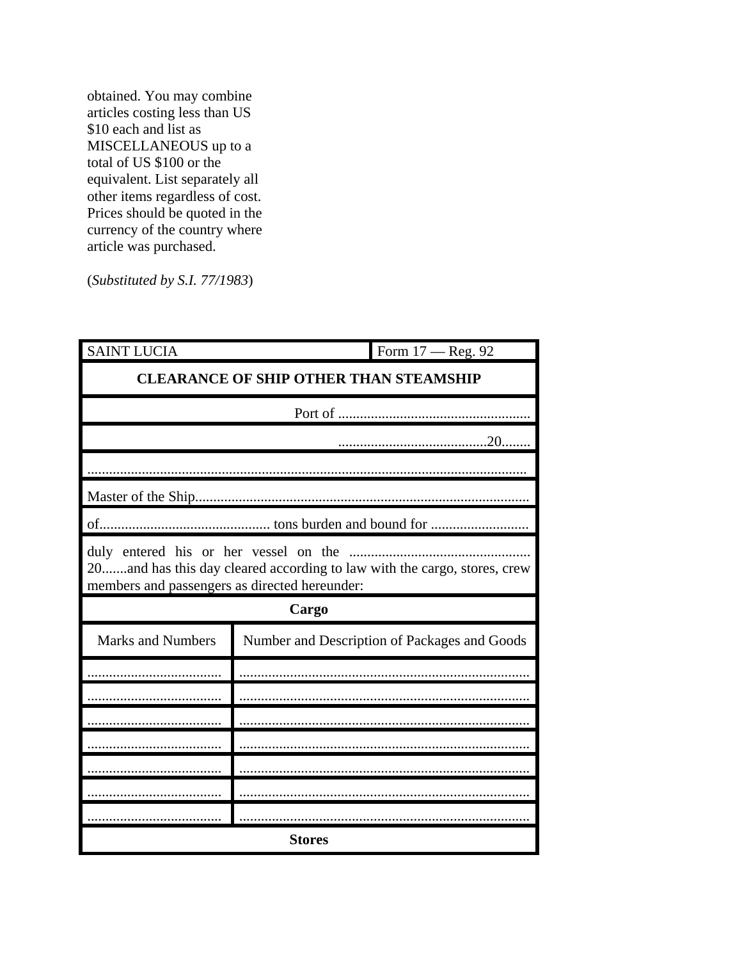obtained. You may combine articles costing less than US \$10 each and list as MISCELLANEOUS up to a total of US \$100 or the equivalent. List separately all other items regardless of cost. Prices should be quoted in the currency of the country where article was purchased.

 $(Substituted by S.I. 77/1983)$ 

| <b>SAINT LUCIA</b>                            | Form 17 - Reg. 92                                                                                                 |
|-----------------------------------------------|-------------------------------------------------------------------------------------------------------------------|
|                                               | <b>CLEARANCE OF SHIP OTHER THAN STEAMSHIP</b>                                                                     |
|                                               |                                                                                                                   |
|                                               |                                                                                                                   |
|                                               |                                                                                                                   |
|                                               |                                                                                                                   |
|                                               |                                                                                                                   |
| members and passengers as directed hereunder: | duly entered his or her vessel on the<br>20and has this day cleared according to law with the cargo, stores, crew |
|                                               | Cargo                                                                                                             |
| <b>Marks and Numbers</b>                      | Number and Description of Packages and Goods                                                                      |
|                                               |                                                                                                                   |
|                                               |                                                                                                                   |
|                                               |                                                                                                                   |
|                                               |                                                                                                                   |
|                                               |                                                                                                                   |
|                                               |                                                                                                                   |
|                                               |                                                                                                                   |
|                                               | <b>Stores</b>                                                                                                     |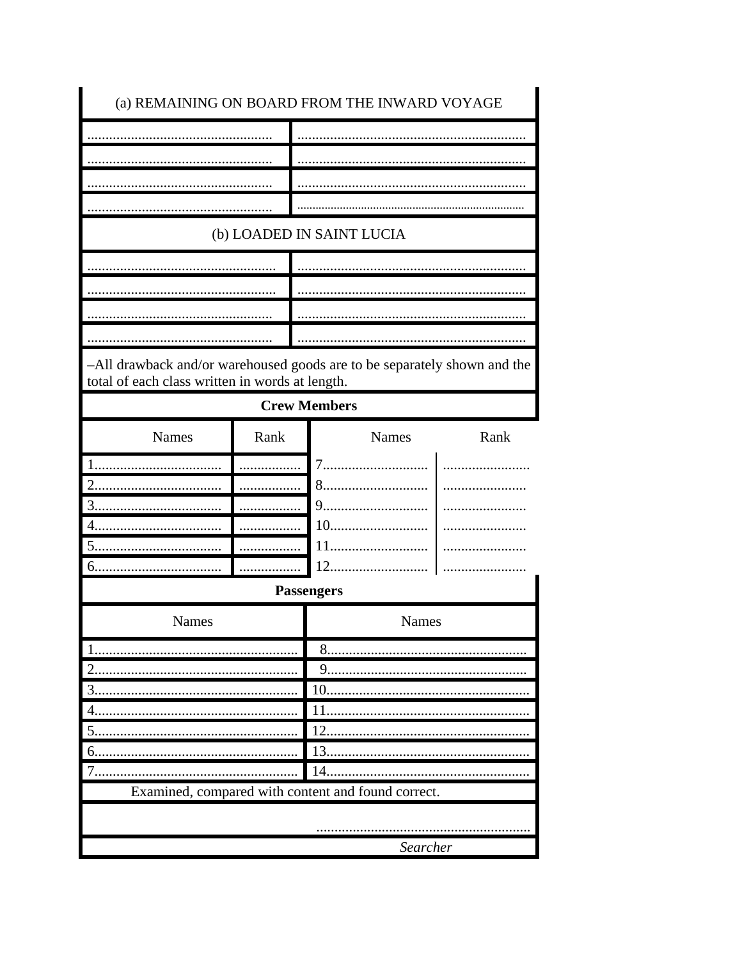|                                                                                                                             |      | (b) LOADED IN SAINT LUCIA   |      |
|-----------------------------------------------------------------------------------------------------------------------------|------|-----------------------------|------|
|                                                                                                                             |      |                             |      |
|                                                                                                                             |      |                             |      |
|                                                                                                                             |      |                             |      |
|                                                                                                                             |      |                             |      |
| -All drawback and/or warehoused goods are to be separately shown and the<br>total of each class written in words at length. |      |                             |      |
|                                                                                                                             |      | <b>Crew Members</b>         |      |
| <b>Names</b>                                                                                                                | Rank | Names                       | Rank |
|                                                                                                                             |      | 7.                          |      |
|                                                                                                                             |      | 8                           |      |
|                                                                                                                             |      |                             |      |
| 3                                                                                                                           |      | 9.                          |      |
|                                                                                                                             |      | 10                          |      |
|                                                                                                                             |      | 11                          |      |
|                                                                                                                             |      | 12                          |      |
| 5.<br>6.                                                                                                                    |      | <b>Passengers</b>           |      |
| Names                                                                                                                       |      | Names                       |      |
|                                                                                                                             |      | 8                           |      |
|                                                                                                                             |      | 9                           |      |
| 3                                                                                                                           |      | 10                          |      |
|                                                                                                                             |      |                             |      |
| 5.                                                                                                                          |      | $\mathcal{D}_{\mathcal{L}}$ |      |
| 6.                                                                                                                          |      | 13.<br>14                   |      |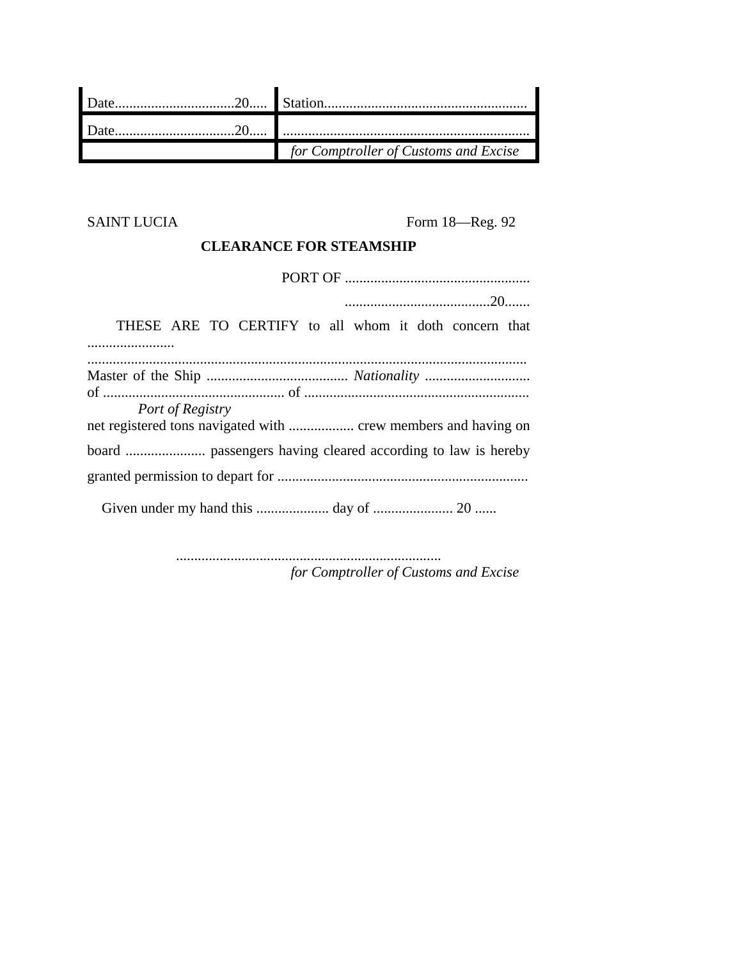| for Comptroller of Customs and Excise |
|---------------------------------------|

SAINT LUCIA Form 18—Reg. 92

# **CLEARANCE FOR STEAMSHIP**

| THESE ARE TO CERTIFY to all whom it doth concern that |
|-------------------------------------------------------|
|                                                       |
|                                                       |
|                                                       |
| Port of Registry                                      |
|                                                       |
|                                                       |
|                                                       |

......................................................................... *for Comptroller of Customs and Excise*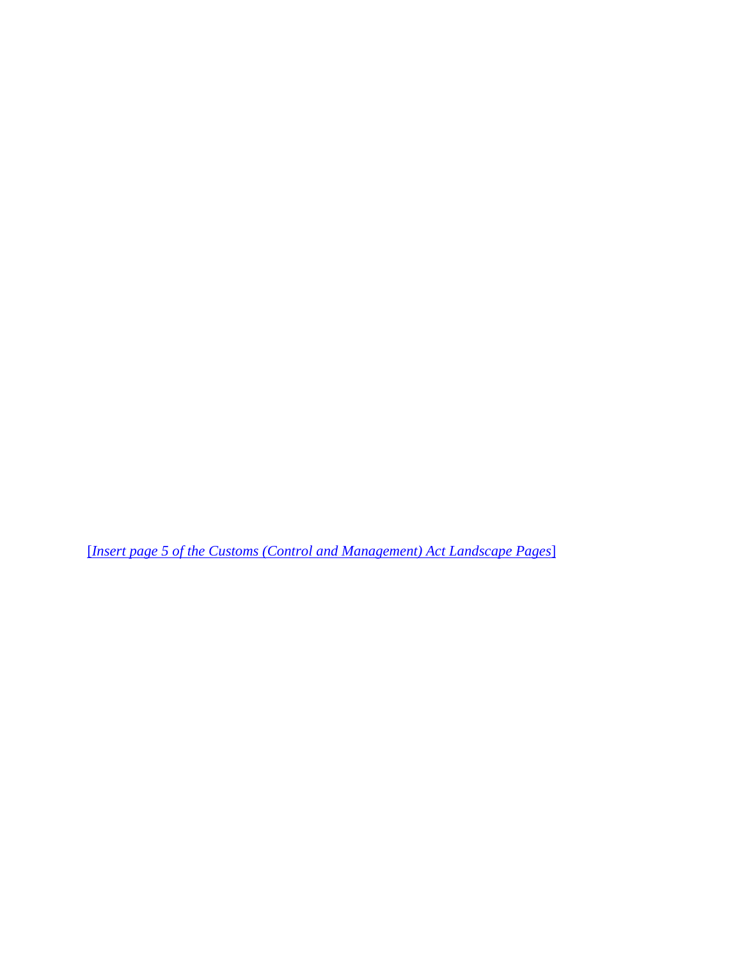[*Insert page 5 of the Customs (Control and Management) Act Landscape Pages*]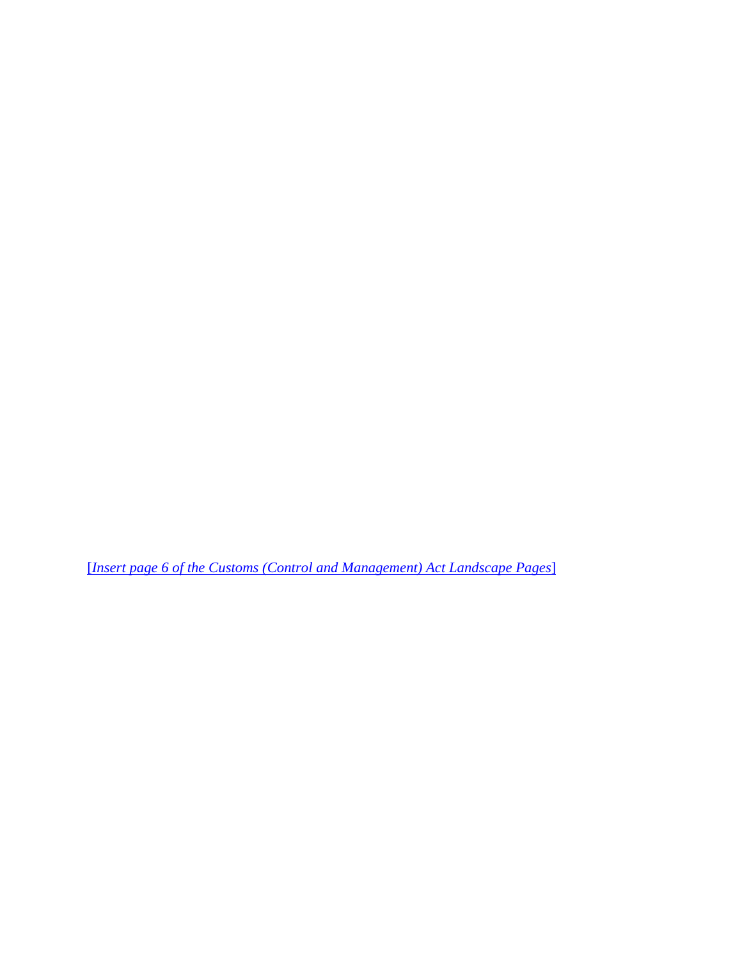[*Insert page 6 of the Customs (Control and Management) Act Landscape Pages*]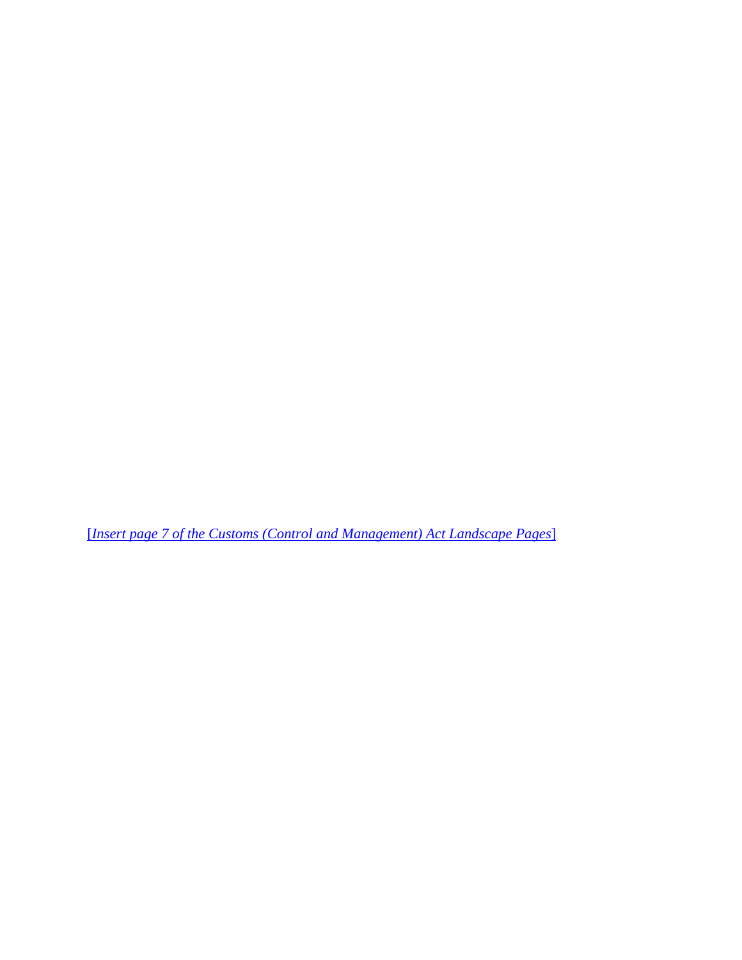[*Insert page 7 of the Customs (Control and Management) Act Landscape Pages*]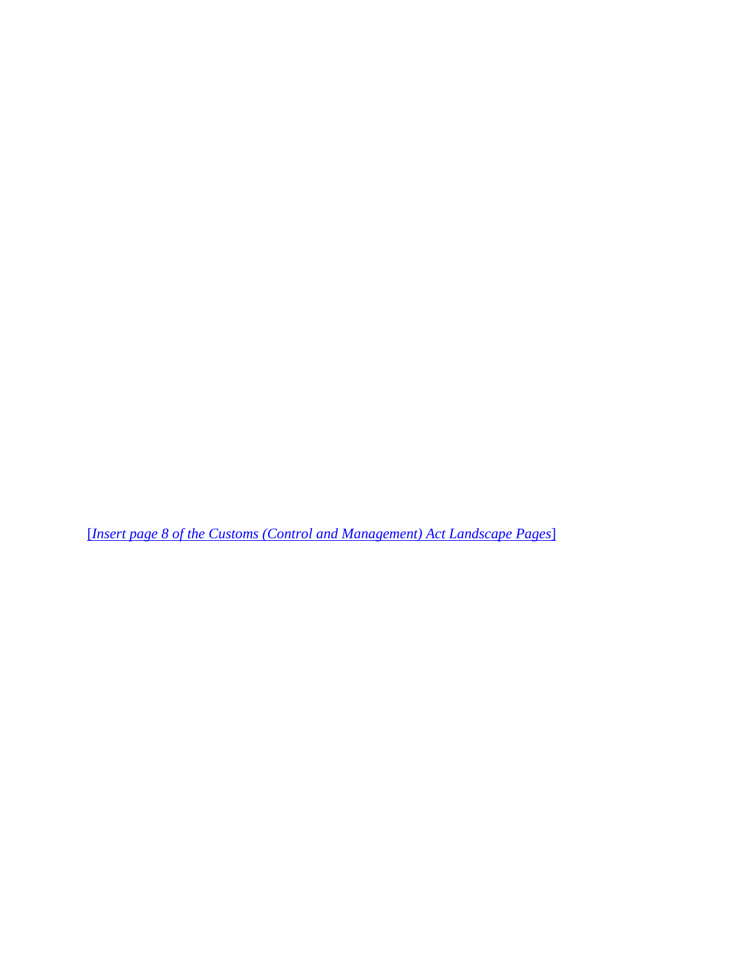[*Insert page 8 of the Customs (Control and Management) Act Landscape Pages*]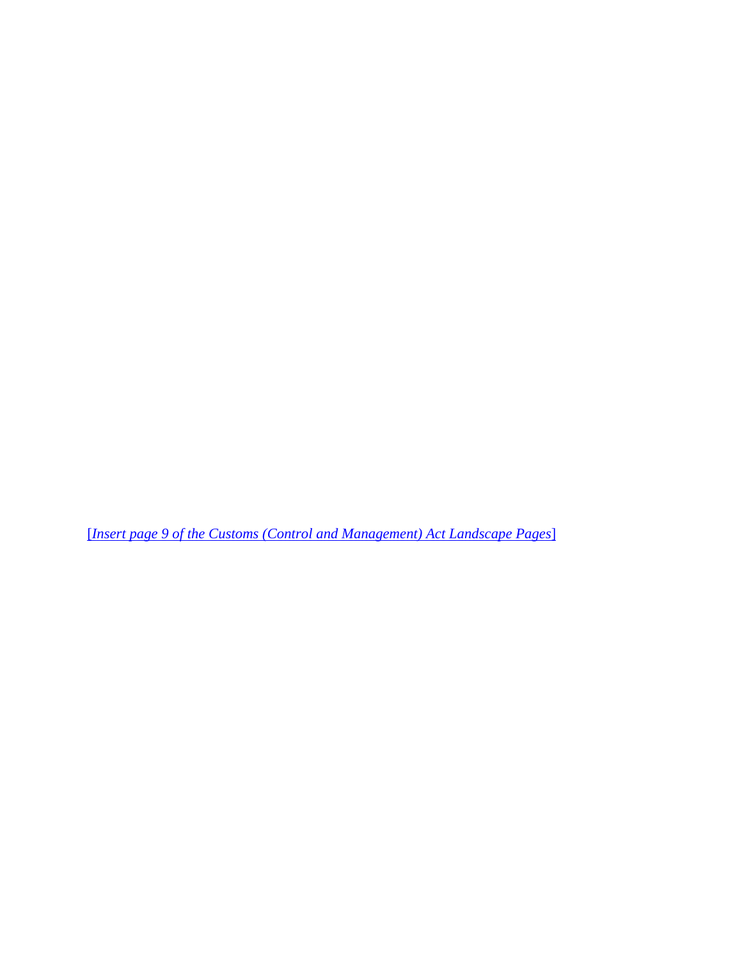[*Insert page 9 of the Customs (Control and Management) Act Landscape Pages*]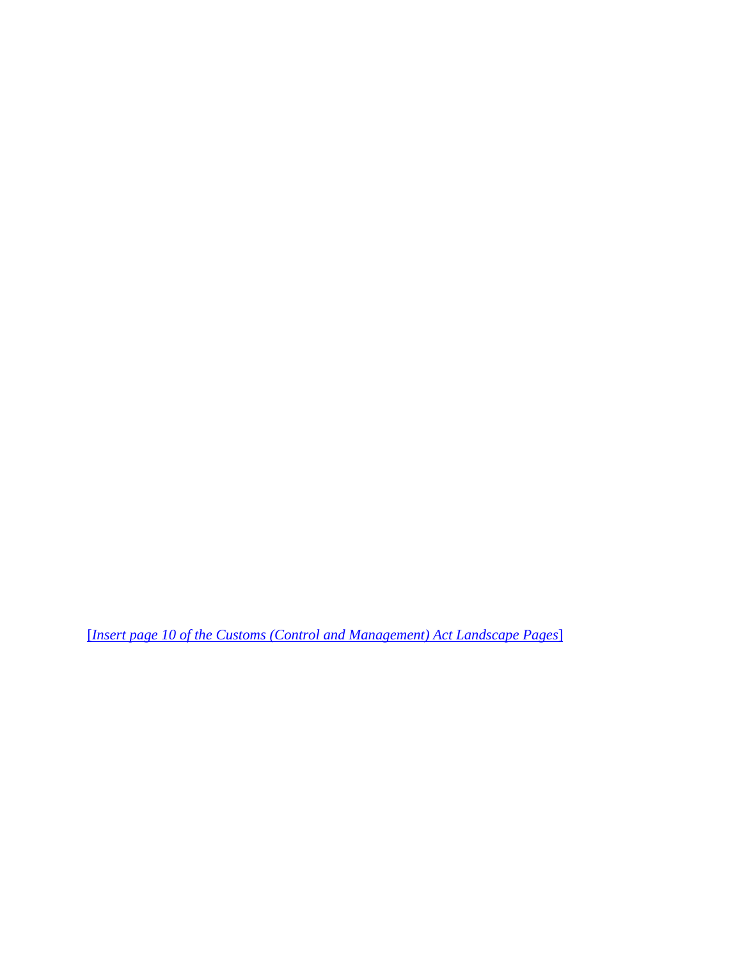[*Insert page 10 of the Customs (Control and Management) Act Landscape Pages*]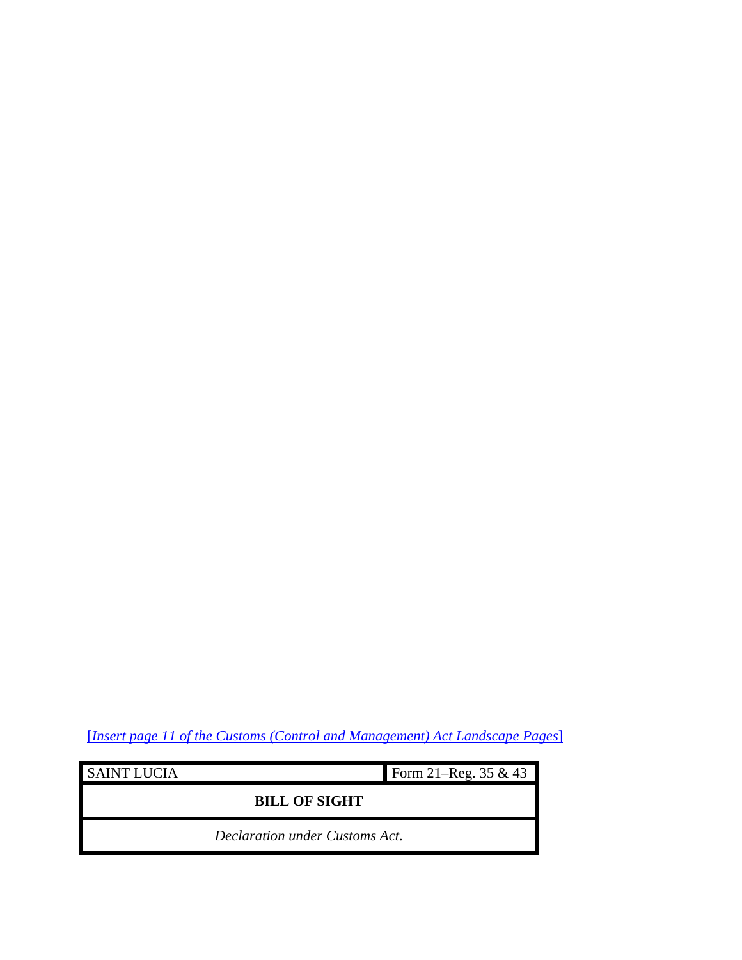[*Insert page 11 of the Customs (Control and Management) Act Landscape Pages*]

j.

| <b>SAINT LUCIA</b>             | Form 21–Reg. $35 & 43$ |
|--------------------------------|------------------------|
| <b>BILL OF SIGHT</b>           |                        |
| Declaration under Customs Act. |                        |

<u> 1980 - Johann Barbara, martxa alemaniar a</u>

 $\blacksquare$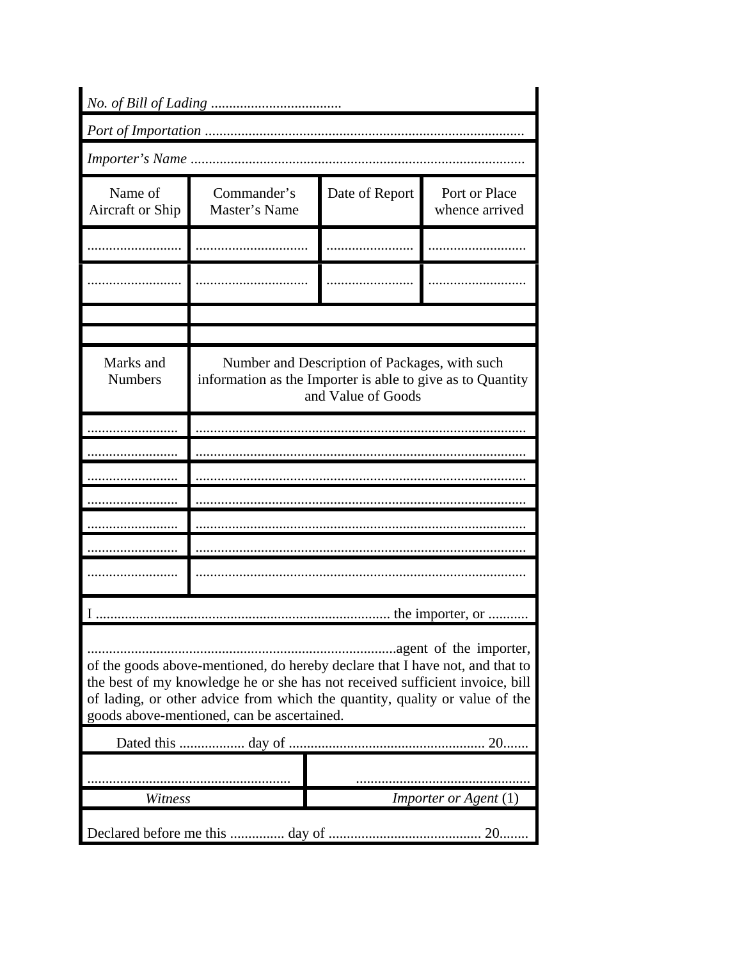| No. of Bill of Lading                                                                                                                                                                                                                                                                                               |                                                            |                                                                     |                                 |
|---------------------------------------------------------------------------------------------------------------------------------------------------------------------------------------------------------------------------------------------------------------------------------------------------------------------|------------------------------------------------------------|---------------------------------------------------------------------|---------------------------------|
|                                                                                                                                                                                                                                                                                                                     |                                                            |                                                                     |                                 |
|                                                                                                                                                                                                                                                                                                                     |                                                            |                                                                     |                                 |
| Name of<br>Aircraft or Ship                                                                                                                                                                                                                                                                                         | Commander's<br>Master's Name                               | Date of Report                                                      | Port or Place<br>whence arrived |
|                                                                                                                                                                                                                                                                                                                     |                                                            |                                                                     |                                 |
|                                                                                                                                                                                                                                                                                                                     |                                                            |                                                                     |                                 |
|                                                                                                                                                                                                                                                                                                                     |                                                            |                                                                     |                                 |
| Marks and<br><b>Numbers</b>                                                                                                                                                                                                                                                                                         | information as the Importer is able to give as to Quantity | Number and Description of Packages, with such<br>and Value of Goods |                                 |
|                                                                                                                                                                                                                                                                                                                     |                                                            |                                                                     |                                 |
|                                                                                                                                                                                                                                                                                                                     |                                                            |                                                                     |                                 |
|                                                                                                                                                                                                                                                                                                                     |                                                            |                                                                     |                                 |
|                                                                                                                                                                                                                                                                                                                     |                                                            |                                                                     |                                 |
|                                                                                                                                                                                                                                                                                                                     |                                                            |                                                                     |                                 |
|                                                                                                                                                                                                                                                                                                                     |                                                            |                                                                     |                                 |
|                                                                                                                                                                                                                                                                                                                     |                                                            |                                                                     |                                 |
|                                                                                                                                                                                                                                                                                                                     |                                                            |                                                                     | the importer, or                |
| agent of the importer,<br>of the goods above-mentioned, do hereby declare that I have not, and that to<br>the best of my knowledge he or she has not received sufficient invoice, bill<br>of lading, or other advice from which the quantity, quality or value of the<br>goods above-mentioned, can be ascertained. |                                                            |                                                                     |                                 |
| 20                                                                                                                                                                                                                                                                                                                  |                                                            |                                                                     |                                 |
|                                                                                                                                                                                                                                                                                                                     |                                                            |                                                                     |                                 |
| Witness                                                                                                                                                                                                                                                                                                             |                                                            |                                                                     | Importer or Agent (1)           |
|                                                                                                                                                                                                                                                                                                                     |                                                            |                                                                     | $20$                            |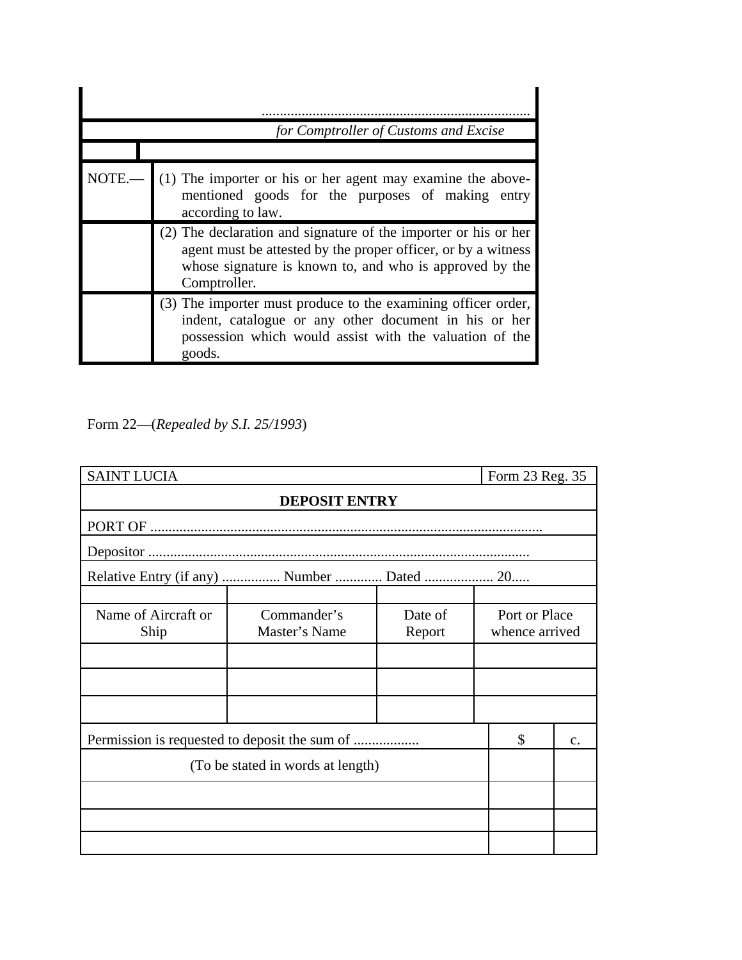|       | for Comptroller of Customs and Excise                                                                                                                                                                       |
|-------|-------------------------------------------------------------------------------------------------------------------------------------------------------------------------------------------------------------|
| NOTE. | (1) The importer or his or her agent may examine the above-<br>mentioned goods for the purposes of making entry<br>according to law.                                                                        |
|       | (2) The declaration and signature of the importer or his or her<br>agent must be attested by the proper officer, or by a witness<br>whose signature is known to, and who is approved by the<br>Comptroller. |
|       | (3) The importer must produce to the examining officer order,<br>indent, catalogue or any other document in his or her<br>possession which would assist with the valuation of the<br>goods.                 |

Form 22—(*Repealed by S.I. 25/1993*)

| <b>SAINT LUCIA</b>                |                                            |                   | Form 23 Reg. 35                 |  |
|-----------------------------------|--------------------------------------------|-------------------|---------------------------------|--|
| <b>DEPOSIT ENTRY</b>              |                                            |                   |                                 |  |
|                                   |                                            |                   |                                 |  |
|                                   |                                            |                   |                                 |  |
|                                   | Relative Entry (if any)  Number  Dated  20 |                   |                                 |  |
|                                   |                                            |                   |                                 |  |
| Name of Aircraft or<br>Ship       | Commander's<br>Master's Name               | Date of<br>Report | Port or Place<br>whence arrived |  |
|                                   |                                            |                   |                                 |  |
|                                   |                                            |                   |                                 |  |
|                                   |                                            |                   |                                 |  |
| \$<br>$C$ .                       |                                            |                   |                                 |  |
| (To be stated in words at length) |                                            |                   |                                 |  |
|                                   |                                            |                   |                                 |  |
|                                   |                                            |                   |                                 |  |
|                                   |                                            |                   |                                 |  |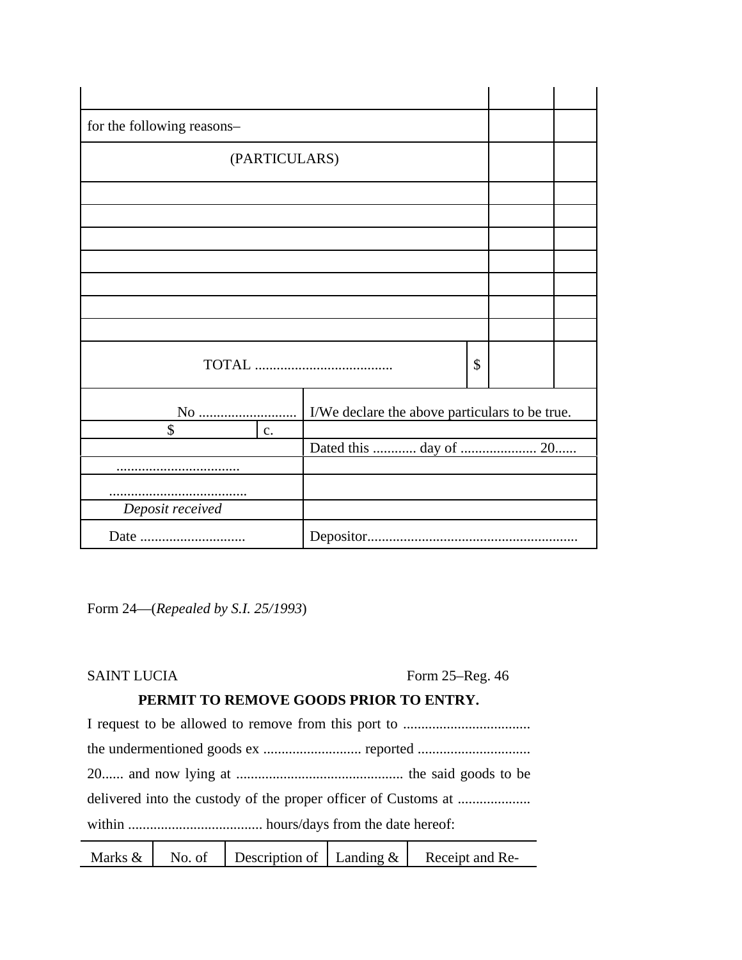| for the following reasons- |                  |                                                |    |  |  |
|----------------------------|------------------|------------------------------------------------|----|--|--|
|                            | (PARTICULARS)    |                                                |    |  |  |
|                            |                  |                                                |    |  |  |
|                            |                  |                                                |    |  |  |
|                            |                  |                                                |    |  |  |
|                            |                  |                                                |    |  |  |
|                            |                  |                                                |    |  |  |
|                            |                  |                                                |    |  |  |
|                            |                  |                                                |    |  |  |
|                            |                  |                                                | \$ |  |  |
|                            |                  | I/We declare the above particulars to be true. |    |  |  |
| \$                         | $\overline{c}$ . |                                                |    |  |  |
|                            |                  | Dated this  day of  20                         |    |  |  |
|                            |                  |                                                |    |  |  |
|                            |                  |                                                |    |  |  |
| Deposit received           |                  |                                                |    |  |  |
|                            |                  |                                                |    |  |  |

Form 24—(*Repealed by S.I. 25/1993*)

| <b>SAINT LUCIA</b> |
|--------------------|
|--------------------|

Form  $25$ –Reg. 46

# **PERMIT TO REMOVE GOODS PRIOR TO ENTRY.**

| <u>xxxel xelse is els media in in</u> |
|---------------------------------------|

|--|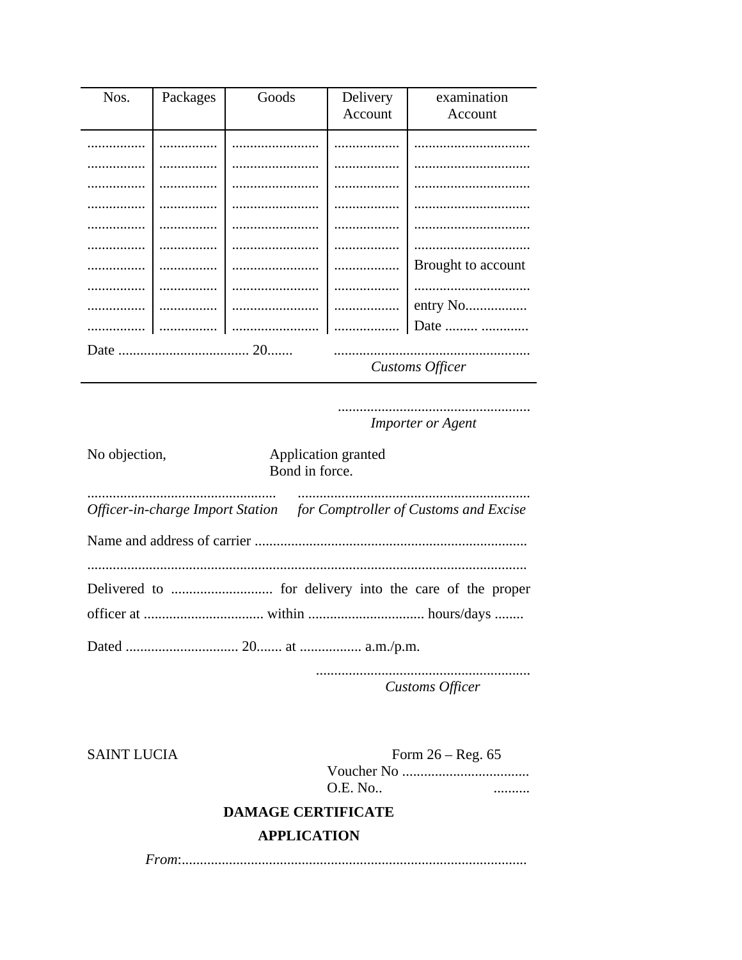| Nos.                   | Packages | Goods | Delivery | examination        |
|------------------------|----------|-------|----------|--------------------|
|                        |          |       | Account  | Account            |
|                        |          |       |          |                    |
|                        |          |       |          |                    |
|                        |          |       |          |                    |
|                        |          |       |          |                    |
|                        |          |       |          |                    |
|                        |          |       |          |                    |
|                        |          |       |          |                    |
|                        |          |       |          | Brought to account |
|                        |          |       |          |                    |
|                        |          |       | .        |                    |
|                        |          |       |          | Date               |
| <b>Customs Officer</b> |          |       |          |                    |
|                        |          |       |          |                    |

**Importer or Agent** 

| No objection, | Application granted<br>Bond in force.                                  |
|---------------|------------------------------------------------------------------------|
|               | Officer-in-charge Import Station for Comptroller of Customs and Excise |
|               |                                                                        |
|               |                                                                        |
|               |                                                                        |
|               | Customs Officer                                                        |

**SAINT LUCIA** 

Form  $26 - Reg. 65$ **O.E. No..** . . . . . . . . . .

# **DAMAGE CERTIFICATE**

## **APPLICATION**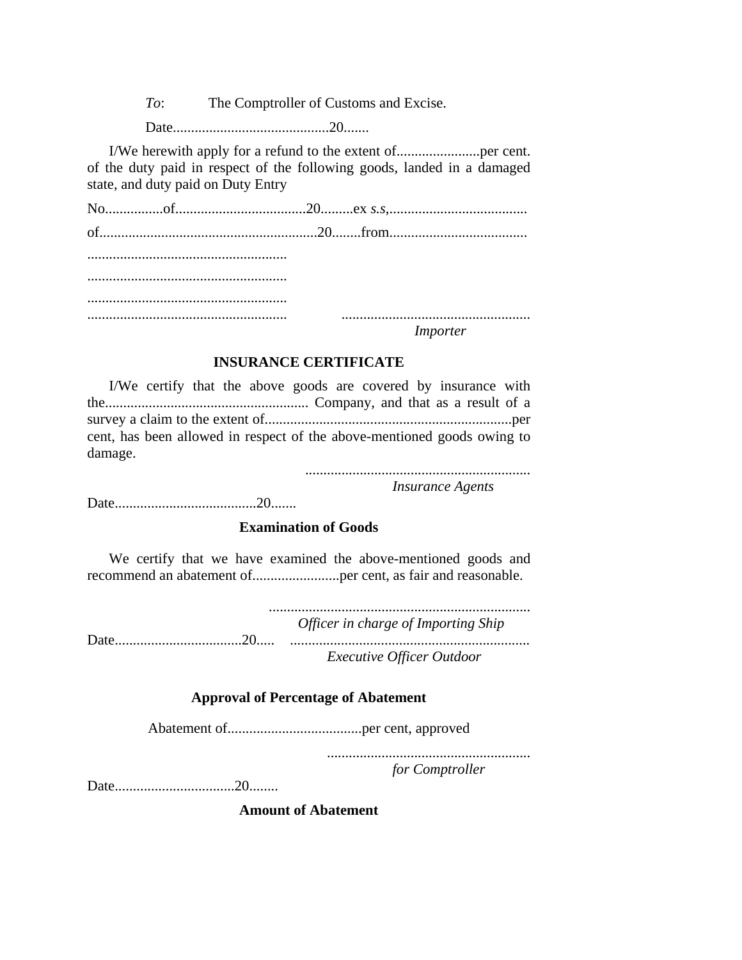*To*: The Comptroller of Customs and Excise.

Date...........................................20.......

I/We herewith apply for a refund to the extent of.......................per cent. of the duty paid in respect of the following goods, landed in a damaged state, and duty paid on Duty Entry

No................of....................................20.........ex *s.s*,...................................... of............................................................20........from...................................... ....................................................... ....................................................... ....................................................... ....................................................... ....................................................

*Importer*

## **INSURANCE CERTIFICATE**

I/We certify that the above goods are covered by insurance with the........................................................ Company, and that as a result of a survey a claim to the extent of....................................................................per cent, has been allowed in respect of the above-mentioned goods owing to damage.

..............................................................

*Insurance Agents*

Date.......................................20.......

## **Examination of Goods**

We certify that we have examined the above-mentioned goods and recommend an abatement of........................per cent, as fair and reasonable.

........................................................................ *Officer in charge of Importing Ship* Date...................................20..... .................................................................. *Executive Officer Outdoor*

### **Approval of Percentage of Abatement**

Abatement of.....................................per cent, approved

........................................................

*for Comptroller*

Date.................................20........

**Amount of Abatement**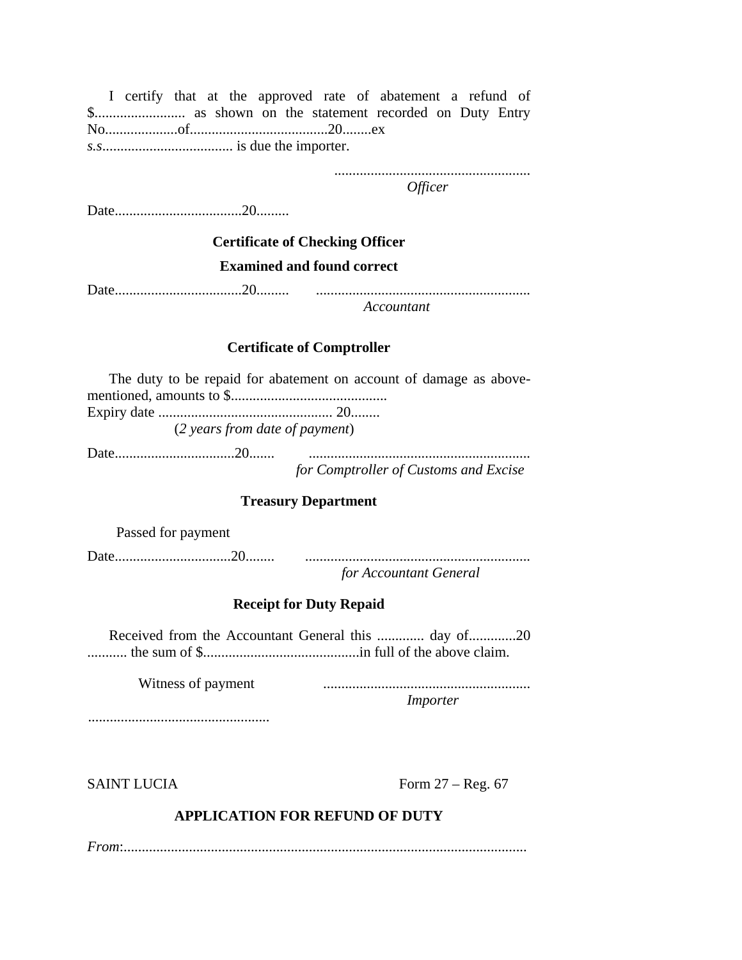I certify that at the approved rate of abatement a refund of \$......................... as shown on the statement recorded on Duty Entry No....................of......................................20........ex *s.s*.................................... is due the importer.

......................................................

*Officer*

Date...................................20.........

# **Certificate of Checking Officer Examined and found correct**

Date...................................20......... ...........................................................

*Accountant*

### **Certificate of Comptroller**

The duty to be repaid for abatement on account of damage as abovementioned, amounts to \$........................................... Expiry date ................................................ 20........ (*2 years from date of payment*)

Date.................................20....... ............................................................. *for Comptroller of Customs and Excise*

## **Treasury Department**

Passed for payment

Date................................20........ .............................................................. *for Accountant General*

### **Receipt for Duty Repaid**

Received from the Accountant General this ............. day of.............20 ........... the sum of \$...........................................in full of the above claim.

Witness of payment ......................................................... *Importer*

..................................................

SAINT LUCIA Form 27 – Reg. 67

# **APPLICATION FOR REFUND OF DUTY**

*From*:...............................................................................................................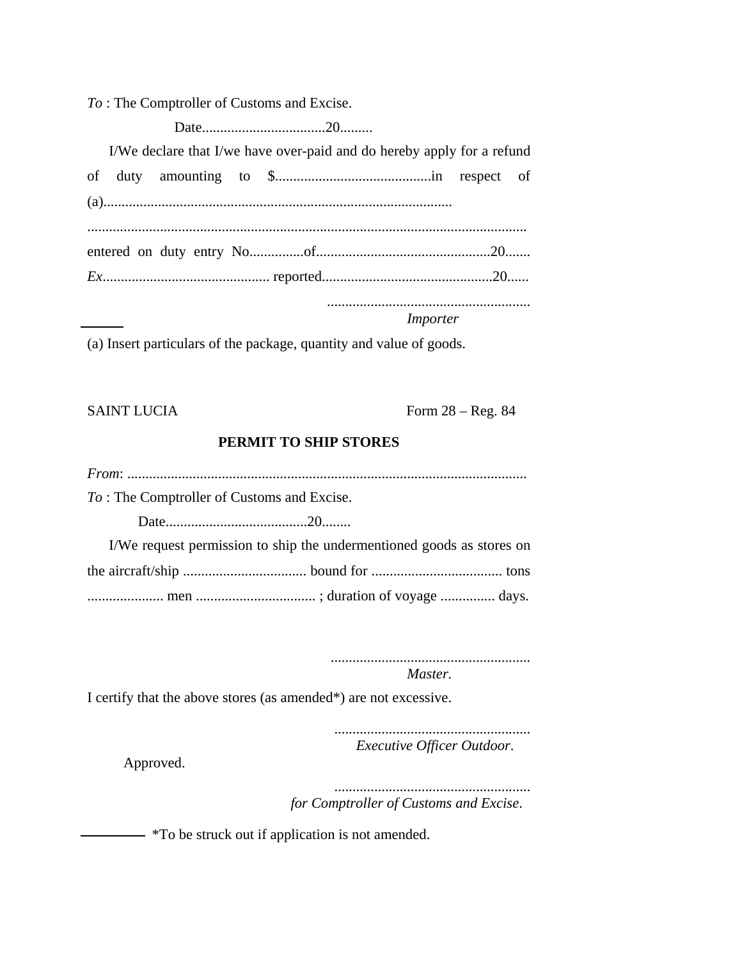*To* : The Comptroller of Customs and Excise.

Date..................................20.........

I/We declare that I/we have over-paid and do hereby apply for a refund

|  |  |  |  |  |  |  | Importer |  |  |  |  |
|--|--|--|--|--|--|--|----------|--|--|--|--|
|  |  |  |  |  |  |  |          |  |  |  |  |
|  |  |  |  |  |  |  |          |  |  |  |  |
|  |  |  |  |  |  |  |          |  |  |  |  |
|  |  |  |  |  |  |  |          |  |  |  |  |

(a) Insert particulars of the package, quantity and value of goods.

SAINT LUCIA Form 28 – Reg. 84

# **PERMIT TO SHIP STORES**

*From*: .............................................................................................................. *To* : The Comptroller of Customs and Excise. Date.......................................20........ I/We request permission to ship the undermentioned goods as stores on the aircraft/ship .................................. bound for .................................... tons ..................... men ................................. ; duration of voyage ............... days.

> ....................................................... *Master.*

I certify that the above stores (as amended\*) are not excessive.

...................................................... *Executive Officer Outdoor*.

Approved.

...................................................... *for Comptroller of Customs and Excise*.

 $-$  \*To be struck out if application is not amended.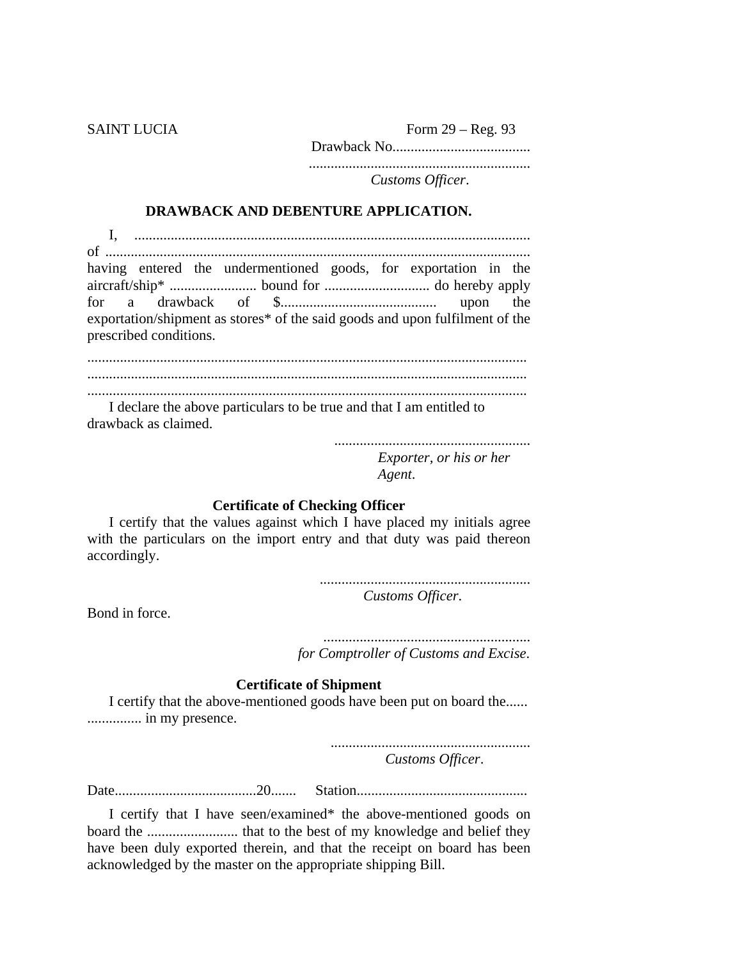SAINT LUCIA Form 29 – Reg. 93 Drawback No...................................... .............................................................

*Customs Officer*.

### **DRAWBACK AND DEBENTURE APPLICATION.**

|                                                                              |                        |  |  |  |  |  | having entered the undermentioned goods, for exportation in the |  |  |  |
|------------------------------------------------------------------------------|------------------------|--|--|--|--|--|-----------------------------------------------------------------|--|--|--|
|                                                                              |                        |  |  |  |  |  |                                                                 |  |  |  |
|                                                                              |                        |  |  |  |  |  |                                                                 |  |  |  |
| exportation/shipment as stores* of the said goods and upon fulfilment of the |                        |  |  |  |  |  |                                                                 |  |  |  |
|                                                                              | prescribed conditions. |  |  |  |  |  |                                                                 |  |  |  |

......................................................................................................................... ......................................................................................................................... .........................................................................................................................

I declare the above particulars to be true and that I am entitled to drawback as claimed.

> ...................................................... *Exporter, or his or her Agent*.

### **Certificate of Checking Officer**

I certify that the values against which I have placed my initials agree with the particulars on the import entry and that duty was paid thereon accordingly.

> .......................................................... *Customs Officer*.

Bond in force.

......................................................... *for Comptroller of Customs and Excise*.

### **Certificate of Shipment**

I certify that the above-mentioned goods have been put on board the...... ............... in my presence.

> ....................................................... *Customs Officer*.

Date.......................................20....... Station...............................................

I certify that I have seen/examined\* the above-mentioned goods on board the ......................... that to the best of my knowledge and belief they have been duly exported therein, and that the receipt on board has been acknowledged by the master on the appropriate shipping Bill.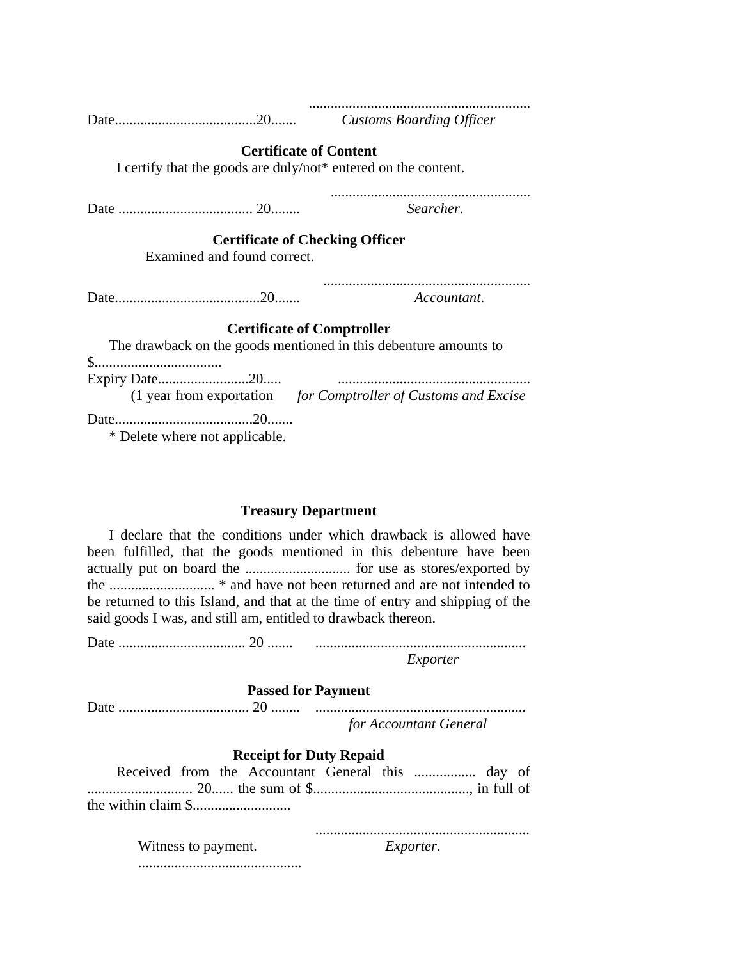| I certify that the goods are duly/not* entered on the content. | <b>Certificate of Content</b>                                    |
|----------------------------------------------------------------|------------------------------------------------------------------|
|                                                                | Searcher.                                                        |
| Examined and found correct.                                    | <b>Certificate of Checking Officer</b>                           |
|                                                                | Accountant.                                                      |
|                                                                | <b>Certificate of Comptroller</b>                                |
| \$                                                             | The drawback on the goods mentioned in this debenture amounts to |
|                                                                |                                                                  |
|                                                                | (1 year from exportation for Comptroller of Customs and Excise   |
| * Delete where not applicable.                                 |                                                                  |

#### **Treasury Department**

I declare that the conditions under which drawback is allowed have been fulfilled, that the goods mentioned in this debenture have been actually put on board the ............................. for use as stores/exported by the ............................. \* and have not been returned and are not intended to be returned to this Island, and that at the time of entry and shipping of the said goods I was, and still am, entitled to drawback thereon.

Date ................................... 20 ....... .......................................................... *Exporter*

#### **Passed for Payment**

| for Accountant General |
|------------------------|

#### **Receipt for Duty Repaid**

...........................................................

.............................................

Witness to payment. *Exporter*.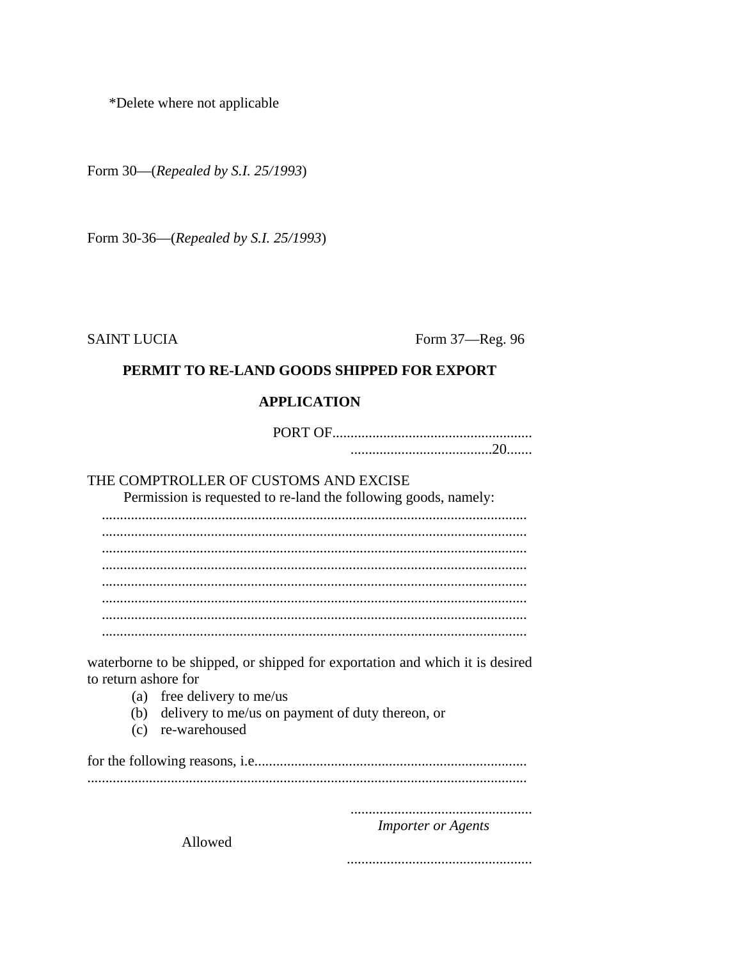\*Delete where not applicable

Form 30—(Repealed by S.I. 25/1993)

Form 30-36—(Repealed by S.I. 25/1993)

**SAINT LUCIA** 

Form 37-Reg. 96

## PERMIT TO RE-LAND GOODS SHIPPED FOR EXPORT

### **APPLICATION**

## THE COMPTROLLER OF CUSTOMS AND EXCISE

Permission is requested to re-land the following goods, namely:

waterborne to be shipped, or shipped for exportation and which it is desired to return ashore for

- (a) free delivery to me/us
- (b) delivery to me/us on payment of duty thereon, or
- (c) re-warehoused

## **Importer or Agents**

Allowed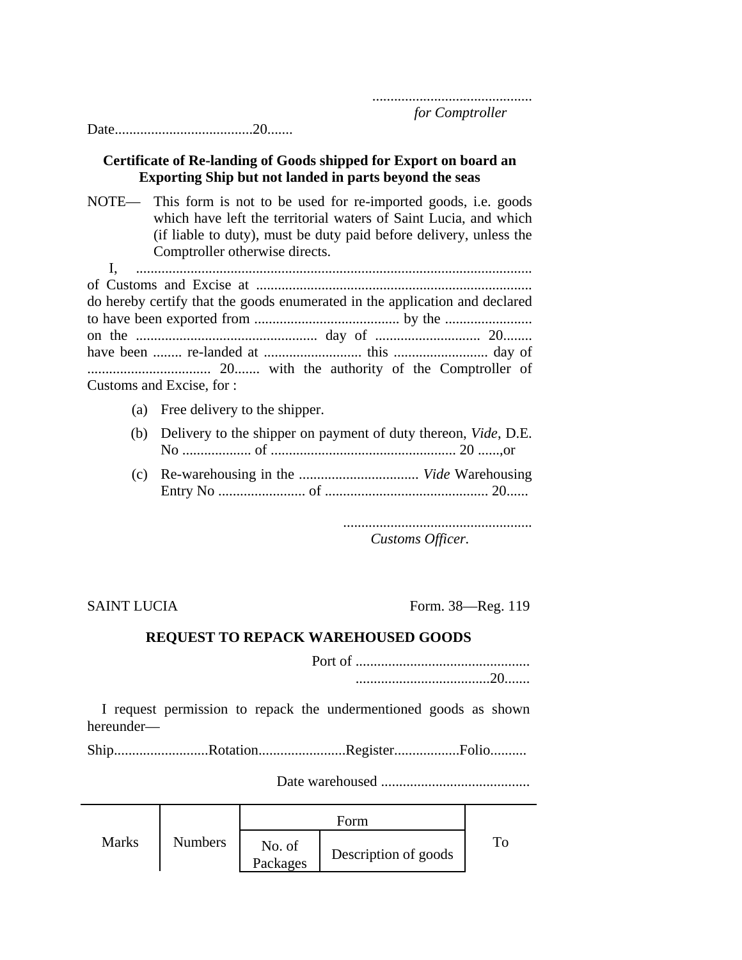#### Date......................................20.......

### **Certificate of Re-landing of Goods shipped for Export on board an Exporting Ship but not landed in parts beyond the seas**

NOTE— This form is not to be used for re-imported goods, i.e. goods which have left the territorial waters of Saint Lucia, and which (if liable to duty), must be duty paid before delivery, unless the Comptroller otherwise directs.

I, ............................................................................................................. of Customs and Excise at ............................................................................ do hereby certify that the goods enumerated in the application and declared to have been exported from ........................................ by the ........................ on the .................................................. day of ............................. 20........ have been ........ re-landed at ........................... this .......................... day of .................................. 20....... with the authority of the Comptroller of Customs and Excise, for :

- (a) Free delivery to the shipper.
- (b) Delivery to the shipper on payment of duty thereon, *Vide*, D.E. No ................... of ................................................... 20 ......,or
- (c) Re-warehousing in the ................................. *Vide* Warehousing Entry No ........................ of ............................................. 20......

.................................................... *Customs Officer.*

SAINT LUCIA Form. 38—Reg. 119

#### **REQUEST TO REPACK WAREHOUSED GOODS**

Port of ................................................ .....................................20.......

I request permission to repack the undermentioned goods as shown hereunder—

Ship...........................Rotation.......................Register..................Folio...........

Date warehoused .........................................

|              |                |                    | $\pm$ orm            |  |
|--------------|----------------|--------------------|----------------------|--|
| <b>Marks</b> | <b>Numbers</b> | No. of<br>Packages | Description of goods |  |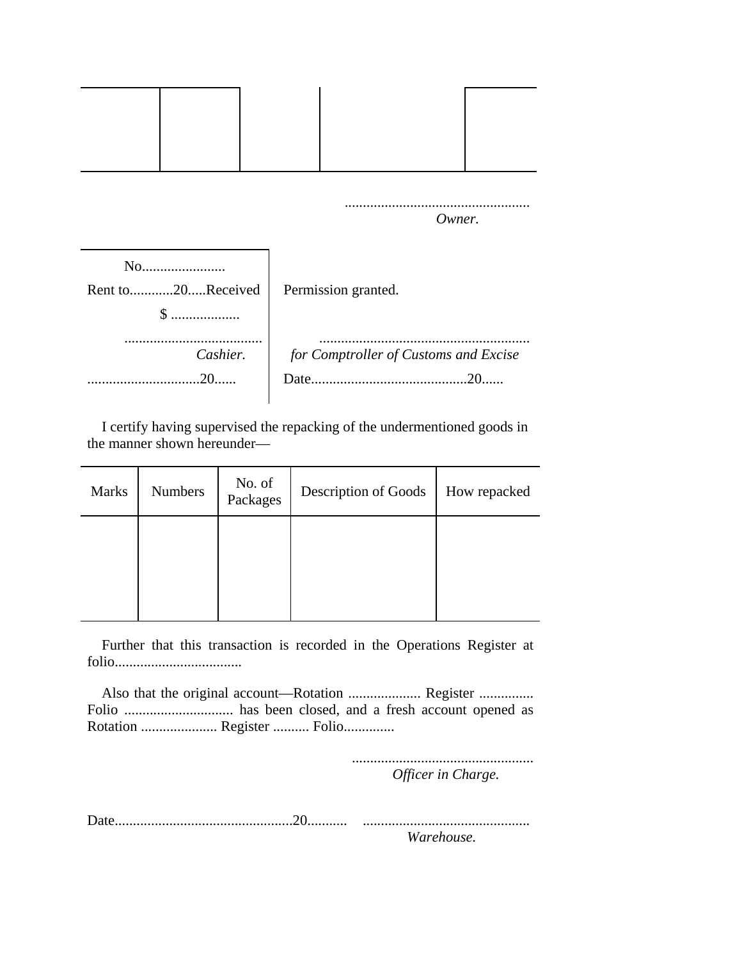|                             |  |                     | Owner. |                                       |
|-----------------------------|--|---------------------|--------|---------------------------------------|
| No                          |  |                     |        |                                       |
| Rent to20Received<br>$\$\,$ |  | Permission granted. |        |                                       |
|                             |  |                     |        |                                       |
| Cashier.                    |  |                     |        | for Comptroller of Customs and Excise |
| .20.                        |  |                     |        |                                       |

I certify having supervised the repacking of the undermentioned goods in the manner shown hereunder—

| <b>Marks</b> | <b>Numbers</b> | No. of<br>Packages | Description of Goods | How repacked |
|--------------|----------------|--------------------|----------------------|--------------|
|              |                |                    |                      |              |
|              |                |                    |                      |              |

Further that this transaction is recorded in the Operations Register at folio...................................

Also that the original account—Rotation .......................... Register ................ Folio .............................. has been closed, and a fresh account opened as Rotation ..................... Register .......... Folio..............

> .................................................. *Officer in Charge.*

Date.................................................20........... .............................................. *Warehouse.*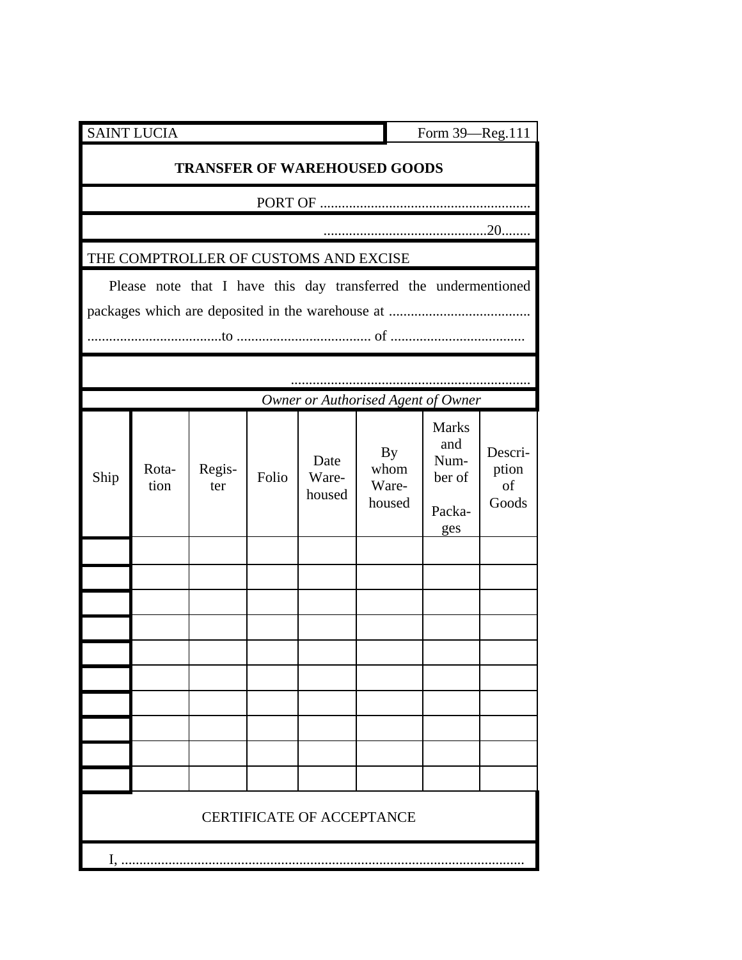|      | <b>SAINT LUCIA</b>                    |               |       |                         |                                                                 | Form 39-Reg.111                                 |                                 |
|------|---------------------------------------|---------------|-------|-------------------------|-----------------------------------------------------------------|-------------------------------------------------|---------------------------------|
|      |                                       |               |       |                         | <b>TRANSFER OF WAREHOUSED GOODS</b>                             |                                                 |                                 |
|      |                                       |               |       |                         |                                                                 |                                                 |                                 |
|      |                                       |               |       |                         |                                                                 |                                                 |                                 |
|      | THE COMPTROLLER OF CUSTOMS AND EXCISE |               |       |                         |                                                                 |                                                 |                                 |
|      |                                       |               |       |                         | Please note that I have this day transferred the undermentioned |                                                 |                                 |
|      |                                       |               |       |                         |                                                                 |                                                 |                                 |
|      |                                       |               |       |                         | Owner or Authorised Agent of Owner                              |                                                 |                                 |
| Ship | Rota-<br>tion                         | Regis-<br>ter | Folio | Date<br>Ware-<br>housed | By<br>whom<br>Ware-<br>housed                                   | Marks<br>and<br>Num-<br>ber of<br>Packa-<br>ges | Descri-<br>ption<br>of<br>Goods |
|      |                                       |               |       |                         |                                                                 |                                                 |                                 |
|      |                                       |               |       |                         |                                                                 |                                                 |                                 |
|      |                                       |               |       |                         |                                                                 |                                                 |                                 |
|      |                                       |               |       |                         |                                                                 |                                                 |                                 |
|      |                                       |               |       |                         |                                                                 |                                                 |                                 |
|      |                                       |               |       |                         |                                                                 |                                                 |                                 |
|      |                                       |               |       |                         |                                                                 |                                                 |                                 |
|      |                                       |               |       |                         |                                                                 |                                                 |                                 |
|      |                                       |               |       |                         | <b>CERTIFICATE OF ACCEPTANCE</b>                                |                                                 |                                 |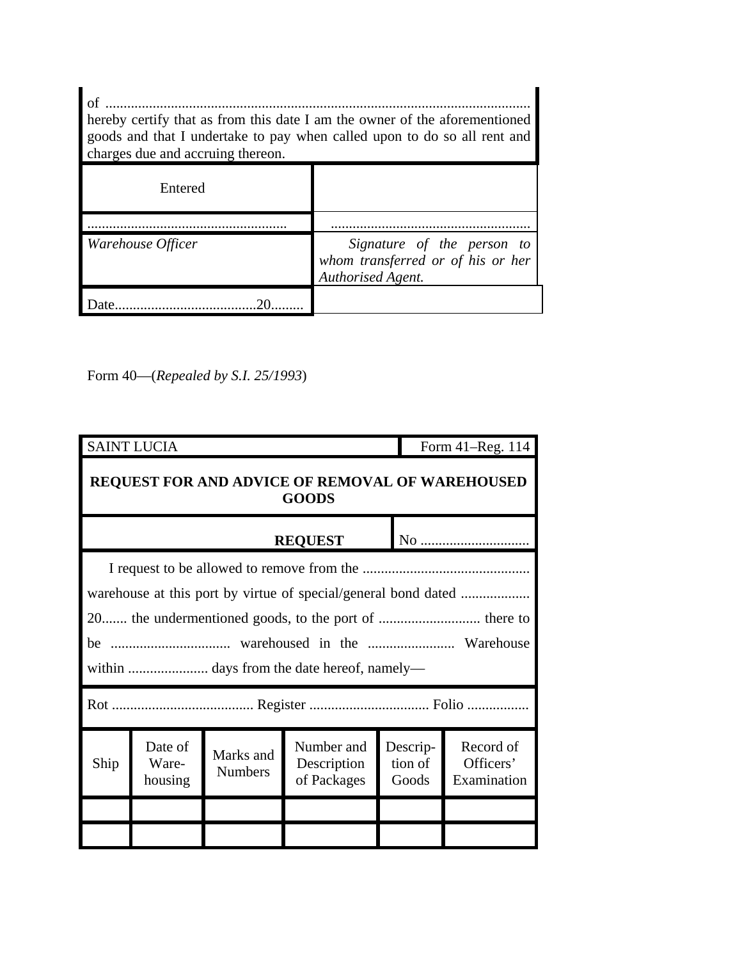| of<br>hereby certify that as from this date I am the owner of the aforementioned<br>goods and that I undertake to pay when called upon to do so all rent and<br>charges due and accruing thereon. |                                                                                      |  |  |
|---------------------------------------------------------------------------------------------------------------------------------------------------------------------------------------------------|--------------------------------------------------------------------------------------|--|--|
| Entered                                                                                                                                                                                           |                                                                                      |  |  |
| Warehouse Officer                                                                                                                                                                                 | Signature of the person to<br>whom transferred or of his or her<br>Authorised Agent. |  |  |
|                                                                                                                                                                                                   |                                                                                      |  |  |

Form 40—(*Repealed by S.I. 25/1993*)

|                                                                 | <b>SAINT LUCIA</b>          |                             |                                                                |                              | Form 41–Reg. 114                      |
|-----------------------------------------------------------------|-----------------------------|-----------------------------|----------------------------------------------------------------|------------------------------|---------------------------------------|
| REQUEST FOR AND ADVICE OF REMOVAL OF WAREHOUSED<br><b>GOODS</b> |                             |                             |                                                                |                              |                                       |
|                                                                 |                             |                             | <b>REQUEST</b>                                                 |                              |                                       |
|                                                                 |                             |                             |                                                                |                              |                                       |
|                                                                 |                             |                             | warehouse at this port by virtue of special/general bond dated |                              |                                       |
|                                                                 |                             |                             |                                                                |                              |                                       |
|                                                                 |                             |                             |                                                                |                              |                                       |
|                                                                 |                             |                             |                                                                |                              |                                       |
|                                                                 |                             |                             |                                                                |                              |                                       |
| Ship                                                            | Date of<br>Ware-<br>housing | Marks and<br><b>Numbers</b> | Number and<br>Description<br>of Packages                       | Descrip-<br>tion of<br>Goods | Record of<br>Officers'<br>Examination |
|                                                                 |                             |                             |                                                                |                              |                                       |
|                                                                 |                             |                             |                                                                |                              |                                       |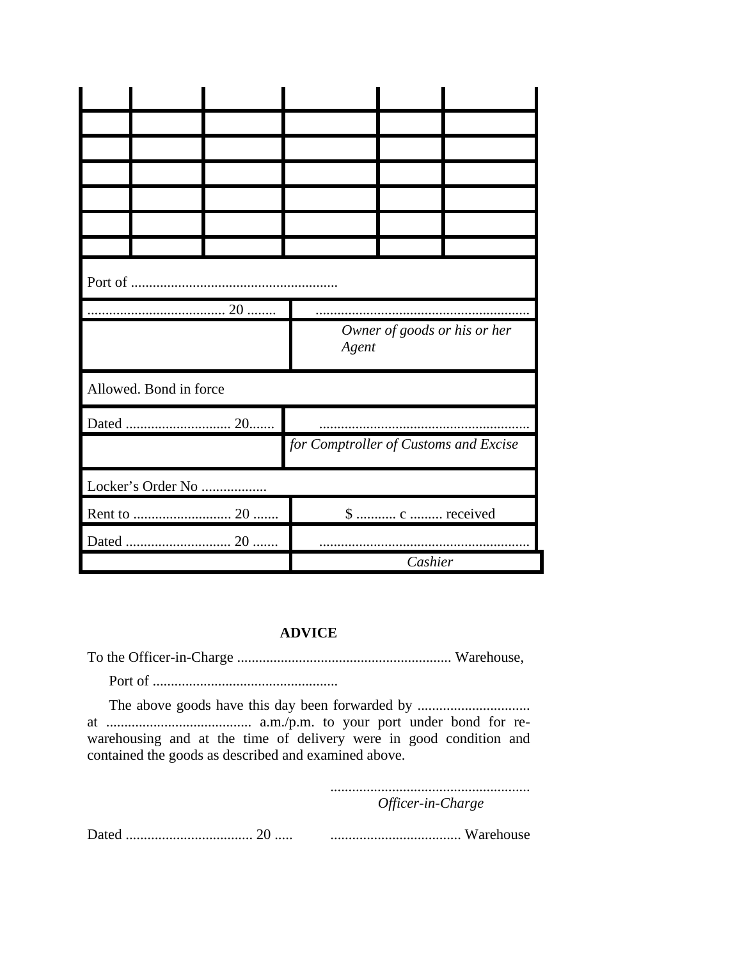|  |                        | Agent |                                       | Owner of goods or his or her |  |
|--|------------------------|-------|---------------------------------------|------------------------------|--|
|  | Allowed. Bond in force |       |                                       |                              |  |
|  |                        |       |                                       |                              |  |
|  |                        |       | for Comptroller of Customs and Excise |                              |  |
|  | Locker's Order No      |       |                                       |                              |  |
|  |                        |       |                                       | \$  c  received              |  |
|  |                        |       |                                       |                              |  |
|  |                        |       |                                       | Cashier                      |  |

## **ADVICE**

warehousing and at the time of delivery were in good condition and contained the goods as described and examined above.

> Officer-in-Charge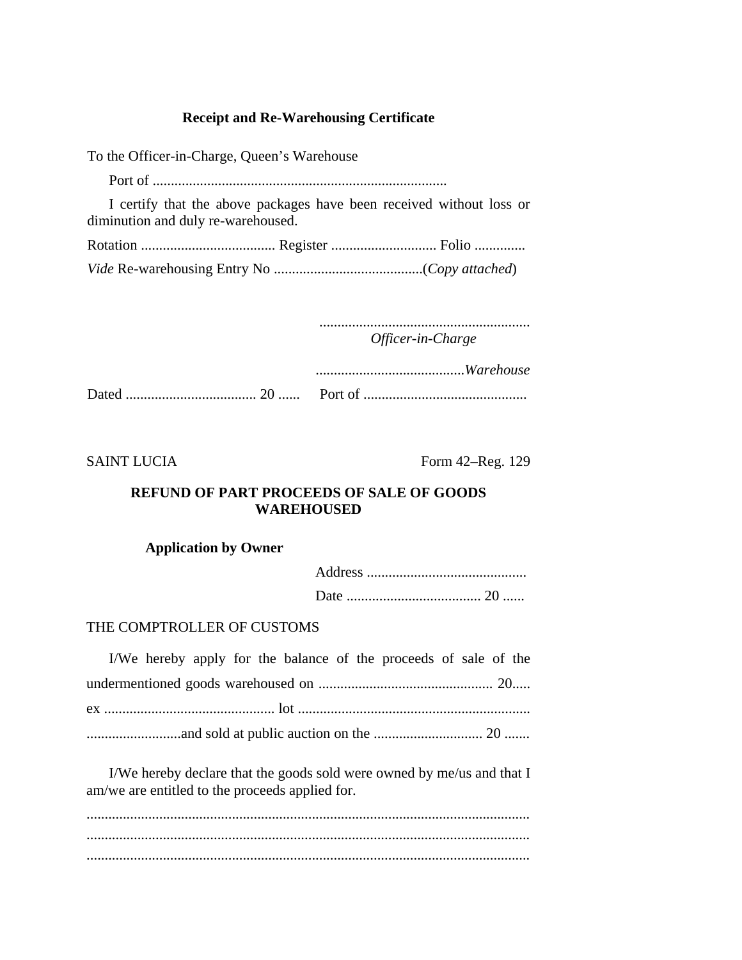### **Receipt and Re-Warehousing Certificate**

To the Officer-in-Charge, Queen's Warehouse Port of ................................................................................. I certify that the above packages have been received without loss or diminution and duly re-warehoused. Rotation ..................................... Register ............................. Folio .............. *Vide* Re-warehousing Entry No .........................................(*Copy attached*)

> .......................................................... *Officer-in-Charge*

| Port of |
|---------|

SAINT LUCIA Form 42–Reg. 129

## **REFUND OF PART PROCEEDS OF SALE OF GOODS WAREHOUSED**

### **Application by Owner**

#### THE COMPTROLLER OF CUSTOMS

| I/We hereby apply for the balance of the proceeds of sale of the |  |  |  |  |  |
|------------------------------------------------------------------|--|--|--|--|--|
|                                                                  |  |  |  |  |  |
|                                                                  |  |  |  |  |  |
|                                                                  |  |  |  |  |  |

I/We hereby declare that the goods sold were owned by me/us and that I am/we are entitled to the proceeds applied for.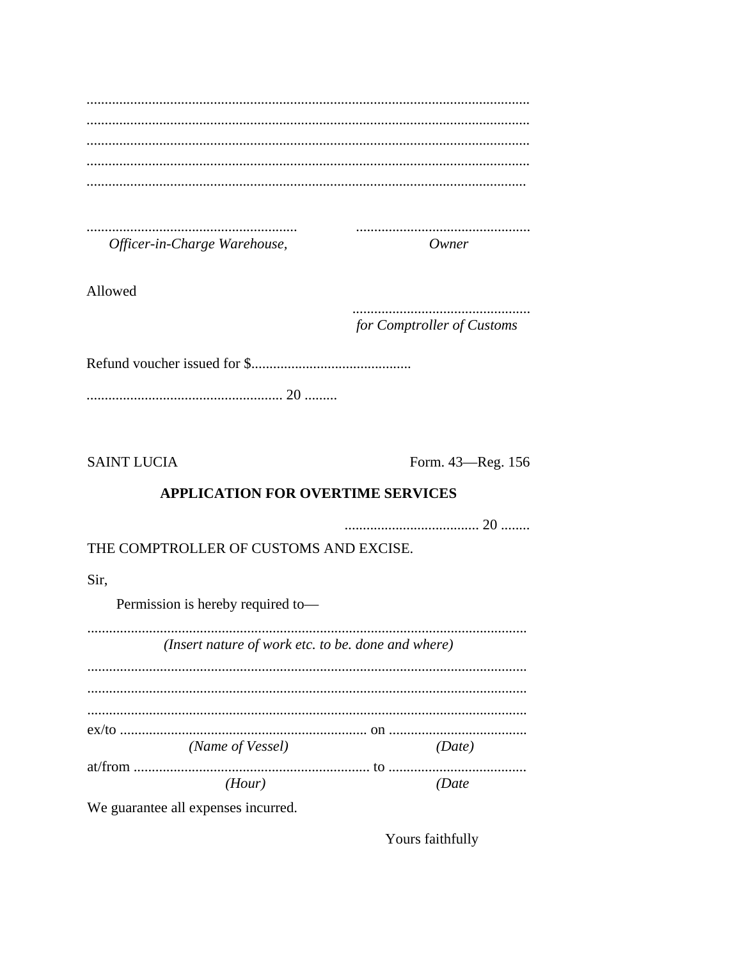|  |  | Officer-in-Charge Warehouse, |  |
|--|--|------------------------------|--|

Owner

Allowed

for Comptroller of Customs

**SAINT LUCIA** 

Form. 43-Reg. 156

# **APPLICATION FOR OVERTIME SERVICES**

THE COMPTROLLER OF CUSTOMS AND EXCISE.

Sir,

Permission is hereby required to-

| (Insert nature of work etc. to be. done and where) |        |
|----------------------------------------------------|--------|
|                                                    |        |
|                                                    |        |
| (Name of Vessel)                                   | (Date) |
| (Hour)                                             |        |

We guarantee all expenses incurred.

Yours faithfully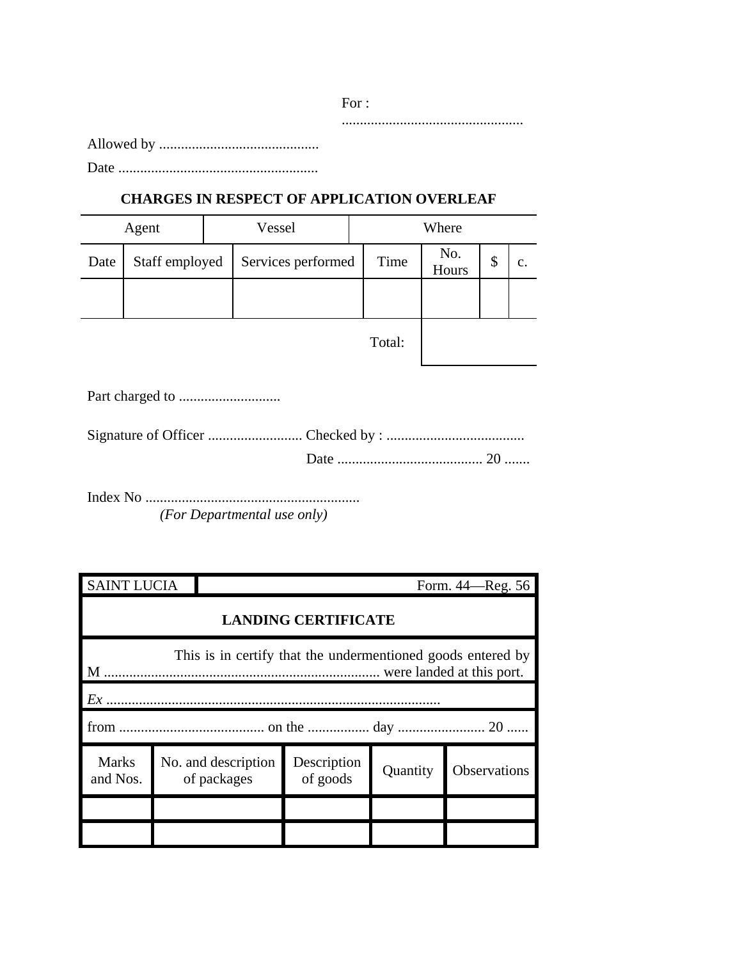Allowed by ............................................

Date .......................................................

# **CHARGES IN RESPECT OF APPLICATION OVERLEAF**

| Agent |                | Vessel |                    | Where |        |              |    |    |
|-------|----------------|--------|--------------------|-------|--------|--------------|----|----|
| Date  | Staff employed |        | Services performed |       | Time   | No.<br>Hours | \$ | c. |
|       |                |        |                    |       |        |              |    |    |
|       |                |        |                    |       | Total: |              |    |    |

Part charged to ............................

Index No ........................................................... *(For Departmental use only)*

| <b>SAINT LUCIA</b>                                               |  |                                    |                         |          | Form. 44—Reg. 56 |  |  |  |
|------------------------------------------------------------------|--|------------------------------------|-------------------------|----------|------------------|--|--|--|
| <b>LANDING CERTIFICATE</b>                                       |  |                                    |                         |          |                  |  |  |  |
| This is in certify that the undermentioned goods entered by<br>M |  |                                    |                         |          |                  |  |  |  |
| Ex                                                               |  |                                    |                         |          |                  |  |  |  |
|                                                                  |  |                                    |                         |          |                  |  |  |  |
| <b>Marks</b><br>and Nos.                                         |  | No. and description<br>of packages | Description<br>of goods | Quantity | Observations     |  |  |  |
|                                                                  |  |                                    |                         |          |                  |  |  |  |
|                                                                  |  |                                    |                         |          |                  |  |  |  |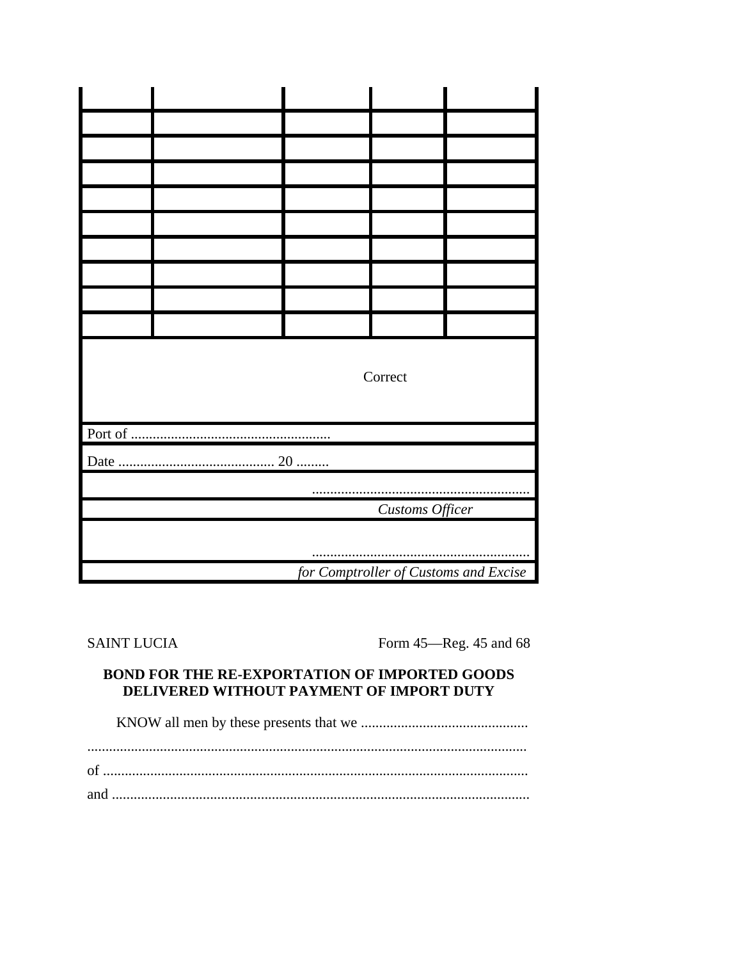|  |                 |  | Correct                               |  |  |  |  |  |  |  |
|--|-----------------|--|---------------------------------------|--|--|--|--|--|--|--|
|  |                 |  |                                       |  |  |  |  |  |  |  |
|  |                 |  |                                       |  |  |  |  |  |  |  |
|  |                 |  |                                       |  |  |  |  |  |  |  |
|  | Customs Officer |  |                                       |  |  |  |  |  |  |  |
|  |                 |  |                                       |  |  |  |  |  |  |  |
|  |                 |  | for Comptroller of Customs and Excise |  |  |  |  |  |  |  |

**SAINT LUCIA** 

Form 45-Reg. 45 and 68

# **BOND FOR THE RE-EXPORTATION OF IMPORTED GOODS** DELIVERED WITHOUT PAYMENT OF IMPORT DUTY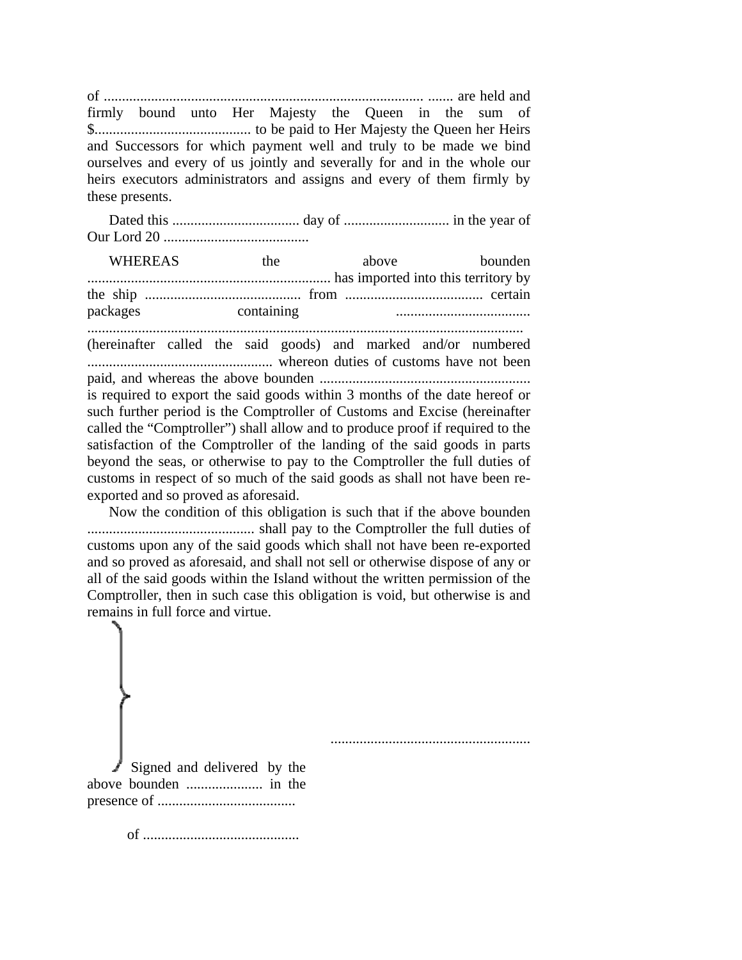of ........................................................................................ ....... are held and firmly bound unto Her Majesty the Queen in the sum of \$........................................... to be paid to Her Majesty the Queen her Heirs and Successors for which payment well and truly to be made we bind ourselves and every of us jointly and severally for and in the whole our heirs executors administrators and assigns and every of them firmly by these presents.

Dated this ................................... day of ............................. in the year of Our Lord 20 ........................................

WHEREAS the above bounden ................................................................... has imported into this territory by the ship ........................................... from ...................................... certain packages containing ..................................... ........................................................................................................................ (hereinafter called the said goods) and marked and/or numbered ................................................... whereon duties of customs have not been paid, and whereas the above bounden .......................................................... is required to export the said goods within 3 months of the date hereof or such further period is the Comptroller of Customs and Excise (hereinafter called the "Comptroller") shall allow and to produce proof if required to the satisfaction of the Comptroller of the landing of the said goods in parts beyond the seas, or otherwise to pay to the Comptroller the full duties of customs in respect of so much of the said goods as shall not have been reexported and so proved as aforesaid.

Now the condition of this obligation is such that if the above bounden .............................................. shall pay to the Comptroller the full duties of customs upon any of the said goods which shall not have been re-exported and so proved as aforesaid, and shall not sell or otherwise dispose of any or all of the said goods within the Island without the written permission of the Comptroller, then in such case this obligation is void, but otherwise is and remains in full force and virtue.



Signed and delivered by the above bounden ..................... in the presence of ......................................

of ...........................................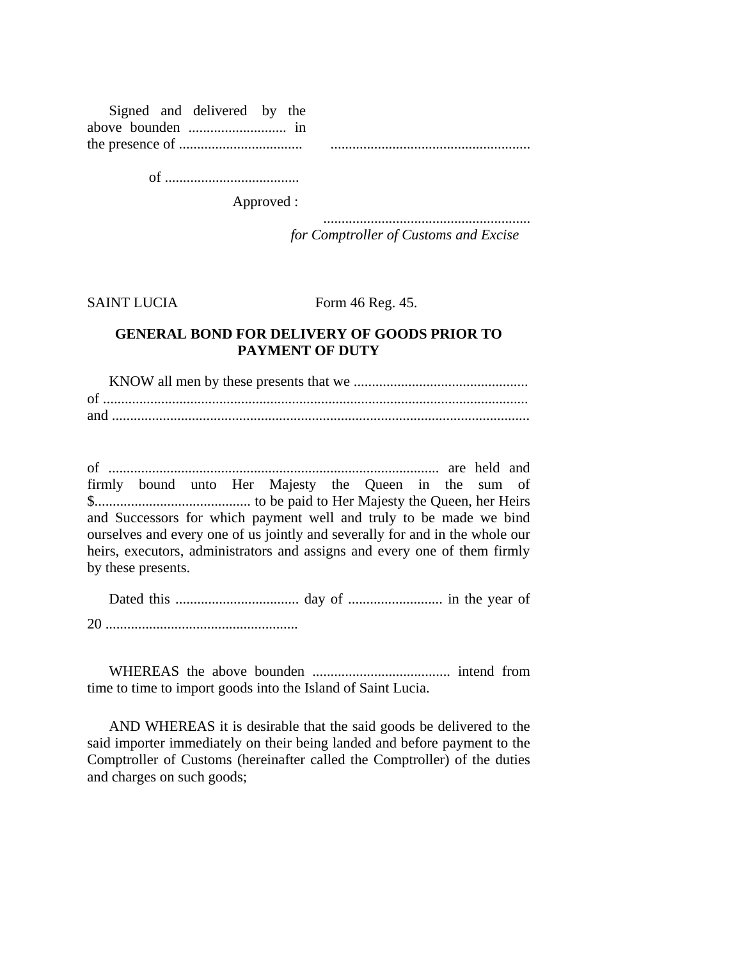|  | Signed and delivered by the |  |  |
|--|-----------------------------|--|--|
|  |                             |  |  |
|  |                             |  |  |

of .....................................

Approved :

......................................................... *for Comptroller of Customs and Excise*

SAINT LUCIA Form 46 Reg. 45.

## **GENERAL BOND FOR DELIVERY OF GOODS PRIOR TO PAYMENT OF DUTY**

KNOW all men by these presents that we ................................................ of ..................................................................................................................... and ...................................................................................................................

of ........................................................................................... are held and firmly bound unto Her Majesty the Queen in the sum of \$........................................... to be paid to Her Majesty the Queen, her Heirs and Successors for which payment well and truly to be made we bind ourselves and every one of us jointly and severally for and in the whole our heirs, executors, administrators and assigns and every one of them firmly by these presents.

| or |  |  |  |  |
|----|--|--|--|--|

WHEREAS the above bounden ...................................... intend from time to time to import goods into the Island of Saint Lucia.

AND WHEREAS it is desirable that the said goods be delivered to the said importer immediately on their being landed and before payment to the Comptroller of Customs (hereinafter called the Comptroller) of the duties and charges on such goods;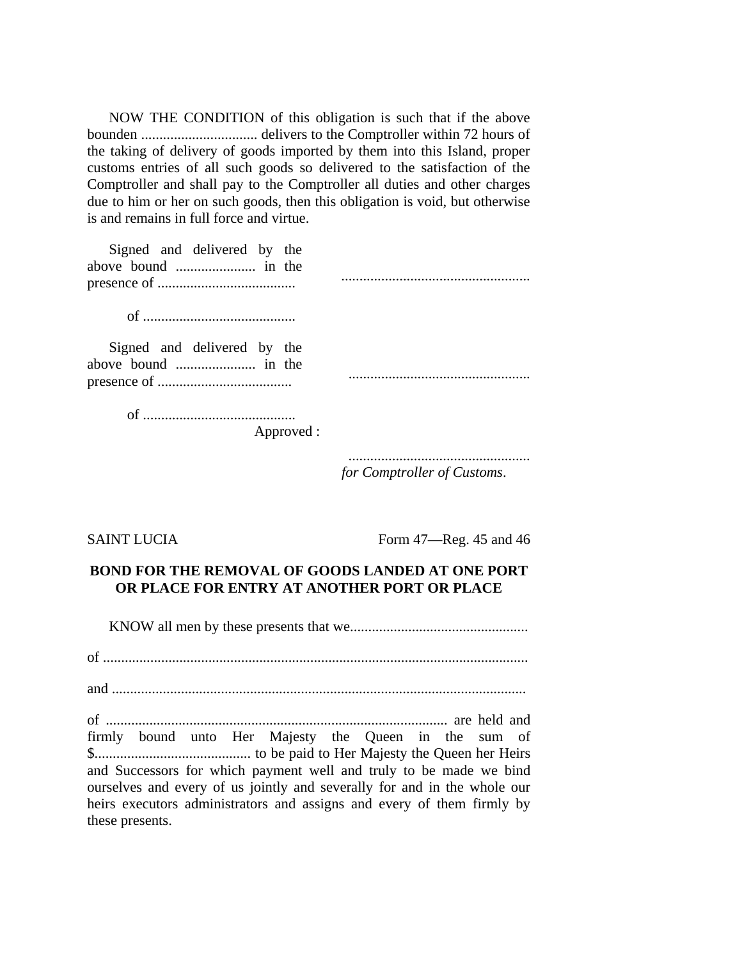NOW THE CONDITION of this obligation is such that if the above bounden ................................ delivers to the Comptroller within 72 hours of the taking of delivery of goods imported by them into this Island, proper customs entries of all such goods so delivered to the satisfaction of the Comptroller and shall pay to the Comptroller all duties and other charges due to him or her on such goods, then this obligation is void, but otherwise is and remains in full force and virtue.

| Signed and delivered by the |  |
|-----------------------------|--|
|                             |  |
|                             |  |

of ..........................................

Signed and delivered by the above bound ...................... in the presence of .....................................

of ..........................................

Approved :

..................................................

..................................................

*for Comptroller of Customs*.

SAINT LUCIA Form 47—Reg. 45 and 46

# **BOND FOR THE REMOVAL OF GOODS LANDED AT ONE PORT OR PLACE FOR ENTRY AT ANOTHER PORT OR PLACE**

KNOW all men by these presents that we.................................................

of .....................................................................................................................

and ..................................................................................................................

of .............................................................................................. are held and firmly bound unto Her Majesty the Queen in the sum of \$........................................... to be paid to Her Majesty the Queen her Heirs and Successors for which payment well and truly to be made we bind ourselves and every of us jointly and severally for and in the whole our heirs executors administrators and assigns and every of them firmly by these presents.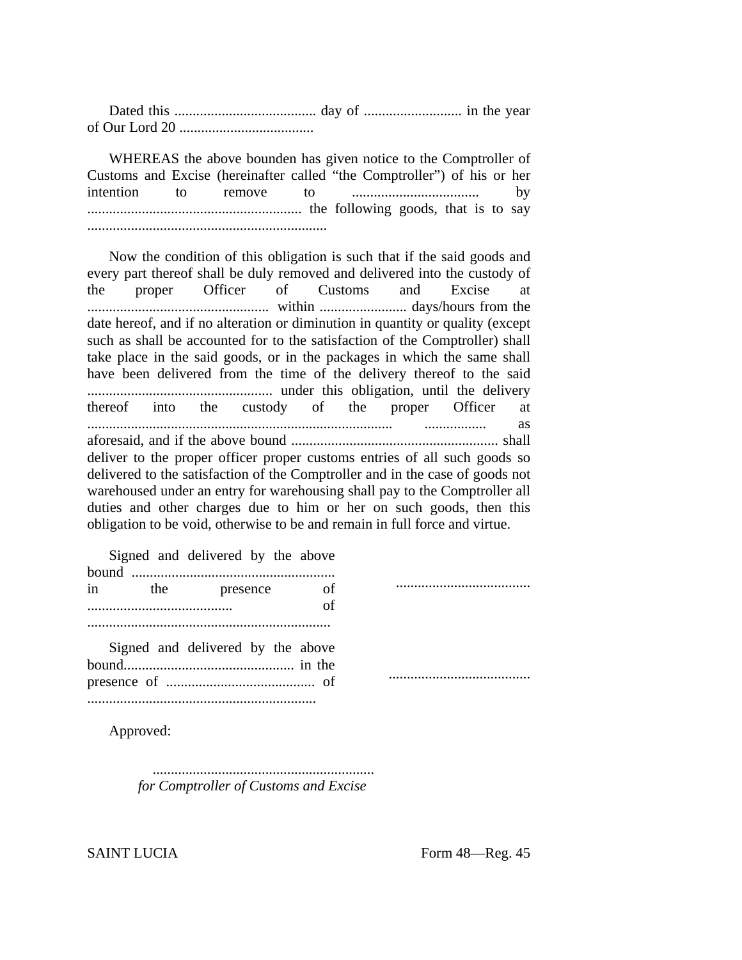Dated this ....................................... day of ........................... in the year of Our Lord 20 .....................................

WHEREAS the above bounden has given notice to the Comptroller of Customs and Excise (hereinafter called "the Comptroller") of his or her intention to remove to ................................... by ........................................................... the following goods, that is to say ..................................................................

Now the condition of this obligation is such that if the said goods and every part thereof shall be duly removed and delivered into the custody of the proper Officer of Customs and Excise at .................................................. within ........................ days/hours from the date hereof, and if no alteration or diminution in quantity or quality (except such as shall be accounted for to the satisfaction of the Comptroller) shall take place in the said goods, or in the packages in which the same shall have been delivered from the time of the delivery thereof to the said ................................................... under this obligation, until the delivery thereof into the custody of the proper Officer at .................................................................................... ................. as aforesaid, and if the above bound ......................................................... shall deliver to the proper officer proper customs entries of all such goods so delivered to the satisfaction of the Comptroller and in the case of goods not warehoused under an entry for warehousing shall pay to the Comptroller all duties and other charges due to him or her on such goods, then this obligation to be void, otherwise to be and remain in full force and virtue.

Signed and delivered by the above

| $in$ $\Box$ | the | presence                          | of |  |
|-------------|-----|-----------------------------------|----|--|
|             |     |                                   | of |  |
|             |     | Signed and delivered by the above |    |  |
|             |     |                                   |    |  |
|             |     |                                   |    |  |

Approved:

............................................................. *for Comptroller of Customs and Excise*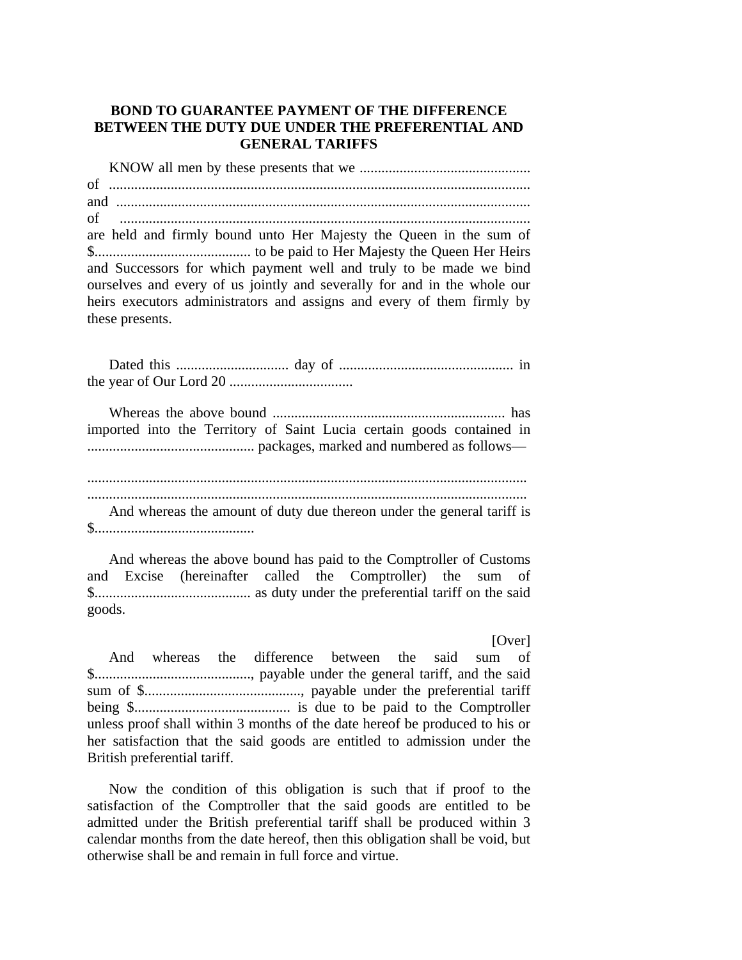## **BOND TO GUARANTEE PAYMENT OF THE DIFFERENCE BETWEEN THE DUTY DUE UNDER THE PREFERENTIAL AND GENERAL TARIFFS**

KNOW all men by these presents that we ............................................... of .................................................................................................................... and .................................................................................................................. of ................................................................................................................. are held and firmly bound unto Her Majesty the Queen in the sum of \$........................................... to be paid to Her Majesty the Queen Her Heirs and Successors for which payment well and truly to be made we bind ourselves and every of us jointly and severally for and in the whole our heirs executors administrators and assigns and every of them firmly by these presents.

Dated this ............................... day of ................................................ in the year of Our Lord 20 ..................................

Whereas the above bound ................................................................ has imported into the Territory of Saint Lucia certain goods contained in .............................................. packages, marked and numbered as follows—

.........................................................................................................................

......................................................................................................................... And whereas the amount of duty due thereon under the general tariff is \$............................................

And whereas the above bound has paid to the Comptroller of Customs and Excise (hereinafter called the Comptroller) the sum of \$........................................... as duty under the preferential tariff on the said goods.

[Over]

And whereas the difference between the said sum of \$..........................................., payable under the general tariff, and the said sum of \$..........................................., payable under the preferential tariff being \$........................................... is due to be paid to the Comptroller unless proof shall within 3 months of the date hereof be produced to his or her satisfaction that the said goods are entitled to admission under the British preferential tariff.

Now the condition of this obligation is such that if proof to the satisfaction of the Comptroller that the said goods are entitled to be admitted under the British preferential tariff shall be produced within 3 calendar months from the date hereof, then this obligation shall be void, but otherwise shall be and remain in full force and virtue.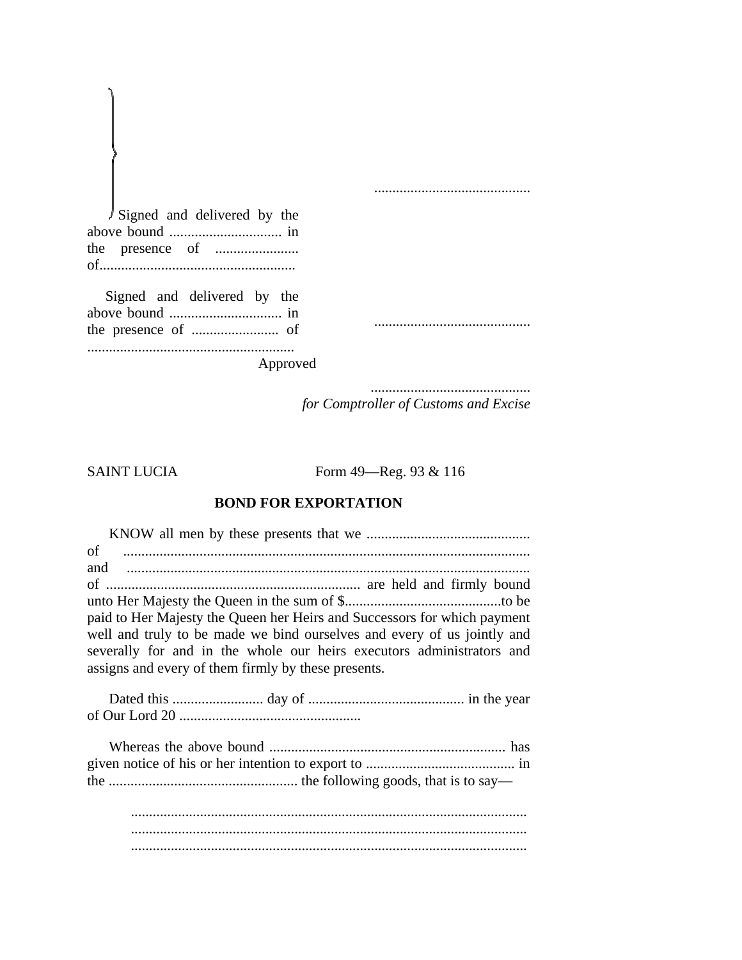Signed and delivered by the above bound ............................... in the presence of ....................... of......................................................

Signed and delivered by the above bound ............................... in the presence of ........................ of .........................................................

Approved

............................................ *for Comptroller of Customs and Excise*

...........................................

...........................................

SAINT LUCIA Form 49—Reg. 93 & 116

# **BOND FOR EXPORTATION**

KNOW all men by these presents that we ............................................. of ................................................................................................................ and ............................................................................................................... of ...................................................................... are held and firmly bound unto Her Majesty the Queen in the sum of \$...........................................to be paid to Her Majesty the Queen her Heirs and Successors for which payment well and truly to be made we bind ourselves and every of us jointly and severally for and in the whole our heirs executors administrators and assigns and every of them firmly by these presents.

Dated this ......................... day of ........................................... in the year of Our Lord 20 ..................................................

............................................................................................................. ............................................................................................................. .............................................................................................................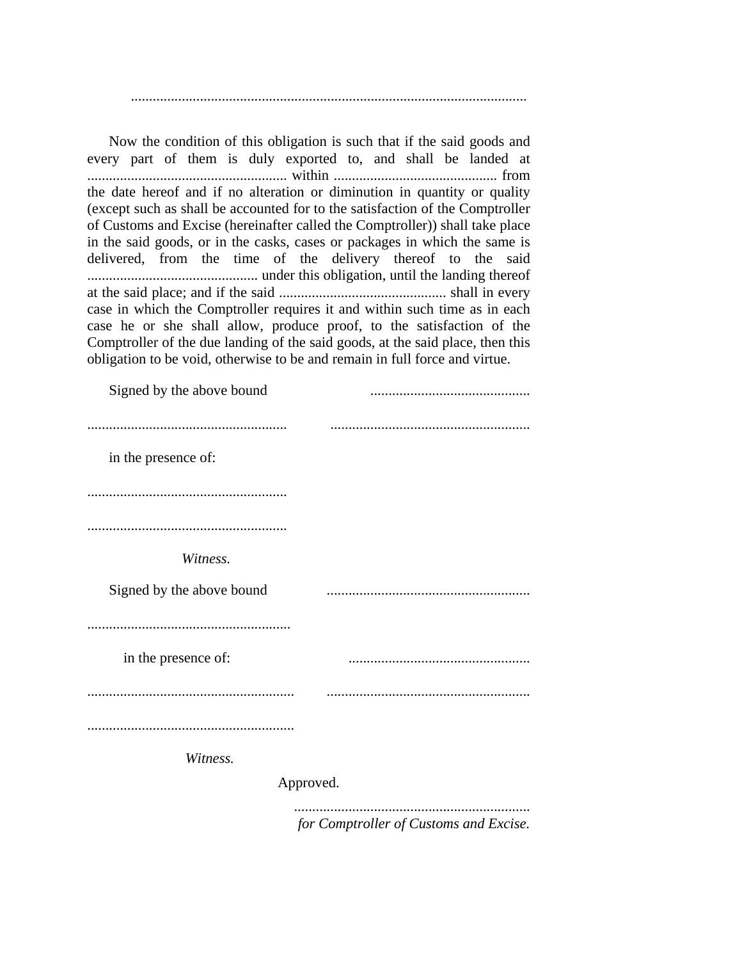.............................................................................................................

Now the condition of this obligation is such that if the said goods and every part of them is duly exported to, and shall be landed at ....................................................... within ............................................. from the date hereof and if no alteration or diminution in quantity or quality (except such as shall be accounted for to the satisfaction of the Comptroller of Customs and Excise (hereinafter called the Comptroller)) shall take place in the said goods, or in the casks, cases or packages in which the same is delivered, from the time of the delivery thereof to the said ............................................... under this obligation, until the landing thereof at the said place; and if the said .............................................. shall in every case in which the Comptroller requires it and within such time as in each case he or she shall allow, produce proof, to the satisfaction of the Comptroller of the due landing of the said goods, at the said place, then this obligation to be void, otherwise to be and remain in full force and virtue.

| Signed by the above bound |           |
|---------------------------|-----------|
|                           |           |
| in the presence of:       |           |
|                           |           |
|                           |           |
| Witness.                  |           |
| Signed by the above bound |           |
|                           |           |
| in the presence of:       |           |
|                           |           |
|                           |           |
| Witness.                  |           |
|                           | Approved. |
|                           |           |

*for Comptroller of Customs and Excise.*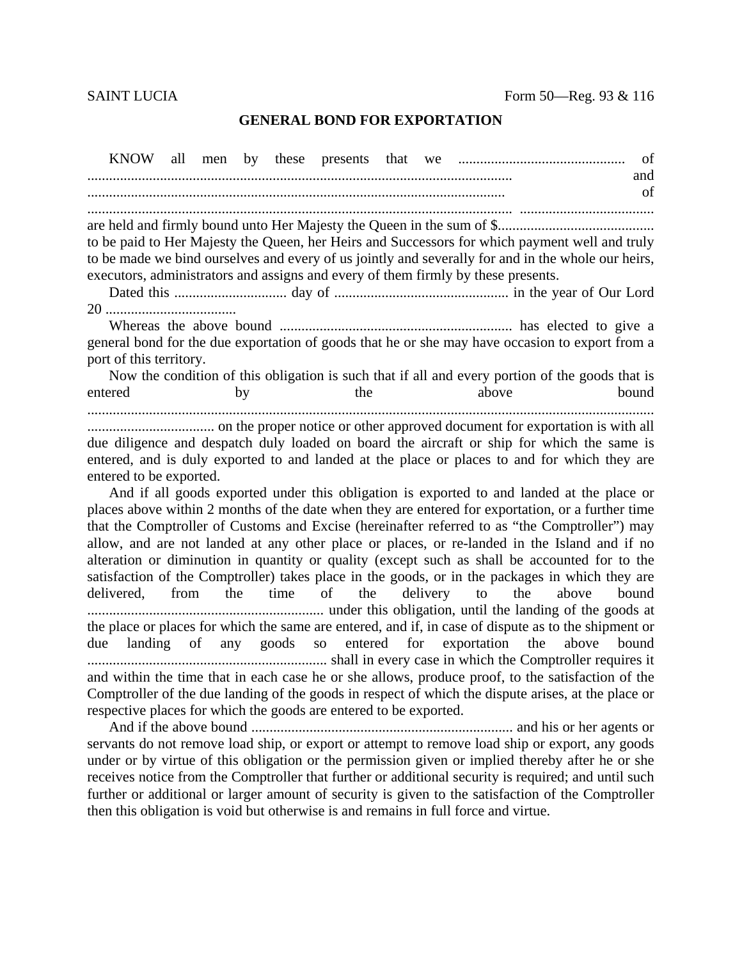## **GENERAL BOND FOR EXPORTATION**

**KNOW** all by these presents men of and of to be paid to Her Majesty the Queen, her Heirs and Successors for which payment well and truly to be made we bind ourselves and every of us jointly and severally for and in the whole our heirs, executors, administrators and assigns and every of them firmly by these presents. general bond for the due exportation of goods that he or she may have occasion to export from a port of this territory. Now the condition of this obligation is such that if all and every portion of the goods that is entered the above **bound** by due diligence and despatch duly loaded on board the aircraft or ship for which the same is entered, and is duly exported to and landed at the place or places to and for which they are entered to be exported. And if all goods exported under this obligation is exported to and landed at the place or places above within 2 months of the date when they are entered for exportation, or a further time that the Comptroller of Customs and Excise (hereinafter referred to as "the Comptroller") may allow, and are not landed at any other place or places, or re-landed in the Island and if no alteration or diminution in quantity or quality (except such as shall be accounted for to the satisfaction of the Comptroller) takes place in the goods, or in the packages in which they are

delivered. from the time  $\alpha$ f delivery above bound the  $\mathsf{to}$ the the place or places for which the same are entered, and if, in case of dispute as to the shipment or goods for exportation due landing of any  $SO<sub>2</sub>$ entered the above **bound** and within the time that in each case he or she allows, produce proof, to the satisfaction of the Comptroller of the due landing of the goods in respect of which the dispute arises, at the place or respective places for which the goods are entered to be exported.

servants do not remove load ship, or export or attempt to remove load ship or export, any goods under or by virtue of this obligation or the permission given or implied thereby after he or she receives notice from the Comptroller that further or additional security is required; and until such further or additional or larger amount of security is given to the satisfaction of the Comptroller then this obligation is void but otherwise is and remains in full force and virtue.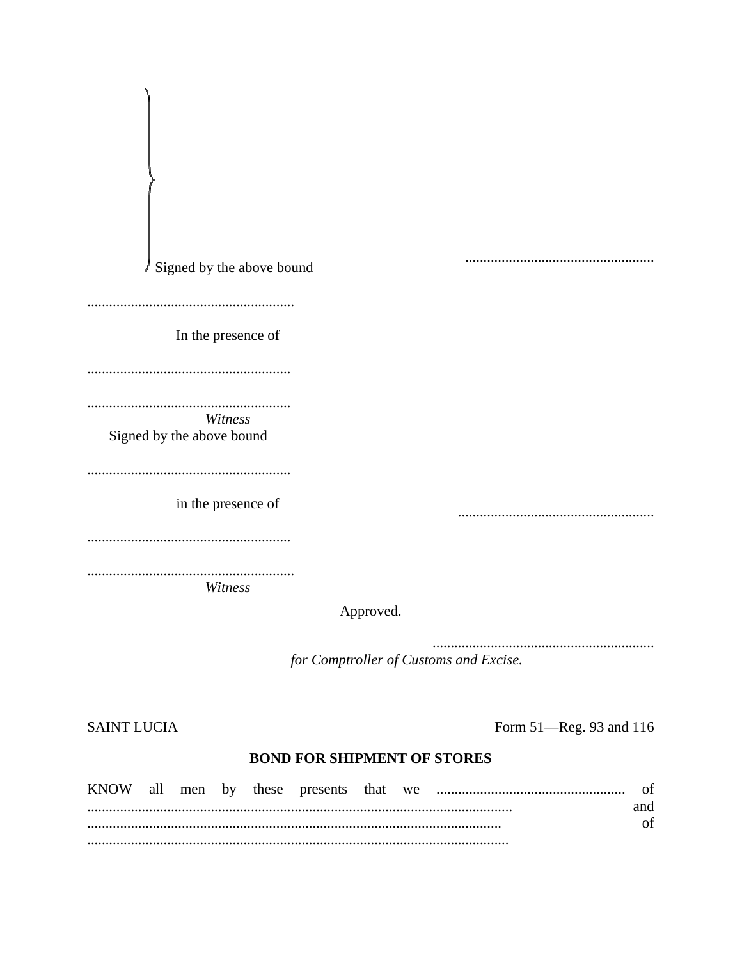| Signed by the above bound<br>J,      |           |  |
|--------------------------------------|-----------|--|
|                                      |           |  |
|                                      |           |  |
| In the presence of                   |           |  |
|                                      |           |  |
|                                      |           |  |
| .                                    |           |  |
| Witness<br>Signed by the above bound |           |  |
|                                      |           |  |
|                                      |           |  |
| in the presence of                   |           |  |
|                                      |           |  |
|                                      |           |  |
|                                      |           |  |
| Witness                              |           |  |
|                                      | Approved. |  |
|                                      |           |  |

for Comptroller of Customs and Excise.

**SAINT LUCIA** 

Form 51-Reg. 93 and 116

# **BOND FOR SHIPMENT OF STORES**

| <b>KNOW</b> | all | men by |  | these presents that we |  |     |
|-------------|-----|--------|--|------------------------|--|-----|
|             |     |        |  |                        |  | and |
|             |     |        |  |                        |  |     |
|             |     |        |  |                        |  |     |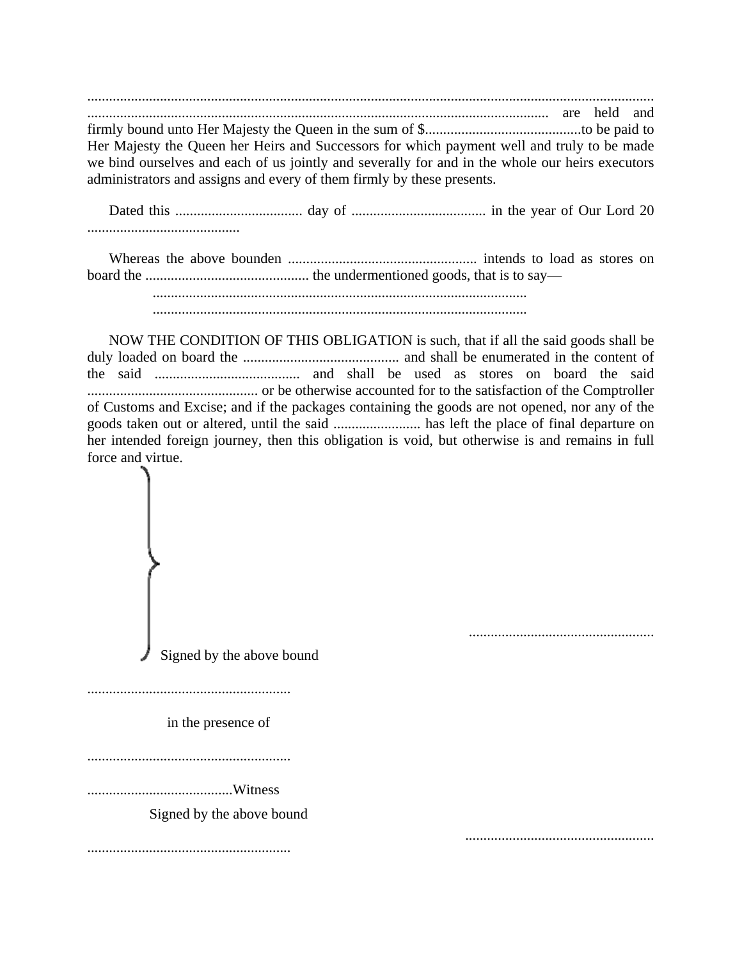............................................................................................................................................................ ............................................................................................................................... are held and firmly bound unto Her Majesty the Queen in the sum of \$...........................................to be paid to Her Majesty the Queen her Heirs and Successors for which payment well and truly to be made we bind ourselves and each of us jointly and severally for and in the whole our heirs executors administrators and assigns and every of them firmly by these presents.

Dated this ................................... day of ..................................... in the year of Our Lord 20 ..........................................

Whereas the above bounden .................................................... intends to load as stores on board the ............................................. the undermentioned goods, that is to say— .......................................................................................................

.......................................................................................................

NOW THE CONDITION OF THIS OBLIGATION is such, that if all the said goods shall be duly loaded on board the ........................................... and shall be enumerated in the content of the said ........................................ and shall be used as stores on board the said ............................................... or be otherwise accounted for to the satisfaction of the Comptroller of Customs and Excise; and if the packages containing the goods are not opened, nor any of the goods taken out or altered, until the said ........................ has left the place of final departure on her intended foreign journey, then this obligation is void, but otherwise is and remains in full force and virtue.

Signed by the above bound

...................................................

........................................................

in the presence of

........................................................

........................................Witness

Signed by the above bound

........................................................ ....................................................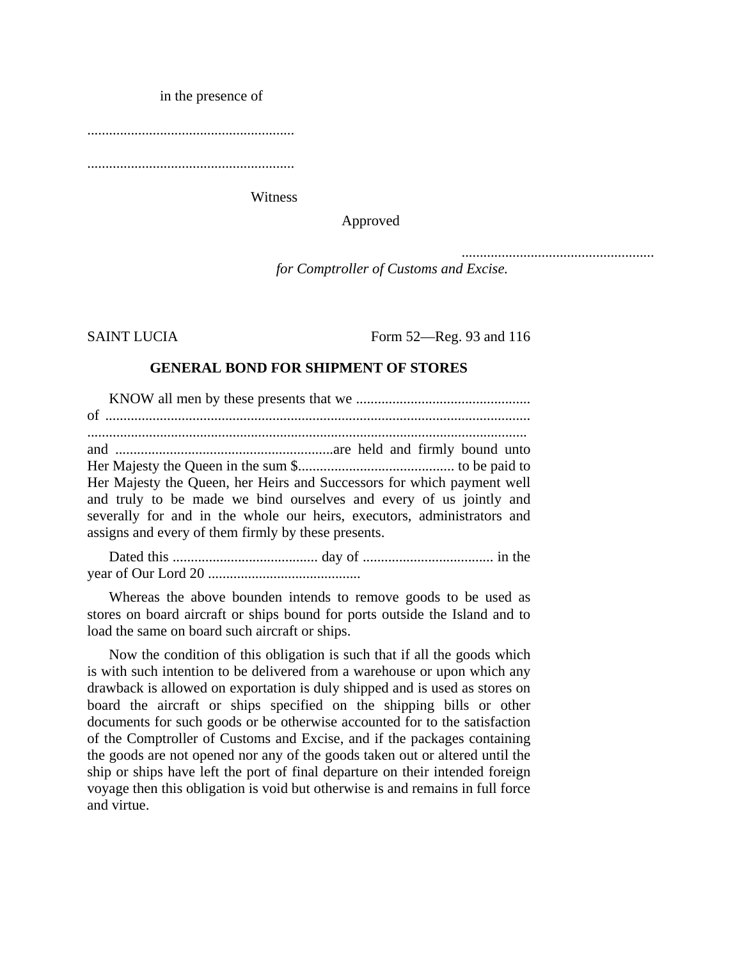in the presence of

.........................................................

.........................................................

Witness

Approved

*for Comptroller of Customs and Excise.*

SAINT LUCIA Form 52—Reg. 93 and 116

.....................................................

#### **GENERAL BOND FOR SHIPMENT OF STORES**

KNOW all men by these presents that we ................................................ of ..................................................................................................................... ......................................................................................................................... and ............................................................are held and firmly bound unto Her Majesty the Queen in the sum \$........................................... to be paid to Her Majesty the Queen, her Heirs and Successors for which payment well and truly to be made we bind ourselves and every of us jointly and severally for and in the whole our heirs, executors, administrators and assigns and every of them firmly by these presents.

Dated this ........................................ day of .................................... in the year of Our Lord 20 ..........................................

Whereas the above bounden intends to remove goods to be used as stores on board aircraft or ships bound for ports outside the Island and to load the same on board such aircraft or ships.

Now the condition of this obligation is such that if all the goods which is with such intention to be delivered from a warehouse or upon which any drawback is allowed on exportation is duly shipped and is used as stores on board the aircraft or ships specified on the shipping bills or other documents for such goods or be otherwise accounted for to the satisfaction of the Comptroller of Customs and Excise, and if the packages containing the goods are not opened nor any of the goods taken out or altered until the ship or ships have left the port of final departure on their intended foreign voyage then this obligation is void but otherwise is and remains in full force and virtue.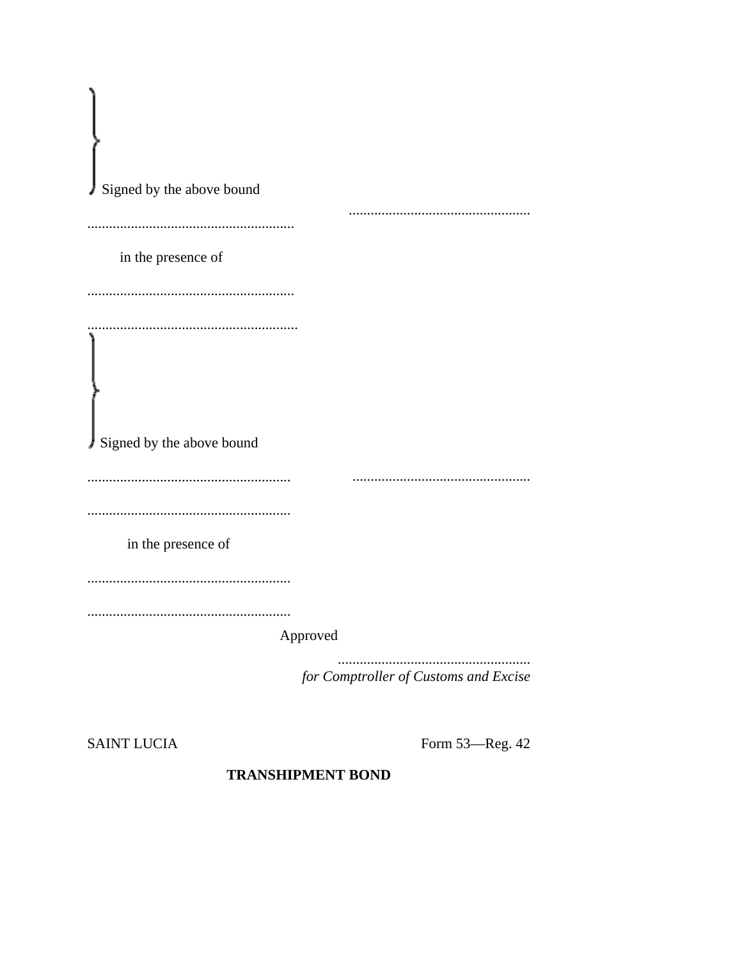| Signed by the above bound |                                       |
|---------------------------|---------------------------------------|
|                           |                                       |
| in the presence of        |                                       |
|                           |                                       |
|                           |                                       |
| Signed by the above bound |                                       |
|                           |                                       |
|                           |                                       |
| in the presence of        |                                       |
|                           |                                       |
|                           |                                       |
|                           | Approved                              |
|                           | for Comptroller of Customs and Excise |

**SAINT LUCIA** 

Form 53-Reg. 42

# **TRANSHIPMENT BOND**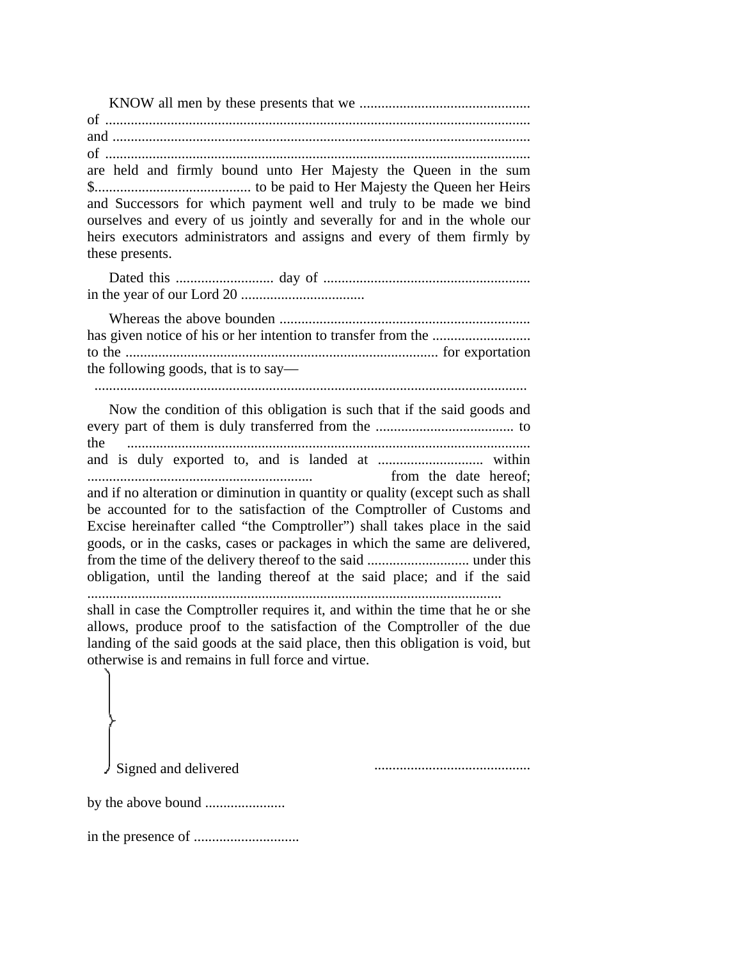are held and firmly bound unto Her Majesty the Queen in the sum and Successors for which payment well and truly to be made we bind ourselves and every of us jointly and severally for and in the whole our heirs executors administrators and assigns and every of them firmly by these presents.

the following goods, that is to say— 

Now the condition of this obligation is such that if the said goods and the from the date hereof; and if no alteration or diminution in quantity or quality (except such as shall be accounted for to the satisfaction of the Comptroller of Customs and Excise hereinafter called "the Comptroller") shall takes place in the said goods, or in the casks, cases or packages in which the same are delivered, obligation, until the landing thereof at the said place; and if the said shall in case the Comptroller requires it, and within the time that he or she allows, produce proof to the satisfaction of the Comptroller of the due landing of the said goods at the said place, then this obligation is void, but

otherwise is and remains in full force and virtue.

Signed and delivered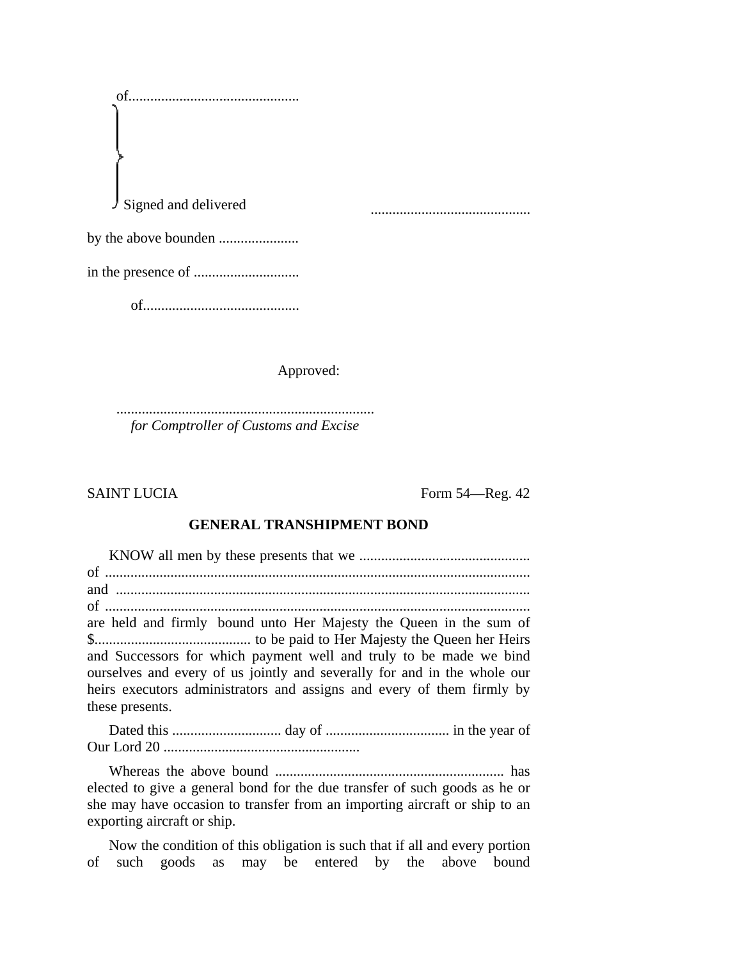of............................................... Signed and delivered by the above bounden ...................... in the presence of ............................. ............................................

of...........................................

Approved:

....................................................................... *for Comptroller of Customs and Excise*

SAINT LUCIA Form 54—Reg. 42

#### **GENERAL TRANSHIPMENT BOND**

KNOW all men by these presents that we ............................................... of ..................................................................................................................... and .................................................................................................................. of ..................................................................................................................... are held and firmly bound unto Her Majesty the Queen in the sum of \$........................................... to be paid to Her Majesty the Queen her Heirs and Successors for which payment well and truly to be made we bind ourselves and every of us jointly and severally for and in the whole our heirs executors administrators and assigns and every of them firmly by these presents.

Dated this .............................. day of .................................. in the year of Our Lord 20 ......................................................

Whereas the above bound ............................................................... has elected to give a general bond for the due transfer of such goods as he or she may have occasion to transfer from an importing aircraft or ship to an exporting aircraft or ship.

Now the condition of this obligation is such that if all and every portion of such goods as may be entered by the above bound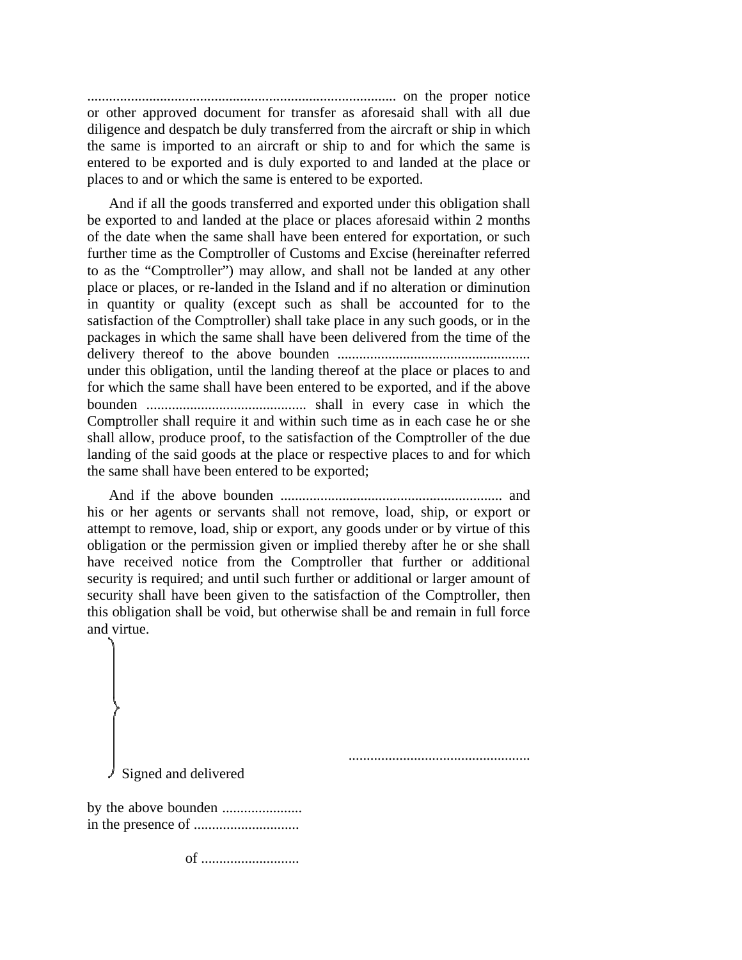..................................................................................... on the proper notice or other approved document for transfer as aforesaid shall with all due diligence and despatch be duly transferred from the aircraft or ship in which the same is imported to an aircraft or ship to and for which the same is entered to be exported and is duly exported to and landed at the place or places to and or which the same is entered to be exported.

And if all the goods transferred and exported under this obligation shall be exported to and landed at the place or places aforesaid within 2 months of the date when the same shall have been entered for exportation, or such further time as the Comptroller of Customs and Excise (hereinafter referred to as the "Comptroller") may allow, and shall not be landed at any other place or places, or re-landed in the Island and if no alteration or diminution in quantity or quality (except such as shall be accounted for to the satisfaction of the Comptroller) shall take place in any such goods, or in the packages in which the same shall have been delivered from the time of the delivery thereof to the above bounden ..................................................... under this obligation, until the landing thereof at the place or places to and for which the same shall have been entered to be exported, and if the above bounden ............................................ shall in every case in which the Comptroller shall require it and within such time as in each case he or she shall allow, produce proof, to the satisfaction of the Comptroller of the due landing of the said goods at the place or respective places to and for which the same shall have been entered to be exported;

And if the above bounden ............................................................. and his or her agents or servants shall not remove, load, ship, or export or attempt to remove, load, ship or export, any goods under or by virtue of this obligation or the permission given or implied thereby after he or she shall have received notice from the Comptroller that further or additional security is required; and until such further or additional or larger amount of security shall have been given to the satisfaction of the Comptroller, then this obligation shall be void, but otherwise shall be and remain in full force and virtue.

Signed and delivered

by the above bounden ...................... in the presence of .............................

of ...........................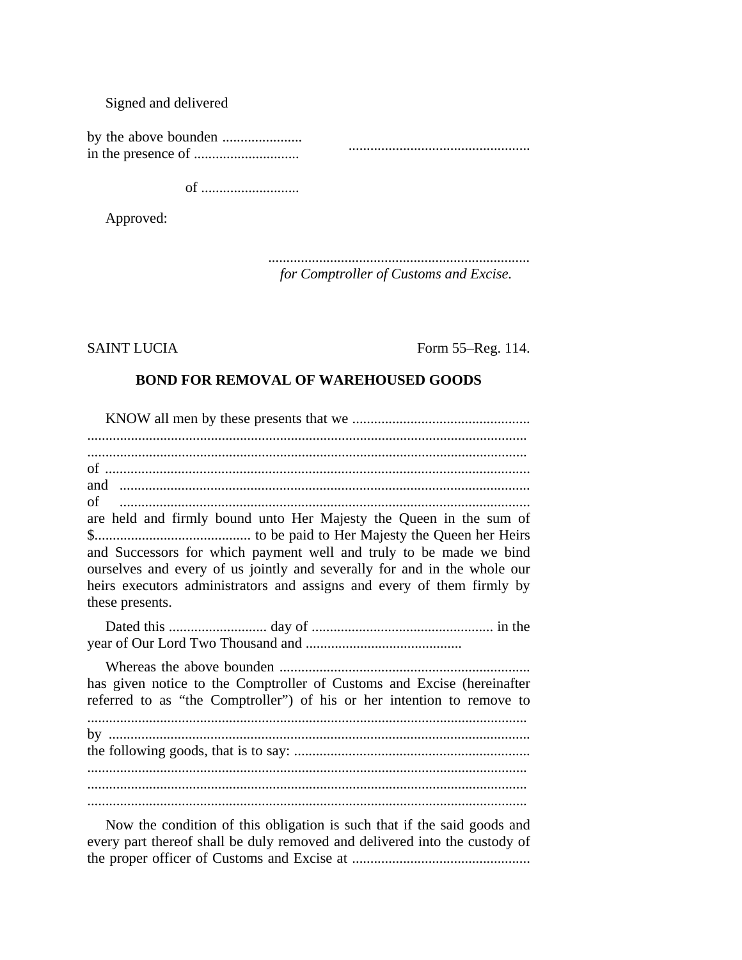#### Signed and delivered

by the above bounden ...................... in the presence of ............................. ..................................................

of ...........................

Approved:

*........................................................................ for Comptroller of Customs and Excise.*

SAINT LUCIA Form 55–Reg. 114.

#### **BOND FOR REMOVAL OF WAREHOUSED GOODS**

KNOW all men by these presents that we ................................................. ......................................................................................................................... ......................................................................................................................... of ..................................................................................................................... and ................................................................................................................. of ................................................................................................................. are held and firmly bound unto Her Majesty the Queen in the sum of \$........................................... to be paid to Her Majesty the Queen her Heirs and Successors for which payment well and truly to be made we bind ourselves and every of us jointly and severally for and in the whole our heirs executors administrators and assigns and every of them firmly by these presents. Dated this ........................... day of .................................................. in the year of Our Lord Two Thousand and ........................................... Whereas the above bounden ..................................................................... has given notice to the Comptroller of Customs and Excise (hereinafter referred to as "the Comptroller") of his or her intention to remove to ......................................................................................................................... by .................................................................................................................... the following goods, that is to say: ................................................................. ......................................................................................................................... ......................................................................................................................... .........................................................................................................................

Now the condition of this obligation is such that if the said goods and every part thereof shall be duly removed and delivered into the custody of the proper officer of Customs and Excise at .................................................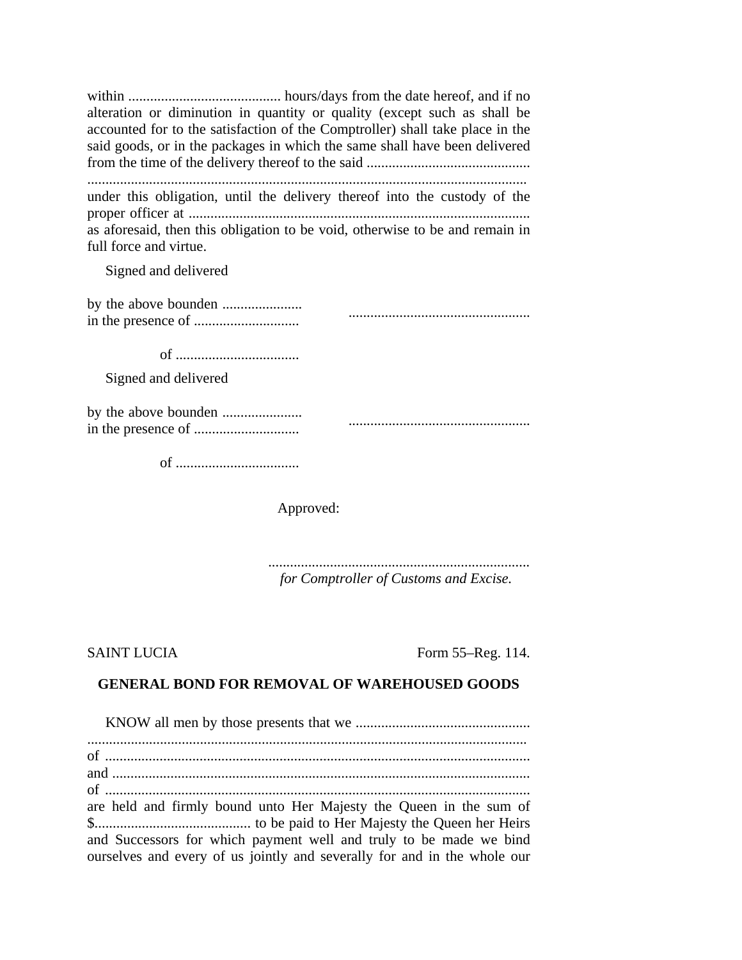within .......................................... hours/days from the date hereof, and if no alteration or diminution in quantity or quality (except such as shall be accounted for to the satisfaction of the Comptroller) shall take place in the said goods, or in the packages in which the same shall have been delivered from the time of the delivery thereof to the said .............................................

......................................................................................................................... under this obligation, until the delivery thereof into the custody of the proper officer at .............................................................................................. as aforesaid, then this obligation to be void, otherwise to be and remain in full force and virtue.

Signed and delivered

of ..................................

Signed and delivered

of ..................................

Approved:

*........................................................................ for Comptroller of Customs and Excise.*

SAINT LUCIA Form 55–Reg. 114.

# **GENERAL BOND FOR REMOVAL OF WAREHOUSED GOODS**

| are held and firmly bound unto Her Majesty the Queen in the sum of       |
|--------------------------------------------------------------------------|
|                                                                          |
| and Successors for which payment well and truly to be made we bind       |
| ourselves and every of us jointly and severally for and in the whole our |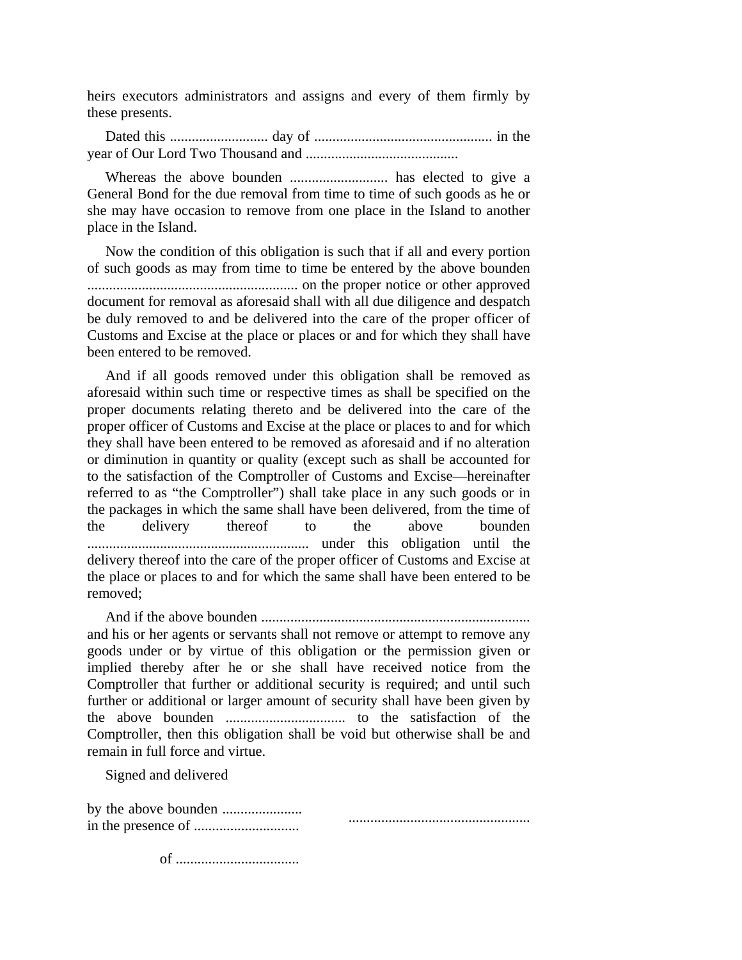heirs executors administrators and assigns and every of them firmly by these presents.

Dated this ........................... day of ................................................. in the year of Our Lord Two Thousand and ..........................................

Whereas the above bounden ........................... has elected to give a General Bond for the due removal from time to time of such goods as he or she may have occasion to remove from one place in the Island to another place in the Island.

Now the condition of this obligation is such that if all and every portion of such goods as may from time to time be entered by the above bounden .......................................................... on the proper notice or other approved document for removal as aforesaid shall with all due diligence and despatch be duly removed to and be delivered into the care of the proper officer of Customs and Excise at the place or places or and for which they shall have been entered to be removed.

And if all goods removed under this obligation shall be removed as aforesaid within such time or respective times as shall be specified on the proper documents relating thereto and be delivered into the care of the proper officer of Customs and Excise at the place or places to and for which they shall have been entered to be removed as aforesaid and if no alteration or diminution in quantity or quality (except such as shall be accounted for to the satisfaction of the Comptroller of Customs and Excise—hereinafter referred to as "the Comptroller") shall take place in any such goods or in the packages in which the same shall have been delivered, from the time of the delivery thereof to the above bounden ............................................................. under this obligation until the delivery thereof into the care of the proper officer of Customs and Excise at the place or places to and for which the same shall have been entered to be removed;

And if the above bounden .......................................................................... and his or her agents or servants shall not remove or attempt to remove any goods under or by virtue of this obligation or the permission given or implied thereby after he or she shall have received notice from the Comptroller that further or additional security is required; and until such further or additional or larger amount of security shall have been given by the above bounden ................................. to the satisfaction of the Comptroller, then this obligation shall be void but otherwise shall be and remain in full force and virtue.

Signed and delivered

by the above bounden ...................... in the presence of ............................. ..................................................

of ..................................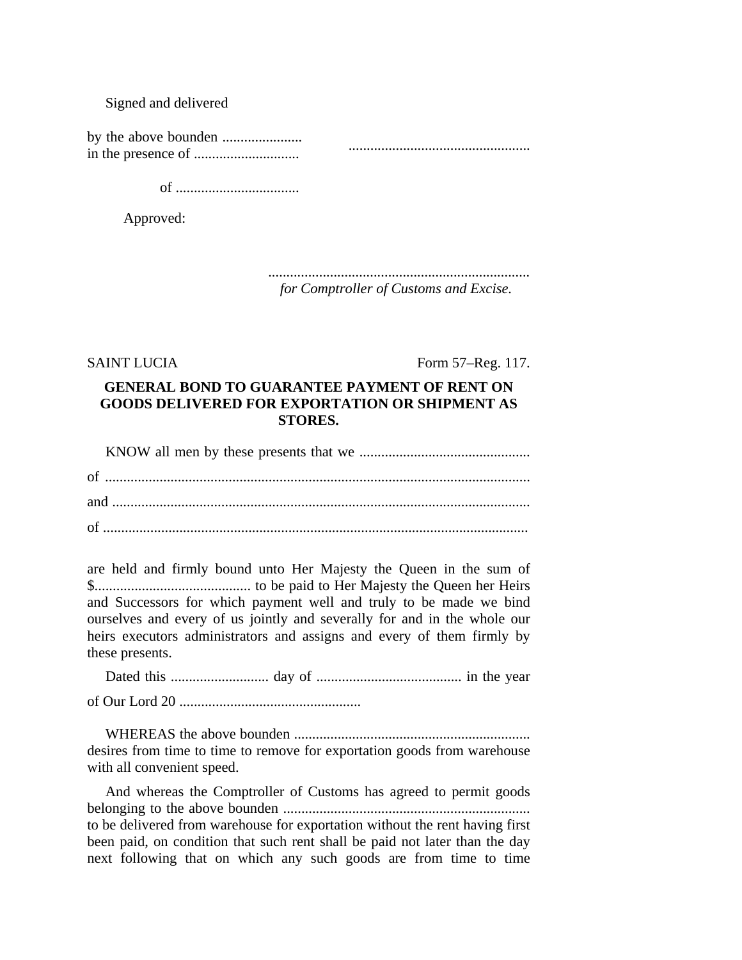### Signed and delivered

of ..................................

Approved:

*........................................................................ for Comptroller of Customs and Excise.*

SAINT LUCIA Form 57–Reg. 117.

# **GENERAL BOND TO GUARANTEE PAYMENT OF RENT ON GOODS DELIVERED FOR EXPORTATION OR SHIPMENT AS STORES.**

KNOW all men by these presents that we ............................................... of ..................................................................................................................... and ................................................................................................................... of .....................................................................................................................

are held and firmly bound unto Her Majesty the Queen in the sum of \$........................................... to be paid to Her Majesty the Queen her Heirs and Successors for which payment well and truly to be made we bind ourselves and every of us jointly and severally for and in the whole our heirs executors administrators and assigns and every of them firmly by these presents.

Dated this ........................... day of ........................................ in the year of Our Lord 20 ..................................................

WHEREAS the above bounden ................................................................. desires from time to time to remove for exportation goods from warehouse with all convenient speed.

And whereas the Comptroller of Customs has agreed to permit goods belonging to the above bounden .................................................................... to be delivered from warehouse for exportation without the rent having first been paid, on condition that such rent shall be paid not later than the day next following that on which any such goods are from time to time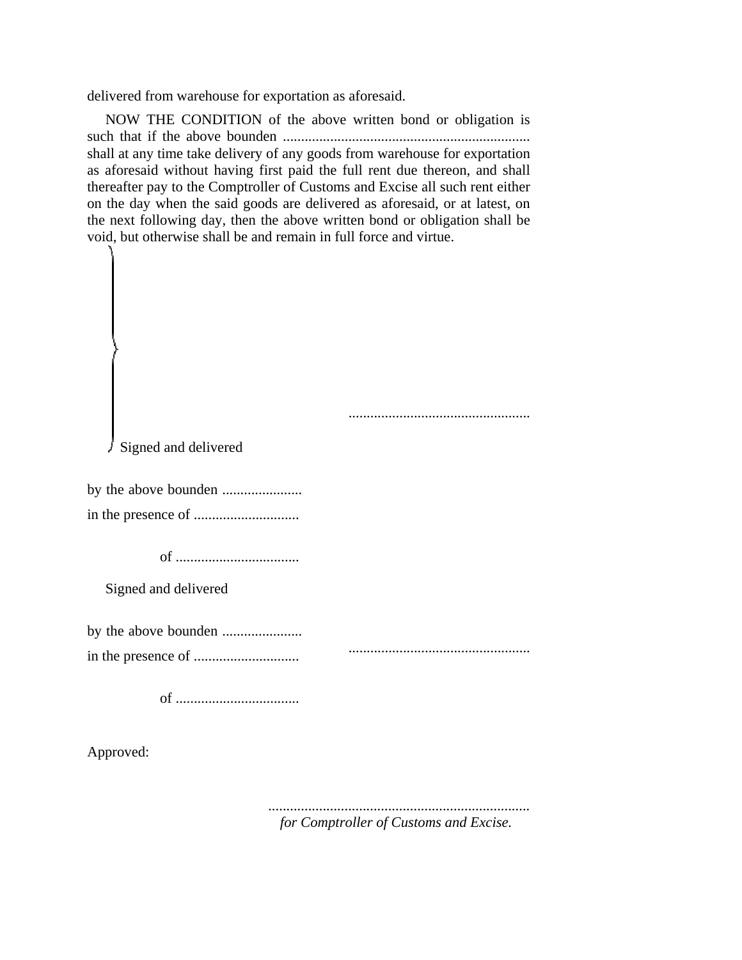delivered from warehouse for exportation as aforesaid.

NOW THE CONDITION of the above written bond or obligation is such that if the above bounden .................................................................... shall at any time take delivery of any goods from warehouse for exportation as aforesaid without having first paid the full rent due thereon, and shall thereafter pay to the Comptroller of Customs and Excise all such rent either on the day when the said goods are delivered as aforesaid, or at latest, on the next following day, then the above written bond or obligation shall be void, but otherwise shall be and remain in full force and virtue.

..................................................

Signed and delivered

by the above bounden ....................... in the presence of .............................

of ..................................

Signed and delivered

by the above bounden ......................

in the presence of .............................

..................................................

of ..................................

Approved:

*........................................................................ for Comptroller of Customs and Excise.*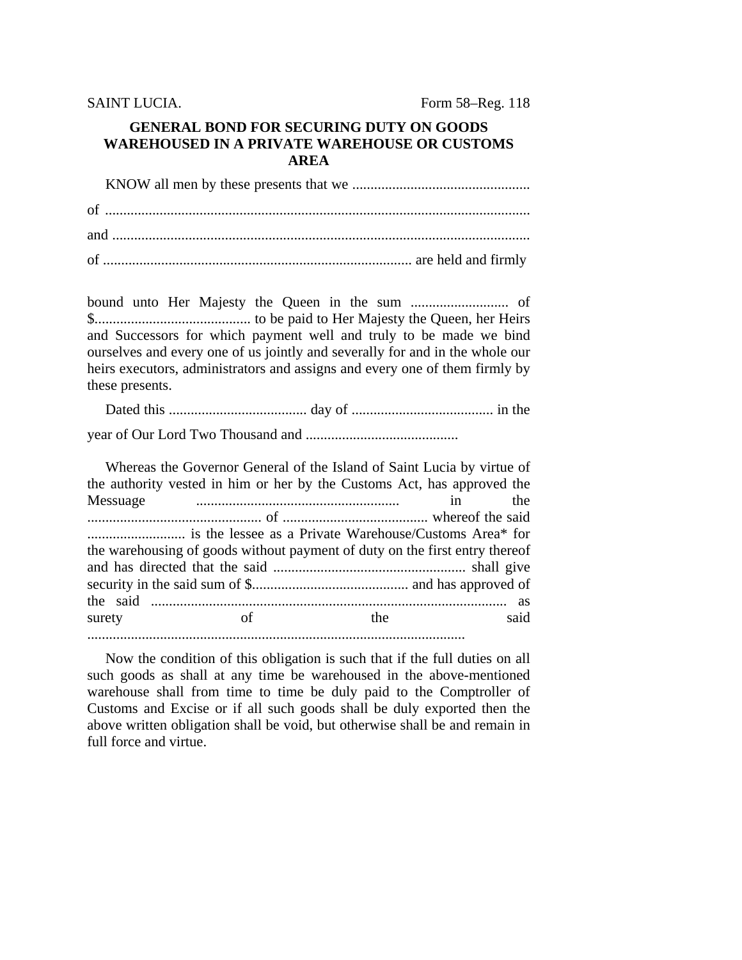**SAINT LUCIA.** 

Form 58–Reg. 118

## **GENERAL BOND FOR SECURING DUTY ON GOODS WAREHOUSED IN A PRIVATE WAREHOUSE OR CUSTOMS AREA**

and Successors for which payment well and truly to be made we bind ourselves and every one of us jointly and severally for and in the whole our heirs executors, administrators and assigns and every one of them firmly by these presents.

Whereas the Governor General of the Island of Saint Lucia by virtue of the authority vested in him or her by the Customs Act, has approved the Messuage  $in$ the the warehousing of goods without payment of duty on the first entry thereof surety  $\alpha$ f the said

Now the condition of this obligation is such that if the full duties on all such goods as shall at any time be warehoused in the above-mentioned warehouse shall from time to time be duly paid to the Comptroller of Customs and Excise or if all such goods shall be duly exported then the above written obligation shall be void, but otherwise shall be and remain in full force and virtue.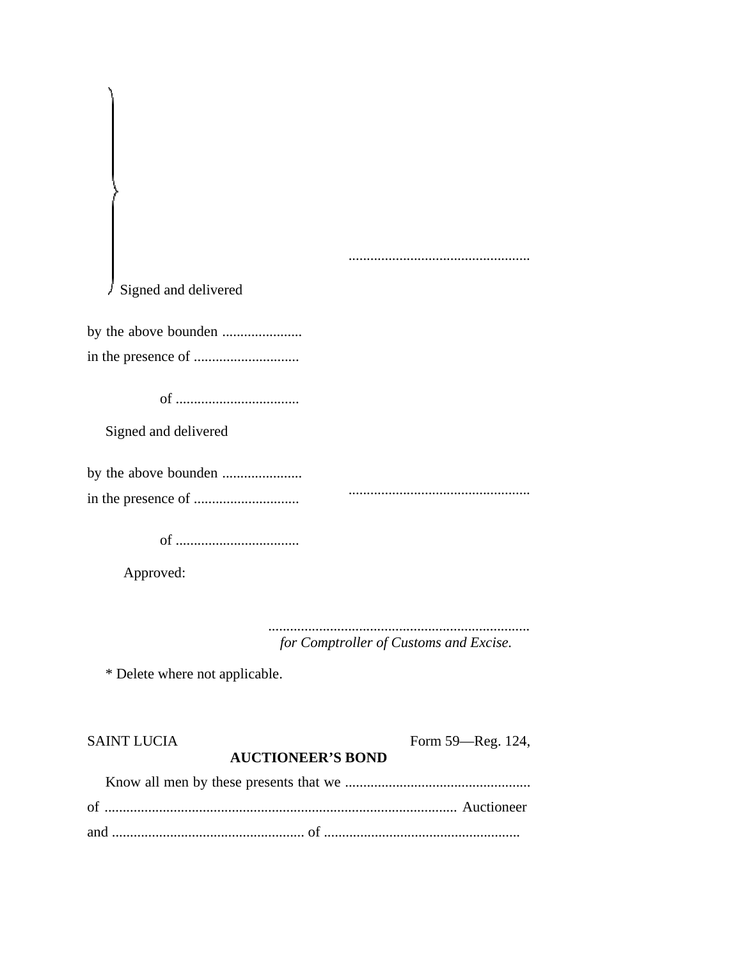| SAINT LUCIA | Form 59—Reg. 124,        |
|-------------|--------------------------|
|             | <b>AUCTIONEER'S BOND</b> |
|             |                          |
|             |                          |
|             |                          |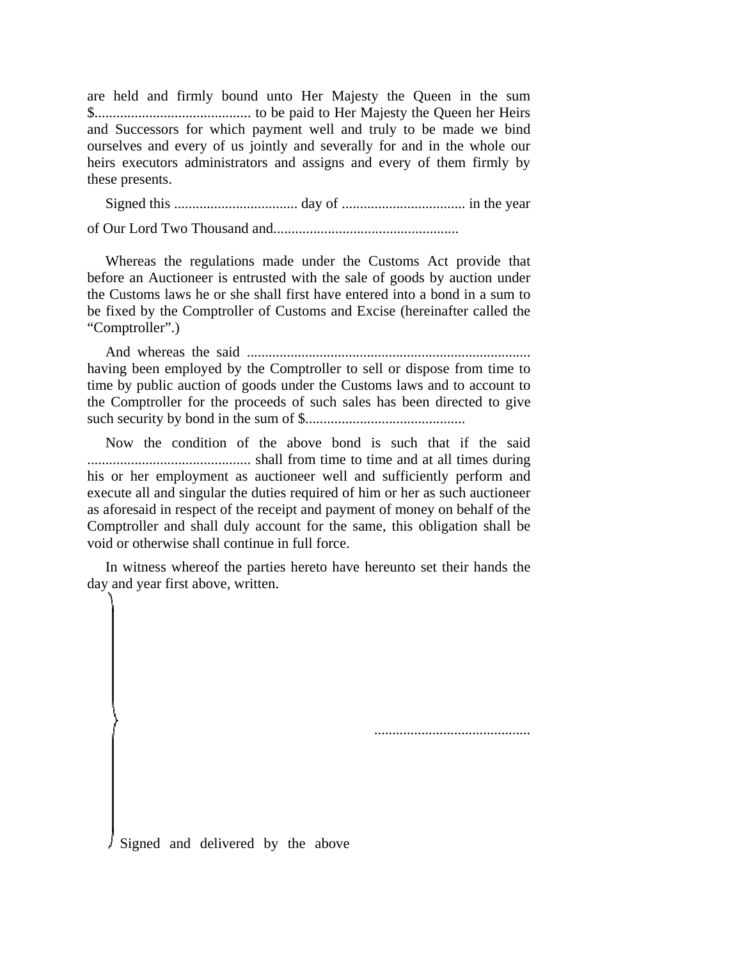are held and firmly bound unto Her Majesty the Queen in the sum \$........................................... to be paid to Her Majesty the Queen her Heirs and Successors for which payment well and truly to be made we bind ourselves and every of us jointly and severally for and in the whole our heirs executors administrators and assigns and every of them firmly by these presents.

Signed this .................................. day of .................................. in the year

of Our Lord Two Thousand and...................................................

Whereas the regulations made under the Customs Act provide that before an Auctioneer is entrusted with the sale of goods by auction under the Customs laws he or she shall first have entered into a bond in a sum to be fixed by the Comptroller of Customs and Excise (hereinafter called the "Comptroller".)

And whereas the said .............................................................................. having been employed by the Comptroller to sell or dispose from time to time by public auction of goods under the Customs laws and to account to the Comptroller for the proceeds of such sales has been directed to give such security by bond in the sum of \$............................................

Now the condition of the above bond is such that if the said ............................................. shall from time to time and at all times during his or her employment as auctioneer well and sufficiently perform and execute all and singular the duties required of him or her as such auctioneer as aforesaid in respect of the receipt and payment of money on behalf of the Comptroller and shall duly account for the same, this obligation shall be void or otherwise shall continue in full force.

In witness whereof the parties hereto have hereunto set their hands the day and year first above, written.

...........................................

Signed and delivered by the above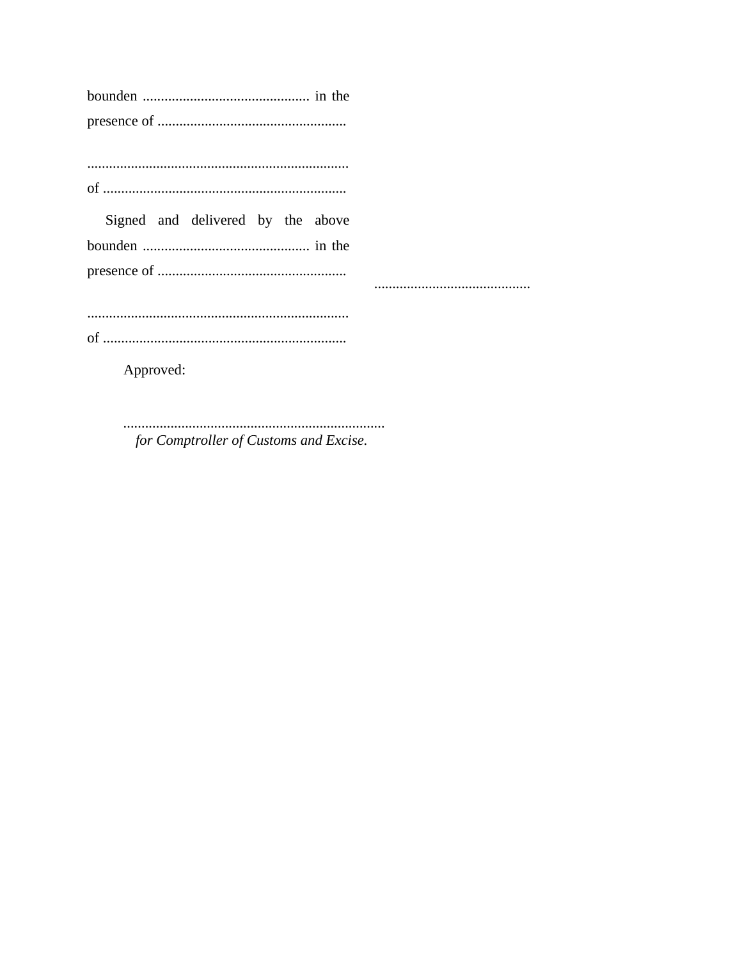|  | Signed and delivered by the above |  |  |
|--|-----------------------------------|--|--|
|  |                                   |  |  |
|  |                                   |  |  |
|  |                                   |  |  |

Approved:

for Comptroller of Customs and Excise.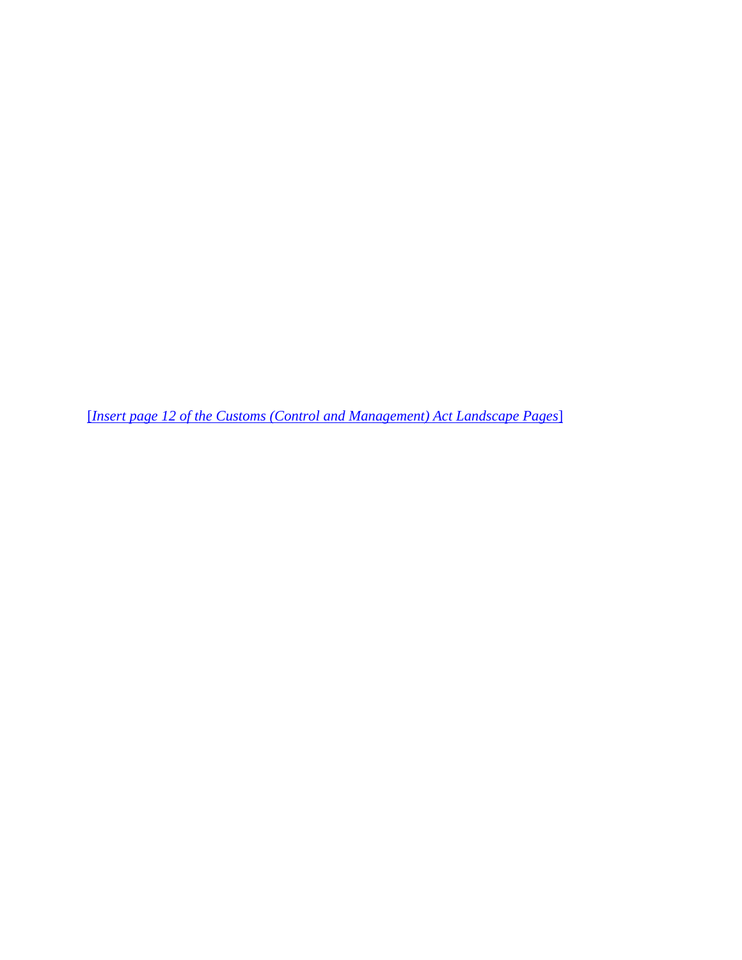[*Insert page 12 of the Customs (Control and Management) Act Landscape Pages*]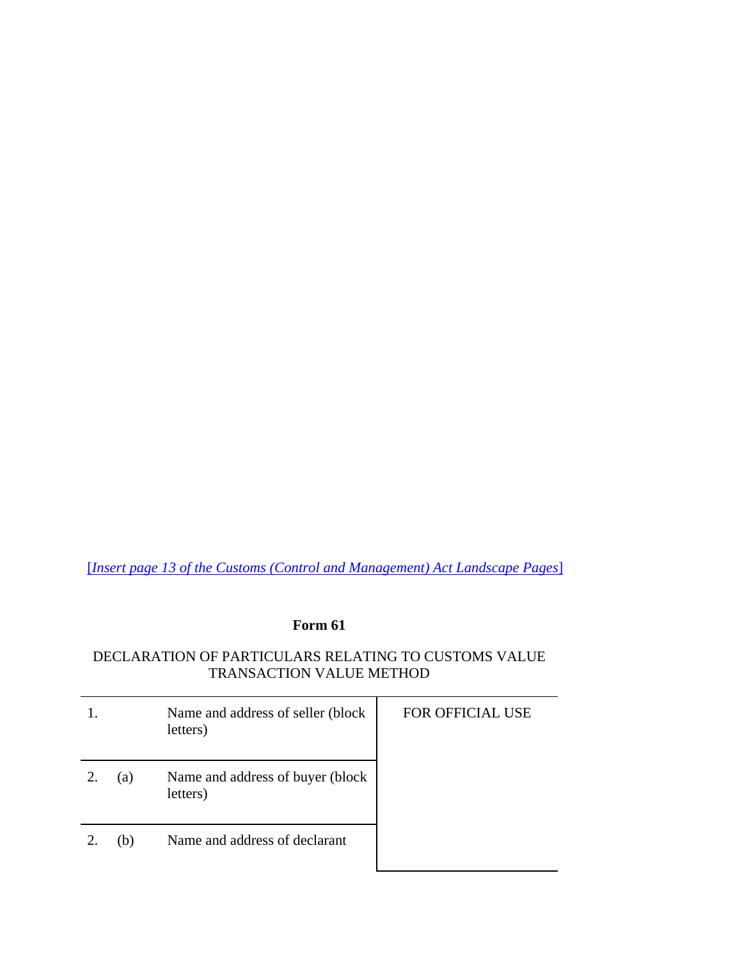[*Insert page 13 of the Customs (Control and Management) Act Landscape Pages*]

# **Form 61**

## DECLARATION OF PARTICULARS RELATING TO CUSTOMS VALUE TRANSACTION VALUE METHOD

|    |     | Name and address of seller (block<br>letters) | <b>FOR OFFICIAL USE</b> |
|----|-----|-----------------------------------------------|-------------------------|
| 2. | (a) | Name and address of buyer (block<br>letters)  |                         |
|    | (b) | Name and address of declarant                 |                         |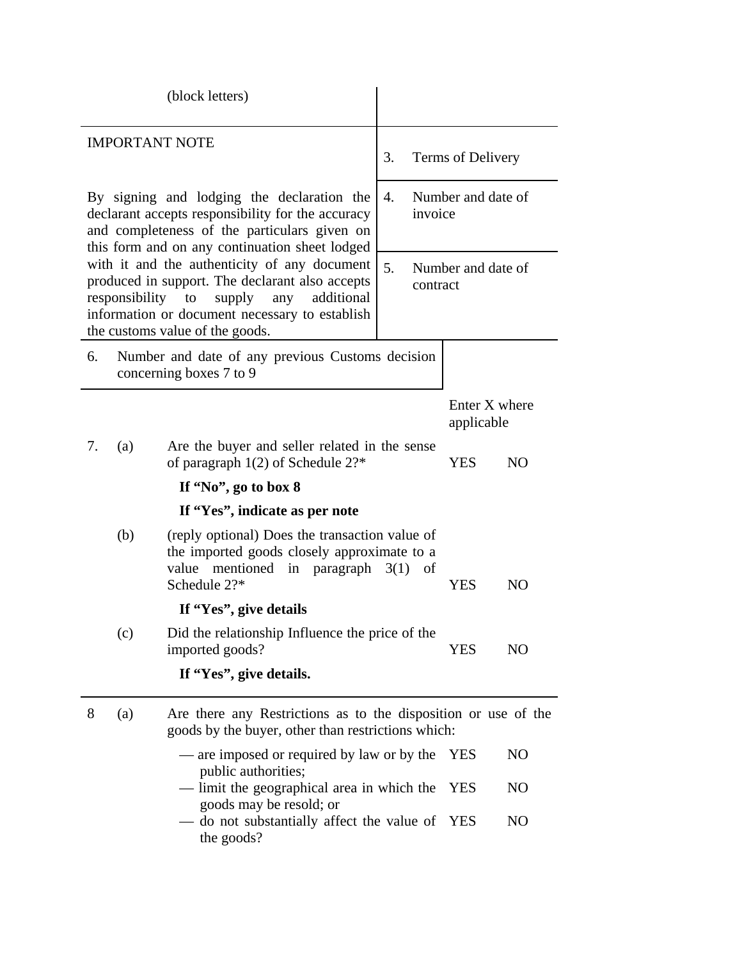|    |                | (block letters)                                                                                                                                                                                                           |                                      |                             |                |
|----|----------------|---------------------------------------------------------------------------------------------------------------------------------------------------------------------------------------------------------------------------|--------------------------------------|-----------------------------|----------------|
|    |                | <b>IMPORTANT NOTE</b>                                                                                                                                                                                                     | 3.                                   | Terms of Delivery           |                |
|    |                | By signing and lodging the declaration the<br>declarant accepts responsibility for the accuracy<br>and completeness of the particulars given on<br>this form and on any continuation sheet lodged                         | Number and date of<br>4.<br>invoice  |                             |                |
|    | responsibility | with it and the authenticity of any document<br>produced in support. The declarant also accepts<br>supply<br>additional<br>to<br>any<br>information or document necessary to establish<br>the customs value of the goods. | 5.<br>Number and date of<br>contract |                             |                |
| 6. |                | Number and date of any previous Customs decision<br>concerning boxes 7 to 9                                                                                                                                               |                                      |                             |                |
|    |                |                                                                                                                                                                                                                           |                                      | Enter X where<br>applicable |                |
| 7. | (a)            | Are the buyer and seller related in the sense<br>of paragraph $1(2)$ of Schedule $2$ ?*                                                                                                                                   |                                      | <b>YES</b>                  | N <sub>O</sub> |
|    |                | If "No", go to box 8                                                                                                                                                                                                      |                                      |                             |                |
|    |                | If "Yes", indicate as per note                                                                                                                                                                                            |                                      |                             |                |
|    | (b)            | (reply optional) Does the transaction value of<br>the imported goods closely approximate to a<br>mentioned<br>value<br>in paragraph<br>Schedule 2?*                                                                       | 3(1)<br>of                           | YES                         | NO             |
|    |                | If "Yes", give details                                                                                                                                                                                                    |                                      |                             |                |
|    | (c)            | Did the relationship Influence the price of the<br>imported goods?                                                                                                                                                        |                                      | <b>YES</b>                  | N <sub>O</sub> |
|    |                | If "Yes", give details.                                                                                                                                                                                                   |                                      |                             |                |
| 8  | (a)            | Are there any Restrictions as to the disposition or use of the<br>goods by the buyer, other than restrictions which:                                                                                                      |                                      |                             |                |
|    |                | — are imposed or required by law or by the<br>public authorities;                                                                                                                                                         |                                      | YES                         | N <sub>O</sub> |
|    |                | - limit the geographical area in which the<br>goods may be resold; or                                                                                                                                                     |                                      | <b>YES</b>                  | NO             |
|    |                | do not substantially affect the value of<br>$\hspace{0.05cm}$<br>the goods?                                                                                                                                               |                                      | YES                         | N <sub>O</sub> |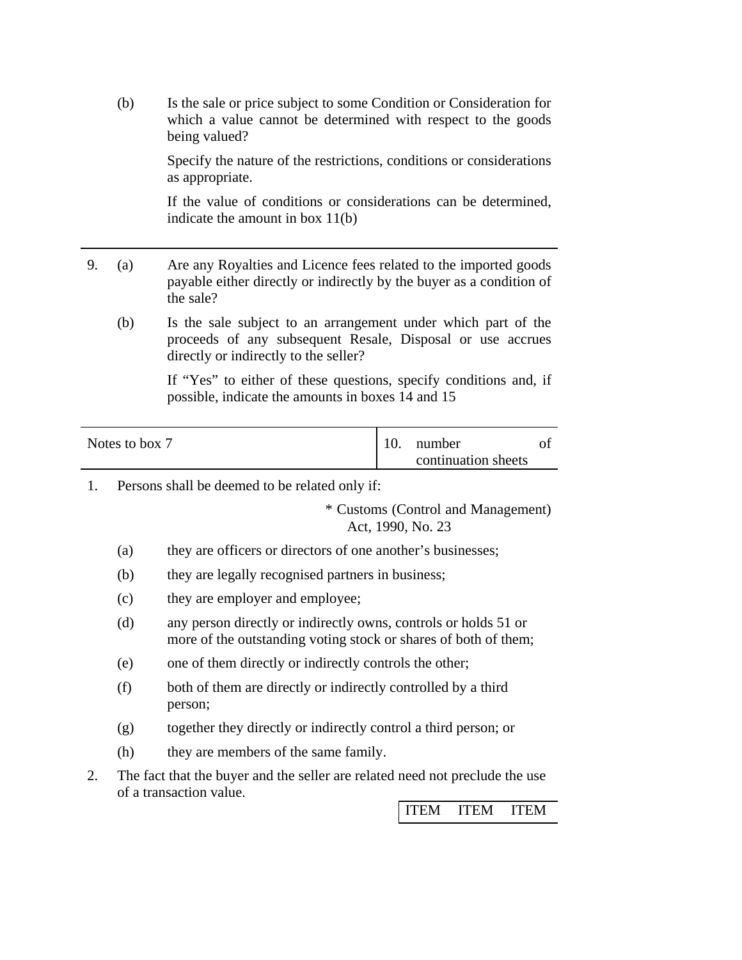(b) Is the sale or price subject to some Condition or Consideration for which a value cannot be determined with respect to the goods being valued?

> Specify the nature of the restrictions, conditions or considerations as appropriate.

> If the value of conditions or considerations can be determined, indicate the amount in box 11(b)

- 9. (a) Are any Royalties and Licence fees related to the imported goods payable either directly or indirectly by the buyer as a condition of the sale?
	- (b) Is the sale subject to an arrangement under which part of the proceeds of any subsequent Resale, Disposal or use accrues directly or indirectly to the seller?

 If "Yes" to either of these questions, specify conditions and, if possible, indicate the amounts in boxes 14 and 15

| Notes to box 7 | 10. | number              |  |
|----------------|-----|---------------------|--|
|                |     | continuation sheets |  |

1. Persons shall be deemed to be related only if:

 \* Customs (Control and Management) Act, 1990, No. 23

- (a) they are officers or directors of one another's businesses;
- (b) they are legally recognised partners in business;
- (c) they are employer and employee;
- (d) any person directly or indirectly owns, controls or holds 51 or more of the outstanding voting stock or shares of both of them;
- (e) one of them directly or indirectly controls the other;
- (f) both of them are directly or indirectly controlled by a third person;
- (g) together they directly or indirectly control a third person; or
- (h) they are members of the same family.
- 2. The fact that the buyer and the seller are related need not preclude the use of a transaction value.

ITEM ITEM ITEM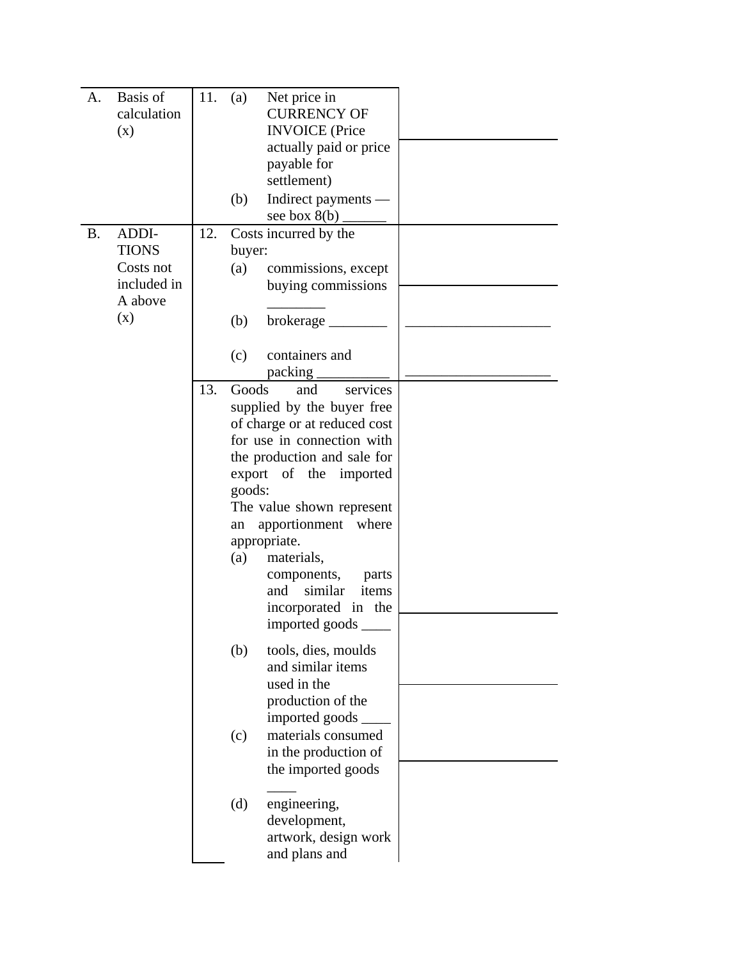| Basis of<br>А.<br>calculation<br>(x)                                             | 11. | (a)                                               | Net price in<br><b>CURRENCY OF</b><br><b>INVOICE</b> (Price<br>actually paid or price<br>payable for<br>settlement)                                                                                                                                                                                                                                                                                                                                                                                                                                                                            |  |
|----------------------------------------------------------------------------------|-----|---------------------------------------------------|------------------------------------------------------------------------------------------------------------------------------------------------------------------------------------------------------------------------------------------------------------------------------------------------------------------------------------------------------------------------------------------------------------------------------------------------------------------------------------------------------------------------------------------------------------------------------------------------|--|
|                                                                                  |     | (b)                                               | Indirect payments -<br>see box $8(b)$                                                                                                                                                                                                                                                                                                                                                                                                                                                                                                                                                          |  |
| ADDI-<br><b>B.</b><br><b>TIONS</b><br>Costs not<br>included in<br>A above<br>(x) | 12. | buyer:<br>(a)<br>(b)                              | Costs incurred by the<br>commissions, except<br>buying commissions                                                                                                                                                                                                                                                                                                                                                                                                                                                                                                                             |  |
|                                                                                  |     | (c)                                               | containers and<br>packing                                                                                                                                                                                                                                                                                                                                                                                                                                                                                                                                                                      |  |
|                                                                                  | 13. | Goods<br>goods:<br>an<br>(a)<br>(b)<br>(c)<br>(d) | and<br>services<br>supplied by the buyer free<br>of charge or at reduced cost<br>for use in connection with<br>the production and sale for<br>export of the imported<br>The value shown represent<br>apportionment where<br>appropriate.<br>materials,<br>components,<br>parts<br>and similar<br>items<br>incorporated in the<br>imported goods<br>tools, dies, moulds<br>and similar items<br>used in the<br>production of the<br>imported goods<br>materials consumed<br>in the production of<br>the imported goods<br>engineering,<br>development,<br>artwork, design work<br>and plans and |  |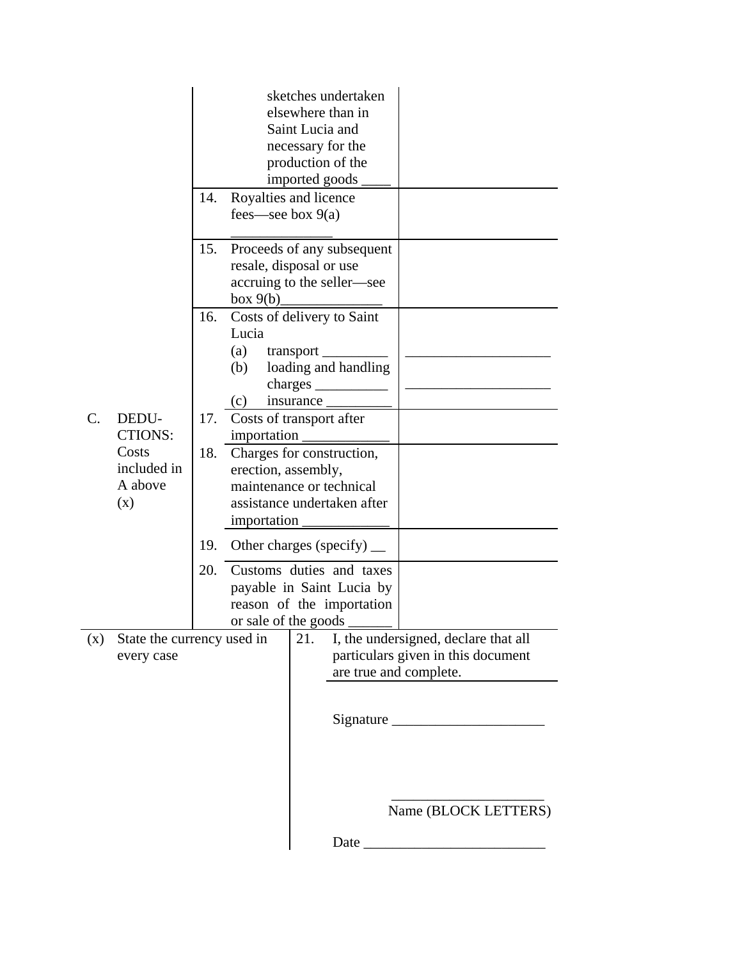|     |                                                                   | 14.        | fees—see box $9(a)$                                      | sketches undertaken<br>elsewhere than in<br>Saint Lucia and<br>necessary for the<br>production of the<br>imported goods<br>Royalties and licence |                                                                            |
|-----|-------------------------------------------------------------------|------------|----------------------------------------------------------|--------------------------------------------------------------------------------------------------------------------------------------------------|----------------------------------------------------------------------------|
|     |                                                                   | 15.        | box 9(b)                                                 | Proceeds of any subsequent<br>resale, disposal or use<br>accruing to the seller—see                                                              |                                                                            |
|     |                                                                   | 16.        | Lucia<br>(a)<br>(b)                                      | Costs of delivery to Saint<br>transport<br>loading and handling                                                                                  |                                                                            |
| C.  | DEDU-<br><b>CTIONS:</b><br>Costs<br>included in<br>A above<br>(x) | 17.<br>18. | (c)<br>importation<br>erection, assembly,<br>importation | insurance<br>Costs of transport after<br>Charges for construction,<br>maintenance or technical<br>assistance undertaken after                    |                                                                            |
|     |                                                                   | 19.<br>20. |                                                          | Other charges (specify) $\_\_$<br>Customs duties and taxes<br>payable in Saint Lucia by<br>reason of the importation                             |                                                                            |
| (x) | State the currency used in<br>every case                          |            | or sale of the goods                                     | 21.<br>are true and complete.                                                                                                                    | I, the undersigned, declare that all<br>particulars given in this document |
|     |                                                                   |            |                                                          |                                                                                                                                                  |                                                                            |
|     |                                                                   |            |                                                          | Date                                                                                                                                             | Name (BLOCK LETTERS)                                                       |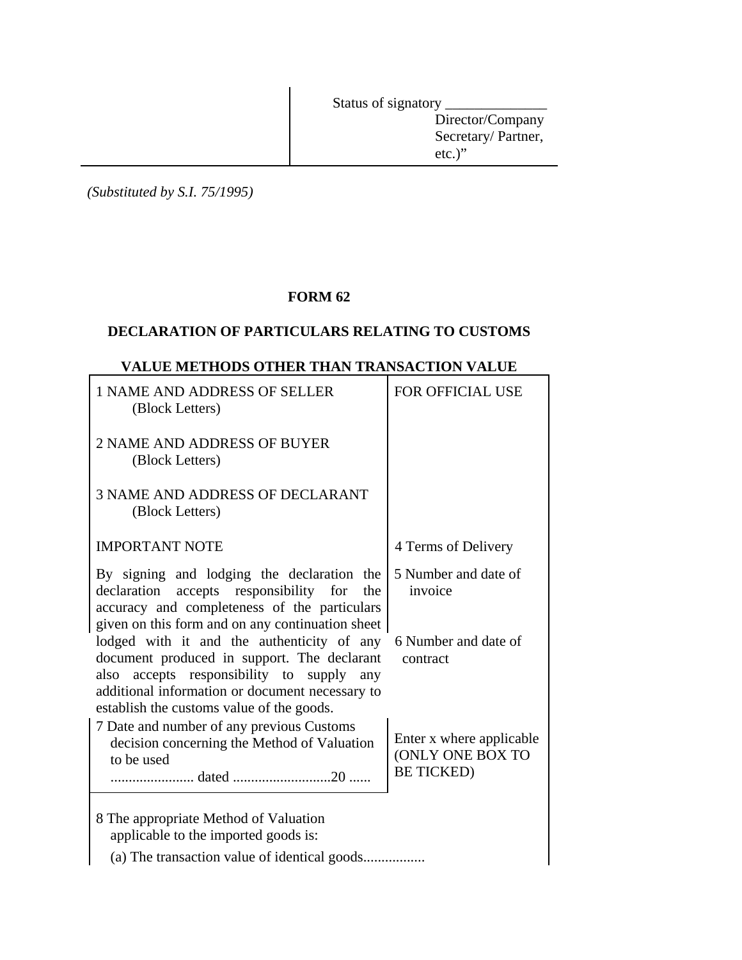Status of signatory \_\_\_\_\_\_\_\_\_\_\_\_\_\_

Director/Company Secretary/ Partner, etc.)"

*(Substituted by S.I. 75/1995)*

# **FORM 62**

## **DECLARATION OF PARTICULARS RELATING TO CUSTOMS**

# **VALUE METHODS OTHER THAN TRANSACTION VALUE**

| 1 NAME AND ADDRESS OF SELLER<br>(Block Letters)                                                                                                                                                                                        | FOR OFFICIAL USE                                                  |
|----------------------------------------------------------------------------------------------------------------------------------------------------------------------------------------------------------------------------------------|-------------------------------------------------------------------|
| 2 NAME AND ADDRESS OF BUYER<br>(Block Letters)                                                                                                                                                                                         |                                                                   |
| <b>3 NAME AND ADDRESS OF DECLARANT</b><br>(Block Letters)                                                                                                                                                                              |                                                                   |
| <b>IMPORTANT NOTE</b>                                                                                                                                                                                                                  | 4 Terms of Delivery                                               |
| By signing and lodging the declaration the<br>declaration accepts responsibility<br>for<br>the<br>accuracy and completeness of the particulars<br>given on this form and on any continuation sheet                                     | 5 Number and date of<br>invoice                                   |
| lodged with it and the authenticity of any<br>document produced in support. The declarant<br>also accepts responsibility to supply any<br>additional information or document necessary to<br>establish the customs value of the goods. | 6 Number and date of<br>contract                                  |
| 7 Date and number of any previous Customs<br>decision concerning the Method of Valuation<br>to be used                                                                                                                                 | Enter x where applicable<br>(ONLY ONE BOX TO<br><b>BE TICKED)</b> |
| 8 The appropriate Method of Valuation<br>applicable to the imported goods is:                                                                                                                                                          |                                                                   |
|                                                                                                                                                                                                                                        |                                                                   |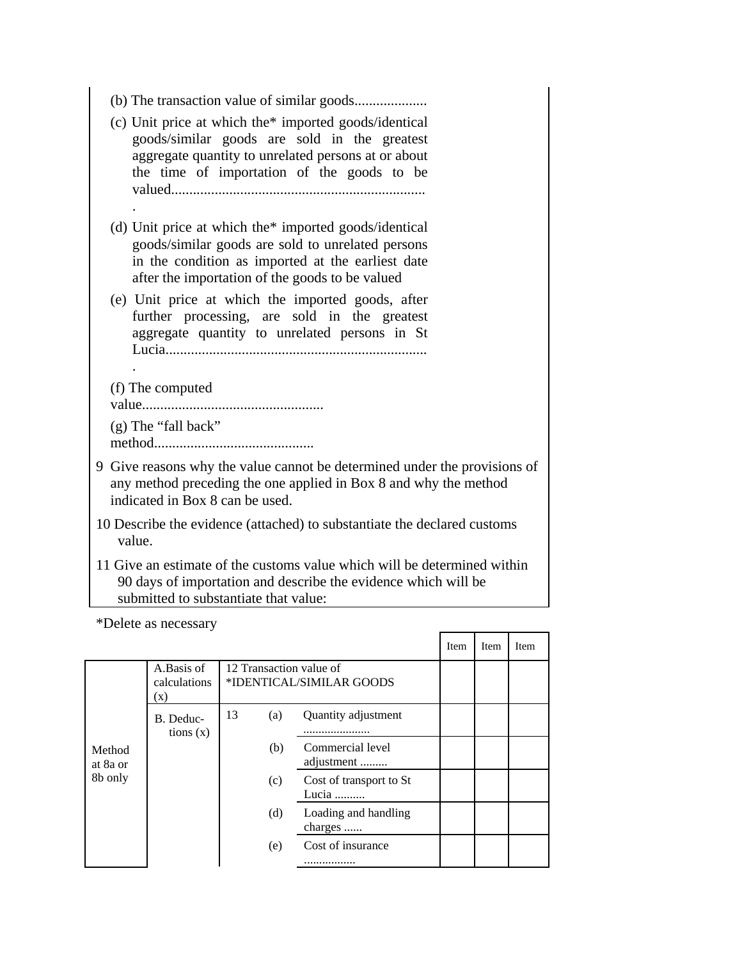| (c) Unit price at which the <sup>*</sup> imported goods/identical<br>goods/similar goods are sold in the greatest<br>aggregate quantity to unrelated persons at or about<br>the time of importation of the goods to be         |
|--------------------------------------------------------------------------------------------------------------------------------------------------------------------------------------------------------------------------------|
| (d) Unit price at which the <sup>*</sup> imported goods/identical<br>goods/similar goods are sold to unrelated persons<br>in the condition as imported at the earliest date<br>after the importation of the goods to be valued |
| (e) Unit price at which the imported goods, after<br>further processing, are sold in the greatest<br>aggregate quantity to unrelated persons in St                                                                             |
| (f) The computed                                                                                                                                                                                                               |
|                                                                                                                                                                                                                                |
| (g) The "fall back"                                                                                                                                                                                                            |
| 9 Give reasons why the value cannot be determined under the provisions of<br>any method preceding the one applied in Box 8 and why the method<br>indicated in Box 8 can be used.                                               |
| 10 Describe the evidence (attached) to substantiate the declared customs<br>value.                                                                                                                                             |
| 11 Give an estimate of the customs value which will be determined within<br>90 days of importation and describe the evidence which will be                                                                                     |

submitted to substantiate that value:

 \*Delete as necessary Item Item Item Method at 8a or 8b only A.Basis of calculations (x) 12 Transaction value of \*IDENTICAL/SIMILAR GOODS B. Deductions (x) 13 (a) Quantity adjustment ...................... (b) Commercial level adjustment ......... (c) Cost of transport to St Lucia .......... (d) Loading and handling charges ...... (e) Cost of insurance .................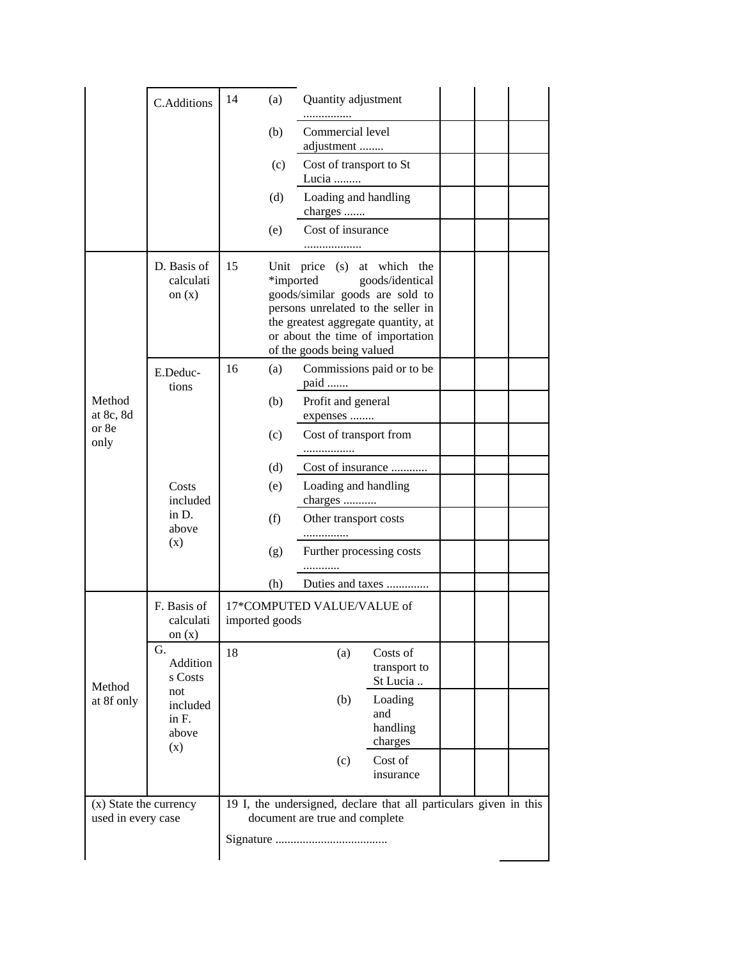|                                              | C.Additions                                 | 14                                     | (a)                                           | Quantity adjustment              |                                                                                                                                                                                                    |  |  |
|----------------------------------------------|---------------------------------------------|----------------------------------------|-----------------------------------------------|----------------------------------|----------------------------------------------------------------------------------------------------------------------------------------------------------------------------------------------------|--|--|
|                                              |                                             |                                        | (b)                                           | Commercial level<br>adjustment   |                                                                                                                                                                                                    |  |  |
|                                              |                                             |                                        | (c)                                           | Cost of transport to St<br>Lucia |                                                                                                                                                                                                    |  |  |
|                                              |                                             |                                        | (d)                                           | Loading and handling<br>charges  |                                                                                                                                                                                                    |  |  |
|                                              |                                             |                                        | (e)                                           | Cost of insurance                |                                                                                                                                                                                                    |  |  |
|                                              | D. Basis of<br>calculati<br>on $(x)$        | 15                                     | *imported                                     | of the goods being valued        | Unit price (s) at which the<br>goods/identical<br>goods/similar goods are sold to<br>persons unrelated to the seller in<br>the greatest aggregate quantity, at<br>or about the time of importation |  |  |
|                                              | E.Deduc-                                    | 16                                     | (a)                                           |                                  | Commissions paid or to be                                                                                                                                                                          |  |  |
| Method<br>at 8c, 8d<br>or 8e<br>only         | tions                                       |                                        | paid<br>Profit and general<br>(b)<br>expenses |                                  |                                                                                                                                                                                                    |  |  |
|                                              |                                             |                                        | (c)                                           | Cost of transport from           |                                                                                                                                                                                                    |  |  |
|                                              | Costs<br>included<br>in D.<br>above<br>(x)  |                                        | (d)                                           |                                  | Cost of insurance                                                                                                                                                                                  |  |  |
|                                              |                                             | Loading and handling<br>(e)<br>charges |                                               |                                  |                                                                                                                                                                                                    |  |  |
|                                              |                                             | (f)                                    |                                               | Other transport costs            |                                                                                                                                                                                                    |  |  |
|                                              |                                             |                                        | (g)                                           | Further processing costs         |                                                                                                                                                                                                    |  |  |
|                                              |                                             |                                        | (h)                                           |                                  | Duties and taxes                                                                                                                                                                                   |  |  |
|                                              | F. Basis of<br>calculati<br>on $(x)$        | imported goods                         |                                               | 17*COMPUTED VALUE/VALUE of       |                                                                                                                                                                                                    |  |  |
|                                              | G.<br>Addition<br>s Costs                   | 18                                     |                                               | (a)                              | Costs of<br>transport to<br>St Lucia                                                                                                                                                               |  |  |
| Method<br>at 8f only                         | not<br>included<br>in $F$ .<br>above<br>(x) |                                        |                                               | (b)                              | Loading<br>and<br>handling<br>charges                                                                                                                                                              |  |  |
|                                              |                                             |                                        |                                               | (c)                              | Cost of<br>insurance                                                                                                                                                                               |  |  |
| (x) State the currency<br>used in every case |                                             |                                        |                                               | document are true and complete   | 19 I, the undersigned, declare that all particulars given in this                                                                                                                                  |  |  |
|                                              |                                             |                                        |                                               |                                  |                                                                                                                                                                                                    |  |  |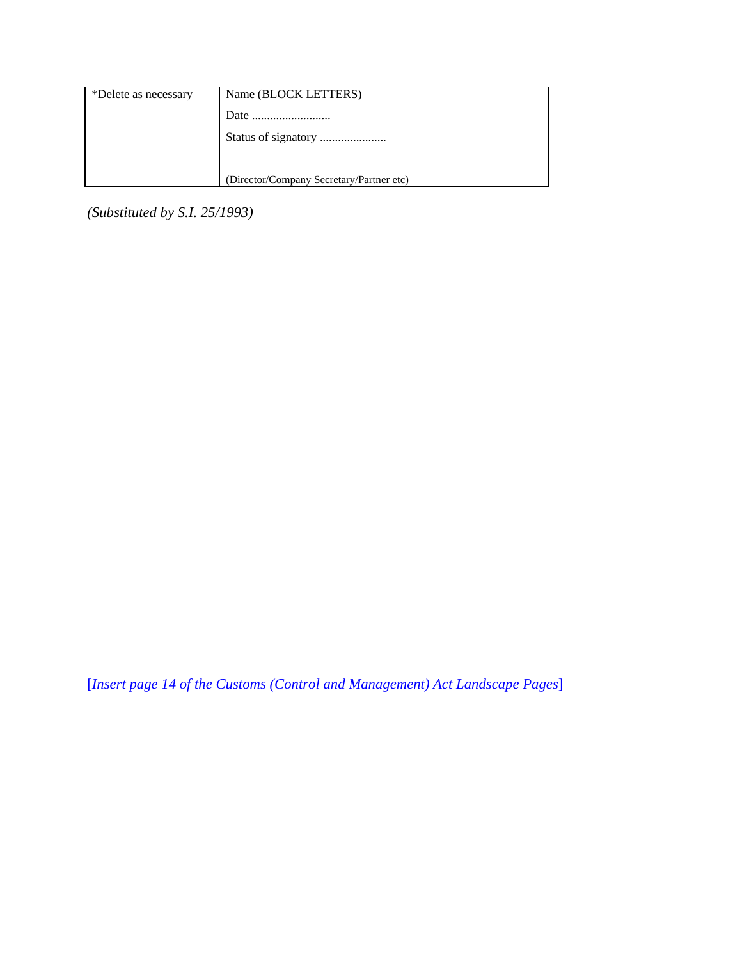| *Delete as necessary | Name (BLOCK LETTERS)                     |
|----------------------|------------------------------------------|
|                      | Date                                     |
|                      |                                          |
|                      |                                          |
|                      | (Director/Company Secretary/Partner etc) |

*(Substituted by S.I. 25/1993)*

[*Insert page 14 of the Customs (Control and Management) Act Landscape Pages*]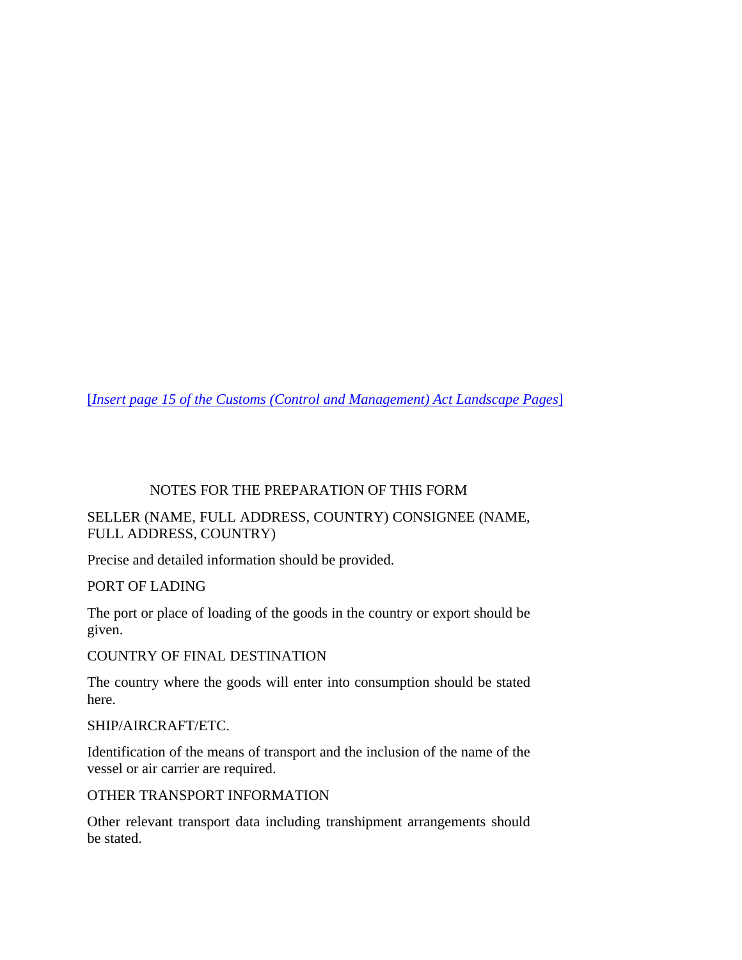[*Insert page 15 of the Customs (Control and Management) Act Landscape Pages*]

### NOTES FOR THE PREPARATION OF THIS FORM

### SELLER (NAME, FULL ADDRESS, COUNTRY) CONSIGNEE (NAME, FULL ADDRESS, COUNTRY)

Precise and detailed information should be provided.

PORT OF LADING

The port or place of loading of the goods in the country or export should be given.

COUNTRY OF FINAL DESTINATION

The country where the goods will enter into consumption should be stated here.

SHIP/AIRCRAFT/ETC.

Identification of the means of transport and the inclusion of the name of the vessel or air carrier are required.

OTHER TRANSPORT INFORMATION

Other relevant transport data including transhipment arrangements should be stated.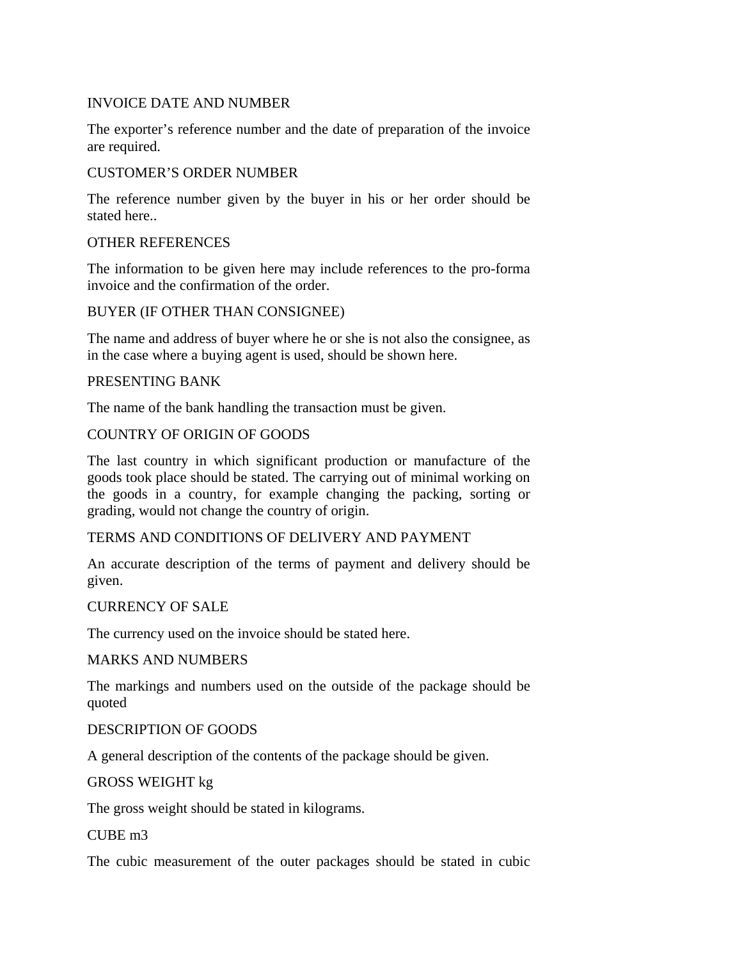### INVOICE DATE AND NUMBER

The exporter's reference number and the date of preparation of the invoice are required.

### CUSTOMER'S ORDER NUMBER

The reference number given by the buyer in his or her order should be stated here..

### OTHER REFERENCES

The information to be given here may include references to the pro-forma invoice and the confirmation of the order.

### BUYER (IF OTHER THAN CONSIGNEE)

The name and address of buyer where he or she is not also the consignee, as in the case where a buying agent is used, should be shown here.

### PRESENTING BANK

The name of the bank handling the transaction must be given.

### COUNTRY OF ORIGIN OF GOODS

The last country in which significant production or manufacture of the goods took place should be stated. The carrying out of minimal working on the goods in a country, for example changing the packing, sorting or grading, would not change the country of origin.

### TERMS AND CONDITIONS OF DELIVERY AND PAYMENT

An accurate description of the terms of payment and delivery should be given.

#### CURRENCY OF SALE

The currency used on the invoice should be stated here.

#### MARKS AND NUMBERS

The markings and numbers used on the outside of the package should be quoted

### DESCRIPTION OF GOODS

A general description of the contents of the package should be given.

### GROSS WEIGHT kg

The gross weight should be stated in kilograms.

#### CUBE m3

The cubic measurement of the outer packages should be stated in cubic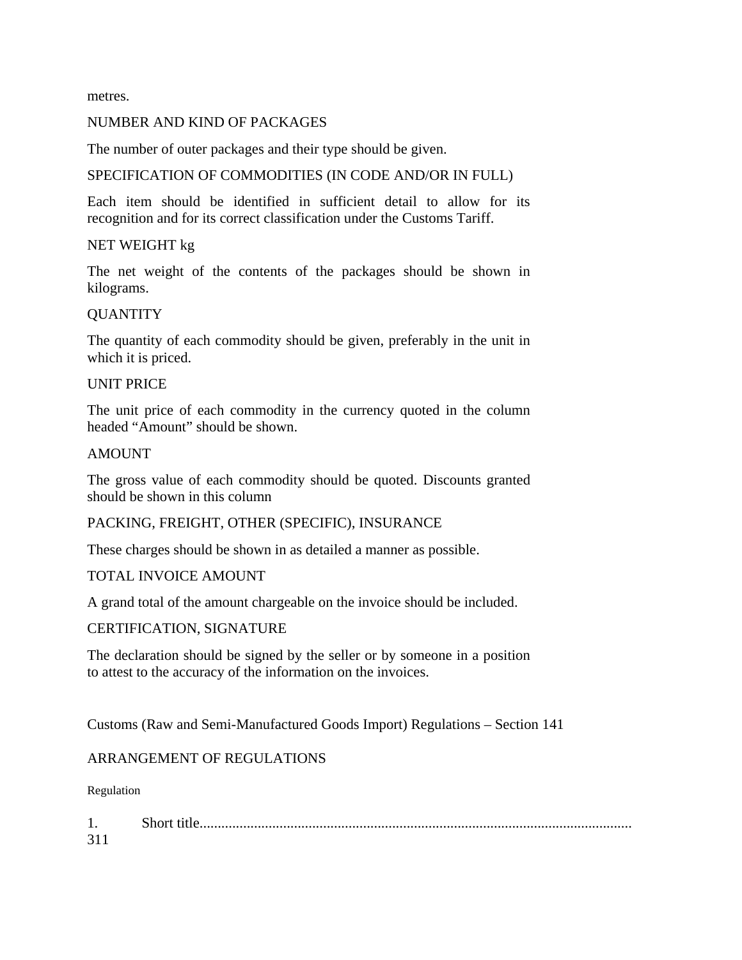metres.

### NUMBER AND KIND OF PACKAGES

The number of outer packages and their type should be given.

#### SPECIFICATION OF COMMODITIES (IN CODE AND/OR IN FULL)

Each item should be identified in sufficient detail to allow for its recognition and for its correct classification under the Customs Tariff.

### NET WEIGHT kg

The net weight of the contents of the packages should be shown in kilograms.

### QUANTITY

The quantity of each commodity should be given, preferably in the unit in which it is priced.

#### UNIT PRICE

The unit price of each commodity in the currency quoted in the column headed "Amount" should be shown.

#### AMOUNT

The gross value of each commodity should be quoted. Discounts granted should be shown in this column

### PACKING, FREIGHT, OTHER (SPECIFIC), INSURANCE

These charges should be shown in as detailed a manner as possible.

### TOTAL INVOICE AMOUNT

A grand total of the amount chargeable on the invoice should be included.

#### CERTIFICATION, SIGNATURE

The declaration should be signed by the seller or by someone in a position to attest to the accuracy of the information on the invoices.

Customs (Raw and Semi-Manufactured Goods Import) Regulations – Section 141

### ARRANGEMENT OF REGULATIONS

Regulation

| . . | short |
|-----|-------|
|     |       |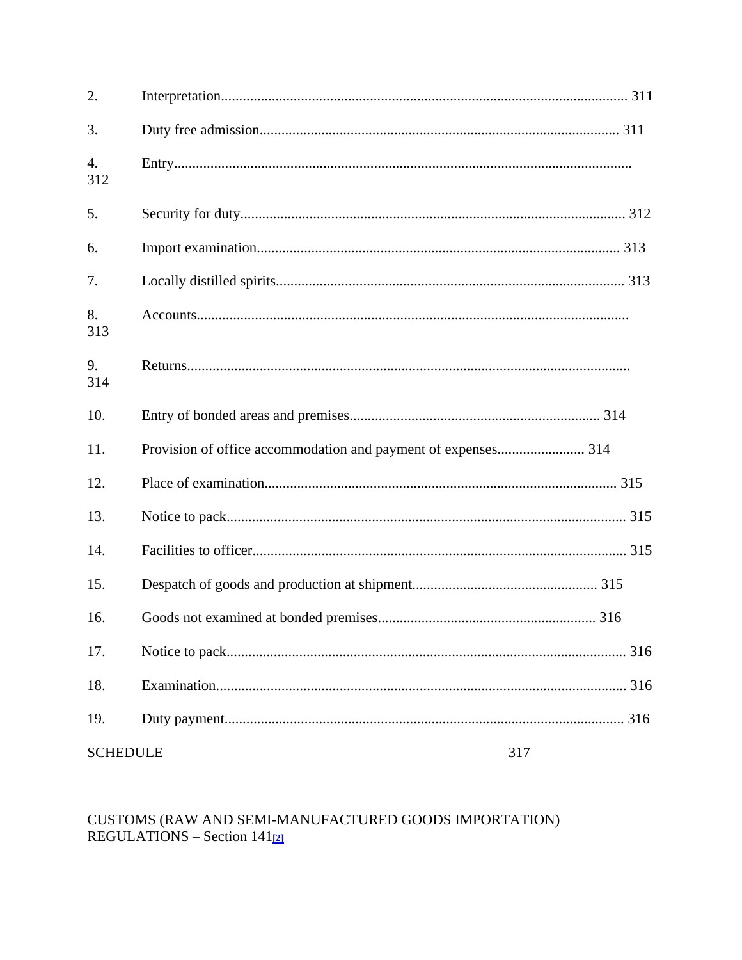| 2.              |     |
|-----------------|-----|
| 3.              |     |
| 4.<br>312       |     |
| 5.              |     |
| 6.              |     |
| 7.              |     |
| 8.<br>313       |     |
| 9.<br>314       |     |
| 10.             |     |
| 11.             |     |
| 12.             |     |
| 13.             |     |
| 14.             |     |
| 15.             |     |
| 16.             |     |
| 17.             | 316 |
| 18.             |     |
| 19.             |     |
| <b>SCHEDULE</b> | 317 |

# CUSTOMS (RAW AND SEMI-MANUFACTURED GOODS IMPORTATION)  $REGULATIONS - Section 141<sub>[2]</sub>$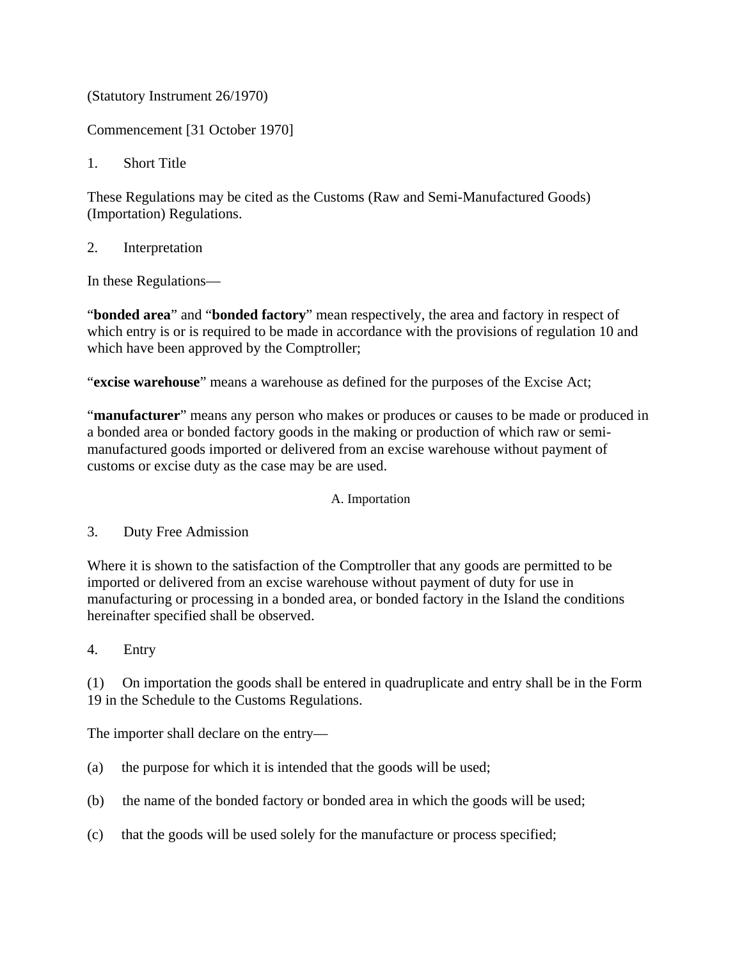(Statutory Instrument 26/1970)

Commencement [31 October 1970]

1. Short Title

These Regulations may be cited as the Customs (Raw and Semi-Manufactured Goods) (Importation) Regulations.

2. Interpretation

In these Regulations—

"**bonded area**" and "**bonded factory**" mean respectively, the area and factory in respect of which entry is or is required to be made in accordance with the provisions of regulation 10 and which have been approved by the Comptroller;

"**excise warehouse**" means a warehouse as defined for the purposes of the Excise Act;

"**manufacturer**" means any person who makes or produces or causes to be made or produced in a bonded area or bonded factory goods in the making or production of which raw or semimanufactured goods imported or delivered from an excise warehouse without payment of customs or excise duty as the case may be are used.

A. Importation

3. Duty Free Admission

Where it is shown to the satisfaction of the Comptroller that any goods are permitted to be imported or delivered from an excise warehouse without payment of duty for use in manufacturing or processing in a bonded area, or bonded factory in the Island the conditions hereinafter specified shall be observed.

4. Entry

(1) On importation the goods shall be entered in quadruplicate and entry shall be in the Form 19 in the Schedule to the Customs Regulations.

The importer shall declare on the entry—

- (a) the purpose for which it is intended that the goods will be used;
- (b) the name of the bonded factory or bonded area in which the goods will be used;
- (c) that the goods will be used solely for the manufacture or process specified;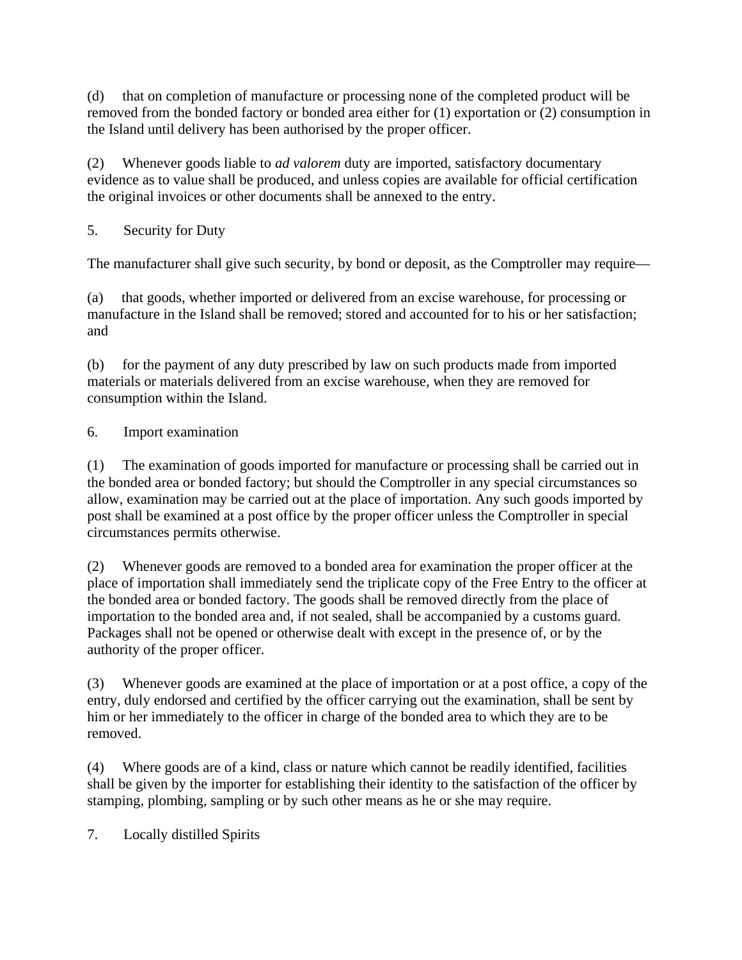(d) that on completion of manufacture or processing none of the completed product will be removed from the bonded factory or bonded area either for (1) exportation or (2) consumption in the Island until delivery has been authorised by the proper officer.

(2) Whenever goods liable to *ad valorem* duty are imported, satisfactory documentary evidence as to value shall be produced, and unless copies are available for official certification the original invoices or other documents shall be annexed to the entry.

5. Security for Duty

The manufacturer shall give such security, by bond or deposit, as the Comptroller may require—

(a) that goods, whether imported or delivered from an excise warehouse, for processing or manufacture in the Island shall be removed; stored and accounted for to his or her satisfaction; and

(b) for the payment of any duty prescribed by law on such products made from imported materials or materials delivered from an excise warehouse, when they are removed for consumption within the Island.

# 6. Import examination

(1) The examination of goods imported for manufacture or processing shall be carried out in the bonded area or bonded factory; but should the Comptroller in any special circumstances so allow, examination may be carried out at the place of importation. Any such goods imported by post shall be examined at a post office by the proper officer unless the Comptroller in special circumstances permits otherwise.

(2) Whenever goods are removed to a bonded area for examination the proper officer at the place of importation shall immediately send the triplicate copy of the Free Entry to the officer at the bonded area or bonded factory. The goods shall be removed directly from the place of importation to the bonded area and, if not sealed, shall be accompanied by a customs guard. Packages shall not be opened or otherwise dealt with except in the presence of, or by the authority of the proper officer.

(3) Whenever goods are examined at the place of importation or at a post office, a copy of the entry, duly endorsed and certified by the officer carrying out the examination, shall be sent by him or her immediately to the officer in charge of the bonded area to which they are to be removed.

(4) Where goods are of a kind, class or nature which cannot be readily identified, facilities shall be given by the importer for establishing their identity to the satisfaction of the officer by stamping, plombing, sampling or by such other means as he or she may require.

7. Locally distilled Spirits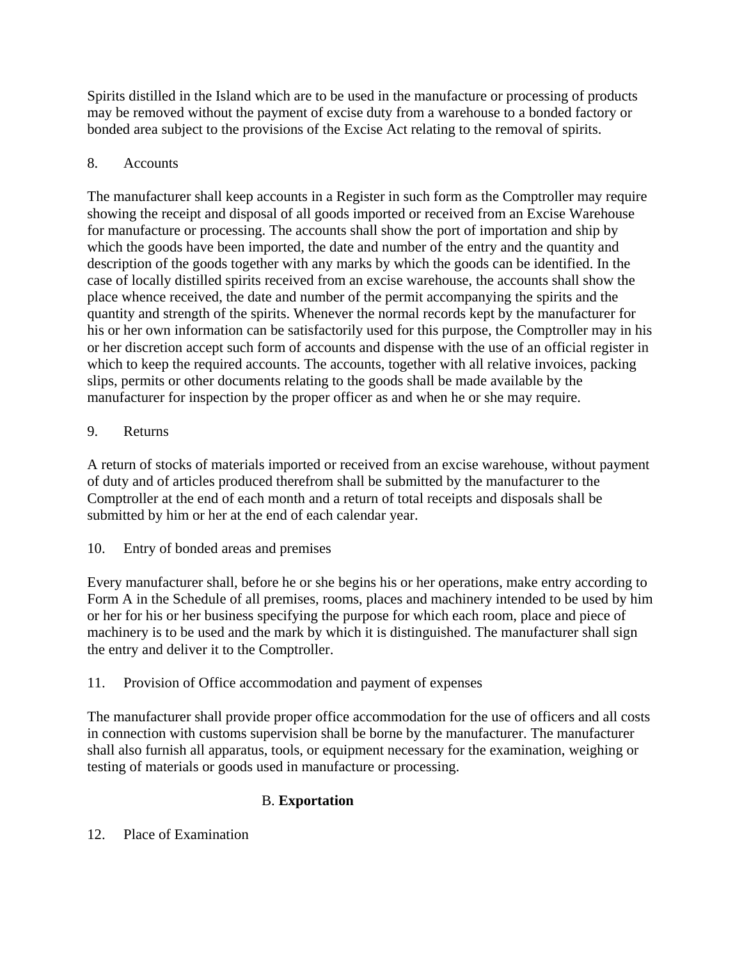Spirits distilled in the Island which are to be used in the manufacture or processing of products may be removed without the payment of excise duty from a warehouse to a bonded factory or bonded area subject to the provisions of the Excise Act relating to the removal of spirits.

# 8. Accounts

The manufacturer shall keep accounts in a Register in such form as the Comptroller may require showing the receipt and disposal of all goods imported or received from an Excise Warehouse for manufacture or processing. The accounts shall show the port of importation and ship by which the goods have been imported, the date and number of the entry and the quantity and description of the goods together with any marks by which the goods can be identified. In the case of locally distilled spirits received from an excise warehouse, the accounts shall show the place whence received, the date and number of the permit accompanying the spirits and the quantity and strength of the spirits. Whenever the normal records kept by the manufacturer for his or her own information can be satisfactorily used for this purpose, the Comptroller may in his or her discretion accept such form of accounts and dispense with the use of an official register in which to keep the required accounts. The accounts, together with all relative invoices, packing slips, permits or other documents relating to the goods shall be made available by the manufacturer for inspection by the proper officer as and when he or she may require.

# 9. Returns

A return of stocks of materials imported or received from an excise warehouse, without payment of duty and of articles produced therefrom shall be submitted by the manufacturer to the Comptroller at the end of each month and a return of total receipts and disposals shall be submitted by him or her at the end of each calendar year.

# 10. Entry of bonded areas and premises

Every manufacturer shall, before he or she begins his or her operations, make entry according to Form A in the Schedule of all premises, rooms, places and machinery intended to be used by him or her for his or her business specifying the purpose for which each room, place and piece of machinery is to be used and the mark by which it is distinguished. The manufacturer shall sign the entry and deliver it to the Comptroller.

# 11. Provision of Office accommodation and payment of expenses

The manufacturer shall provide proper office accommodation for the use of officers and all costs in connection with customs supervision shall be borne by the manufacturer. The manufacturer shall also furnish all apparatus, tools, or equipment necessary for the examination, weighing or testing of materials or goods used in manufacture or processing.

# B. **Exportation**

# 12. Place of Examination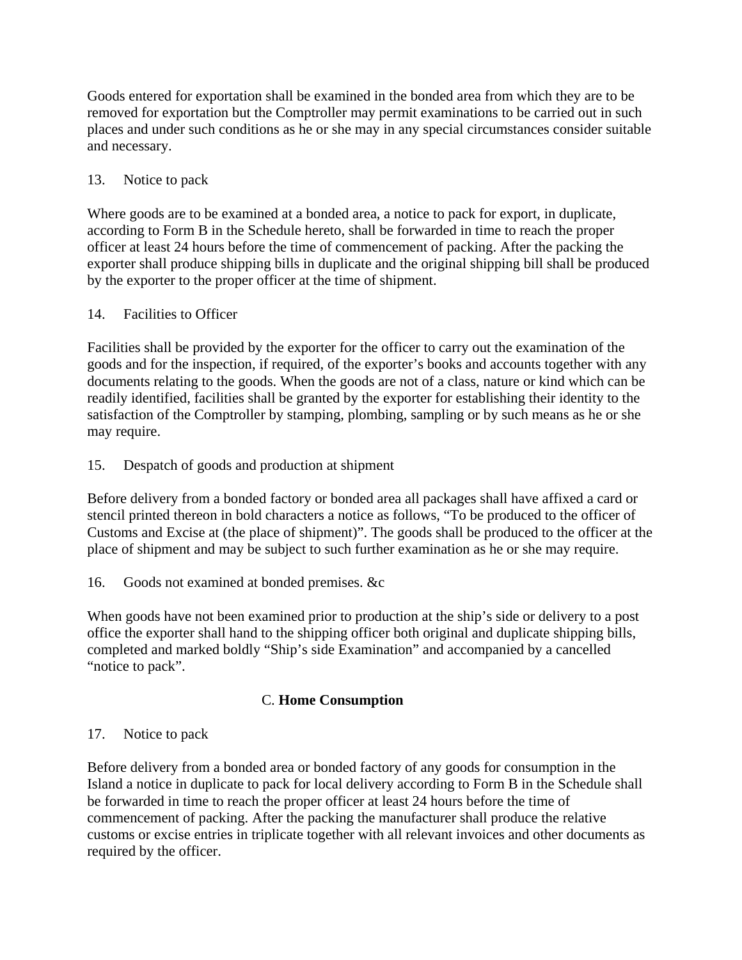Goods entered for exportation shall be examined in the bonded area from which they are to be removed for exportation but the Comptroller may permit examinations to be carried out in such places and under such conditions as he or she may in any special circumstances consider suitable and necessary.

### 13. Notice to pack

Where goods are to be examined at a bonded area, a notice to pack for export, in duplicate, according to Form B in the Schedule hereto, shall be forwarded in time to reach the proper officer at least 24 hours before the time of commencement of packing. After the packing the exporter shall produce shipping bills in duplicate and the original shipping bill shall be produced by the exporter to the proper officer at the time of shipment.

### 14. Facilities to Officer

Facilities shall be provided by the exporter for the officer to carry out the examination of the goods and for the inspection, if required, of the exporter's books and accounts together with any documents relating to the goods. When the goods are not of a class, nature or kind which can be readily identified, facilities shall be granted by the exporter for establishing their identity to the satisfaction of the Comptroller by stamping, plombing, sampling or by such means as he or she may require.

# 15. Despatch of goods and production at shipment

Before delivery from a bonded factory or bonded area all packages shall have affixed a card or stencil printed thereon in bold characters a notice as follows, "To be produced to the officer of Customs and Excise at (the place of shipment)". The goods shall be produced to the officer at the place of shipment and may be subject to such further examination as he or she may require.

### 16. Goods not examined at bonded premises. &c

When goods have not been examined prior to production at the ship's side or delivery to a post office the exporter shall hand to the shipping officer both original and duplicate shipping bills, completed and marked boldly "Ship's side Examination" and accompanied by a cancelled "notice to pack".

# C. **Home Consumption**

### 17. Notice to pack

Before delivery from a bonded area or bonded factory of any goods for consumption in the Island a notice in duplicate to pack for local delivery according to Form B in the Schedule shall be forwarded in time to reach the proper officer at least 24 hours before the time of commencement of packing. After the packing the manufacturer shall produce the relative customs or excise entries in triplicate together with all relevant invoices and other documents as required by the officer.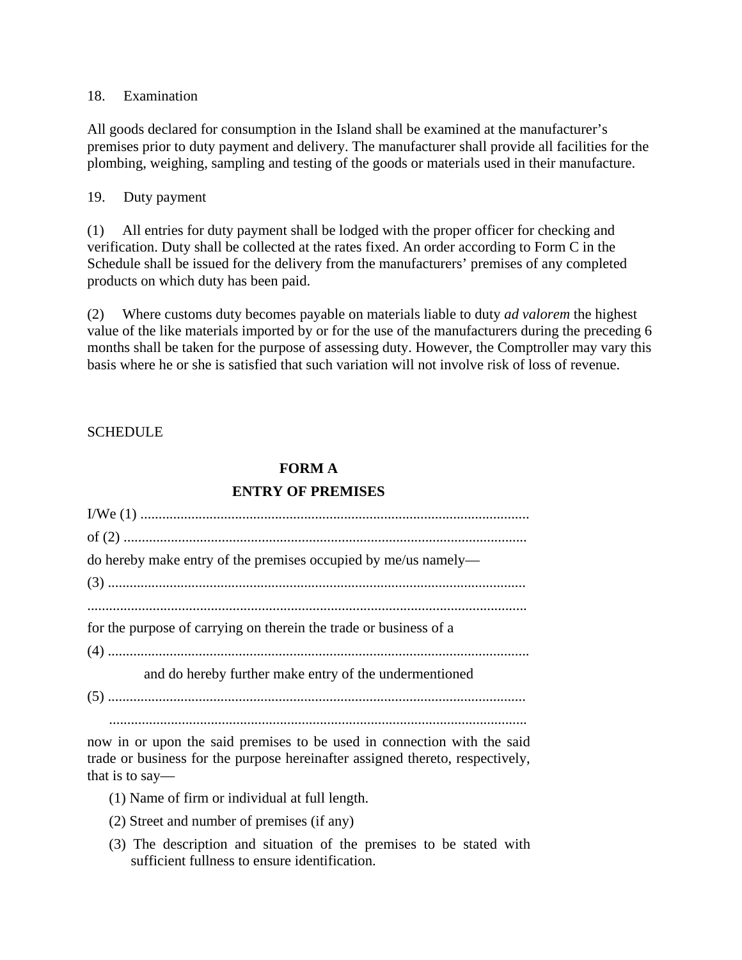18. Examination

All goods declared for consumption in the Island shall be examined at the manufacturer's premises prior to duty payment and delivery. The manufacturer shall provide all facilities for the plombing, weighing, sampling and testing of the goods or materials used in their manufacture.

### 19. Duty payment

(1) All entries for duty payment shall be lodged with the proper officer for checking and verification. Duty shall be collected at the rates fixed. An order according to Form C in the Schedule shall be issued for the delivery from the manufacturers' premises of any completed products on which duty has been paid.

(2) Where customs duty becomes payable on materials liable to duty *ad valorem* the highest value of the like materials imported by or for the use of the manufacturers during the preceding 6 months shall be taken for the purpose of assessing duty. However, the Comptroller may vary this basis where he or she is satisfied that such variation will not involve risk of loss of revenue.

### **SCHEDULE**

# **FORM A**

### **ENTRY OF PREMISES**

| do hereby make entry of the premises occupied by me/us namely—    |
|-------------------------------------------------------------------|
|                                                                   |
| for the purpose of carrying on therein the trade or business of a |
| and do hereby further make entry of the undermentioned            |
|                                                                   |

now in or upon the said premises to be used in connection with the said trade or business for the purpose hereinafter assigned thereto, respectively, that is to say—

- (1) Name of firm or individual at full length.
- (2) Street and number of premises (if any)
- (3) The description and situation of the premises to be stated with sufficient fullness to ensure identification.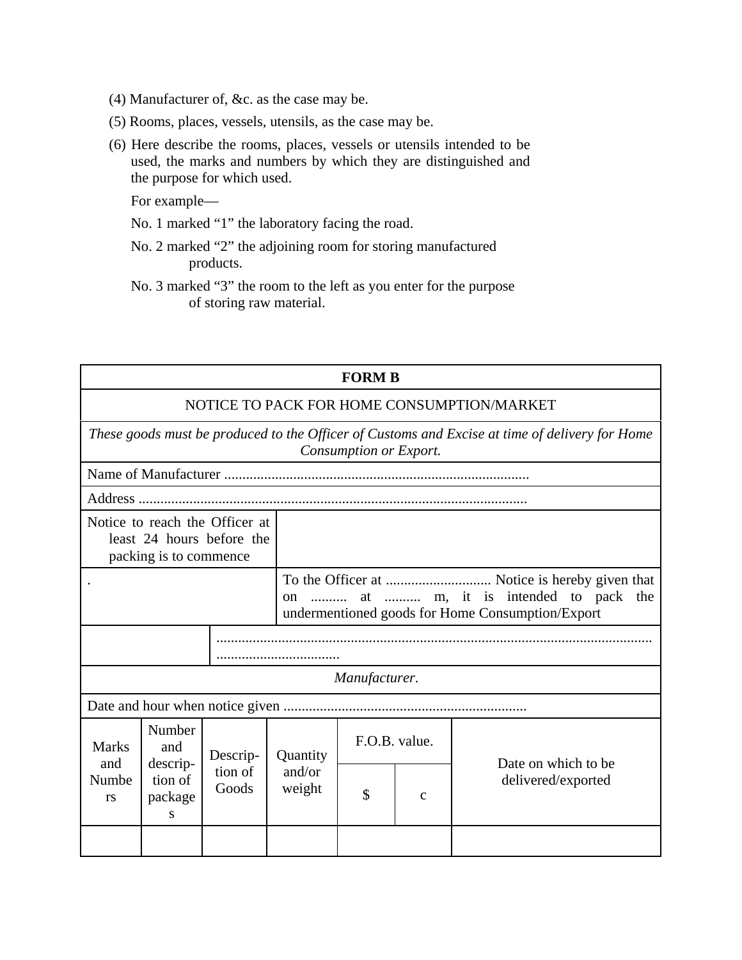- (4) Manufacturer of, &c. as the case may be.
- (5) Rooms, places, vessels, utensils, as the case may be.
- (6) Here describe the rooms, places, vessels or utensils intended to be used, the marks and numbers by which they are distinguished and the purpose for which used.

For example—

- No. 1 marked "1" the laboratory facing the road.
- No. 2 marked "2" the adjoining room for storing manufactured products.

No. 3 marked "3" the room to the left as you enter for the purpose of storing raw material.

| <b>FORM B</b>                                                                                                            |                                                      |                              |                  |                                                  |              |                     |
|--------------------------------------------------------------------------------------------------------------------------|------------------------------------------------------|------------------------------|------------------|--------------------------------------------------|--------------|---------------------|
| NOTICE TO PACK FOR HOME CONSUMPTION/MARKET                                                                               |                                                      |                              |                  |                                                  |              |                     |
| These goods must be produced to the Officer of Customs and Excise at time of delivery for Home<br>Consumption or Export. |                                                      |                              |                  |                                                  |              |                     |
|                                                                                                                          |                                                      |                              |                  |                                                  |              |                     |
|                                                                                                                          |                                                      |                              |                  |                                                  |              |                     |
| Notice to reach the Officer at<br>least 24 hours before the<br>packing is to commence                                    |                                                      |                              |                  |                                                  |              |                     |
|                                                                                                                          |                                                      |                              | <sub>on</sub>    | undermentioned goods for Home Consumption/Export |              |                     |
|                                                                                                                          |                                                      |                              |                  |                                                  |              |                     |
| Manufacturer.                                                                                                            |                                                      |                              |                  |                                                  |              |                     |
|                                                                                                                          |                                                      |                              |                  |                                                  |              |                     |
| <b>Marks</b><br>and<br>Numbe<br><b>rs</b>                                                                                | Number<br>and<br>descrip-<br>tion of<br>package<br>S | Descrip-<br>tion of<br>Goods | Quantity         | F.O.B. value.                                    |              | Date on which to be |
|                                                                                                                          |                                                      |                              | and/or<br>weight | \$                                               | $\mathbf{C}$ | delivered/exported  |
|                                                                                                                          |                                                      |                              |                  |                                                  |              |                     |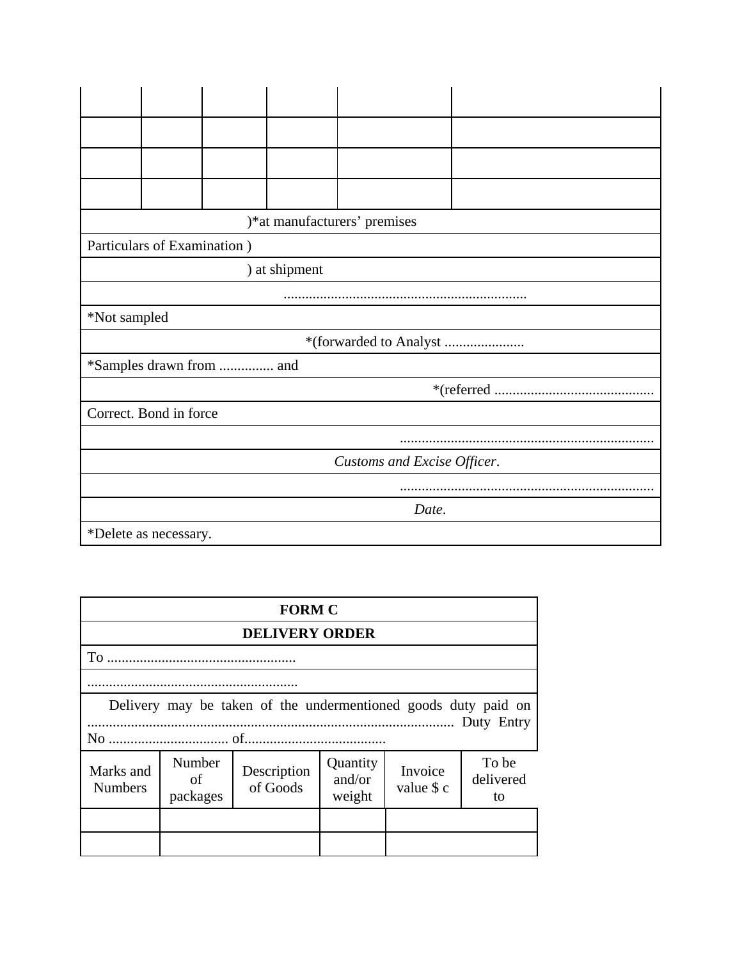|                             | )*at manufacturers' premises |  |  |  |  |  |
|-----------------------------|------------------------------|--|--|--|--|--|
|                             | Particulars of Examination ) |  |  |  |  |  |
|                             | ) at shipment                |  |  |  |  |  |
|                             |                              |  |  |  |  |  |
| *Not sampled                |                              |  |  |  |  |  |
| *(forwarded to Analyst      |                              |  |  |  |  |  |
| *Samples drawn from  and    |                              |  |  |  |  |  |
|                             |                              |  |  |  |  |  |
| Correct. Bond in force      |                              |  |  |  |  |  |
|                             |                              |  |  |  |  |  |
| Customs and Excise Officer. |                              |  |  |  |  |  |
|                             |                              |  |  |  |  |  |
| Date.                       |                              |  |  |  |  |  |
| *Delete as necessary.       |                              |  |  |  |  |  |

| <b>FORM C</b>                                                  |                                                                                                                                          |  |  |  |  |
|----------------------------------------------------------------|------------------------------------------------------------------------------------------------------------------------------------------|--|--|--|--|
| <b>DELIVERY ORDER</b>                                          |                                                                                                                                          |  |  |  |  |
|                                                                |                                                                                                                                          |  |  |  |  |
|                                                                |                                                                                                                                          |  |  |  |  |
| Delivery may be taken of the undermentioned goods duty paid on |                                                                                                                                          |  |  |  |  |
| Marks and<br><b>Numbers</b>                                    | Number<br>To be<br>Quantity<br>Invoice<br>Description<br>and/or<br>delivered<br>of<br>of Goods<br>value \$ c<br>weight<br>packages<br>to |  |  |  |  |
|                                                                |                                                                                                                                          |  |  |  |  |
|                                                                |                                                                                                                                          |  |  |  |  |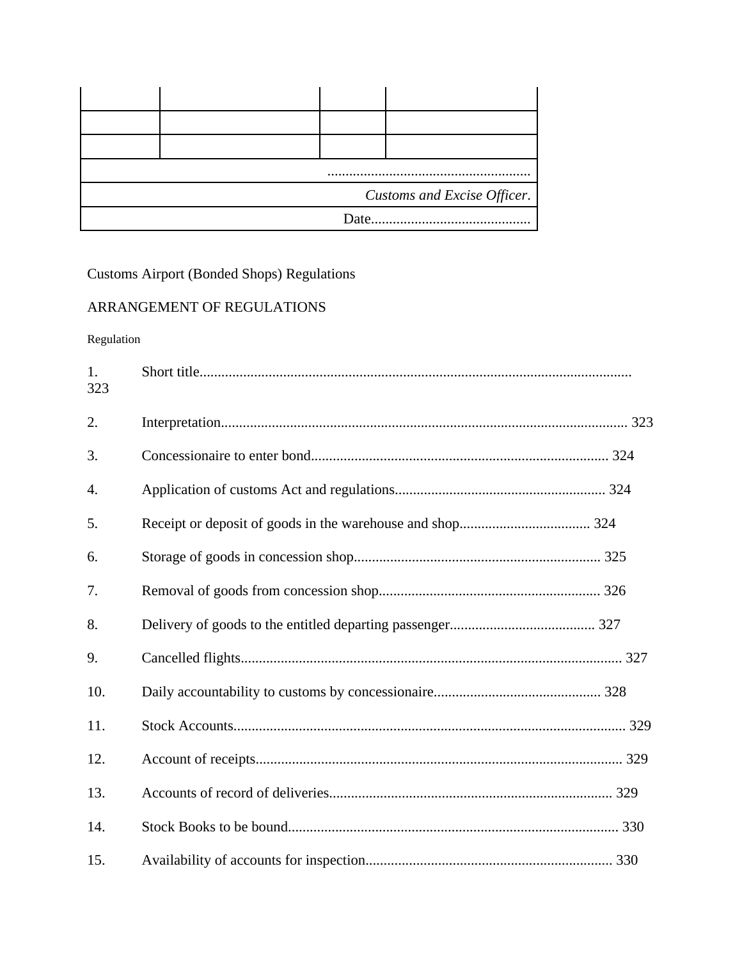| $\cdots$                    |  |      |  |  |
|-----------------------------|--|------|--|--|
| Customs and Excise Officer. |  |      |  |  |
|                             |  | Date |  |  |

Customs Airport (Bonded Shops) Regulations

# ARRANGEMENT OF REGULATIONS

Regulation

| 1.<br>323 |  |
|-----------|--|
| 2.        |  |
| 3.        |  |
| 4.        |  |
| 5.        |  |
| 6.        |  |
| 7.        |  |
| 8.        |  |
| 9.        |  |
| 10.       |  |
| 11.       |  |
| 12.       |  |
| 13.       |  |
| 14.       |  |
| 15.       |  |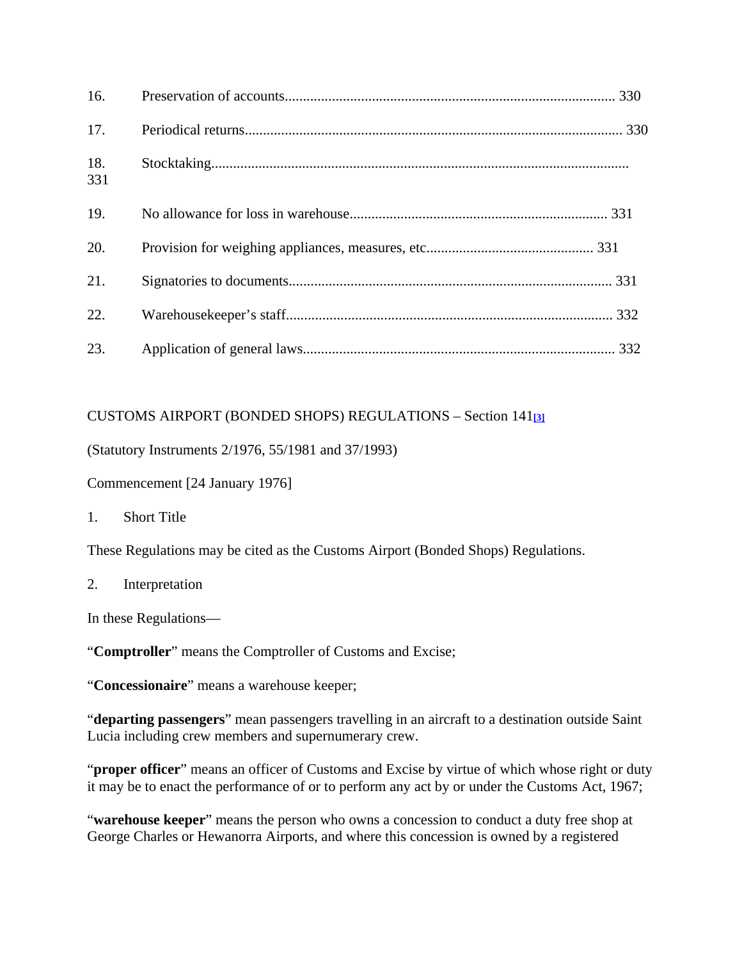| 16.        |  |
|------------|--|
| 17.        |  |
| 18.<br>331 |  |
| 19.        |  |
| 20.        |  |
| 21.        |  |
| 22.        |  |
| 23.        |  |

# CUSTOMS AIRPORT (BONDED SHOPS) REGULATIONS – Section 141**[3]**

(Statutory Instruments 2/1976, 55/1981 and 37/1993)

Commencement [24 January 1976]

1. Short Title

These Regulations may be cited as the Customs Airport (Bonded Shops) Regulations.

2. Interpretation

In these Regulations—

"**Comptroller**" means the Comptroller of Customs and Excise;

"**Concessionaire**" means a warehouse keeper;

"**departing passengers**" mean passengers travelling in an aircraft to a destination outside Saint Lucia including crew members and supernumerary crew.

"**proper officer**" means an officer of Customs and Excise by virtue of which whose right or duty it may be to enact the performance of or to perform any act by or under the Customs Act, 1967;

"**warehouse keeper**" means the person who owns a concession to conduct a duty free shop at George Charles or Hewanorra Airports, and where this concession is owned by a registered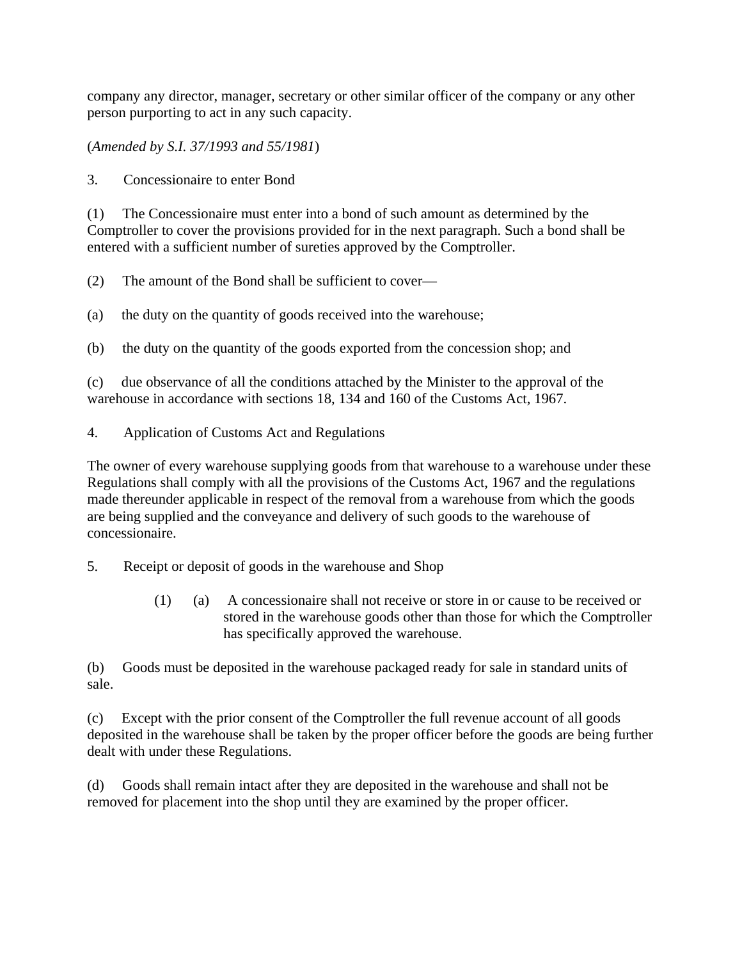company any director, manager, secretary or other similar officer of the company or any other person purporting to act in any such capacity.

(*Amended by S.I. 37/1993 and 55/1981*)

3. Concessionaire to enter Bond

(1) The Concessionaire must enter into a bond of such amount as determined by the Comptroller to cover the provisions provided for in the next paragraph. Such a bond shall be entered with a sufficient number of sureties approved by the Comptroller.

(2) The amount of the Bond shall be sufficient to cover—

- (a) the duty on the quantity of goods received into the warehouse;
- (b) the duty on the quantity of the goods exported from the concession shop; and

(c) due observance of all the conditions attached by the Minister to the approval of the warehouse in accordance with sections 18, 134 and 160 of the Customs Act, 1967.

4. Application of Customs Act and Regulations

The owner of every warehouse supplying goods from that warehouse to a warehouse under these Regulations shall comply with all the provisions of the Customs Act, 1967 and the regulations made thereunder applicable in respect of the removal from a warehouse from which the goods are being supplied and the conveyance and delivery of such goods to the warehouse of concessionaire.

- 5. Receipt or deposit of goods in the warehouse and Shop
	- (1) (a) A concessionaire shall not receive or store in or cause to be received or stored in the warehouse goods other than those for which the Comptroller has specifically approved the warehouse.

(b) Goods must be deposited in the warehouse packaged ready for sale in standard units of sale.

(c) Except with the prior consent of the Comptroller the full revenue account of all goods deposited in the warehouse shall be taken by the proper officer before the goods are being further dealt with under these Regulations.

(d) Goods shall remain intact after they are deposited in the warehouse and shall not be removed for placement into the shop until they are examined by the proper officer.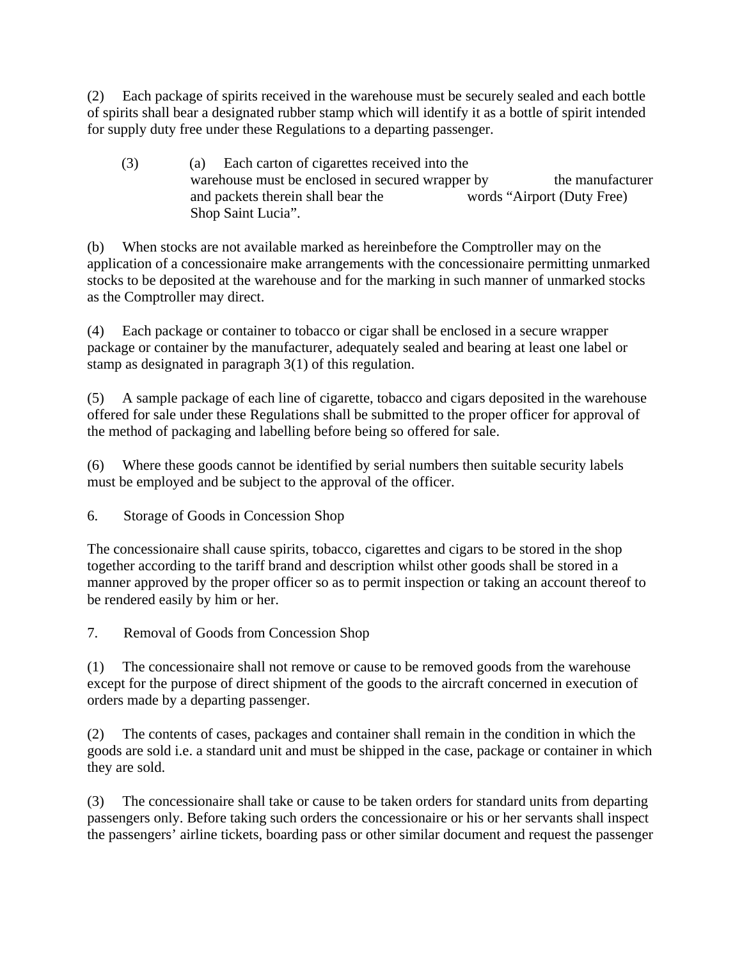(2) Each package of spirits received in the warehouse must be securely sealed and each bottle of spirits shall bear a designated rubber stamp which will identify it as a bottle of spirit intended for supply duty free under these Regulations to a departing passenger.

(3) (a) Each carton of cigarettes received into the warehouse must be enclosed in secured wrapper by the manufacturer and packets therein shall bear the words "Airport (Duty Free) Shop Saint Lucia".

(b) When stocks are not available marked as hereinbefore the Comptroller may on the application of a concessionaire make arrangements with the concessionaire permitting unmarked stocks to be deposited at the warehouse and for the marking in such manner of unmarked stocks as the Comptroller may direct.

(4) Each package or container to tobacco or cigar shall be enclosed in a secure wrapper package or container by the manufacturer, adequately sealed and bearing at least one label or stamp as designated in paragraph 3(1) of this regulation.

(5) A sample package of each line of cigarette, tobacco and cigars deposited in the warehouse offered for sale under these Regulations shall be submitted to the proper officer for approval of the method of packaging and labelling before being so offered for sale.

(6) Where these goods cannot be identified by serial numbers then suitable security labels must be employed and be subject to the approval of the officer.

6. Storage of Goods in Concession Shop

The concessionaire shall cause spirits, tobacco, cigarettes and cigars to be stored in the shop together according to the tariff brand and description whilst other goods shall be stored in a manner approved by the proper officer so as to permit inspection or taking an account thereof to be rendered easily by him or her.

7. Removal of Goods from Concession Shop

(1) The concessionaire shall not remove or cause to be removed goods from the warehouse except for the purpose of direct shipment of the goods to the aircraft concerned in execution of orders made by a departing passenger.

(2) The contents of cases, packages and container shall remain in the condition in which the goods are sold i.e. a standard unit and must be shipped in the case, package or container in which they are sold.

(3) The concessionaire shall take or cause to be taken orders for standard units from departing passengers only. Before taking such orders the concessionaire or his or her servants shall inspect the passengers' airline tickets, boarding pass or other similar document and request the passenger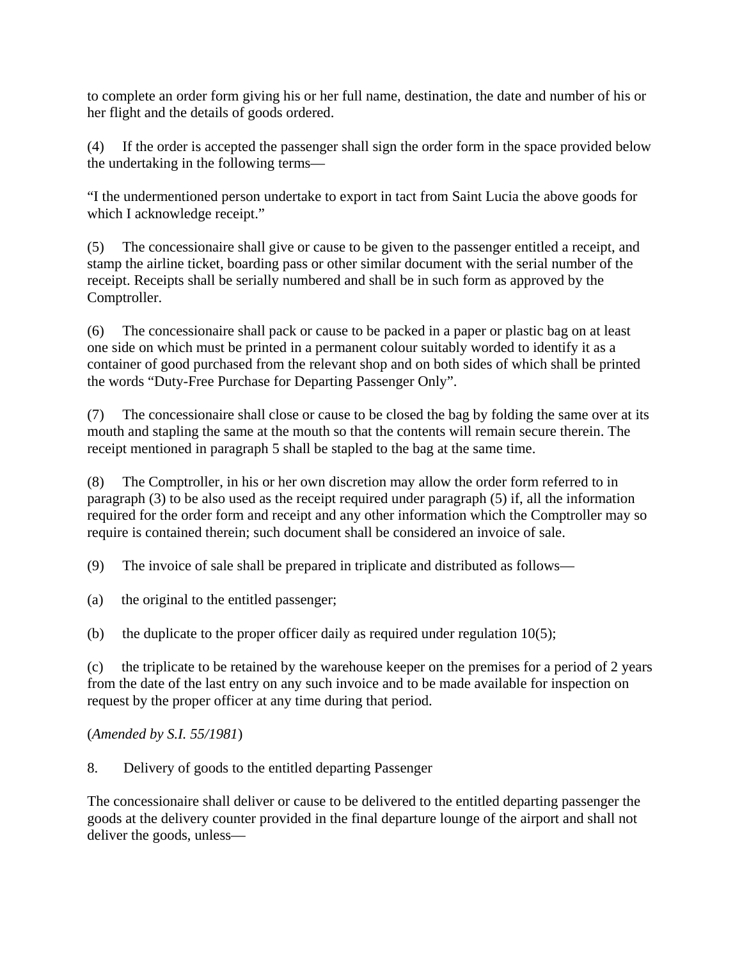to complete an order form giving his or her full name, destination, the date and number of his or her flight and the details of goods ordered.

(4) If the order is accepted the passenger shall sign the order form in the space provided below the undertaking in the following terms—

"I the undermentioned person undertake to export in tact from Saint Lucia the above goods for which I acknowledge receipt."

(5) The concessionaire shall give or cause to be given to the passenger entitled a receipt, and stamp the airline ticket, boarding pass or other similar document with the serial number of the receipt. Receipts shall be serially numbered and shall be in such form as approved by the Comptroller.

(6) The concessionaire shall pack or cause to be packed in a paper or plastic bag on at least one side on which must be printed in a permanent colour suitably worded to identify it as a container of good purchased from the relevant shop and on both sides of which shall be printed the words "Duty-Free Purchase for Departing Passenger Only".

(7) The concessionaire shall close or cause to be closed the bag by folding the same over at its mouth and stapling the same at the mouth so that the contents will remain secure therein. The receipt mentioned in paragraph 5 shall be stapled to the bag at the same time.

(8) The Comptroller, in his or her own discretion may allow the order form referred to in paragraph (3) to be also used as the receipt required under paragraph (5) if, all the information required for the order form and receipt and any other information which the Comptroller may so require is contained therein; such document shall be considered an invoice of sale.

(9) The invoice of sale shall be prepared in triplicate and distributed as follows—

(a) the original to the entitled passenger;

(b) the duplicate to the proper officer daily as required under regulation  $10(5)$ ;

(c) the triplicate to be retained by the warehouse keeper on the premises for a period of 2 years from the date of the last entry on any such invoice and to be made available for inspection on request by the proper officer at any time during that period.

(*Amended by S.I. 55/1981*)

8. Delivery of goods to the entitled departing Passenger

The concessionaire shall deliver or cause to be delivered to the entitled departing passenger the goods at the delivery counter provided in the final departure lounge of the airport and shall not deliver the goods, unless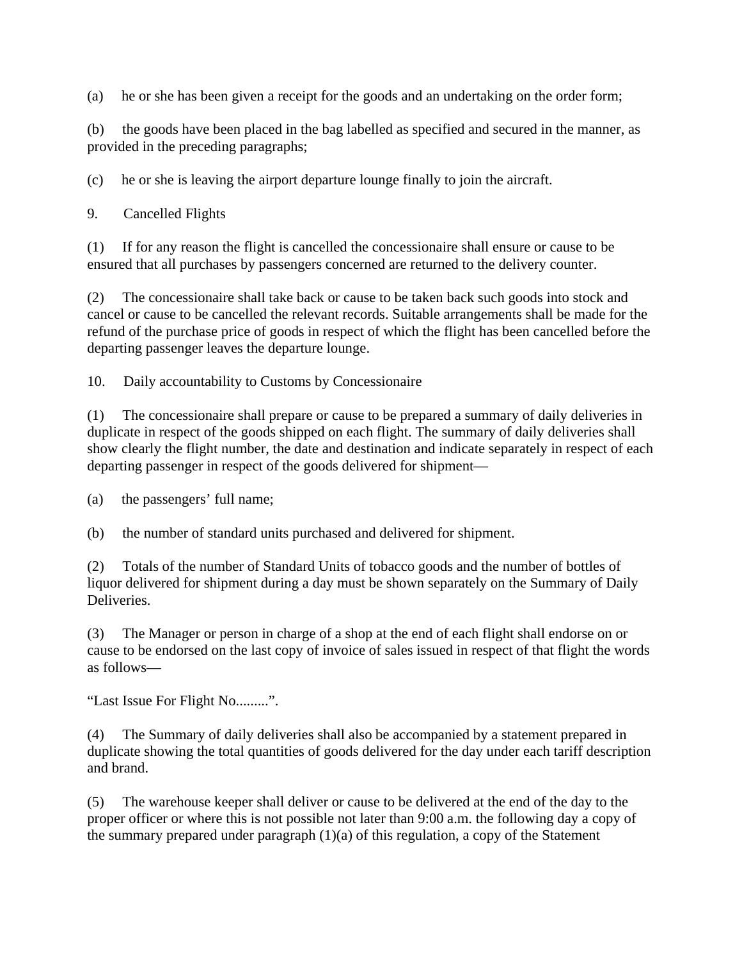(a) he or she has been given a receipt for the goods and an undertaking on the order form;

(b) the goods have been placed in the bag labelled as specified and secured in the manner, as provided in the preceding paragraphs;

(c) he or she is leaving the airport departure lounge finally to join the aircraft.

9. Cancelled Flights

(1) If for any reason the flight is cancelled the concessionaire shall ensure or cause to be ensured that all purchases by passengers concerned are returned to the delivery counter.

(2) The concessionaire shall take back or cause to be taken back such goods into stock and cancel or cause to be cancelled the relevant records. Suitable arrangements shall be made for the refund of the purchase price of goods in respect of which the flight has been cancelled before the departing passenger leaves the departure lounge.

10. Daily accountability to Customs by Concessionaire

(1) The concessionaire shall prepare or cause to be prepared a summary of daily deliveries in duplicate in respect of the goods shipped on each flight. The summary of daily deliveries shall show clearly the flight number, the date and destination and indicate separately in respect of each departing passenger in respect of the goods delivered for shipment—

(a) the passengers' full name;

(b) the number of standard units purchased and delivered for shipment.

(2) Totals of the number of Standard Units of tobacco goods and the number of bottles of liquor delivered for shipment during a day must be shown separately on the Summary of Daily Deliveries.

(3) The Manager or person in charge of a shop at the end of each flight shall endorse on or cause to be endorsed on the last copy of invoice of sales issued in respect of that flight the words as follows—

"Last Issue For Flight No.........".

(4) The Summary of daily deliveries shall also be accompanied by a statement prepared in duplicate showing the total quantities of goods delivered for the day under each tariff description and brand.

(5) The warehouse keeper shall deliver or cause to be delivered at the end of the day to the proper officer or where this is not possible not later than 9:00 a.m. the following day a copy of the summary prepared under paragraph (1)(a) of this regulation, a copy of the Statement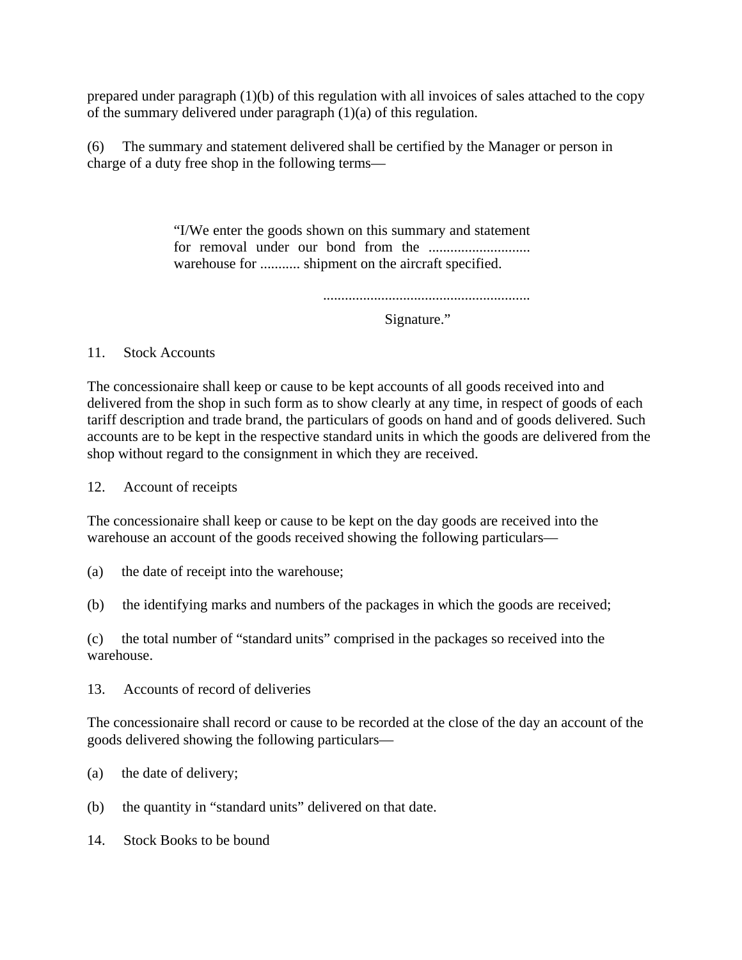prepared under paragraph  $(1)(b)$  of this regulation with all invoices of sales attached to the copy of the summary delivered under paragraph (1)(a) of this regulation.

(6) The summary and statement delivered shall be certified by the Manager or person in charge of a duty free shop in the following terms—

> "I/We enter the goods shown on this summary and statement for removal under our bond from the ............................ warehouse for ........... shipment on the aircraft specified.

> > .........................................................

Signature."

11. Stock Accounts

The concessionaire shall keep or cause to be kept accounts of all goods received into and delivered from the shop in such form as to show clearly at any time, in respect of goods of each tariff description and trade brand, the particulars of goods on hand and of goods delivered. Such accounts are to be kept in the respective standard units in which the goods are delivered from the shop without regard to the consignment in which they are received.

12. Account of receipts

The concessionaire shall keep or cause to be kept on the day goods are received into the warehouse an account of the goods received showing the following particulars—

(a) the date of receipt into the warehouse;

(b) the identifying marks and numbers of the packages in which the goods are received;

(c) the total number of "standard units" comprised in the packages so received into the warehouse.

13. Accounts of record of deliveries

The concessionaire shall record or cause to be recorded at the close of the day an account of the goods delivered showing the following particulars—

- (a) the date of delivery;
- (b) the quantity in "standard units" delivered on that date.

14. Stock Books to be bound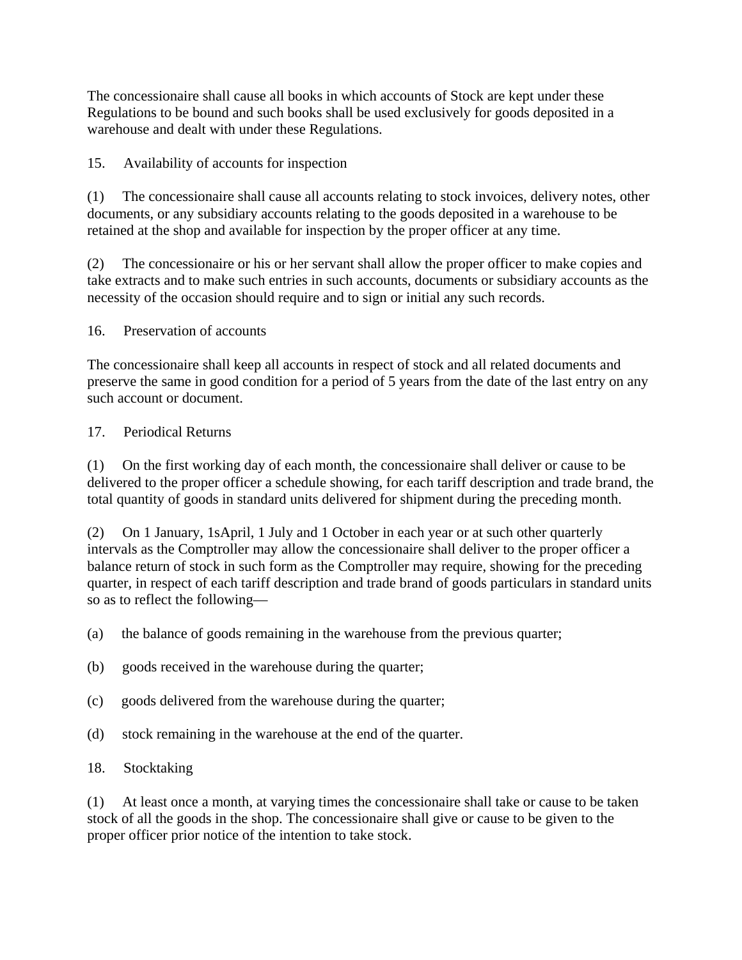The concessionaire shall cause all books in which accounts of Stock are kept under these Regulations to be bound and such books shall be used exclusively for goods deposited in a warehouse and dealt with under these Regulations.

15. Availability of accounts for inspection

(1) The concessionaire shall cause all accounts relating to stock invoices, delivery notes, other documents, or any subsidiary accounts relating to the goods deposited in a warehouse to be retained at the shop and available for inspection by the proper officer at any time.

(2) The concessionaire or his or her servant shall allow the proper officer to make copies and take extracts and to make such entries in such accounts, documents or subsidiary accounts as the necessity of the occasion should require and to sign or initial any such records.

### 16. Preservation of accounts

The concessionaire shall keep all accounts in respect of stock and all related documents and preserve the same in good condition for a period of 5 years from the date of the last entry on any such account or document.

### 17. Periodical Returns

(1) On the first working day of each month, the concessionaire shall deliver or cause to be delivered to the proper officer a schedule showing, for each tariff description and trade brand, the total quantity of goods in standard units delivered for shipment during the preceding month.

(2) On 1 January, 1sApril, 1 July and 1 October in each year or at such other quarterly intervals as the Comptroller may allow the concessionaire shall deliver to the proper officer a balance return of stock in such form as the Comptroller may require, showing for the preceding quarter, in respect of each tariff description and trade brand of goods particulars in standard units so as to reflect the following—

- (a) the balance of goods remaining in the warehouse from the previous quarter;
- (b) goods received in the warehouse during the quarter;
- (c) goods delivered from the warehouse during the quarter;
- (d) stock remaining in the warehouse at the end of the quarter.

### 18. Stocktaking

(1) At least once a month, at varying times the concessionaire shall take or cause to be taken stock of all the goods in the shop. The concessionaire shall give or cause to be given to the proper officer prior notice of the intention to take stock.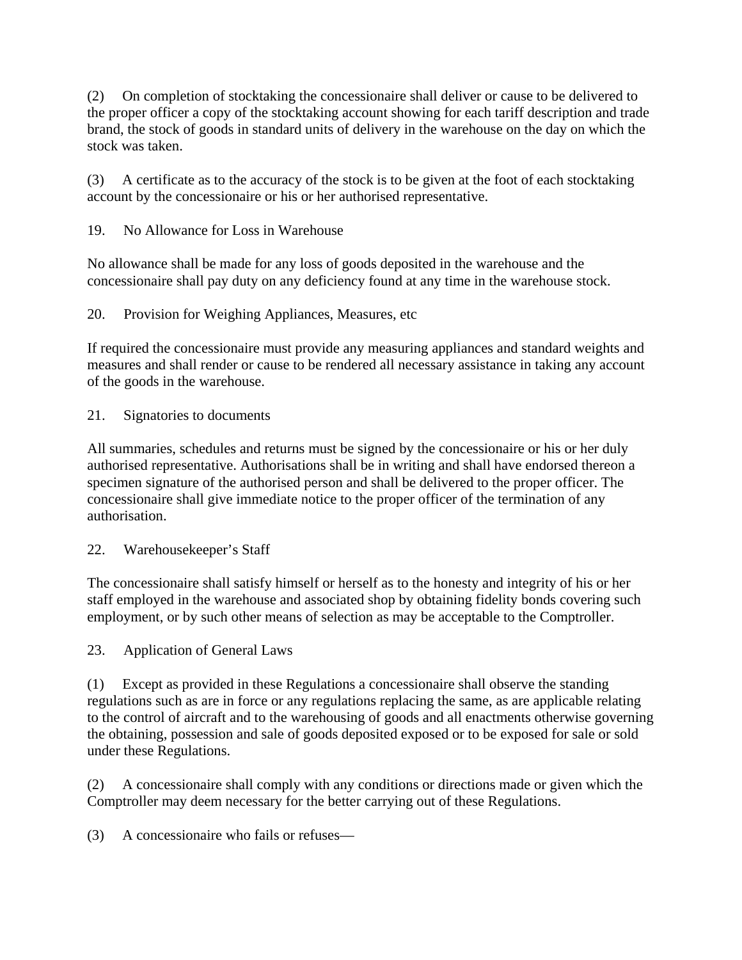(2) On completion of stocktaking the concessionaire shall deliver or cause to be delivered to the proper officer a copy of the stocktaking account showing for each tariff description and trade brand, the stock of goods in standard units of delivery in the warehouse on the day on which the stock was taken.

(3) A certificate as to the accuracy of the stock is to be given at the foot of each stocktaking account by the concessionaire or his or her authorised representative.

19. No Allowance for Loss in Warehouse

No allowance shall be made for any loss of goods deposited in the warehouse and the concessionaire shall pay duty on any deficiency found at any time in the warehouse stock.

20. Provision for Weighing Appliances, Measures, etc

If required the concessionaire must provide any measuring appliances and standard weights and measures and shall render or cause to be rendered all necessary assistance in taking any account of the goods in the warehouse.

21. Signatories to documents

All summaries, schedules and returns must be signed by the concessionaire or his or her duly authorised representative. Authorisations shall be in writing and shall have endorsed thereon a specimen signature of the authorised person and shall be delivered to the proper officer. The concessionaire shall give immediate notice to the proper officer of the termination of any authorisation.

22. Warehousekeeper's Staff

The concessionaire shall satisfy himself or herself as to the honesty and integrity of his or her staff employed in the warehouse and associated shop by obtaining fidelity bonds covering such employment, or by such other means of selection as may be acceptable to the Comptroller.

23. Application of General Laws

(1) Except as provided in these Regulations a concessionaire shall observe the standing regulations such as are in force or any regulations replacing the same, as are applicable relating to the control of aircraft and to the warehousing of goods and all enactments otherwise governing the obtaining, possession and sale of goods deposited exposed or to be exposed for sale or sold under these Regulations.

(2) A concessionaire shall comply with any conditions or directions made or given which the Comptroller may deem necessary for the better carrying out of these Regulations.

(3) A concessionaire who fails or refuses—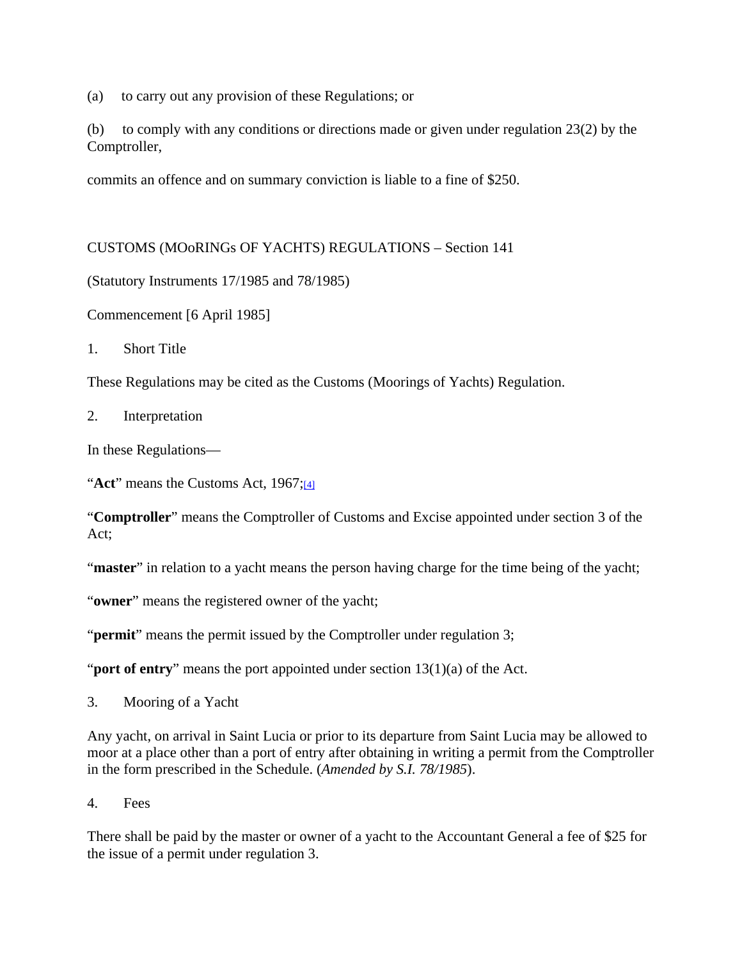(a) to carry out any provision of these Regulations; or

(b) to comply with any conditions or directions made or given under regulation 23(2) by the Comptroller,

commits an offence and on summary conviction is liable to a fine of \$250.

CUSTOMS (MOoRINGs OF YACHTS) REGULATIONS – Section 141

(Statutory Instruments 17/1985 and 78/1985)

Commencement [6 April 1985]

1. Short Title

These Regulations may be cited as the Customs (Moorings of Yachts) Regulation.

2. Interpretation

In these Regulations—

"**Act**" means the Customs Act, 1967;[4]

"**Comptroller**" means the Comptroller of Customs and Excise appointed under section 3 of the Act;

"**master**" in relation to a yacht means the person having charge for the time being of the yacht;

"**owner**" means the registered owner of the yacht;

"**permit**" means the permit issued by the Comptroller under regulation 3;

"**port of entry**" means the port appointed under section 13(1)(a) of the Act.

3. Mooring of a Yacht

Any yacht, on arrival in Saint Lucia or prior to its departure from Saint Lucia may be allowed to moor at a place other than a port of entry after obtaining in writing a permit from the Comptroller in the form prescribed in the Schedule. (*Amended by S.I. 78/1985*).

4. Fees

There shall be paid by the master or owner of a yacht to the Accountant General a fee of \$25 for the issue of a permit under regulation 3.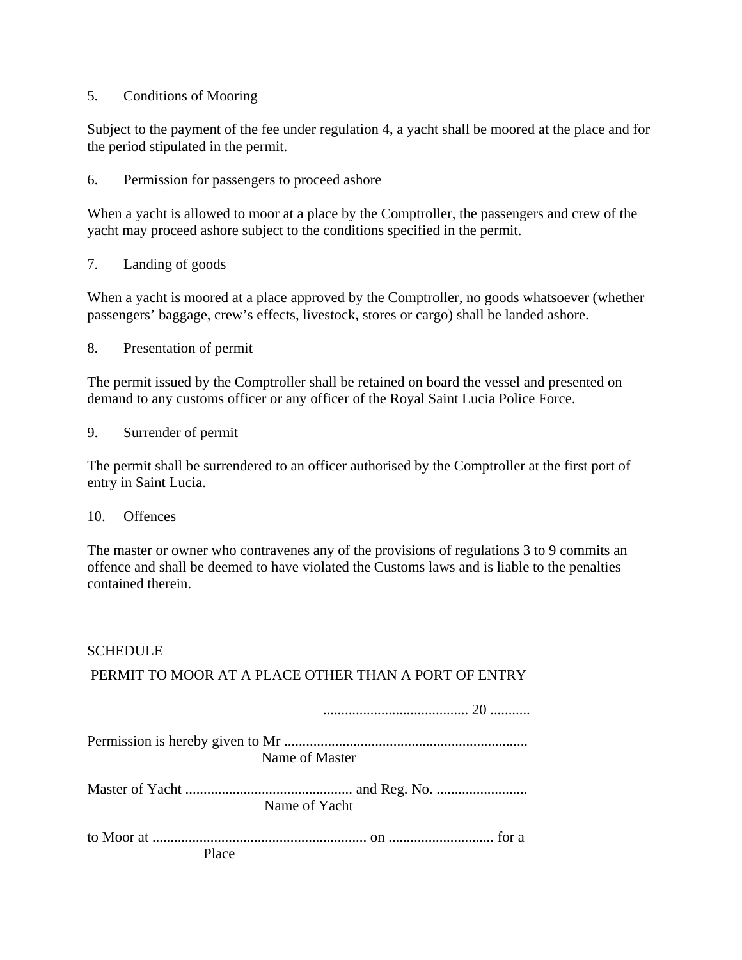### 5. Conditions of Mooring

Subject to the payment of the fee under regulation 4, a yacht shall be moored at the place and for the period stipulated in the permit.

6. Permission for passengers to proceed ashore

When a yacht is allowed to moor at a place by the Comptroller, the passengers and crew of the yacht may proceed ashore subject to the conditions specified in the permit.

7. Landing of goods

When a yacht is moored at a place approved by the Comptroller, no goods whatsoever (whether passengers' baggage, crew's effects, livestock, stores or cargo) shall be landed ashore.

8. Presentation of permit

The permit issued by the Comptroller shall be retained on board the vessel and presented on demand to any customs officer or any officer of the Royal Saint Lucia Police Force.

9. Surrender of permit

The permit shall be surrendered to an officer authorised by the Comptroller at the first port of entry in Saint Lucia.

#### 10. Offences

The master or owner who contravenes any of the provisions of regulations 3 to 9 commits an offence and shall be deemed to have violated the Customs laws and is liable to the penalties contained therein.

### **SCHEDULE**

PERMIT TO MOOR AT A PLACE OTHER THAN A PORT OF ENTRY

|       | Name of Master |
|-------|----------------|
|       |                |
|       | Name of Yacht  |
|       |                |
| Place |                |